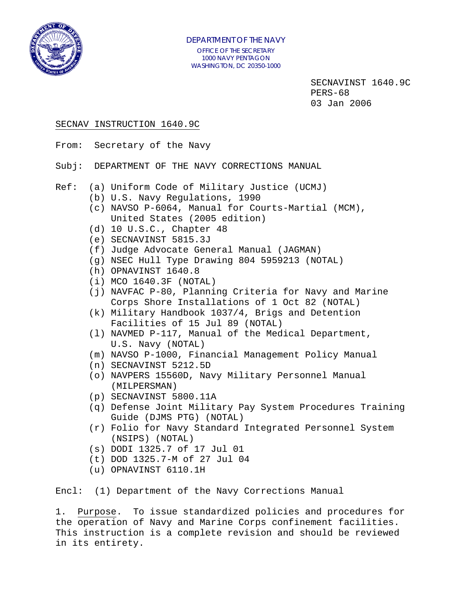

 SECNAVINST 1640.9C PERS-68 03 Jan 2006

#### SECNAV INSTRUCTION 1640.9C

- From: Secretary of the Navy
- Subj: DEPARTMENT OF THE NAVY CORRECTIONS MANUAL
- Ref: (a) Uniform Code of Military Justice (UCMJ)
	- (b) U.S. Navy Regulations, 1990
	- (c) NAVSO P-6064, Manual for Courts-Martial (MCM), United States (2005 edition)
	- (d) 10 U.S.C., Chapter 48
	- (e) SECNAVINST 5815.3J
	- (f) Judge Advocate General Manual (JAGMAN)
	- (g) NSEC Hull Type Drawing 804 5959213 (NOTAL)
	- (h) OPNAVINST 1640.8
	- (i) MCO 1640.3F (NOTAL)
	- (j) NAVFAC P-80, Planning Criteria for Navy and Marine Corps Shore Installations of 1 Oct 82 (NOTAL)
	- (k) Military Handbook 1037/4, Brigs and Detention Facilities of 15 Jul 89 (NOTAL)
	- (l) NAVMED P-117, Manual of the Medical Department, U.S. Navy (NOTAL)
	- (m) NAVSO P-1000, Financial Management Policy Manual
	- (n) SECNAVINST 5212.5D
	- (o) NAVPERS 15560D, Navy Military Personnel Manual (MILPERSMAN)
	- (p) SECNAVINST 5800.11A
	- (q) Defense Joint Military Pay System Procedures Training Guide (DJMS PTG) (NOTAL)
	- (r) Folio for Navy Standard Integrated Personnel System (NSIPS) (NOTAL)
	- (s) DODI 1325.7 of 17 Jul 01
	- (t) DOD 1325.7-M of 27 Jul 04
	- (u) OPNAVINST 6110.1H

Encl: (1) Department of the Navy Corrections Manual

1. Purpose. To issue standardized policies and procedures for the operation of Navy and Marine Corps confinement facilities. This instruction is a complete revision and should be reviewed in its entirety.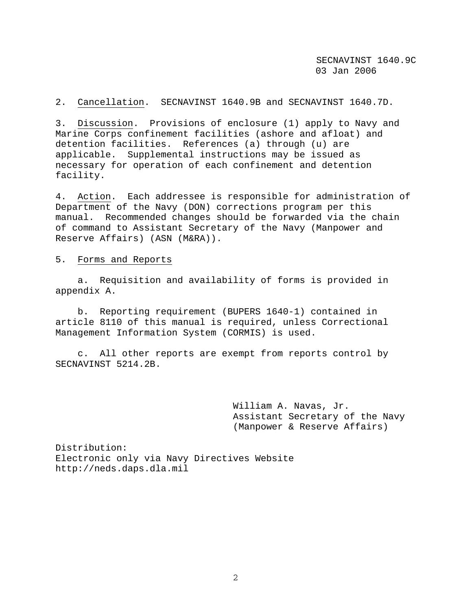2. Cancellation. SECNAVINST 1640.9B and SECNAVINST 1640.7D.

3. Discussion. Provisions of enclosure (1) apply to Navy and Marine Corps confinement facilities (ashore and afloat) and detention facilities. References (a) through (u) are applicable. Supplemental instructions may be issued as necessary for operation of each confinement and detention facility.

4. Action. Each addressee is responsible for administration of Department of the Navy (DON) corrections program per this manual. Recommended changes should be forwarded via the chain of command to Assistant Secretary of the Navy (Manpower and Reserve Affairs) (ASN (M&RA)).

5. Forms and Reports

 a. Requisition and availability of forms is provided in appendix A.

 b. Reporting requirement (BUPERS 1640-1) contained in article 8110 of this manual is required, unless Correctional Management Information System (CORMIS) is used.

 c. All other reports are exempt from reports control by SECNAVINST 5214.2B.

> William A. Navas, Jr. Assistant Secretary of the Navy (Manpower & Reserve Affairs)

Distribution: Electronic only via Navy Directives Website http://neds.daps.dla.mil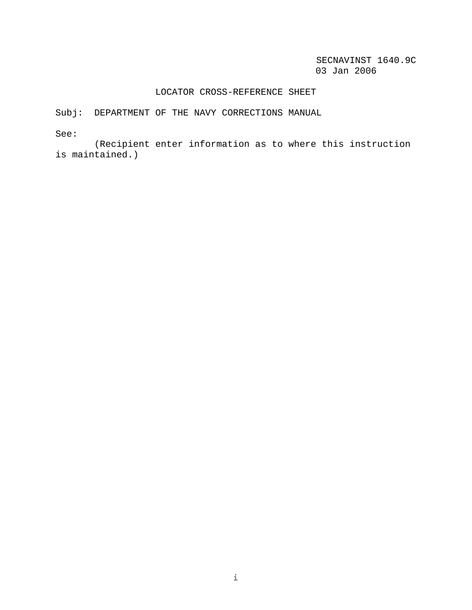#### LOCATOR CROSS-REFERENCE SHEET

Subj: DEPARTMENT OF THE NAVY CORRECTIONS MANUAL

See:

 (Recipient enter information as to where this instruction is maintained.)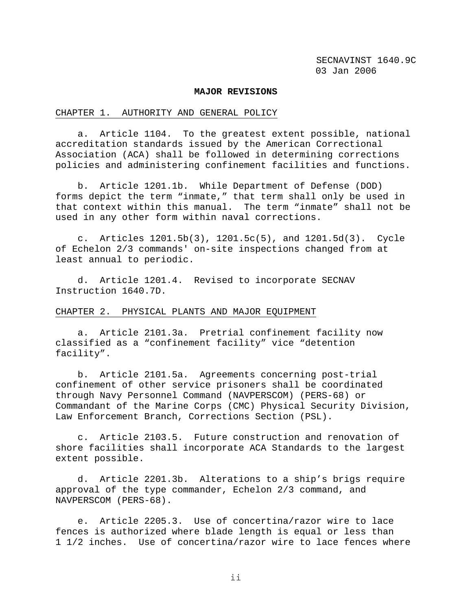#### **MAJOR REVISIONS**

#### CHAPTER 1. AUTHORITY AND GENERAL POLICY

 a. Article 1104. To the greatest extent possible, national accreditation standards issued by the American Correctional Association (ACA) shall be followed in determining corrections policies and administering confinement facilities and functions.

 b. Article 1201.1b. While Department of Defense (DOD) forms depict the term "inmate," that term shall only be used in that context within this manual. The term "inmate" shall not be used in any other form within naval corrections.

 c. Articles 1201.5b(3), 1201.5c(5), and 1201.5d(3). Cycle of Echelon 2/3 commands' on-site inspections changed from at least annual to periodic.

 d. Article 1201.4. Revised to incorporate SECNAV Instruction 1640.7D.

#### CHAPTER 2. PHYSICAL PLANTS AND MAJOR EQUIPMENT

 a. Article 2101.3a. Pretrial confinement facility now classified as a "confinement facility" vice "detention facility".

 b. Article 2101.5a. Agreements concerning post-trial confinement of other service prisoners shall be coordinated through Navy Personnel Command (NAVPERSCOM) (PERS-68) or Commandant of the Marine Corps (CMC) Physical Security Division, Law Enforcement Branch, Corrections Section (PSL).

 c. Article 2103.5. Future construction and renovation of shore facilities shall incorporate ACA Standards to the largest extent possible.

 d. Article 2201.3b. Alterations to a ship's brigs require approval of the type commander, Echelon 2/3 command, and NAVPERSCOM (PERS-68).

 e. Article 2205.3. Use of concertina/razor wire to lace fences is authorized where blade length is equal or less than 1 1/2 inches. Use of concertina/razor wire to lace fences where

ii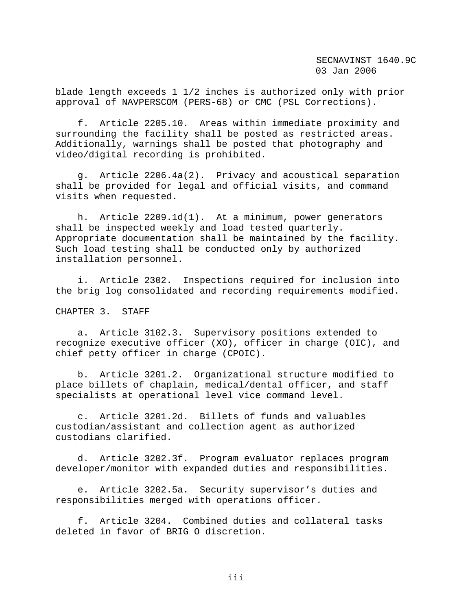blade length exceeds 1 1/2 inches is authorized only with prior approval of NAVPERSCOM (PERS-68) or CMC (PSL Corrections).

 f. Article 2205.10. Areas within immediate proximity and surrounding the facility shall be posted as restricted areas. Additionally, warnings shall be posted that photography and video/digital recording is prohibited.

 g. Article 2206.4a(2). Privacy and acoustical separation shall be provided for legal and official visits, and command visits when requested.

 h. Article 2209.1d(1). At a minimum, power generators shall be inspected weekly and load tested quarterly. Appropriate documentation shall be maintained by the facility. Such load testing shall be conducted only by authorized installation personnel.

 i. Article 2302. Inspections required for inclusion into the brig log consolidated and recording requirements modified.

#### CHAPTER 3. STAFF

 a. Article 3102.3. Supervisory positions extended to recognize executive officer (XO), officer in charge (OIC), and chief petty officer in charge (CPOIC).

 b. Article 3201.2. Organizational structure modified to place billets of chaplain, medical/dental officer, and staff specialists at operational level vice command level.

 c. Article 3201.2d. Billets of funds and valuables custodian/assistant and collection agent as authorized custodians clarified.

 d. Article 3202.3f. Program evaluator replaces program developer/monitor with expanded duties and responsibilities.

 e. Article 3202.5a. Security supervisor's duties and responsibilities merged with operations officer.

 f. Article 3204. Combined duties and collateral tasks deleted in favor of BRIG O discretion.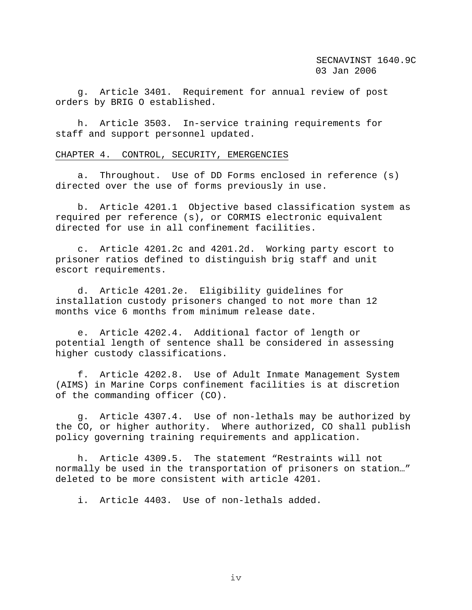g. Article 3401. Requirement for annual review of post orders by BRIG O established.

 h. Article 3503. In-service training requirements for staff and support personnel updated.

#### CHAPTER 4. CONTROL, SECURITY, EMERGENCIES

 a. Throughout. Use of DD Forms enclosed in reference (s) directed over the use of forms previously in use.

 b. Article 4201.1 Objective based classification system as required per reference (s), or CORMIS electronic equivalent directed for use in all confinement facilities.

 c. Article 4201.2c and 4201.2d. Working party escort to prisoner ratios defined to distinguish brig staff and unit escort requirements.

 d. Article 4201.2e. Eligibility guidelines for installation custody prisoners changed to not more than 12 months vice 6 months from minimum release date.

 e. Article 4202.4. Additional factor of length or potential length of sentence shall be considered in assessing higher custody classifications.

 f. Article 4202.8. Use of Adult Inmate Management System (AIMS) in Marine Corps confinement facilities is at discretion of the commanding officer (CO).

 g. Article 4307.4. Use of non-lethals may be authorized by the CO, or higher authority. Where authorized, CO shall publish policy governing training requirements and application.

 h. Article 4309.5. The statement "Restraints will not normally be used in the transportation of prisoners on station…" deleted to be more consistent with article 4201.

i. Article 4403. Use of non-lethals added.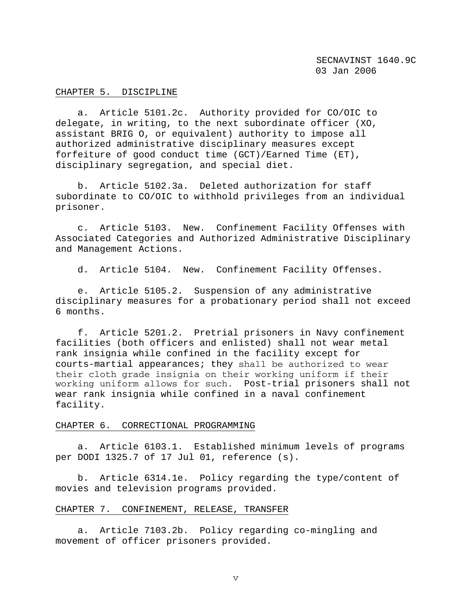#### CHAPTER 5. DISCIPLINE

 a. Article 5101.2c. Authority provided for CO/OIC to delegate, in writing, to the next subordinate officer (XO, assistant BRIG O, or equivalent) authority to impose all authorized administrative disciplinary measures except forfeiture of good conduct time (GCT)/Earned Time (ET), disciplinary segregation, and special diet.

 b. Article 5102.3a. Deleted authorization for staff subordinate to CO/OIC to withhold privileges from an individual prisoner.

 c. Article 5103. New. Confinement Facility Offenses with Associated Categories and Authorized Administrative Disciplinary and Management Actions.

d. Article 5104. New. Confinement Facility Offenses.

 e. Article 5105.2. Suspension of any administrative disciplinary measures for a probationary period shall not exceed 6 months.

 f. Article 5201.2. Pretrial prisoners in Navy confinement facilities (both officers and enlisted) shall not wear metal rank insignia while confined in the facility except for courts-martial appearances; they shall be authorized to wear their cloth grade insignia on their working uniform if their working uniform allows for such. Post-trial prisoners shall not wear rank insignia while confined in a naval confinement facility.

#### CHAPTER 6. CORRECTIONAL PROGRAMMING

 a. Article 6103.1. Established minimum levels of programs per DODI 1325.7 of 17 Jul 01, reference (s).

 b. Article 6314.1e. Policy regarding the type/content of movies and television programs provided.

#### CHAPTER 7. CONFINEMENT, RELEASE, TRANSFER

 a. Article 7103.2b. Policy regarding co-mingling and movement of officer prisoners provided.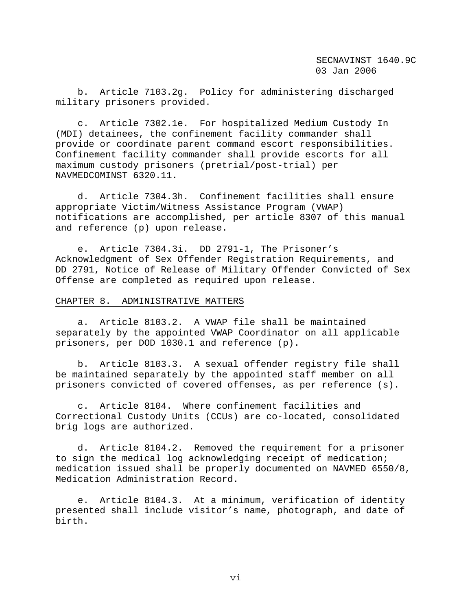b. Article 7103.2g. Policy for administering discharged military prisoners provided.

 c. Article 7302.1e. For hospitalized Medium Custody In (MDI) detainees, the confinement facility commander shall provide or coordinate parent command escort responsibilities. Confinement facility commander shall provide escorts for all maximum custody prisoners (pretrial/post-trial) per NAVMEDCOMINST 6320.11.

 d. Article 7304.3h. Confinement facilities shall ensure appropriate Victim/Witness Assistance Program (VWAP) notifications are accomplished, per article 8307 of this manual and reference (p) upon release.

 e. Article 7304.3i. DD 2791-1, The Prisoner's Acknowledgment of Sex Offender Registration Requirements, and DD 2791, Notice of Release of Military Offender Convicted of Sex Offense are completed as required upon release.

#### CHAPTER 8. ADMINISTRATIVE MATTERS

 a. Article 8103.2. A VWAP file shall be maintained separately by the appointed VWAP Coordinator on all applicable prisoners, per DOD 1030.1 and reference (p).

 b. Article 8103.3. A sexual offender registry file shall be maintained separately by the appointed staff member on all prisoners convicted of covered offenses, as per reference (s).

 c. Article 8104. Where confinement facilities and Correctional Custody Units (CCUs) are co-located, consolidated brig logs are authorized.

 d. Article 8104.2. Removed the requirement for a prisoner to sign the medical log acknowledging receipt of medication; medication issued shall be properly documented on NAVMED 6550/8, Medication Administration Record.

 e. Article 8104.3. At a minimum, verification of identity presented shall include visitor's name, photograph, and date of birth.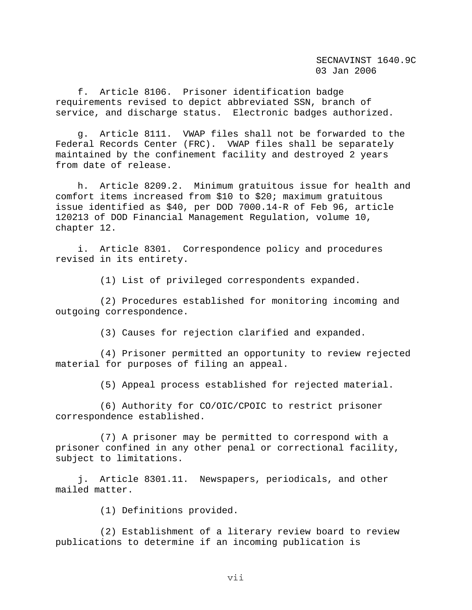f. Article 8106. Prisoner identification badge requirements revised to depict abbreviated SSN, branch of service, and discharge status. Electronic badges authorized.

 g. Article 8111. VWAP files shall not be forwarded to the Federal Records Center (FRC). VWAP files shall be separately maintained by the confinement facility and destroyed 2 years from date of release.

 h. Article 8209.2. Minimum gratuitous issue for health and comfort items increased from \$10 to \$20; maximum gratuitous issue identified as \$40, per DOD 7000.14-R of Feb 96, article 120213 of DOD Financial Management Regulation, volume 10, chapter 12.

 i. Article 8301. Correspondence policy and procedures revised in its entirety.

(1) List of privileged correspondents expanded.

 (2) Procedures established for monitoring incoming and outgoing correspondence.

(3) Causes for rejection clarified and expanded.

 (4) Prisoner permitted an opportunity to review rejected material for purposes of filing an appeal.

(5) Appeal process established for rejected material.

 (6) Authority for CO/OIC/CPOIC to restrict prisoner correspondence established.

 (7) A prisoner may be permitted to correspond with a prisoner confined in any other penal or correctional facility, subject to limitations.

 j. Article 8301.11. Newspapers, periodicals, and other mailed matter.

(1) Definitions provided.

 (2) Establishment of a literary review board to review publications to determine if an incoming publication is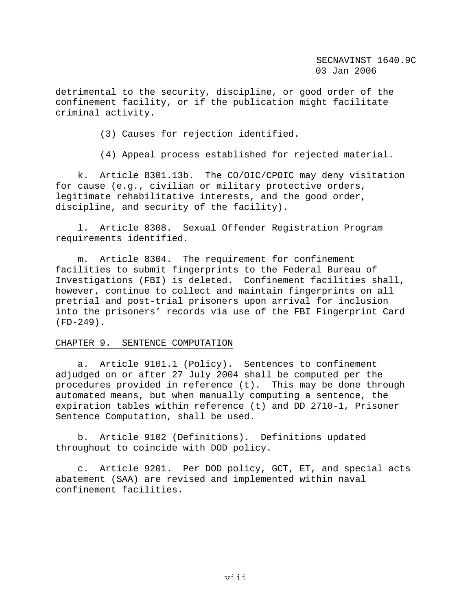detrimental to the security, discipline, or good order of the confinement facility, or if the publication might facilitate criminal activity.

(3) Causes for rejection identified.

(4) Appeal process established for rejected material.

 k. Article 8301.13b. The CO/OIC/CPOIC may deny visitation for cause (e.g., civilian or military protective orders, legitimate rehabilitative interests, and the good order, discipline, and security of the facility).

 l. Article 8308. Sexual Offender Registration Program requirements identified.

 m. Article 8304. The requirement for confinement facilities to submit fingerprints to the Federal Bureau of Investigations (FBI) is deleted. Confinement facilities shall, however, continue to collect and maintain fingerprints on all pretrial and post-trial prisoners upon arrival for inclusion into the prisoners' records via use of the FBI Fingerprint Card (FD-249).

#### CHAPTER 9. SENTENCE COMPUTATION

 a. Article 9101.1 (Policy). Sentences to confinement adjudged on or after 27 July 2004 shall be computed per the procedures provided in reference (t). This may be done through automated means, but when manually computing a sentence, the expiration tables within reference (t) and DD 2710-1, Prisoner Sentence Computation, shall be used.

 b. Article 9102 (Definitions). Definitions updated throughout to coincide with DOD policy.

 c. Article 9201. Per DOD policy, GCT, ET, and special acts abatement (SAA) are revised and implemented within naval confinement facilities.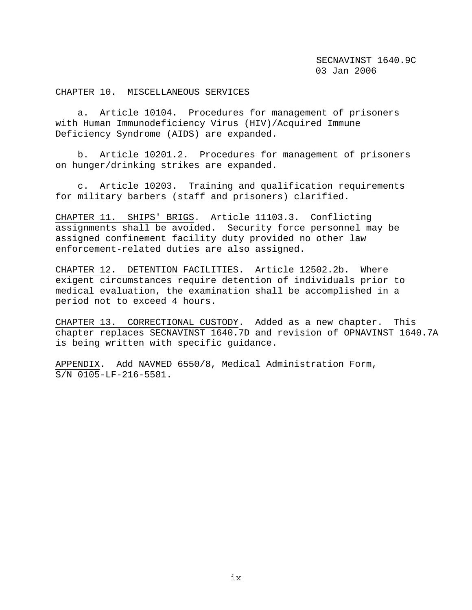#### CHAPTER 10. MISCELLANEOUS SERVICES

 a. Article 10104. Procedures for management of prisoners with Human Immunodeficiency Virus (HIV)/Acquired Immune Deficiency Syndrome (AIDS) are expanded.

 b. Article 10201.2. Procedures for management of prisoners on hunger/drinking strikes are expanded.

 c. Article 10203. Training and qualification requirements for military barbers (staff and prisoners) clarified.

CHAPTER 11. SHIPS' BRIGS. Article 11103.3. Conflicting assignments shall be avoided. Security force personnel may be assigned confinement facility duty provided no other law enforcement-related duties are also assigned.

CHAPTER 12. DETENTION FACILITIES. Article 12502.2b. Where exigent circumstances require detention of individuals prior to medical evaluation, the examination shall be accomplished in a period not to exceed 4 hours.

CHAPTER 13. CORRECTIONAL CUSTODY. Added as a new chapter. This chapter replaces SECNAVINST 1640.7D and revision of OPNAVINST 1640.7A is being written with specific guidance.

APPENDIX. Add NAVMED 6550/8, Medical Administration Form, S/N 0105-LF-216-5581.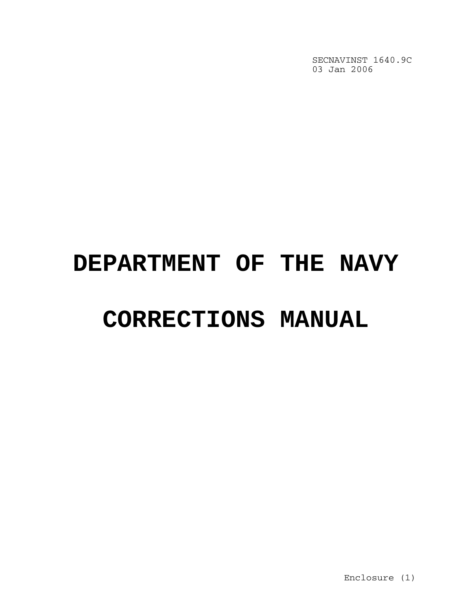# **DEPARTMENT OF THE NAVY**

# **CORRECTIONS MANUAL**

Enclosure (1)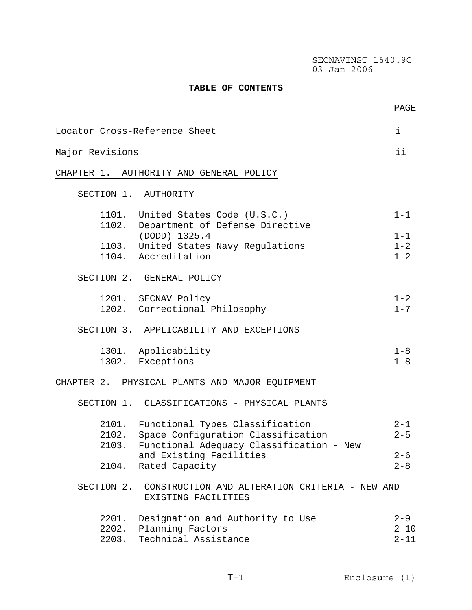#### **TABLE OF CONTENTS**

|                 |                                                                                          | PAGE                            |
|-----------------|------------------------------------------------------------------------------------------|---------------------------------|
|                 | Locator Cross-Reference Sheet                                                            | i                               |
| Major Revisions |                                                                                          | ii                              |
|                 | CHAPTER 1. AUTHORITY AND GENERAL POLICY                                                  |                                 |
|                 | SECTION 1. AUTHORITY                                                                     |                                 |
|                 | 1101. United States Code (U.S.C.)<br>1102. Department of Defense Directive               | $1 - 1$                         |
|                 | (DODD) 1325.4<br>1103. United States Navy Regulations                                    | $1 - 1$<br>$1 - 2$              |
|                 | 1104. Accreditation                                                                      | $1 - 2$                         |
|                 | SECTION 2. GENERAL POLICY                                                                |                                 |
|                 | 1201. SECNAV Policy<br>1202. Correctional Philosophy                                     | $1 - 2$<br>$1 - 7$              |
|                 | SECTION 3. APPLICABILITY AND EXCEPTIONS                                                  |                                 |
|                 | 1301. Applicability<br>1302. Exceptions                                                  | $1 - 8$<br>$1 - 8$              |
|                 | CHAPTER 2. PHYSICAL PLANTS AND MAJOR EQUIPMENT                                           |                                 |
|                 | SECTION 1. CLASSIFICATIONS - PHYSICAL PLANTS                                             |                                 |
| 2102.           | 2101. Functional Types Classification<br>Space Configuration Classification              | $2 - 1$<br>$2 - 5$              |
|                 | 2103. Functional Adequacy Classification - New<br>and Existing Facilities                | $2 - 6$                         |
| 2104.           | Rated Capacity                                                                           | $2 - 8$                         |
|                 | SECTION 2. CONSTRUCTION AND ALTERATION CRITERIA - NEW AND<br>EXISTING FACILITIES         |                                 |
| 2201.           | Designation and Authority to Use<br>2202. Planning Factors<br>2203. Technical Assistance | $2 - 9$<br>$2 - 10$<br>$2 - 11$ |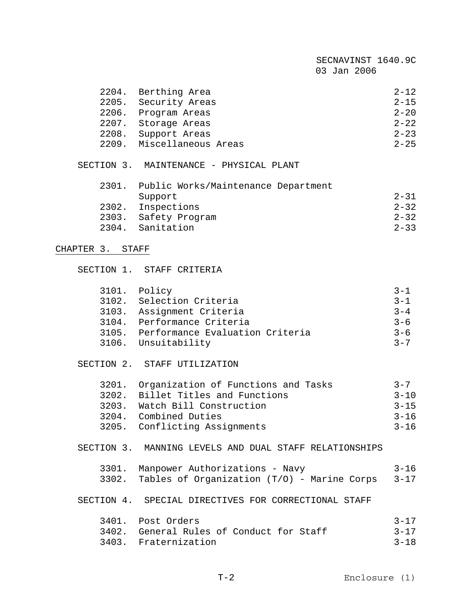| 2204.            | Berthing Area                                          | $2 - 12$ |
|------------------|--------------------------------------------------------|----------|
|                  | 2205. Security Areas                                   | $2 - 15$ |
|                  | 2206. Program Areas                                    | $2 - 20$ |
|                  | 2207. Storage Areas                                    | $2 - 22$ |
|                  | 2208. Support Areas                                    | $2 - 23$ |
|                  | 2209. Miscellaneous Areas                              | $2 - 25$ |
|                  | SECTION 3. MAINTENANCE - PHYSICAL PLANT                |          |
|                  | 2301. Public Works/Maintenance Department              |          |
|                  | Support                                                | $2 - 31$ |
|                  | 2302. Inspections                                      | $2 - 32$ |
|                  | 2303. Safety Program                                   | $2 - 32$ |
|                  | 2304. Sanitation                                       | $2 - 33$ |
|                  |                                                        |          |
| CHAPTER 3. STAFF |                                                        |          |
|                  | SECTION 1. STAFF CRITERIA                              |          |
|                  | 3101. Policy                                           | $3 - 1$  |
|                  | 3102. Selection Criteria                               | $3 - 1$  |
|                  | 3103. Assignment Criteria                              | $3 - 4$  |
|                  | 3104. Performance Criteria                             | $3 - 6$  |
|                  | 3105. Performance Evaluation Criteria                  | $3 - 6$  |
|                  | 3106. Unsuitability                                    | $3 - 7$  |
|                  |                                                        |          |
|                  | SECTION 2. STAFF UTILIZATION                           |          |
|                  | 3201. Organization of Functions and Tasks              | $3 - 7$  |
|                  | 3202. Billet Titles and Functions                      | $3 - 10$ |
|                  | 3203. Watch Bill Construction                          | $3 - 15$ |
|                  | 3204. Combined Duties                                  | $3 - 16$ |
|                  | 3205. Conflicting Assignments                          | $3 - 16$ |
|                  | SECTION 3. MANNING LEVELS AND DUAL STAFF RELATIONSHIPS |          |
| 3301.            | Manpower Authorizations - Navy                         | $3 - 16$ |
| 3302.            | Tables of Organization (T/O) - Marine Corps            | $3 - 17$ |
|                  | SECTION 4. SPECIAL DIRECTIVES FOR CORRECTIONAL STAFF   |          |
|                  | 3401. Post Orders                                      | $3 - 17$ |
|                  | 3402. General Rules of Conduct for Staff               | $3 - 17$ |
|                  |                                                        |          |
|                  | 3403. Fraternization                                   | $3 - 18$ |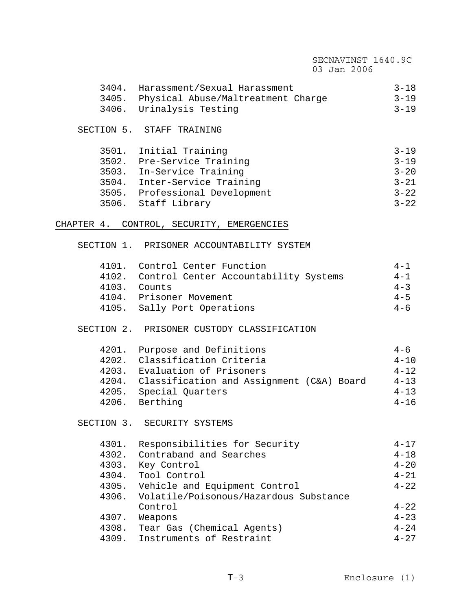## SECNAVINST 1640.9C 03 Jan 2006 3404. Harassment/Sexual Harassment 3-18 3405. Physical Abuse/Maltreatment Charge 3-19 3406. Urinalysis Testing 3406. Urinalysis Testing SECTION 5. STAFF TRAINING 3501. Initial Training 3-19 3502. Pre-Service Training 3-19 3503. In-Service Training 3-20 3504. Inter-Service Training 3-21 3505. Professional Development<br>3506. Staff Library 3-22 3506. Staff Library CHAPTER 4. CONTROL, SECURITY, EMERGENCIES SECTION 1. PRISONER ACCOUNTABILITY SYSTEM 4101. Control Center Function 4-1<br>4102. Control Center Accountability Systems 4-1 4102. Control Center Accountability Systems 4103. Counts 4-3 4104. Prisoner Movement<br>4105. Sally Port Operations 4-6 4105. Sally Port Operations SECTION 2. PRISONER CUSTODY CLASSIFICATION 4201. Purpose and Definitions  $4-6$  4202. Classification Criteria 4-10 4203. Evaluation of Prisoners 4-12 4204. Classification and Assignment (C&A) Board 4-13

SECTION 3. SECURITY SYSTEMS

| 4301. | Responsibilities for Security          | $4 - 17$ |
|-------|----------------------------------------|----------|
| 4302. | Contraband and Searches                | $4 - 18$ |
| 4303. | Key Control                            | $4 - 20$ |
| 4304. | Tool Control                           | $4 - 21$ |
| 4305. | Vehicle and Equipment Control          | $4 - 22$ |
| 4306. | Volatile/Poisonous/Hazardous Substance |          |
|       | Control                                | $4 - 22$ |
| 4307. | Weapons                                | $4 - 23$ |
| 4308. | Tear Gas (Chemical Agents)             | $4 - 24$ |
| 4309. | Instruments of Restraint               | $4 - 27$ |

 4205. Special Quarters 4-13 4206. Berthing 4-16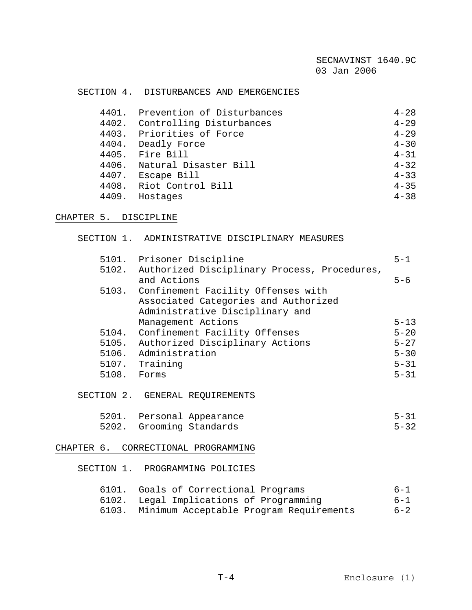#### SECTION 4. DISTURBANCES AND EMERGENCIES

|       | 4401. Prevention of Disturbances | $4 - 28$ |
|-------|----------------------------------|----------|
|       | 4402. Controlling Disturbances   | $4 - 29$ |
|       | 4403. Priorities of Force        | $4 - 29$ |
|       | 4404. Deadly Force               | $4 - 30$ |
|       | 4405. Fire Bill                  | $4 - 31$ |
|       | 4406. Natural Disaster Bill      | $4 - 32$ |
|       | 4407. Escape Bill                | $4 - 33$ |
|       | 4408. Riot Control Bill          | $4 - 35$ |
| 4409. | Hostages                         | $4 - 38$ |

#### CHAPTER 5. DISCIPLINE

#### SECTION 1. ADMINISTRATIVE DISCIPLINARY MEASURES

|             | 5101. Prisoner Discipline                          | $5 - 1$  |
|-------------|----------------------------------------------------|----------|
|             | 5102. Authorized Disciplinary Process, Procedures, |          |
|             | and Actions                                        | $5 - 6$  |
|             | 5103. Confinement Facility Offenses with           |          |
|             | Associated Categories and Authorized               |          |
|             | Administrative Disciplinary and                    |          |
|             | Management Actions                                 | $5 - 13$ |
|             | 5104. Confinement Facility Offenses                | $5 - 20$ |
|             | 5105. Authorized Disciplinary Actions              | $5 - 27$ |
|             | 5106. Administration                               | $5 - 30$ |
|             | 5107. Training                                     | $5 - 31$ |
| 5108. Forms |                                                    | $5 - 31$ |
|             |                                                    |          |
|             | SECTION 2. GENERAL REQUIREMENTS                    |          |
| 5201.       | Personal Appearance                                | $5 - 31$ |
|             | 5202. Grooming Standards                           | $5 - 32$ |

#### CHAPTER 6. CORRECTIONAL PROGRAMMING

SECTION 1. PROGRAMMING POLICIES

| 6101. Goals of Correctional Programs | 6-1 |  |  |  |
|--------------------------------------|-----|--|--|--|
|--------------------------------------|-----|--|--|--|

 6102. Legal Implications of Programming 6-1 6103. Minimum Acceptable Program Requirements 6-2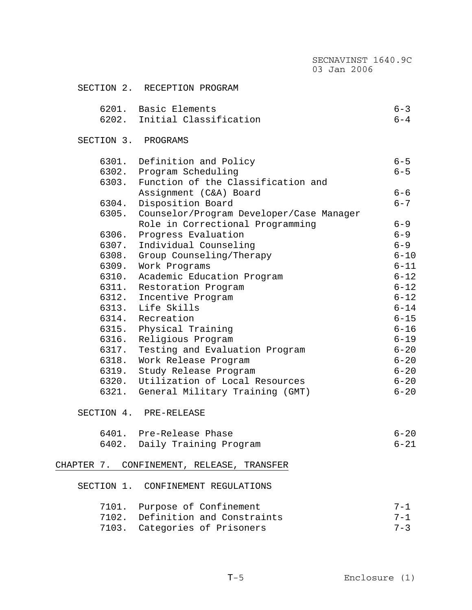|       |                                                | SECNAVINST 1640.9C<br>03 Jan 2006 |          |
|-------|------------------------------------------------|-----------------------------------|----------|
|       | SECTION 2. RECEPTION PROGRAM                   |                                   |          |
|       | 6201. Basic Elements                           |                                   | $6 - 3$  |
|       | 6202. Initial Classification                   |                                   | $6 - 4$  |
|       | SECTION 3. PROGRAMS                            |                                   |          |
|       | 6301. Definition and Policy                    |                                   | $6 - 5$  |
|       | 6302. Program Scheduling                       |                                   | $6 - 5$  |
|       | 6303. Function of the Classification and       |                                   |          |
|       | Assignment (C&A) Board                         |                                   | $6 - 6$  |
| 6304. | Disposition Board                              |                                   | $6 - 7$  |
|       | 6305. Counselor/Program Developer/Case Manager |                                   |          |
|       | Role in Correctional Programming               |                                   | $6 - 9$  |
|       | 6306. Progress Evaluation                      |                                   | $6 - 9$  |
|       | 6307. Individual Counseling                    |                                   | $6 - 9$  |
|       | 6308. Group Counseling/Therapy                 |                                   | $6 - 10$ |
|       | 6309. Work Programs                            |                                   | $6 - 11$ |
|       | 6310. Academic Education Program               |                                   | $6 - 12$ |
|       | 6311. Restoration Program                      |                                   | $6 - 12$ |
|       | 6312. Incentive Program                        |                                   | $6 - 12$ |
|       | 6313. Life Skills                              |                                   | $6 - 14$ |
|       | 6314. Recreation                               |                                   | $6 - 15$ |
|       | 6315. Physical Training                        |                                   | $6 - 16$ |
|       | 6316. Religious Program                        |                                   | $6 - 19$ |
|       | 6317. Testing and Evaluation Program           |                                   | $6 - 20$ |
|       | 6318. Work Release Program                     |                                   | $6 - 20$ |
|       | 6319. Study Release Program                    |                                   | $6 - 20$ |
|       | 6320. Utilization of Local Resources           |                                   | $6 - 20$ |
|       | 6321. General Military Training (GMT)          |                                   | $6 - 20$ |
|       | SECTION 4. PRE-RELEASE                         |                                   |          |
|       | 6401. Pre-Release Phase                        |                                   | $6 - 20$ |
|       | 6402. Daily Training Program                   |                                   | $6 - 21$ |
|       | CHAPTER 7. CONFINEMENT, RELEASE, TRANSFER      |                                   |          |
|       | SECTION 1. CONFINEMENT REGULATIONS             |                                   |          |
|       | 7101. Purpose of Confinement                   |                                   | $7 - 1$  |
|       | 7102. Definition and Constraints               |                                   | $7 - 1$  |
|       | 7103. Categories of Prisoners                  |                                   | $7 - 3$  |
|       |                                                |                                   |          |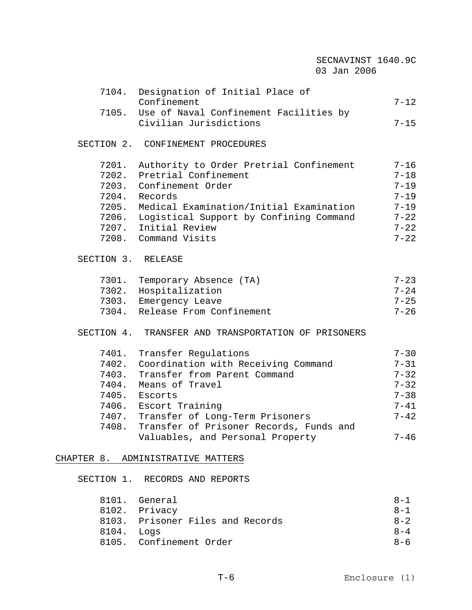|                    |                                                      | SECNAVINST 1640.9C<br>03 Jan 2006 |          |
|--------------------|------------------------------------------------------|-----------------------------------|----------|
|                    | 7104. Designation of Initial Place of<br>Confinement |                                   | $7 - 12$ |
|                    | 7105. Use of Naval Confinement Facilities by         |                                   |          |
|                    | Civilian Jurisdictions                               |                                   | $7 - 15$ |
|                    | SECTION 2. CONFINEMENT PROCEDURES                    |                                   |          |
|                    | 7201. Authority to Order Pretrial Confinement        |                                   | $7 - 16$ |
|                    | 7202. Pretrial Confinement                           |                                   | $7 - 18$ |
|                    | 7203. Confinement Order                              |                                   | $7 - 19$ |
|                    | 7204. Records                                        |                                   | $7 - 19$ |
|                    | 7205. Medical Examination/Initial Examination        |                                   | $7 - 19$ |
|                    | 7206. Logistical Support by Confining Command        |                                   | $7 - 22$ |
|                    | 7207. Initial Review                                 |                                   | $7 - 22$ |
|                    | 7208. Command Visits                                 |                                   | $7 - 22$ |
| SECTION 3. RELEASE |                                                      |                                   |          |
|                    | 7301. Temporary Absence (TA)                         |                                   | $7 - 23$ |
|                    | 7302. Hospitalization                                |                                   | $7 - 24$ |
|                    | 7303. Emergency Leave                                |                                   | $7 - 25$ |
|                    | 7304. Release From Confinement                       |                                   | $7 - 26$ |
|                    | SECTION 4. TRANSFER AND TRANSPORTATION OF PRISONERS  |                                   |          |
|                    | 7401. Transfer Regulations                           |                                   | $7 - 30$ |
|                    | 7402. Coordination with Receiving Command            |                                   | $7 - 31$ |
|                    | 7403. Transfer from Parent Command                   |                                   | $7 - 32$ |
| 7404.              | Means of Travel                                      |                                   | $7 - 32$ |
| 7405.              | Escorts                                              |                                   | $7 - 38$ |
|                    | 7406. Escort Training                                |                                   | $7 - 41$ |
|                    | 7407. Transfer of Long-Term Prisoners                |                                   | $7 - 42$ |
|                    | 7408. Transfer of Prisoner Records, Funds and        |                                   |          |
|                    | Valuables, and Personal Property                     |                                   | $7 - 46$ |
|                    | CHAPTER 8. ADMINISTRATIVE MATTERS                    |                                   |          |
|                    | SECTION 1. RECORDS AND REPORTS                       |                                   |          |
| 8101.              | General                                              |                                   | $8 - 1$  |

|            | 8102. Privacy                    | $8 - 1$ |
|------------|----------------------------------|---------|
|            | 8103. Prisoner Files and Records | $8 - 2$ |
| 8104. Logs |                                  | $8 - 4$ |
|            | 8105. Confinement Order          | $R - 6$ |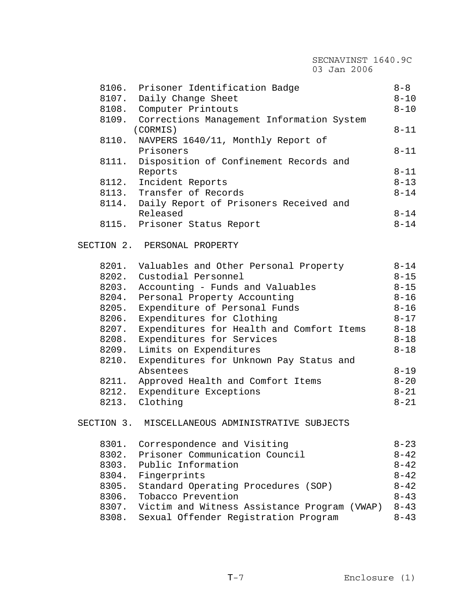|       | SECNAVINST 1640.9C<br>03 Jan 2006                           |          |
|-------|-------------------------------------------------------------|----------|
|       |                                                             |          |
|       | 8106. Prisoner Identification Badge                         | $8 - 8$  |
| 8107. | Daily Change Sheet                                          | $8 - 10$ |
|       | 8108. Computer Printouts                                    | $8 - 10$ |
|       | 8109. Corrections Management Information System<br>(CORMIS) | $8 - 11$ |
| 8110. | NAVPERS 1640/11, Monthly Report of<br>Prisoners             | $8 - 11$ |
| 8111. | Disposition of Confinement Records and<br>Reports           | $8 - 11$ |
| 8112. | Incident Reports                                            | $8 - 13$ |
|       | 8113. Transfer of Records                                   | $8 - 14$ |
|       | 8114. Daily Report of Prisoners Received and                |          |
|       | Released                                                    | $8 - 14$ |
|       | 8115. Prisoner Status Report                                | $8 - 14$ |
|       |                                                             |          |
|       | SECTION 2. PERSONAL PROPERTY                                |          |
|       | 8201. Valuables and Other Personal Property                 | $8 - 14$ |
|       | 8202. Custodial Personnel                                   | $8 - 15$ |
| 8203. | Accounting - Funds and Valuables                            | $8 - 15$ |
| 8204. | Personal Property Accounting                                | $8 - 16$ |
| 8205. | Expenditure of Personal Funds                               | $8 - 16$ |
| 8206. | Expenditures for Clothing                                   | $8 - 17$ |
| 8207. | Expenditures for Health and Comfort Items                   | $8 - 18$ |
| 8208. | Expenditures for Services                                   | $8 - 18$ |
| 8209. | Limits on Expenditures                                      | $8 - 18$ |
| 8210. | Expenditures for Unknown Pay Status and                     |          |
|       | Absentees                                                   | $8 - 19$ |
| 8211. | Approved Health and Comfort Items                           | $8 - 20$ |
|       | 8212. Expenditure Exceptions                                | $8 - 21$ |
|       | 8213. Clothing                                              | $8 - 21$ |
|       | SECTION 3. MISCELLANEOUS ADMINISTRATIVE SUBJECTS            |          |
|       |                                                             |          |
| 8301. | Correspondence and Visiting                                 | $8 - 23$ |
| 8302. | Prisoner Communication Council                              | $8 - 42$ |
|       | 8303. Public Information                                    | $8 - 42$ |
| 8304. | Fingerprints                                                | $8 - 42$ |
| 8305. | Standard Operating Procedures (SOP)                         | $8 - 42$ |
| 8306. | Tobacco Prevention                                          | $8 - 43$ |
|       | 8307. Victim and Witness Assistance Program (VWAP)          | $8 - 43$ |
|       | 8308. Sexual Offender Registration Program                  | $8 - 43$ |
|       |                                                             |          |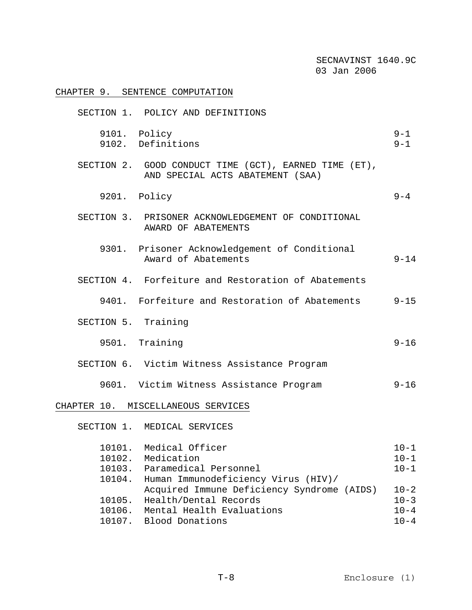|                                      | SECNAVINST 1640.9C<br>03 Jan 2006                                                                                   |                                              |
|--------------------------------------|---------------------------------------------------------------------------------------------------------------------|----------------------------------------------|
|                                      | CHAPTER 9. SENTENCE COMPUTATION                                                                                     |                                              |
|                                      | SECTION 1. POLICY AND DEFINITIONS                                                                                   |                                              |
|                                      | 9101. Policy<br>9102. Definitions                                                                                   | $9 - 1$<br>$9 - 1$                           |
|                                      | SECTION 2. GOOD CONDUCT TIME (GCT), EARNED TIME (ET),<br>AND SPECIAL ACTS ABATEMENT (SAA)                           |                                              |
|                                      | 9201. Policy                                                                                                        | $9 - 4$                                      |
|                                      | SECTION 3. PRISONER ACKNOWLEDGEMENT OF CONDITIONAL<br>AWARD OF ABATEMENTS                                           |                                              |
|                                      | 9301. Prisoner Acknowledgement of Conditional<br>Award of Abatements                                                | $9 - 14$                                     |
|                                      | SECTION 4. Forfeiture and Restoration of Abatements                                                                 |                                              |
|                                      | 9401. Forfeiture and Restoration of Abatements                                                                      | $9 - 15$                                     |
| SECTION 5. Training                  |                                                                                                                     |                                              |
|                                      | 9501. Training                                                                                                      | $9 - 16$                                     |
|                                      | SECTION 6. Victim Witness Assistance Program                                                                        |                                              |
|                                      | 9601. Victim Witness Assistance Program                                                                             | $9 - 16$                                     |
|                                      | CHAPTER 10. MISCELLANEOUS SERVICES                                                                                  |                                              |
| SECTION 1.                           | MEDICAL SERVICES                                                                                                    |                                              |
| 10101.<br>10102.<br>10103.<br>10104. | Medical Officer<br>Medication<br>Paramedical Personnel<br>Human Immunodeficiency Virus (HIV)/                       | $10 - 1$<br>$10 - 1$<br>$10 - 1$             |
| 10105.<br>10106.<br>10107.           | Acquired Immune Deficiency Syndrome (AIDS)<br>Health/Dental Records<br>Mental Health Evaluations<br>Blood Donations | $10 - 2$<br>$10 - 3$<br>$10 - 4$<br>$10 - 4$ |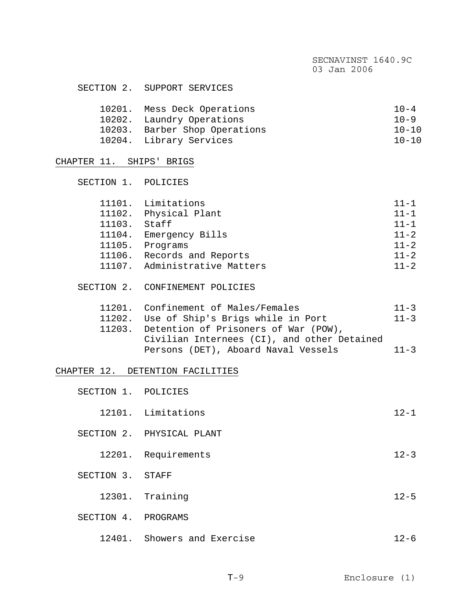| SECTION 2. | SUPPORT SERVICES |
|------------|------------------|
|------------|------------------|

| 10201. Mess Deck Operations   | $10 - 4$  |
|-------------------------------|-----------|
| 10202. Laundry Operations     | $10 - 9$  |
| 10203. Barber Shop Operations | $10 - 10$ |
| 10204. Library Services       | $10 - 10$ |

### CHAPTER 11. SHIPS' BRIGS

| SECTION 1. POLICIES |                               |          |
|---------------------|-------------------------------|----------|
|                     |                               |          |
|                     | 11101. Limitations            | $11 - 1$ |
|                     | 11102. Physical Plant         | $11 - 1$ |
| 11103.              | Staff                         | $11 - 1$ |
| 11104.              | Emergency Bills               | $11 - 2$ |
| 11105.              | Programs                      | $11 - 2$ |
|                     | 11106. Records and Reports    | $11 - 2$ |
|                     | 11107. Administrative Matters | $11 - 2$ |
|                     |                               |          |
| SECTION             | CONFINEMENT POLICIES          |          |

| 11201. Confinement of Males/Females         | $11 - 3$ |
|---------------------------------------------|----------|
| 11202. Use of Ship's Brigs while in Port    | $11 - 3$ |
| 11203. Detention of Prisoners of War (POW), |          |
| Civilian Internees (CI), and other Detained |          |
| Persons (DET), Aboard Naval Vessels         | $11 - 3$ |

#### CHAPTER 12. DETENTION FACILITIES

| SECTION 1. POLICIES |                           |          |
|---------------------|---------------------------|----------|
|                     | 12101. Limitations        | $12 - 1$ |
|                     | SECTION 2. PHYSICAL PLANT |          |
|                     | 12201. Requirements       | $12 - 3$ |
| SECTION 3. STAFF    |                           |          |
|                     | 12301. Training           | $12 - 5$ |
| SECTION 4. PROGRAMS |                           |          |
|                     |                           |          |

12401. Showers and Exercise 12-6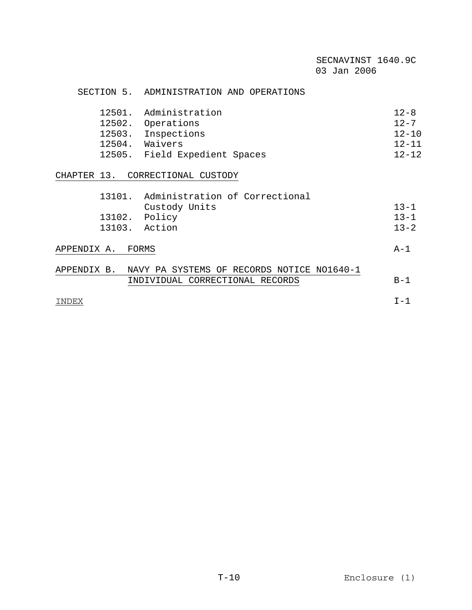#### SECTION 5. ADMINISTRATION AND OPERATIONS

|        | 12501. Administration         | $12 - 8$  |
|--------|-------------------------------|-----------|
|        | 12502. Operations             | $12 - 7$  |
|        | 12503. Inspections            | $12 - 10$ |
| 12504. | Waivers                       | $12 - 11$ |
|        | 12505. Field Expedient Spaces | $12 - 12$ |

### CHAPTER 13. CORRECTIONAL CUSTODY

| 13101.        | Administration of Correctional |          |
|---------------|--------------------------------|----------|
|               | Custody Units                  | $13 - 1$ |
| 13102. Policy |                                | $13 - 1$ |
| 13103. Action |                                | $13 - 2$ |
|               |                                |          |

## APPENDIX A. FORMS A-1

| APPENDIX B. | NAVY PA SYSTEMS OF RECORDS NOTICE NO1640-1 |  |
|-------------|--------------------------------------------|--|
|             | INDIVIDUAL CORRECTIONAL RECORDS            |  |

INDEX I-1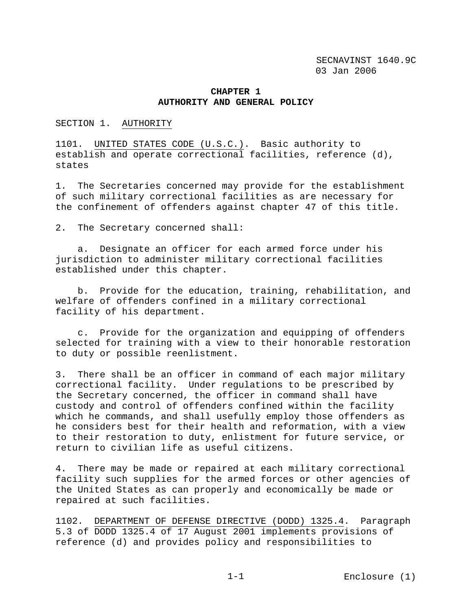#### **CHAPTER 1 AUTHORITY AND GENERAL POLICY**

SECTION 1. AUTHORITY

1101. UNITED STATES CODE (U.S.C.). Basic authority to establish and operate correctional facilities, reference (d), states

1. The Secretaries concerned may provide for the establishment of such military correctional facilities as are necessary for the confinement of offenders against chapter 47 of this title.

2. The Secretary concerned shall:

 a. Designate an officer for each armed force under his jurisdiction to administer military correctional facilities established under this chapter.

 b. Provide for the education, training, rehabilitation, and welfare of offenders confined in a military correctional facility of his department.

 c. Provide for the organization and equipping of offenders selected for training with a view to their honorable restoration to duty or possible reenlistment.

3. There shall be an officer in command of each major military correctional facility. Under regulations to be prescribed by the Secretary concerned, the officer in command shall have custody and control of offenders confined within the facility which he commands, and shall usefully employ those offenders as he considers best for their health and reformation, with a view to their restoration to duty, enlistment for future service, or return to civilian life as useful citizens.

4. There may be made or repaired at each military correctional facility such supplies for the armed forces or other agencies of the United States as can properly and economically be made or repaired at such facilities.

1102. DEPARTMENT OF DEFENSE DIRECTIVE (DODD) 1325.4. Paragraph 5.3 of DODD 1325.4 of 17 August 2001 implements provisions of reference (d) and provides policy and responsibilities to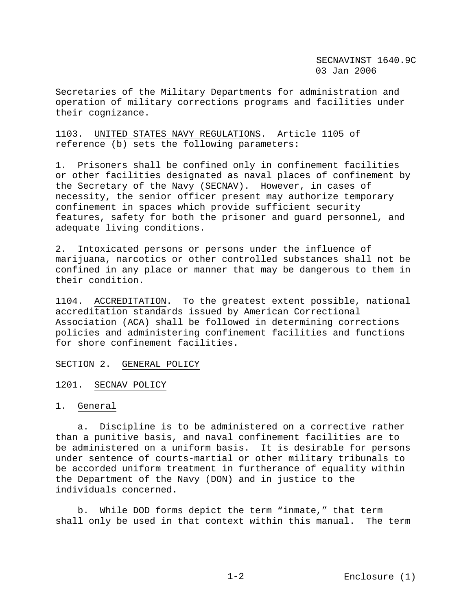Secretaries of the Military Departments for administration and operation of military corrections programs and facilities under their cognizance.

#### 1103. UNITED STATES NAVY REGULATIONS. Article 1105 of reference (b) sets the following parameters:

1. Prisoners shall be confined only in confinement facilities or other facilities designated as naval places of confinement by the Secretary of the Navy (SECNAV). However, in cases of necessity, the senior officer present may authorize temporary confinement in spaces which provide sufficient security features, safety for both the prisoner and guard personnel, and adequate living conditions.

2. Intoxicated persons or persons under the influence of marijuana, narcotics or other controlled substances shall not be confined in any place or manner that may be dangerous to them in their condition.

1104. ACCREDITATION. To the greatest extent possible, national accreditation standards issued by American Correctional Association (ACA) shall be followed in determining corrections policies and administering confinement facilities and functions for shore confinement facilities.

#### SECTION 2. GENERAL POLICY

1201. SECNAV POLICY

#### 1. General

 a. Discipline is to be administered on a corrective rather than a punitive basis, and naval confinement facilities are to be administered on a uniform basis. It is desirable for persons under sentence of courts-martial or other military tribunals to be accorded uniform treatment in furtherance of equality within the Department of the Navy (DON) and in justice to the individuals concerned.

 b. While DOD forms depict the term "inmate," that term shall only be used in that context within this manual. The term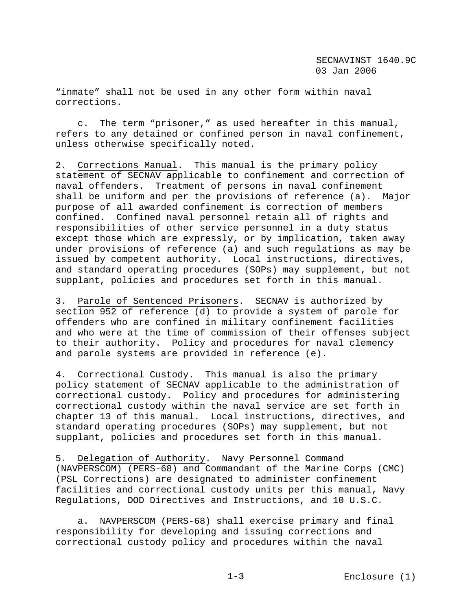"inmate" shall not be used in any other form within naval corrections.

 c. The term "prisoner," as used hereafter in this manual, refers to any detained or confined person in naval confinement, unless otherwise specifically noted.

2. Corrections Manual. This manual is the primary policy statement of SECNAV applicable to confinement and correction of naval offenders. Treatment of persons in naval confinement shall be uniform and per the provisions of reference (a). Major purpose of all awarded confinement is correction of members confined. Confined naval personnel retain all of rights and responsibilities of other service personnel in a duty status except those which are expressly, or by implication, taken away under provisions of reference (a) and such regulations as may be issued by competent authority. Local instructions, directives, and standard operating procedures (SOPs) may supplement, but not supplant, policies and procedures set forth in this manual.

3. Parole of Sentenced Prisoners. SECNAV is authorized by section 952 of reference (d) to provide a system of parole for offenders who are confined in military confinement facilities and who were at the time of commission of their offenses subject to their authority. Policy and procedures for naval clemency and parole systems are provided in reference (e).

4. Correctional Custody. This manual is also the primary policy statement of SECNAV applicable to the administration of correctional custody. Policy and procedures for administering correctional custody within the naval service are set forth in chapter 13 of this manual. Local instructions, directives, and standard operating procedures (SOPs) may supplement, but not supplant, policies and procedures set forth in this manual.

5. Delegation of Authority. Navy Personnel Command (NAVPERSCOM) (PERS-68) and Commandant of the Marine Corps (CMC) (PSL Corrections) are designated to administer confinement facilities and correctional custody units per this manual, Navy Regulations, DOD Directives and Instructions, and 10 U.S.C.

 a. NAVPERSCOM (PERS-68) shall exercise primary and final responsibility for developing and issuing corrections and correctional custody policy and procedures within the naval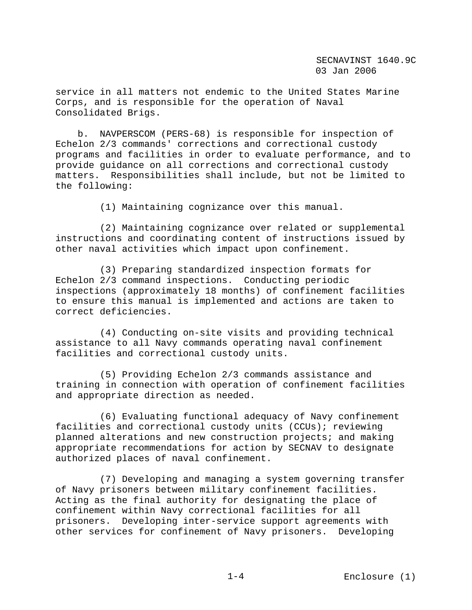service in all matters not endemic to the United States Marine Corps, and is responsible for the operation of Naval Consolidated Brigs.

 b. NAVPERSCOM (PERS-68) is responsible for inspection of Echelon 2/3 commands' corrections and correctional custody programs and facilities in order to evaluate performance, and to provide guidance on all corrections and correctional custody matters. Responsibilities shall include, but not be limited to the following:

(1) Maintaining cognizance over this manual.

 (2) Maintaining cognizance over related or supplemental instructions and coordinating content of instructions issued by other naval activities which impact upon confinement.

 (3) Preparing standardized inspection formats for Echelon 2/3 command inspections. Conducting periodic inspections (approximately 18 months) of confinement facilities to ensure this manual is implemented and actions are taken to correct deficiencies.

 (4) Conducting on-site visits and providing technical assistance to all Navy commands operating naval confinement facilities and correctional custody units.

 (5) Providing Echelon 2/3 commands assistance and training in connection with operation of confinement facilities and appropriate direction as needed.

 (6) Evaluating functional adequacy of Navy confinement facilities and correctional custody units (CCUs); reviewing planned alterations and new construction projects; and making appropriate recommendations for action by SECNAV to designate authorized places of naval confinement.

 (7) Developing and managing a system governing transfer of Navy prisoners between military confinement facilities. Acting as the final authority for designating the place of confinement within Navy correctional facilities for all prisoners. Developing inter-service support agreements with other services for confinement of Navy prisoners. Developing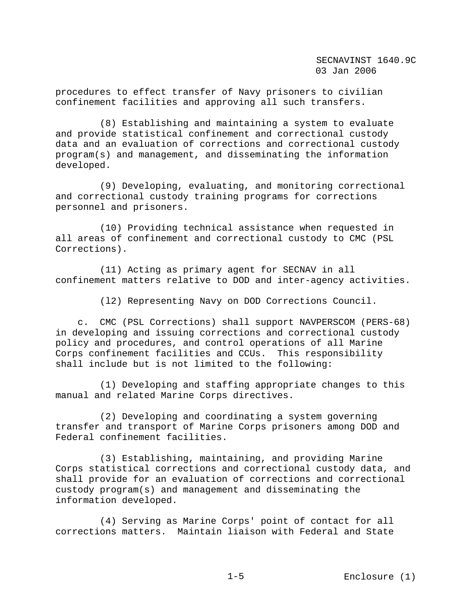procedures to effect transfer of Navy prisoners to civilian confinement facilities and approving all such transfers.

 (8) Establishing and maintaining a system to evaluate and provide statistical confinement and correctional custody data and an evaluation of corrections and correctional custody program(s) and management, and disseminating the information developed.

 (9) Developing, evaluating, and monitoring correctional and correctional custody training programs for corrections personnel and prisoners.

 (10) Providing technical assistance when requested in all areas of confinement and correctional custody to CMC (PSL Corrections).

 (11) Acting as primary agent for SECNAV in all confinement matters relative to DOD and inter-agency activities.

(l2) Representing Navy on DOD Corrections Council.

 c. CMC (PSL Corrections) shall support NAVPERSCOM (PERS-68) in developing and issuing corrections and correctional custody policy and procedures, and control operations of all Marine Corps confinement facilities and CCUs. This responsibility shall include but is not limited to the following:

 (1) Developing and staffing appropriate changes to this manual and related Marine Corps directives.

 (2) Developing and coordinating a system governing transfer and transport of Marine Corps prisoners among DOD and Federal confinement facilities.

 (3) Establishing, maintaining, and providing Marine Corps statistical corrections and correctional custody data, and shall provide for an evaluation of corrections and correctional custody program(s) and management and disseminating the information developed.

 (4) Serving as Marine Corps' point of contact for all corrections matters. Maintain liaison with Federal and State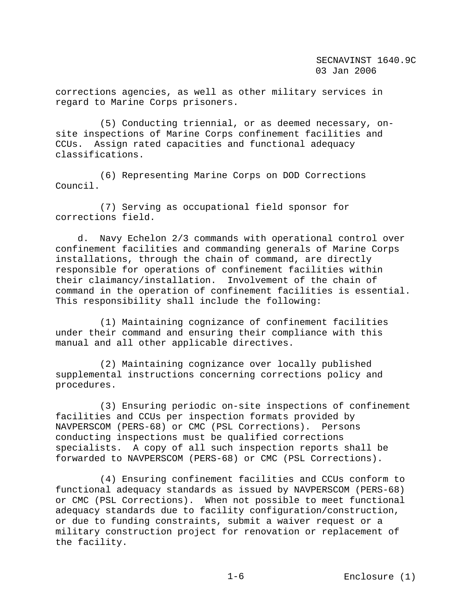corrections agencies, as well as other military services in regard to Marine Corps prisoners.

 (5) Conducting triennial, or as deemed necessary, onsite inspections of Marine Corps confinement facilities and CCUs. Assign rated capacities and functional adequacy classifications.

 (6) Representing Marine Corps on DOD Corrections Council.

 (7) Serving as occupational field sponsor for corrections field.

 d. Navy Echelon 2/3 commands with operational control over confinement facilities and commanding generals of Marine Corps installations, through the chain of command, are directly responsible for operations of confinement facilities within their claimancy/installation. Involvement of the chain of command in the operation of confinement facilities is essential. This responsibility shall include the following:

 (1) Maintaining cognizance of confinement facilities under their command and ensuring their compliance with this manual and all other applicable directives.

 (2) Maintaining cognizance over locally published supplemental instructions concerning corrections policy and procedures.

 (3) Ensuring periodic on-site inspections of confinement facilities and CCUs per inspection formats provided by NAVPERSCOM (PERS-68) or CMC (PSL Corrections). Persons conducting inspections must be qualified corrections specialists. A copy of all such inspection reports shall be forwarded to NAVPERSCOM (PERS-68) or CMC (PSL Corrections).

 (4) Ensuring confinement facilities and CCUs conform to functional adequacy standards as issued by NAVPERSCOM (PERS-68) or CMC (PSL Corrections). When not possible to meet functional adequacy standards due to facility configuration/construction, or due to funding constraints, submit a waiver request or a military construction project for renovation or replacement of the facility.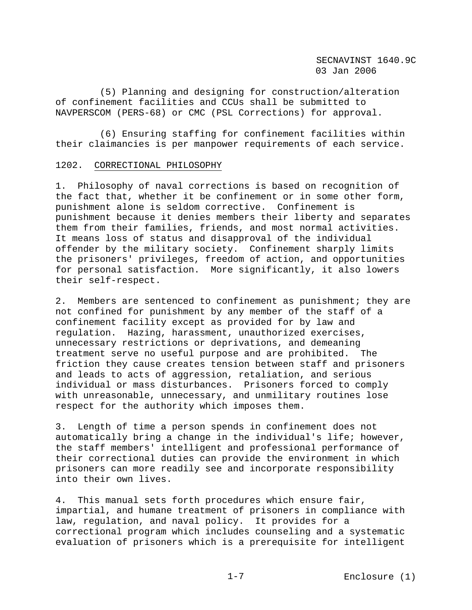(5) Planning and designing for construction/alteration of confinement facilities and CCUs shall be submitted to NAVPERSCOM (PERS-68) or CMC (PSL Corrections) for approval.

 (6) Ensuring staffing for confinement facilities within their claimancies is per manpower requirements of each service.

#### 1202. CORRECTIONAL PHILOSOPHY

1. Philosophy of naval corrections is based on recognition of the fact that, whether it be confinement or in some other form, punishment alone is seldom corrective. Confinement is punishment because it denies members their liberty and separates them from their families, friends, and most normal activities. It means loss of status and disapproval of the individual offender by the military society. Confinement sharply limits the prisoners' privileges, freedom of action, and opportunities for personal satisfaction. More significantly, it also lowers their self-respect.

2. Members are sentenced to confinement as punishment; they are not confined for punishment by any member of the staff of a confinement facility except as provided for by law and regulation. Hazing, harassment, unauthorized exercises, unnecessary restrictions or deprivations, and demeaning treatment serve no useful purpose and are prohibited. The friction they cause creates tension between staff and prisoners and leads to acts of aggression, retaliation, and serious individual or mass disturbances. Prisoners forced to comply with unreasonable, unnecessary, and unmilitary routines lose respect for the authority which imposes them.

3. Length of time a person spends in confinement does not automatically bring a change in the individual's life; however, the staff members' intelligent and professional performance of their correctional duties can provide the environment in which prisoners can more readily see and incorporate responsibility into their own lives.

4. This manual sets forth procedures which ensure fair, impartial, and humane treatment of prisoners in compliance with law, regulation, and naval policy. It provides for a correctional program which includes counseling and a systematic evaluation of prisoners which is a prerequisite for intelligent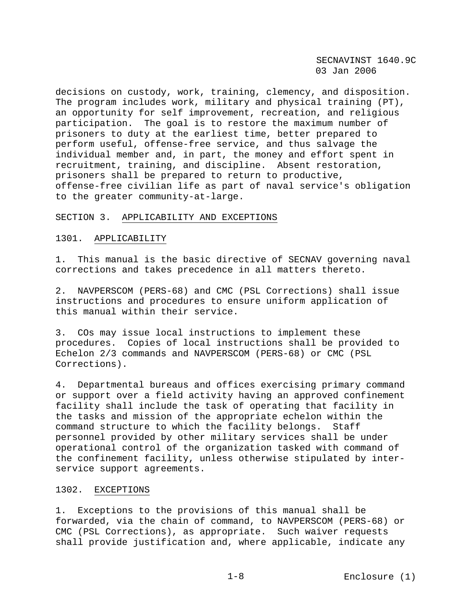decisions on custody, work, training, clemency, and disposition. The program includes work, military and physical training (PT), an opportunity for self improvement, recreation, and religious participation. The goal is to restore the maximum number of prisoners to duty at the earliest time, better prepared to perform useful, offense-free service, and thus salvage the individual member and, in part, the money and effort spent in recruitment, training, and discipline. Absent restoration, prisoners shall be prepared to return to productive, offense-free civilian life as part of naval service's obligation to the greater community-at-large.

#### SECTION 3. APPLICABILITY AND EXCEPTIONS

#### 1301. APPLICABILITY

1. This manual is the basic directive of SECNAV governing naval corrections and takes precedence in all matters thereto.

2. NAVPERSCOM (PERS-68) and CMC (PSL Corrections) shall issue instructions and procedures to ensure uniform application of this manual within their service.

3. COs may issue local instructions to implement these procedures. Copies of local instructions shall be provided to Echelon 2/3 commands and NAVPERSCOM (PERS-68) or CMC (PSL Corrections).

4. Departmental bureaus and offices exercising primary command or support over a field activity having an approved confinement facility shall include the task of operating that facility in the tasks and mission of the appropriate echelon within the command structure to which the facility belongs. Staff personnel provided by other military services shall be under operational control of the organization tasked with command of the confinement facility, unless otherwise stipulated by interservice support agreements.

#### 1302. EXCEPTIONS

1. Exceptions to the provisions of this manual shall be forwarded, via the chain of command, to NAVPERSCOM (PERS-68) or CMC (PSL Corrections), as appropriate. Such waiver requests shall provide justification and, where applicable, indicate any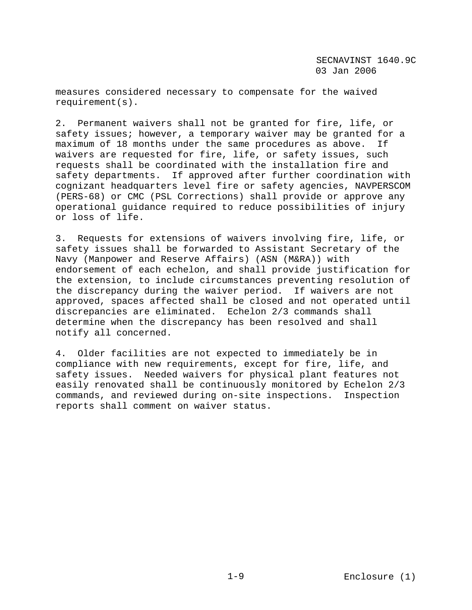measures considered necessary to compensate for the waived requirement(s).

2. Permanent waivers shall not be granted for fire, life, or safety issues; however, a temporary waiver may be granted for a maximum of 18 months under the same procedures as above. If waivers are requested for fire, life, or safety issues, such requests shall be coordinated with the installation fire and safety departments. If approved after further coordination with cognizant headquarters level fire or safety agencies, NAVPERSCOM (PERS-68) or CMC (PSL Corrections) shall provide or approve any operational guidance required to reduce possibilities of injury or loss of life.

3. Requests for extensions of waivers involving fire, life, or safety issues shall be forwarded to Assistant Secretary of the Navy (Manpower and Reserve Affairs) (ASN (M&RA)) with endorsement of each echelon, and shall provide justification for the extension, to include circumstances preventing resolution of the discrepancy during the waiver period. If waivers are not approved, spaces affected shall be closed and not operated until discrepancies are eliminated. Echelon 2/3 commands shall determine when the discrepancy has been resolved and shall notify all concerned.

4. Older facilities are not expected to immediately be in compliance with new requirements, except for fire, life, and safety issues. Needed waivers for physical plant features not easily renovated shall be continuously monitored by Echelon 2/3 commands, and reviewed during on-site inspections. Inspection reports shall comment on waiver status.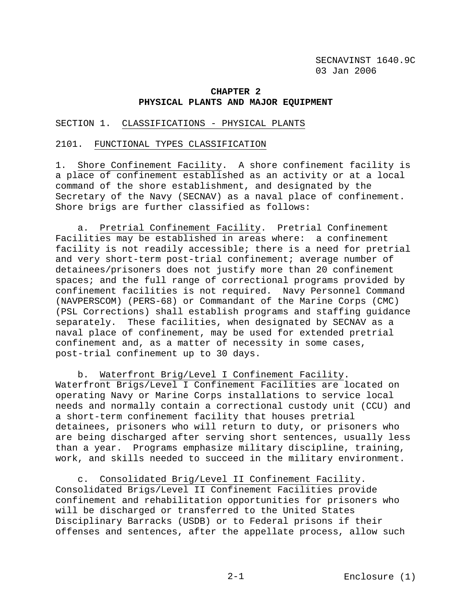#### **CHAPTER 2 PHYSICAL PLANTS AND MAJOR EQUIPMENT**

#### SECTION 1. CLASSIFICATIONS - PHYSICAL PLANTS

#### 2101. FUNCTIONAL TYPES CLASSIFICATION

1. Shore Confinement Facility. A shore confinement facility is a place of confinement established as an activity or at a local command of the shore establishment, and designated by the Secretary of the Navy (SECNAV) as a naval place of confinement. Shore brigs are further classified as follows:

 a. Pretrial Confinement Facility. Pretrial Confinement Facilities may be established in areas where: a confinement facility is not readily accessible; there is a need for pretrial and very short-term post-trial confinement; average number of detainees/prisoners does not justify more than 20 confinement spaces; and the full range of correctional programs provided by confinement facilities is not required. Navy Personnel Command (NAVPERSCOM) (PERS-68) or Commandant of the Marine Corps (CMC) (PSL Corrections) shall establish programs and staffing guidance separately. These facilities, when designated by SECNAV as a naval place of confinement, may be used for extended pretrial confinement and, as a matter of necessity in some cases, post-trial confinement up to 30 days.

 b. Waterfront Brig/Level I Confinement Facility. Waterfront Brigs/Level I Confinement Facilities are located on operating Navy or Marine Corps installations to service local needs and normally contain a correctional custody unit (CCU) and a short-term confinement facility that houses pretrial detainees, prisoners who will return to duty, or prisoners who are being discharged after serving short sentences, usually less than a year. Programs emphasize military discipline, training, work, and skills needed to succeed in the military environment.

 c. Consolidated Brig/Level II Confinement Facility. Consolidated Brigs/Level II Confinement Facilities provide confinement and rehabilitation opportunities for prisoners who will be discharged or transferred to the United States Disciplinary Barracks (USDB) or to Federal prisons if their offenses and sentences, after the appellate process, allow such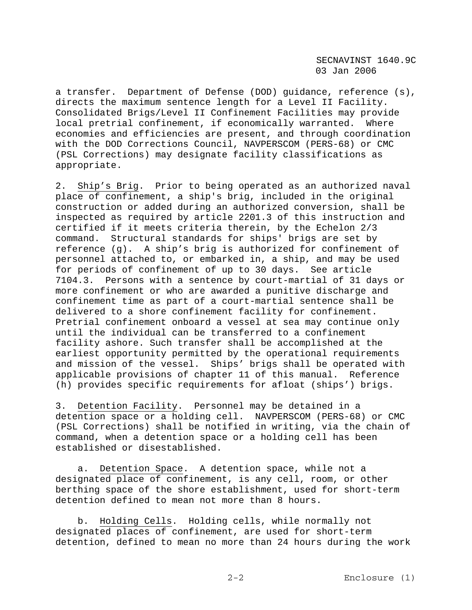a transfer. Department of Defense (DOD) guidance, reference (s), directs the maximum sentence length for a Level II Facility. Consolidated Brigs/Level II Confinement Facilities may provide local pretrial confinement, if economically warranted. Where economies and efficiencies are present, and through coordination with the DOD Corrections Council, NAVPERSCOM (PERS-68) or CMC (PSL Corrections) may designate facility classifications as appropriate.

2. Ship's Brig. Prior to being operated as an authorized naval place of confinement, a ship's brig, included in the original construction or added during an authorized conversion, shall be inspected as required by article 2201.3 of this instruction and certified if it meets criteria therein, by the Echelon 2/3 command. Structural standards for ships' brigs are set by reference (g). A ship's brig is authorized for confinement of personnel attached to, or embarked in, a ship, and may be used for periods of confinement of up to 30 days. See article 7104.3. Persons with a sentence by court-martial of 31 days or more confinement or who are awarded a punitive discharge and confinement time as part of a court-martial sentence shall be delivered to a shore confinement facility for confinement. Pretrial confinement onboard a vessel at sea may continue only until the individual can be transferred to a confinement facility ashore. Such transfer shall be accomplished at the earliest opportunity permitted by the operational requirements and mission of the vessel. Ships' brigs shall be operated with applicable provisions of chapter 11 of this manual. Reference (h) provides specific requirements for afloat (ships') brigs.

3. Detention Facility. Personnel may be detained in a detention space or a holding cell. NAVPERSCOM (PERS-68) or CMC (PSL Corrections) shall be notified in writing, via the chain of command, when a detention space or a holding cell has been established or disestablished.

 a. Detention Space. A detention space, while not a designated place of confinement, is any cell, room, or other berthing space of the shore establishment, used for short-term detention defined to mean not more than 8 hours.

 b. Holding Cells. Holding cells, while normally not designated places of confinement, are used for short-term detention, defined to mean no more than 24 hours during the work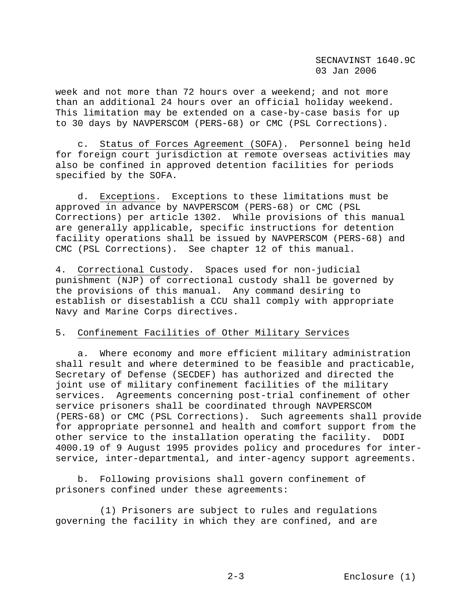week and not more than 72 hours over a weekend; and not more than an additional 24 hours over an official holiday weekend. This limitation may be extended on a case-by-case basis for up to 30 days by NAVPERSCOM (PERS-68) or CMC (PSL Corrections).

 c. Status of Forces Agreement (SOFA). Personnel being held for foreign court jurisdiction at remote overseas activities may also be confined in approved detention facilities for periods specified by the SOFA.

 d. Exceptions. Exceptions to these limitations must be approved in advance by NAVPERSCOM (PERS-68) or CMC (PSL Corrections) per article 1302. While provisions of this manual are generally applicable, specific instructions for detention facility operations shall be issued by NAVPERSCOM (PERS-68) and CMC (PSL Corrections). See chapter 12 of this manual.

4. Correctional Custody. Spaces used for non-judicial punishment (NJP) of correctional custody shall be governed by the provisions of this manual. Any command desiring to establish or disestablish a CCU shall comply with appropriate Navy and Marine Corps directives.

# 5. Confinement Facilities of Other Military Services

 a. Where economy and more efficient military administration shall result and where determined to be feasible and practicable, Secretary of Defense (SECDEF) has authorized and directed the joint use of military confinement facilities of the military services. Agreements concerning post-trial confinement of other service prisoners shall be coordinated through NAVPERSCOM (PERS-68) or CMC (PSL Corrections). Such agreements shall provide for appropriate personnel and health and comfort support from the other service to the installation operating the facility. DODI 4000.19 of 9 August 1995 provides policy and procedures for interservice, inter-departmental, and inter-agency support agreements.

 b. Following provisions shall govern confinement of prisoners confined under these agreements:

 (1) Prisoners are subject to rules and regulations governing the facility in which they are confined, and are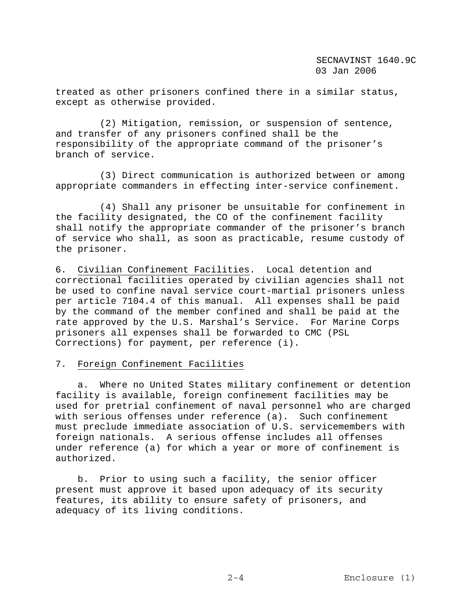treated as other prisoners confined there in a similar status, except as otherwise provided.

 (2) Mitigation, remission, or suspension of sentence, and transfer of any prisoners confined shall be the responsibility of the appropriate command of the prisoner's branch of service.

 (3) Direct communication is authorized between or among appropriate commanders in effecting inter-service confinement.

 (4) Shall any prisoner be unsuitable for confinement in the facility designated, the CO of the confinement facility shall notify the appropriate commander of the prisoner's branch of service who shall, as soon as practicable, resume custody of the prisoner.

6. Civilian Confinement Facilities. Local detention and correctional facilities operated by civilian agencies shall not be used to confine naval service court-martial prisoners unless per article 7104.4 of this manual. All expenses shall be paid by the command of the member confined and shall be paid at the rate approved by the U.S. Marshal's Service. For Marine Corps prisoners all expenses shall be forwarded to CMC (PSL Corrections) for payment, per reference (i).

### 7. Foreign Confinement Facilities

 a. Where no United States military confinement or detention facility is available, foreign confinement facilities may be used for pretrial confinement of naval personnel who are charged with serious offenses under reference (a). Such confinement must preclude immediate association of U.S. servicemembers with foreign nationals. A serious offense includes all offenses under reference (a) for which a year or more of confinement is authorized.

 b. Prior to using such a facility, the senior officer present must approve it based upon adequacy of its security features, its ability to ensure safety of prisoners, and adequacy of its living conditions.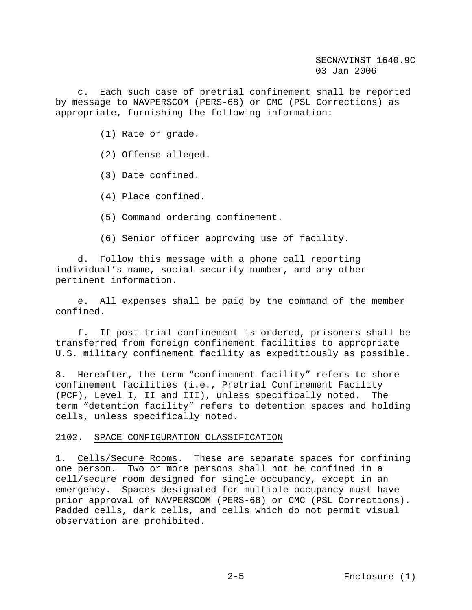c. Each such case of pretrial confinement shall be reported by message to NAVPERSCOM (PERS-68) or CMC (PSL Corrections) as appropriate, furnishing the following information:

- (1) Rate or grade.
- (2) Offense alleged.
- (3) Date confined.
- (4) Place confined.
- (5) Command ordering confinement.
- (6) Senior officer approving use of facility.

 d. Follow this message with a phone call reporting individual's name, social security number, and any other pertinent information.

 e. All expenses shall be paid by the command of the member confined.

 f. If post-trial confinement is ordered, prisoners shall be transferred from foreign confinement facilities to appropriate U.S. military confinement facility as expeditiously as possible.

8. Hereafter, the term "confinement facility" refers to shore confinement facilities (i.e., Pretrial Confinement Facility (PCF), Level I, II and III), unless specifically noted. The term "detention facility" refers to detention spaces and holding cells, unless specifically noted.

### 2102. SPACE CONFIGURATION CLASSIFICATION

1. Cells/Secure Rooms. These are separate spaces for confining one person. Two or more persons shall not be confined in a cell/secure room designed for single occupancy, except in an emergency. Spaces designated for multiple occupancy must have prior approval of NAVPERSCOM (PERS-68) or CMC (PSL Corrections). Padded cells, dark cells, and cells which do not permit visual observation are prohibited.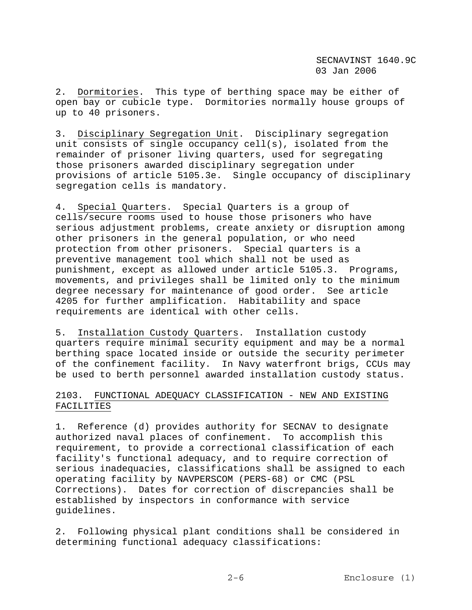2. Dormitories. This type of berthing space may be either of open bay or cubicle type. Dormitories normally house groups of up to 40 prisoners.

3. Disciplinary Segregation Unit. Disciplinary segregation unit consists of single occupancy cell(s), isolated from the remainder of prisoner living quarters, used for segregating those prisoners awarded disciplinary segregation under provisions of article 5105.3e. Single occupancy of disciplinary segregation cells is mandatory.

4. Special Quarters. Special Quarters is a group of cells/secure rooms used to house those prisoners who have serious adjustment problems, create anxiety or disruption among other prisoners in the general population, or who need protection from other prisoners. Special quarters is a preventive management tool which shall not be used as punishment, except as allowed under article 5105.3. Programs, movements, and privileges shall be limited only to the minimum degree necessary for maintenance of good order. See article 4205 for further amplification. Habitability and space requirements are identical with other cells.

5. Installation Custody Quarters. Installation custody quarters require minimal security equipment and may be a normal berthing space located inside or outside the security perimeter of the confinement facility. In Navy waterfront brigs, CCUs may be used to berth personnel awarded installation custody status.

# 2103. FUNCTIONAL ADEQUACY CLASSIFICATION - NEW AND EXISTING FACILITIES

1. Reference (d) provides authority for SECNAV to designate authorized naval places of confinement. To accomplish this requirement, to provide a correctional classification of each facility's functional adequacy, and to require correction of serious inadequacies, classifications shall be assigned to each operating facility by NAVPERSCOM (PERS-68) or CMC (PSL Corrections). Dates for correction of discrepancies shall be established by inspectors in conformance with service guidelines.

2. Following physical plant conditions shall be considered in determining functional adequacy classifications: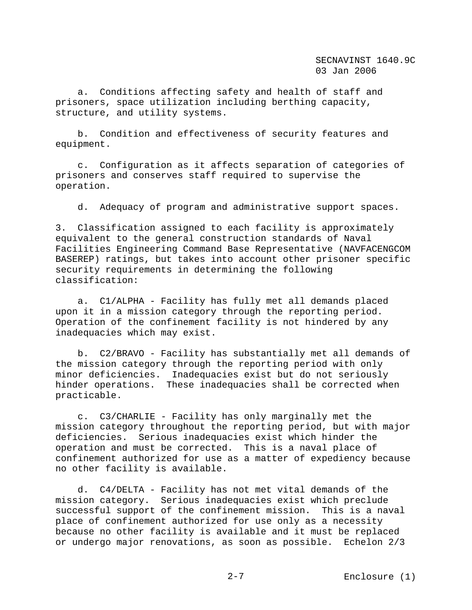SECNAVINST 1640.9C 03 Jan 2006

 a. Conditions affecting safety and health of staff and prisoners, space utilization including berthing capacity, structure, and utility systems.

 b. Condition and effectiveness of security features and equipment.

 c. Configuration as it affects separation of categories of prisoners and conserves staff required to supervise the operation.

d. Adequacy of program and administrative support spaces.

3. Classification assigned to each facility is approximately equivalent to the general construction standards of Naval Facilities Engineering Command Base Representative (NAVFACENGCOM BASEREP) ratings, but takes into account other prisoner specific security requirements in determining the following classification:

 a. C1/ALPHA - Facility has fully met all demands placed upon it in a mission category through the reporting period. Operation of the confinement facility is not hindered by any inadequacies which may exist.

 b. C2/BRAVO - Facility has substantially met all demands of the mission category through the reporting period with only minor deficiencies. Inadequacies exist but do not seriously hinder operations. These inadequacies shall be corrected when practicable.

 c. C3/CHARLIE - Facility has only marginally met the mission category throughout the reporting period, but with major deficiencies. Serious inadequacies exist which hinder the operation and must be corrected. This is a naval place of confinement authorized for use as a matter of expediency because no other facility is available.

 d. C4/DELTA - Facility has not met vital demands of the mission category. Serious inadequacies exist which preclude successful support of the confinement mission. This is a naval place of confinement authorized for use only as a necessity because no other facility is available and it must be replaced or undergo major renovations, as soon as possible. Echelon 2/3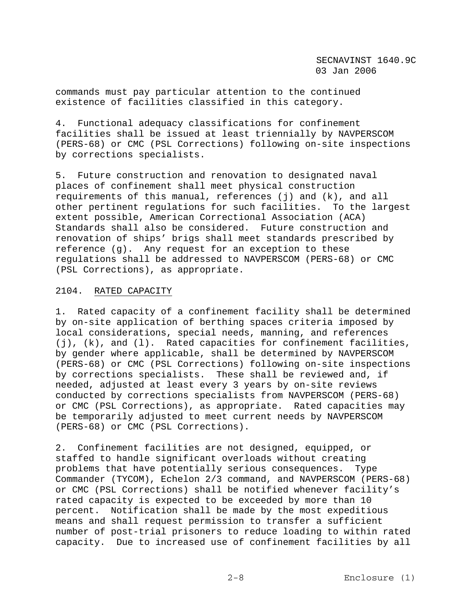commands must pay particular attention to the continued existence of facilities classified in this category.

4. Functional adequacy classifications for confinement facilities shall be issued at least triennially by NAVPERSCOM (PERS-68) or CMC (PSL Corrections) following on-site inspections by corrections specialists.

5. Future construction and renovation to designated naval places of confinement shall meet physical construction requirements of this manual, references (j) and (k), and all other pertinent regulations for such facilities. To the largest extent possible, American Correctional Association (ACA) Standards shall also be considered. Future construction and renovation of ships' brigs shall meet standards prescribed by reference (g). Any request for an exception to these regulations shall be addressed to NAVPERSCOM (PERS-68) or CMC (PSL Corrections), as appropriate.

### 2104. RATED CAPACITY

1. Rated capacity of a confinement facility shall be determined by on-site application of berthing spaces criteria imposed by local considerations, special needs, manning, and references (j), (k), and (l). Rated capacities for confinement facilities, by gender where applicable, shall be determined by NAVPERSCOM (PERS-68) or CMC (PSL Corrections) following on-site inspections by corrections specialists. These shall be reviewed and, if needed, adjusted at least every 3 years by on-site reviews conducted by corrections specialists from NAVPERSCOM (PERS-68) or CMC (PSL Corrections), as appropriate. Rated capacities may be temporarily adjusted to meet current needs by NAVPERSCOM (PERS-68) or CMC (PSL Corrections).

2. Confinement facilities are not designed, equipped, or staffed to handle significant overloads without creating problems that have potentially serious consequences. Type Commander (TYCOM), Echelon 2/3 command, and NAVPERSCOM (PERS-68) or CMC (PSL Corrections) shall be notified whenever facility's rated capacity is expected to be exceeded by more than 10 percent. Notification shall be made by the most expeditious means and shall request permission to transfer a sufficient number of post-trial prisoners to reduce loading to within rated capacity. Due to increased use of confinement facilities by all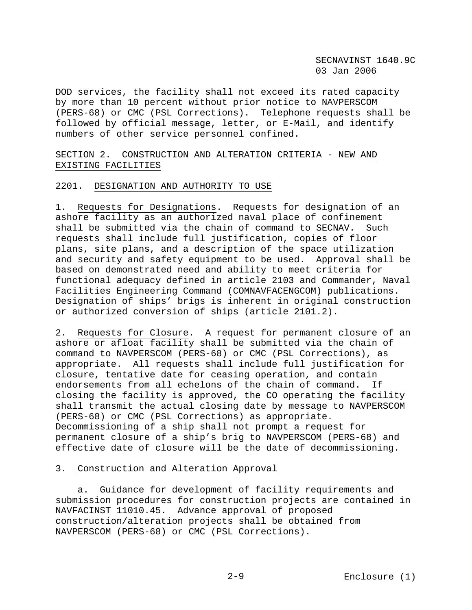DOD services, the facility shall not exceed its rated capacity by more than 10 percent without prior notice to NAVPERSCOM (PERS-68) or CMC (PSL Corrections). Telephone requests shall be followed by official message, letter, or E-Mail, and identify numbers of other service personnel confined.

# SECTION 2. CONSTRUCTION AND ALTERATION CRITERIA - NEW AND EXISTING FACILITIES

### 2201. DESIGNATION AND AUTHORITY TO USE

1. Requests for Designations. Requests for designation of an ashore facility as an authorized naval place of confinement shall be submitted via the chain of command to SECNAV. Such requests shall include full justification, copies of floor plans, site plans, and a description of the space utilization and security and safety equipment to be used. Approval shall be based on demonstrated need and ability to meet criteria for functional adequacy defined in article 2103 and Commander, Naval Facilities Engineering Command (COMNAVFACENGCOM) publications. Designation of ships' brigs is inherent in original construction or authorized conversion of ships (article 2101.2).

2. Requests for Closure. A request for permanent closure of an ashore or afloat facility shall be submitted via the chain of command to NAVPERSCOM (PERS-68) or CMC (PSL Corrections), as appropriate. All requests shall include full justification for closure, tentative date for ceasing operation, and contain endorsements from all echelons of the chain of command. If closing the facility is approved, the CO operating the facility shall transmit the actual closing date by message to NAVPERSCOM (PERS-68) or CMC (PSL Corrections) as appropriate. Decommissioning of a ship shall not prompt a request for permanent closure of a ship's brig to NAVPERSCOM (PERS-68) and effective date of closure will be the date of decommissioning.

# 3. Construction and Alteration Approval

 a. Guidance for development of facility requirements and submission procedures for construction projects are contained in NAVFACINST 11010.45. Advance approval of proposed construction/alteration projects shall be obtained from NAVPERSCOM (PERS-68) or CMC (PSL Corrections).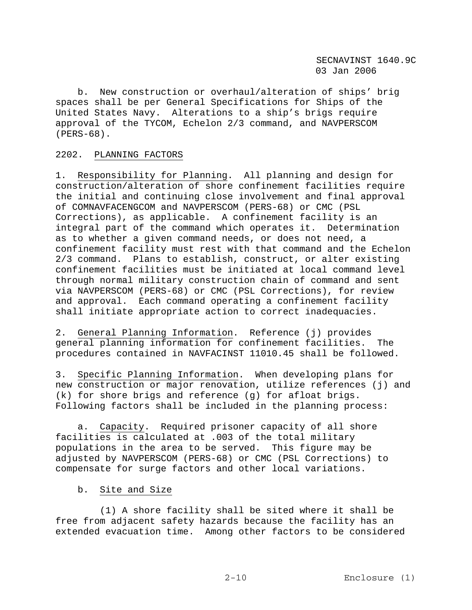b. New construction or overhaul/alteration of ships' brig spaces shall be per General Specifications for Ships of the United States Navy. Alterations to a ship's brigs require approval of the TYCOM, Echelon 2/3 command, and NAVPERSCOM (PERS-68).

# 2202. PLANNING FACTORS

1. Responsibility for Planning. All planning and design for construction/alteration of shore confinement facilities require the initial and continuing close involvement and final approval of COMNAVFACENGCOM and NAVPERSCOM (PERS-68) or CMC (PSL Corrections), as applicable. A confinement facility is an integral part of the command which operates it. Determination as to whether a given command needs, or does not need, a confinement facility must rest with that command and the Echelon 2/3 command. Plans to establish, construct, or alter existing confinement facilities must be initiated at local command level through normal military construction chain of command and sent via NAVPERSCOM (PERS-68) or CMC (PSL Corrections), for review and approval. Each command operating a confinement facility shall initiate appropriate action to correct inadequacies.

2. General Planning Information. Reference (j) provides general planning information for confinement facilities. The procedures contained in NAVFACINST 11010.45 shall be followed.

3. Specific Planning Information. When developing plans for new construction or major renovation, utilize references (j) and (k) for shore brigs and reference (g) for afloat brigs. Following factors shall be included in the planning process:

 a. Capacity. Required prisoner capacity of all shore facilities is calculated at .003 of the total military populations in the area to be served. This figure may be adjusted by NAVPERSCOM (PERS-68) or CMC (PSL Corrections) to compensate for surge factors and other local variations.

# b. Site and Size

 (1) A shore facility shall be sited where it shall be free from adjacent safety hazards because the facility has an extended evacuation time. Among other factors to be considered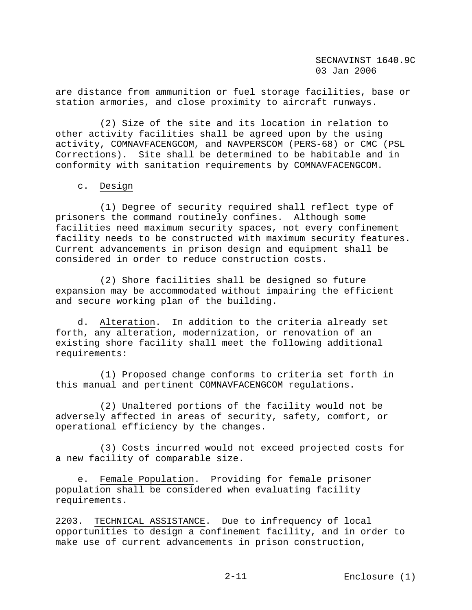SECNAVINST 1640.9C 03 Jan 2006

are distance from ammunition or fuel storage facilities, base or station armories, and close proximity to aircraft runways.

 (2) Size of the site and its location in relation to other activity facilities shall be agreed upon by the using activity, COMNAVFACENGCOM, and NAVPERSCOM (PERS-68) or CMC (PSL Corrections). Site shall be determined to be habitable and in conformity with sanitation requirements by COMNAVFACENGCOM.

### c. Design

 (1) Degree of security required shall reflect type of prisoners the command routinely confines. Although some facilities need maximum security spaces, not every confinement facility needs to be constructed with maximum security features. Current advancements in prison design and equipment shall be considered in order to reduce construction costs.

 (2) Shore facilities shall be designed so future expansion may be accommodated without impairing the efficient and secure working plan of the building.

 d. Alteration. In addition to the criteria already set forth, any alteration, modernization, or renovation of an existing shore facility shall meet the following additional requirements:

 (1) Proposed change conforms to criteria set forth in this manual and pertinent COMNAVFACENGCOM regulations.

 (2) Unaltered portions of the facility would not be adversely affected in areas of security, safety, comfort, or operational efficiency by the changes.

 (3) Costs incurred would not exceed projected costs for a new facility of comparable size.

 e. Female Population. Providing for female prisoner population shall be considered when evaluating facility requirements.

2203. TECHNICAL ASSISTANCE. Due to infrequency of local opportunities to design a confinement facility, and in order to make use of current advancements in prison construction,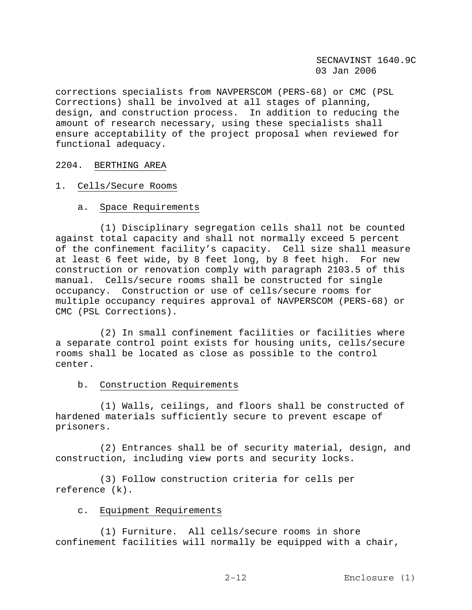corrections specialists from NAVPERSCOM (PERS-68) or CMC (PSL Corrections) shall be involved at all stages of planning, design, and construction process. In addition to reducing the amount of research necessary, using these specialists shall ensure acceptability of the project proposal when reviewed for functional adequacy.

### 2204. BERTHING AREA

### 1. Cells/Secure Rooms

### a. Space Requirements

 (1) Disciplinary segregation cells shall not be counted against total capacity and shall not normally exceed 5 percent of the confinement facility's capacity. Cell size shall measure at least 6 feet wide, by 8 feet long, by 8 feet high. For new construction or renovation comply with paragraph 2103.5 of this manual. Cells/secure rooms shall be constructed for single occupancy. Construction or use of cells/secure rooms for multiple occupancy requires approval of NAVPERSCOM (PERS-68) or CMC (PSL Corrections).

 (2) In small confinement facilities or facilities where a separate control point exists for housing units, cells/secure rooms shall be located as close as possible to the control center.

# b. Construction Requirements

 (1) Walls, ceilings, and floors shall be constructed of hardened materials sufficiently secure to prevent escape of prisoners.

 (2) Entrances shall be of security material, design, and construction, including view ports and security locks.

 (3) Follow construction criteria for cells per reference (k).

### c. Equipment Requirements

 (1) Furniture. All cells/secure rooms in shore confinement facilities will normally be equipped with a chair,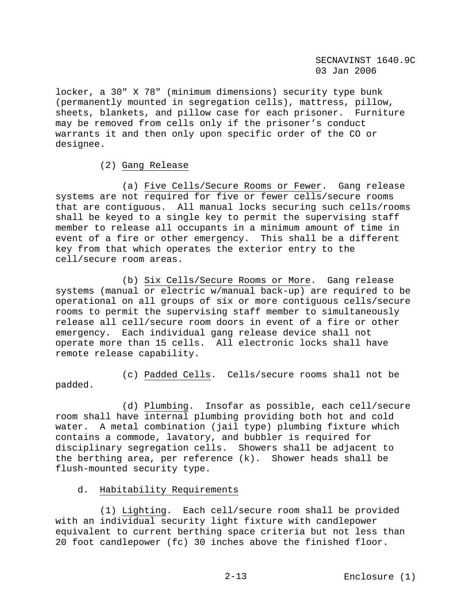locker, a 30" X 78" (minimum dimensions) security type bunk (permanently mounted in segregation cells), mattress, pillow, sheets, blankets, and pillow case for each prisoner. Furniture may be removed from cells only if the prisoner's conduct warrants it and then only upon specific order of the CO or designee.

# (2) Gang Release

 (a) Five Cells/Secure Rooms or Fewer. Gang release systems are not required for five or fewer cells/secure rooms that are contiguous. All manual locks securing such cells/rooms shall be keyed to a single key to permit the supervising staff member to release all occupants in a minimum amount of time in event of a fire or other emergency. This shall be a different key from that which operates the exterior entry to the cell/secure room areas.

 (b) Six Cells/Secure Rooms or More. Gang release systems (manual or electric w/manual back-up) are required to be operational on all groups of six or more contiguous cells/secure rooms to permit the supervising staff member to simultaneously release all cell/secure room doors in event of a fire or other emergency. Each individual gang release device shall not operate more than 15 cells. All electronic locks shall have remote release capability.

 (c) Padded Cells. Cells/secure rooms shall not be padded.

 (d) Plumbing. Insofar as possible, each cell/secure room shall have internal plumbing providing both hot and cold water. A metal combination (jail type) plumbing fixture which contains a commode, lavatory, and bubbler is required for disciplinary segregation cells. Showers shall be adjacent to the berthing area, per reference (k). Shower heads shall be flush-mounted security type.

# d. Habitability Requirements

 (1) Lighting. Each cell/secure room shall be provided with an individual security light fixture with candlepower equivalent to current berthing space criteria but not less than 20 foot candlepower (fc) 30 inches above the finished floor.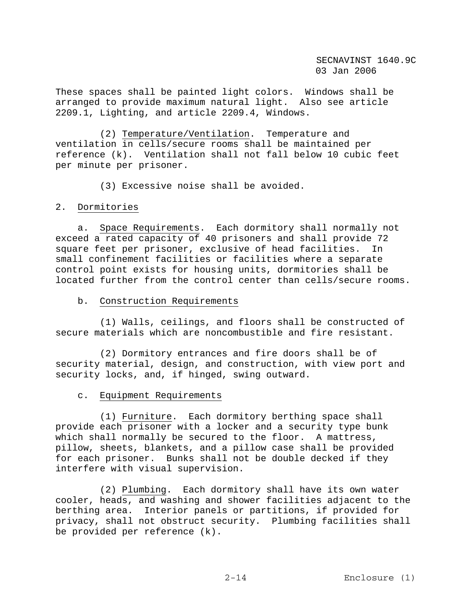These spaces shall be painted light colors. Windows shall be arranged to provide maximum natural light. Also see article 2209.1, Lighting, and article 2209.4, Windows.

 (2) Temperature/Ventilation. Temperature and ventilation in cells/secure rooms shall be maintained per reference (k). Ventilation shall not fall below 10 cubic feet per minute per prisoner.

(3) Excessive noise shall be avoided.

### 2. Dormitories

 a. Space Requirements. Each dormitory shall normally not exceed a rated capacity of 40 prisoners and shall provide 72 square feet per prisoner, exclusive of head facilities. In small confinement facilities or facilities where a separate control point exists for housing units, dormitories shall be located further from the control center than cells/secure rooms.

### b. Construction Requirements

 (1) Walls, ceilings, and floors shall be constructed of secure materials which are noncombustible and fire resistant.

 (2) Dormitory entrances and fire doors shall be of security material, design, and construction, with view port and security locks, and, if hinged, swing outward.

# c. Equipment Requirements

 (1) Furniture. Each dormitory berthing space shall provide each prisoner with a locker and a security type bunk which shall normally be secured to the floor. A mattress, pillow, sheets, blankets, and a pillow case shall be provided for each prisoner. Bunks shall not be double decked if they interfere with visual supervision.

 (2) Plumbing. Each dormitory shall have its own water cooler, heads, and washing and shower facilities adjacent to the berthing area. Interior panels or partitions, if provided for privacy, shall not obstruct security. Plumbing facilities shall be provided per reference (k).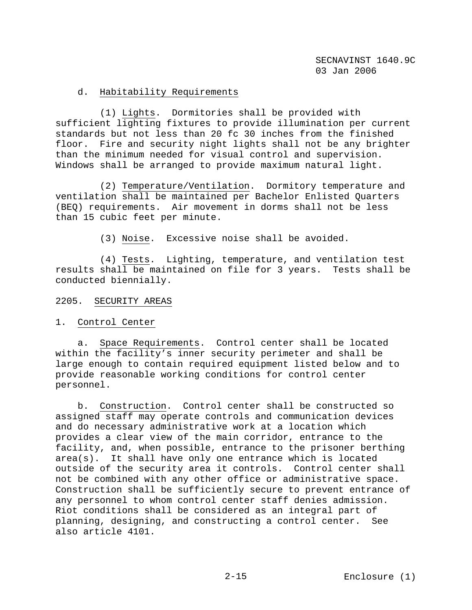# d. Habitability Requirements

 (1) Lights. Dormitories shall be provided with sufficient lighting fixtures to provide illumination per current standards but not less than 20 fc 30 inches from the finished floor. Fire and security night lights shall not be any brighter than the minimum needed for visual control and supervision. Windows shall be arranged to provide maximum natural light.

 (2) Temperature/Ventilation. Dormitory temperature and ventilation shall be maintained per Bachelor Enlisted Quarters (BEQ) requirements. Air movement in dorms shall not be less than 15 cubic feet per minute.

(3) Noise. Excessive noise shall be avoided.

 (4) Tests. Lighting, temperature, and ventilation test results shall be maintained on file for 3 years. Tests shall be conducted biennially.

### 2205. SECURITY AREAS

1. Control Center

 a. Space Requirements. Control center shall be located within the facility's inner security perimeter and shall be large enough to contain required equipment listed below and to provide reasonable working conditions for control center personnel.

 b. Construction. Control center shall be constructed so assigned staff may operate controls and communication devices and do necessary administrative work at a location which provides a clear view of the main corridor, entrance to the facility, and, when possible, entrance to the prisoner berthing area(s). It shall have only one entrance which is located outside of the security area it controls. Control center shall not be combined with any other office or administrative space. Construction shall be sufficiently secure to prevent entrance of any personnel to whom control center staff denies admission. Riot conditions shall be considered as an integral part of planning, designing, and constructing a control center. See also article 4101.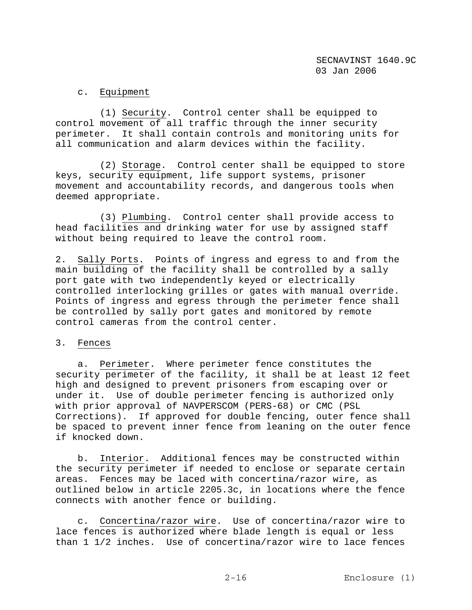# c. Equipment

 (1) Security. Control center shall be equipped to control movement of all traffic through the inner security perimeter. It shall contain controls and monitoring units for all communication and alarm devices within the facility.

 (2) Storage. Control center shall be equipped to store keys, security equipment, life support systems, prisoner movement and accountability records, and dangerous tools when deemed appropriate.

 (3) Plumbing. Control center shall provide access to head facilities and drinking water for use by assigned staff without being required to leave the control room.

2. Sally Ports. Points of ingress and egress to and from the main building of the facility shall be controlled by a sally port gate with two independently keyed or electrically controlled interlocking grilles or gates with manual override. Points of ingress and egress through the perimeter fence shall be controlled by sally port gates and monitored by remote control cameras from the control center.

# 3. Fences

 a. Perimeter. Where perimeter fence constitutes the security perimeter of the facility, it shall be at least 12 feet high and designed to prevent prisoners from escaping over or under it. Use of double perimeter fencing is authorized only with prior approval of NAVPERSCOM (PERS-68) or CMC (PSL Corrections). If approved for double fencing, outer fence shall be spaced to prevent inner fence from leaning on the outer fence if knocked down.

 b. Interior. Additional fences may be constructed within the security perimeter if needed to enclose or separate certain areas. Fences may be laced with concertina/razor wire, as outlined below in article 2205.3c, in locations where the fence connects with another fence or building.

 c. Concertina/razor wire. Use of concertina/razor wire to lace fences is authorized where blade length is equal or less than 1 1/2 inches. Use of concertina/razor wire to lace fences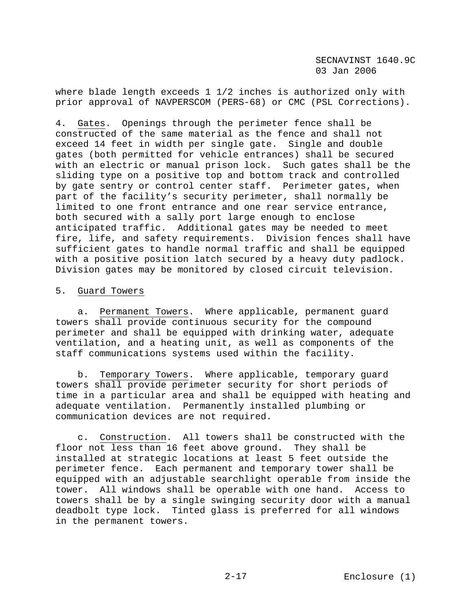SECNAVINST 1640.9C 03 Jan 2006

where blade length exceeds 1 1/2 inches is authorized only with prior approval of NAVPERSCOM (PERS-68) or CMC (PSL Corrections).

4. Gates. Openings through the perimeter fence shall be constructed of the same material as the fence and shall not exceed 14 feet in width per single gate. Single and double gates (both permitted for vehicle entrances) shall be secured with an electric or manual prison lock. Such gates shall be the sliding type on a positive top and bottom track and controlled by gate sentry or control center staff. Perimeter gates, when part of the facility's security perimeter, shall normally be limited to one front entrance and one rear service entrance, both secured with a sally port large enough to enclose anticipated traffic. Additional gates may be needed to meet fire, life, and safety requirements. Division fences shall have sufficient gates to handle normal traffic and shall be equipped with a positive position latch secured by a heavy duty padlock. Division gates may be monitored by closed circuit television.

#### 5. Guard Towers

 a. Permanent Towers. Where applicable, permanent guard towers shall provide continuous security for the compound perimeter and shall be equipped with drinking water, adequate ventilation, and a heating unit, as well as components of the staff communications systems used within the facility.

 b. Temporary Towers. Where applicable, temporary guard towers shall provide perimeter security for short periods of time in a particular area and shall be equipped with heating and adequate ventilation. Permanently installed plumbing or communication devices are not required.

 c. Construction. All towers shall be constructed with the floor not less than 16 feet above ground. They shall be installed at strategic locations at least 5 feet outside the perimeter fence. Each permanent and temporary tower shall be equipped with an adjustable searchlight operable from inside the tower. All windows shall be operable with one hand. Access to towers shall be by a single swinging security door with a manual deadbolt type lock. Tinted glass is preferred for all windows in the permanent towers.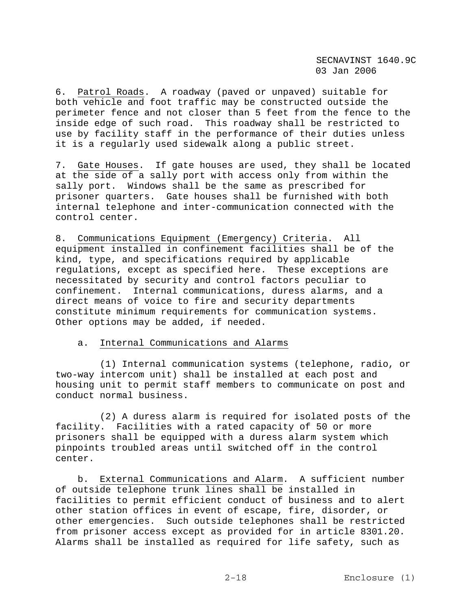6. Patrol Roads. A roadway (paved or unpaved) suitable for both vehicle and foot traffic may be constructed outside the perimeter fence and not closer than 5 feet from the fence to the inside edge of such road. This roadway shall be restricted to use by facility staff in the performance of their duties unless it is a regularly used sidewalk along a public street.

7. Gate Houses. If gate houses are used, they shall be located at the side of a sally port with access only from within the sally port. Windows shall be the same as prescribed for prisoner quarters. Gate houses shall be furnished with both internal telephone and inter-communication connected with the control center.

8. Communications Equipment (Emergency) Criteria. All equipment installed in confinement facilities shall be of the kind, type, and specifications required by applicable regulations, except as specified here. These exceptions are necessitated by security and control factors peculiar to confinement. Internal communications, duress alarms, and a direct means of voice to fire and security departments constitute minimum requirements for communication systems. Other options may be added, if needed.

### a. Internal Communications and Alarms

 (1) Internal communication systems (telephone, radio, or two-way intercom unit) shall be installed at each post and housing unit to permit staff members to communicate on post and conduct normal business.

 (2) A duress alarm is required for isolated posts of the facility. Facilities with a rated capacity of 50 or more prisoners shall be equipped with a duress alarm system which pinpoints troubled areas until switched off in the control center.

 b. External Communications and Alarm. A sufficient number of outside telephone trunk lines shall be installed in facilities to permit efficient conduct of business and to alert other station offices in event of escape, fire, disorder, or other emergencies. Such outside telephones shall be restricted from prisoner access except as provided for in article 8301.20. Alarms shall be installed as required for life safety, such as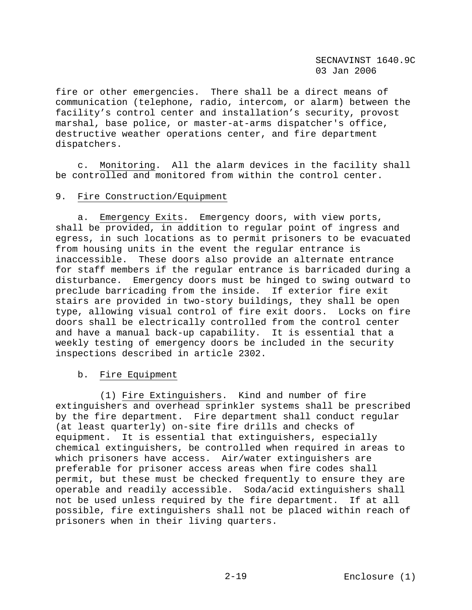fire or other emergencies. There shall be a direct means of communication (telephone, radio, intercom, or alarm) between the facility's control center and installation's security, provost marshal, base police, or master-at-arms dispatcher's office, destructive weather operations center, and fire department dispatchers.

 c. Monitoring. All the alarm devices in the facility shall be controlled and monitored from within the control center.

### 9. Fire Construction/Equipment

 a. Emergency Exits. Emergency doors, with view ports, shall be provided, in addition to regular point of ingress and egress, in such locations as to permit prisoners to be evacuated from housing units in the event the regular entrance is inaccessible. These doors also provide an alternate entrance for staff members if the regular entrance is barricaded during a disturbance. Emergency doors must be hinged to swing outward to preclude barricading from the inside. If exterior fire exit stairs are provided in two-story buildings, they shall be open type, allowing visual control of fire exit doors. Locks on fire doors shall be electrically controlled from the control center and have a manual back-up capability. It is essential that a weekly testing of emergency doors be included in the security inspections described in article 2302.

### b. Fire Equipment

 (1) Fire Extinguishers. Kind and number of fire extinguishers and overhead sprinkler systems shall be prescribed by the fire department. Fire department shall conduct regular (at least quarterly) on-site fire drills and checks of equipment. It is essential that extinguishers, especially chemical extinguishers, be controlled when required in areas to which prisoners have access. Air/water extinguishers are preferable for prisoner access areas when fire codes shall permit, but these must be checked frequently to ensure they are operable and readily accessible. Soda/acid extinguishers shall not be used unless required by the fire department. If at all possible, fire extinguishers shall not be placed within reach of prisoners when in their living quarters.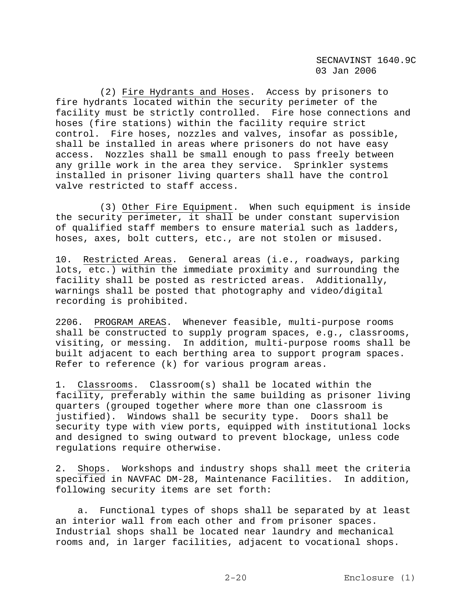(2) Fire Hydrants and Hoses. Access by prisoners to fire hydrants located within the security perimeter of the facility must be strictly controlled. Fire hose connections and hoses (fire stations) within the facility require strict control. Fire hoses, nozzles and valves, insofar as possible, shall be installed in areas where prisoners do not have easy access. Nozzles shall be small enough to pass freely between any grille work in the area they service. Sprinkler systems installed in prisoner living quarters shall have the control valve restricted to staff access.

 (3) Other Fire Equipment. When such equipment is inside the security perimeter, it shall be under constant supervision of qualified staff members to ensure material such as ladders, hoses, axes, bolt cutters, etc., are not stolen or misused.

10. Restricted Areas. General areas (i.e., roadways, parking lots, etc.) within the immediate proximity and surrounding the facility shall be posted as restricted areas. Additionally, warnings shall be posted that photography and video/digital recording is prohibited.

2206. PROGRAM AREAS. Whenever feasible, multi-purpose rooms shall be constructed to supply program spaces, e.g., classrooms, visiting, or messing. In addition, multi-purpose rooms shall be built adjacent to each berthing area to support program spaces. Refer to reference (k) for various program areas.

1. Classrooms. Classroom(s) shall be located within the facility, preferably within the same building as prisoner living quarters (grouped together where more than one classroom is justified). Windows shall be security type. Doors shall be security type with view ports, equipped with institutional locks and designed to swing outward to prevent blockage, unless code regulations require otherwise.

2. Shops. Workshops and industry shops shall meet the criteria specified in NAVFAC DM-28, Maintenance Facilities. In addition, following security items are set forth:

 a. Functional types of shops shall be separated by at least an interior wall from each other and from prisoner spaces. Industrial shops shall be located near laundry and mechanical rooms and, in larger facilities, adjacent to vocational shops.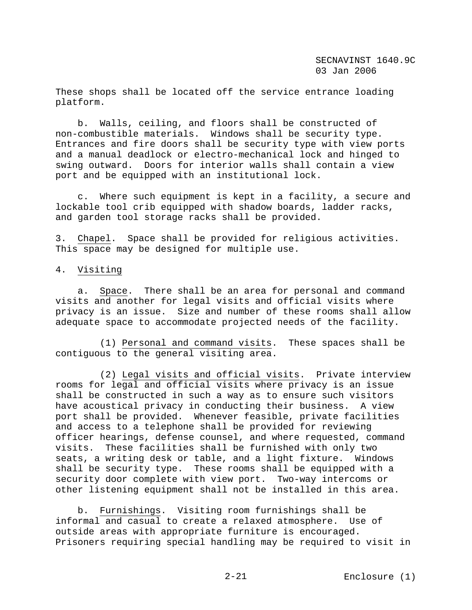These shops shall be located off the service entrance loading platform.

 b. Walls, ceiling, and floors shall be constructed of non-combustible materials. Windows shall be security type. Entrances and fire doors shall be security type with view ports and a manual deadlock or electro-mechanical lock and hinged to swing outward. Doors for interior walls shall contain a view port and be equipped with an institutional lock.

 c. Where such equipment is kept in a facility, a secure and lockable tool crib equipped with shadow boards, ladder racks, and garden tool storage racks shall be provided.

3. Chapel. Space shall be provided for religious activities. This space may be designed for multiple use.

#### 4. Visiting

 a. Space. There shall be an area for personal and command visits and another for legal visits and official visits where privacy is an issue. Size and number of these rooms shall allow adequate space to accommodate projected needs of the facility.

 (1) Personal and command visits. These spaces shall be contiguous to the general visiting area.

 (2) Legal visits and official visits. Private interview rooms for legal and official visits where privacy is an issue shall be constructed in such a way as to ensure such visitors have acoustical privacy in conducting their business. A view port shall be provided. Whenever feasible, private facilities and access to a telephone shall be provided for reviewing officer hearings, defense counsel, and where requested, command visits. These facilities shall be furnished with only two seats, a writing desk or table, and a light fixture. Windows shall be security type. These rooms shall be equipped with a security door complete with view port. Two-way intercoms or other listening equipment shall not be installed in this area.

 b. Furnishings. Visiting room furnishings shall be informal and casual to create a relaxed atmosphere. Use of outside areas with appropriate furniture is encouraged. Prisoners requiring special handling may be required to visit in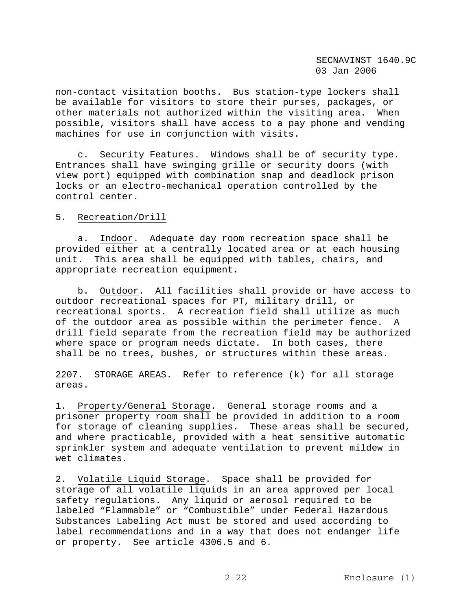non-contact visitation booths. Bus station-type lockers shall be available for visitors to store their purses, packages, or other materials not authorized within the visiting area. When possible, visitors shall have access to a pay phone and vending machines for use in conjunction with visits.

 c. Security Features. Windows shall be of security type. Entrances shall have swinging grille or security doors (with view port) equipped with combination snap and deadlock prison locks or an electro-mechanical operation controlled by the control center.

### 5. Recreation/Drill

 a. Indoor. Adequate day room recreation space shall be provided either at a centrally located area or at each housing unit. This area shall be equipped with tables, chairs, and appropriate recreation equipment.

 b. Outdoor. All facilities shall provide or have access to outdoor recreational spaces for PT, military drill, or recreational sports. A recreation field shall utilize as much of the outdoor area as possible within the perimeter fence. A drill field separate from the recreation field may be authorized where space or program needs dictate. In both cases, there shall be no trees, bushes, or structures within these areas.

2207. STORAGE AREAS. Refer to reference (k) for all storage areas.

1. Property/General Storage. General storage rooms and a prisoner property room shall be provided in addition to a room for storage of cleaning supplies. These areas shall be secured, and where practicable, provided with a heat sensitive automatic sprinkler system and adequate ventilation to prevent mildew in wet climates.

2. Volatile Liquid Storage. Space shall be provided for storage of all volatile liquids in an area approved per local safety regulations. Any liquid or aerosol required to be labeled "Flammable" or "Combustible" under Federal Hazardous Substances Labeling Act must be stored and used according to label recommendations and in a way that does not endanger life or property. See article 4306.5 and 6.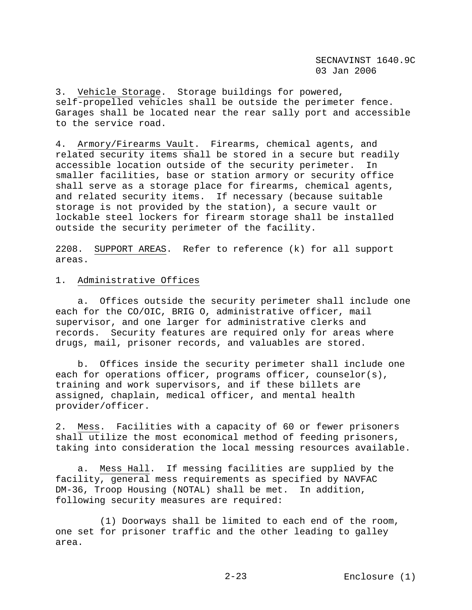3. Vehicle Storage. Storage buildings for powered, self-propelled vehicles shall be outside the perimeter fence. Garages shall be located near the rear sally port and accessible to the service road.

4. Armory/Firearms Vault. Firearms, chemical agents, and related security items shall be stored in a secure but readily accessible location outside of the security perimeter. In smaller facilities, base or station armory or security office shall serve as a storage place for firearms, chemical agents, and related security items. If necessary (because suitable storage is not provided by the station), a secure vault or lockable steel lockers for firearm storage shall be installed outside the security perimeter of the facility.

2208. SUPPORT AREAS. Refer to reference (k) for all support areas.

#### 1. Administrative Offices

 a. Offices outside the security perimeter shall include one each for the CO/OIC, BRIG O, administrative officer, mail supervisor, and one larger for administrative clerks and records. Security features are required only for areas where drugs, mail, prisoner records, and valuables are stored.

 b. Offices inside the security perimeter shall include one each for operations officer, programs officer, counselor(s), training and work supervisors, and if these billets are assigned, chaplain, medical officer, and mental health provider/officer.

2. Mess. Facilities with a capacity of 60 or fewer prisoners shall utilize the most economical method of feeding prisoners, taking into consideration the local messing resources available.

 a. Mess Hall. If messing facilities are supplied by the facility, general mess requirements as specified by NAVFAC DM-36, Troop Housing (NOTAL) shall be met. In addition, following security measures are required:

 (1) Doorways shall be limited to each end of the room, one set for prisoner traffic and the other leading to galley area.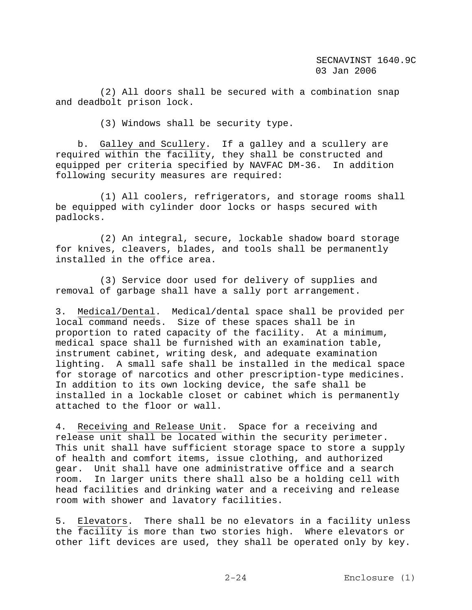(2) All doors shall be secured with a combination snap and deadbolt prison lock.

(3) Windows shall be security type.

 b. Galley and Scullery. If a galley and a scullery are required within the facility, they shall be constructed and equipped per criteria specified by NAVFAC DM-36. In addition following security measures are required:

 (1) All coolers, refrigerators, and storage rooms shall be equipped with cylinder door locks or hasps secured with padlocks.

 (2) An integral, secure, lockable shadow board storage for knives, cleavers, blades, and tools shall be permanently installed in the office area.

 (3) Service door used for delivery of supplies and removal of garbage shall have a sally port arrangement.

3. Medical/Dental. Medical/dental space shall be provided per local command needs. Size of these spaces shall be in proportion to rated capacity of the facility. At a minimum, medical space shall be furnished with an examination table, instrument cabinet, writing desk, and adequate examination lighting. A small safe shall be installed in the medical space for storage of narcotics and other prescription-type medicines. In addition to its own locking device, the safe shall be installed in a lockable closet or cabinet which is permanently attached to the floor or wall.

4. Receiving and Release Unit. Space for a receiving and release unit shall be located within the security perimeter. This unit shall have sufficient storage space to store a supply of health and comfort items, issue clothing, and authorized gear. Unit shall have one administrative office and a search room. In larger units there shall also be a holding cell with head facilities and drinking water and a receiving and release room with shower and lavatory facilities.

5. Elevators. There shall be no elevators in a facility unless the facility is more than two stories high. Where elevators or other lift devices are used, they shall be operated only by key.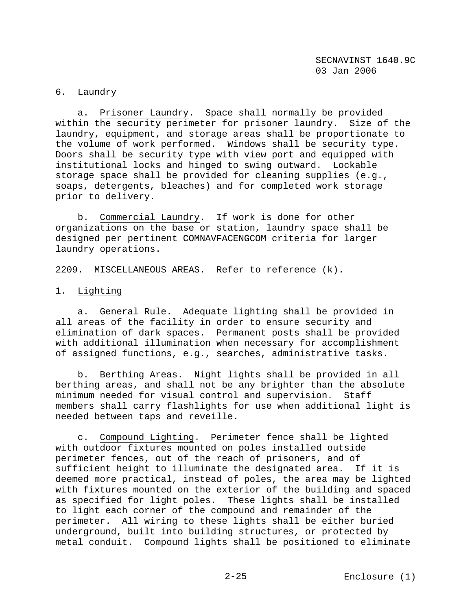# 6. Laundry

 a. Prisoner Laundry. Space shall normally be provided within the security perimeter for prisoner laundry. Size of the laundry, equipment, and storage areas shall be proportionate to the volume of work performed. Windows shall be security type. Doors shall be security type with view port and equipped with institutional locks and hinged to swing outward. Lockable storage space shall be provided for cleaning supplies (e.g., soaps, detergents, bleaches) and for completed work storage prior to delivery.

 b. Commercial Laundry. If work is done for other organizations on the base or station, laundry space shall be designed per pertinent COMNAVFACENGCOM criteria for larger laundry operations.

2209. MISCELLANEOUS AREAS. Refer to reference (k).

### 1. Lighting

 a. General Rule. Adequate lighting shall be provided in all areas of the facility in order to ensure security and elimination of dark spaces. Permanent posts shall be provided with additional illumination when necessary for accomplishment of assigned functions, e.g., searches, administrative tasks.

 b. Berthing Areas. Night lights shall be provided in all berthing areas, and shall not be any brighter than the absolute minimum needed for visual control and supervision. Staff members shall carry flashlights for use when additional light is needed between taps and reveille.

 c. Compound Lighting. Perimeter fence shall be lighted with outdoor fixtures mounted on poles installed outside perimeter fences, out of the reach of prisoners, and of sufficient height to illuminate the designated area. If it is deemed more practical, instead of poles, the area may be lighted with fixtures mounted on the exterior of the building and spaced as specified for light poles. These lights shall be installed to light each corner of the compound and remainder of the perimeter. All wiring to these lights shall be either buried underground, built into building structures, or protected by metal conduit. Compound lights shall be positioned to eliminate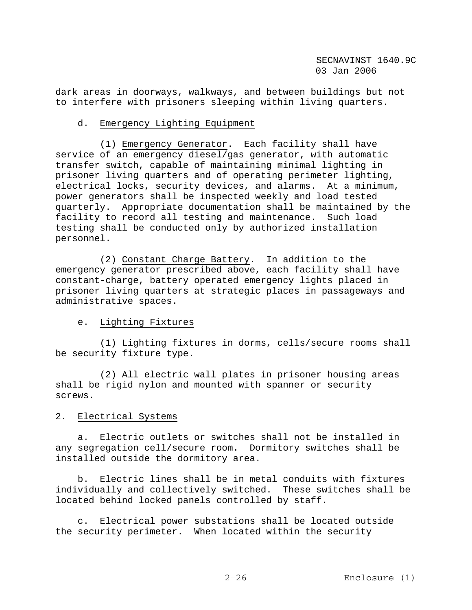dark areas in doorways, walkways, and between buildings but not to interfere with prisoners sleeping within living quarters.

### d. Emergency Lighting Equipment

 (1) Emergency Generator. Each facility shall have service of an emergency diesel/gas generator, with automatic transfer switch, capable of maintaining minimal lighting in prisoner living quarters and of operating perimeter lighting, electrical locks, security devices, and alarms. At a minimum, power generators shall be inspected weekly and load tested quarterly. Appropriate documentation shall be maintained by the facility to record all testing and maintenance. Such load testing shall be conducted only by authorized installation personnel.

 (2) Constant Charge Battery. In addition to the emergency generator prescribed above, each facility shall have constant-charge, battery operated emergency lights placed in prisoner living quarters at strategic places in passageways and administrative spaces.

# e. Lighting Fixtures

 (1) Lighting fixtures in dorms, cells/secure rooms shall be security fixture type.

 (2) All electric wall plates in prisoner housing areas shall be rigid nylon and mounted with spanner or security screws.

# 2. Electrical Systems

 a. Electric outlets or switches shall not be installed in any segregation cell/secure room. Dormitory switches shall be installed outside the dormitory area.

 b. Electric lines shall be in metal conduits with fixtures individually and collectively switched. These switches shall be located behind locked panels controlled by staff.

 c. Electrical power substations shall be located outside the security perimeter. When located within the security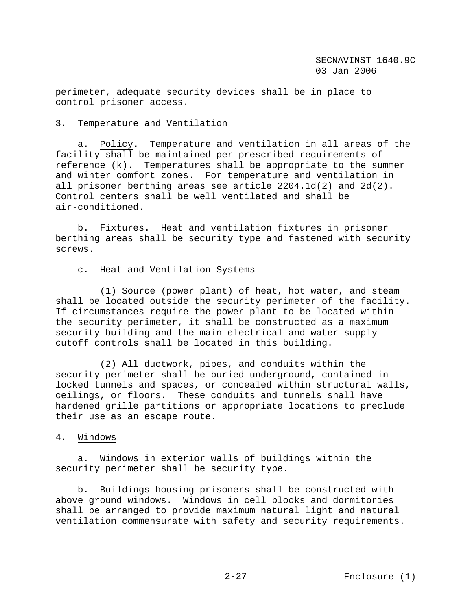perimeter, adequate security devices shall be in place to control prisoner access.

### 3. Temperature and Ventilation

 a. Policy. Temperature and ventilation in all areas of the facility shall be maintained per prescribed requirements of reference (k). Temperatures shall be appropriate to the summer and winter comfort zones. For temperature and ventilation in all prisoner berthing areas see article 2204.1d(2) and 2d(2). Control centers shall be well ventilated and shall be air-conditioned.

 b. Fixtures. Heat and ventilation fixtures in prisoner berthing areas shall be security type and fastened with security screws.

### c. Heat and Ventilation Systems

 (1) Source (power plant) of heat, hot water, and steam shall be located outside the security perimeter of the facility. If circumstances require the power plant to be located within the security perimeter, it shall be constructed as a maximum security building and the main electrical and water supply cutoff controls shall be located in this building.

 (2) All ductwork, pipes, and conduits within the security perimeter shall be buried underground, contained in locked tunnels and spaces, or concealed within structural walls, ceilings, or floors. These conduits and tunnels shall have hardened grille partitions or appropriate locations to preclude their use as an escape route.

# 4. Windows

 a. Windows in exterior walls of buildings within the security perimeter shall be security type.

 b. Buildings housing prisoners shall be constructed with above ground windows. Windows in cell blocks and dormitories shall be arranged to provide maximum natural light and natural ventilation commensurate with safety and security requirements.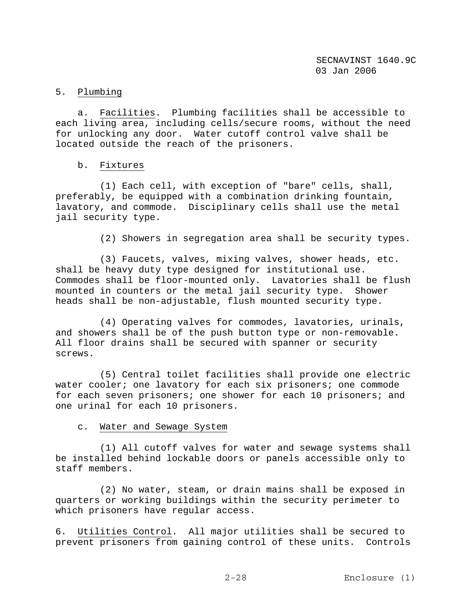# 5. Plumbing

 a. Facilities. Plumbing facilities shall be accessible to each living area, including cells/secure rooms, without the need for unlocking any door. Water cutoff control valve shall be located outside the reach of the prisoners.

### b. Fixtures

 (1) Each cell, with exception of "bare" cells, shall, preferably, be equipped with a combination drinking fountain, lavatory, and commode. Disciplinary cells shall use the metal jail security type.

(2) Showers in segregation area shall be security types.

 (3) Faucets, valves, mixing valves, shower heads, etc. shall be heavy duty type designed for institutional use. Commodes shall be floor-mounted only. Lavatories shall be flush mounted in counters or the metal jail security type. Shower heads shall be non-adjustable, flush mounted security type.

 (4) Operating valves for commodes, lavatories, urinals, and showers shall be of the push button type or non-removable. All floor drains shall be secured with spanner or security screws.

 (5) Central toilet facilities shall provide one electric water cooler; one lavatory for each six prisoners; one commode for each seven prisoners; one shower for each 10 prisoners; and one urinal for each 10 prisoners.

c. Water and Sewage System

 (1) All cutoff valves for water and sewage systems shall be installed behind lockable doors or panels accessible only to staff members.

 (2) No water, steam, or drain mains shall be exposed in quarters or working buildings within the security perimeter to which prisoners have regular access.

6. Utilities Control. All major utilities shall be secured to prevent prisoners from gaining control of these units. Controls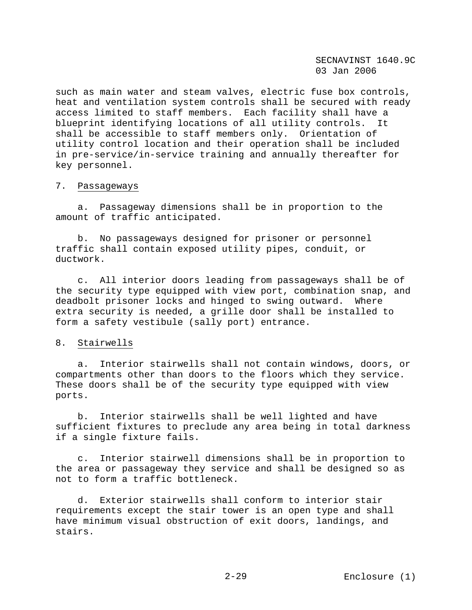SECNAVINST 1640.9C 03 Jan 2006

such as main water and steam valves, electric fuse box controls, heat and ventilation system controls shall be secured with ready access limited to staff members. Each facility shall have a blueprint identifying locations of all utility controls. It shall be accessible to staff members only. Orientation of utility control location and their operation shall be included in pre-service/in-service training and annually thereafter for key personnel.

#### 7. Passageways

 a. Passageway dimensions shall be in proportion to the amount of traffic anticipated.

 b. No passageways designed for prisoner or personnel traffic shall contain exposed utility pipes, conduit, or ductwork.

 c. All interior doors leading from passageways shall be of the security type equipped with view port, combination snap, and deadbolt prisoner locks and hinged to swing outward. Where extra security is needed, a grille door shall be installed to form a safety vestibule (sally port) entrance.

#### 8. Stairwells

 a. Interior stairwells shall not contain windows, doors, or compartments other than doors to the floors which they service. These doors shall be of the security type equipped with view ports.

 b. Interior stairwells shall be well lighted and have sufficient fixtures to preclude any area being in total darkness if a single fixture fails.

 c. Interior stairwell dimensions shall be in proportion to the area or passageway they service and shall be designed so as not to form a traffic bottleneck.

 d. Exterior stairwells shall conform to interior stair requirements except the stair tower is an open type and shall have minimum visual obstruction of exit doors, landings, and stairs.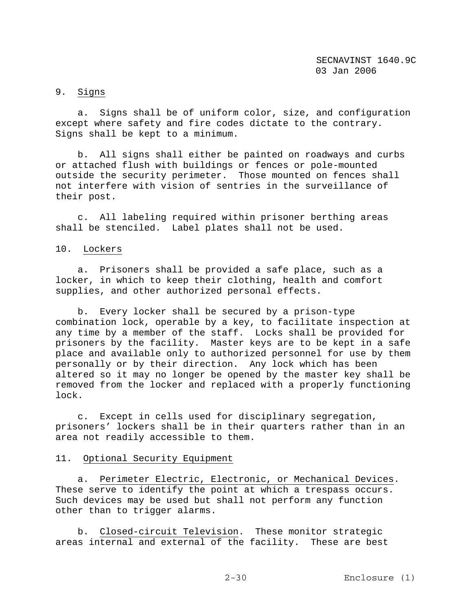# 9. Signs

 a. Signs shall be of uniform color, size, and configuration except where safety and fire codes dictate to the contrary. Signs shall be kept to a minimum.

 b. All signs shall either be painted on roadways and curbs or attached flush with buildings or fences or pole-mounted outside the security perimeter. Those mounted on fences shall not interfere with vision of sentries in the surveillance of their post.

 c. All labeling required within prisoner berthing areas shall be stenciled. Label plates shall not be used.

### 10. Lockers

 a. Prisoners shall be provided a safe place, such as a locker, in which to keep their clothing, health and comfort supplies, and other authorized personal effects.

 b. Every locker shall be secured by a prison-type combination lock, operable by a key, to facilitate inspection at any time by a member of the staff. Locks shall be provided for prisoners by the facility. Master keys are to be kept in a safe place and available only to authorized personnel for use by them personally or by their direction. Any lock which has been altered so it may no longer be opened by the master key shall be removed from the locker and replaced with a properly functioning lock.

 c. Except in cells used for disciplinary segregation, prisoners' lockers shall be in their quarters rather than in an area not readily accessible to them.

### 11. Optional Security Equipment

 a. Perimeter Electric, Electronic, or Mechanical Devices. These serve to identify the point at which a trespass occurs. Such devices may be used but shall not perform any function other than to trigger alarms.

 b. Closed-circuit Television. These monitor strategic areas internal and external of the facility. These are best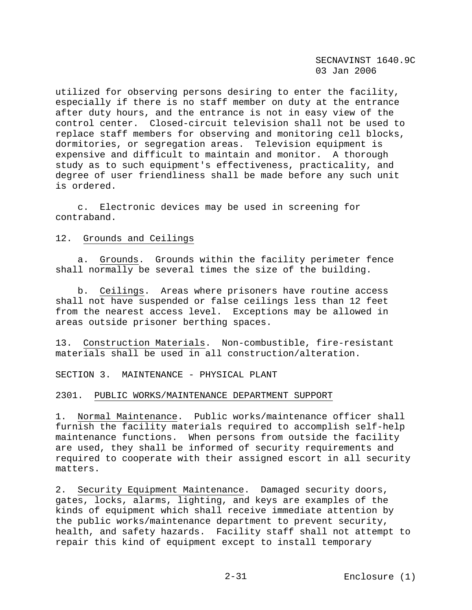SECNAVINST 1640.9C 03 Jan 2006

utilized for observing persons desiring to enter the facility, especially if there is no staff member on duty at the entrance after duty hours, and the entrance is not in easy view of the control center. Closed-circuit television shall not be used to replace staff members for observing and monitoring cell blocks, dormitories, or segregation areas. Television equipment is expensive and difficult to maintain and monitor. A thorough study as to such equipment's effectiveness, practicality, and degree of user friendliness shall be made before any such unit is ordered.

 c. Electronic devices may be used in screening for contraband.

#### 12. Grounds and Ceilings

 a. Grounds. Grounds within the facility perimeter fence shall normally be several times the size of the building.

 b. Ceilings. Areas where prisoners have routine access shall not have suspended or false ceilings less than 12 feet from the nearest access level. Exceptions may be allowed in areas outside prisoner berthing spaces.

13. Construction Materials. Non-combustible, fire-resistant materials shall be used in all construction/alteration.

SECTION 3. MAINTENANCE - PHYSICAL PLANT

#### 2301. PUBLIC WORKS/MAINTENANCE DEPARTMENT SUPPORT

1. Normal Maintenance. Public works/maintenance officer shall furnish the facility materials required to accomplish self-help maintenance functions. When persons from outside the facility are used, they shall be informed of security requirements and required to cooperate with their assigned escort in all security matters.

2. Security Equipment Maintenance. Damaged security doors, gates, locks, alarms, lighting, and keys are examples of the kinds of equipment which shall receive immediate attention by the public works/maintenance department to prevent security, health, and safety hazards. Facility staff shall not attempt to repair this kind of equipment except to install temporary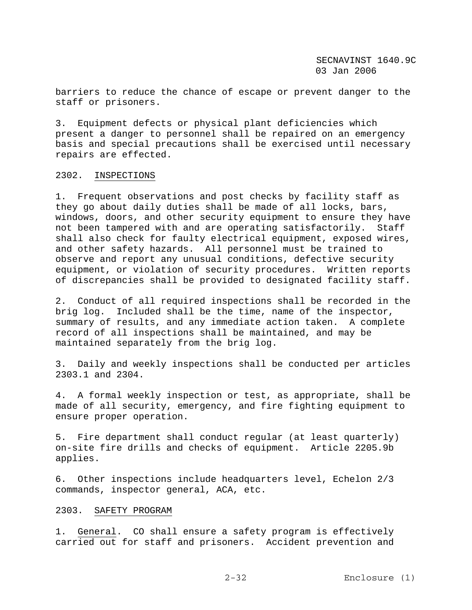barriers to reduce the chance of escape or prevent danger to the staff or prisoners.

3. Equipment defects or physical plant deficiencies which present a danger to personnel shall be repaired on an emergency basis and special precautions shall be exercised until necessary repairs are effected.

### 2302. INSPECTIONS

1. Frequent observations and post checks by facility staff as they go about daily duties shall be made of all locks, bars, windows, doors, and other security equipment to ensure they have not been tampered with and are operating satisfactorily. Staff shall also check for faulty electrical equipment, exposed wires, and other safety hazards. All personnel must be trained to observe and report any unusual conditions, defective security equipment, or violation of security procedures. Written reports of discrepancies shall be provided to designated facility staff.

2. Conduct of all required inspections shall be recorded in the brig log. Included shall be the time, name of the inspector, summary of results, and any immediate action taken. A complete record of all inspections shall be maintained, and may be maintained separately from the brig log.

3. Daily and weekly inspections shall be conducted per articles 2303.1 and 2304.

4. A formal weekly inspection or test, as appropriate, shall be made of all security, emergency, and fire fighting equipment to ensure proper operation.

5. Fire department shall conduct regular (at least quarterly) on-site fire drills and checks of equipment. Article 2205.9b applies.

6. Other inspections include headquarters level, Echelon 2/3 commands, inspector general, ACA, etc.

### 2303. SAFETY PROGRAM

1. General. CO shall ensure a safety program is effectively carried out for staff and prisoners. Accident prevention and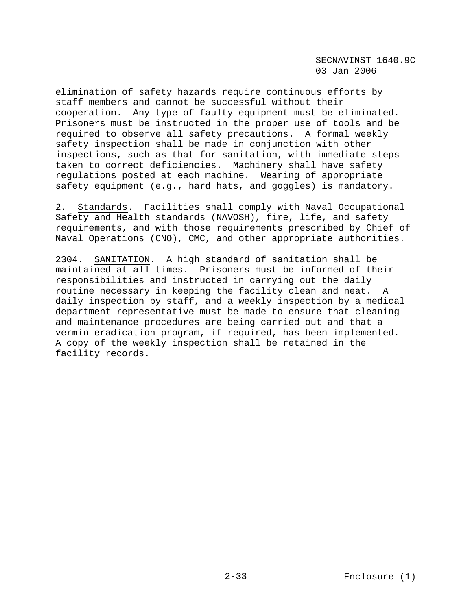SECNAVINST 1640.9C 03 Jan 2006

elimination of safety hazards require continuous efforts by staff members and cannot be successful without their cooperation. Any type of faulty equipment must be eliminated. Prisoners must be instructed in the proper use of tools and be required to observe all safety precautions. A formal weekly safety inspection shall be made in conjunction with other inspections, such as that for sanitation, with immediate steps taken to correct deficiencies. Machinery shall have safety regulations posted at each machine. Wearing of appropriate safety equipment (e.g., hard hats, and goggles) is mandatory.

2. Standards. Facilities shall comply with Naval Occupational Safety and Health standards (NAVOSH), fire, life, and safety requirements, and with those requirements prescribed by Chief of Naval Operations (CNO), CMC, and other appropriate authorities.

2304. SANITATION. A high standard of sanitation shall be maintained at all times. Prisoners must be informed of their responsibilities and instructed in carrying out the daily routine necessary in keeping the facility clean and neat. A daily inspection by staff, and a weekly inspection by a medical department representative must be made to ensure that cleaning and maintenance procedures are being carried out and that a vermin eradication program, if required, has been implemented. A copy of the weekly inspection shall be retained in the facility records.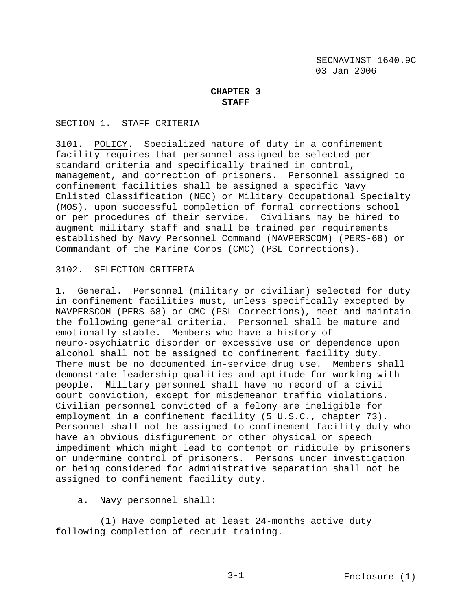# **CHAPTER 3 STAFF**

### SECTION 1. STAFF CRITERIA

3101. POLICY. Specialized nature of duty in a confinement facility requires that personnel assigned be selected per standard criteria and specifically trained in control, management, and correction of prisoners. Personnel assigned to confinement facilities shall be assigned a specific Navy Enlisted Classification (NEC) or Military Occupational Specialty (MOS), upon successful completion of formal corrections school or per procedures of their service. Civilians may be hired to augment military staff and shall be trained per requirements established by Navy Personnel Command (NAVPERSCOM) (PERS-68) or Commandant of the Marine Corps (CMC) (PSL Corrections).

### 3102. SELECTION CRITERIA

1. General. Personnel (military or civilian) selected for duty in confinement facilities must, unless specifically excepted by NAVPERSCOM (PERS-68) or CMC (PSL Corrections), meet and maintain the following general criteria. Personnel shall be mature and emotionally stable. Members who have a history of neuro-psychiatric disorder or excessive use or dependence upon alcohol shall not be assigned to confinement facility duty. There must be no documented in-service drug use. Members shall demonstrate leadership qualities and aptitude for working with people. Military personnel shall have no record of a civil court conviction, except for misdemeanor traffic violations. Civilian personnel convicted of a felony are ineligible for employment in a confinement facility (5 U.S.C., chapter 73). Personnel shall not be assigned to confinement facility duty who have an obvious disfigurement or other physical or speech impediment which might lead to contempt or ridicule by prisoners or undermine control of prisoners. Persons under investigation or being considered for administrative separation shall not be assigned to confinement facility duty.

### a. Navy personnel shall:

 (1) Have completed at least 24-months active duty following completion of recruit training.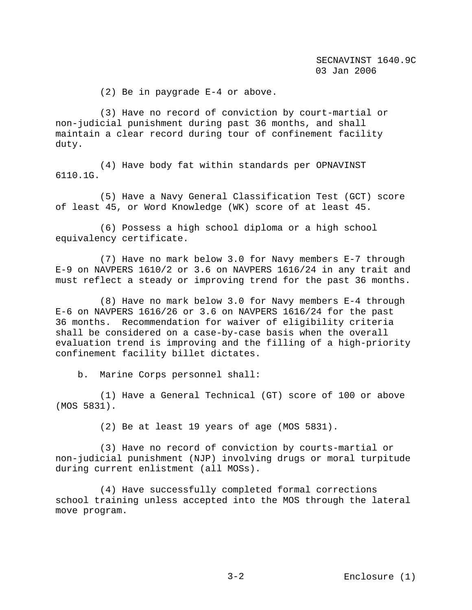(2) Be in paygrade E-4 or above.

 (3) Have no record of conviction by court-martial or non-judicial punishment during past 36 months, and shall maintain a clear record during tour of confinement facility duty.

 (4) Have body fat within standards per OPNAVINST 6110.1G.

 (5) Have a Navy General Classification Test (GCT) score of least 45, or Word Knowledge (WK) score of at least 45.

 (6) Possess a high school diploma or a high school equivalency certificate.

 (7) Have no mark below 3.0 for Navy members E-7 through E-9 on NAVPERS 1610/2 or 3.6 on NAVPERS 1616/24 in any trait and must reflect a steady or improving trend for the past 36 months.

 (8) Have no mark below 3.0 for Navy members E-4 through E-6 on NAVPERS 1616/26 or 3.6 on NAVPERS 1616/24 for the past 36 months. Recommendation for waiver of eligibility criteria shall be considered on a case-by-case basis when the overall evaluation trend is improving and the filling of a high-priority confinement facility billet dictates.

b. Marine Corps personnel shall:

 (1) Have a General Technical (GT) score of 100 or above (MOS 5831).

(2) Be at least 19 years of age (MOS 5831).

 (3) Have no record of conviction by courts-martial or non-judicial punishment (NJP) involving drugs or moral turpitude during current enlistment (all MOSs).

 (4) Have successfully completed formal corrections school training unless accepted into the MOS through the lateral move program.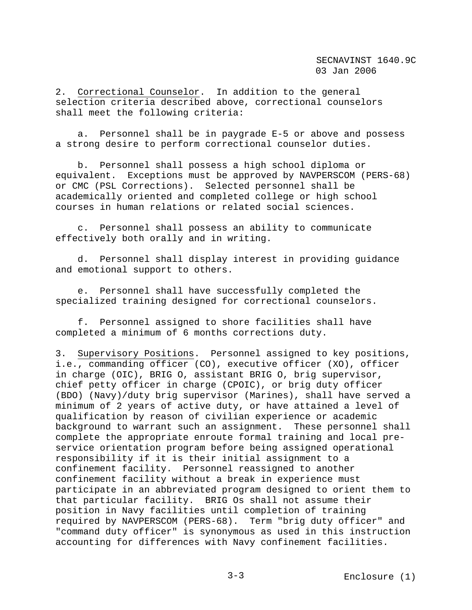2. Correctional Counselor. In addition to the general selection criteria described above, correctional counselors shall meet the following criteria:

 a. Personnel shall be in paygrade E-5 or above and possess a strong desire to perform correctional counselor duties.

 b. Personnel shall possess a high school diploma or equivalent. Exceptions must be approved by NAVPERSCOM (PERS-68) or CMC (PSL Corrections). Selected personnel shall be academically oriented and completed college or high school courses in human relations or related social sciences.

 c. Personnel shall possess an ability to communicate effectively both orally and in writing.

 d. Personnel shall display interest in providing guidance and emotional support to others.

 e. Personnel shall have successfully completed the specialized training designed for correctional counselors.

 f. Personnel assigned to shore facilities shall have completed a minimum of 6 months corrections duty.

3. Supervisory Positions. Personnel assigned to key positions, i.e., commanding officer (CO), executive officer (XO), officer in charge (OIC), BRIG O, assistant BRIG O, brig supervisor, chief petty officer in charge (CPOIC), or brig duty officer (BDO) (Navy)/duty brig supervisor (Marines), shall have served a minimum of 2 years of active duty, or have attained a level of qualification by reason of civilian experience or academic background to warrant such an assignment. These personnel shall complete the appropriate enroute formal training and local preservice orientation program before being assigned operational responsibility if it is their initial assignment to a confinement facility. Personnel reassigned to another confinement facility without a break in experience must participate in an abbreviated program designed to orient them to that particular facility. BRIG Os shall not assume their position in Navy facilities until completion of training required by NAVPERSCOM (PERS-68). Term "brig duty officer" and "command duty officer" is synonymous as used in this instruction accounting for differences with Navy confinement facilities.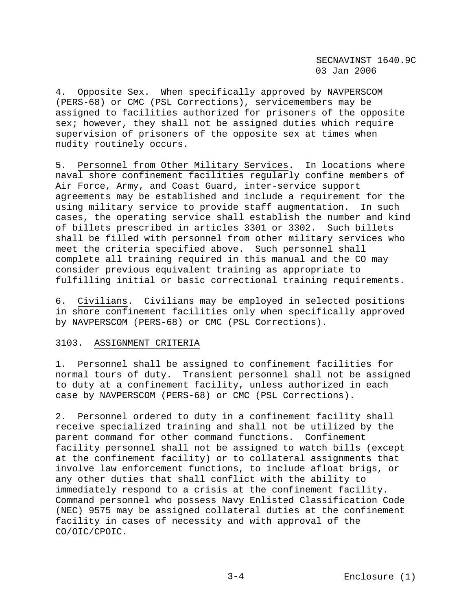4. Opposite Sex. When specifically approved by NAVPERSCOM (PERS-68) or CMC (PSL Corrections), servicemembers may be assigned to facilities authorized for prisoners of the opposite sex; however, they shall not be assigned duties which require supervision of prisoners of the opposite sex at times when nudity routinely occurs.

5. Personnel from Other Military Services. In locations where naval shore confinement facilities regularly confine members of Air Force, Army, and Coast Guard, inter-service support agreements may be established and include a requirement for the using military service to provide staff augmentation. In such cases, the operating service shall establish the number and kind of billets prescribed in articles 3301 or 3302. Such billets shall be filled with personnel from other military services who meet the criteria specified above. Such personnel shall complete all training required in this manual and the CO may consider previous equivalent training as appropriate to fulfilling initial or basic correctional training requirements.

6. Civilians. Civilians may be employed in selected positions in shore confinement facilities only when specifically approved by NAVPERSCOM (PERS-68) or CMC (PSL Corrections).

### 3103. ASSIGNMENT CRITERIA

1. Personnel shall be assigned to confinement facilities for normal tours of duty. Transient personnel shall not be assigned to duty at a confinement facility, unless authorized in each case by NAVPERSCOM (PERS-68) or CMC (PSL Corrections).

2. Personnel ordered to duty in a confinement facility shall receive specialized training and shall not be utilized by the parent command for other command functions. Confinement facility personnel shall not be assigned to watch bills (except at the confinement facility) or to collateral assignments that involve law enforcement functions, to include afloat brigs, or any other duties that shall conflict with the ability to immediately respond to a crisis at the confinement facility. Command personnel who possess Navy Enlisted Classification Code (NEC) 9575 may be assigned collateral duties at the confinement facility in cases of necessity and with approval of the CO/OIC/CPOIC.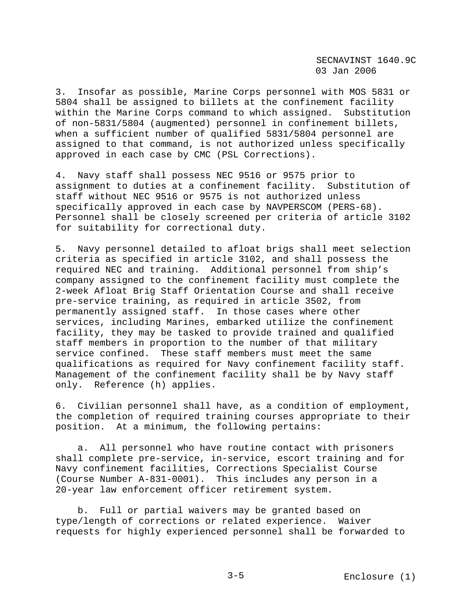3. Insofar as possible, Marine Corps personnel with MOS 5831 or 5804 shall be assigned to billets at the confinement facility within the Marine Corps command to which assigned. Substitution of non-5831/5804 (augmented) personnel in confinement billets, when a sufficient number of qualified 5831/5804 personnel are assigned to that command, is not authorized unless specifically approved in each case by CMC (PSL Corrections).

4. Navy staff shall possess NEC 9516 or 9575 prior to assignment to duties at a confinement facility. Substitution of staff without NEC 9516 or 9575 is not authorized unless specifically approved in each case by NAVPERSCOM (PERS-68). Personnel shall be closely screened per criteria of article 3102 for suitability for correctional duty.

5. Navy personnel detailed to afloat brigs shall meet selection criteria as specified in article 3102, and shall possess the required NEC and training. Additional personnel from ship's company assigned to the confinement facility must complete the 2-week Afloat Brig Staff Orientation Course and shall receive pre-service training, as required in article 3502, from permanently assigned staff. In those cases where other services, including Marines, embarked utilize the confinement facility, they may be tasked to provide trained and qualified staff members in proportion to the number of that military service confined. These staff members must meet the same qualifications as required for Navy confinement facility staff. Management of the confinement facility shall be by Navy staff only. Reference (h) applies.

6. Civilian personnel shall have, as a condition of employment, the completion of required training courses appropriate to their position. At a minimum, the following pertains:

 a. All personnel who have routine contact with prisoners shall complete pre-service, in-service, escort training and for Navy confinement facilities, Corrections Specialist Course (Course Number A-831-0001). This includes any person in a 20-year law enforcement officer retirement system.

 b. Full or partial waivers may be granted based on type/length of corrections or related experience. Waiver requests for highly experienced personnel shall be forwarded to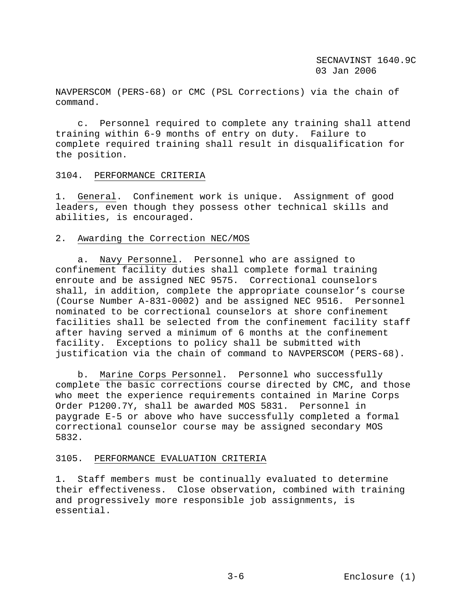NAVPERSCOM (PERS-68) or CMC (PSL Corrections) via the chain of command.

 c. Personnel required to complete any training shall attend training within 6-9 months of entry on duty. Failure to complete required training shall result in disqualification for the position.

### 3104. PERFORMANCE CRITERIA

1. General. Confinement work is unique. Assignment of good leaders, even though they possess other technical skills and abilities, is encouraged.

### 2. Awarding the Correction NEC/MOS

 a. Navy Personnel. Personnel who are assigned to confinement facility duties shall complete formal training enroute and be assigned NEC 9575. Correctional counselors shall, in addition, complete the appropriate counselor's course (Course Number A-831-0002) and be assigned NEC 9516. Personnel nominated to be correctional counselors at shore confinement facilities shall be selected from the confinement facility staff after having served a minimum of 6 months at the confinement facility. Exceptions to policy shall be submitted with justification via the chain of command to NAVPERSCOM (PERS-68).

 b. Marine Corps Personnel. Personnel who successfully complete the basic corrections course directed by CMC, and those who meet the experience requirements contained in Marine Corps Order P1200.7Y, shall be awarded MOS 5831. Personnel in paygrade E-5 or above who have successfully completed a formal correctional counselor course may be assigned secondary MOS 5832.

### 3105. PERFORMANCE EVALUATION CRITERIA

1. Staff members must be continually evaluated to determine their effectiveness. Close observation, combined with training and progressively more responsible job assignments, is essential.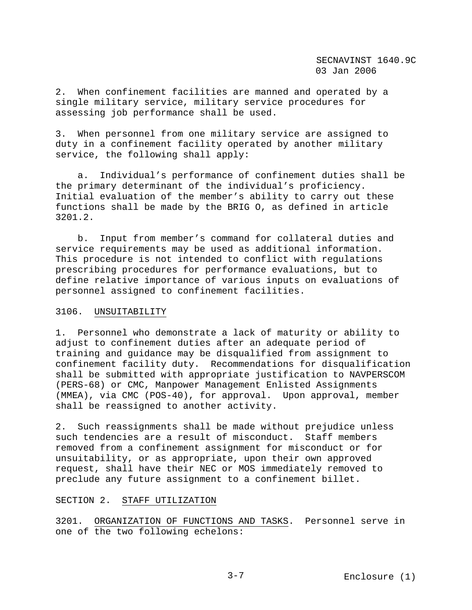2. When confinement facilities are manned and operated by a single military service, military service procedures for assessing job performance shall be used.

3. When personnel from one military service are assigned to duty in a confinement facility operated by another military service, the following shall apply:

 a. Individual's performance of confinement duties shall be the primary determinant of the individual's proficiency. Initial evaluation of the member's ability to carry out these functions shall be made by the BRIG O, as defined in article 3201.2.

 b. Input from member's command for collateral duties and service requirements may be used as additional information. This procedure is not intended to conflict with regulations prescribing procedures for performance evaluations, but to define relative importance of various inputs on evaluations of personnel assigned to confinement facilities.

### 3106. UNSUITABILITY

1. Personnel who demonstrate a lack of maturity or ability to adjust to confinement duties after an adequate period of training and guidance may be disqualified from assignment to confinement facility duty. Recommendations for disqualification shall be submitted with appropriate justification to NAVPERSCOM (PERS-68) or CMC, Manpower Management Enlisted Assignments (MMEA), via CMC (POS-40), for approval. Upon approval, member shall be reassigned to another activity.

2. Such reassignments shall be made without prejudice unless such tendencies are a result of misconduct. Staff members removed from a confinement assignment for misconduct or for unsuitability, or as appropriate, upon their own approved request, shall have their NEC or MOS immediately removed to preclude any future assignment to a confinement billet.

## SECTION 2. STAFF UTILIZATION

3201. ORGANIZATION OF FUNCTIONS AND TASKS. Personnel serve in one of the two following echelons: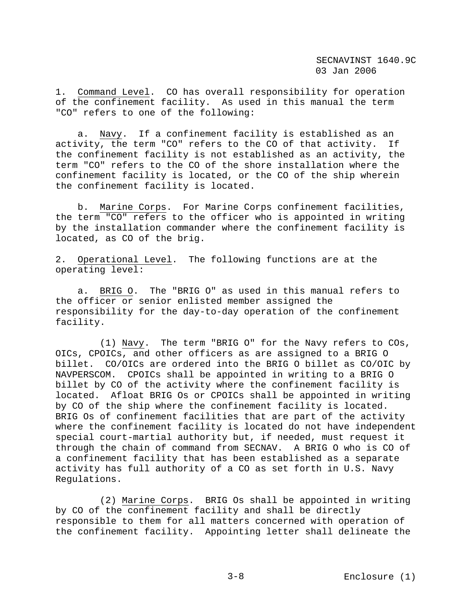1. Command Level. CO has overall responsibility for operation of the confinement facility. As used in this manual the term "CO" refers to one of the following:

 a. Navy. If a confinement facility is established as an activity, the term "CO" refers to the CO of that activity. If the confinement facility is not established as an activity, the term "CO" refers to the CO of the shore installation where the confinement facility is located, or the CO of the ship wherein the confinement facility is located.

 b. Marine Corps. For Marine Corps confinement facilities, the term "CO" refers to the officer who is appointed in writing by the installation commander where the confinement facility is located, as CO of the brig.

2. Operational Level. The following functions are at the operating level:

 a. BRIG O. The "BRIG O" as used in this manual refers to the officer or senior enlisted member assigned the responsibility for the day-to-day operation of the confinement facility.

 (1) Navy. The term "BRIG O" for the Navy refers to COs, OICs, CPOICs, and other officers as are assigned to a BRIG O billet. CO/OICs are ordered into the BRIG O billet as CO/OIC by NAVPERSCOM. CPOICs shall be appointed in writing to a BRIG O billet by CO of the activity where the confinement facility is located. Afloat BRIG Os or CPOICs shall be appointed in writing by CO of the ship where the confinement facility is located. BRIG Os of confinement facilities that are part of the activity where the confinement facility is located do not have independent special court-martial authority but, if needed, must request it through the chain of command from SECNAV. A BRIG O who is CO of a confinement facility that has been established as a separate activity has full authority of a CO as set forth in U.S. Navy Regulations.

 (2) Marine Corps. BRIG Os shall be appointed in writing by CO of the confinement facility and shall be directly responsible to them for all matters concerned with operation of the confinement facility. Appointing letter shall delineate the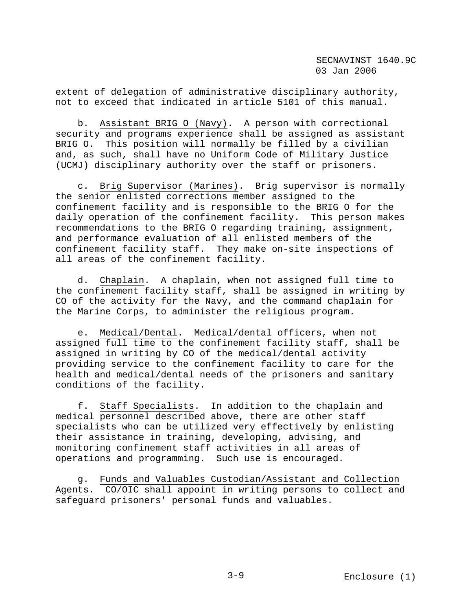extent of delegation of administrative disciplinary authority, not to exceed that indicated in article 5101 of this manual.

 b. Assistant BRIG O (Navy). A person with correctional security and programs experience shall be assigned as assistant BRIG O. This position will normally be filled by a civilian and, as such, shall have no Uniform Code of Military Justice (UCMJ) disciplinary authority over the staff or prisoners.

 c. Brig Supervisor (Marines). Brig supervisor is normally the senior enlisted corrections member assigned to the confinement facility and is responsible to the BRIG O for the daily operation of the confinement facility. This person makes recommendations to the BRIG O regarding training, assignment, and performance evaluation of all enlisted members of the confinement facility staff. They make on-site inspections of all areas of the confinement facility.

 d. Chaplain. A chaplain, when not assigned full time to the confinement facility staff, shall be assigned in writing by CO of the activity for the Navy, and the command chaplain for the Marine Corps, to administer the religious program.

 e. Medical/Dental. Medical/dental officers, when not assigned full time to the confinement facility staff, shall be assigned in writing by CO of the medical/dental activity providing service to the confinement facility to care for the health and medical/dental needs of the prisoners and sanitary conditions of the facility.

 f. Staff Specialists. In addition to the chaplain and medical personnel described above, there are other staff specialists who can be utilized very effectively by enlisting their assistance in training, developing, advising, and monitoring confinement staff activities in all areas of operations and programming. Such use is encouraged.

 g. Funds and Valuables Custodian/Assistant and Collection Agents. CO/OIC shall appoint in writing persons to collect and safeguard prisoners' personal funds and valuables.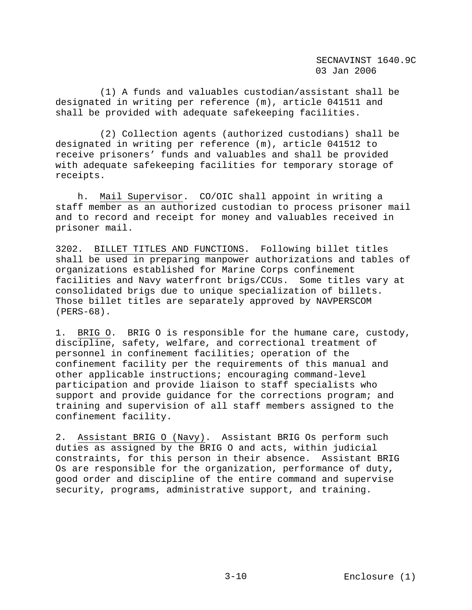(1) A funds and valuables custodian/assistant shall be designated in writing per reference (m), article 041511 and shall be provided with adequate safekeeping facilities.

 (2) Collection agents (authorized custodians) shall be designated in writing per reference (m), article 041512 to receive prisoners' funds and valuables and shall be provided with adequate safekeeping facilities for temporary storage of receipts.

 h. Mail Supervisor. CO/OIC shall appoint in writing a staff member as an authorized custodian to process prisoner mail and to record and receipt for money and valuables received in prisoner mail.

3202. BILLET TITLES AND FUNCTIONS. Following billet titles shall be used in preparing manpower authorizations and tables of organizations established for Marine Corps confinement facilities and Navy waterfront brigs/CCUs. Some titles vary at consolidated brigs due to unique specialization of billets. Those billet titles are separately approved by NAVPERSCOM (PERS-68).

1. BRIG O. BRIG O is responsible for the humane care, custody, discipline, safety, welfare, and correctional treatment of personnel in confinement facilities; operation of the confinement facility per the requirements of this manual and other applicable instructions; encouraging command-level participation and provide liaison to staff specialists who support and provide guidance for the corrections program; and training and supervision of all staff members assigned to the confinement facility.

2. Assistant BRIG O (Navy). Assistant BRIG Os perform such duties as assigned by the BRIG O and acts, within judicial constraints, for this person in their absence. Assistant BRIG Os are responsible for the organization, performance of duty, good order and discipline of the entire command and supervise security, programs, administrative support, and training.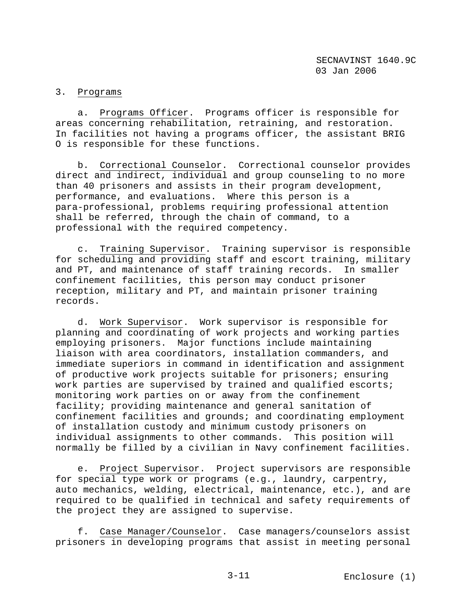# 3. Programs

 a. Programs Officer. Programs officer is responsible for areas concerning rehabilitation, retraining, and restoration. In facilities not having a programs officer, the assistant BRIG O is responsible for these functions.

 b. Correctional Counselor. Correctional counselor provides direct and indirect, individual and group counseling to no more than 40 prisoners and assists in their program development, performance, and evaluations. Where this person is a para-professional, problems requiring professional attention shall be referred, through the chain of command, to a professional with the required competency.

 c. Training Supervisor. Training supervisor is responsible for scheduling and providing staff and escort training, military and PT, and maintenance of staff training records. In smaller confinement facilities, this person may conduct prisoner reception, military and PT, and maintain prisoner training records.

 d. Work Supervisor. Work supervisor is responsible for planning and coordinating of work projects and working parties employing prisoners. Major functions include maintaining liaison with area coordinators, installation commanders, and immediate superiors in command in identification and assignment of productive work projects suitable for prisoners; ensuring work parties are supervised by trained and qualified escorts; monitoring work parties on or away from the confinement facility; providing maintenance and general sanitation of confinement facilities and grounds; and coordinating employment of installation custody and minimum custody prisoners on individual assignments to other commands. This position will normally be filled by a civilian in Navy confinement facilities.

Project Supervisor. Project supervisors are responsible for special type work or programs (e.g., laundry, carpentry, auto mechanics, welding, electrical, maintenance, etc.), and are required to be qualified in technical and safety requirements of the project they are assigned to supervise.

 f. Case Manager/Counselor. Case managers/counselors assist prisoners in developing programs that assist in meeting personal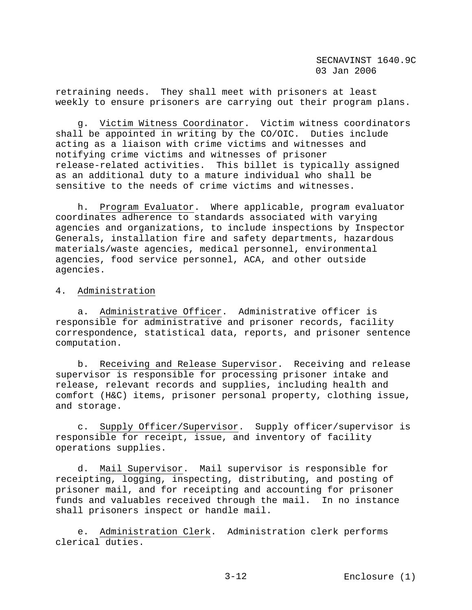retraining needs. They shall meet with prisoners at least weekly to ensure prisoners are carrying out their program plans.

 g. Victim Witness Coordinator. Victim witness coordinators shall be appointed in writing by the CO/OIC. Duties include acting as a liaison with crime victims and witnesses and notifying crime victims and witnesses of prisoner release-related activities. This billet is typically assigned as an additional duty to a mature individual who shall be sensitive to the needs of crime victims and witnesses.

 h. Program Evaluator. Where applicable, program evaluator coordinates adherence to standards associated with varying agencies and organizations, to include inspections by Inspector Generals, installation fire and safety departments, hazardous materials/waste agencies, medical personnel, environmental agencies, food service personnel, ACA, and other outside agencies.

4. Administration

 a. Administrative Officer. Administrative officer is responsible for administrative and prisoner records, facility correspondence, statistical data, reports, and prisoner sentence computation.

 b. Receiving and Release Supervisor. Receiving and release supervisor is responsible for processing prisoner intake and release, relevant records and supplies, including health and comfort (H&C) items, prisoner personal property, clothing issue, and storage.

 c. Supply Officer/Supervisor. Supply officer/supervisor is responsible for receipt, issue, and inventory of facility operations supplies.

 d. Mail Supervisor. Mail supervisor is responsible for receipting, logging, inspecting, distributing, and posting of prisoner mail, and for receipting and accounting for prisoner funds and valuables received through the mail. In no instance shall prisoners inspect or handle mail.

 e. Administration Clerk. Administration clerk performs clerical duties.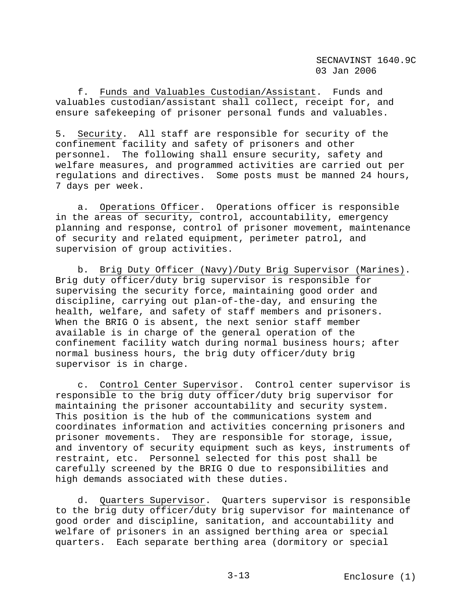f. Funds and Valuables Custodian/Assistant. Funds and valuables custodian/assistant shall collect, receipt for, and ensure safekeeping of prisoner personal funds and valuables.

5. Security. All staff are responsible for security of the confinement facility and safety of prisoners and other personnel. The following shall ensure security, safety and welfare measures, and programmed activities are carried out per regulations and directives. Some posts must be manned 24 hours, 7 days per week.

 a. Operations Officer. Operations officer is responsible in the areas of security, control, accountability, emergency planning and response, control of prisoner movement, maintenance of security and related equipment, perimeter patrol, and supervision of group activities.

 b. Brig Duty Officer (Navy)/Duty Brig Supervisor (Marines). Brig duty officer/duty brig supervisor is responsible for supervising the security force, maintaining good order and discipline, carrying out plan-of-the-day, and ensuring the health, welfare, and safety of staff members and prisoners. When the BRIG O is absent, the next senior staff member available is in charge of the general operation of the confinement facility watch during normal business hours; after normal business hours, the brig duty officer/duty brig supervisor is in charge.

 c. Control Center Supervisor. Control center supervisor is responsible to the brig duty officer/duty brig supervisor for maintaining the prisoner accountability and security system. This position is the hub of the communications system and coordinates information and activities concerning prisoners and prisoner movements. They are responsible for storage, issue, and inventory of security equipment such as keys, instruments of restraint, etc. Personnel selected for this post shall be carefully screened by the BRIG O due to responsibilities and high demands associated with these duties.

 d. Quarters Supervisor. Quarters supervisor is responsible to the brig duty officer/duty brig supervisor for maintenance of good order and discipline, sanitation, and accountability and welfare of prisoners in an assigned berthing area or special quarters. Each separate berthing area (dormitory or special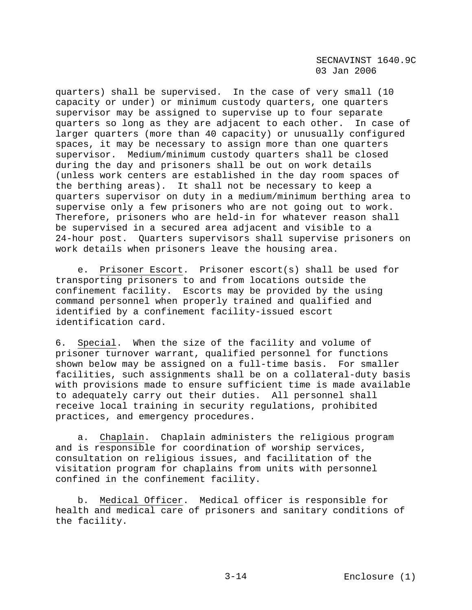quarters) shall be supervised. In the case of very small (10 capacity or under) or minimum custody quarters, one quarters supervisor may be assigned to supervise up to four separate quarters so long as they are adjacent to each other. In case of larger quarters (more than 40 capacity) or unusually configured spaces, it may be necessary to assign more than one quarters supervisor. Medium/minimum custody quarters shall be closed during the day and prisoners shall be out on work details (unless work centers are established in the day room spaces of the berthing areas). It shall not be necessary to keep a quarters supervisor on duty in a medium/minimum berthing area to supervise only a few prisoners who are not going out to work. Therefore, prisoners who are held-in for whatever reason shall be supervised in a secured area adjacent and visible to a 24-hour post. Quarters supervisors shall supervise prisoners on work details when prisoners leave the housing area.

 e. Prisoner Escort. Prisoner escort(s) shall be used for transporting prisoners to and from locations outside the confinement facility. Escorts may be provided by the using command personnel when properly trained and qualified and identified by a confinement facility-issued escort identification card.

6. Special. When the size of the facility and volume of prisoner turnover warrant, qualified personnel for functions shown below may be assigned on a full-time basis. For smaller facilities, such assignments shall be on a collateral-duty basis with provisions made to ensure sufficient time is made available to adequately carry out their duties. All personnel shall receive local training in security regulations, prohibited practices, and emergency procedures.

 a. Chaplain. Chaplain administers the religious program and is responsible for coordination of worship services, consultation on religious issues, and facilitation of the visitation program for chaplains from units with personnel confined in the confinement facility.

 b. Medical Officer. Medical officer is responsible for health and medical care of prisoners and sanitary conditions of the facility.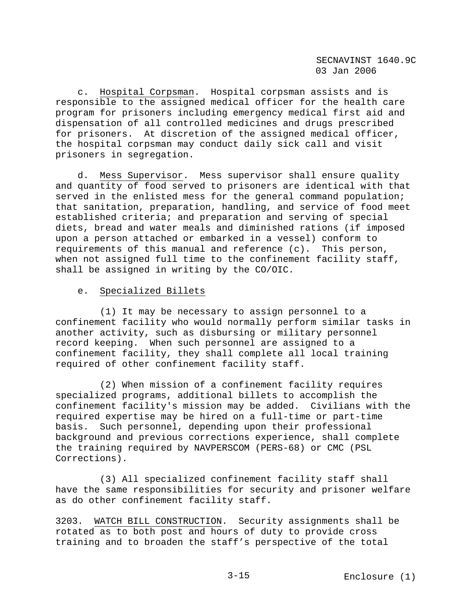c. Hospital Corpsman. Hospital corpsman assists and is responsible to the assigned medical officer for the health care program for prisoners including emergency medical first aid and dispensation of all controlled medicines and drugs prescribed for prisoners. At discretion of the assigned medical officer, the hospital corpsman may conduct daily sick call and visit prisoners in segregation.

 d. Mess Supervisor. Mess supervisor shall ensure quality and quantity of food served to prisoners are identical with that served in the enlisted mess for the general command population; that sanitation, preparation, handling, and service of food meet established criteria; and preparation and serving of special diets, bread and water meals and diminished rations (if imposed upon a person attached or embarked in a vessel) conform to requirements of this manual and reference (c). This person, when not assigned full time to the confinement facility staff, shall be assigned in writing by the CO/OIC.

# e. Specialized Billets

 (1) It may be necessary to assign personnel to a confinement facility who would normally perform similar tasks in another activity, such as disbursing or military personnel record keeping. When such personnel are assigned to a confinement facility, they shall complete all local training required of other confinement facility staff.

 (2) When mission of a confinement facility requires specialized programs, additional billets to accomplish the confinement facility's mission may be added. Civilians with the required expertise may be hired on a full-time or part-time basis. Such personnel, depending upon their professional background and previous corrections experience, shall complete the training required by NAVPERSCOM (PERS-68) or CMC (PSL Corrections).

 (3) All specialized confinement facility staff shall have the same responsibilities for security and prisoner welfare as do other confinement facility staff.

3203. WATCH BILL CONSTRUCTION. Security assignments shall be rotated as to both post and hours of duty to provide cross training and to broaden the staff's perspective of the total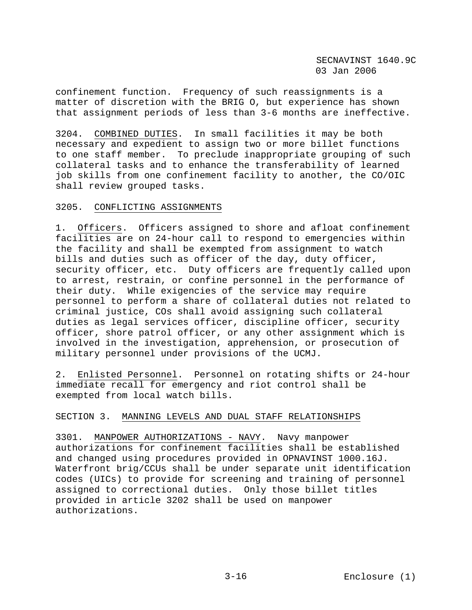confinement function. Frequency of such reassignments is a matter of discretion with the BRIG O, but experience has shown that assignment periods of less than 3-6 months are ineffective.

3204. COMBINED DUTIES. In small facilities it may be both necessary and expedient to assign two or more billet functions to one staff member. To preclude inappropriate grouping of such collateral tasks and to enhance the transferability of learned job skills from one confinement facility to another, the CO/OIC shall review grouped tasks.

## 3205. CONFLICTING ASSIGNMENTS

1. Officers. Officers assigned to shore and afloat confinement facilities are on 24-hour call to respond to emergencies within the facility and shall be exempted from assignment to watch bills and duties such as officer of the day, duty officer, security officer, etc. Duty officers are frequently called upon to arrest, restrain, or confine personnel in the performance of their duty. While exigencies of the service may require personnel to perform a share of collateral duties not related to criminal justice, COs shall avoid assigning such collateral duties as legal services officer, discipline officer, security officer, shore patrol officer, or any other assignment which is involved in the investigation, apprehension, or prosecution of military personnel under provisions of the UCMJ.

2. Enlisted Personnel. Personnel on rotating shifts or 24-hour immediate recall for emergency and riot control shall be exempted from local watch bills.

## SECTION 3. MANNING LEVELS AND DUAL STAFF RELATIONSHIPS

3301. MANPOWER AUTHORIZATIONS - NAVY. Navy manpower authorizations for confinement facilities shall be established and changed using procedures provided in OPNAVINST 1000.16J. Waterfront brig/CCUs shall be under separate unit identification codes (UICs) to provide for screening and training of personnel assigned to correctional duties. Only those billet titles provided in article 3202 shall be used on manpower authorizations.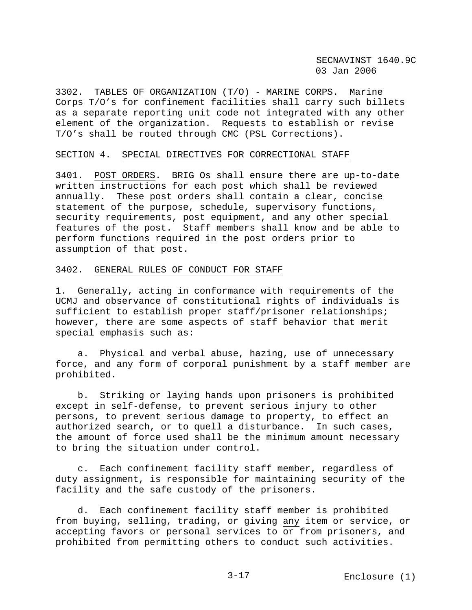3302. TABLES OF ORGANIZATION (T/O) - MARINE CORPS. Marine Corps T/O's for confinement facilities shall carry such billets as a separate reporting unit code not integrated with any other element of the organization. Requests to establish or revise T/O's shall be routed through CMC (PSL Corrections).

### SECTION 4. SPECIAL DIRECTIVES FOR CORRECTIONAL STAFF

3401. POST ORDERS. BRIG Os shall ensure there are up-to-date written instructions for each post which shall be reviewed annually. These post orders shall contain a clear, concise statement of the purpose, schedule, supervisory functions, security requirements, post equipment, and any other special features of the post. Staff members shall know and be able to perform functions required in the post orders prior to assumption of that post.

## 3402. GENERAL RULES OF CONDUCT FOR STAFF

1. Generally, acting in conformance with requirements of the UCMJ and observance of constitutional rights of individuals is sufficient to establish proper staff/prisoner relationships; however, there are some aspects of staff behavior that merit special emphasis such as:

 a. Physical and verbal abuse, hazing, use of unnecessary force, and any form of corporal punishment by a staff member are prohibited.

 b. Striking or laying hands upon prisoners is prohibited except in self-defense, to prevent serious injury to other persons, to prevent serious damage to property, to effect an authorized search, or to quell a disturbance. In such cases, the amount of force used shall be the minimum amount necessary to bring the situation under control.

 c. Each confinement facility staff member, regardless of duty assignment, is responsible for maintaining security of the facility and the safe custody of the prisoners.

 d. Each confinement facility staff member is prohibited from buying, selling, trading, or giving any item or service, or accepting favors or personal services to or from prisoners, and prohibited from permitting others to conduct such activities.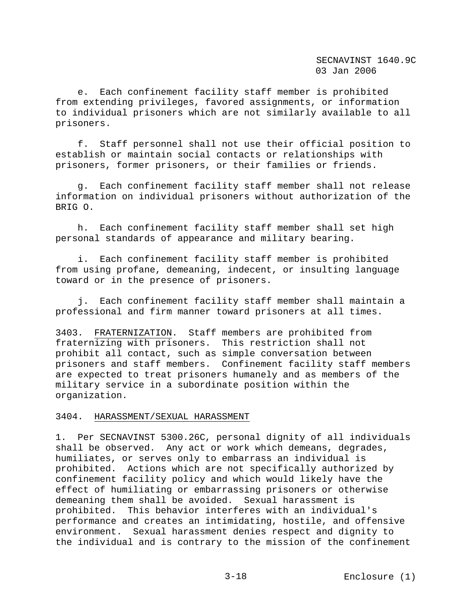e. Each confinement facility staff member is prohibited from extending privileges, favored assignments, or information to individual prisoners which are not similarly available to all prisoners.

 f. Staff personnel shall not use their official position to establish or maintain social contacts or relationships with prisoners, former prisoners, or their families or friends.

 g. Each confinement facility staff member shall not release information on individual prisoners without authorization of the BRIG O.

 h. Each confinement facility staff member shall set high personal standards of appearance and military bearing.

 i. Each confinement facility staff member is prohibited from using profane, demeaning, indecent, or insulting language toward or in the presence of prisoners.

 j. Each confinement facility staff member shall maintain a professional and firm manner toward prisoners at all times.

3403. FRATERNIZATION. Staff members are prohibited from fraternizing with prisoners. This restriction shall not prohibit all contact, such as simple conversation between prisoners and staff members. Confinement facility staff members are expected to treat prisoners humanely and as members of the military service in a subordinate position within the organization.

#### 3404. HARASSMENT/SEXUAL HARASSMENT

1. Per SECNAVINST 5300.26C, personal dignity of all individuals shall be observed. Any act or work which demeans, degrades, humiliates, or serves only to embarrass an individual is prohibited. Actions which are not specifically authorized by confinement facility policy and which would likely have the effect of humiliating or embarrassing prisoners or otherwise demeaning them shall be avoided. Sexual harassment is prohibited. This behavior interferes with an individual's performance and creates an intimidating, hostile, and offensive environment. Sexual harassment denies respect and dignity to the individual and is contrary to the mission of the confinement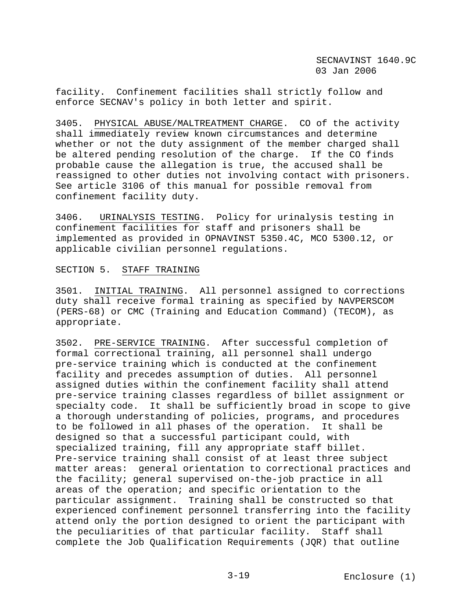facility. Confinement facilities shall strictly follow and enforce SECNAV's policy in both letter and spirit.

3405. PHYSICAL ABUSE/MALTREATMENT CHARGE. CO of the activity shall immediately review known circumstances and determine whether or not the duty assignment of the member charged shall be altered pending resolution of the charge. If the CO finds probable cause the allegation is true, the accused shall be reassigned to other duties not involving contact with prisoners. See article 3106 of this manual for possible removal from confinement facility duty.

3406. URINALYSIS TESTING. Policy for urinalysis testing in confinement facilities for staff and prisoners shall be implemented as provided in OPNAVINST 5350.4C, MCO 5300.12, or applicable civilian personnel regulations.

#### SECTION 5. STAFF TRAINING

3501. INITIAL TRAINING. All personnel assigned to corrections duty shall receive formal training as specified by NAVPERSCOM (PERS-68) or CMC (Training and Education Command) (TECOM), as appropriate.

3502. PRE-SERVICE TRAINING. After successful completion of formal correctional training, all personnel shall undergo pre-service training which is conducted at the confinement facility and precedes assumption of duties. All personnel assigned duties within the confinement facility shall attend pre-service training classes regardless of billet assignment or specialty code. It shall be sufficiently broad in scope to give a thorough understanding of policies, programs, and procedures to be followed in all phases of the operation. It shall be designed so that a successful participant could, with specialized training, fill any appropriate staff billet. Pre-service training shall consist of at least three subject matter areas: general orientation to correctional practices and the facility; general supervised on-the-job practice in all areas of the operation; and specific orientation to the particular assignment. Training shall be constructed so that experienced confinement personnel transferring into the facility attend only the portion designed to orient the participant with the peculiarities of that particular facility. Staff shall complete the Job Qualification Requirements (JQR) that outline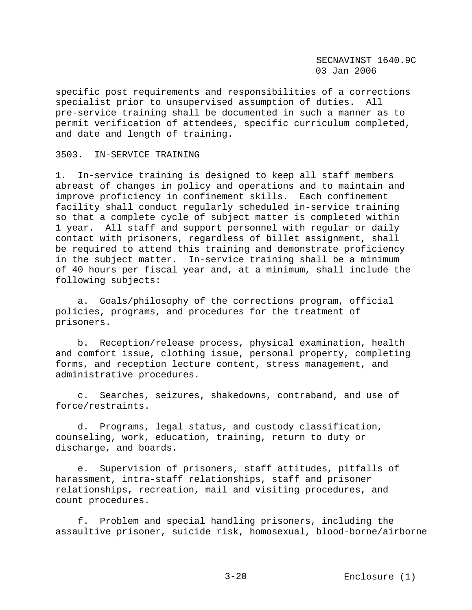specific post requirements and responsibilities of a corrections specialist prior to unsupervised assumption of duties. All pre-service training shall be documented in such a manner as to permit verification of attendees, specific curriculum completed, and date and length of training.

# 3503. IN-SERVICE TRAINING

1. In-service training is designed to keep all staff members abreast of changes in policy and operations and to maintain and improve proficiency in confinement skills. Each confinement facility shall conduct regularly scheduled in-service training so that a complete cycle of subject matter is completed within 1 year. All staff and support personnel with regular or daily contact with prisoners, regardless of billet assignment, shall be required to attend this training and demonstrate proficiency in the subject matter. In-service training shall be a minimum of 40 hours per fiscal year and, at a minimum, shall include the following subjects:

 a. Goals/philosophy of the corrections program, official policies, programs, and procedures for the treatment of prisoners.

 b. Reception/release process, physical examination, health and comfort issue, clothing issue, personal property, completing forms, and reception lecture content, stress management, and administrative procedures.

 c. Searches, seizures, shakedowns, contraband, and use of force/restraints.

 d. Programs, legal status, and custody classification, counseling, work, education, training, return to duty or discharge, and boards.

 e. Supervision of prisoners, staff attitudes, pitfalls of harassment, intra-staff relationships, staff and prisoner relationships, recreation, mail and visiting procedures, and count procedures.

 f. Problem and special handling prisoners, including the assaultive prisoner, suicide risk, homosexual, blood-borne/airborne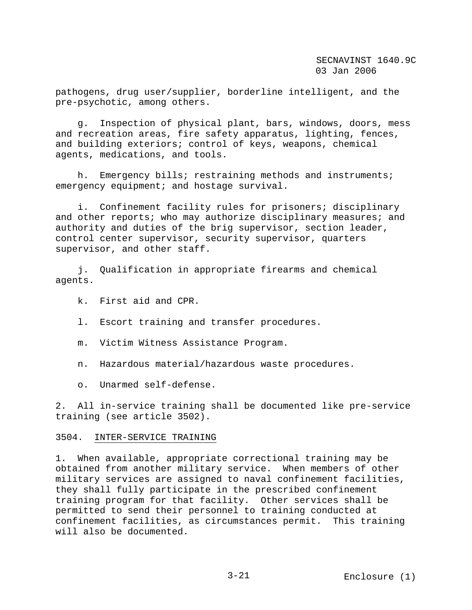pathogens, drug user/supplier, borderline intelligent, and the pre-psychotic, among others.

 g. Inspection of physical plant, bars, windows, doors, mess and recreation areas, fire safety apparatus, lighting, fences, and building exteriors; control of keys, weapons, chemical agents, medications, and tools.

 h. Emergency bills; restraining methods and instruments; emergency equipment; and hostage survival.

 i. Confinement facility rules for prisoners; disciplinary and other reports; who may authorize disciplinary measures; and authority and duties of the brig supervisor, section leader, control center supervisor, security supervisor, quarters supervisor, and other staff.

 j. Qualification in appropriate firearms and chemical agents.

- k. First aid and CPR.
- l. Escort training and transfer procedures.
- m. Victim Witness Assistance Program.
- n. Hazardous material/hazardous waste procedures.
- o. Unarmed self-defense.

2. All in-service training shall be documented like pre-service training (see article 3502).

#### 3504. INTER-SERVICE TRAINING

1. When available, appropriate correctional training may be obtained from another military service. When members of other military services are assigned to naval confinement facilities, they shall fully participate in the prescribed confinement training program for that facility. Other services shall be permitted to send their personnel to training conducted at confinement facilities, as circumstances permit. This training will also be documented.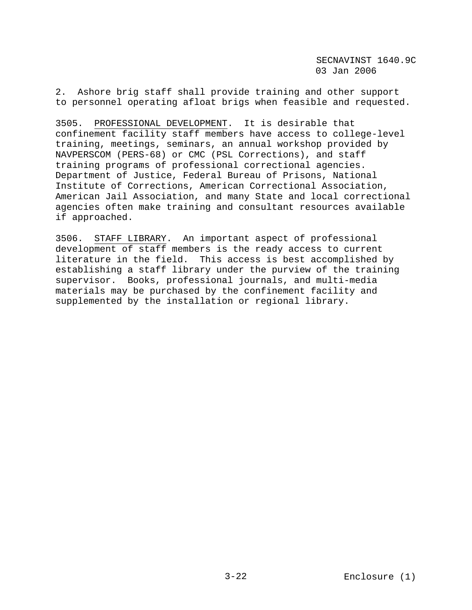2. Ashore brig staff shall provide training and other support to personnel operating afloat brigs when feasible and requested.

3505. PROFESSIONAL DEVELOPMENT. It is desirable that confinement facility staff members have access to college-level training, meetings, seminars, an annual workshop provided by NAVPERSCOM (PERS-68) or CMC (PSL Corrections), and staff training programs of professional correctional agencies. Department of Justice, Federal Bureau of Prisons, National Institute of Corrections, American Correctional Association, American Jail Association, and many State and local correctional agencies often make training and consultant resources available if approached.

3506. STAFF LIBRARY. An important aspect of professional development of staff members is the ready access to current literature in the field. This access is best accomplished by establishing a staff library under the purview of the training supervisor. Books, professional journals, and multi-media materials may be purchased by the confinement facility and supplemented by the installation or regional library.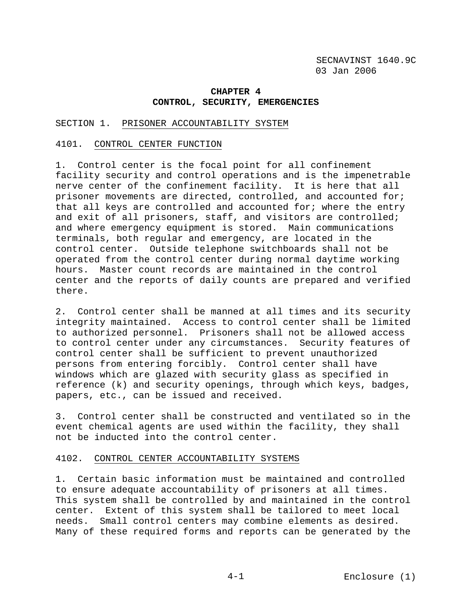# **CHAPTER 4 CONTROL, SECURITY, EMERGENCIES**

### SECTION 1. PRISONER ACCOUNTABILITY SYSTEM

#### 4101. CONTROL CENTER FUNCTION

1. Control center is the focal point for all confinement facility security and control operations and is the impenetrable nerve center of the confinement facility. It is here that all prisoner movements are directed, controlled, and accounted for; that all keys are controlled and accounted for; where the entry and exit of all prisoners, staff, and visitors are controlled; and where emergency equipment is stored. Main communications terminals, both regular and emergency, are located in the control center. Outside telephone switchboards shall not be operated from the control center during normal daytime working hours. Master count records are maintained in the control center and the reports of daily counts are prepared and verified there.

2. Control center shall be manned at all times and its security integrity maintained. Access to control center shall be limited to authorized personnel. Prisoners shall not be allowed access to control center under any circumstances. Security features of control center shall be sufficient to prevent unauthorized persons from entering forcibly. Control center shall have windows which are glazed with security glass as specified in reference (k) and security openings, through which keys, badges, papers, etc., can be issued and received.

3. Control center shall be constructed and ventilated so in the event chemical agents are used within the facility, they shall not be inducted into the control center.

# 4102. CONTROL CENTER ACCOUNTABILITY SYSTEMS

1. Certain basic information must be maintained and controlled to ensure adequate accountability of prisoners at all times. This system shall be controlled by and maintained in the control center. Extent of this system shall be tailored to meet local needs. Small control centers may combine elements as desired. Many of these required forms and reports can be generated by the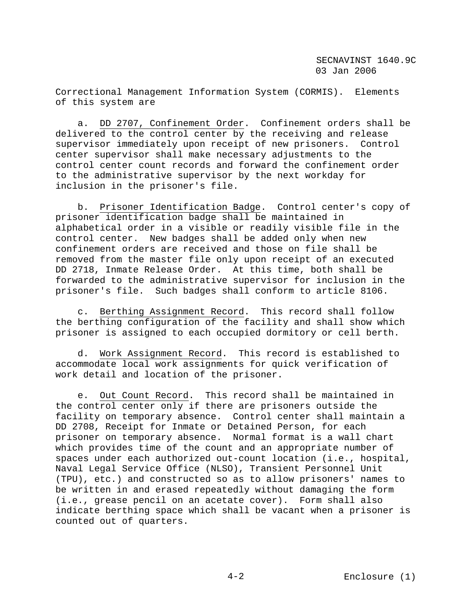Correctional Management Information System (CORMIS). Elements of this system are

 a. DD 2707, Confinement Order. Confinement orders shall be delivered to the control center by the receiving and release supervisor immediately upon receipt of new prisoners. Control center supervisor shall make necessary adjustments to the control center count records and forward the confinement order to the administrative supervisor by the next workday for inclusion in the prisoner's file.

 b. Prisoner Identification Badge. Control center's copy of prisoner identification badge shall be maintained in alphabetical order in a visible or readily visible file in the control center. New badges shall be added only when new confinement orders are received and those on file shall be removed from the master file only upon receipt of an executed DD 2718, Inmate Release Order. At this time, both shall be forwarded to the administrative supervisor for inclusion in the prisoner's file. Such badges shall conform to article 8106.

 c. Berthing Assignment Record. This record shall follow the berthing configuration of the facility and shall show which prisoner is assigned to each occupied dormitory or cell berth.

 d. Work Assignment Record. This record is established to accommodate local work assignments for quick verification of work detail and location of the prisoner.

 e. Out Count Record. This record shall be maintained in the control center only if there are prisoners outside the facility on temporary absence. Control center shall maintain a DD 2708, Receipt for Inmate or Detained Person, for each prisoner on temporary absence. Normal format is a wall chart which provides time of the count and an appropriate number of spaces under each authorized out-count location (i.e., hospital, Naval Legal Service Office (NLSO), Transient Personnel Unit (TPU), etc.) and constructed so as to allow prisoners' names to be written in and erased repeatedly without damaging the form (i.e., grease pencil on an acetate cover). Form shall also indicate berthing space which shall be vacant when a prisoner is counted out of quarters.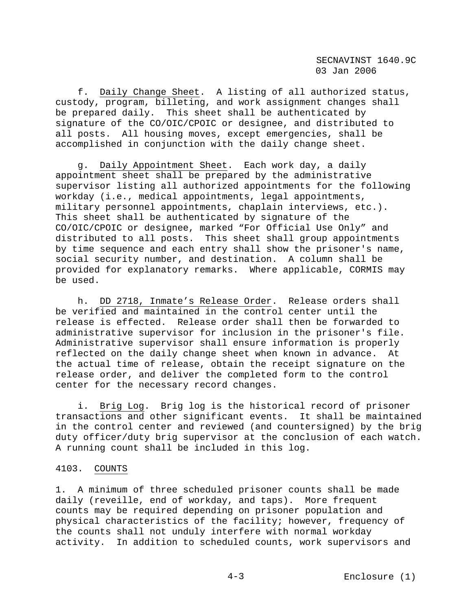f. Daily Change Sheet. A listing of all authorized status, custody, program, billeting, and work assignment changes shall be prepared daily. This sheet shall be authenticated by signature of the CO/OIC/CPOIC or designee, and distributed to all posts. All housing moves, except emergencies, shall be accomplished in conjunction with the daily change sheet.

 g. Daily Appointment Sheet. Each work day, a daily appointment sheet shall be prepared by the administrative supervisor listing all authorized appointments for the following workday (i.e., medical appointments, legal appointments, military personnel appointments, chaplain interviews, etc.). This sheet shall be authenticated by signature of the CO/OIC/CPOIC or designee, marked "For Official Use Only" and distributed to all posts. This sheet shall group appointments by time sequence and each entry shall show the prisoner's name, social security number, and destination. A column shall be provided for explanatory remarks. Where applicable, CORMIS may be used.

 h. DD 2718, Inmate's Release Order. Release orders shall be verified and maintained in the control center until the release is effected. Release order shall then be forwarded to administrative supervisor for inclusion in the prisoner's file. Administrative supervisor shall ensure information is properly reflected on the daily change sheet when known in advance. At the actual time of release, obtain the receipt signature on the release order, and deliver the completed form to the control center for the necessary record changes.

 i. Brig Log. Brig log is the historical record of prisoner transactions and other significant events. It shall be maintained in the control center and reviewed (and countersigned) by the brig duty officer/duty brig supervisor at the conclusion of each watch. A running count shall be included in this log.

## 4103. COUNTS

1. A minimum of three scheduled prisoner counts shall be made daily (reveille, end of workday, and taps). More frequent counts may be required depending on prisoner population and physical characteristics of the facility; however, frequency of the counts shall not unduly interfere with normal workday activity. In addition to scheduled counts, work supervisors and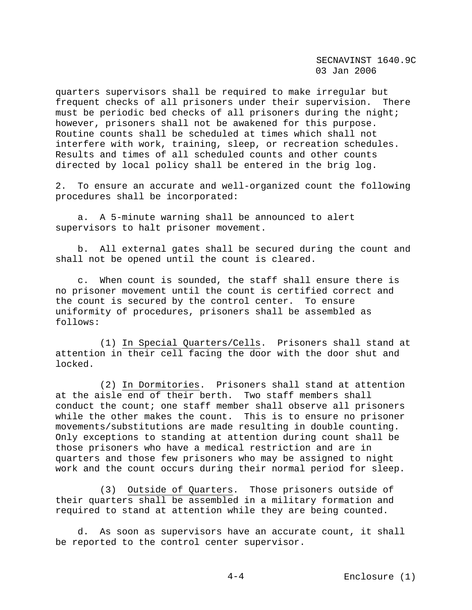quarters supervisors shall be required to make irregular but frequent checks of all prisoners under their supervision. There must be periodic bed checks of all prisoners during the night; however, prisoners shall not be awakened for this purpose. Routine counts shall be scheduled at times which shall not interfere with work, training, sleep, or recreation schedules. Results and times of all scheduled counts and other counts directed by local policy shall be entered in the brig log.

2. To ensure an accurate and well-organized count the following procedures shall be incorporated:

 a. A 5-minute warning shall be announced to alert supervisors to halt prisoner movement.

 b. All external gates shall be secured during the count and shall not be opened until the count is cleared.

 c. When count is sounded, the staff shall ensure there is no prisoner movement until the count is certified correct and the count is secured by the control center. To ensure uniformity of procedures, prisoners shall be assembled as follows:

 (1) In Special Quarters/Cells. Prisoners shall stand at attention in their cell facing the door with the door shut and locked.

 (2) In Dormitories. Prisoners shall stand at attention at the aisle end of their berth. Two staff members shall conduct the count; one staff member shall observe all prisoners while the other makes the count. This is to ensure no prisoner movements/substitutions are made resulting in double counting. Only exceptions to standing at attention during count shall be those prisoners who have a medical restriction and are in quarters and those few prisoners who may be assigned to night work and the count occurs during their normal period for sleep.

 (3) Outside of Quarters. Those prisoners outside of their quarters shall be assembled in a military formation and required to stand at attention while they are being counted.

 d. As soon as supervisors have an accurate count, it shall be reported to the control center supervisor.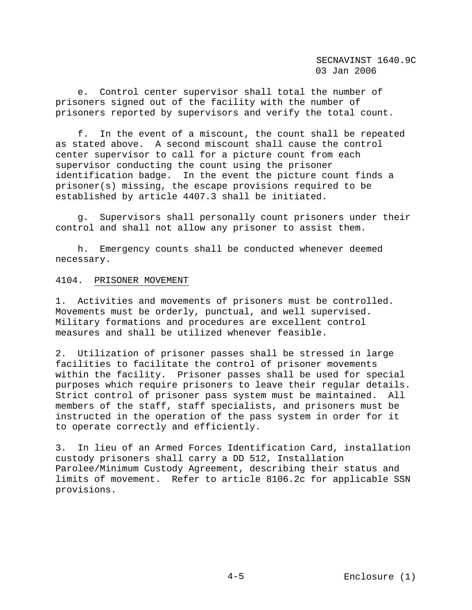e. Control center supervisor shall total the number of prisoners signed out of the facility with the number of prisoners reported by supervisors and verify the total count.

 f. In the event of a miscount, the count shall be repeated as stated above. A second miscount shall cause the control center supervisor to call for a picture count from each supervisor conducting the count using the prisoner identification badge. In the event the picture count finds a prisoner(s) missing, the escape provisions required to be established by article 4407.3 shall be initiated.

 g. Supervisors shall personally count prisoners under their control and shall not allow any prisoner to assist them.

 h. Emergency counts shall be conducted whenever deemed necessary.

#### 4104. PRISONER MOVEMENT

1. Activities and movements of prisoners must be controlled. Movements must be orderly, punctual, and well supervised. Military formations and procedures are excellent control measures and shall be utilized whenever feasible.

2. Utilization of prisoner passes shall be stressed in large facilities to facilitate the control of prisoner movements within the facility. Prisoner passes shall be used for special purposes which require prisoners to leave their regular details. Strict control of prisoner pass system must be maintained. All members of the staff, staff specialists, and prisoners must be instructed in the operation of the pass system in order for it to operate correctly and efficiently.

3. In lieu of an Armed Forces Identification Card, installation custody prisoners shall carry a DD 512, Installation Parolee/Minimum Custody Agreement, describing their status and limits of movement. Refer to article 8106.2c for applicable SSN provisions.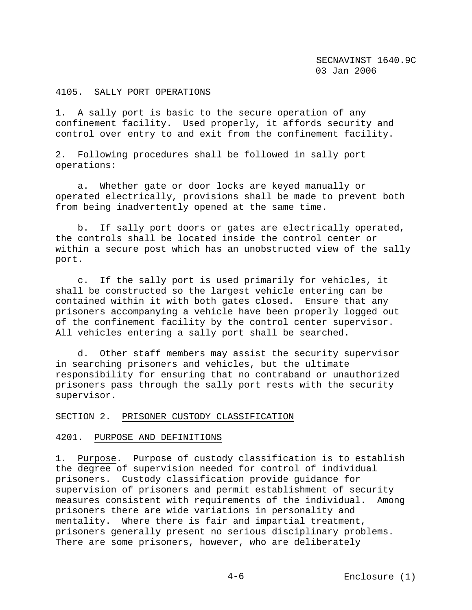# 4105. SALLY PORT OPERATIONS

1. A sally port is basic to the secure operation of any confinement facility. Used properly, it affords security and control over entry to and exit from the confinement facility.

2. Following procedures shall be followed in sally port operations:

 a. Whether gate or door locks are keyed manually or operated electrically, provisions shall be made to prevent both from being inadvertently opened at the same time.

 b. If sally port doors or gates are electrically operated, the controls shall be located inside the control center or within a secure post which has an unobstructed view of the sally port.

 c. If the sally port is used primarily for vehicles, it shall be constructed so the largest vehicle entering can be contained within it with both gates closed. Ensure that any prisoners accompanying a vehicle have been properly logged out of the confinement facility by the control center supervisor. All vehicles entering a sally port shall be searched.

 d. Other staff members may assist the security supervisor in searching prisoners and vehicles, but the ultimate responsibility for ensuring that no contraband or unauthorized prisoners pass through the sally port rests with the security supervisor.

#### SECTION 2. PRISONER CUSTODY CLASSIFICATION

#### 4201. PURPOSE AND DEFINITIONS

1. Purpose. Purpose of custody classification is to establish the degree of supervision needed for control of individual prisoners. Custody classification provide guidance for supervision of prisoners and permit establishment of security measures consistent with requirements of the individual. Among prisoners there are wide variations in personality and mentality. Where there is fair and impartial treatment, prisoners generally present no serious disciplinary problems. There are some prisoners, however, who are deliberately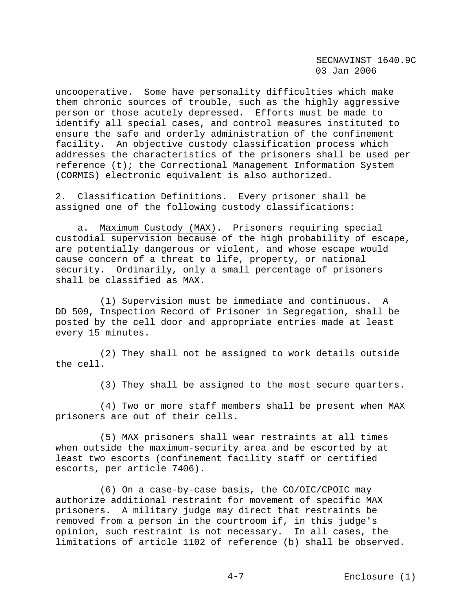uncooperative. Some have personality difficulties which make them chronic sources of trouble, such as the highly aggressive person or those acutely depressed. Efforts must be made to identify all special cases, and control measures instituted to ensure the safe and orderly administration of the confinement facility. An objective custody classification process which addresses the characteristics of the prisoners shall be used per reference (t); the Correctional Management Information System (CORMIS) electronic equivalent is also authorized.

2. Classification Definitions. Every prisoner shall be assigned one of the following custody classifications:

 a. Maximum Custody (MAX). Prisoners requiring special custodial supervision because of the high probability of escape, are potentially dangerous or violent, and whose escape would cause concern of a threat to life, property, or national security. Ordinarily, only a small percentage of prisoners shall be classified as MAX.

 (1) Supervision must be immediate and continuous. A DD 509, Inspection Record of Prisoner in Segregation, shall be posted by the cell door and appropriate entries made at least every 15 minutes.

 (2) They shall not be assigned to work details outside the cell.

(3) They shall be assigned to the most secure quarters.

 (4) Two or more staff members shall be present when MAX prisoners are out of their cells.

 (5) MAX prisoners shall wear restraints at all times when outside the maximum-security area and be escorted by at least two escorts (confinement facility staff or certified escorts, per article 7406).

 (6) On a case-by-case basis, the CO/OIC/CPOIC may authorize additional restraint for movement of specific MAX prisoners. A military judge may direct that restraints be removed from a person in the courtroom if, in this judge's opinion, such restraint is not necessary. In all cases, the limitations of article 1102 of reference (b) shall be observed.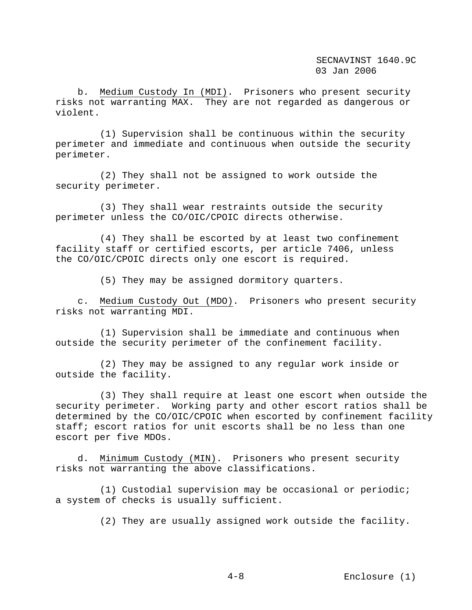b. Medium Custody In (MDI). Prisoners who present security risks not warranting MAX. They are not regarded as dangerous or violent.

 (1) Supervision shall be continuous within the security perimeter and immediate and continuous when outside the security perimeter.

 (2) They shall not be assigned to work outside the security perimeter.

 (3) They shall wear restraints outside the security perimeter unless the CO/OIC/CPOIC directs otherwise.

 (4) They shall be escorted by at least two confinement facility staff or certified escorts, per article 7406, unless the CO/OIC/CPOIC directs only one escort is required.

(5) They may be assigned dormitory quarters.

 c. Medium Custody Out (MDO). Prisoners who present security risks not warranting MDI.

 (1) Supervision shall be immediate and continuous when outside the security perimeter of the confinement facility.

 (2) They may be assigned to any regular work inside or outside the facility.

 (3) They shall require at least one escort when outside the security perimeter. Working party and other escort ratios shall be determined by the CO/OIC/CPOIC when escorted by confinement facility staff; escort ratios for unit escorts shall be no less than one escort per five MDOs.

 d. Minimum Custody (MIN). Prisoners who present security risks not warranting the above classifications.

 (1) Custodial supervision may be occasional or periodic; a system of checks is usually sufficient.

(2) They are usually assigned work outside the facility.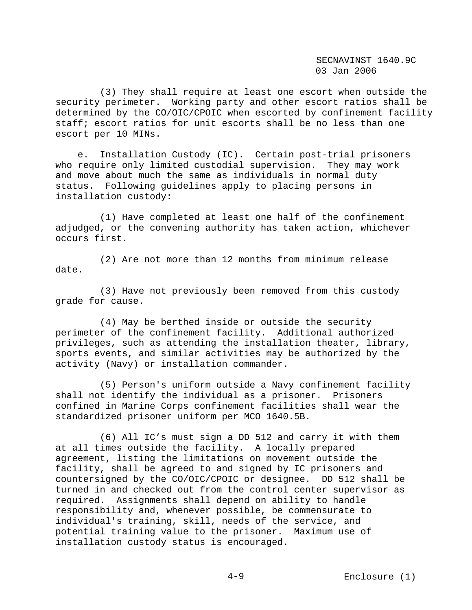(3) They shall require at least one escort when outside the security perimeter. Working party and other escort ratios shall be determined by the CO/OIC/CPOIC when escorted by confinement facility staff; escort ratios for unit escorts shall be no less than one escort per 10 MINs.

 e. Installation Custody (IC). Certain post-trial prisoners who require only limited custodial supervision. They may work and move about much the same as individuals in normal duty status. Following guidelines apply to placing persons in installation custody:

 (1) Have completed at least one half of the confinement adjudged, or the convening authority has taken action, whichever occurs first.

 (2) Are not more than 12 months from minimum release date.

 (3) Have not previously been removed from this custody grade for cause.

 (4) May be berthed inside or outside the security perimeter of the confinement facility. Additional authorized privileges, such as attending the installation theater, library, sports events, and similar activities may be authorized by the activity (Navy) or installation commander.

 (5) Person's uniform outside a Navy confinement facility shall not identify the individual as a prisoner. Prisoners confined in Marine Corps confinement facilities shall wear the standardized prisoner uniform per MCO 1640.5B.

 (6) All IC's must sign a DD 512 and carry it with them at all times outside the facility. A locally prepared agreement, listing the limitations on movement outside the facility, shall be agreed to and signed by IC prisoners and countersigned by the CO/OIC/CPOIC or designee. DD 512 shall be turned in and checked out from the control center supervisor as required. Assignments shall depend on ability to handle responsibility and, whenever possible, be commensurate to individual's training, skill, needs of the service, and potential training value to the prisoner. Maximum use of installation custody status is encouraged.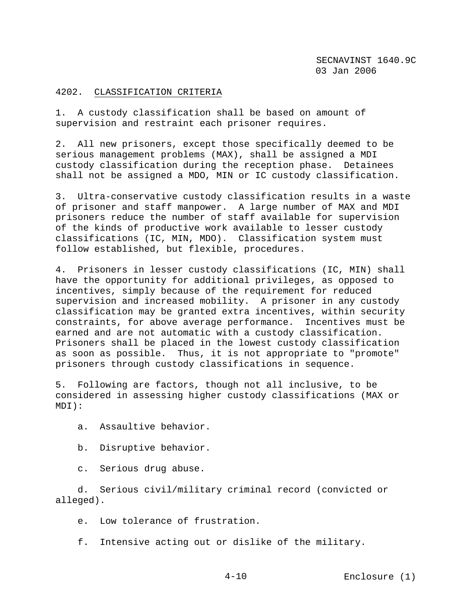# 4202. CLASSIFICATION CRITERIA

1. A custody classification shall be based on amount of supervision and restraint each prisoner requires.

2. All new prisoners, except those specifically deemed to be serious management problems (MAX), shall be assigned a MDI custody classification during the reception phase. Detainees shall not be assigned a MDO, MIN or IC custody classification.

3. Ultra-conservative custody classification results in a waste of prisoner and staff manpower. A large number of MAX and MDI prisoners reduce the number of staff available for supervision of the kinds of productive work available to lesser custody classifications (IC, MIN, MDO). Classification system must follow established, but flexible, procedures.

4. Prisoners in lesser custody classifications (IC, MIN) shall have the opportunity for additional privileges, as opposed to incentives, simply because of the requirement for reduced supervision and increased mobility. A prisoner in any custody classification may be granted extra incentives, within security constraints, for above average performance. Incentives must be earned and are not automatic with a custody classification. Prisoners shall be placed in the lowest custody classification as soon as possible. Thus, it is not appropriate to "promote" prisoners through custody classifications in sequence.

5. Following are factors, though not all inclusive, to be considered in assessing higher custody classifications (MAX or MDI):

- a. Assaultive behavior.
- b. Disruptive behavior.
- c. Serious drug abuse.

 d. Serious civil/military criminal record (convicted or alleged).

e. Low tolerance of frustration.

f. Intensive acting out or dislike of the military.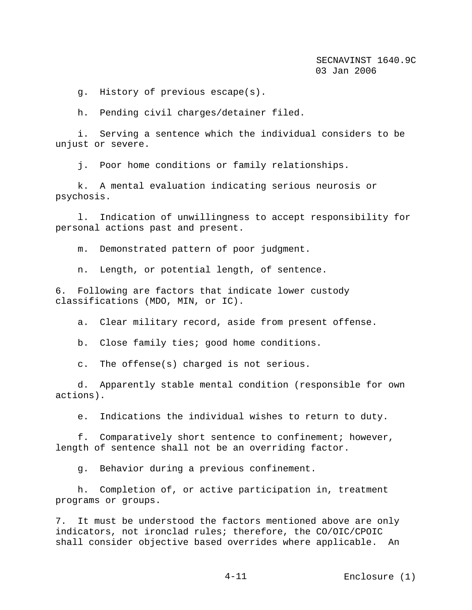g. History of previous escape(s).

h. Pending civil charges/detainer filed.

 i. Serving a sentence which the individual considers to be unjust or severe.

j. Poor home conditions or family relationships.

 k. A mental evaluation indicating serious neurosis or psychosis.

 l. Indication of unwillingness to accept responsibility for personal actions past and present.

m. Demonstrated pattern of poor judgment.

n. Length, or potential length, of sentence.

6. Following are factors that indicate lower custody classifications (MDO, MIN, or IC).

a. Clear military record, aside from present offense.

b. Close family ties; good home conditions.

c. The offense(s) charged is not serious.

 d. Apparently stable mental condition (responsible for own actions).

e. Indications the individual wishes to return to duty.

 f. Comparatively short sentence to confinement; however, length of sentence shall not be an overriding factor.

g. Behavior during a previous confinement.

 h. Completion of, or active participation in, treatment programs or groups.

7. It must be understood the factors mentioned above are only indicators, not ironclad rules; therefore, the CO/OIC/CPOIC shall consider objective based overrides where applicable. An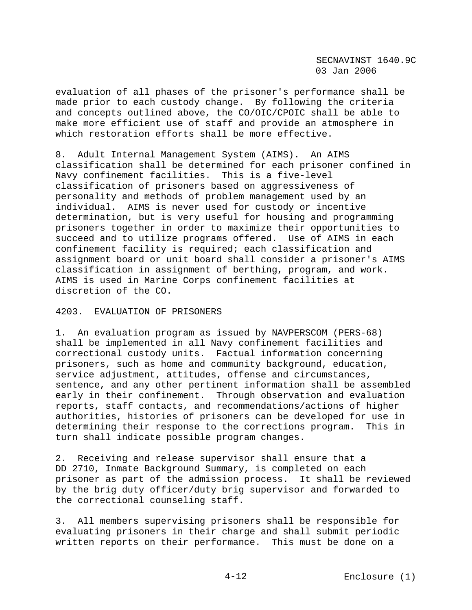evaluation of all phases of the prisoner's performance shall be made prior to each custody change. By following the criteria and concepts outlined above, the CO/OIC/CPOIC shall be able to make more efficient use of staff and provide an atmosphere in which restoration efforts shall be more effective.

8. Adult Internal Management System (AIMS). An AIMS classification shall be determined for each prisoner confined in Navy confinement facilities. This is a five-level classification of prisoners based on aggressiveness of personality and methods of problem management used by an individual. AIMS is never used for custody or incentive determination, but is very useful for housing and programming prisoners together in order to maximize their opportunities to succeed and to utilize programs offered. Use of AIMS in each confinement facility is required; each classification and assignment board or unit board shall consider a prisoner's AIMS classification in assignment of berthing, program, and work. AIMS is used in Marine Corps confinement facilities at discretion of the CO.

#### 4203. EVALUATION OF PRISONERS

1. An evaluation program as issued by NAVPERSCOM (PERS-68) shall be implemented in all Navy confinement facilities and correctional custody units. Factual information concerning prisoners, such as home and community background, education, service adjustment, attitudes, offense and circumstances, sentence, and any other pertinent information shall be assembled early in their confinement. Through observation and evaluation reports, staff contacts, and recommendations/actions of higher authorities, histories of prisoners can be developed for use in determining their response to the corrections program. This in turn shall indicate possible program changes.

2. Receiving and release supervisor shall ensure that a DD 2710, Inmate Background Summary, is completed on each prisoner as part of the admission process. It shall be reviewed by the brig duty officer/duty brig supervisor and forwarded to the correctional counseling staff.

3. All members supervising prisoners shall be responsible for evaluating prisoners in their charge and shall submit periodic written reports on their performance. This must be done on a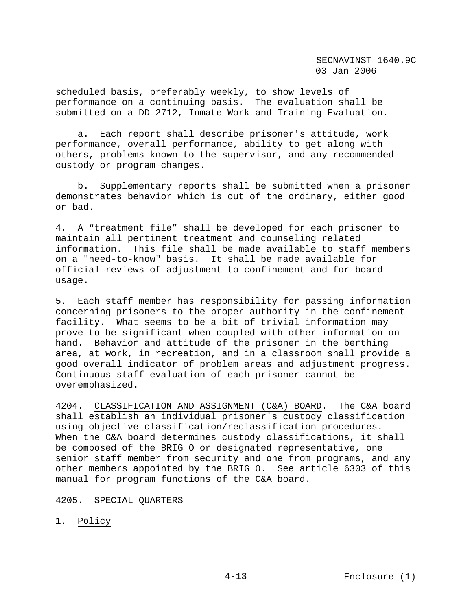scheduled basis, preferably weekly, to show levels of performance on a continuing basis. The evaluation shall be submitted on a DD 2712, Inmate Work and Training Evaluation.

 a. Each report shall describe prisoner's attitude, work performance, overall performance, ability to get along with others, problems known to the supervisor, and any recommended custody or program changes.

 b. Supplementary reports shall be submitted when a prisoner demonstrates behavior which is out of the ordinary, either good or bad.

4. A "treatment file" shall be developed for each prisoner to maintain all pertinent treatment and counseling related information. This file shall be made available to staff members on a "need-to-know" basis. It shall be made available for official reviews of adjustment to confinement and for board usage.

5. Each staff member has responsibility for passing information concerning prisoners to the proper authority in the confinement facility. What seems to be a bit of trivial information may prove to be significant when coupled with other information on hand. Behavior and attitude of the prisoner in the berthing area, at work, in recreation, and in a classroom shall provide a good overall indicator of problem areas and adjustment progress. Continuous staff evaluation of each prisoner cannot be overemphasized.

4204. CLASSIFICATION AND ASSIGNMENT (C&A) BOARD. The C&A board shall establish an individual prisoner's custody classification using objective classification/reclassification procedures. When the C&A board determines custody classifications, it shall be composed of the BRIG O or designated representative, one senior staff member from security and one from programs, and any other members appointed by the BRIG O. See article 6303 of this manual for program functions of the C&A board.

# 4205. SPECIAL QUARTERS

1. Policy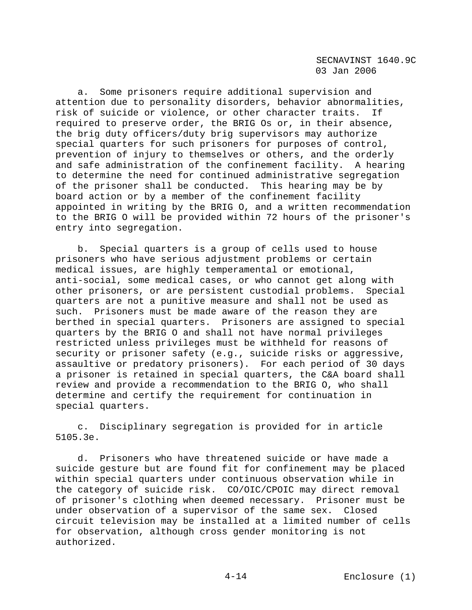a. Some prisoners require additional supervision and attention due to personality disorders, behavior abnormalities, risk of suicide or violence, or other character traits. If required to preserve order, the BRIG Os or, in their absence, the brig duty officers/duty brig supervisors may authorize special quarters for such prisoners for purposes of control, prevention of injury to themselves or others, and the orderly and safe administration of the confinement facility. A hearing to determine the need for continued administrative segregation of the prisoner shall be conducted. This hearing may be by board action or by a member of the confinement facility appointed in writing by the BRIG O, and a written recommendation to the BRIG O will be provided within 72 hours of the prisoner's entry into segregation.

 b. Special quarters is a group of cells used to house prisoners who have serious adjustment problems or certain medical issues, are highly temperamental or emotional, anti-social, some medical cases, or who cannot get along with other prisoners, or are persistent custodial problems. Special quarters are not a punitive measure and shall not be used as such. Prisoners must be made aware of the reason they are berthed in special quarters. Prisoners are assigned to special quarters by the BRIG O and shall not have normal privileges restricted unless privileges must be withheld for reasons of security or prisoner safety (e.g., suicide risks or aggressive, assaultive or predatory prisoners). For each period of 30 days a prisoner is retained in special quarters, the C&A board shall review and provide a recommendation to the BRIG O, who shall determine and certify the requirement for continuation in special quarters.

 c. Disciplinary segregation is provided for in article 5105.3e.

 d. Prisoners who have threatened suicide or have made a suicide gesture but are found fit for confinement may be placed within special quarters under continuous observation while in the category of suicide risk. CO/OIC/CPOIC may direct removal of prisoner's clothing when deemed necessary. Prisoner must be under observation of a supervisor of the same sex. Closed circuit television may be installed at a limited number of cells for observation, although cross gender monitoring is not authorized.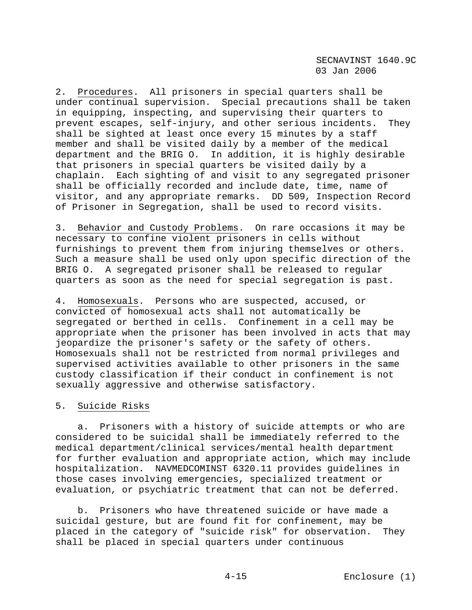2. Procedures. All prisoners in special quarters shall be under continual supervision. Special precautions shall be taken in equipping, inspecting, and supervising their quarters to prevent escapes, self-injury, and other serious incidents. They shall be sighted at least once every 15 minutes by a staff member and shall be visited daily by a member of the medical department and the BRIG O. In addition, it is highly desirable that prisoners in special quarters be visited daily by a chaplain. Each sighting of and visit to any segregated prisoner shall be officially recorded and include date, time, name of visitor, and any appropriate remarks. DD 509, Inspection Record of Prisoner in Segregation, shall be used to record visits.

3. Behavior and Custody Problems. On rare occasions it may be necessary to confine violent prisoners in cells without furnishings to prevent them from injuring themselves or others. Such a measure shall be used only upon specific direction of the BRIG O. A segregated prisoner shall be released to regular quarters as soon as the need for special segregation is past.

4. Homosexuals. Persons who are suspected, accused, or convicted of homosexual acts shall not automatically be segregated or berthed in cells. Confinement in a cell may be appropriate when the prisoner has been involved in acts that may jeopardize the prisoner's safety or the safety of others. Homosexuals shall not be restricted from normal privileges and supervised activities available to other prisoners in the same custody classification if their conduct in confinement is not sexually aggressive and otherwise satisfactory.

# 5. Suicide Risks

 a. Prisoners with a history of suicide attempts or who are considered to be suicidal shall be immediately referred to the medical department/clinical services/mental health department for further evaluation and appropriate action, which may include hospitalization. NAVMEDCOMINST 6320.11 provides guidelines in those cases involving emergencies, specialized treatment or evaluation, or psychiatric treatment that can not be deferred.

 b. Prisoners who have threatened suicide or have made a suicidal gesture, but are found fit for confinement, may be placed in the category of "suicide risk" for observation. They shall be placed in special quarters under continuous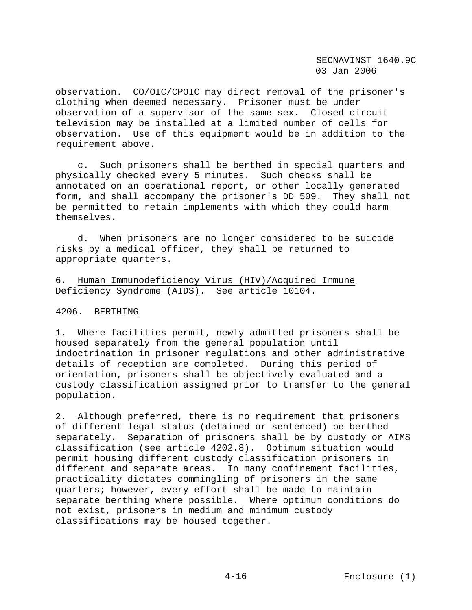observation. CO/OIC/CPOIC may direct removal of the prisoner's clothing when deemed necessary. Prisoner must be under observation of a supervisor of the same sex. Closed circuit television may be installed at a limited number of cells for observation. Use of this equipment would be in addition to the requirement above.

 c. Such prisoners shall be berthed in special quarters and physically checked every 5 minutes. Such checks shall be annotated on an operational report, or other locally generated form, and shall accompany the prisoner's DD 509. They shall not be permitted to retain implements with which they could harm themselves.

 d. When prisoners are no longer considered to be suicide risks by a medical officer, they shall be returned to appropriate quarters.

6. Human Immunodeficiency Virus (HIV)/Acquired Immune Deficiency Syndrome (AIDS). See article 10104.

### 4206. BERTHING

1. Where facilities permit, newly admitted prisoners shall be housed separately from the general population until indoctrination in prisoner regulations and other administrative details of reception are completed. During this period of orientation, prisoners shall be objectively evaluated and a custody classification assigned prior to transfer to the general population.

2. Although preferred, there is no requirement that prisoners of different legal status (detained or sentenced) be berthed separately. Separation of prisoners shall be by custody or AIMS classification (see article 4202.8). Optimum situation would permit housing different custody classification prisoners in different and separate areas. In many confinement facilities, practicality dictates commingling of prisoners in the same quarters; however, every effort shall be made to maintain separate berthing where possible. Where optimum conditions do not exist, prisoners in medium and minimum custody classifications may be housed together.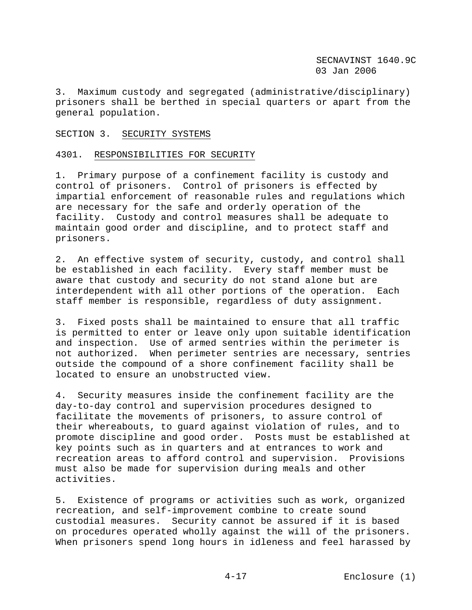3. Maximum custody and segregated (administrative/disciplinary) prisoners shall be berthed in special quarters or apart from the general population.

### SECTION 3. SECURITY SYSTEMS

### 4301. RESPONSIBILITIES FOR SECURITY

1. Primary purpose of a confinement facility is custody and control of prisoners. Control of prisoners is effected by impartial enforcement of reasonable rules and regulations which are necessary for the safe and orderly operation of the facility. Custody and control measures shall be adequate to maintain good order and discipline, and to protect staff and prisoners.

2. An effective system of security, custody, and control shall be established in each facility. Every staff member must be aware that custody and security do not stand alone but are interdependent with all other portions of the operation. Each staff member is responsible, regardless of duty assignment.

3. Fixed posts shall be maintained to ensure that all traffic is permitted to enter or leave only upon suitable identification and inspection. Use of armed sentries within the perimeter is not authorized. When perimeter sentries are necessary, sentries outside the compound of a shore confinement facility shall be located to ensure an unobstructed view.

4. Security measures inside the confinement facility are the day-to-day control and supervision procedures designed to facilitate the movements of prisoners, to assure control of their whereabouts, to guard against violation of rules, and to promote discipline and good order. Posts must be established at key points such as in quarters and at entrances to work and recreation areas to afford control and supervision. Provisions must also be made for supervision during meals and other activities.

5. Existence of programs or activities such as work, organized recreation, and self-improvement combine to create sound custodial measures. Security cannot be assured if it is based on procedures operated wholly against the will of the prisoners. When prisoners spend long hours in idleness and feel harassed by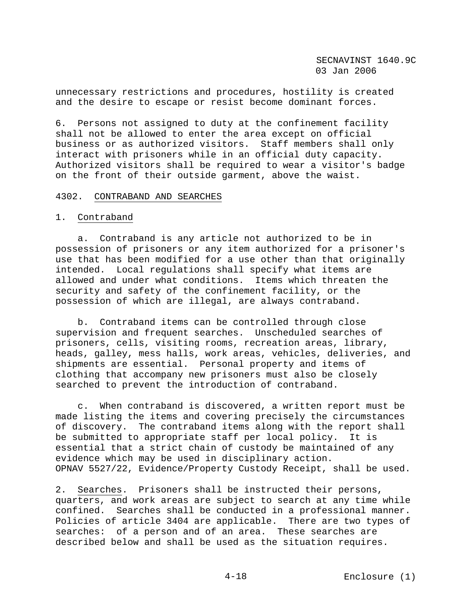unnecessary restrictions and procedures, hostility is created and the desire to escape or resist become dominant forces.

6. Persons not assigned to duty at the confinement facility shall not be allowed to enter the area except on official business or as authorized visitors. Staff members shall only interact with prisoners while in an official duty capacity. Authorized visitors shall be required to wear a visitor's badge on the front of their outside garment, above the waist.

#### 4302. CONTRABAND AND SEARCHES

#### 1. Contraband

 a. Contraband is any article not authorized to be in possession of prisoners or any item authorized for a prisoner's use that has been modified for a use other than that originally intended. Local regulations shall specify what items are allowed and under what conditions. Items which threaten the security and safety of the confinement facility, or the possession of which are illegal, are always contraband.

 b. Contraband items can be controlled through close supervision and frequent searches. Unscheduled searches of prisoners, cells, visiting rooms, recreation areas, library, heads, galley, mess halls, work areas, vehicles, deliveries, and shipments are essential. Personal property and items of clothing that accompany new prisoners must also be closely searched to prevent the introduction of contraband.

 c. When contraband is discovered, a written report must be made listing the items and covering precisely the circumstances of discovery. The contraband items along with the report shall be submitted to appropriate staff per local policy. It is essential that a strict chain of custody be maintained of any evidence which may be used in disciplinary action. OPNAV 5527/22, Evidence/Property Custody Receipt, shall be used.

2. Searches. Prisoners shall be instructed their persons, quarters, and work areas are subject to search at any time while confined. Searches shall be conducted in a professional manner. Policies of article 3404 are applicable. There are two types of searches: of a person and of an area. These searches are described below and shall be used as the situation requires.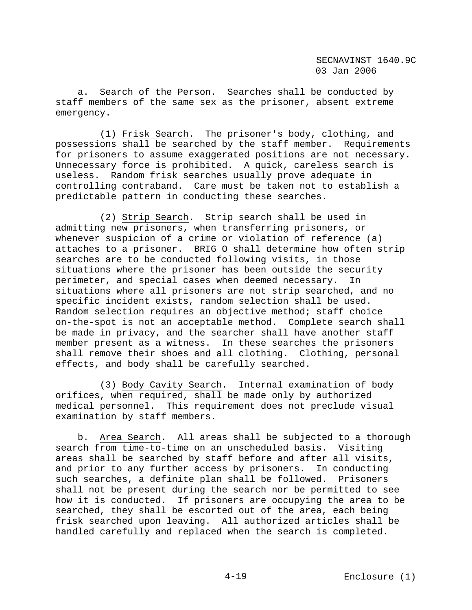a. Search of the Person. Searches shall be conducted by staff members of the same sex as the prisoner, absent extreme emergency.

 (1) Frisk Search. The prisoner's body, clothing, and possessions shall be searched by the staff member. Requirements for prisoners to assume exaggerated positions are not necessary. Unnecessary force is prohibited. A quick, careless search is useless. Random frisk searches usually prove adequate in controlling contraband. Care must be taken not to establish a predictable pattern in conducting these searches.

 (2) Strip Search. Strip search shall be used in admitting new prisoners, when transferring prisoners, or whenever suspicion of a crime or violation of reference (a) attaches to a prisoner. BRIG O shall determine how often strip searches are to be conducted following visits, in those situations where the prisoner has been outside the security perimeter, and special cases when deemed necessary. In situations where all prisoners are not strip searched, and no specific incident exists, random selection shall be used. Random selection requires an objective method; staff choice on-the-spot is not an acceptable method. Complete search shall be made in privacy, and the searcher shall have another staff member present as a witness. In these searches the prisoners shall remove their shoes and all clothing. Clothing, personal effects, and body shall be carefully searched.

 (3) Body Cavity Search. Internal examination of body orifices, when required, shall be made only by authorized medical personnel. This requirement does not preclude visual examination by staff members.

 b. Area Search. All areas shall be subjected to a thorough search from time-to-time on an unscheduled basis. Visiting areas shall be searched by staff before and after all visits, and prior to any further access by prisoners. In conducting such searches, a definite plan shall be followed. Prisoners shall not be present during the search nor be permitted to see how it is conducted. If prisoners are occupying the area to be searched, they shall be escorted out of the area, each being frisk searched upon leaving. All authorized articles shall be handled carefully and replaced when the search is completed.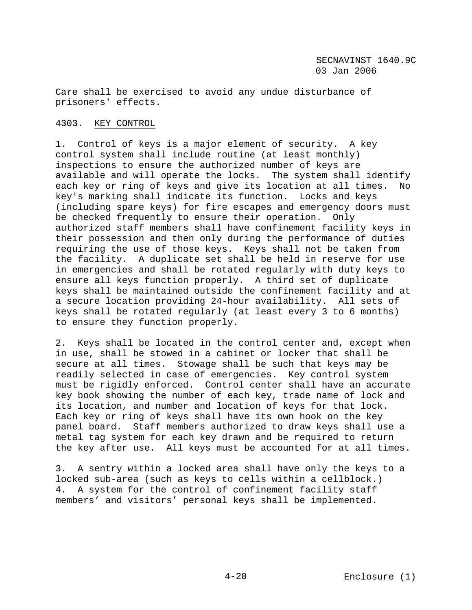Care shall be exercised to avoid any undue disturbance of prisoners' effects.

# 4303. KEY CONTROL

1. Control of keys is a major element of security. A key control system shall include routine (at least monthly) inspections to ensure the authorized number of keys are available and will operate the locks. The system shall identify each key or ring of keys and give its location at all times. No key's marking shall indicate its function. Locks and keys (including spare keys) for fire escapes and emergency doors must be checked frequently to ensure their operation. Only authorized staff members shall have confinement facility keys in their possession and then only during the performance of duties requiring the use of those keys. Keys shall not be taken from the facility. A duplicate set shall be held in reserve for use in emergencies and shall be rotated regularly with duty keys to ensure all keys function properly. A third set of duplicate keys shall be maintained outside the confinement facility and at a secure location providing 24-hour availability. All sets of keys shall be rotated regularly (at least every 3 to 6 months) to ensure they function properly.

2. Keys shall be located in the control center and, except when in use, shall be stowed in a cabinet or locker that shall be secure at all times. Stowage shall be such that keys may be readily selected in case of emergencies. Key control system must be rigidly enforced. Control center shall have an accurate key book showing the number of each key, trade name of lock and its location, and number and location of keys for that lock. Each key or ring of keys shall have its own hook on the key panel board. Staff members authorized to draw keys shall use a metal tag system for each key drawn and be required to return the key after use. All keys must be accounted for at all times.

3. A sentry within a locked area shall have only the keys to a locked sub-area (such as keys to cells within a cellblock.) 4. A system for the control of confinement facility staff members' and visitors' personal keys shall be implemented.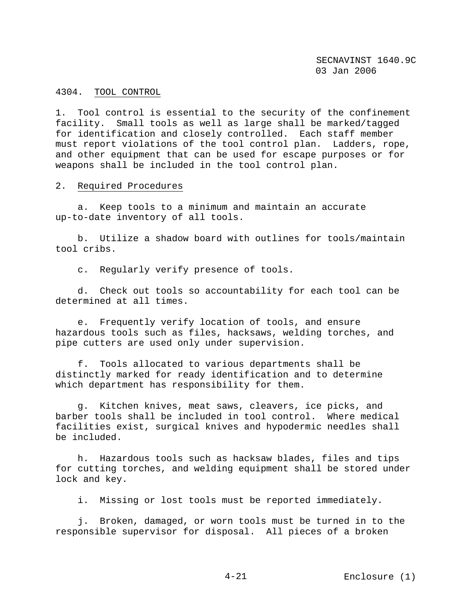### 4304. TOOL CONTROL

1. Tool control is essential to the security of the confinement facility. Small tools as well as large shall be marked/tagged for identification and closely controlled. Each staff member must report violations of the tool control plan. Ladders, rope, and other equipment that can be used for escape purposes or for weapons shall be included in the tool control plan.

2. Required Procedures

 a. Keep tools to a minimum and maintain an accurate up-to-date inventory of all tools.

 b. Utilize a shadow board with outlines for tools/maintain tool cribs.

c. Regularly verify presence of tools.

 d. Check out tools so accountability for each tool can be determined at all times.

 e. Frequently verify location of tools, and ensure hazardous tools such as files, hacksaws, welding torches, and pipe cutters are used only under supervision.

 f. Tools allocated to various departments shall be distinctly marked for ready identification and to determine which department has responsibility for them.

 g. Kitchen knives, meat saws, cleavers, ice picks, and barber tools shall be included in tool control. Where medical facilities exist, surgical knives and hypodermic needles shall be included.

 h. Hazardous tools such as hacksaw blades, files and tips for cutting torches, and welding equipment shall be stored under lock and key.

i. Missing or lost tools must be reported immediately.

 j. Broken, damaged, or worn tools must be turned in to the responsible supervisor for disposal. All pieces of a broken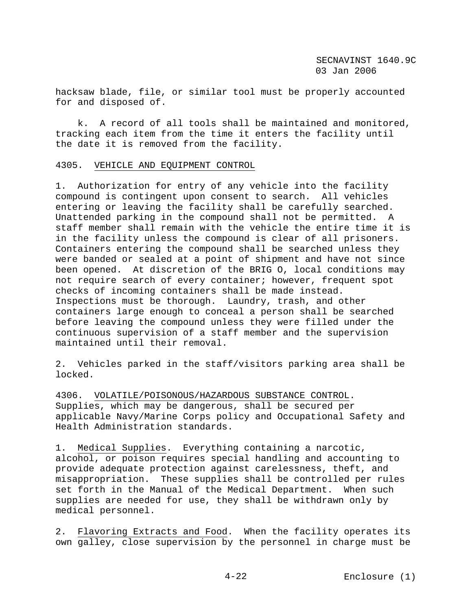hacksaw blade, file, or similar tool must be properly accounted for and disposed of.

 k. A record of all tools shall be maintained and monitored, tracking each item from the time it enters the facility until the date it is removed from the facility.

### 4305. VEHICLE AND EQUIPMENT CONTROL

1. Authorization for entry of any vehicle into the facility compound is contingent upon consent to search. All vehicles entering or leaving the facility shall be carefully searched. Unattended parking in the compound shall not be permitted. A staff member shall remain with the vehicle the entire time it is in the facility unless the compound is clear of all prisoners. Containers entering the compound shall be searched unless they were banded or sealed at a point of shipment and have not since been opened. At discretion of the BRIG O, local conditions may not require search of every container; however, frequent spot checks of incoming containers shall be made instead. Inspections must be thorough. Laundry, trash, and other containers large enough to conceal a person shall be searched before leaving the compound unless they were filled under the continuous supervision of a staff member and the supervision maintained until their removal.

2. Vehicles parked in the staff/visitors parking area shall be locked.

4306. VOLATILE/POISONOUS/HAZARDOUS SUBSTANCE CONTROL. Supplies, which may be dangerous, shall be secured per applicable Navy/Marine Corps policy and Occupational Safety and Health Administration standards.

1. Medical Supplies. Everything containing a narcotic, alcohol, or poison requires special handling and accounting to provide adequate protection against carelessness, theft, and misappropriation. These supplies shall be controlled per rules set forth in the Manual of the Medical Department. When such supplies are needed for use, they shall be withdrawn only by medical personnel.

2. Flavoring Extracts and Food. When the facility operates its own galley, close supervision by the personnel in charge must be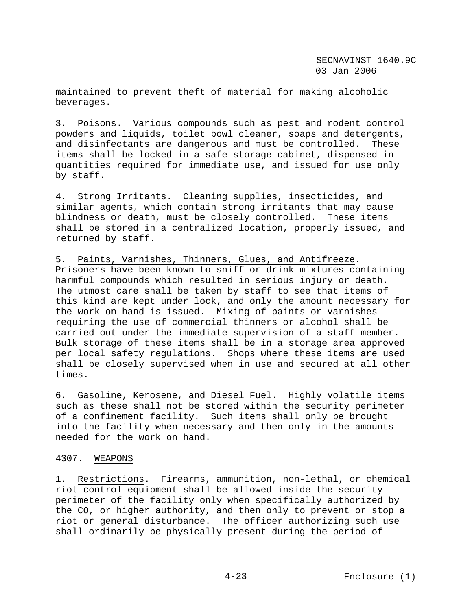maintained to prevent theft of material for making alcoholic beverages.

3. Poisons. Various compounds such as pest and rodent control powders and liquids, toilet bowl cleaner, soaps and detergents, and disinfectants are dangerous and must be controlled. These items shall be locked in a safe storage cabinet, dispensed in quantities required for immediate use, and issued for use only by staff.

4. Strong Irritants. Cleaning supplies, insecticides, and similar agents, which contain strong irritants that may cause blindness or death, must be closely controlled. These items shall be stored in a centralized location, properly issued, and returned by staff.

5. Paints, Varnishes, Thinners, Glues, and Antifreeze. Prisoners have been known to sniff or drink mixtures containing harmful compounds which resulted in serious injury or death. The utmost care shall be taken by staff to see that items of this kind are kept under lock, and only the amount necessary for the work on hand is issued. Mixing of paints or varnishes requiring the use of commercial thinners or alcohol shall be carried out under the immediate supervision of a staff member. Bulk storage of these items shall be in a storage area approved per local safety regulations. Shops where these items are used shall be closely supervised when in use and secured at all other times.

6. Gasoline, Kerosene, and Diesel Fuel. Highly volatile items such as these shall not be stored within the security perimeter of a confinement facility. Such items shall only be brought into the facility when necessary and then only in the amounts needed for the work on hand.

### 4307. WEAPONS

1. Restrictions. Firearms, ammunition, non-lethal, or chemical riot control equipment shall be allowed inside the security perimeter of the facility only when specifically authorized by the CO, or higher authority, and then only to prevent or stop a riot or general disturbance. The officer authorizing such use shall ordinarily be physically present during the period of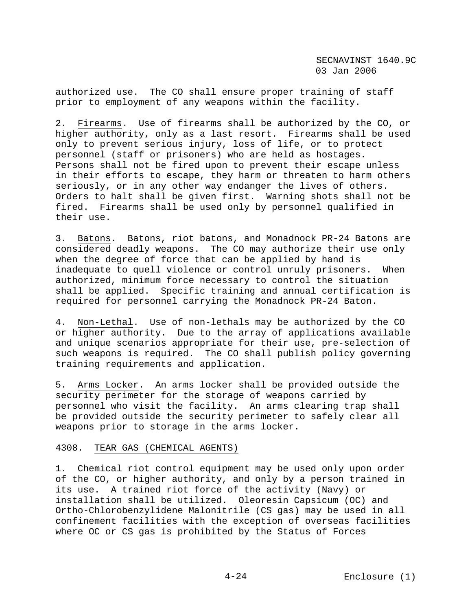authorized use. The CO shall ensure proper training of staff prior to employment of any weapons within the facility.

2. Firearms. Use of firearms shall be authorized by the CO, or higher authority, only as a last resort. Firearms shall be used only to prevent serious injury, loss of life, or to protect personnel (staff or prisoners) who are held as hostages. Persons shall not be fired upon to prevent their escape unless in their efforts to escape, they harm or threaten to harm others seriously, or in any other way endanger the lives of others. Orders to halt shall be given first. Warning shots shall not be fired. Firearms shall be used only by personnel qualified in their use.

3. Batons. Batons, riot batons, and Monadnock PR-24 Batons are considered deadly weapons. The CO may authorize their use only when the degree of force that can be applied by hand is inadequate to quell violence or control unruly prisoners. When authorized, minimum force necessary to control the situation shall be applied. Specific training and annual certification is required for personnel carrying the Monadnock PR-24 Baton.

4. Non-Lethal. Use of non-lethals may be authorized by the CO or higher authority. Due to the array of applications available and unique scenarios appropriate for their use, pre-selection of such weapons is required. The CO shall publish policy governing training requirements and application.

5. Arms Locker. An arms locker shall be provided outside the security perimeter for the storage of weapons carried by personnel who visit the facility. An arms clearing trap shall be provided outside the security perimeter to safely clear all weapons prior to storage in the arms locker.

#### 4308. TEAR GAS (CHEMICAL AGENTS)

1. Chemical riot control equipment may be used only upon order of the CO, or higher authority, and only by a person trained in its use. A trained riot force of the activity (Navy) or installation shall be utilized. Oleoresin Capsicum (OC) and Ortho-Chlorobenzylidene Malonitrile (CS gas) may be used in all confinement facilities with the exception of overseas facilities where OC or CS gas is prohibited by the Status of Forces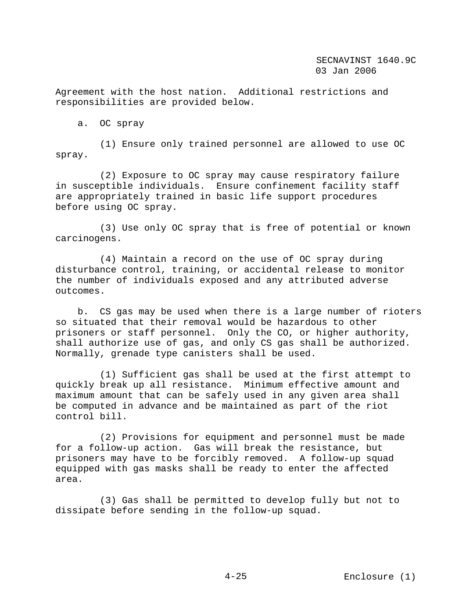Agreement with the host nation. Additional restrictions and responsibilities are provided below.

a. OC spray

 (1) Ensure only trained personnel are allowed to use OC spray.

 (2) Exposure to OC spray may cause respiratory failure in susceptible individuals. Ensure confinement facility staff are appropriately trained in basic life support procedures before using OC spray.

 (3) Use only OC spray that is free of potential or known carcinogens.

 (4) Maintain a record on the use of OC spray during disturbance control, training, or accidental release to monitor the number of individuals exposed and any attributed adverse outcomes.

 b. CS gas may be used when there is a large number of rioters so situated that their removal would be hazardous to other prisoners or staff personnel. Only the CO, or higher authority, shall authorize use of gas, and only CS gas shall be authorized. Normally, grenade type canisters shall be used.

 (1) Sufficient gas shall be used at the first attempt to quickly break up all resistance. Minimum effective amount and maximum amount that can be safely used in any given area shall be computed in advance and be maintained as part of the riot control bill.

 (2) Provisions for equipment and personnel must be made for a follow-up action. Gas will break the resistance, but prisoners may have to be forcibly removed. A follow-up squad equipped with gas masks shall be ready to enter the affected area.

 (3) Gas shall be permitted to develop fully but not to dissipate before sending in the follow-up squad.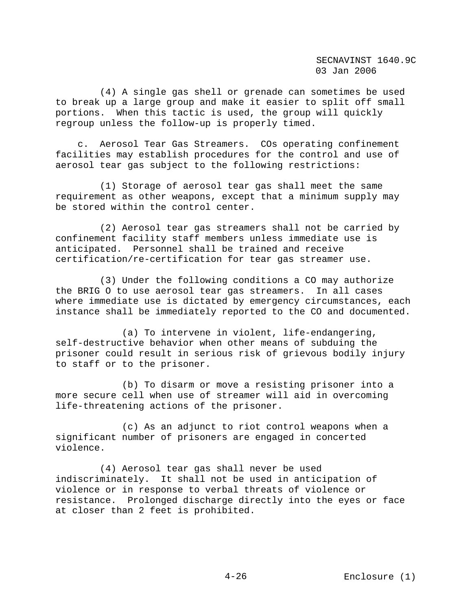(4) A single gas shell or grenade can sometimes be used to break up a large group and make it easier to split off small portions. When this tactic is used, the group will quickly regroup unless the follow-up is properly timed.

 c. Aerosol Tear Gas Streamers. COs operating confinement facilities may establish procedures for the control and use of aerosol tear gas subject to the following restrictions:

 (1) Storage of aerosol tear gas shall meet the same requirement as other weapons, except that a minimum supply may be stored within the control center.

 (2) Aerosol tear gas streamers shall not be carried by confinement facility staff members unless immediate use is anticipated. Personnel shall be trained and receive certification/re-certification for tear gas streamer use.

 (3) Under the following conditions a CO may authorize the BRIG O to use aerosol tear gas streamers. In all cases where immediate use is dictated by emergency circumstances, each instance shall be immediately reported to the CO and documented.

 (a) To intervene in violent, life-endangering, self-destructive behavior when other means of subduing the prisoner could result in serious risk of grievous bodily injury to staff or to the prisoner.

 (b) To disarm or move a resisting prisoner into a more secure cell when use of streamer will aid in overcoming life-threatening actions of the prisoner.

 (c) As an adjunct to riot control weapons when a significant number of prisoners are engaged in concerted violence.

 (4) Aerosol tear gas shall never be used indiscriminately. It shall not be used in anticipation of violence or in response to verbal threats of violence or resistance. Prolonged discharge directly into the eyes or face at closer than 2 feet is prohibited.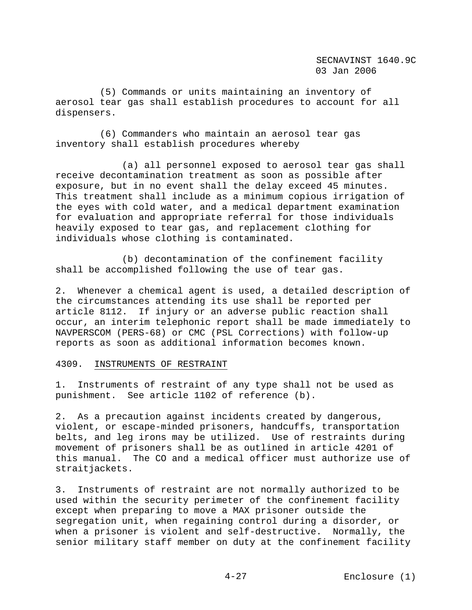(5) Commands or units maintaining an inventory of aerosol tear gas shall establish procedures to account for all dispensers.

 (6) Commanders who maintain an aerosol tear gas inventory shall establish procedures whereby

 (a) all personnel exposed to aerosol tear gas shall receive decontamination treatment as soon as possible after exposure, but in no event shall the delay exceed 45 minutes. This treatment shall include as a minimum copious irrigation of the eyes with cold water, and a medical department examination for evaluation and appropriate referral for those individuals heavily exposed to tear gas, and replacement clothing for individuals whose clothing is contaminated.

 (b) decontamination of the confinement facility shall be accomplished following the use of tear gas.

2. Whenever a chemical agent is used, a detailed description of the circumstances attending its use shall be reported per article 8112. If injury or an adverse public reaction shall occur, an interim telephonic report shall be made immediately to NAVPERSCOM (PERS-68) or CMC (PSL Corrections) with follow-up reports as soon as additional information becomes known.

#### 4309. INSTRUMENTS OF RESTRAINT

1. Instruments of restraint of any type shall not be used as punishment. See article 1102 of reference (b).

2. As a precaution against incidents created by dangerous, violent, or escape-minded prisoners, handcuffs, transportation belts, and leg irons may be utilized. Use of restraints during movement of prisoners shall be as outlined in article 4201 of this manual. The CO and a medical officer must authorize use of straitjackets.

3. Instruments of restraint are not normally authorized to be used within the security perimeter of the confinement facility except when preparing to move a MAX prisoner outside the segregation unit, when regaining control during a disorder, or when a prisoner is violent and self-destructive. Normally, the senior military staff member on duty at the confinement facility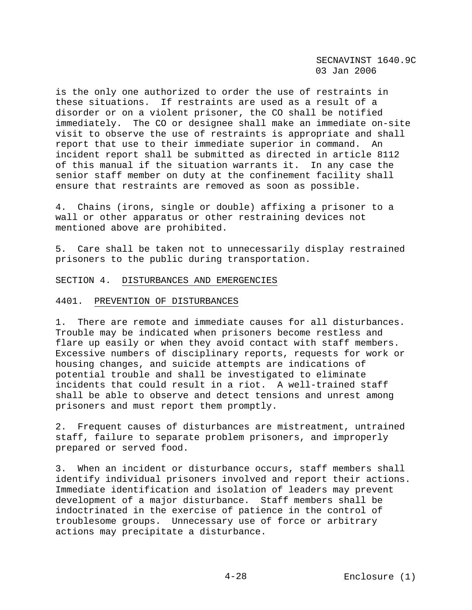is the only one authorized to order the use of restraints in these situations. If restraints are used as a result of a disorder or on a violent prisoner, the CO shall be notified immediately. The CO or designee shall make an immediate on-site visit to observe the use of restraints is appropriate and shall report that use to their immediate superior in command. An incident report shall be submitted as directed in article 8112 of this manual if the situation warrants it. In any case the senior staff member on duty at the confinement facility shall ensure that restraints are removed as soon as possible.

4. Chains (irons, single or double) affixing a prisoner to a wall or other apparatus or other restraining devices not mentioned above are prohibited.

5. Care shall be taken not to unnecessarily display restrained prisoners to the public during transportation.

SECTION 4. DISTURBANCES AND EMERGENCIES

#### 4401. PREVENTION OF DISTURBANCES

1. There are remote and immediate causes for all disturbances. Trouble may be indicated when prisoners become restless and flare up easily or when they avoid contact with staff members. Excessive numbers of disciplinary reports, requests for work or housing changes, and suicide attempts are indications of potential trouble and shall be investigated to eliminate incidents that could result in a riot. A well-trained staff shall be able to observe and detect tensions and unrest among prisoners and must report them promptly.

2. Frequent causes of disturbances are mistreatment, untrained staff, failure to separate problem prisoners, and improperly prepared or served food.

3. When an incident or disturbance occurs, staff members shall identify individual prisoners involved and report their actions. Immediate identification and isolation of leaders may prevent development of a major disturbance. Staff members shall be indoctrinated in the exercise of patience in the control of troublesome groups. Unnecessary use of force or arbitrary actions may precipitate a disturbance.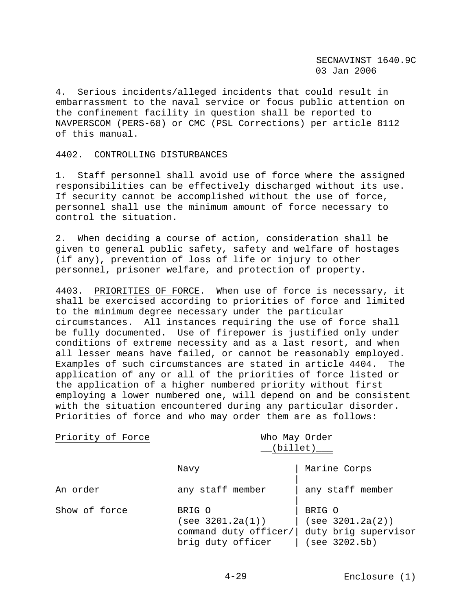4. Serious incidents/alleged incidents that could result in embarrassment to the naval service or focus public attention on the confinement facility in question shall be reported to NAVPERSCOM (PERS-68) or CMC (PSL Corrections) per article 8112 of this manual.

# 4402. CONTROLLING DISTURBANCES

1. Staff personnel shall avoid use of force where the assigned responsibilities can be effectively discharged without its use. If security cannot be accomplished without the use of force, personnel shall use the minimum amount of force necessary to control the situation.

2. When deciding a course of action, consideration shall be given to general public safety, safety and welfare of hostages (if any), prevention of loss of life or injury to other personnel, prisoner welfare, and protection of property.

4403. PRIORITIES OF FORCE. When use of force is necessary, it shall be exercised according to priorities of force and limited to the minimum degree necessary under the particular circumstances. All instances requiring the use of force shall be fully documented. Use of firepower is justified only under conditions of extreme necessity and as a last resort, and when all lesser means have failed, or cannot be reasonably employed. Examples of such circumstances are stated in article 4404. The application of any or all of the priorities of force listed or the application of a higher numbered priority without first employing a lower numbered one, will depend on and be consistent with the situation encountered during any particular disorder. Priorities of force and who may order them are as follows:

| Priority of Force |  |  |  |  |
|-------------------|--|--|--|--|
|-------------------|--|--|--|--|

Who May Order  $(i)$  (billet)

|               | Navy                                                                     | Marine Corps                                                        |  |
|---------------|--------------------------------------------------------------------------|---------------------------------------------------------------------|--|
| An order      | any staff member                                                         | any staff member                                                    |  |
| Show of force | BRIG O<br>(see 3201.2a(1))<br>command duty officer/<br>brig duty officer | BRIG O<br>(see 3201.2a(2))<br>duty brig supervisor<br>(see 3202.5b) |  |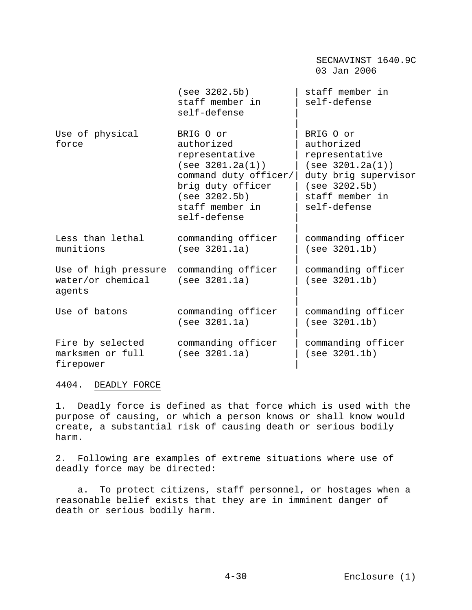|                                                     |                                                                                                                                                                 | SECNAVINST 1640.9C<br>03 Jan 2006                                                                                                         |
|-----------------------------------------------------|-----------------------------------------------------------------------------------------------------------------------------------------------------------------|-------------------------------------------------------------------------------------------------------------------------------------------|
|                                                     | (see 3202.5b)<br>staff member in<br>self-defense                                                                                                                | staff member in<br>self-defense                                                                                                           |
| Use of physical<br>force                            | BRIG O or<br>authorized<br>representative<br>(see 3201.2a(1))<br>command duty officer/<br>brig duty officer<br>(see 3202.5b)<br>staff member in<br>self-defense | BRIG O or<br>authorized<br>representative<br>(see 3201.2a(1))<br>duty brig supervisor<br>(see 3202.5b)<br>staff member in<br>self-defense |
| Less than lethal<br>munitions                       | commanding officer<br>(see 3201.1a)                                                                                                                             | commanding officer<br>(see 3201.1b)                                                                                                       |
| Use of high pressure<br>water/or chemical<br>agents | commanding officer<br>(see 3201.1a)                                                                                                                             | commanding officer<br>(see 3201.1b)                                                                                                       |
| Use of batons                                       | commanding officer<br>(see 3201.1a)                                                                                                                             | commanding officer<br>(see 3201.1b)                                                                                                       |
| Fire by selected<br>marksmen or full<br>firepower   | commanding officer<br>(see 3201.1a)                                                                                                                             | commanding officer<br>(see 3201.1b)                                                                                                       |

4404. DEADLY FORCE

1. Deadly force is defined as that force which is used with the purpose of causing, or which a person knows or shall know would create, a substantial risk of causing death or serious bodily harm.

2. Following are examples of extreme situations where use of deadly force may be directed:

 a. To protect citizens, staff personnel, or hostages when a reasonable belief exists that they are in imminent danger of death or serious bodily harm.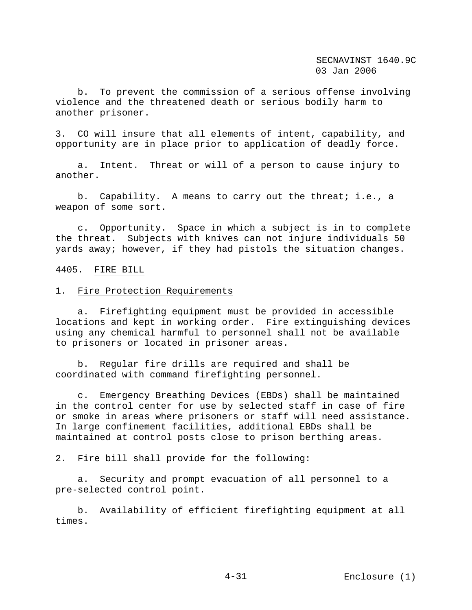b. To prevent the commission of a serious offense involving violence and the threatened death or serious bodily harm to another prisoner.

3. CO will insure that all elements of intent, capability, and opportunity are in place prior to application of deadly force.

 a. Intent. Threat or will of a person to cause injury to another.

 b. Capability. A means to carry out the threat; i.e., a weapon of some sort.

 c. Opportunity. Space in which a subject is in to complete the threat. Subjects with knives can not injure individuals 50 yards away; however, if they had pistols the situation changes.

#### 4405. FIRE BILL

### 1. Fire Protection Requirements

 a. Firefighting equipment must be provided in accessible locations and kept in working order. Fire extinguishing devices using any chemical harmful to personnel shall not be available to prisoners or located in prisoner areas.

 b. Regular fire drills are required and shall be coordinated with command firefighting personnel.

 c. Emergency Breathing Devices (EBDs) shall be maintained in the control center for use by selected staff in case of fire or smoke in areas where prisoners or staff will need assistance. In large confinement facilities, additional EBDs shall be maintained at control posts close to prison berthing areas.

2. Fire bill shall provide for the following:

 a. Security and prompt evacuation of all personnel to a pre-selected control point.

 b. Availability of efficient firefighting equipment at all times.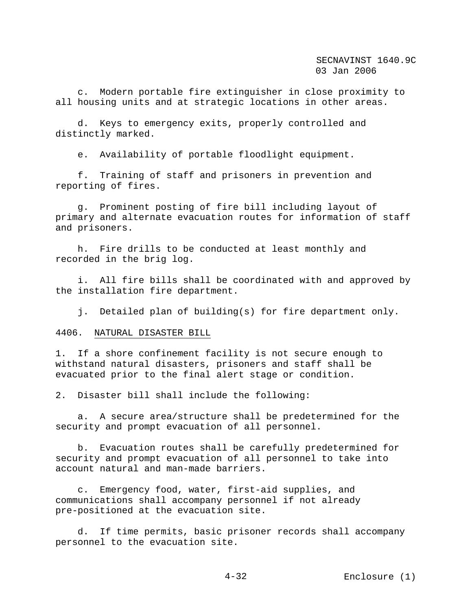c. Modern portable fire extinguisher in close proximity to all housing units and at strategic locations in other areas.

 d. Keys to emergency exits, properly controlled and distinctly marked.

e. Availability of portable floodlight equipment.

 f. Training of staff and prisoners in prevention and reporting of fires.

 g. Prominent posting of fire bill including layout of primary and alternate evacuation routes for information of staff and prisoners.

 h. Fire drills to be conducted at least monthly and recorded in the brig log.

 i. All fire bills shall be coordinated with and approved by the installation fire department.

j. Detailed plan of building(s) for fire department only.

4406. NATURAL DISASTER BILL

1. If a shore confinement facility is not secure enough to withstand natural disasters, prisoners and staff shall be evacuated prior to the final alert stage or condition.

2. Disaster bill shall include the following:

 a. A secure area/structure shall be predetermined for the security and prompt evacuation of all personnel.

 b. Evacuation routes shall be carefully predetermined for security and prompt evacuation of all personnel to take into account natural and man-made barriers.

 c. Emergency food, water, first-aid supplies, and communications shall accompany personnel if not already pre-positioned at the evacuation site.

 d. If time permits, basic prisoner records shall accompany personnel to the evacuation site.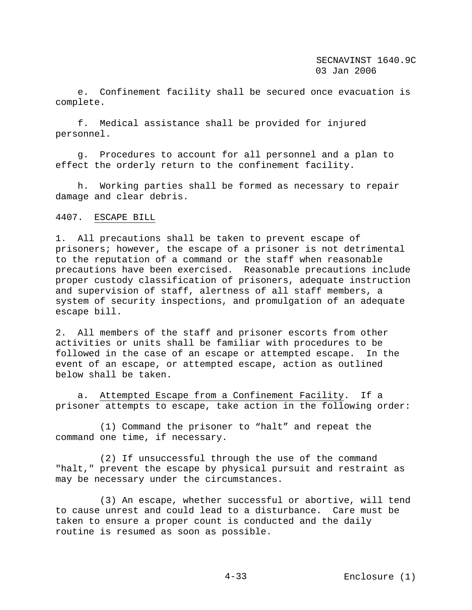e. Confinement facility shall be secured once evacuation is complete.

 f. Medical assistance shall be provided for injured personnel.

 g. Procedures to account for all personnel and a plan to effect the orderly return to the confinement facility.

 h. Working parties shall be formed as necessary to repair damage and clear debris.

# 4407. ESCAPE BILL

1. All precautions shall be taken to prevent escape of prisoners; however, the escape of a prisoner is not detrimental to the reputation of a command or the staff when reasonable precautions have been exercised. Reasonable precautions include proper custody classification of prisoners, adequate instruction and supervision of staff, alertness of all staff members, a system of security inspections, and promulgation of an adequate escape bill.

2. All members of the staff and prisoner escorts from other activities or units shall be familiar with procedures to be followed in the case of an escape or attempted escape. In the event of an escape, or attempted escape, action as outlined below shall be taken.

 a. Attempted Escape from a Confinement Facility. If a prisoner attempts to escape, take action in the following order:

 (1) Command the prisoner to "halt" and repeat the command one time, if necessary.

 (2) If unsuccessful through the use of the command "halt," prevent the escape by physical pursuit and restraint as may be necessary under the circumstances.

 (3) An escape, whether successful or abortive, will tend to cause unrest and could lead to a disturbance. Care must be taken to ensure a proper count is conducted and the daily routine is resumed as soon as possible.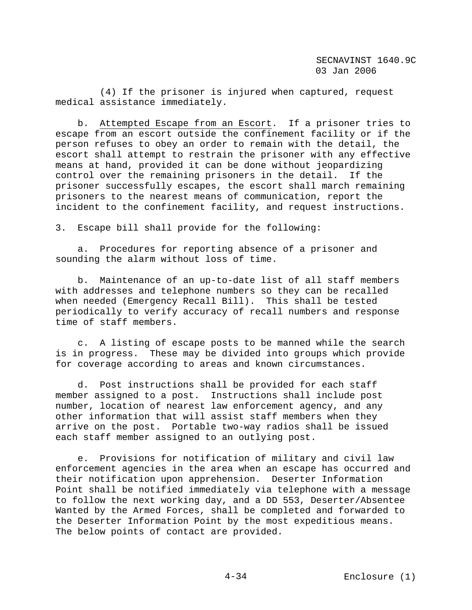(4) If the prisoner is injured when captured, request medical assistance immediately.

 b. Attempted Escape from an Escort. If a prisoner tries to escape from an escort outside the confinement facility or if the person refuses to obey an order to remain with the detail, the escort shall attempt to restrain the prisoner with any effective means at hand, provided it can be done without jeopardizing control over the remaining prisoners in the detail. If the prisoner successfully escapes, the escort shall march remaining prisoners to the nearest means of communication, report the incident to the confinement facility, and request instructions.

3. Escape bill shall provide for the following:

 a. Procedures for reporting absence of a prisoner and sounding the alarm without loss of time.

 b. Maintenance of an up-to-date list of all staff members with addresses and telephone numbers so they can be recalled when needed (Emergency Recall Bill). This shall be tested periodically to verify accuracy of recall numbers and response time of staff members.

 c. A listing of escape posts to be manned while the search is in progress. These may be divided into groups which provide for coverage according to areas and known circumstances.

 d. Post instructions shall be provided for each staff member assigned to a post. Instructions shall include post number, location of nearest law enforcement agency, and any other information that will assist staff members when they arrive on the post. Portable two-way radios shall be issued each staff member assigned to an outlying post.

 e. Provisions for notification of military and civil law enforcement agencies in the area when an escape has occurred and their notification upon apprehension. Deserter Information Point shall be notified immediately via telephone with a message to follow the next working day, and a DD 553, Deserter/Absentee Wanted by the Armed Forces, shall be completed and forwarded to the Deserter Information Point by the most expeditious means. The below points of contact are provided.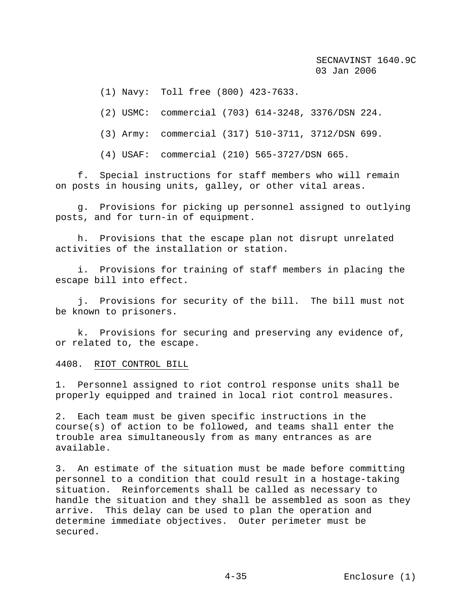(1) Navy: Toll free (800) 423-7633.

(2) USMC: commercial (703) 614-3248, 3376/DSN 224.

(3) Army: commercial (317) 510-3711, 3712/DSN 699.

(4) USAF: commercial (210) 565-3727/DSN 665.

 f. Special instructions for staff members who will remain on posts in housing units, galley, or other vital areas.

 g. Provisions for picking up personnel assigned to outlying posts, and for turn-in of equipment.

 h. Provisions that the escape plan not disrupt unrelated activities of the installation or station.

 i. Provisions for training of staff members in placing the escape bill into effect.

 j. Provisions for security of the bill. The bill must not be known to prisoners.

 k. Provisions for securing and preserving any evidence of, or related to, the escape.

4408. RIOT CONTROL BILL

1. Personnel assigned to riot control response units shall be properly equipped and trained in local riot control measures.

2. Each team must be given specific instructions in the course(s) of action to be followed, and teams shall enter the trouble area simultaneously from as many entrances as are available.

3. An estimate of the situation must be made before committing personnel to a condition that could result in a hostage-taking situation. Reinforcements shall be called as necessary to handle the situation and they shall be assembled as soon as they arrive. This delay can be used to plan the operation and determine immediate objectives. Outer perimeter must be secured.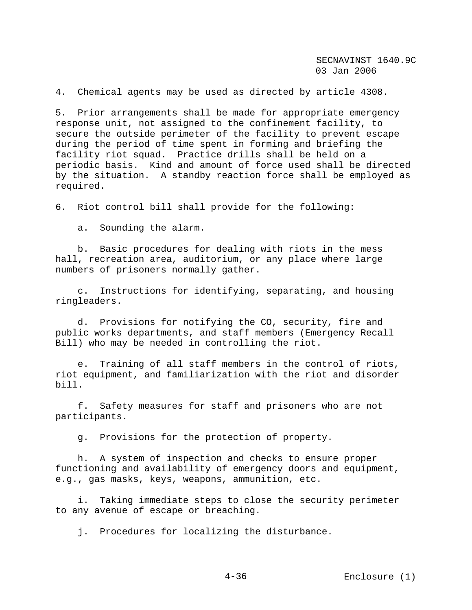4. Chemical agents may be used as directed by article 4308.

5. Prior arrangements shall be made for appropriate emergency response unit, not assigned to the confinement facility, to secure the outside perimeter of the facility to prevent escape during the period of time spent in forming and briefing the facility riot squad. Practice drills shall be held on a periodic basis. Kind and amount of force used shall be directed by the situation. A standby reaction force shall be employed as required.

6. Riot control bill shall provide for the following:

a. Sounding the alarm.

 b. Basic procedures for dealing with riots in the mess hall, recreation area, auditorium, or any place where large numbers of prisoners normally gather.

 c. Instructions for identifying, separating, and housing ringleaders.

 d. Provisions for notifying the CO, security, fire and public works departments, and staff members (Emergency Recall Bill) who may be needed in controlling the riot.

 e. Training of all staff members in the control of riots, riot equipment, and familiarization with the riot and disorder bill.

 f. Safety measures for staff and prisoners who are not participants.

g. Provisions for the protection of property.

 h. A system of inspection and checks to ensure proper functioning and availability of emergency doors and equipment, e.g., gas masks, keys, weapons, ammunition, etc.

 i. Taking immediate steps to close the security perimeter to any avenue of escape or breaching.

j. Procedures for localizing the disturbance.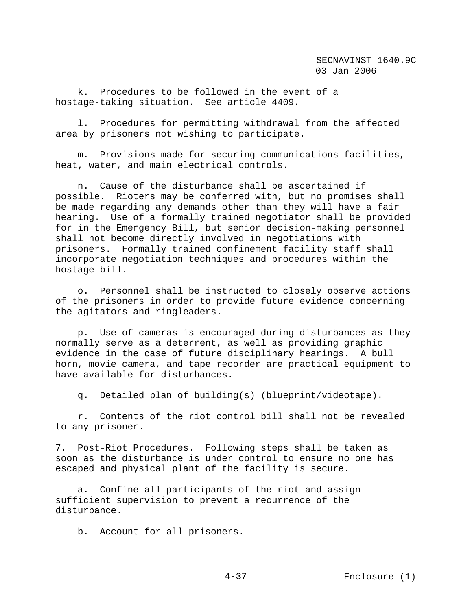k. Procedures to be followed in the event of a hostage-taking situation. See article 4409.

 l. Procedures for permitting withdrawal from the affected area by prisoners not wishing to participate.

 m. Provisions made for securing communications facilities, heat, water, and main electrical controls.

 n. Cause of the disturbance shall be ascertained if possible. Rioters may be conferred with, but no promises shall be made regarding any demands other than they will have a fair hearing. Use of a formally trained negotiator shall be provided for in the Emergency Bill, but senior decision-making personnel shall not become directly involved in negotiations with prisoners. Formally trained confinement facility staff shall incorporate negotiation techniques and procedures within the hostage bill.

 o. Personnel shall be instructed to closely observe actions of the prisoners in order to provide future evidence concerning the agitators and ringleaders.

 p. Use of cameras is encouraged during disturbances as they normally serve as a deterrent, as well as providing graphic evidence in the case of future disciplinary hearings. A bull horn, movie camera, and tape recorder are practical equipment to have available for disturbances.

q. Detailed plan of building(s) (blueprint/videotape).

 r. Contents of the riot control bill shall not be revealed to any prisoner.

7. Post-Riot Procedures. Following steps shall be taken as soon as the disturbance is under control to ensure no one has escaped and physical plant of the facility is secure.

 a. Confine all participants of the riot and assign sufficient supervision to prevent a recurrence of the disturbance.

b. Account for all prisoners.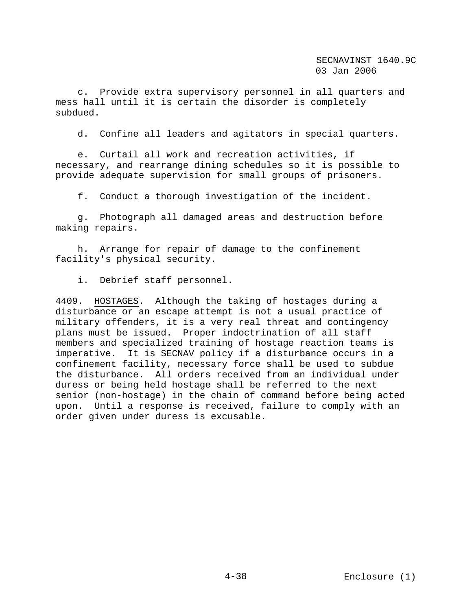c. Provide extra supervisory personnel in all quarters and mess hall until it is certain the disorder is completely subdued.

d. Confine all leaders and agitators in special quarters.

 e. Curtail all work and recreation activities, if necessary, and rearrange dining schedules so it is possible to provide adequate supervision for small groups of prisoners.

f. Conduct a thorough investigation of the incident.

 g. Photograph all damaged areas and destruction before making repairs.

 h. Arrange for repair of damage to the confinement facility's physical security.

i. Debrief staff personnel.

4409. HOSTAGES. Although the taking of hostages during a disturbance or an escape attempt is not a usual practice of military offenders, it is a very real threat and contingency plans must be issued. Proper indoctrination of all staff members and specialized training of hostage reaction teams is imperative. It is SECNAV policy if a disturbance occurs in a confinement facility, necessary force shall be used to subdue the disturbance. All orders received from an individual under duress or being held hostage shall be referred to the next senior (non-hostage) in the chain of command before being acted upon. Until a response is received, failure to comply with an order given under duress is excusable.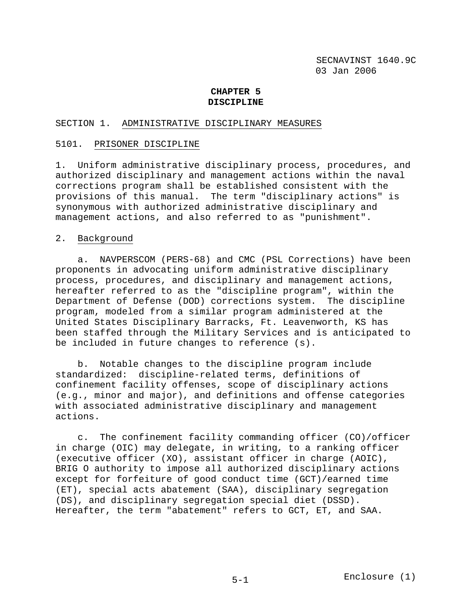# **CHAPTER 5 DISCIPLINE**

# SECTION 1. ADMINISTRATIVE DISCIPLINARY MEASURES

# 5101. PRISONER DISCIPLINE

1. Uniform administrative disciplinary process, procedures, and authorized disciplinary and management actions within the naval corrections program shall be established consistent with the provisions of this manual. The term "disciplinary actions" is synonymous with authorized administrative disciplinary and management actions, and also referred to as "punishment".

# 2. Background

 a. NAVPERSCOM (PERS-68) and CMC (PSL Corrections) have been proponents in advocating uniform administrative disciplinary process, procedures, and disciplinary and management actions, hereafter referred to as the "discipline program", within the Department of Defense (DOD) corrections system. The discipline program, modeled from a similar program administered at the United States Disciplinary Barracks, Ft. Leavenworth, KS has been staffed through the Military Services and is anticipated to be included in future changes to reference (s).

 b. Notable changes to the discipline program include standardized: discipline-related terms, definitions of confinement facility offenses, scope of disciplinary actions (e.g., minor and major), and definitions and offense categories with associated administrative disciplinary and management actions.

 c. The confinement facility commanding officer (CO)/officer in charge (OIC) may delegate, in writing, to a ranking officer (executive officer (XO), assistant officer in charge (AOIC), BRIG O authority to impose all authorized disciplinary actions except for forfeiture of good conduct time (GCT)/earned time (ET), special acts abatement (SAA), disciplinary segregation (DS), and disciplinary segregation special diet (DSSD). Hereafter, the term "abatement" refers to GCT, ET, and SAA.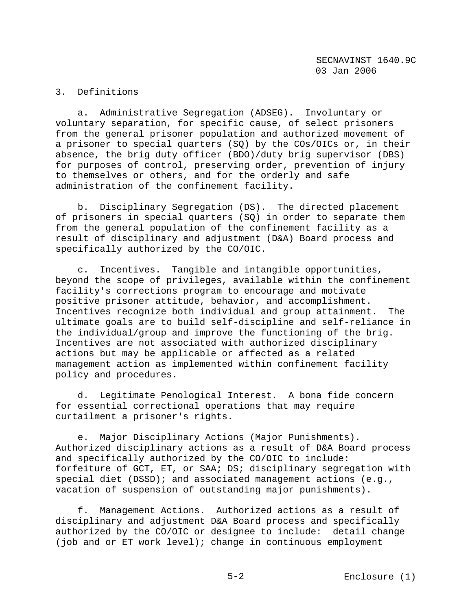# 3. Definitions

 a. Administrative Segregation (ADSEG). Involuntary or voluntary separation, for specific cause, of select prisoners from the general prisoner population and authorized movement of a prisoner to special quarters (SQ) by the COs/OICs or, in their absence, the brig duty officer (BDO)/duty brig supervisor (DBS) for purposes of control, preserving order, prevention of injury to themselves or others, and for the orderly and safe administration of the confinement facility.

 b. Disciplinary Segregation (DS). The directed placement of prisoners in special quarters (SQ) in order to separate them from the general population of the confinement facility as a result of disciplinary and adjustment (D&A) Board process and specifically authorized by the CO/OIC.

 c. Incentives. Tangible and intangible opportunities, beyond the scope of privileges, available within the confinement facility's corrections program to encourage and motivate positive prisoner attitude, behavior, and accomplishment. Incentives recognize both individual and group attainment. The ultimate goals are to build self-discipline and self-reliance in the individual/group and improve the functioning of the brig. Incentives are not associated with authorized disciplinary actions but may be applicable or affected as a related management action as implemented within confinement facility policy and procedures.

 d. Legitimate Penological Interest. A bona fide concern for essential correctional operations that may require curtailment a prisoner's rights.

 e. Major Disciplinary Actions (Major Punishments). Authorized disciplinary actions as a result of D&A Board process and specifically authorized by the CO/OIC to include: forfeiture of GCT, ET, or SAA; DS; disciplinary segregation with special diet (DSSD); and associated management actions (e.g., vacation of suspension of outstanding major punishments).

 f. Management Actions. Authorized actions as a result of disciplinary and adjustment D&A Board process and specifically authorized by the CO/OIC or designee to include: detail change (job and or ET work level); change in continuous employment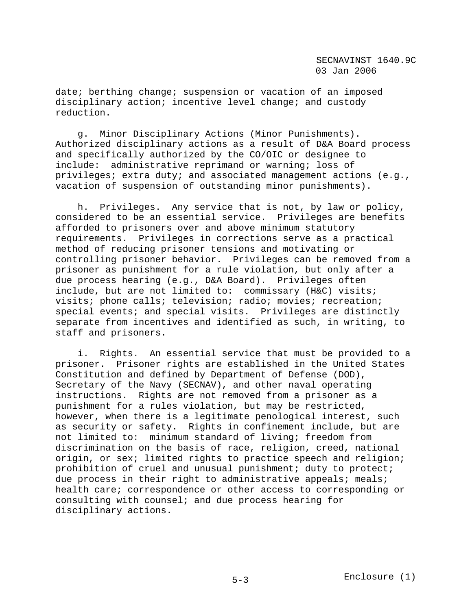date; berthing change; suspension or vacation of an imposed disciplinary action; incentive level change; and custody reduction.

 g. Minor Disciplinary Actions (Minor Punishments). Authorized disciplinary actions as a result of D&A Board process and specifically authorized by the CO/OIC or designee to include: administrative reprimand or warning; loss of privileges; extra duty; and associated management actions (e.g., vacation of suspension of outstanding minor punishments).

 h. Privileges. Any service that is not, by law or policy, considered to be an essential service. Privileges are benefits afforded to prisoners over and above minimum statutory requirements. Privileges in corrections serve as a practical method of reducing prisoner tensions and motivating or controlling prisoner behavior. Privileges can be removed from a prisoner as punishment for a rule violation, but only after a due process hearing (e.g., D&A Board). Privileges often include, but are not limited to: commissary (H&C) visits; visits; phone calls; television; radio; movies; recreation; special events; and special visits. Privileges are distinctly separate from incentives and identified as such, in writing, to staff and prisoners.

 i. Rights. An essential service that must be provided to a prisoner. Prisoner rights are established in the United States Constitution and defined by Department of Defense (DOD), Secretary of the Navy (SECNAV), and other naval operating instructions. Rights are not removed from a prisoner as a punishment for a rules violation, but may be restricted, however, when there is a legitimate penological interest, such as security or safety. Rights in confinement include, but are not limited to: minimum standard of living; freedom from discrimination on the basis of race, religion, creed, national origin, or sex; limited rights to practice speech and religion; prohibition of cruel and unusual punishment; duty to protect; due process in their right to administrative appeals; meals; health care; correspondence or other access to corresponding or consulting with counsel; and due process hearing for disciplinary actions.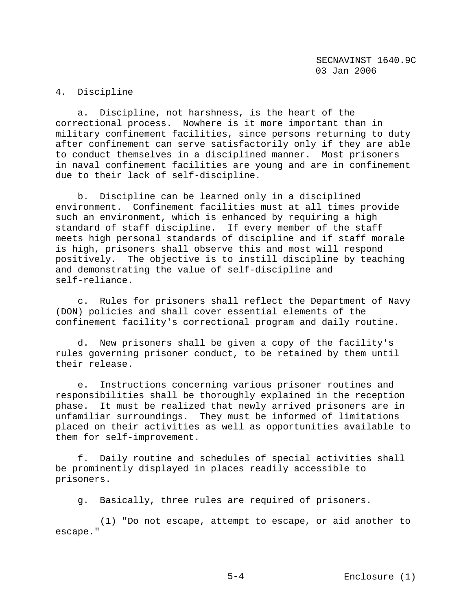# 4. Discipline

 a. Discipline, not harshness, is the heart of the correctional process. Nowhere is it more important than in military confinement facilities, since persons returning to duty after confinement can serve satisfactorily only if they are able to conduct themselves in a disciplined manner. Most prisoners in naval confinement facilities are young and are in confinement due to their lack of self-discipline.

 b. Discipline can be learned only in a disciplined environment. Confinement facilities must at all times provide such an environment, which is enhanced by requiring a high standard of staff discipline. If every member of the staff meets high personal standards of discipline and if staff morale is high, prisoners shall observe this and most will respond positively. The objective is to instill discipline by teaching and demonstrating the value of self-discipline and self-reliance.

 c. Rules for prisoners shall reflect the Department of Navy (DON) policies and shall cover essential elements of the confinement facility's correctional program and daily routine.

 d. New prisoners shall be given a copy of the facility's rules governing prisoner conduct, to be retained by them until their release.

 e. Instructions concerning various prisoner routines and responsibilities shall be thoroughly explained in the reception phase. It must be realized that newly arrived prisoners are in unfamiliar surroundings. They must be informed of limitations placed on their activities as well as opportunities available to them for self-improvement.

 f. Daily routine and schedules of special activities shall be prominently displayed in places readily accessible to prisoners.

g. Basically, three rules are required of prisoners.

 (1) "Do not escape, attempt to escape, or aid another to escape."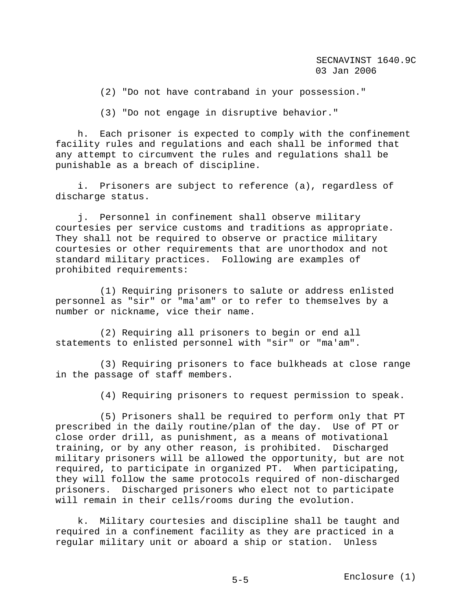(2) "Do not have contraband in your possession."

(3) "Do not engage in disruptive behavior."

 h. Each prisoner is expected to comply with the confinement facility rules and regulations and each shall be informed that any attempt to circumvent the rules and regulations shall be punishable as a breach of discipline.

 i. Prisoners are subject to reference (a), regardless of discharge status.

 j. Personnel in confinement shall observe military courtesies per service customs and traditions as appropriate. They shall not be required to observe or practice military courtesies or other requirements that are unorthodox and not standard military practices. Following are examples of prohibited requirements:

 (1) Requiring prisoners to salute or address enlisted personnel as "sir" or "ma'am" or to refer to themselves by a number or nickname, vice their name.

 (2) Requiring all prisoners to begin or end all statements to enlisted personnel with "sir" or "ma'am".

 (3) Requiring prisoners to face bulkheads at close range in the passage of staff members.

(4) Requiring prisoners to request permission to speak.

 (5) Prisoners shall be required to perform only that PT prescribed in the daily routine/plan of the day. Use of PT or close order drill, as punishment, as a means of motivational training, or by any other reason, is prohibited. Discharged military prisoners will be allowed the opportunity, but are not required, to participate in organized PT. When participating, they will follow the same protocols required of non-discharged prisoners. Discharged prisoners who elect not to participate will remain in their cells/rooms during the evolution.

 k. Military courtesies and discipline shall be taught and required in a confinement facility as they are practiced in a regular military unit or aboard a ship or station. Unless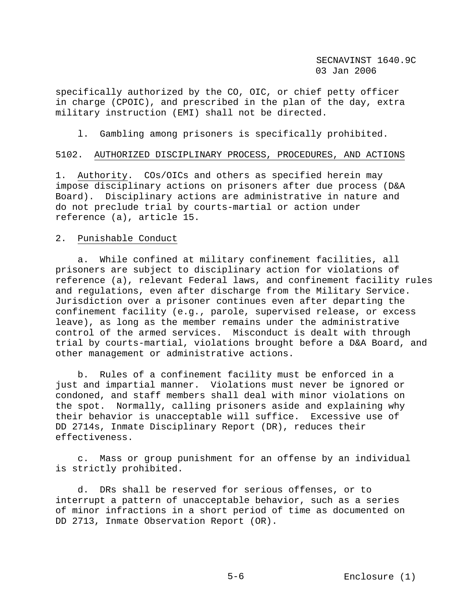specifically authorized by the CO, OIC, or chief petty officer in charge (CPOIC), and prescribed in the plan of the day, extra military instruction (EMI) shall not be directed.

l. Gambling among prisoners is specifically prohibited.

#### 5102. AUTHORIZED DISCIPLINARY PROCESS, PROCEDURES, AND ACTIONS

1. Authority. COs/OICs and others as specified herein may impose disciplinary actions on prisoners after due process (D&A Board). Disciplinary actions are administrative in nature and do not preclude trial by courts-martial or action under reference (a), article 15.

#### 2. Punishable Conduct

 a. While confined at military confinement facilities, all prisoners are subject to disciplinary action for violations of reference (a), relevant Federal laws, and confinement facility rules and regulations, even after discharge from the Military Service. Jurisdiction over a prisoner continues even after departing the confinement facility (e.g., parole, supervised release, or excess leave), as long as the member remains under the administrative control of the armed services. Misconduct is dealt with through trial by courts-martial, violations brought before a D&A Board, and other management or administrative actions.

 b. Rules of a confinement facility must be enforced in a just and impartial manner. Violations must never be ignored or condoned, and staff members shall deal with minor violations on the spot. Normally, calling prisoners aside and explaining why their behavior is unacceptable will suffice. Excessive use of DD 2714s, Inmate Disciplinary Report (DR), reduces their effectiveness.

 c. Mass or group punishment for an offense by an individual is strictly prohibited.

 d. DRs shall be reserved for serious offenses, or to interrupt a pattern of unacceptable behavior, such as a series of minor infractions in a short period of time as documented on DD 2713, Inmate Observation Report (OR).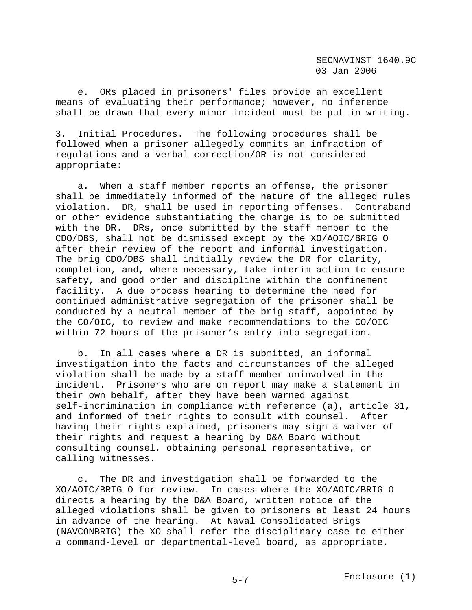e. ORs placed in prisoners' files provide an excellent means of evaluating their performance; however, no inference shall be drawn that every minor incident must be put in writing.

3. Initial Procedures. The following procedures shall be followed when a prisoner allegedly commits an infraction of regulations and a verbal correction/OR is not considered appropriate:

 a. When a staff member reports an offense, the prisoner shall be immediately informed of the nature of the alleged rules violation. DR, shall be used in reporting offenses. Contraband or other evidence substantiating the charge is to be submitted with the DR. DRs, once submitted by the staff member to the CDO/DBS, shall not be dismissed except by the XO/AOIC/BRIG O after their review of the report and informal investigation. The brig CDO/DBS shall initially review the DR for clarity, completion, and, where necessary, take interim action to ensure safety, and good order and discipline within the confinement facility. A due process hearing to determine the need for continued administrative segregation of the prisoner shall be conducted by a neutral member of the brig staff, appointed by the CO/OIC, to review and make recommendations to the CO/OIC within 72 hours of the prisoner's entry into segregation.

 b. In all cases where a DR is submitted, an informal investigation into the facts and circumstances of the alleged violation shall be made by a staff member uninvolved in the incident. Prisoners who are on report may make a statement in their own behalf, after they have been warned against self-incrimination in compliance with reference (a), article 31, and informed of their rights to consult with counsel. After having their rights explained, prisoners may sign a waiver of their rights and request a hearing by D&A Board without consulting counsel, obtaining personal representative, or calling witnesses.

 c. The DR and investigation shall be forwarded to the XO/AOIC/BRIG O for review. In cases where the XO/AOIC/BRIG O directs a hearing by the D&A Board, written notice of the alleged violations shall be given to prisoners at least 24 hours in advance of the hearing. At Naval Consolidated Brigs (NAVCONBRIG) the XO shall refer the disciplinary case to either a command-level or departmental-level board, as appropriate.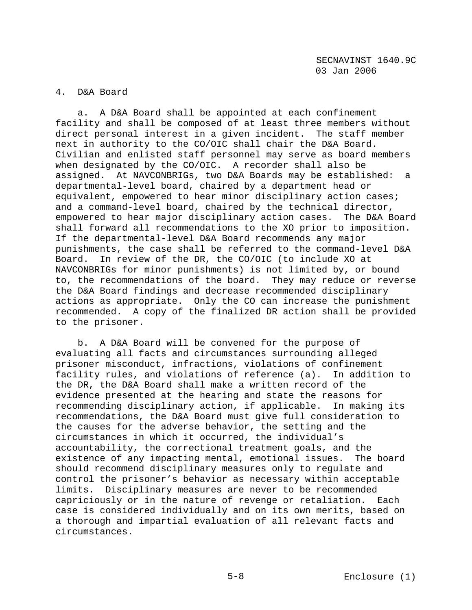# 4. D&A Board

 a. A D&A Board shall be appointed at each confinement facility and shall be composed of at least three members without direct personal interest in a given incident. The staff member next in authority to the CO/OIC shall chair the D&A Board. Civilian and enlisted staff personnel may serve as board members when designated by the CO/OIC. A recorder shall also be assigned. At NAVCONBRIGs, two D&A Boards may be established: a departmental-level board, chaired by a department head or equivalent, empowered to hear minor disciplinary action cases; and a command-level board, chaired by the technical director, empowered to hear major disciplinary action cases. The D&A Board shall forward all recommendations to the XO prior to imposition. If the departmental-level D&A Board recommends any major punishments, the case shall be referred to the command-level D&A Board. In review of the DR, the CO/OIC (to include XO at NAVCONBRIGs for minor punishments) is not limited by, or bound to, the recommendations of the board. They may reduce or reverse the D&A Board findings and decrease recommended disciplinary actions as appropriate. Only the CO can increase the punishment recommended. A copy of the finalized DR action shall be provided to the prisoner.

 b. A D&A Board will be convened for the purpose of evaluating all facts and circumstances surrounding alleged prisoner misconduct, infractions, violations of confinement facility rules, and violations of reference (a). In addition to the DR, the D&A Board shall make a written record of the evidence presented at the hearing and state the reasons for recommending disciplinary action, if applicable. In making its recommendations, the D&A Board must give full consideration to the causes for the adverse behavior, the setting and the circumstances in which it occurred, the individual's accountability, the correctional treatment goals, and the existence of any impacting mental, emotional issues. The board should recommend disciplinary measures only to regulate and control the prisoner's behavior as necessary within acceptable limits. Disciplinary measures are never to be recommended capriciously or in the nature of revenge or retaliation. Each case is considered individually and on its own merits, based on a thorough and impartial evaluation of all relevant facts and circumstances.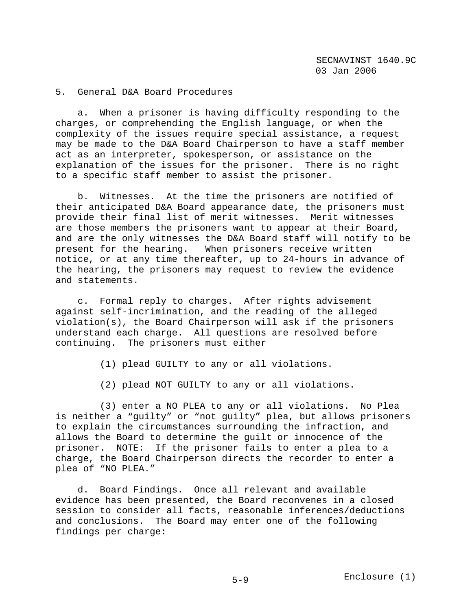# 5. General D&A Board Procedures

 a. When a prisoner is having difficulty responding to the charges, or comprehending the English language, or when the complexity of the issues require special assistance, a request may be made to the D&A Board Chairperson to have a staff member act as an interpreter, spokesperson, or assistance on the explanation of the issues for the prisoner. There is no right to a specific staff member to assist the prisoner.

 b. Witnesses. At the time the prisoners are notified of their anticipated D&A Board appearance date, the prisoners must provide their final list of merit witnesses. Merit witnesses are those members the prisoners want to appear at their Board, and are the only witnesses the D&A Board staff will notify to be present for the hearing. When prisoners receive written notice, or at any time thereafter, up to 24-hours in advance of the hearing, the prisoners may request to review the evidence and statements.

 c. Formal reply to charges. After rights advisement against self-incrimination, and the reading of the alleged violation(s), the Board Chairperson will ask if the prisoners understand each charge. All questions are resolved before continuing. The prisoners must either

- (1) plead GUILTY to any or all violations.
- (2) plead NOT GUILTY to any or all violations.

 (3) enter a NO PLEA to any or all violations. No Plea is neither a "guilty" or "not guilty" plea, but allows prisoners to explain the circumstances surrounding the infraction, and allows the Board to determine the guilt or innocence of the prisoner. NOTE: If the prisoner fails to enter a plea to a charge, the Board Chairperson directs the recorder to enter a plea of "NO PLEA."

 d. Board Findings. Once all relevant and available evidence has been presented, the Board reconvenes in a closed session to consider all facts, reasonable inferences/deductions and conclusions. The Board may enter one of the following findings per charge: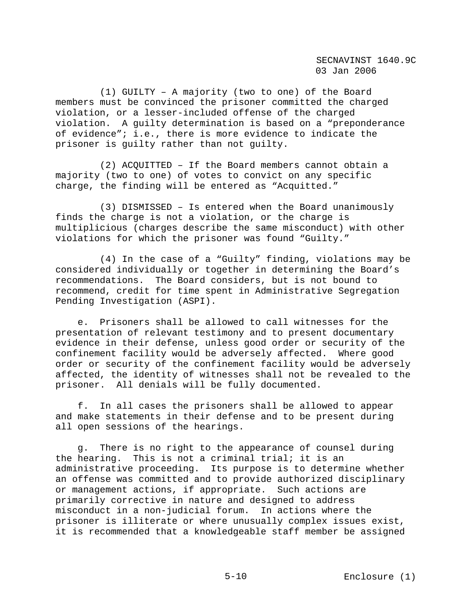(1) GUILTY – A majority (two to one) of the Board members must be convinced the prisoner committed the charged violation, or a lesser-included offense of the charged violation. A guilty determination is based on a "preponderance of evidence"; i.e., there is more evidence to indicate the prisoner is guilty rather than not guilty.

 (2) ACQUITTED – If the Board members cannot obtain a majority (two to one) of votes to convict on any specific charge, the finding will be entered as "Acquitted."

 (3) DISMISSED – Is entered when the Board unanimously finds the charge is not a violation, or the charge is multiplicious (charges describe the same misconduct) with other violations for which the prisoner was found "Guilty."

 (4) In the case of a "Guilty" finding, violations may be considered individually or together in determining the Board's recommendations. The Board considers, but is not bound to recommend, credit for time spent in Administrative Segregation Pending Investigation (ASPI).

 e. Prisoners shall be allowed to call witnesses for the presentation of relevant testimony and to present documentary evidence in their defense, unless good order or security of the confinement facility would be adversely affected. Where good order or security of the confinement facility would be adversely affected, the identity of witnesses shall not be revealed to the prisoner. All denials will be fully documented.

 f. In all cases the prisoners shall be allowed to appear and make statements in their defense and to be present during all open sessions of the hearings.

 g. There is no right to the appearance of counsel during the hearing. This is not a criminal trial; it is an administrative proceeding. Its purpose is to determine whether an offense was committed and to provide authorized disciplinary or management actions, if appropriate. Such actions are primarily corrective in nature and designed to address misconduct in a non-judicial forum. In actions where the prisoner is illiterate or where unusually complex issues exist, it is recommended that a knowledgeable staff member be assigned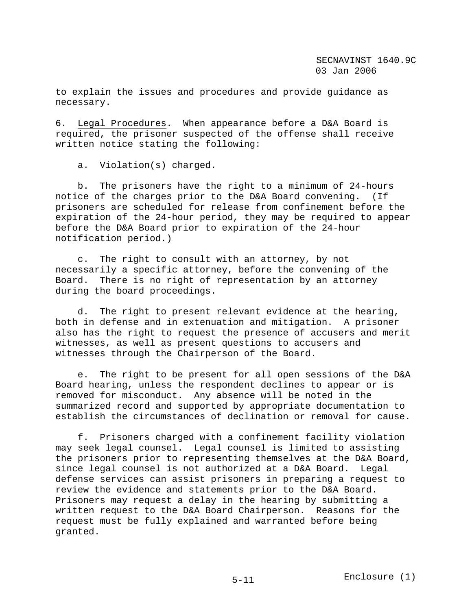to explain the issues and procedures and provide guidance as necessary.

6. Legal Procedures. When appearance before a D&A Board is required, the prisoner suspected of the offense shall receive written notice stating the following:

a. Violation(s) charged.

 b. The prisoners have the right to a minimum of 24-hours notice of the charges prior to the D&A Board convening. (If prisoners are scheduled for release from confinement before the expiration of the 24-hour period, they may be required to appear before the D&A Board prior to expiration of the 24-hour notification period.)

 c. The right to consult with an attorney, by not necessarily a specific attorney, before the convening of the Board. There is no right of representation by an attorney during the board proceedings.

 d. The right to present relevant evidence at the hearing, both in defense and in extenuation and mitigation. A prisoner also has the right to request the presence of accusers and merit witnesses, as well as present questions to accusers and witnesses through the Chairperson of the Board.

 e. The right to be present for all open sessions of the D&A Board hearing, unless the respondent declines to appear or is removed for misconduct. Any absence will be noted in the summarized record and supported by appropriate documentation to establish the circumstances of declination or removal for cause.

 f. Prisoners charged with a confinement facility violation may seek legal counsel. Legal counsel is limited to assisting the prisoners prior to representing themselves at the D&A Board, since legal counsel is not authorized at a D&A Board. Legal defense services can assist prisoners in preparing a request to review the evidence and statements prior to the D&A Board. Prisoners may request a delay in the hearing by submitting a written request to the D&A Board Chairperson. Reasons for the request must be fully explained and warranted before being granted.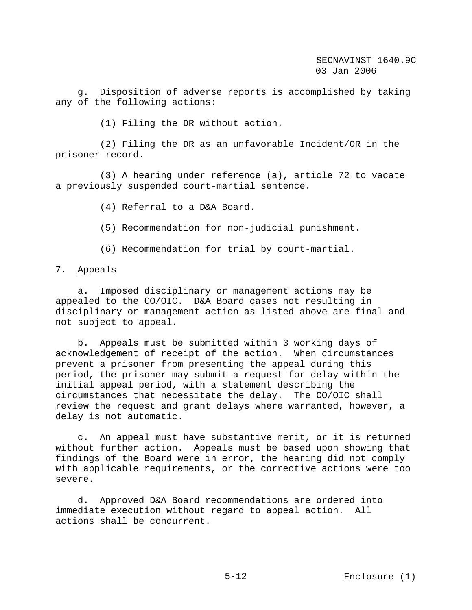g. Disposition of adverse reports is accomplished by taking any of the following actions:

(1) Filing the DR without action.

 (2) Filing the DR as an unfavorable Incident/OR in the prisoner record.

 (3) A hearing under reference (a), article 72 to vacate a previously suspended court-martial sentence.

(4) Referral to a D&A Board.

(5) Recommendation for non-judicial punishment.

(6) Recommendation for trial by court-martial.

#### 7. Appeals

 a. Imposed disciplinary or management actions may be appealed to the CO/OIC. D&A Board cases not resulting in disciplinary or management action as listed above are final and not subject to appeal.

 b. Appeals must be submitted within 3 working days of acknowledgement of receipt of the action. When circumstances prevent a prisoner from presenting the appeal during this period, the prisoner may submit a request for delay within the initial appeal period, with a statement describing the circumstances that necessitate the delay. The CO/OIC shall review the request and grant delays where warranted, however, a delay is not automatic.

 c. An appeal must have substantive merit, or it is returned without further action. Appeals must be based upon showing that findings of the Board were in error, the hearing did not comply with applicable requirements, or the corrective actions were too severe.

 d. Approved D&A Board recommendations are ordered into immediate execution without regard to appeal action. All actions shall be concurrent.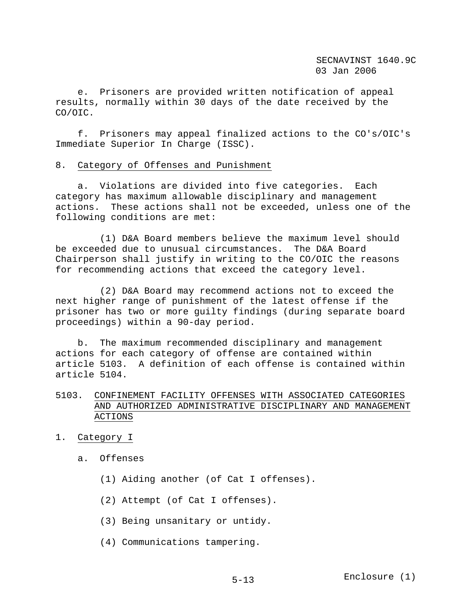e. Prisoners are provided written notification of appeal results, normally within 30 days of the date received by the CO/OIC.

 f. Prisoners may appeal finalized actions to the CO's/OIC's Immediate Superior In Charge (ISSC).

### 8. Category of Offenses and Punishment

 a. Violations are divided into five categories. Each category has maximum allowable disciplinary and management actions. These actions shall not be exceeded, unless one of the following conditions are met:

 (1) D&A Board members believe the maximum level should be exceeded due to unusual circumstances. The D&A Board Chairperson shall justify in writing to the CO/OIC the reasons for recommending actions that exceed the category level.

 (2) D&A Board may recommend actions not to exceed the next higher range of punishment of the latest offense if the prisoner has two or more guilty findings (during separate board proceedings) within a 90-day period.

 b. The maximum recommended disciplinary and management actions for each category of offense are contained within article 5103. A definition of each offense is contained within article 5104.

# 5103. CONFINEMENT FACILITY OFFENSES WITH ASSOCIATED CATEGORIES AND AUTHORIZED ADMINISTRATIVE DISCIPLINARY AND MANAGEMENT ACTIONS

- 1. Category I
	- a. Offenses
		- (1) Aiding another (of Cat I offenses).
		- (2) Attempt (of Cat I offenses).
		- (3) Being unsanitary or untidy.
		- (4) Communications tampering.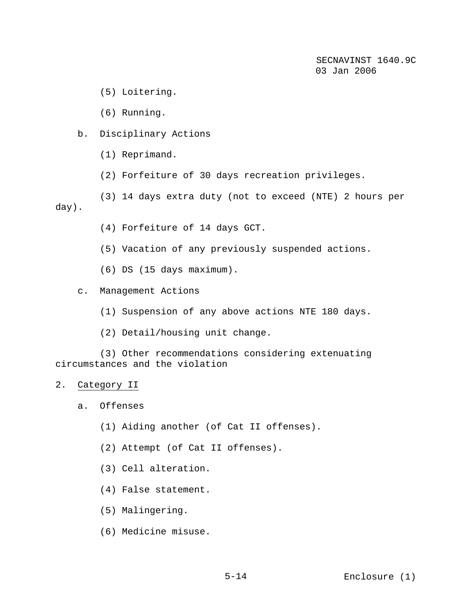(5) Loitering.

(6) Running.

- b. Disciplinary Actions
	- (1) Reprimand.
	- (2) Forfeiture of 30 days recreation privileges.

 (3) 14 days extra duty (not to exceed (NTE) 2 hours per day).

- (4) Forfeiture of 14 days GCT.
- (5) Vacation of any previously suspended actions.
- (6) DS (15 days maximum).
- c. Management Actions
	- (1) Suspension of any above actions NTE 180 days.
	- (2) Detail/housing unit change.

 (3) Other recommendations considering extenuating circumstances and the violation

- 2. Category II
	- a. Offenses
		- (1) Aiding another (of Cat II offenses).
		- (2) Attempt (of Cat II offenses).
		- (3) Cell alteration.
		- (4) False statement.
		- (5) Malingering.
		- (6) Medicine misuse.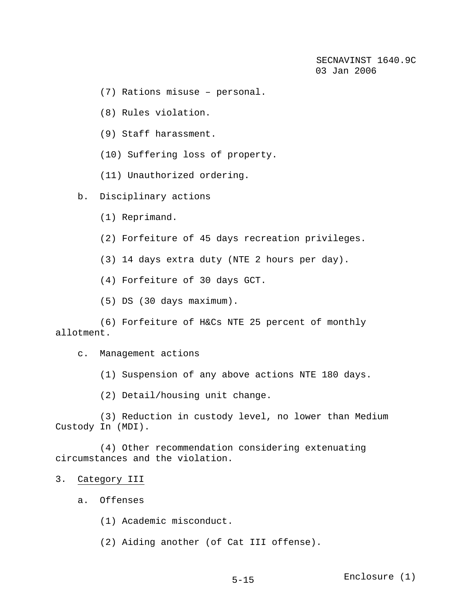(7) Rations misuse – personal.

(8) Rules violation.

(9) Staff harassment.

(10) Suffering loss of property.

(11) Unauthorized ordering.

## b. Disciplinary actions

- (1) Reprimand.
- (2) Forfeiture of 45 days recreation privileges.

(3) 14 days extra duty (NTE 2 hours per day).

(4) Forfeiture of 30 days GCT.

(5) DS (30 days maximum).

 (6) Forfeiture of H&Cs NTE 25 percent of monthly allotment.

c. Management actions

(1) Suspension of any above actions NTE 180 days.

(2) Detail/housing unit change.

 (3) Reduction in custody level, no lower than Medium Custody In (MDI).

 (4) Other recommendation considering extenuating circumstances and the violation.

### 3. Category III

a. Offenses

(1) Academic misconduct.

(2) Aiding another (of Cat III offense).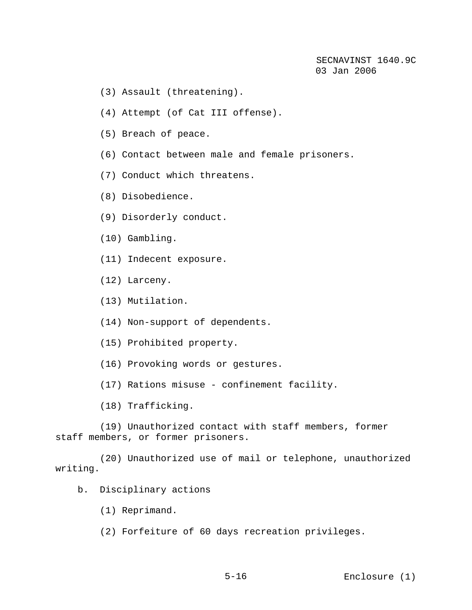- (3) Assault (threatening).
- (4) Attempt (of Cat III offense).
- (5) Breach of peace.
- (6) Contact between male and female prisoners.
- (7) Conduct which threatens.
- (8) Disobedience.
- (9) Disorderly conduct.
- (10) Gambling.
- (11) Indecent exposure.
- (12) Larceny.
- (13) Mutilation.
- (14) Non-support of dependents.
- (15) Prohibited property.
- (16) Provoking words or gestures.
- (17) Rations misuse confinement facility.
- (18) Trafficking.

 (19) Unauthorized contact with staff members, former staff members, or former prisoners.

 (20) Unauthorized use of mail or telephone, unauthorized writing.

- b. Disciplinary actions
	- (1) Reprimand.
	- (2) Forfeiture of 60 days recreation privileges.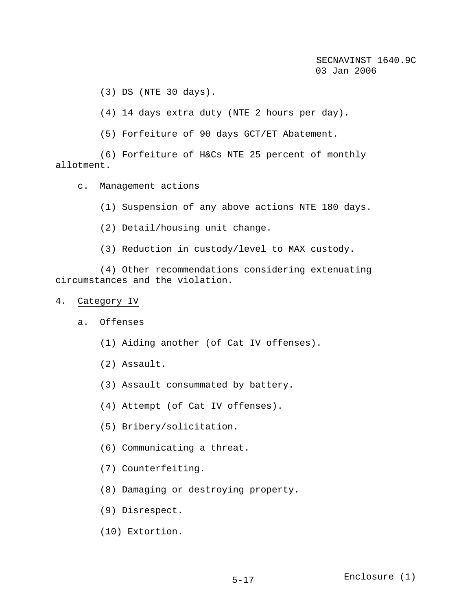(3) DS (NTE 30 days).

(4) 14 days extra duty (NTE 2 hours per day).

(5) Forfeiture of 90 days GCT/ET Abatement.

 (6) Forfeiture of H&Cs NTE 25 percent of monthly allotment.

- c. Management actions
	- (1) Suspension of any above actions NTE 180 days.
	- (2) Detail/housing unit change.
	- (3) Reduction in custody/level to MAX custody.

 (4) Other recommendations considering extenuating circumstances and the violation.

### 4. Category IV

- a. Offenses
	- (1) Aiding another (of Cat IV offenses).
	- (2) Assault.
	- (3) Assault consummated by battery.
	- (4) Attempt (of Cat IV offenses).
	- (5) Bribery/solicitation.
	- (6) Communicating a threat.
	- (7) Counterfeiting.
	- (8) Damaging or destroying property.
	- (9) Disrespect.
	- (10) Extortion.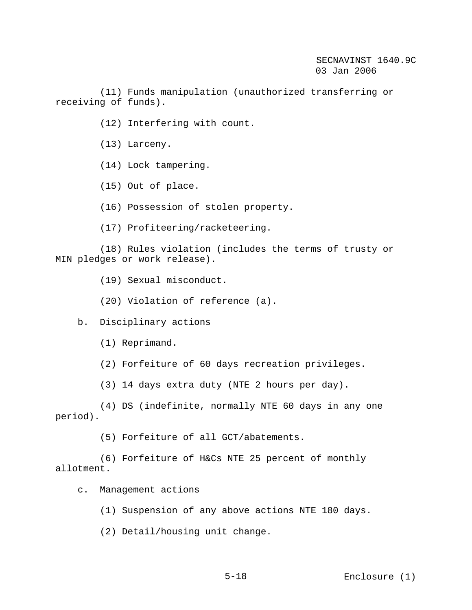(11) Funds manipulation (unauthorized transferring or receiving of funds).

- (12) Interfering with count.
- (13) Larceny.
- (14) Lock tampering.
- (15) Out of place.
- (16) Possession of stolen property.
- (17) Profiteering/racketeering.

 (18) Rules violation (includes the terms of trusty or MIN pledges or work release).

- (19) Sexual misconduct.
- (20) Violation of reference (a).
- b. Disciplinary actions
	- (1) Reprimand.
	- (2) Forfeiture of 60 days recreation privileges.
	- (3) 14 days extra duty (NTE 2 hours per day).

 (4) DS (indefinite, normally NTE 60 days in any one period).

(5) Forfeiture of all GCT/abatements.

 (6) Forfeiture of H&Cs NTE 25 percent of monthly allotment.

- c. Management actions
	- (1) Suspension of any above actions NTE 180 days.
	- (2) Detail/housing unit change.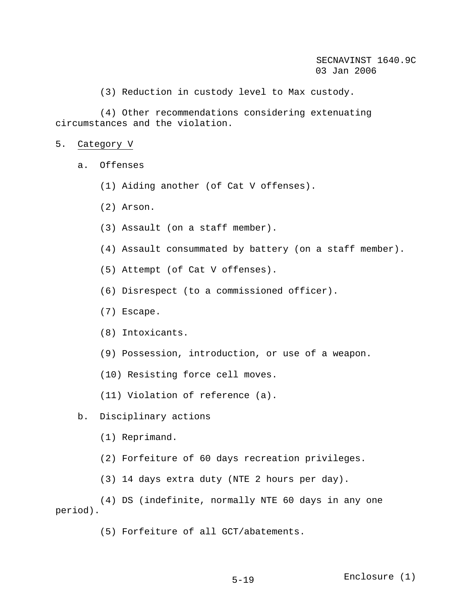(3) Reduction in custody level to Max custody.

 (4) Other recommendations considering extenuating circumstances and the violation.

- 5. Category V
	- a. Offenses
		- (1) Aiding another (of Cat V offenses).
		- (2) Arson.
		- (3) Assault (on a staff member).
		- (4) Assault consummated by battery (on a staff member).
		- (5) Attempt (of Cat V offenses).
		- (6) Disrespect (to a commissioned officer).
		- (7) Escape.
		- (8) Intoxicants.
		- (9) Possession, introduction, or use of a weapon.
		- (10) Resisting force cell moves.
		- (11) Violation of reference (a).
	- b. Disciplinary actions
		- (1) Reprimand.
		- (2) Forfeiture of 60 days recreation privileges.
		- (3) 14 days extra duty (NTE 2 hours per day).

 (4) DS (indefinite, normally NTE 60 days in any one period).

(5) Forfeiture of all GCT/abatements.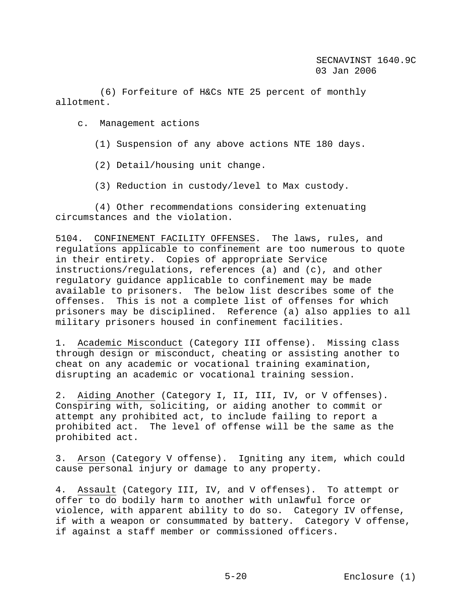(6) Forfeiture of H&Cs NTE 25 percent of monthly allotment.

c. Management actions

(1) Suspension of any above actions NTE 180 days.

(2) Detail/housing unit change.

(3) Reduction in custody/level to Max custody.

 (4) Other recommendations considering extenuating circumstances and the violation.

5104. CONFINEMENT FACILITY OFFENSES. The laws, rules, and regulations applicable to confinement are too numerous to quote in their entirety. Copies of appropriate Service instructions/regulations, references (a) and (c), and other regulatory guidance applicable to confinement may be made available to prisoners. The below list describes some of the offenses. This is not a complete list of offenses for which prisoners may be disciplined. Reference (a) also applies to all military prisoners housed in confinement facilities.

1. Academic Misconduct (Category III offense). Missing class through design or misconduct, cheating or assisting another to cheat on any academic or vocational training examination, disrupting an academic or vocational training session.

2. Aiding Another (Category I, II, III, IV, or V offenses). Conspiring with, soliciting, or aiding another to commit or attempt any prohibited act, to include failing to report a prohibited act. The level of offense will be the same as the prohibited act.

3. Arson (Category V offense). Igniting any item, which could cause personal injury or damage to any property.

4. Assault (Category III, IV, and V offenses). To attempt or offer to do bodily harm to another with unlawful force or violence, with apparent ability to do so. Category IV offense, if with a weapon or consummated by battery. Category V offense, if against a staff member or commissioned officers.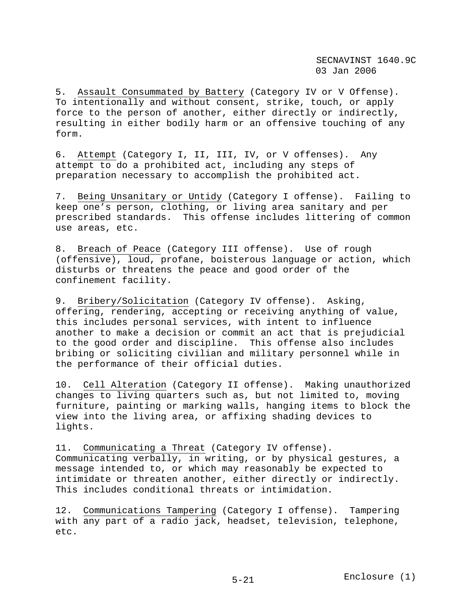5. Assault Consummated by Battery (Category IV or V Offense). To intentionally and without consent, strike, touch, or apply force to the person of another, either directly or indirectly, resulting in either bodily harm or an offensive touching of any form.

6. Attempt (Category I, II, III, IV, or V offenses). Any attempt to do a prohibited act, including any steps of preparation necessary to accomplish the prohibited act.

7. Being Unsanitary or Untidy (Category I offense). Failing to keep one's person, clothing, or living area sanitary and per prescribed standards. This offense includes littering of common use areas, etc.

8. Breach of Peace (Category III offense). Use of rough (offensive), loud, profane, boisterous language or action, which disturbs or threatens the peace and good order of the confinement facility.

9. Bribery/Solicitation (Category IV offense). Asking, offering, rendering, accepting or receiving anything of value, this includes personal services, with intent to influence another to make a decision or commit an act that is prejudicial to the good order and discipline. This offense also includes bribing or soliciting civilian and military personnel while in the performance of their official duties.

10. Cell Alteration (Category II offense). Making unauthorized changes to living quarters such as, but not limited to, moving furniture, painting or marking walls, hanging items to block the view into the living area, or affixing shading devices to lights.

11. Communicating a Threat (Category IV offense). Communicating verbally, in writing, or by physical gestures, a message intended to, or which may reasonably be expected to intimidate or threaten another, either directly or indirectly. This includes conditional threats or intimidation.

12. Communications Tampering (Category I offense). Tampering with any part of a radio jack, headset, television, telephone, etc.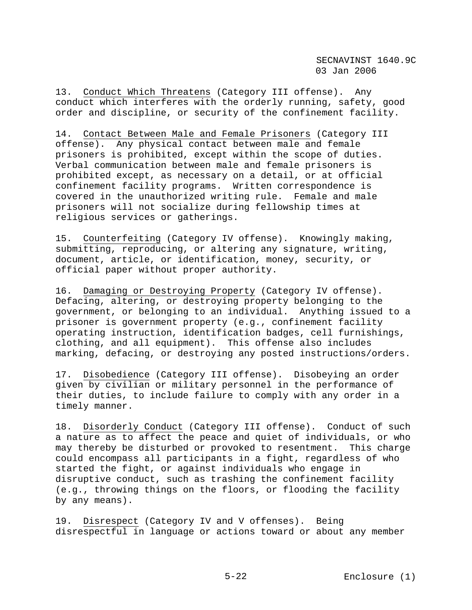13. Conduct Which Threatens (Category III offense). Any conduct which interferes with the orderly running, safety, good order and discipline, or security of the confinement facility.

14. Contact Between Male and Female Prisoners (Category III offense). Any physical contact between male and female prisoners is prohibited, except within the scope of duties. Verbal communication between male and female prisoners is prohibited except, as necessary on a detail, or at official confinement facility programs. Written correspondence is covered in the unauthorized writing rule. Female and male prisoners will not socialize during fellowship times at religious services or gatherings.

15. Counterfeiting (Category IV offense). Knowingly making, submitting, reproducing, or altering any signature, writing, document, article, or identification, money, security, or official paper without proper authority.

16. Damaging or Destroying Property (Category IV offense). Defacing, altering, or destroying property belonging to the government, or belonging to an individual. Anything issued to a prisoner is government property (e.g., confinement facility operating instruction, identification badges, cell furnishings, clothing, and all equipment). This offense also includes marking, defacing, or destroying any posted instructions/orders.

17. Disobedience (Category III offense). Disobeying an order given by civilian or military personnel in the performance of their duties, to include failure to comply with any order in a timely manner.

18. Disorderly Conduct (Category III offense). Conduct of such a nature as to affect the peace and quiet of individuals, or who may thereby be disturbed or provoked to resentment. This charge could encompass all participants in a fight, regardless of who started the fight, or against individuals who engage in disruptive conduct, such as trashing the confinement facility (e.g., throwing things on the floors, or flooding the facility by any means).

19. Disrespect (Category IV and V offenses). Being disrespectful in language or actions toward or about any member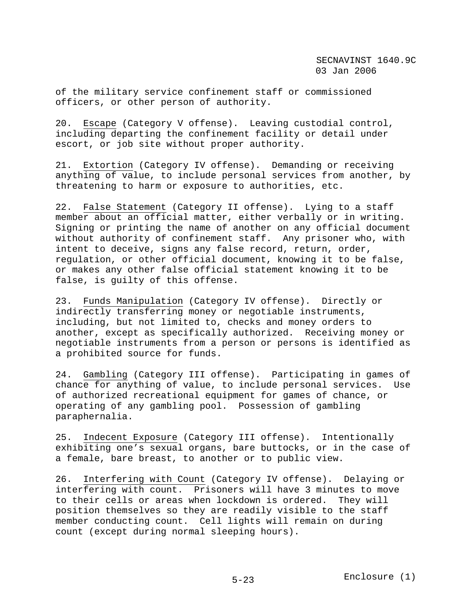of the military service confinement staff or commissioned officers, or other person of authority.

20. Escape (Category V offense). Leaving custodial control, including departing the confinement facility or detail under escort, or job site without proper authority.

21. Extortion (Category IV offense). Demanding or receiving anything of value, to include personal services from another, by threatening to harm or exposure to authorities, etc.

22. False Statement (Category II offense). Lying to a staff member about an official matter, either verbally or in writing. Signing or printing the name of another on any official document without authority of confinement staff. Any prisoner who, with intent to deceive, signs any false record, return, order, regulation, or other official document, knowing it to be false, or makes any other false official statement knowing it to be false, is guilty of this offense.

23. Funds Manipulation (Category IV offense). Directly or indirectly transferring money or negotiable instruments, including, but not limited to, checks and money orders to another, except as specifically authorized. Receiving money or negotiable instruments from a person or persons is identified as a prohibited source for funds.

24. Gambling (Category III offense). Participating in games of chance for anything of value, to include personal services. Use of authorized recreational equipment for games of chance, or operating of any gambling pool. Possession of gambling paraphernalia.

25. Indecent Exposure (Category III offense). Intentionally exhibiting one's sexual organs, bare buttocks, or in the case of a female, bare breast, to another or to public view.

26. Interfering with Count (Category IV offense). Delaying or interfering with count. Prisoners will have 3 minutes to move to their cells or areas when lockdown is ordered. They will position themselves so they are readily visible to the staff member conducting count. Cell lights will remain on during count (except during normal sleeping hours).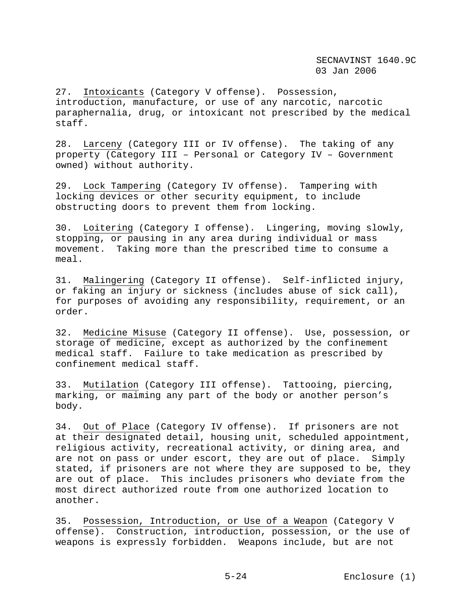27. Intoxicants (Category V offense). Possession, introduction, manufacture, or use of any narcotic, narcotic paraphernalia, drug, or intoxicant not prescribed by the medical staff.

28. Larceny (Category III or IV offense). The taking of any property (Category III – Personal or Category IV – Government owned) without authority.

29. Lock Tampering (Category IV offense). Tampering with locking devices or other security equipment, to include obstructing doors to prevent them from locking.

30. Loitering (Category I offense). Lingering, moving slowly, stopping, or pausing in any area during individual or mass movement. Taking more than the prescribed time to consume a meal.

31. Malingering (Category II offense). Self-inflicted injury, or faking an injury or sickness (includes abuse of sick call), for purposes of avoiding any responsibility, requirement, or an order.

32. Medicine Misuse (Category II offense). Use, possession, or storage of medicine, except as authorized by the confinement medical staff. Failure to take medication as prescribed by confinement medical staff.

33. Mutilation (Category III offense). Tattooing, piercing, marking, or maiming any part of the body or another person's body.

34. Out of Place (Category IV offense). If prisoners are not at their designated detail, housing unit, scheduled appointment, religious activity, recreational activity, or dining area, and are not on pass or under escort, they are out of place. Simply stated, if prisoners are not where they are supposed to be, they are out of place. This includes prisoners who deviate from the most direct authorized route from one authorized location to another.

35. Possession, Introduction, or Use of a Weapon (Category V offense). Construction, introduction, possession, or the use of weapons is expressly forbidden. Weapons include, but are not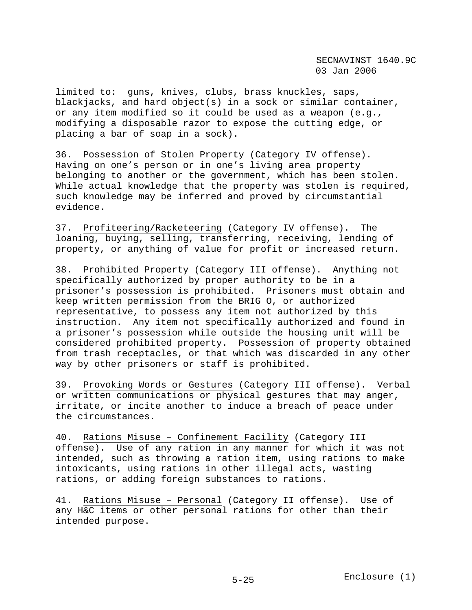limited to: guns, knives, clubs, brass knuckles, saps, blackjacks, and hard object(s) in a sock or similar container, or any item modified so it could be used as a weapon (e.g., modifying a disposable razor to expose the cutting edge, or placing a bar of soap in a sock).

36. Possession of Stolen Property (Category IV offense). Having on one's person or in one's living area property belonging to another or the government, which has been stolen. While actual knowledge that the property was stolen is required, such knowledge may be inferred and proved by circumstantial evidence.

37. Profiteering/Racketeering (Category IV offense). The loaning, buying, selling, transferring, receiving, lending of property, or anything of value for profit or increased return.

38. Prohibited Property (Category III offense). Anything not specifically authorized by proper authority to be in a prisoner's possession is prohibited. Prisoners must obtain and keep written permission from the BRIG O, or authorized representative, to possess any item not authorized by this instruction. Any item not specifically authorized and found in a prisoner's possession while outside the housing unit will be considered prohibited property. Possession of property obtained from trash receptacles, or that which was discarded in any other way by other prisoners or staff is prohibited.

39. Provoking Words or Gestures (Category III offense). Verbal or written communications or physical gestures that may anger, irritate, or incite another to induce a breach of peace under the circumstances.

40. Rations Misuse – Confinement Facility (Category III offense). Use of any ration in any manner for which it was not intended, such as throwing a ration item, using rations to make intoxicants, using rations in other illegal acts, wasting rations, or adding foreign substances to rations.

41. Rations Misuse – Personal (Category II offense). Use of any H&C items or other personal rations for other than their intended purpose.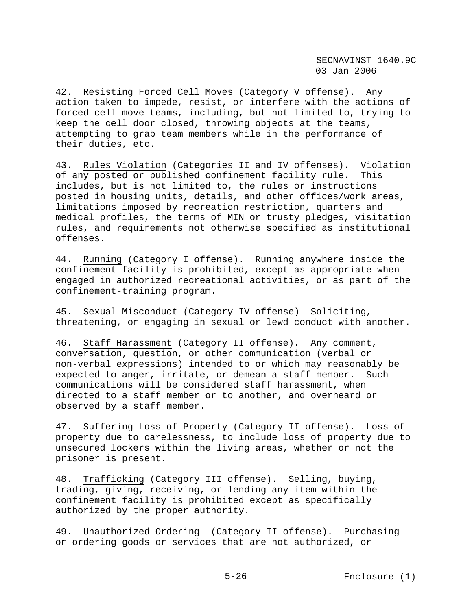42. Resisting Forced Cell Moves (Category V offense). Any action taken to impede, resist, or interfere with the actions of forced cell move teams, including, but not limited to, trying to keep the cell door closed, throwing objects at the teams, attempting to grab team members while in the performance of their duties, etc.

43. Rules Violation (Categories II and IV offenses). Violation of any posted or published confinement facility rule. This includes, but is not limited to, the rules or instructions posted in housing units, details, and other offices/work areas, limitations imposed by recreation restriction, quarters and medical profiles, the terms of MIN or trusty pledges, visitation rules, and requirements not otherwise specified as institutional offenses.

44. Running (Category I offense). Running anywhere inside the confinement facility is prohibited, except as appropriate when engaged in authorized recreational activities, or as part of the confinement-training program.

45. Sexual Misconduct (Category IV offense) Soliciting, threatening, or engaging in sexual or lewd conduct with another.

46. Staff Harassment (Category II offense). Any comment, conversation, question, or other communication (verbal or non-verbal expressions) intended to or which may reasonably be expected to anger, irritate, or demean a staff member. Such communications will be considered staff harassment, when directed to a staff member or to another, and overheard or observed by a staff member.

47. Suffering Loss of Property (Category II offense). Loss of property due to carelessness, to include loss of property due to unsecured lockers within the living areas, whether or not the prisoner is present.

48. Trafficking (Category III offense). Selling, buying, trading, giving, receiving, or lending any item within the confinement facility is prohibited except as specifically authorized by the proper authority.

49. Unauthorized Ordering (Category II offense). Purchasing or ordering goods or services that are not authorized, or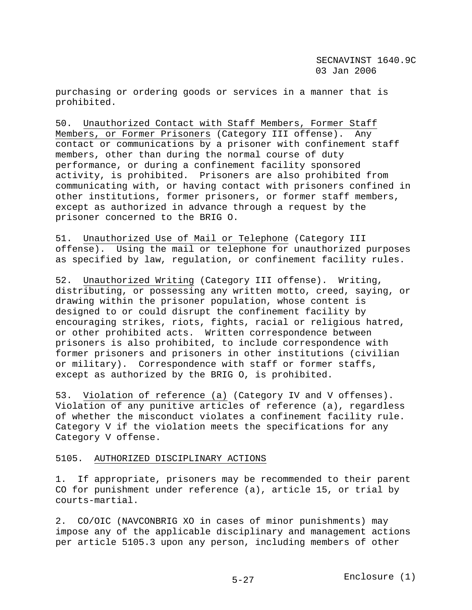purchasing or ordering goods or services in a manner that is prohibited.

50. Unauthorized Contact with Staff Members, Former Staff Members, or Former Prisoners (Category III offense). Any contact or communications by a prisoner with confinement staff members, other than during the normal course of duty performance, or during a confinement facility sponsored activity, is prohibited. Prisoners are also prohibited from communicating with, or having contact with prisoners confined in other institutions, former prisoners, or former staff members, except as authorized in advance through a request by the prisoner concerned to the BRIG O.

51. Unauthorized Use of Mail or Telephone (Category III offense). Using the mail or telephone for unauthorized purposes as specified by law, regulation, or confinement facility rules.

52. Unauthorized Writing (Category III offense). Writing, distributing, or possessing any written motto, creed, saying, or drawing within the prisoner population, whose content is designed to or could disrupt the confinement facility by encouraging strikes, riots, fights, racial or religious hatred, or other prohibited acts. Written correspondence between prisoners is also prohibited, to include correspondence with former prisoners and prisoners in other institutions (civilian or military). Correspondence with staff or former staffs, except as authorized by the BRIG O, is prohibited.

53. Violation of reference (a) (Category IV and V offenses). Violation of any punitive articles of reference (a), regardless of whether the misconduct violates a confinement facility rule. Category V if the violation meets the specifications for any Category V offense.

## 5105. AUTHORIZED DISCIPLINARY ACTIONS

1. If appropriate, prisoners may be recommended to their parent CO for punishment under reference (a), article 15, or trial by courts-martial.

2. CO/OIC (NAVCONBRIG XO in cases of minor punishments) may impose any of the applicable disciplinary and management actions per article 5105.3 upon any person, including members of other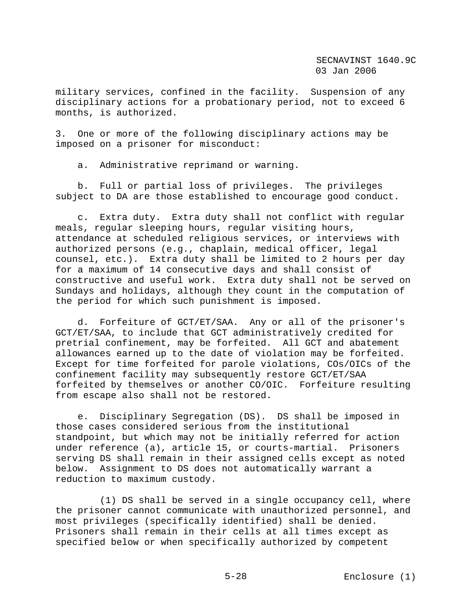military services, confined in the facility. Suspension of any disciplinary actions for a probationary period, not to exceed 6 months, is authorized.

3. One or more of the following disciplinary actions may be imposed on a prisoner for misconduct:

a. Administrative reprimand or warning.

 b. Full or partial loss of privileges. The privileges subject to DA are those established to encourage good conduct.

 c. Extra duty. Extra duty shall not conflict with regular meals, regular sleeping hours, regular visiting hours, attendance at scheduled religious services, or interviews with authorized persons (e.g., chaplain, medical officer, legal counsel, etc.). Extra duty shall be limited to 2 hours per day for a maximum of 14 consecutive days and shall consist of constructive and useful work. Extra duty shall not be served on Sundays and holidays, although they count in the computation of the period for which such punishment is imposed.

 d. Forfeiture of GCT/ET/SAA. Any or all of the prisoner's GCT/ET/SAA, to include that GCT administratively credited for pretrial confinement, may be forfeited. All GCT and abatement allowances earned up to the date of violation may be forfeited. Except for time forfeited for parole violations, COs/OICs of the confinement facility may subsequently restore GCT/ET/SAA forfeited by themselves or another CO/OIC. Forfeiture resulting from escape also shall not be restored.

 e. Disciplinary Segregation (DS). DS shall be imposed in those cases considered serious from the institutional standpoint, but which may not be initially referred for action under reference (a), article 15, or courts-martial. Prisoners serving DS shall remain in their assigned cells except as noted below. Assignment to DS does not automatically warrant a reduction to maximum custody.

 (1) DS shall be served in a single occupancy cell, where the prisoner cannot communicate with unauthorized personnel, and most privileges (specifically identified) shall be denied. Prisoners shall remain in their cells at all times except as specified below or when specifically authorized by competent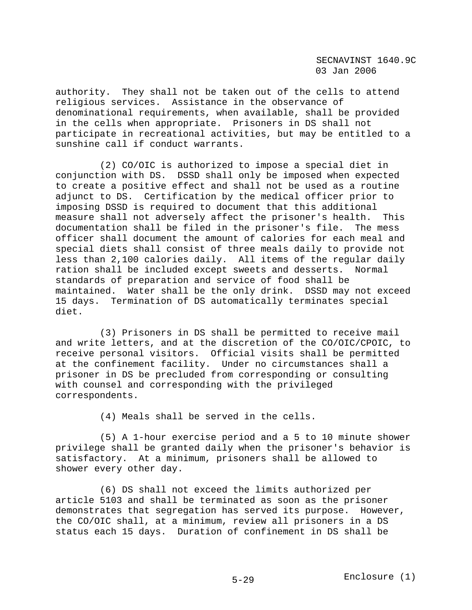authority. They shall not be taken out of the cells to attend religious services. Assistance in the observance of denominational requirements, when available, shall be provided in the cells when appropriate. Prisoners in DS shall not participate in recreational activities, but may be entitled to a sunshine call if conduct warrants.

 (2) CO/OIC is authorized to impose a special diet in conjunction with DS. DSSD shall only be imposed when expected to create a positive effect and shall not be used as a routine adjunct to DS. Certification by the medical officer prior to imposing DSSD is required to document that this additional measure shall not adversely affect the prisoner's health. This documentation shall be filed in the prisoner's file. The mess officer shall document the amount of calories for each meal and special diets shall consist of three meals daily to provide not less than 2,100 calories daily. All items of the regular daily ration shall be included except sweets and desserts. Normal standards of preparation and service of food shall be maintained. Water shall be the only drink. DSSD may not exceed 15 days. Termination of DS automatically terminates special diet.

 (3) Prisoners in DS shall be permitted to receive mail and write letters, and at the discretion of the CO/OIC/CPOIC, to receive personal visitors. Official visits shall be permitted at the confinement facility. Under no circumstances shall a prisoner in DS be precluded from corresponding or consulting with counsel and corresponding with the privileged correspondents.

(4) Meals shall be served in the cells.

 (5) A 1-hour exercise period and a 5 to 10 minute shower privilege shall be granted daily when the prisoner's behavior is satisfactory. At a minimum, prisoners shall be allowed to shower every other day.

 (6) DS shall not exceed the limits authorized per article 5103 and shall be terminated as soon as the prisoner demonstrates that segregation has served its purpose. However, the CO/OIC shall, at a minimum, review all prisoners in a DS status each 15 days. Duration of confinement in DS shall be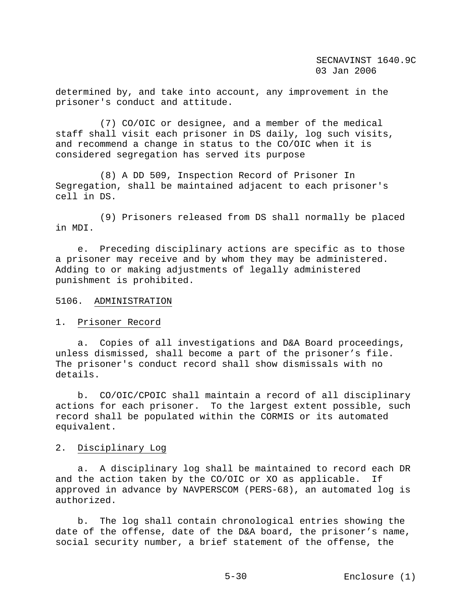determined by, and take into account, any improvement in the prisoner's conduct and attitude.

 (7) CO/OIC or designee, and a member of the medical staff shall visit each prisoner in DS daily, log such visits, and recommend a change in status to the CO/OIC when it is considered segregation has served its purpose

 (8) A DD 509, Inspection Record of Prisoner In Segregation, shall be maintained adjacent to each prisoner's cell in DS.

 (9) Prisoners released from DS shall normally be placed in MDI.

 e. Preceding disciplinary actions are specific as to those a prisoner may receive and by whom they may be administered. Adding to or making adjustments of legally administered punishment is prohibited.

## 5106. ADMINISTRATION

## 1. Prisoner Record

 a. Copies of all investigations and D&A Board proceedings, unless dismissed, shall become a part of the prisoner's file. The prisoner's conduct record shall show dismissals with no details.

 b. CO/OIC/CPOIC shall maintain a record of all disciplinary actions for each prisoner. To the largest extent possible, such record shall be populated within the CORMIS or its automated equivalent.

## 2. Disciplinary Log

 a. A disciplinary log shall be maintained to record each DR and the action taken by the CO/OIC or XO as applicable. If approved in advance by NAVPERSCOM (PERS-68), an automated log is authorized.

 b. The log shall contain chronological entries showing the date of the offense, date of the D&A board, the prisoner's name, social security number, a brief statement of the offense, the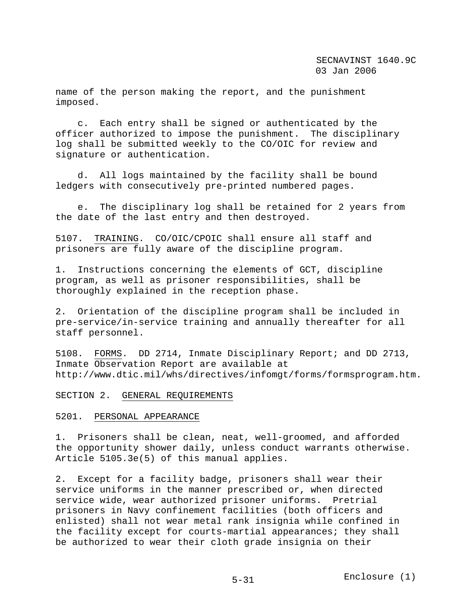name of the person making the report, and the punishment imposed.

 c. Each entry shall be signed or authenticated by the officer authorized to impose the punishment. The disciplinary log shall be submitted weekly to the CO/OIC for review and signature or authentication.

 d. All logs maintained by the facility shall be bound ledgers with consecutively pre-printed numbered pages.

 e. The disciplinary log shall be retained for 2 years from the date of the last entry and then destroyed.

5107. TRAINING. CO/OIC/CPOIC shall ensure all staff and prisoners are fully aware of the discipline program.

1. Instructions concerning the elements of GCT, discipline program, as well as prisoner responsibilities, shall be thoroughly explained in the reception phase.

2. Orientation of the discipline program shall be included in pre-service/in-service training and annually thereafter for all staff personnel.

5108. FORMS. DD 2714, Inmate Disciplinary Report; and DD 2713, Inmate Observation Report are available at http://www.dtic.mil/whs/directives/infomgt/forms/formsprogram.htm.

## SECTION 2. GENERAL REQUIREMENTS

#### 5201. PERSONAL APPEARANCE

1. Prisoners shall be clean, neat, well-groomed, and afforded the opportunity shower daily, unless conduct warrants otherwise. Article 5105.3e(5) of this manual applies.

2. Except for a facility badge, prisoners shall wear their service uniforms in the manner prescribed or, when directed service wide, wear authorized prisoner uniforms. Pretrial prisoners in Navy confinement facilities (both officers and enlisted) shall not wear metal rank insignia while confined in the facility except for courts-martial appearances; they shall be authorized to wear their cloth grade insignia on their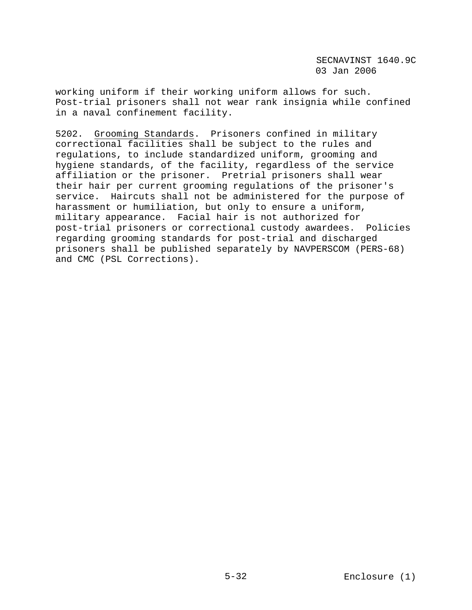working uniform if their working uniform allows for such. Post-trial prisoners shall not wear rank insignia while confined in a naval confinement facility.

5202. Grooming Standards. Prisoners confined in military correctional facilities shall be subject to the rules and regulations, to include standardized uniform, grooming and hygiene standards, of the facility, regardless of the service affiliation or the prisoner. Pretrial prisoners shall wear their hair per current grooming regulations of the prisoner's service. Haircuts shall not be administered for the purpose of harassment or humiliation, but only to ensure a uniform, military appearance. Facial hair is not authorized for post-trial prisoners or correctional custody awardees. Policies regarding grooming standards for post-trial and discharged prisoners shall be published separately by NAVPERSCOM (PERS-68) and CMC (PSL Corrections).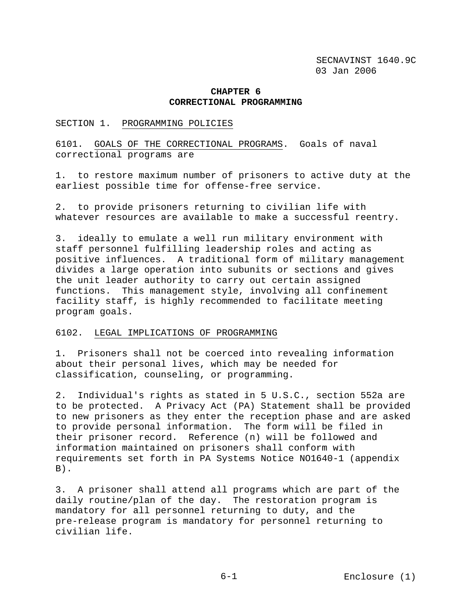# **CHAPTER 6 CORRECTIONAL PROGRAMMING**

#### SECTION 1. PROGRAMMING POLICIES

6101. GOALS OF THE CORRECTIONAL PROGRAMS. Goals of naval correctional programs are

1. to restore maximum number of prisoners to active duty at the earliest possible time for offense-free service.

2. to provide prisoners returning to civilian life with whatever resources are available to make a successful reentry.

3. ideally to emulate a well run military environment with staff personnel fulfilling leadership roles and acting as positive influences. A traditional form of military management divides a large operation into subunits or sections and gives the unit leader authority to carry out certain assigned functions. This management style, involving all confinement facility staff, is highly recommended to facilitate meeting program goals.

#### 6102. LEGAL IMPLICATIONS OF PROGRAMMING

1. Prisoners shall not be coerced into revealing information about their personal lives, which may be needed for classification, counseling, or programming.

2. Individual's rights as stated in 5 U.S.C., section 552a are to be protected. A Privacy Act (PA) Statement shall be provided to new prisoners as they enter the reception phase and are asked to provide personal information. The form will be filed in their prisoner record. Reference (n) will be followed and information maintained on prisoners shall conform with requirements set forth in PA Systems Notice NO1640-1 (appendix  $B)$ .

3. A prisoner shall attend all programs which are part of the daily routine/plan of the day. The restoration program is mandatory for all personnel returning to duty, and the pre-release program is mandatory for personnel returning to civilian life.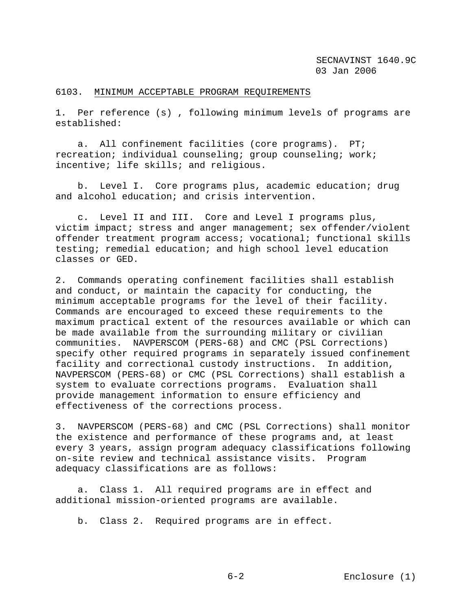### 6103. MINIMUM ACCEPTABLE PROGRAM REQUIREMENTS

1. Per reference (s) , following minimum levels of programs are established:

 a. All confinement facilities (core programs). PT; recreation; individual counseling; group counseling; work; incentive; life skills; and religious.

 b. Level I. Core programs plus, academic education; drug and alcohol education; and crisis intervention.

 c. Level II and III. Core and Level I programs plus, victim impact; stress and anger management; sex offender/violent offender treatment program access; vocational; functional skills testing; remedial education; and high school level education classes or GED.

2. Commands operating confinement facilities shall establish and conduct, or maintain the capacity for conducting, the minimum acceptable programs for the level of their facility. Commands are encouraged to exceed these requirements to the maximum practical extent of the resources available or which can be made available from the surrounding military or civilian communities. NAVPERSCOM (PERS-68) and CMC (PSL Corrections) specify other required programs in separately issued confinement facility and correctional custody instructions. In addition, NAVPERSCOM (PERS-68) or CMC (PSL Corrections) shall establish a system to evaluate corrections programs. Evaluation shall provide management information to ensure efficiency and effectiveness of the corrections process.

3. NAVPERSCOM (PERS-68) and CMC (PSL Corrections) shall monitor the existence and performance of these programs and, at least every 3 years, assign program adequacy classifications following on-site review and technical assistance visits. Program adequacy classifications are as follows:

 a. Class 1. All required programs are in effect and additional mission-oriented programs are available.

b. Class 2. Required programs are in effect.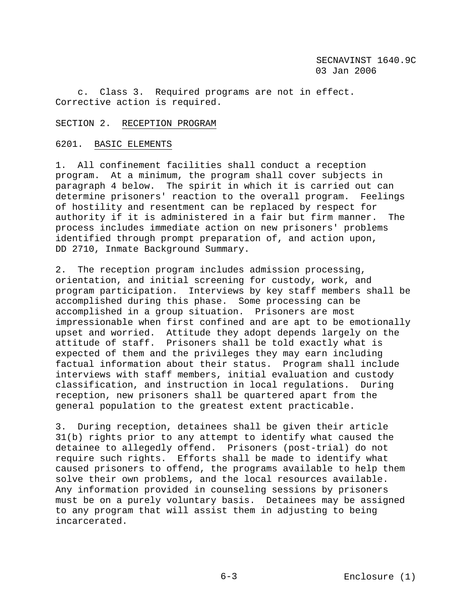c. Class 3. Required programs are not in effect. Corrective action is required.

## SECTION 2. RECEPTION PROGRAM

## 6201. BASIC ELEMENTS

1. All confinement facilities shall conduct a reception program. At a minimum, the program shall cover subjects in paragraph 4 below. The spirit in which it is carried out can determine prisoners' reaction to the overall program. Feelings of hostility and resentment can be replaced by respect for authority if it is administered in a fair but firm manner. The process includes immediate action on new prisoners' problems identified through prompt preparation of, and action upon, DD 2710, Inmate Background Summary.

2. The reception program includes admission processing, orientation, and initial screening for custody, work, and program participation. Interviews by key staff members shall be accomplished during this phase. Some processing can be accomplished in a group situation. Prisoners are most impressionable when first confined and are apt to be emotionally upset and worried. Attitude they adopt depends largely on the attitude of staff. Prisoners shall be told exactly what is expected of them and the privileges they may earn including factual information about their status. Program shall include interviews with staff members, initial evaluation and custody classification, and instruction in local regulations. During reception, new prisoners shall be quartered apart from the general population to the greatest extent practicable.

3. During reception, detainees shall be given their article 31(b) rights prior to any attempt to identify what caused the detainee to allegedly offend. Prisoners (post-trial) do not require such rights. Efforts shall be made to identify what caused prisoners to offend, the programs available to help them solve their own problems, and the local resources available. Any information provided in counseling sessions by prisoners must be on a purely voluntary basis. Detainees may be assigned to any program that will assist them in adjusting to being incarcerated.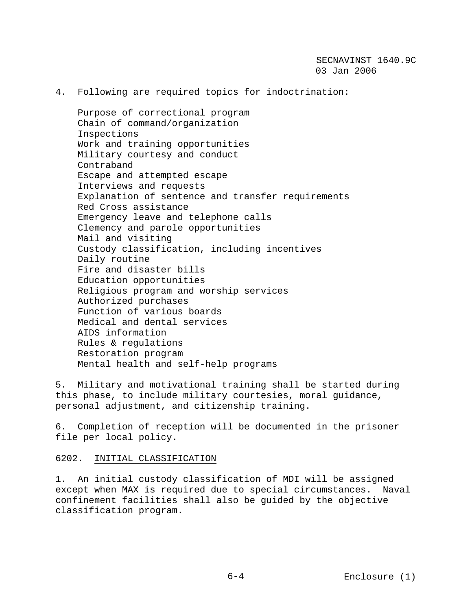4. Following are required topics for indoctrination:

 Purpose of correctional program Chain of command/organization Inspections Work and training opportunities Military courtesy and conduct Contraband Escape and attempted escape Interviews and requests Explanation of sentence and transfer requirements Red Cross assistance Emergency leave and telephone calls Clemency and parole opportunities Mail and visiting Custody classification, including incentives Daily routine Fire and disaster bills Education opportunities Religious program and worship services Authorized purchases Function of various boards Medical and dental services AIDS information Rules & regulations Restoration program Mental health and self-help programs

5. Military and motivational training shall be started during this phase, to include military courtesies, moral guidance, personal adjustment, and citizenship training.

6. Completion of reception will be documented in the prisoner file per local policy.

6202. INITIAL CLASSIFICATION

1. An initial custody classification of MDI will be assigned except when MAX is required due to special circumstances. Naval confinement facilities shall also be guided by the objective classification program.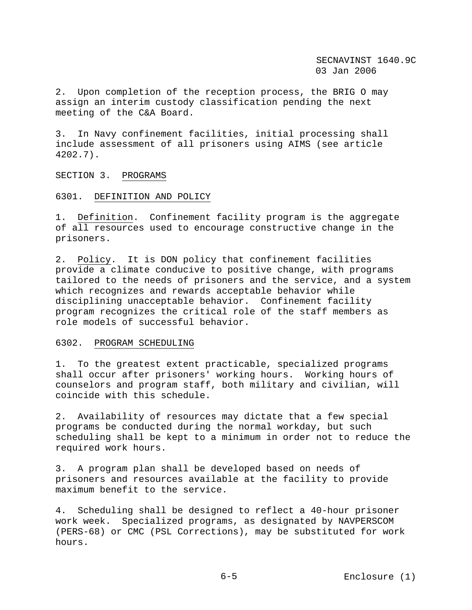2. Upon completion of the reception process, the BRIG O may assign an interim custody classification pending the next meeting of the C&A Board.

3. In Navy confinement facilities, initial processing shall include assessment of all prisoners using AIMS (see article 4202.7).

SECTION 3. PROGRAMS

### 6301. DEFINITION AND POLICY

1. Definition. Confinement facility program is the aggregate of all resources used to encourage constructive change in the prisoners.

2. Policy. It is DON policy that confinement facilities provide a climate conducive to positive change, with programs tailored to the needs of prisoners and the service, and a system which recognizes and rewards acceptable behavior while disciplining unacceptable behavior. Confinement facility program recognizes the critical role of the staff members as role models of successful behavior.

#### 6302. PROGRAM SCHEDULING

1. To the greatest extent practicable, specialized programs shall occur after prisoners' working hours. Working hours of counselors and program staff, both military and civilian, will coincide with this schedule.

2. Availability of resources may dictate that a few special programs be conducted during the normal workday, but such scheduling shall be kept to a minimum in order not to reduce the required work hours.

3. A program plan shall be developed based on needs of prisoners and resources available at the facility to provide maximum benefit to the service.

4. Scheduling shall be designed to reflect a 40-hour prisoner work week. Specialized programs, as designated by NAVPERSCOM (PERS-68) or CMC (PSL Corrections), may be substituted for work hours.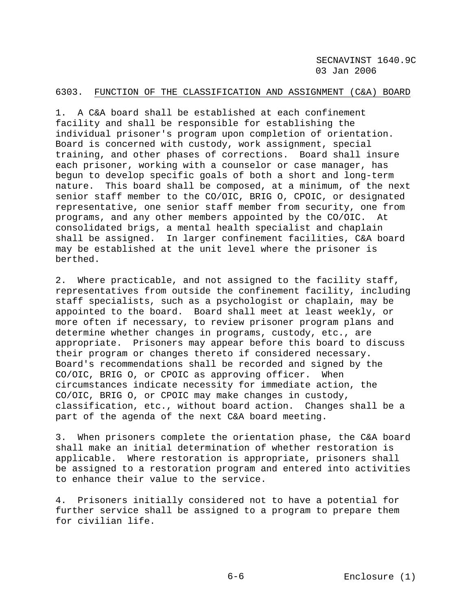## 6303. FUNCTION OF THE CLASSIFICATION AND ASSIGNMENT (C&A) BOARD

1. A C&A board shall be established at each confinement facility and shall be responsible for establishing the individual prisoner's program upon completion of orientation. Board is concerned with custody, work assignment, special training, and other phases of corrections. Board shall insure each prisoner, working with a counselor or case manager, has begun to develop specific goals of both a short and long-term nature. This board shall be composed, at a minimum, of the next senior staff member to the CO/OIC, BRIG O, CPOIC, or designated representative, one senior staff member from security, one from programs, and any other members appointed by the CO/OIC. At consolidated brigs, a mental health specialist and chaplain shall be assigned. In larger confinement facilities, C&A board may be established at the unit level where the prisoner is berthed.

2. Where practicable, and not assigned to the facility staff, representatives from outside the confinement facility, including staff specialists, such as a psychologist or chaplain, may be appointed to the board. Board shall meet at least weekly, or more often if necessary, to review prisoner program plans and determine whether changes in programs, custody, etc., are appropriate. Prisoners may appear before this board to discuss their program or changes thereto if considered necessary. Board's recommendations shall be recorded and signed by the CO/OIC, BRIG O, or CPOIC as approving officer. When circumstances indicate necessity for immediate action, the CO/OIC, BRIG O, or CPOIC may make changes in custody, classification, etc., without board action. Changes shall be a part of the agenda of the next C&A board meeting.

3. When prisoners complete the orientation phase, the C&A board shall make an initial determination of whether restoration is applicable. Where restoration is appropriate, prisoners shall be assigned to a restoration program and entered into activities to enhance their value to the service.

4. Prisoners initially considered not to have a potential for further service shall be assigned to a program to prepare them for civilian life.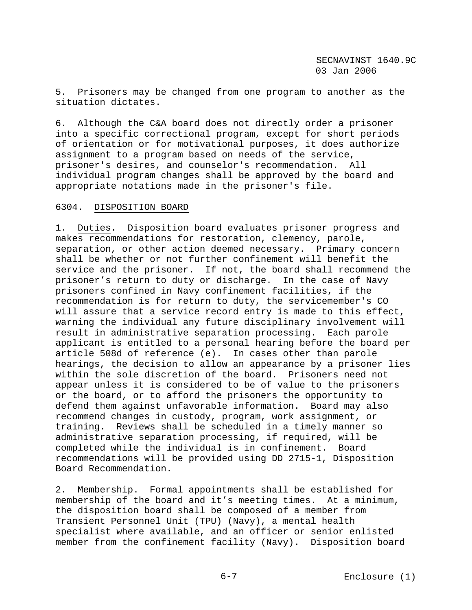5. Prisoners may be changed from one program to another as the situation dictates.

6. Although the C&A board does not directly order a prisoner into a specific correctional program, except for short periods of orientation or for motivational purposes, it does authorize assignment to a program based on needs of the service, prisoner's desires, and counselor's recommendation. All individual program changes shall be approved by the board and appropriate notations made in the prisoner's file.

### 6304. DISPOSITION BOARD

1. Duties. Disposition board evaluates prisoner progress and makes recommendations for restoration, clemency, parole, separation, or other action deemed necessary. Primary concern shall be whether or not further confinement will benefit the service and the prisoner. If not, the board shall recommend the prisoner's return to duty or discharge. In the case of Navy prisoners confined in Navy confinement facilities, if the recommendation is for return to duty, the servicemember's CO will assure that a service record entry is made to this effect, warning the individual any future disciplinary involvement will result in administrative separation processing. Each parole applicant is entitled to a personal hearing before the board per article 508d of reference (e). In cases other than parole hearings, the decision to allow an appearance by a prisoner lies within the sole discretion of the board. Prisoners need not appear unless it is considered to be of value to the prisoners or the board, or to afford the prisoners the opportunity to defend them against unfavorable information. Board may also recommend changes in custody, program, work assignment, or training. Reviews shall be scheduled in a timely manner so administrative separation processing, if required, will be completed while the individual is in confinement. Board recommendations will be provided using DD 2715-1, Disposition Board Recommendation.

2. Membership. Formal appointments shall be established for membership of the board and it's meeting times. At a minimum, the disposition board shall be composed of a member from Transient Personnel Unit (TPU) (Navy), a mental health specialist where available, and an officer or senior enlisted member from the confinement facility (Navy). Disposition board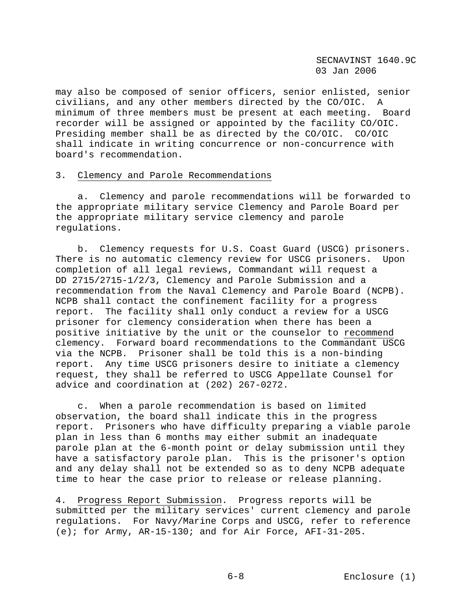may also be composed of senior officers, senior enlisted, senior civilians, and any other members directed by the CO/OIC. A minimum of three members must be present at each meeting. Board recorder will be assigned or appointed by the facility CO/OIC. Presiding member shall be as directed by the CO/OIC. CO/OIC shall indicate in writing concurrence or non-concurrence with board's recommendation.

## 3. Clemency and Parole Recommendations

 a. Clemency and parole recommendations will be forwarded to the appropriate military service Clemency and Parole Board per the appropriate military service clemency and parole regulations.

 b. Clemency requests for U.S. Coast Guard (USCG) prisoners. There is no automatic clemency review for USCG prisoners. Upon completion of all legal reviews, Commandant will request a DD 2715/2715-1/2/3, Clemency and Parole Submission and a recommendation from the Naval Clemency and Parole Board (NCPB). NCPB shall contact the confinement facility for a progress report. The facility shall only conduct a review for a USCG prisoner for clemency consideration when there has been a positive initiative by the unit or the counselor to recommend clemency. Forward board recommendations to the Commandant USCG via the NCPB. Prisoner shall be told this is a non-binding report. Any time USCG prisoners desire to initiate a clemency request, they shall be referred to USCG Appellate Counsel for advice and coordination at (202) 267-0272.

 c. When a parole recommendation is based on limited observation, the board shall indicate this in the progress report. Prisoners who have difficulty preparing a viable parole plan in less than 6 months may either submit an inadequate parole plan at the 6-month point or delay submission until they have a satisfactory parole plan. This is the prisoner's option and any delay shall not be extended so as to deny NCPB adequate time to hear the case prior to release or release planning.

4. Progress Report Submission. Progress reports will be submitted per the military services' current clemency and parole regulations. For Navy/Marine Corps and USCG, refer to reference (e); for Army, AR-15-130; and for Air Force, AFI-31-205.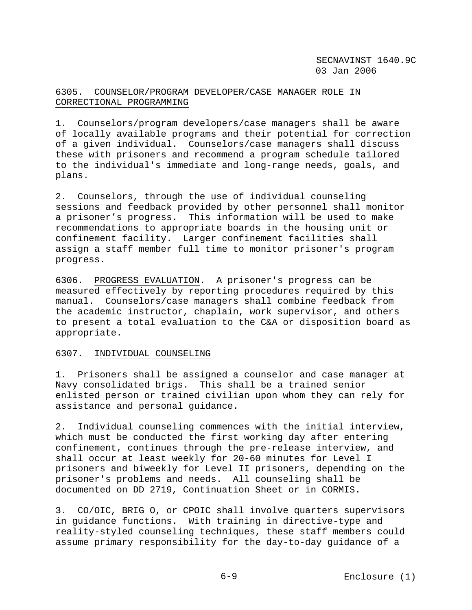# 6305. COUNSELOR/PROGRAM DEVELOPER/CASE MANAGER ROLE IN CORRECTIONAL PROGRAMMING

1. Counselors/program developers/case managers shall be aware of locally available programs and their potential for correction of a given individual. Counselors/case managers shall discuss these with prisoners and recommend a program schedule tailored to the individual's immediate and long-range needs, goals, and plans.

2. Counselors, through the use of individual counseling sessions and feedback provided by other personnel shall monitor a prisoner's progress. This information will be used to make recommendations to appropriate boards in the housing unit or confinement facility. Larger confinement facilities shall assign a staff member full time to monitor prisoner's program progress.

6306. PROGRESS EVALUATION. A prisoner's progress can be measured effectively by reporting procedures required by this manual. Counselors/case managers shall combine feedback from the academic instructor, chaplain, work supervisor, and others to present a total evaluation to the C&A or disposition board as appropriate.

# 6307. INDIVIDUAL COUNSELING

1. Prisoners shall be assigned a counselor and case manager at Navy consolidated brigs. This shall be a trained senior enlisted person or trained civilian upon whom they can rely for assistance and personal guidance.

2. Individual counseling commences with the initial interview, which must be conducted the first working day after entering confinement, continues through the pre-release interview, and shall occur at least weekly for 20-60 minutes for Level I prisoners and biweekly for Level II prisoners, depending on the prisoner's problems and needs. All counseling shall be documented on DD 2719, Continuation Sheet or in CORMIS.

3. CO/OIC, BRIG O, or CPOIC shall involve quarters supervisors in guidance functions. With training in directive-type and reality-styled counseling techniques, these staff members could assume primary responsibility for the day-to-day guidance of a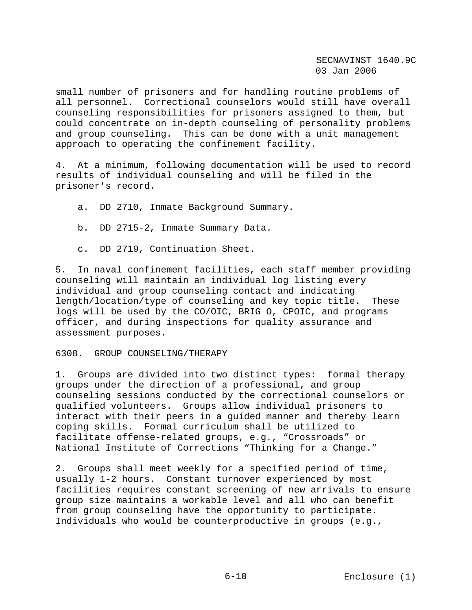small number of prisoners and for handling routine problems of all personnel. Correctional counselors would still have overall counseling responsibilities for prisoners assigned to them, but could concentrate on in-depth counseling of personality problems and group counseling. This can be done with a unit management approach to operating the confinement facility.

4. At a minimum, following documentation will be used to record results of individual counseling and will be filed in the prisoner's record.

a. DD 2710, Inmate Background Summary.

b. DD 2715-2, Inmate Summary Data.

c. DD 2719, Continuation Sheet.

5. In naval confinement facilities, each staff member providing counseling will maintain an individual log listing every individual and group counseling contact and indicating length/location/type of counseling and key topic title. These logs will be used by the CO/OIC, BRIG O, CPOIC, and programs officer, and during inspections for quality assurance and assessment purposes.

## 6308. GROUP COUNSELING/THERAPY

1. Groups are divided into two distinct types: formal therapy groups under the direction of a professional, and group counseling sessions conducted by the correctional counselors or qualified volunteers. Groups allow individual prisoners to interact with their peers in a guided manner and thereby learn coping skills. Formal curriculum shall be utilized to facilitate offense-related groups, e.g., "Crossroads" or National Institute of Corrections "Thinking for a Change."

2. Groups shall meet weekly for a specified period of time, usually 1-2 hours. Constant turnover experienced by most facilities requires constant screening of new arrivals to ensure group size maintains a workable level and all who can benefit from group counseling have the opportunity to participate. Individuals who would be counterproductive in groups (e.g.,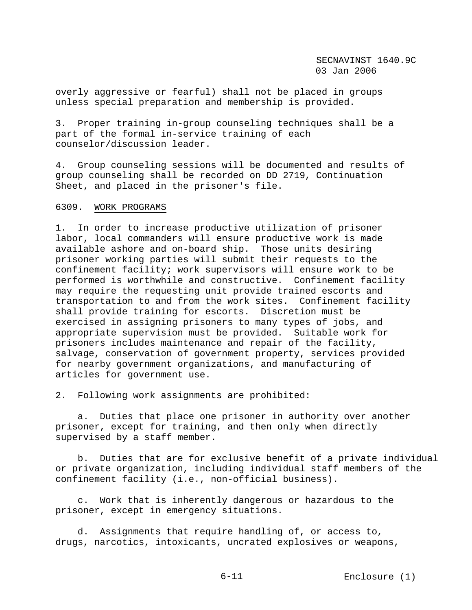overly aggressive or fearful) shall not be placed in groups unless special preparation and membership is provided.

3. Proper training in-group counseling techniques shall be a part of the formal in-service training of each counselor/discussion leader.

4. Group counseling sessions will be documented and results of group counseling shall be recorded on DD 2719, Continuation Sheet, and placed in the prisoner's file.

6309. WORK PROGRAMS

1. In order to increase productive utilization of prisoner labor, local commanders will ensure productive work is made available ashore and on-board ship. Those units desiring prisoner working parties will submit their requests to the confinement facility; work supervisors will ensure work to be performed is worthwhile and constructive. Confinement facility may require the requesting unit provide trained escorts and transportation to and from the work sites. Confinement facility shall provide training for escorts. Discretion must be exercised in assigning prisoners to many types of jobs, and appropriate supervision must be provided. Suitable work for prisoners includes maintenance and repair of the facility, salvage, conservation of government property, services provided for nearby government organizations, and manufacturing of articles for government use.

2. Following work assignments are prohibited:

 a. Duties that place one prisoner in authority over another prisoner, except for training, and then only when directly supervised by a staff member.

 b. Duties that are for exclusive benefit of a private individual or private organization, including individual staff members of the confinement facility (i.e., non-official business).

 c. Work that is inherently dangerous or hazardous to the prisoner, except in emergency situations.

 d. Assignments that require handling of, or access to, drugs, narcotics, intoxicants, uncrated explosives or weapons,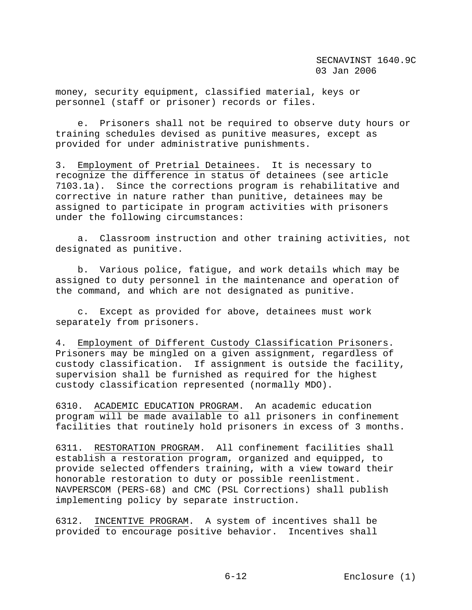money, security equipment, classified material, keys or personnel (staff or prisoner) records or files.

 e. Prisoners shall not be required to observe duty hours or training schedules devised as punitive measures, except as provided for under administrative punishments.

3. Employment of Pretrial Detainees. It is necessary to recognize the difference in status of detainees (see article 7103.1a). Since the corrections program is rehabilitative and corrective in nature rather than punitive, detainees may be assigned to participate in program activities with prisoners under the following circumstances:

 a. Classroom instruction and other training activities, not designated as punitive.

 b. Various police, fatigue, and work details which may be assigned to duty personnel in the maintenance and operation of the command, and which are not designated as punitive.

 c. Except as provided for above, detainees must work separately from prisoners.

4. Employment of Different Custody Classification Prisoners. Prisoners may be mingled on a given assignment, regardless of custody classification. If assignment is outside the facility, supervision shall be furnished as required for the highest custody classification represented (normally MDO).

6310. ACADEMIC EDUCATION PROGRAM. An academic education program will be made available to all prisoners in confinement facilities that routinely hold prisoners in excess of 3 months.

6311. RESTORATION PROGRAM. All confinement facilities shall establish a restoration program, organized and equipped, to provide selected offenders training, with a view toward their honorable restoration to duty or possible reenlistment. NAVPERSCOM (PERS-68) and CMC (PSL Corrections) shall publish implementing policy by separate instruction.

6312. INCENTIVE PROGRAM. A system of incentives shall be provided to encourage positive behavior. Incentives shall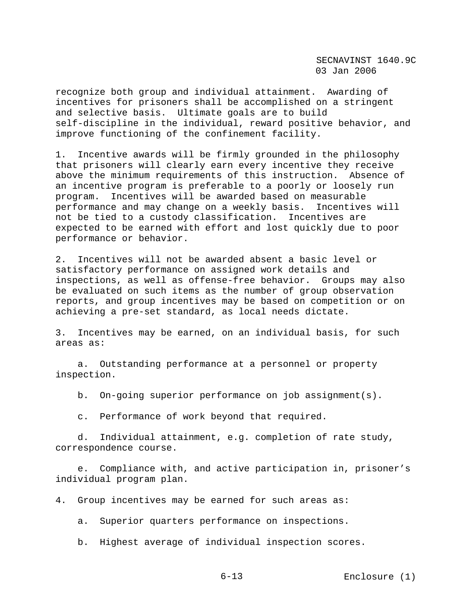recognize both group and individual attainment. Awarding of incentives for prisoners shall be accomplished on a stringent and selective basis. Ultimate goals are to build self-discipline in the individual, reward positive behavior, and improve functioning of the confinement facility.

1. Incentive awards will be firmly grounded in the philosophy that prisoners will clearly earn every incentive they receive above the minimum requirements of this instruction. Absence of an incentive program is preferable to a poorly or loosely run program. Incentives will be awarded based on measurable performance and may change on a weekly basis. Incentives will not be tied to a custody classification. Incentives are expected to be earned with effort and lost quickly due to poor performance or behavior.

2. Incentives will not be awarded absent a basic level or satisfactory performance on assigned work details and inspections, as well as offense-free behavior. Groups may also be evaluated on such items as the number of group observation reports, and group incentives may be based on competition or on achieving a pre-set standard, as local needs dictate.

3. Incentives may be earned, on an individual basis, for such areas as:

 a. Outstanding performance at a personnel or property inspection.

b. On-going superior performance on job assignment(s).

c. Performance of work beyond that required.

 d. Individual attainment, e.g. completion of rate study, correspondence course.

 e. Compliance with, and active participation in, prisoner's individual program plan.

4. Group incentives may be earned for such areas as:

a. Superior quarters performance on inspections.

b. Highest average of individual inspection scores.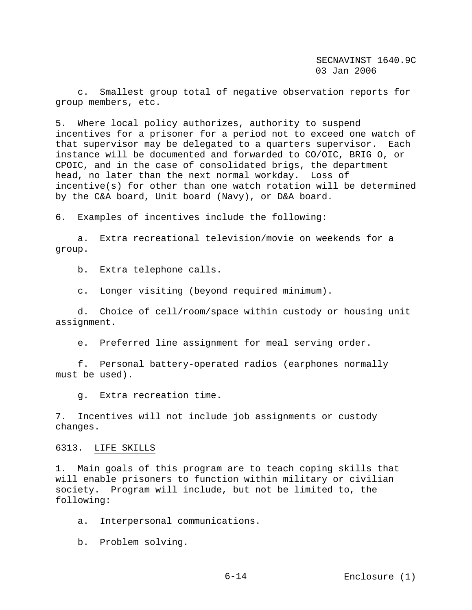c. Smallest group total of negative observation reports for group members, etc.

5. Where local policy authorizes, authority to suspend incentives for a prisoner for a period not to exceed one watch of that supervisor may be delegated to a quarters supervisor. Each instance will be documented and forwarded to CO/OIC, BRIG O, or CPOIC, and in the case of consolidated brigs, the department head, no later than the next normal workday. Loss of incentive(s) for other than one watch rotation will be determined by the C&A board, Unit board (Navy), or D&A board.

6. Examples of incentives include the following:

 a. Extra recreational television/movie on weekends for a group.

b. Extra telephone calls.

c. Longer visiting (beyond required minimum).

 d. Choice of cell/room/space within custody or housing unit assignment.

e. Preferred line assignment for meal serving order.

 f. Personal battery-operated radios (earphones normally must be used).

g. Extra recreation time.

7. Incentives will not include job assignments or custody changes.

#### 6313. LIFE SKILLS

1. Main goals of this program are to teach coping skills that will enable prisoners to function within military or civilian society. Program will include, but not be limited to, the following:

a. Interpersonal communications.

b. Problem solving.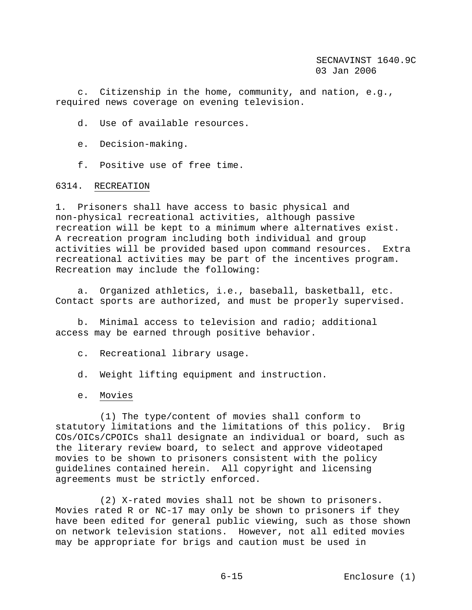c. Citizenship in the home, community, and nation, e.g., required news coverage on evening television.

d. Use of available resources.

- e. Decision-making.
- f. Positive use of free time.

# 6314. RECREATION

1. Prisoners shall have access to basic physical and non-physical recreational activities, although passive recreation will be kept to a minimum where alternatives exist. A recreation program including both individual and group activities will be provided based upon command resources. Extra recreational activities may be part of the incentives program. Recreation may include the following:

 a. Organized athletics, i.e., baseball, basketball, etc. Contact sports are authorized, and must be properly supervised.

 b. Minimal access to television and radio; additional access may be earned through positive behavior.

- c. Recreational library usage.
- d. Weight lifting equipment and instruction.
- e. Movies

 (1) The type/content of movies shall conform to statutory limitations and the limitations of this policy. Brig COs/OICs/CPOICs shall designate an individual or board, such as the literary review board, to select and approve videotaped movies to be shown to prisoners consistent with the policy guidelines contained herein. All copyright and licensing agreements must be strictly enforced.

 (2) X-rated movies shall not be shown to prisoners. Movies rated R or NC-17 may only be shown to prisoners if they have been edited for general public viewing, such as those shown on network television stations. However, not all edited movies may be appropriate for brigs and caution must be used in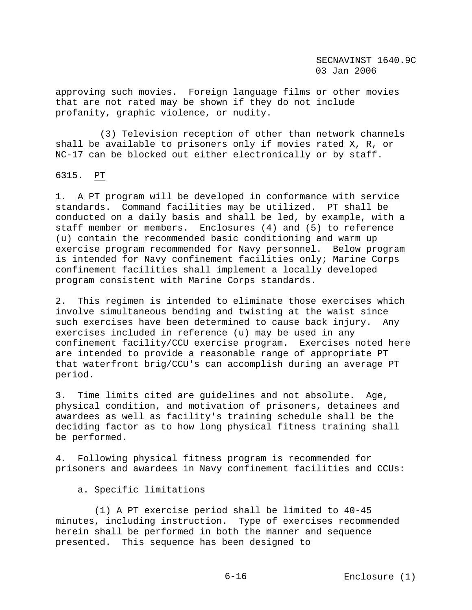approving such movies. Foreign language films or other movies that are not rated may be shown if they do not include profanity, graphic violence, or nudity.

 (3) Television reception of other than network channels shall be available to prisoners only if movies rated X, R, or NC-17 can be blocked out either electronically or by staff.

6315. PT

1. A PT program will be developed in conformance with service standards. Command facilities may be utilized. PT shall be conducted on a daily basis and shall be led, by example, with a staff member or members. Enclosures (4) and (5) to reference (u) contain the recommended basic conditioning and warm up exercise program recommended for Navy personnel. Below program is intended for Navy confinement facilities only; Marine Corps confinement facilities shall implement a locally developed program consistent with Marine Corps standards.

2. This regimen is intended to eliminate those exercises which involve simultaneous bending and twisting at the waist since such exercises have been determined to cause back injury. Any exercises included in reference (u) may be used in any confinement facility/CCU exercise program. Exercises noted here are intended to provide a reasonable range of appropriate PT that waterfront brig/CCU's can accomplish during an average PT period.

3. Time limits cited are guidelines and not absolute. Age, physical condition, and motivation of prisoners, detainees and awardees as well as facility's training schedule shall be the deciding factor as to how long physical fitness training shall be performed.

4. Following physical fitness program is recommended for prisoners and awardees in Navy confinement facilities and CCUs:

a. Specific limitations

 (1) A PT exercise period shall be limited to 40-45 minutes, including instruction. Type of exercises recommended herein shall be performed in both the manner and sequence presented. This sequence has been designed to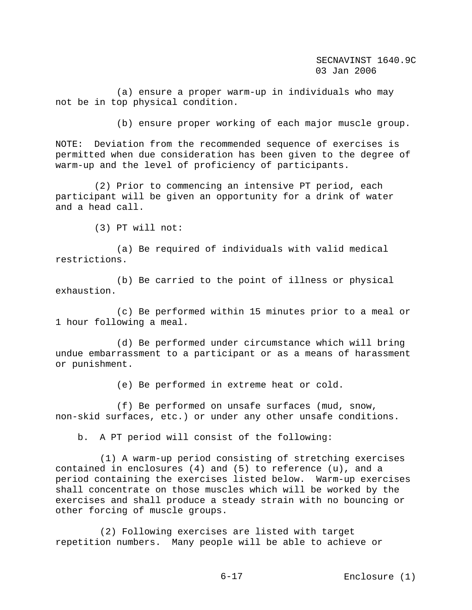(a) ensure a proper warm-up in individuals who may not be in top physical condition.

(b) ensure proper working of each major muscle group.

NOTE: Deviation from the recommended sequence of exercises is permitted when due consideration has been given to the degree of warm-up and the level of proficiency of participants.

 (2) Prior to commencing an intensive PT period, each participant will be given an opportunity for a drink of water and a head call.

(3) PT will not:

 (a) Be required of individuals with valid medical restrictions.

 (b) Be carried to the point of illness or physical exhaustion.

 (c) Be performed within 15 minutes prior to a meal or 1 hour following a meal.

 (d) Be performed under circumstance which will bring undue embarrassment to a participant or as a means of harassment or punishment.

(e) Be performed in extreme heat or cold.

 (f) Be performed on unsafe surfaces (mud, snow, non-skid surfaces, etc.) or under any other unsafe conditions.

b. A PT period will consist of the following:

 (1) A warm-up period consisting of stretching exercises contained in enclosures (4) and (5) to reference (u), and a period containing the exercises listed below. Warm-up exercises shall concentrate on those muscles which will be worked by the exercises and shall produce a steady strain with no bouncing or other forcing of muscle groups.

 (2) Following exercises are listed with target repetition numbers. Many people will be able to achieve or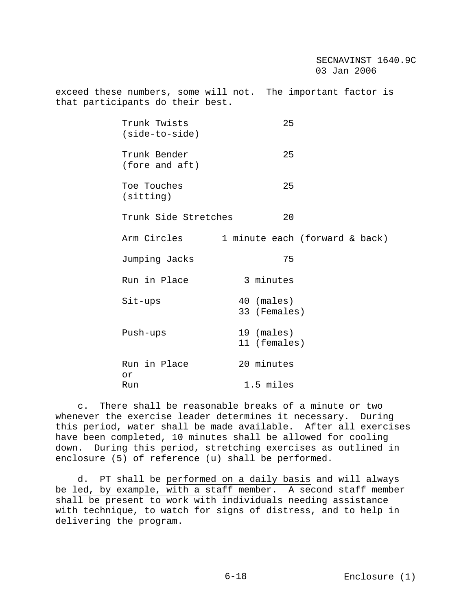exceed these numbers, some will not. The important factor is that participants do their best.

| Trunk Twists<br>$(side-to-side)$ | 25                             |  |
|----------------------------------|--------------------------------|--|
| Trunk Bender<br>(fore and aft)   | 25                             |  |
| Toe Touches<br>(sitting)         | 25                             |  |
| Trunk Side Stretches             | 20                             |  |
| Arm Circles                      | 1 minute each (forward & back) |  |
| Jumping Jacks                    | 75                             |  |
| Run in Place                     | 3 minutes                      |  |
| Sit-ups                          | 40 (males)<br>33 (Females)     |  |
| Push-ups                         | 19 (males)<br>11 (females)     |  |
| Run in Place<br>0r               | 20 minutes                     |  |
| Run                              | 1.5 miles                      |  |

 c. There shall be reasonable breaks of a minute or two whenever the exercise leader determines it necessary. During this period, water shall be made available. After all exercises have been completed, 10 minutes shall be allowed for cooling down. During this period, stretching exercises as outlined in enclosure (5) of reference (u) shall be performed.

 d. PT shall be performed on a daily basis and will always be led, by example, with a staff member. A second staff member shall be present to work with individuals needing assistance with technique, to watch for signs of distress, and to help in delivering the program.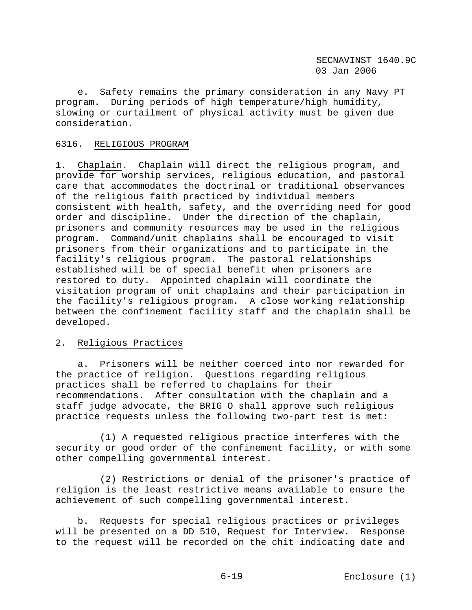e. Safety remains the primary consideration in any Navy PT program. During periods of high temperature/high humidity, slowing or curtailment of physical activity must be given due consideration.

# 6316. RELIGIOUS PROGRAM

1. Chaplain. Chaplain will direct the religious program, and provide for worship services, religious education, and pastoral care that accommodates the doctrinal or traditional observances of the religious faith practiced by individual members consistent with health, safety, and the overriding need for good order and discipline. Under the direction of the chaplain, prisoners and community resources may be used in the religious program. Command/unit chaplains shall be encouraged to visit prisoners from their organizations and to participate in the facility's religious program. The pastoral relationships established will be of special benefit when prisoners are restored to duty. Appointed chaplain will coordinate the visitation program of unit chaplains and their participation in the facility's religious program. A close working relationship between the confinement facility staff and the chaplain shall be developed.

# 2. Religious Practices

 a. Prisoners will be neither coerced into nor rewarded for the practice of religion. Questions regarding religious practices shall be referred to chaplains for their recommendations. After consultation with the chaplain and a staff judge advocate, the BRIG O shall approve such religious practice requests unless the following two-part test is met:

 (1) A requested religious practice interferes with the security or good order of the confinement facility, or with some other compelling governmental interest.

 (2) Restrictions or denial of the prisoner's practice of religion is the least restrictive means available to ensure the achievement of such compelling governmental interest.

 b. Requests for special religious practices or privileges will be presented on a DD 510, Request for Interview. Response to the request will be recorded on the chit indicating date and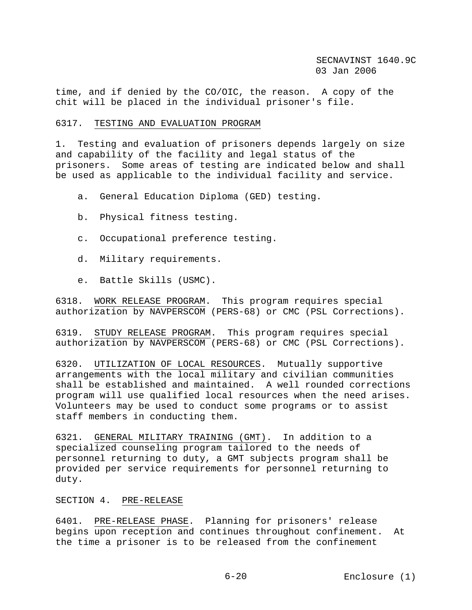time, and if denied by the CO/OIC, the reason. A copy of the chit will be placed in the individual prisoner's file.

## 6317. TESTING AND EVALUATION PROGRAM

1. Testing and evaluation of prisoners depends largely on size and capability of the facility and legal status of the prisoners. Some areas of testing are indicated below and shall be used as applicable to the individual facility and service.

- a. General Education Diploma (GED) testing.
- b. Physical fitness testing.
- c. Occupational preference testing.
- d. Military requirements.
- e. Battle Skills (USMC).

6318. WORK RELEASE PROGRAM. This program requires special authorization by NAVPERSCOM (PERS-68) or CMC (PSL Corrections).

6319. STUDY RELEASE PROGRAM. This program requires special authorization by NAVPERSCOM (PERS-68) or CMC (PSL Corrections).

6320. UTILIZATION OF LOCAL RESOURCES. Mutually supportive arrangements with the local military and civilian communities shall be established and maintained. A well rounded corrections program will use qualified local resources when the need arises. Volunteers may be used to conduct some programs or to assist staff members in conducting them.

6321. GENERAL MILITARY TRAINING (GMT). In addition to a specialized counseling program tailored to the needs of personnel returning to duty, a GMT subjects program shall be provided per service requirements for personnel returning to duty.

## SECTION 4. PRE-RELEASE

6401. PRE-RELEASE PHASE. Planning for prisoners' release begins upon reception and continues throughout confinement. At the time a prisoner is to be released from the confinement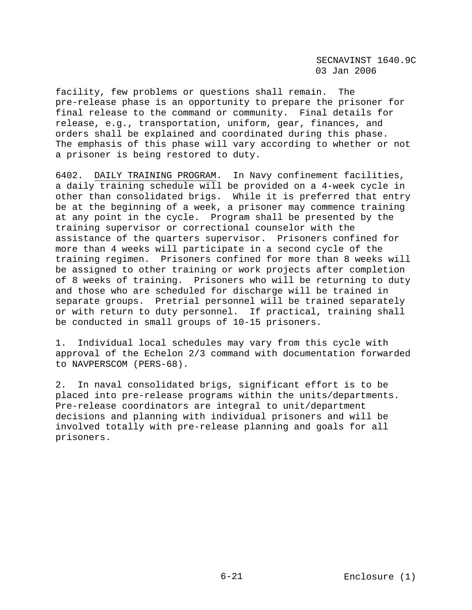facility, few problems or questions shall remain. The pre-release phase is an opportunity to prepare the prisoner for final release to the command or community. Final details for release, e.g., transportation, uniform, gear, finances, and orders shall be explained and coordinated during this phase. The emphasis of this phase will vary according to whether or not a prisoner is being restored to duty.

6402. DAILY TRAINING PROGRAM. In Navy confinement facilities, a daily training schedule will be provided on a 4-week cycle in other than consolidated brigs. While it is preferred that entry be at the beginning of a week, a prisoner may commence training at any point in the cycle. Program shall be presented by the training supervisor or correctional counselor with the assistance of the quarters supervisor. Prisoners confined for more than 4 weeks will participate in a second cycle of the training regimen. Prisoners confined for more than 8 weeks will be assigned to other training or work projects after completion of 8 weeks of training. Prisoners who will be returning to duty and those who are scheduled for discharge will be trained in separate groups. Pretrial personnel will be trained separately or with return to duty personnel. If practical, training shall be conducted in small groups of 10-15 prisoners.

1. Individual local schedules may vary from this cycle with approval of the Echelon 2/3 command with documentation forwarded to NAVPERSCOM (PERS-68).

2. In naval consolidated brigs, significant effort is to be placed into pre-release programs within the units/departments. Pre-release coordinators are integral to unit/department decisions and planning with individual prisoners and will be involved totally with pre-release planning and goals for all prisoners.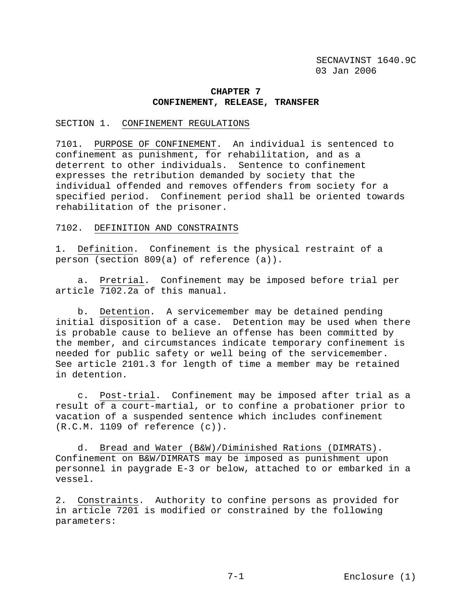## **CHAPTER 7 CONFINEMENT, RELEASE, TRANSFER**

### SECTION 1. CONFINEMENT REGULATIONS

7101. PURPOSE OF CONFINEMENT. An individual is sentenced to confinement as punishment, for rehabilitation, and as a deterrent to other individuals. Sentence to confinement expresses the retribution demanded by society that the individual offended and removes offenders from society for a specified period. Confinement period shall be oriented towards rehabilitation of the prisoner.

## 7102. DEFINITION AND CONSTRAINTS

1. Definition. Confinement is the physical restraint of a person (section 809(a) of reference (a)).

 a. Pretrial. Confinement may be imposed before trial per article 7102.2a of this manual.

 b. Detention. A servicemember may be detained pending initial disposition of a case. Detention may be used when there is probable cause to believe an offense has been committed by the member, and circumstances indicate temporary confinement is needed for public safety or well being of the servicemember. See article 2101.3 for length of time a member may be retained in detention.

 c. Post-trial. Confinement may be imposed after trial as a result of a court-martial, or to confine a probationer prior to vacation of a suspended sentence which includes confinement (R.C.M. 1109 of reference (c)).

 d. Bread and Water (B&W)/Diminished Rations (DIMRATS). Confinement on B&W/DIMRATS may be imposed as punishment upon personnel in paygrade E-3 or below, attached to or embarked in a vessel.

2. Constraints. Authority to confine persons as provided for in article 7201 is modified or constrained by the following parameters: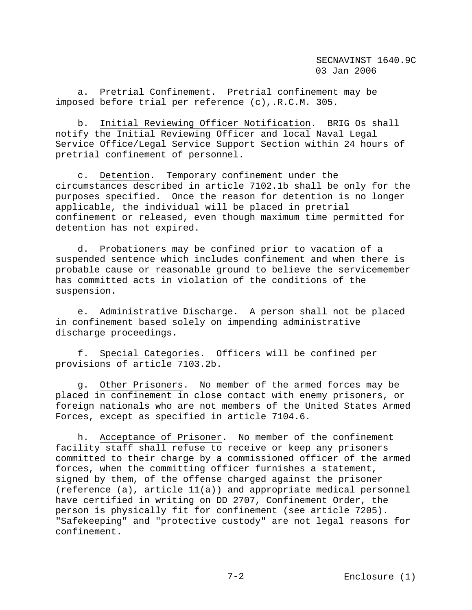a. Pretrial Confinement. Pretrial confinement may be imposed before trial per reference (c),.R.C.M. 305.

 b. Initial Reviewing Officer Notification. BRIG Os shall notify the Initial Reviewing Officer and local Naval Legal Service Office/Legal Service Support Section within 24 hours of pretrial confinement of personnel.

 c. Detention. Temporary confinement under the circumstances described in article 7102.1b shall be only for the purposes specified. Once the reason for detention is no longer applicable, the individual will be placed in pretrial confinement or released, even though maximum time permitted for detention has not expired.

 d. Probationers may be confined prior to vacation of a suspended sentence which includes confinement and when there is probable cause or reasonable ground to believe the servicemember has committed acts in violation of the conditions of the suspension.

 e. Administrative Discharge. A person shall not be placed in confinement based solely on impending administrative discharge proceedings.

 f. Special Categories. Officers will be confined per provisions of article 7103.2b.

 g. Other Prisoners. No member of the armed forces may be placed in confinement in close contact with enemy prisoners, or foreign nationals who are not members of the United States Armed Forces, except as specified in article 7104.6.

 h. Acceptance of Prisoner. No member of the confinement facility staff shall refuse to receive or keep any prisoners committed to their charge by a commissioned officer of the armed forces, when the committing officer furnishes a statement, signed by them, of the offense charged against the prisoner (reference  $(a)$ , article  $11(a)$ ) and appropriate medical personnel have certified in writing on DD 2707, Confinement Order, the person is physically fit for confinement (see article 7205). "Safekeeping" and "protective custody" are not legal reasons for confinement.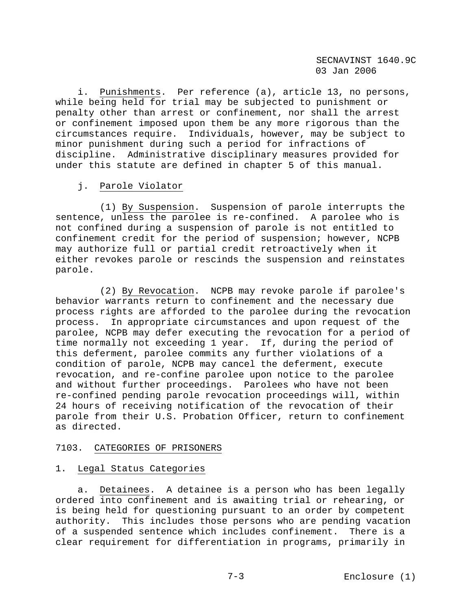i. Punishments. Per reference (a), article 13, no persons, while being held for trial may be subjected to punishment or penalty other than arrest or confinement, nor shall the arrest or confinement imposed upon them be any more rigorous than the circumstances require. Individuals, however, may be subject to minor punishment during such a period for infractions of discipline. Administrative disciplinary measures provided for under this statute are defined in chapter 5 of this manual.

# j. Parole Violator

 (1) By Suspension. Suspension of parole interrupts the sentence, unless the parolee is re-confined. A parolee who is not confined during a suspension of parole is not entitled to confinement credit for the period of suspension; however, NCPB may authorize full or partial credit retroactively when it either revokes parole or rescinds the suspension and reinstates parole.

 (2) By Revocation. NCPB may revoke parole if parolee's behavior warrants return to confinement and the necessary due process rights are afforded to the parolee during the revocation process. In appropriate circumstances and upon request of the parolee, NCPB may defer executing the revocation for a period of time normally not exceeding 1 year. If, during the period of this deferment, parolee commits any further violations of a condition of parole, NCPB may cancel the deferment, execute revocation, and re-confine parolee upon notice to the parolee and without further proceedings. Parolees who have not been re-confined pending parole revocation proceedings will, within 24 hours of receiving notification of the revocation of their parole from their U.S. Probation Officer, return to confinement as directed.

# 7103. CATEGORIES OF PRISONERS

# 1. Legal Status Categories

 a. Detainees. A detainee is a person who has been legally ordered into confinement and is awaiting trial or rehearing, or is being held for questioning pursuant to an order by competent authority. This includes those persons who are pending vacation of a suspended sentence which includes confinement. There is a clear requirement for differentiation in programs, primarily in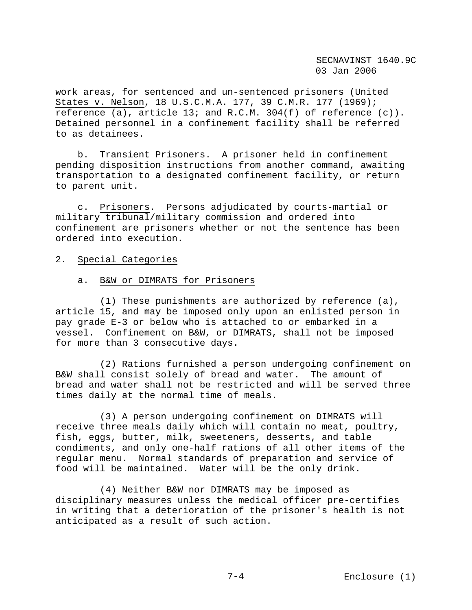work areas, for sentenced and un-sentenced prisoners (United States v. Nelson, 18 U.S.C.M.A. 177, 39 C.M.R. 177 (1969); reference (a), article 13; and R.C.M. 304(f) of reference  $(c)$ ). Detained personnel in a confinement facility shall be referred to as detainees.

 b. Transient Prisoners. A prisoner held in confinement pending disposition instructions from another command, awaiting transportation to a designated confinement facility, or return to parent unit.

 c. Prisoners. Persons adjudicated by courts-martial or military tribunal/military commission and ordered into confinement are prisoners whether or not the sentence has been ordered into execution.

### 2. Special Categories

#### a. B&W or DIMRATS for Prisoners

 (1) These punishments are authorized by reference (a), article 15, and may be imposed only upon an enlisted person in pay grade E-3 or below who is attached to or embarked in a vessel. Confinement on B&W, or DIMRATS, shall not be imposed for more than 3 consecutive days.

 (2) Rations furnished a person undergoing confinement on B&W shall consist solely of bread and water. The amount of bread and water shall not be restricted and will be served three times daily at the normal time of meals.

 (3) A person undergoing confinement on DIMRATS will receive three meals daily which will contain no meat, poultry, fish, eggs, butter, milk, sweeteners, desserts, and table condiments, and only one-half rations of all other items of the regular menu. Normal standards of preparation and service of food will be maintained. Water will be the only drink.

 (4) Neither B&W nor DIMRATS may be imposed as disciplinary measures unless the medical officer pre-certifies in writing that a deterioration of the prisoner's health is not anticipated as a result of such action.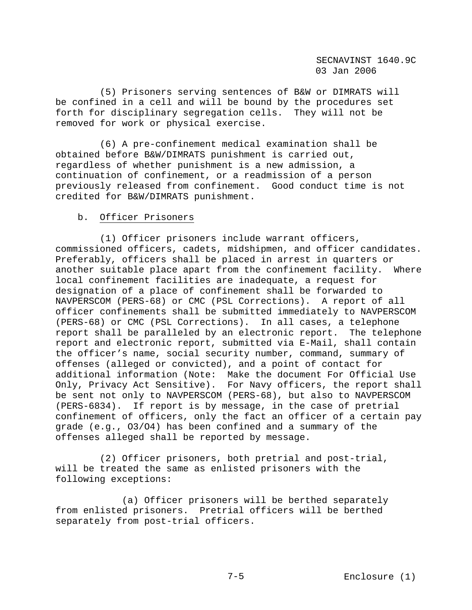(5) Prisoners serving sentences of B&W or DIMRATS will be confined in a cell and will be bound by the procedures set forth for disciplinary segregation cells. They will not be removed for work or physical exercise.

 (6) A pre-confinement medical examination shall be obtained before B&W/DIMRATS punishment is carried out, regardless of whether punishment is a new admission, a continuation of confinement, or a readmission of a person previously released from confinement. Good conduct time is not credited for B&W/DIMRATS punishment.

# b. Officer Prisoners

 (1) Officer prisoners include warrant officers, commissioned officers, cadets, midshipmen, and officer candidates. Preferably, officers shall be placed in arrest in quarters or another suitable place apart from the confinement facility. Where local confinement facilities are inadequate, a request for designation of a place of confinement shall be forwarded to NAVPERSCOM (PERS-68) or CMC (PSL Corrections). A report of all officer confinements shall be submitted immediately to NAVPERSCOM (PERS-68) or CMC (PSL Corrections). In all cases, a telephone report shall be paralleled by an electronic report. The telephone report and electronic report, submitted via E-Mail, shall contain the officer's name, social security number, command, summary of offenses (alleged or convicted), and a point of contact for additional information (Note: Make the document For Official Use Only, Privacy Act Sensitive). For Navy officers, the report shall be sent not only to NAVPERSCOM (PERS-68), but also to NAVPERSCOM (PERS-6834). If report is by message, in the case of pretrial confinement of officers, only the fact an officer of a certain pay grade (e.g., O3/O4) has been confined and a summary of the offenses alleged shall be reported by message.

 (2) Officer prisoners, both pretrial and post-trial, will be treated the same as enlisted prisoners with the following exceptions:

 (a) Officer prisoners will be berthed separately from enlisted prisoners. Pretrial officers will be berthed separately from post-trial officers.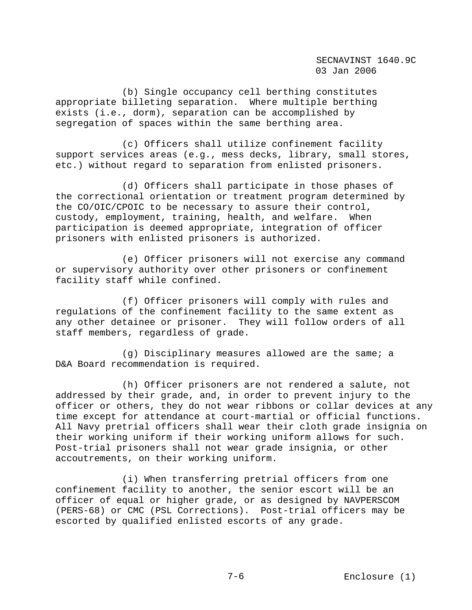(b) Single occupancy cell berthing constitutes appropriate billeting separation. Where multiple berthing exists (i.e., dorm), separation can be accomplished by segregation of spaces within the same berthing area.

 (c) Officers shall utilize confinement facility support services areas (e.g., mess decks, library, small stores, etc.) without regard to separation from enlisted prisoners.

 (d) Officers shall participate in those phases of the correctional orientation or treatment program determined by the CO/OIC/CPOIC to be necessary to assure their control, custody, employment, training, health, and welfare. When participation is deemed appropriate, integration of officer prisoners with enlisted prisoners is authorized.

 (e) Officer prisoners will not exercise any command or supervisory authority over other prisoners or confinement facility staff while confined.

 (f) Officer prisoners will comply with rules and regulations of the confinement facility to the same extent as any other detainee or prisoner. They will follow orders of all staff members, regardless of grade.

 (g) Disciplinary measures allowed are the same; a D&A Board recommendation is required.

 (h) Officer prisoners are not rendered a salute, not addressed by their grade, and, in order to prevent injury to the officer or others, they do not wear ribbons or collar devices at any time except for attendance at court-martial or official functions. All Navy pretrial officers shall wear their cloth grade insignia on their working uniform if their working uniform allows for such. Post-trial prisoners shall not wear grade insignia, or other accoutrements, on their working uniform.

 (i) When transferring pretrial officers from one confinement facility to another, the senior escort will be an officer of equal or higher grade, or as designed by NAVPERSCOM (PERS-68) or CMC (PSL Corrections). Post-trial officers may be escorted by qualified enlisted escorts of any grade.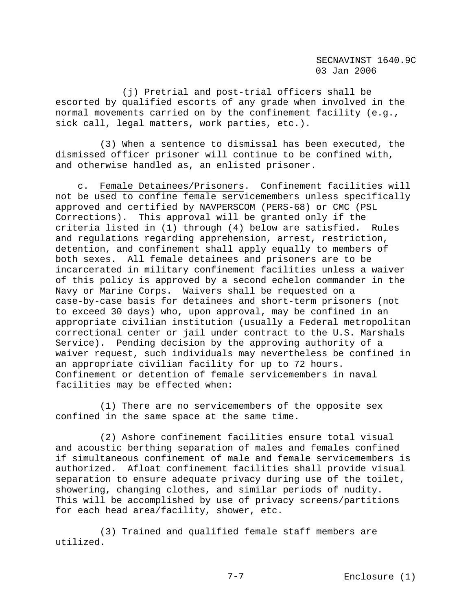(j) Pretrial and post-trial officers shall be escorted by qualified escorts of any grade when involved in the normal movements carried on by the confinement facility (e.g., sick call, legal matters, work parties, etc.).

 (3) When a sentence to dismissal has been executed, the dismissed officer prisoner will continue to be confined with, and otherwise handled as, an enlisted prisoner.

 c. Female Detainees/Prisoners. Confinement facilities will not be used to confine female servicemembers unless specifically approved and certified by NAVPERSCOM (PERS-68) or CMC (PSL Corrections). This approval will be granted only if the criteria listed in (1) through (4) below are satisfied. Rules and regulations regarding apprehension, arrest, restriction, detention, and confinement shall apply equally to members of both sexes. All female detainees and prisoners are to be incarcerated in military confinement facilities unless a waiver of this policy is approved by a second echelon commander in the Navy or Marine Corps. Waivers shall be requested on a case-by-case basis for detainees and short-term prisoners (not to exceed 30 days) who, upon approval, may be confined in an appropriate civilian institution (usually a Federal metropolitan correctional center or jail under contract to the U.S. Marshals Service). Pending decision by the approving authority of a waiver request, such individuals may nevertheless be confined in an appropriate civilian facility for up to 72 hours. Confinement or detention of female servicemembers in naval facilities may be effected when:

 (1) There are no servicemembers of the opposite sex confined in the same space at the same time.

 (2) Ashore confinement facilities ensure total visual and acoustic berthing separation of males and females confined if simultaneous confinement of male and female servicemembers is authorized. Afloat confinement facilities shall provide visual separation to ensure adequate privacy during use of the toilet, showering, changing clothes, and similar periods of nudity. This will be accomplished by use of privacy screens/partitions for each head area/facility, shower, etc.

 (3) Trained and qualified female staff members are utilized.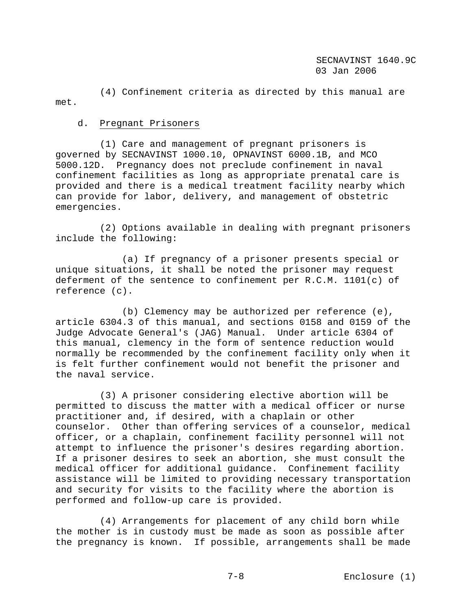(4) Confinement criteria as directed by this manual are met.

## d. Pregnant Prisoners

 (1) Care and management of pregnant prisoners is governed by SECNAVINST 1000.10, OPNAVINST 6000.1B, and MCO 5000.12D. Pregnancy does not preclude confinement in naval confinement facilities as long as appropriate prenatal care is provided and there is a medical treatment facility nearby which can provide for labor, delivery, and management of obstetric emergencies.

 (2) Options available in dealing with pregnant prisoners include the following:

 (a) If pregnancy of a prisoner presents special or unique situations, it shall be noted the prisoner may request deferment of the sentence to confinement per  $R.C.M. 1101(c)$  of reference (c).

 (b) Clemency may be authorized per reference (e), article 6304.3 of this manual, and sections 0158 and 0159 of the Judge Advocate General's (JAG) Manual. Under article 6304 of this manual, clemency in the form of sentence reduction would normally be recommended by the confinement facility only when it is felt further confinement would not benefit the prisoner and the naval service.

 (3) A prisoner considering elective abortion will be permitted to discuss the matter with a medical officer or nurse practitioner and, if desired, with a chaplain or other counselor. Other than offering services of a counselor, medical officer, or a chaplain, confinement facility personnel will not attempt to influence the prisoner's desires regarding abortion. If a prisoner desires to seek an abortion, she must consult the medical officer for additional guidance. Confinement facility assistance will be limited to providing necessary transportation and security for visits to the facility where the abortion is performed and follow-up care is provided.

 (4) Arrangements for placement of any child born while the mother is in custody must be made as soon as possible after the pregnancy is known. If possible, arrangements shall be made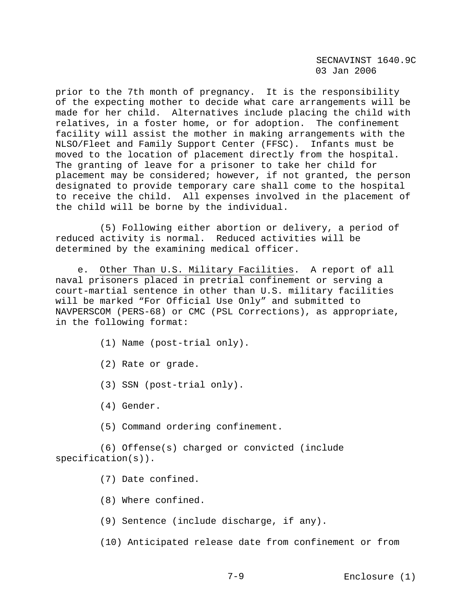prior to the 7th month of pregnancy. It is the responsibility of the expecting mother to decide what care arrangements will be made for her child. Alternatives include placing the child with relatives, in a foster home, or for adoption. The confinement facility will assist the mother in making arrangements with the NLSO/Fleet and Family Support Center (FFSC). Infants must be moved to the location of placement directly from the hospital. The granting of leave for a prisoner to take her child for placement may be considered; however, if not granted, the person designated to provide temporary care shall come to the hospital to receive the child. All expenses involved in the placement of the child will be borne by the individual.

 (5) Following either abortion or delivery, a period of reduced activity is normal. Reduced activities will be determined by the examining medical officer.

 e. Other Than U.S. Military Facilities. A report of all naval prisoners placed in pretrial confinement or serving a court-martial sentence in other than U.S. military facilities will be marked "For Official Use Only" and submitted to NAVPERSCOM (PERS-68) or CMC (PSL Corrections), as appropriate, in the following format:

- (1) Name (post-trial only).
- (2) Rate or grade.
- (3) SSN (post-trial only).
- (4) Gender.
- (5) Command ordering confinement.

 (6) Offense(s) charged or convicted (include specification(s)).

- (7) Date confined.
- (8) Where confined.
- (9) Sentence (include discharge, if any).
- (10) Anticipated release date from confinement or from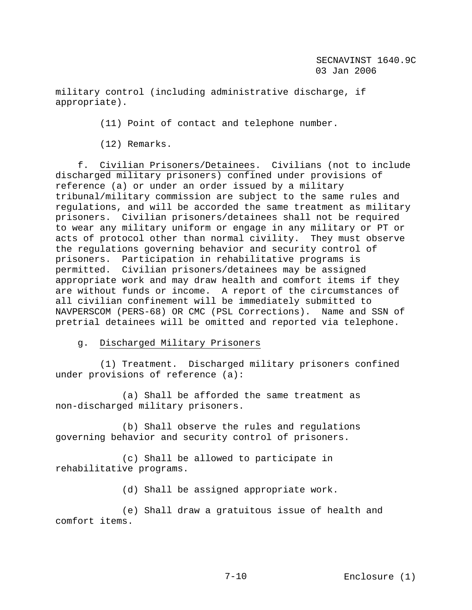military control (including administrative discharge, if appropriate).

(11) Point of contact and telephone number.

(12) Remarks.

 f. Civilian Prisoners/Detainees. Civilians (not to include discharged military prisoners) confined under provisions of reference (a) or under an order issued by a military tribunal/military commission are subject to the same rules and regulations, and will be accorded the same treatment as military prisoners. Civilian prisoners/detainees shall not be required to wear any military uniform or engage in any military or PT or acts of protocol other than normal civility. They must observe the regulations governing behavior and security control of prisoners. Participation in rehabilitative programs is permitted. Civilian prisoners/detainees may be assigned appropriate work and may draw health and comfort items if they are without funds or income. A report of the circumstances of all civilian confinement will be immediately submitted to NAVPERSCOM (PERS-68) OR CMC (PSL Corrections). Name and SSN of pretrial detainees will be omitted and reported via telephone.

## g. Discharged Military Prisoners

 (1) Treatment. Discharged military prisoners confined under provisions of reference (a):

 (a) Shall be afforded the same treatment as non-discharged military prisoners.

 (b) Shall observe the rules and regulations governing behavior and security control of prisoners.

 (c) Shall be allowed to participate in rehabilitative programs.

(d) Shall be assigned appropriate work.

 (e) Shall draw a gratuitous issue of health and comfort items.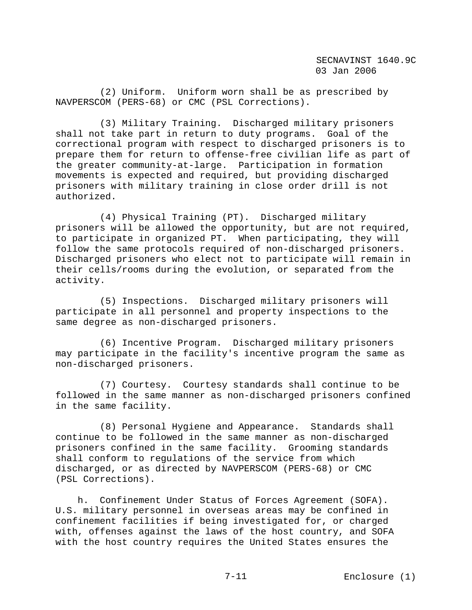(2) Uniform. Uniform worn shall be as prescribed by NAVPERSCOM (PERS-68) or CMC (PSL Corrections).

 (3) Military Training. Discharged military prisoners shall not take part in return to duty programs. Goal of the correctional program with respect to discharged prisoners is to prepare them for return to offense-free civilian life as part of the greater community-at-large. Participation in formation movements is expected and required, but providing discharged prisoners with military training in close order drill is not authorized.

 (4) Physical Training (PT). Discharged military prisoners will be allowed the opportunity, but are not required, to participate in organized PT. When participating, they will follow the same protocols required of non-discharged prisoners. Discharged prisoners who elect not to participate will remain in their cells/rooms during the evolution, or separated from the activity.

 (5) Inspections. Discharged military prisoners will participate in all personnel and property inspections to the same degree as non-discharged prisoners.

 (6) Incentive Program. Discharged military prisoners may participate in the facility's incentive program the same as non-discharged prisoners.

 (7) Courtesy. Courtesy standards shall continue to be followed in the same manner as non-discharged prisoners confined in the same facility.

 (8) Personal Hygiene and Appearance. Standards shall continue to be followed in the same manner as non-discharged prisoners confined in the same facility. Grooming standards shall conform to regulations of the service from which discharged, or as directed by NAVPERSCOM (PERS-68) or CMC (PSL Corrections).

 h. Confinement Under Status of Forces Agreement (SOFA). U.S. military personnel in overseas areas may be confined in confinement facilities if being investigated for, or charged with, offenses against the laws of the host country, and SOFA with the host country requires the United States ensures the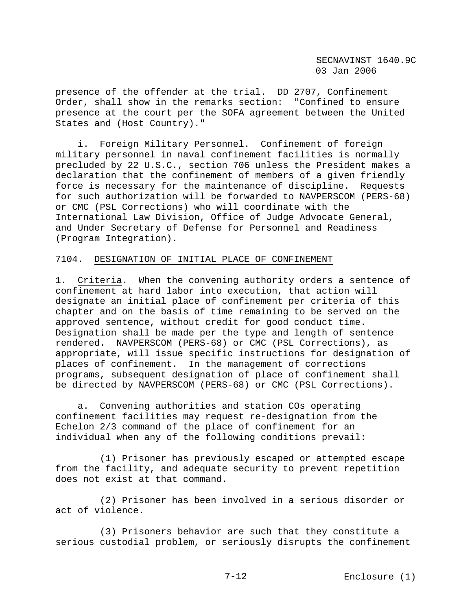presence of the offender at the trial. DD 2707, Confinement Order, shall show in the remarks section: "Confined to ensure presence at the court per the SOFA agreement between the United States and (Host Country)."

 i. Foreign Military Personnel. Confinement of foreign military personnel in naval confinement facilities is normally precluded by 22 U.S.C., section 706 unless the President makes a declaration that the confinement of members of a given friendly force is necessary for the maintenance of discipline. Requests for such authorization will be forwarded to NAVPERSCOM (PERS-68) or CMC (PSL Corrections) who will coordinate with the International Law Division, Office of Judge Advocate General, and Under Secretary of Defense for Personnel and Readiness (Program Integration).

## 7104. DESIGNATION OF INITIAL PLACE OF CONFINEMENT

1. Criteria. When the convening authority orders a sentence of confinement at hard labor into execution, that action will designate an initial place of confinement per criteria of this chapter and on the basis of time remaining to be served on the approved sentence, without credit for good conduct time. Designation shall be made per the type and length of sentence rendered. NAVPERSCOM (PERS-68) or CMC (PSL Corrections), as appropriate, will issue specific instructions for designation of places of confinement. In the management of corrections programs, subsequent designation of place of confinement shall be directed by NAVPERSCOM (PERS-68) or CMC (PSL Corrections).

 a. Convening authorities and station COs operating confinement facilities may request re-designation from the Echelon 2/3 command of the place of confinement for an individual when any of the following conditions prevail:

 (1) Prisoner has previously escaped or attempted escape from the facility, and adequate security to prevent repetition does not exist at that command.

 (2) Prisoner has been involved in a serious disorder or act of violence.

 (3) Prisoners behavior are such that they constitute a serious custodial problem, or seriously disrupts the confinement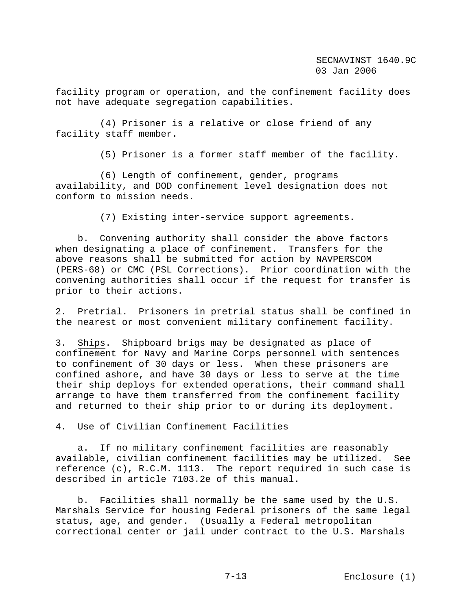facility program or operation, and the confinement facility does not have adequate segregation capabilities.

 (4) Prisoner is a relative or close friend of any facility staff member.

(5) Prisoner is a former staff member of the facility.

 (6) Length of confinement, gender, programs availability, and DOD confinement level designation does not conform to mission needs.

(7) Existing inter-service support agreements.

 b. Convening authority shall consider the above factors when designating a place of confinement. Transfers for the above reasons shall be submitted for action by NAVPERSCOM (PERS-68) or CMC (PSL Corrections). Prior coordination with the convening authorities shall occur if the request for transfer is prior to their actions.

2. Pretrial. Prisoners in pretrial status shall be confined in the nearest or most convenient military confinement facility.

3. Ships. Shipboard brigs may be designated as place of confinement for Navy and Marine Corps personnel with sentences to confinement of 30 days or less. When these prisoners are confined ashore, and have 30 days or less to serve at the time their ship deploys for extended operations, their command shall arrange to have them transferred from the confinement facility and returned to their ship prior to or during its deployment.

4. Use of Civilian Confinement Facilities

 a. If no military confinement facilities are reasonably available, civilian confinement facilities may be utilized. See reference (c), R.C.M. 1113. The report required in such case is described in article 7103.2e of this manual.

 b. Facilities shall normally be the same used by the U.S. Marshals Service for housing Federal prisoners of the same legal status, age, and gender. (Usually a Federal metropolitan correctional center or jail under contract to the U.S. Marshals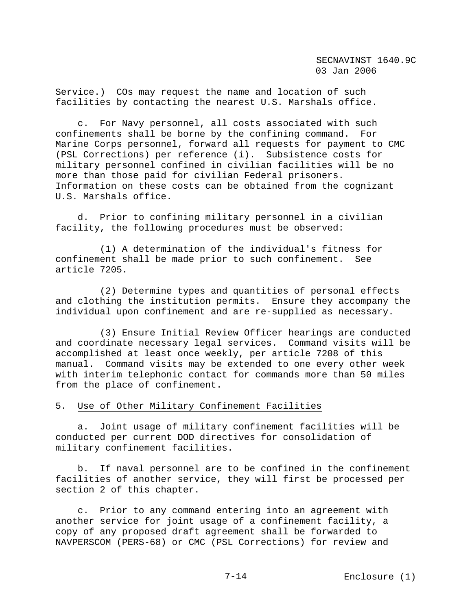Service.) COs may request the name and location of such facilities by contacting the nearest U.S. Marshals office.

 c. For Navy personnel, all costs associated with such confinements shall be borne by the confining command. For Marine Corps personnel, forward all requests for payment to CMC (PSL Corrections) per reference (i). Subsistence costs for military personnel confined in civilian facilities will be no more than those paid for civilian Federal prisoners. Information on these costs can be obtained from the cognizant U.S. Marshals office.

 d. Prior to confining military personnel in a civilian facility, the following procedures must be observed:

 (1) A determination of the individual's fitness for confinement shall be made prior to such confinement. See article 7205.

 (2) Determine types and quantities of personal effects and clothing the institution permits. Ensure they accompany the individual upon confinement and are re-supplied as necessary.

 (3) Ensure Initial Review Officer hearings are conducted and coordinate necessary legal services. Command visits will be accomplished at least once weekly, per article 7208 of this manual. Command visits may be extended to one every other week with interim telephonic contact for commands more than 50 miles from the place of confinement.

# 5. Use of Other Military Confinement Facilities

 a. Joint usage of military confinement facilities will be conducted per current DOD directives for consolidation of military confinement facilities.

 b. If naval personnel are to be confined in the confinement facilities of another service, they will first be processed per section 2 of this chapter.

 c. Prior to any command entering into an agreement with another service for joint usage of a confinement facility, a copy of any proposed draft agreement shall be forwarded to NAVPERSCOM (PERS-68) or CMC (PSL Corrections) for review and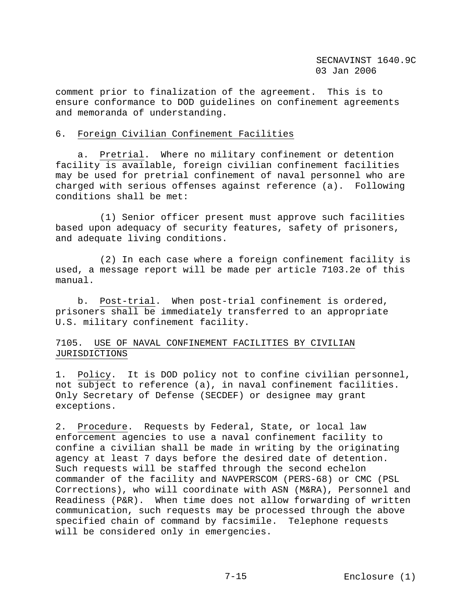comment prior to finalization of the agreement. This is to ensure conformance to DOD guidelines on confinement agreements and memoranda of understanding.

### 6. Foreign Civilian Confinement Facilities

 a. Pretrial. Where no military confinement or detention facility is available, foreign civilian confinement facilities may be used for pretrial confinement of naval personnel who are charged with serious offenses against reference (a). Following conditions shall be met:

 (1) Senior officer present must approve such facilities based upon adequacy of security features, safety of prisoners, and adequate living conditions.

 (2) In each case where a foreign confinement facility is used, a message report will be made per article 7103.2e of this manual.

 b. Post-trial. When post-trial confinement is ordered, prisoners shall be immediately transferred to an appropriate U.S. military confinement facility.

# 7105. USE OF NAVAL CONFINEMENT FACILITIES BY CIVILIAN JURISDICTIONS

1. Policy. It is DOD policy not to confine civilian personnel, not subject to reference (a), in naval confinement facilities. Only Secretary of Defense (SECDEF) or designee may grant exceptions.

2. Procedure. Requests by Federal, State, or local law enforcement agencies to use a naval confinement facility to confine a civilian shall be made in writing by the originating agency at least 7 days before the desired date of detention. Such requests will be staffed through the second echelon commander of the facility and NAVPERSCOM (PERS-68) or CMC (PSL Corrections), who will coordinate with ASN (M&RA), Personnel and Readiness (P&R). When time does not allow forwarding of written communication, such requests may be processed through the above specified chain of command by facsimile. Telephone requests will be considered only in emergencies.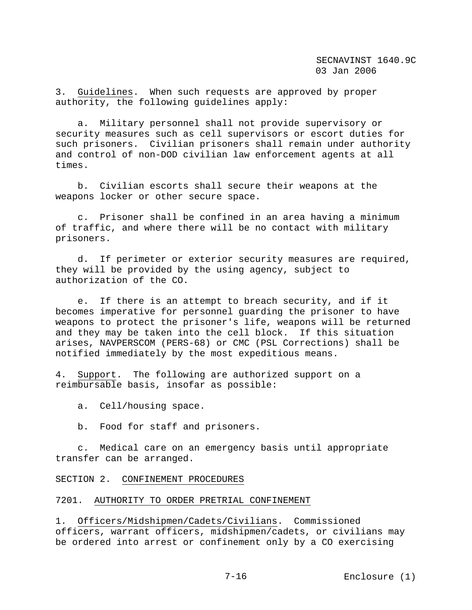3. Guidelines. When such requests are approved by proper authority, the following guidelines apply:

 a. Military personnel shall not provide supervisory or security measures such as cell supervisors or escort duties for such prisoners. Civilian prisoners shall remain under authority and control of non-DOD civilian law enforcement agents at all times.

 b. Civilian escorts shall secure their weapons at the weapons locker or other secure space.

 c. Prisoner shall be confined in an area having a minimum of traffic, and where there will be no contact with military prisoners.

 d. If perimeter or exterior security measures are required, they will be provided by the using agency, subject to authorization of the CO.

 e. If there is an attempt to breach security, and if it becomes imperative for personnel guarding the prisoner to have weapons to protect the prisoner's life, weapons will be returned and they may be taken into the cell block. If this situation arises, NAVPERSCOM (PERS-68) or CMC (PSL Corrections) shall be notified immediately by the most expeditious means.

4. Support. The following are authorized support on a reimbursable basis, insofar as possible:

a. Cell/housing space.

b. Food for staff and prisoners.

 c. Medical care on an emergency basis until appropriate transfer can be arranged.

## SECTION 2. CONFINEMENT PROCEDURES

## 7201. AUTHORITY TO ORDER PRETRIAL CONFINEMENT

1. Officers/Midshipmen/Cadets/Civilians. Commissioned officers, warrant officers, midshipmen/cadets, or civilians may be ordered into arrest or confinement only by a CO exercising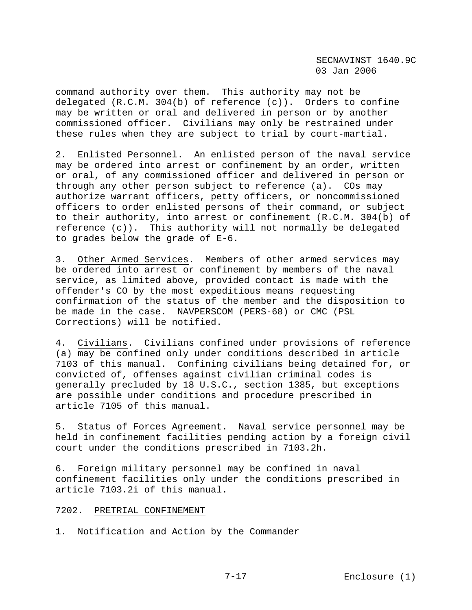command authority over them. This authority may not be delegated (R.C.M. 304(b) of reference (c)). Orders to confine may be written or oral and delivered in person or by another commissioned officer. Civilians may only be restrained under these rules when they are subject to trial by court-martial.

2. Enlisted Personnel. An enlisted person of the naval service may be ordered into arrest or confinement by an order, written or oral, of any commissioned officer and delivered in person or through any other person subject to reference (a). COs may authorize warrant officers, petty officers, or noncommissioned officers to order enlisted persons of their command, or subject to their authority, into arrest or confinement (R.C.M. 304(b) of reference (c)). This authority will not normally be delegated to grades below the grade of E-6.

3. Other Armed Services. Members of other armed services may be ordered into arrest or confinement by members of the naval service, as limited above, provided contact is made with the offender's CO by the most expeditious means requesting confirmation of the status of the member and the disposition to be made in the case. NAVPERSCOM (PERS-68) or CMC (PSL Corrections) will be notified.

4. Civilians. Civilians confined under provisions of reference (a) may be confined only under conditions described in article 7103 of this manual. Confining civilians being detained for, or convicted of, offenses against civilian criminal codes is generally precluded by 18 U.S.C., section 1385, but exceptions are possible under conditions and procedure prescribed in article 7105 of this manual.

5. Status of Forces Agreement. Naval service personnel may be held in confinement facilities pending action by a foreign civil court under the conditions prescribed in 7103.2h.

6. Foreign military personnel may be confined in naval confinement facilities only under the conditions prescribed in article 7103.2i of this manual.

## 7202. PRETRIAL CONFINEMENT

1. Notification and Action by the Commander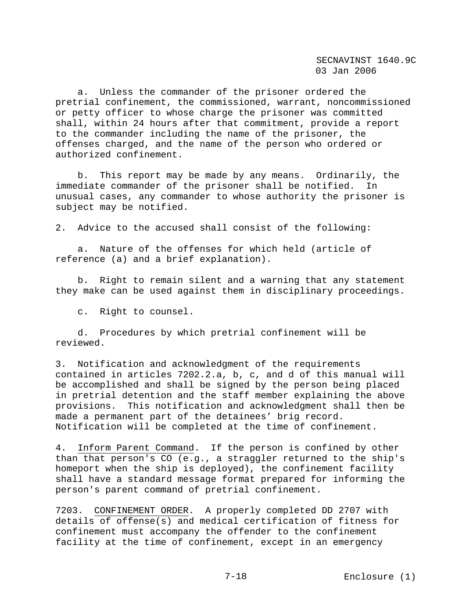a. Unless the commander of the prisoner ordered the pretrial confinement, the commissioned, warrant, noncommissioned or petty officer to whose charge the prisoner was committed shall, within 24 hours after that commitment, provide a report to the commander including the name of the prisoner, the offenses charged, and the name of the person who ordered or authorized confinement.

 b. This report may be made by any means. Ordinarily, the immediate commander of the prisoner shall be notified. In unusual cases, any commander to whose authority the prisoner is subject may be notified.

2. Advice to the accused shall consist of the following:

 a. Nature of the offenses for which held (article of reference (a) and a brief explanation).

 b. Right to remain silent and a warning that any statement they make can be used against them in disciplinary proceedings.

c. Right to counsel.

 d. Procedures by which pretrial confinement will be reviewed.

3. Notification and acknowledgment of the requirements contained in articles 7202.2.a, b, c, and d of this manual will be accomplished and shall be signed by the person being placed in pretrial detention and the staff member explaining the above provisions. This notification and acknowledgment shall then be made a permanent part of the detainees' brig record. Notification will be completed at the time of confinement.

4. Inform Parent Command. If the person is confined by other than that person's CO (e.g., a straggler returned to the ship's homeport when the ship is deployed), the confinement facility shall have a standard message format prepared for informing the person's parent command of pretrial confinement.

7203. CONFINEMENT ORDER. A properly completed DD 2707 with details of offense(s) and medical certification of fitness for confinement must accompany the offender to the confinement facility at the time of confinement, except in an emergency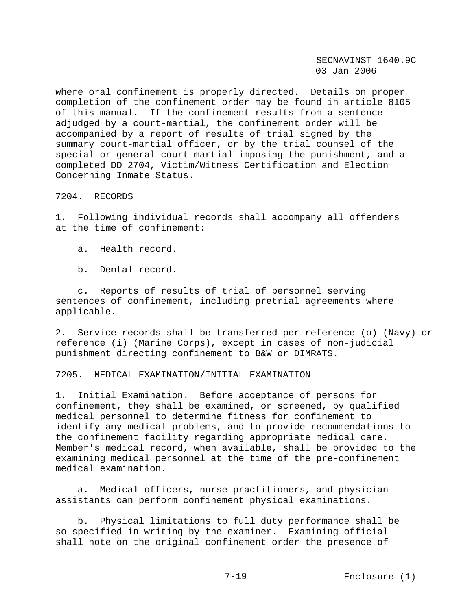where oral confinement is properly directed. Details on proper completion of the confinement order may be found in article 8105 of this manual. If the confinement results from a sentence adjudged by a court-martial, the confinement order will be accompanied by a report of results of trial signed by the summary court-martial officer, or by the trial counsel of the special or general court-martial imposing the punishment, and a completed DD 2704, Victim/Witness Certification and Election Concerning Inmate Status.

## 7204. RECORDS

1. Following individual records shall accompany all offenders at the time of confinement:

- a. Health record.
- b. Dental record.

 c. Reports of results of trial of personnel serving sentences of confinement, including pretrial agreements where applicable.

2. Service records shall be transferred per reference (o) (Navy) or reference (i) (Marine Corps), except in cases of non-judicial punishment directing confinement to B&W or DIMRATS.

#### 7205. MEDICAL EXAMINATION/INITIAL EXAMINATION

1. Initial Examination. Before acceptance of persons for confinement, they shall be examined, or screened, by qualified medical personnel to determine fitness for confinement to identify any medical problems, and to provide recommendations to the confinement facility regarding appropriate medical care. Member's medical record, when available, shall be provided to the examining medical personnel at the time of the pre-confinement medical examination.

 a. Medical officers, nurse practitioners, and physician assistants can perform confinement physical examinations.

 b. Physical limitations to full duty performance shall be so specified in writing by the examiner. Examining official shall note on the original confinement order the presence of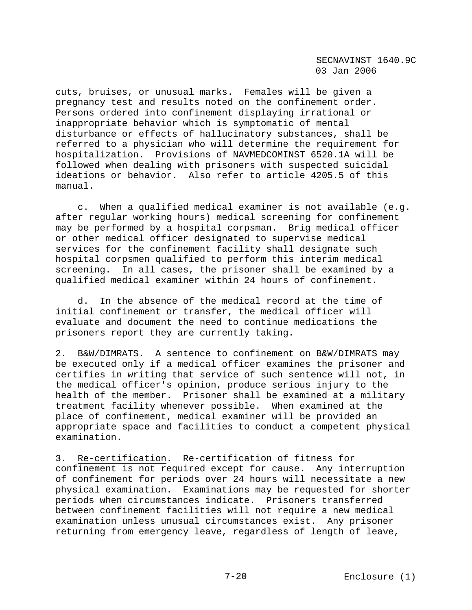cuts, bruises, or unusual marks. Females will be given a pregnancy test and results noted on the confinement order. Persons ordered into confinement displaying irrational or inappropriate behavior which is symptomatic of mental disturbance or effects of hallucinatory substances, shall be referred to a physician who will determine the requirement for hospitalization. Provisions of NAVMEDCOMINST 6520.1A will be followed when dealing with prisoners with suspected suicidal ideations or behavior. Also refer to article 4205.5 of this manual.

 c. When a qualified medical examiner is not available (e.g. after regular working hours) medical screening for confinement may be performed by a hospital corpsman. Brig medical officer or other medical officer designated to supervise medical services for the confinement facility shall designate such hospital corpsmen qualified to perform this interim medical screening. In all cases, the prisoner shall be examined by a qualified medical examiner within 24 hours of confinement.

 d. In the absence of the medical record at the time of initial confinement or transfer, the medical officer will evaluate and document the need to continue medications the prisoners report they are currently taking.

2. B&W/DIMRATS. A sentence to confinement on B&W/DIMRATS may be executed only if a medical officer examines the prisoner and certifies in writing that service of such sentence will not, in the medical officer's opinion, produce serious injury to the health of the member. Prisoner shall be examined at a military treatment facility whenever possible. When examined at the place of confinement, medical examiner will be provided an appropriate space and facilities to conduct a competent physical examination.

3. Re-certification. Re-certification of fitness for confinement is not required except for cause. Any interruption of confinement for periods over 24 hours will necessitate a new physical examination. Examinations may be requested for shorter periods when circumstances indicate. Prisoners transferred between confinement facilities will not require a new medical examination unless unusual circumstances exist. Any prisoner returning from emergency leave, regardless of length of leave,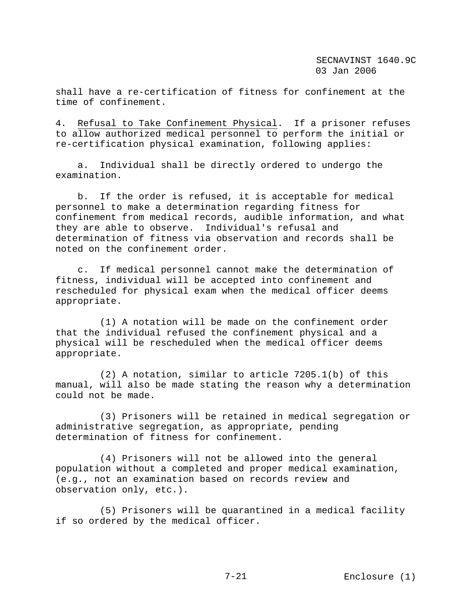shall have a re-certification of fitness for confinement at the time of confinement.

4. Refusal to Take Confinement Physical. If a prisoner refuses to allow authorized medical personnel to perform the initial or re-certification physical examination, following applies:

 a. Individual shall be directly ordered to undergo the examination.

 b. If the order is refused, it is acceptable for medical personnel to make a determination regarding fitness for confinement from medical records, audible information, and what they are able to observe. Individual's refusal and determination of fitness via observation and records shall be noted on the confinement order.

 c. If medical personnel cannot make the determination of fitness, individual will be accepted into confinement and rescheduled for physical exam when the medical officer deems appropriate.

 (1) A notation will be made on the confinement order that the individual refused the confinement physical and a physical will be rescheduled when the medical officer deems appropriate.

 (2) A notation, similar to article 7205.1(b) of this manual, will also be made stating the reason why a determination could not be made.

 (3) Prisoners will be retained in medical segregation or administrative segregation, as appropriate, pending determination of fitness for confinement.

 (4) Prisoners will not be allowed into the general population without a completed and proper medical examination, (e.g., not an examination based on records review and observation only, etc.).

 (5) Prisoners will be quarantined in a medical facility if so ordered by the medical officer.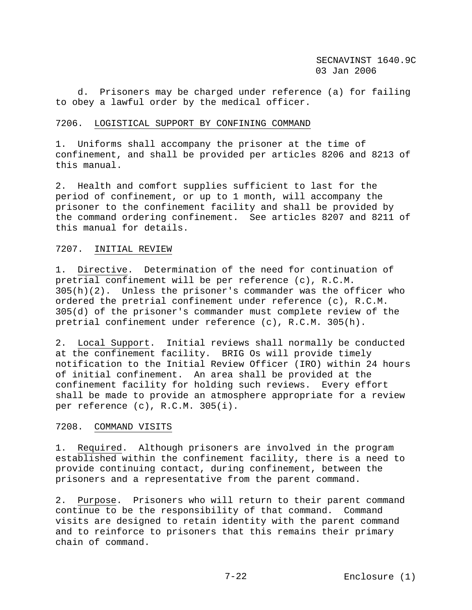d. Prisoners may be charged under reference (a) for failing to obey a lawful order by the medical officer.

#### 7206. LOGISTICAL SUPPORT BY CONFINING COMMAND

1. Uniforms shall accompany the prisoner at the time of confinement, and shall be provided per articles 8206 and 8213 of this manual.

2. Health and comfort supplies sufficient to last for the period of confinement, or up to 1 month, will accompany the prisoner to the confinement facility and shall be provided by the command ordering confinement. See articles 8207 and 8211 of this manual for details.

#### 7207. INITIAL REVIEW

1. Directive. Determination of the need for continuation of pretrial confinement will be per reference (c), R.C.M. 305(h)(2). Unless the prisoner's commander was the officer who ordered the pretrial confinement under reference (c), R.C.M. 305(d) of the prisoner's commander must complete review of the pretrial confinement under reference (c), R.C.M. 305(h).

2. Local Support. Initial reviews shall normally be conducted at the confinement facility. BRIG Os will provide timely notification to the Initial Review Officer (IRO) within 24 hours of initial confinement. An area shall be provided at the confinement facility for holding such reviews. Every effort shall be made to provide an atmosphere appropriate for a review per reference (c), R.C.M. 305(i).

#### 7208. COMMAND VISITS

1. Required. Although prisoners are involved in the program established within the confinement facility, there is a need to provide continuing contact, during confinement, between the prisoners and a representative from the parent command.

2. Purpose. Prisoners who will return to their parent command continue to be the responsibility of that command. Command visits are designed to retain identity with the parent command and to reinforce to prisoners that this remains their primary chain of command.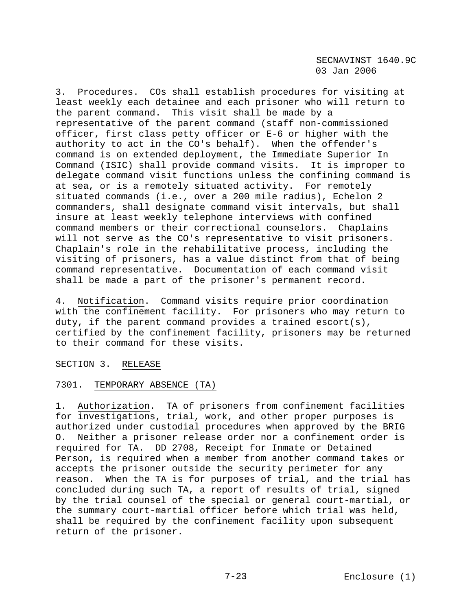3. Procedures. COs shall establish procedures for visiting at least weekly each detainee and each prisoner who will return to the parent command. This visit shall be made by a representative of the parent command (staff non-commissioned officer, first class petty officer or E-6 or higher with the authority to act in the CO's behalf). When the offender's command is on extended deployment, the Immediate Superior In Command (ISIC) shall provide command visits. It is improper to delegate command visit functions unless the confining command is at sea, or is a remotely situated activity. For remotely situated commands (i.e., over a 200 mile radius), Echelon 2 commanders, shall designate command visit intervals, but shall insure at least weekly telephone interviews with confined command members or their correctional counselors. Chaplains will not serve as the CO's representative to visit prisoners. Chaplain's role in the rehabilitative process, including the visiting of prisoners, has a value distinct from that of being command representative. Documentation of each command visit shall be made a part of the prisoner's permanent record.

4. Notification. Command visits require prior coordination with the confinement facility. For prisoners who may return to duty, if the parent command provides a trained escort(s), certified by the confinement facility, prisoners may be returned to their command for these visits.

SECTION 3. RELEASE

# 7301. TEMPORARY ABSENCE (TA)

1. Authorization. TA of prisoners from confinement facilities for investigations, trial, work, and other proper purposes is authorized under custodial procedures when approved by the BRIG O. Neither a prisoner release order nor a confinement order is required for TA. DD 2708, Receipt for Inmate or Detained Person, is required when a member from another command takes or accepts the prisoner outside the security perimeter for any reason. When the TA is for purposes of trial, and the trial has concluded during such TA, a report of results of trial, signed by the trial counsel of the special or general court-martial, or the summary court-martial officer before which trial was held, shall be required by the confinement facility upon subsequent return of the prisoner.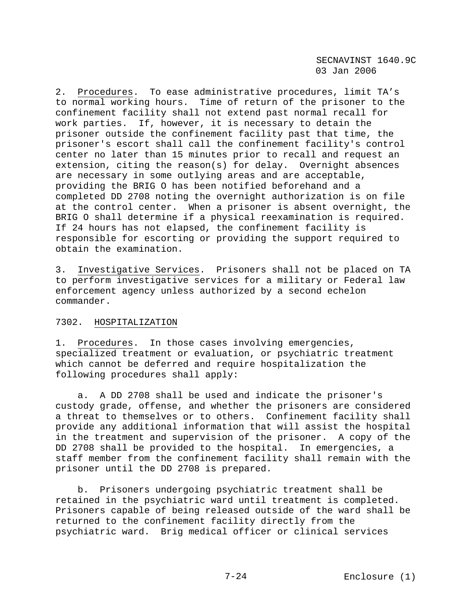2. Procedures. To ease administrative procedures, limit TA's to normal working hours. Time of return of the prisoner to the confinement facility shall not extend past normal recall for work parties. If, however, it is necessary to detain the prisoner outside the confinement facility past that time, the prisoner's escort shall call the confinement facility's control center no later than 15 minutes prior to recall and request an extension, citing the reason(s) for delay. Overnight absences are necessary in some outlying areas and are acceptable, providing the BRIG O has been notified beforehand and a completed DD 2708 noting the overnight authorization is on file at the control center. When a prisoner is absent overnight, the BRIG O shall determine if a physical reexamination is required. If 24 hours has not elapsed, the confinement facility is responsible for escorting or providing the support required to obtain the examination.

3. Investigative Services. Prisoners shall not be placed on TA to perform investigative services for a military or Federal law enforcement agency unless authorized by a second echelon commander.

# 7302. HOSPITALIZATION

1. Procedures. In those cases involving emergencies, specialized treatment or evaluation, or psychiatric treatment which cannot be deferred and require hospitalization the following procedures shall apply:

 a. A DD 2708 shall be used and indicate the prisoner's custody grade, offense, and whether the prisoners are considered a threat to themselves or to others. Confinement facility shall provide any additional information that will assist the hospital in the treatment and supervision of the prisoner. A copy of the DD 2708 shall be provided to the hospital. In emergencies, a staff member from the confinement facility shall remain with the prisoner until the DD 2708 is prepared.

 b. Prisoners undergoing psychiatric treatment shall be retained in the psychiatric ward until treatment is completed. Prisoners capable of being released outside of the ward shall be returned to the confinement facility directly from the psychiatric ward. Brig medical officer or clinical services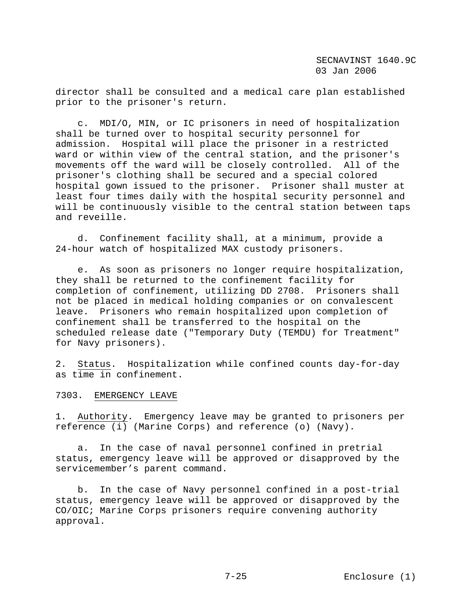director shall be consulted and a medical care plan established prior to the prisoner's return.

 c. MDI/O, MIN, or IC prisoners in need of hospitalization shall be turned over to hospital security personnel for admission. Hospital will place the prisoner in a restricted ward or within view of the central station, and the prisoner's movements off the ward will be closely controlled. All of the prisoner's clothing shall be secured and a special colored hospital gown issued to the prisoner. Prisoner shall muster at least four times daily with the hospital security personnel and will be continuously visible to the central station between taps and reveille.

 d. Confinement facility shall, at a minimum, provide a 24-hour watch of hospitalized MAX custody prisoners.

 e. As soon as prisoners no longer require hospitalization, they shall be returned to the confinement facility for completion of confinement, utilizing DD 2708. Prisoners shall not be placed in medical holding companies or on convalescent leave. Prisoners who remain hospitalized upon completion of confinement shall be transferred to the hospital on the scheduled release date ("Temporary Duty (TEMDU) for Treatment" for Navy prisoners).

2. Status. Hospitalization while confined counts day-for-day as time in confinement.

7303. EMERGENCY LEAVE

1. Authority. Emergency leave may be granted to prisoners per reference (i) (Marine Corps) and reference (o) (Navy).

 a. In the case of naval personnel confined in pretrial status, emergency leave will be approved or disapproved by the servicemember's parent command.

 b. In the case of Navy personnel confined in a post-trial status, emergency leave will be approved or disapproved by the CO/OIC; Marine Corps prisoners require convening authority approval.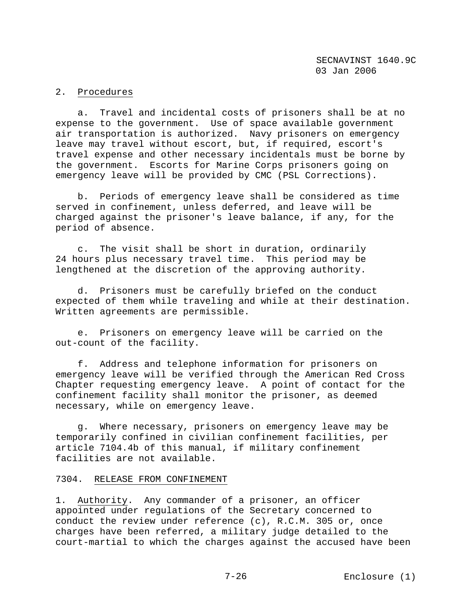## 2. Procedures

 a. Travel and incidental costs of prisoners shall be at no expense to the government. Use of space available government air transportation is authorized. Navy prisoners on emergency leave may travel without escort, but, if required, escort's travel expense and other necessary incidentals must be borne by the government. Escorts for Marine Corps prisoners going on emergency leave will be provided by CMC (PSL Corrections).

 b. Periods of emergency leave shall be considered as time served in confinement, unless deferred, and leave will be charged against the prisoner's leave balance, if any, for the period of absence.

 c. The visit shall be short in duration, ordinarily 24 hours plus necessary travel time. This period may be lengthened at the discretion of the approving authority.

 d. Prisoners must be carefully briefed on the conduct expected of them while traveling and while at their destination. Written agreements are permissible.

 e. Prisoners on emergency leave will be carried on the out-count of the facility.

 f. Address and telephone information for prisoners on emergency leave will be verified through the American Red Cross Chapter requesting emergency leave. A point of contact for the confinement facility shall monitor the prisoner, as deemed necessary, while on emergency leave.

 g. Where necessary, prisoners on emergency leave may be temporarily confined in civilian confinement facilities, per article 7104.4b of this manual, if military confinement facilities are not available.

## 7304. RELEASE FROM CONFINEMENT

1. Authority. Any commander of a prisoner, an officer appointed under regulations of the Secretary concerned to conduct the review under reference (c), R.C.M. 305 or, once charges have been referred, a military judge detailed to the court-martial to which the charges against the accused have been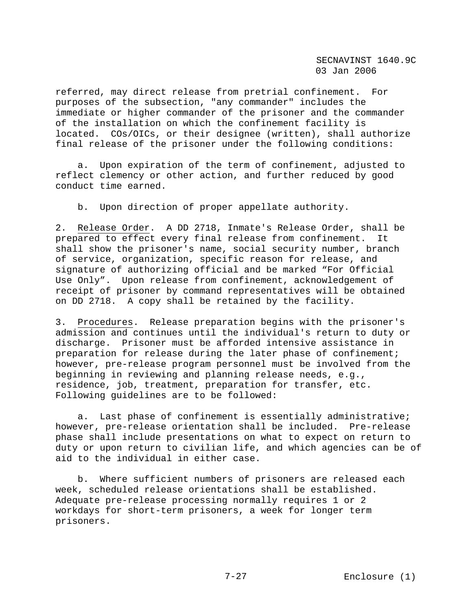referred, may direct release from pretrial confinement. For purposes of the subsection, "any commander" includes the immediate or higher commander of the prisoner and the commander of the installation on which the confinement facility is located. COs/OICs, or their designee (written), shall authorize final release of the prisoner under the following conditions:

 a. Upon expiration of the term of confinement, adjusted to reflect clemency or other action, and further reduced by good conduct time earned.

b. Upon direction of proper appellate authority.

2. Release Order. A DD 2718, Inmate's Release Order, shall be prepared to effect every final release from confinement. It shall show the prisoner's name, social security number, branch of service, organization, specific reason for release, and signature of authorizing official and be marked "For Official Use Only". Upon release from confinement, acknowledgement of receipt of prisoner by command representatives will be obtained on DD 2718. A copy shall be retained by the facility.

3. Procedures. Release preparation begins with the prisoner's admission and continues until the individual's return to duty or discharge. Prisoner must be afforded intensive assistance in preparation for release during the later phase of confinement; however, pre-release program personnel must be involved from the beginning in reviewing and planning release needs, e.g., residence, job, treatment, preparation for transfer, etc. Following guidelines are to be followed:

 a. Last phase of confinement is essentially administrative; however, pre-release orientation shall be included. Pre-release phase shall include presentations on what to expect on return to duty or upon return to civilian life, and which agencies can be of aid to the individual in either case.

 b. Where sufficient numbers of prisoners are released each week, scheduled release orientations shall be established. Adequate pre-release processing normally requires 1 or 2 workdays for short-term prisoners, a week for longer term prisoners.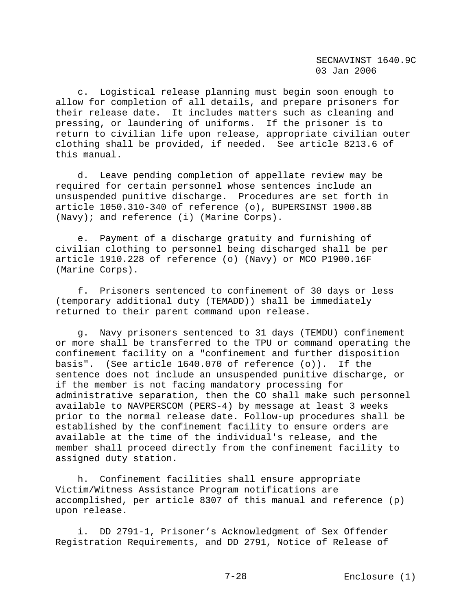c. Logistical release planning must begin soon enough to allow for completion of all details, and prepare prisoners for their release date. It includes matters such as cleaning and pressing, or laundering of uniforms. If the prisoner is to return to civilian life upon release, appropriate civilian outer clothing shall be provided, if needed. See article 8213.6 of this manual.

 d. Leave pending completion of appellate review may be required for certain personnel whose sentences include an unsuspended punitive discharge. Procedures are set forth in article 1050.310-340 of reference (o), BUPERSINST 1900.8B (Navy); and reference (i) (Marine Corps).

 e. Payment of a discharge gratuity and furnishing of civilian clothing to personnel being discharged shall be per article 1910.228 of reference (o) (Navy) or MCO P1900.16F (Marine Corps).

 f. Prisoners sentenced to confinement of 30 days or less (temporary additional duty (TEMADD)) shall be immediately returned to their parent command upon release.

 g. Navy prisoners sentenced to 31 days (TEMDU) confinement or more shall be transferred to the TPU or command operating the confinement facility on a "confinement and further disposition basis". (See article 1640.070 of reference (o)). If the sentence does not include an unsuspended punitive discharge, or if the member is not facing mandatory processing for administrative separation, then the CO shall make such personnel available to NAVPERSCOM (PERS-4) by message at least 3 weeks prior to the normal release date. Follow-up procedures shall be established by the confinement facility to ensure orders are available at the time of the individual's release, and the member shall proceed directly from the confinement facility to assigned duty station.

 h. Confinement facilities shall ensure appropriate Victim/Witness Assistance Program notifications are accomplished, per article 8307 of this manual and reference (p) upon release.

 i. DD 2791-1, Prisoner's Acknowledgment of Sex Offender Registration Requirements, and DD 2791, Notice of Release of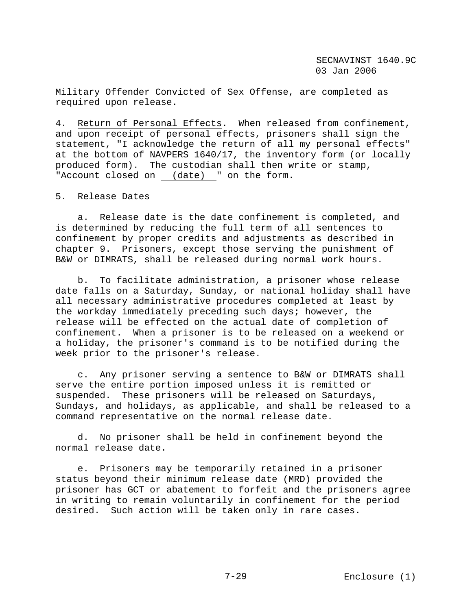Military Offender Convicted of Sex Offense, are completed as required upon release.

4. Return of Personal Effects. When released from confinement, and upon receipt of personal effects, prisoners shall sign the statement, "I acknowledge the return of all my personal effects" at the bottom of NAVPERS 1640/17, the inventory form (or locally produced form). The custodian shall then write or stamp, "Account closed on (date) " on the form.

### 5. Release Dates

 a. Release date is the date confinement is completed, and is determined by reducing the full term of all sentences to confinement by proper credits and adjustments as described in chapter 9. Prisoners, except those serving the punishment of B&W or DIMRATS, shall be released during normal work hours.

 b. To facilitate administration, a prisoner whose release date falls on a Saturday, Sunday, or national holiday shall have all necessary administrative procedures completed at least by the workday immediately preceding such days; however, the release will be effected on the actual date of completion of confinement. When a prisoner is to be released on a weekend or a holiday, the prisoner's command is to be notified during the week prior to the prisoner's release.

 c. Any prisoner serving a sentence to B&W or DIMRATS shall serve the entire portion imposed unless it is remitted or suspended. These prisoners will be released on Saturdays, Sundays, and holidays, as applicable, and shall be released to a command representative on the normal release date.

 d. No prisoner shall be held in confinement beyond the normal release date.

 e. Prisoners may be temporarily retained in a prisoner status beyond their minimum release date (MRD) provided the prisoner has GCT or abatement to forfeit and the prisoners agree in writing to remain voluntarily in confinement for the period desired. Such action will be taken only in rare cases.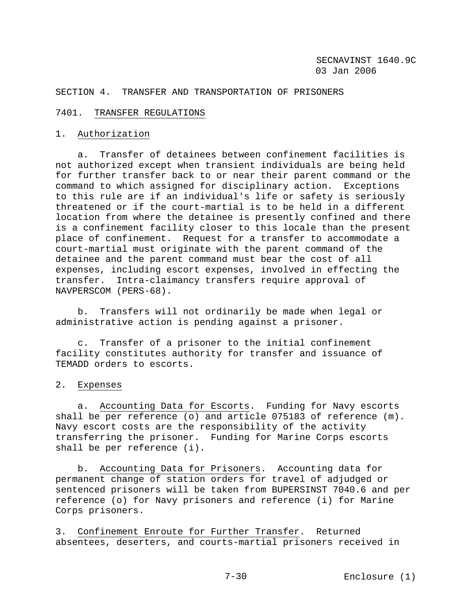SECTION 4. TRANSFER AND TRANSPORTATION OF PRISONERS

## 7401. TRANSFER REGULATIONS

## 1. Authorization

 a. Transfer of detainees between confinement facilities is not authorized except when transient individuals are being held for further transfer back to or near their parent command or the command to which assigned for disciplinary action. Exceptions to this rule are if an individual's life or safety is seriously threatened or if the court-martial is to be held in a different location from where the detainee is presently confined and there is a confinement facility closer to this locale than the present place of confinement. Request for a transfer to accommodate a court-martial must originate with the parent command of the detainee and the parent command must bear the cost of all expenses, including escort expenses, involved in effecting the transfer. Intra-claimancy transfers require approval of NAVPERSCOM (PERS-68).

 b. Transfers will not ordinarily be made when legal or administrative action is pending against a prisoner.

 c. Transfer of a prisoner to the initial confinement facility constitutes authority for transfer and issuance of TEMADD orders to escorts.

## 2. Expenses

 a. Accounting Data for Escorts. Funding for Navy escorts shall be per reference (o) and article 075183 of reference (m). Navy escort costs are the responsibility of the activity transferring the prisoner. Funding for Marine Corps escorts shall be per reference (i).

 b. Accounting Data for Prisoners. Accounting data for permanent change of station orders for travel of adjudged or sentenced prisoners will be taken from BUPERSINST 7040.6 and per reference (o) for Navy prisoners and reference (i) for Marine Corps prisoners.

3. Confinement Enroute for Further Transfer. Returned absentees, deserters, and courts-martial prisoners received in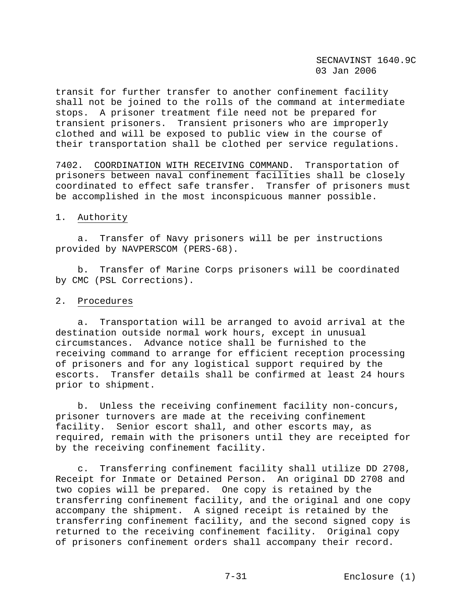transit for further transfer to another confinement facility shall not be joined to the rolls of the command at intermediate stops. A prisoner treatment file need not be prepared for transient prisoners. Transient prisoners who are improperly clothed and will be exposed to public view in the course of their transportation shall be clothed per service regulations.

7402. COORDINATION WITH RECEIVING COMMAND. Transportation of prisoners between naval confinement facilities shall be closely coordinated to effect safe transfer. Transfer of prisoners must be accomplished in the most inconspicuous manner possible.

## 1. Authority

 a. Transfer of Navy prisoners will be per instructions provided by NAVPERSCOM (PERS-68).

 b. Transfer of Marine Corps prisoners will be coordinated by CMC (PSL Corrections).

### 2. Procedures

 a. Transportation will be arranged to avoid arrival at the destination outside normal work hours, except in unusual circumstances. Advance notice shall be furnished to the receiving command to arrange for efficient reception processing of prisoners and for any logistical support required by the escorts. Transfer details shall be confirmed at least 24 hours prior to shipment.

 b. Unless the receiving confinement facility non-concurs, prisoner turnovers are made at the receiving confinement facility. Senior escort shall, and other escorts may, as required, remain with the prisoners until they are receipted for by the receiving confinement facility.

 c. Transferring confinement facility shall utilize DD 2708, Receipt for Inmate or Detained Person. An original DD 2708 and two copies will be prepared. One copy is retained by the transferring confinement facility, and the original and one copy accompany the shipment. A signed receipt is retained by the transferring confinement facility, and the second signed copy is returned to the receiving confinement facility. Original copy of prisoners confinement orders shall accompany their record.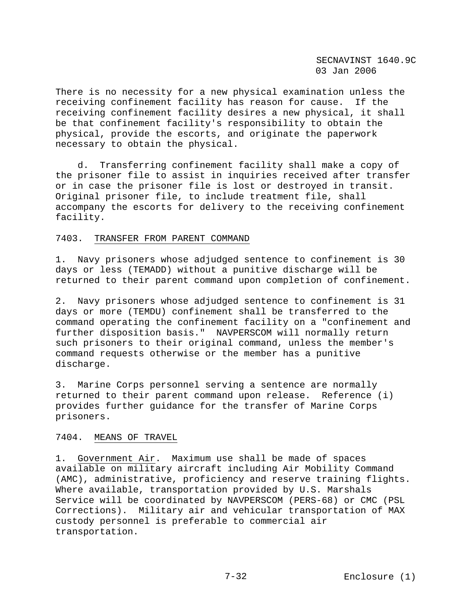There is no necessity for a new physical examination unless the receiving confinement facility has reason for cause. If the receiving confinement facility desires a new physical, it shall be that confinement facility's responsibility to obtain the physical, provide the escorts, and originate the paperwork necessary to obtain the physical.

 d. Transferring confinement facility shall make a copy of the prisoner file to assist in inquiries received after transfer or in case the prisoner file is lost or destroyed in transit. Original prisoner file, to include treatment file, shall accompany the escorts for delivery to the receiving confinement facility.

## 7403. TRANSFER FROM PARENT COMMAND

1. Navy prisoners whose adjudged sentence to confinement is 30 days or less (TEMADD) without a punitive discharge will be returned to their parent command upon completion of confinement.

2. Navy prisoners whose adjudged sentence to confinement is 31 days or more (TEMDU) confinement shall be transferred to the command operating the confinement facility on a "confinement and further disposition basis." NAVPERSCOM will normally return such prisoners to their original command, unless the member's command requests otherwise or the member has a punitive discharge.

3. Marine Corps personnel serving a sentence are normally returned to their parent command upon release. Reference (i) provides further guidance for the transfer of Marine Corps prisoners.

## 7404. MEANS OF TRAVEL

1. Government Air. Maximum use shall be made of spaces available on military aircraft including Air Mobility Command (AMC), administrative, proficiency and reserve training flights. Where available, transportation provided by U.S. Marshals Service will be coordinated by NAVPERSCOM (PERS-68) or CMC (PSL Corrections). Military air and vehicular transportation of MAX custody personnel is preferable to commercial air transportation.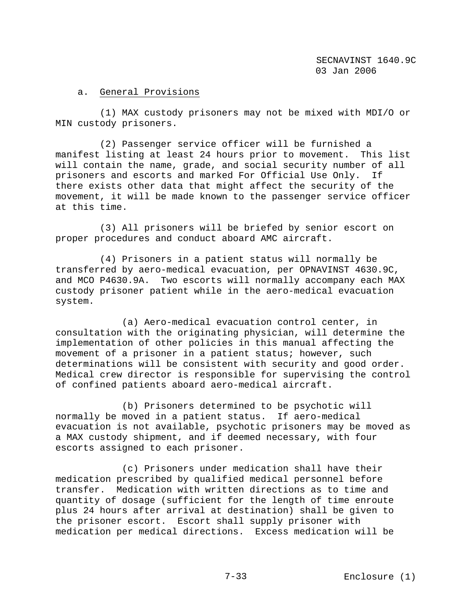# a. General Provisions

 (1) MAX custody prisoners may not be mixed with MDI/O or MIN custody prisoners.

 (2) Passenger service officer will be furnished a manifest listing at least 24 hours prior to movement. This list will contain the name, grade, and social security number of all prisoners and escorts and marked For Official Use Only. If there exists other data that might affect the security of the movement, it will be made known to the passenger service officer at this time.

 (3) All prisoners will be briefed by senior escort on proper procedures and conduct aboard AMC aircraft.

 (4) Prisoners in a patient status will normally be transferred by aero-medical evacuation, per OPNAVINST 4630.9C, and MCO P4630.9A. Two escorts will normally accompany each MAX custody prisoner patient while in the aero-medical evacuation system.

 (a) Aero-medical evacuation control center, in consultation with the originating physician, will determine the implementation of other policies in this manual affecting the movement of a prisoner in a patient status; however, such determinations will be consistent with security and good order. Medical crew director is responsible for supervising the control of confined patients aboard aero-medical aircraft.

 (b) Prisoners determined to be psychotic will normally be moved in a patient status. If aero-medical evacuation is not available, psychotic prisoners may be moved as a MAX custody shipment, and if deemed necessary, with four escorts assigned to each prisoner.

 (c) Prisoners under medication shall have their medication prescribed by qualified medical personnel before transfer. Medication with written directions as to time and quantity of dosage (sufficient for the length of time enroute plus 24 hours after arrival at destination) shall be given to the prisoner escort. Escort shall supply prisoner with medication per medical directions. Excess medication will be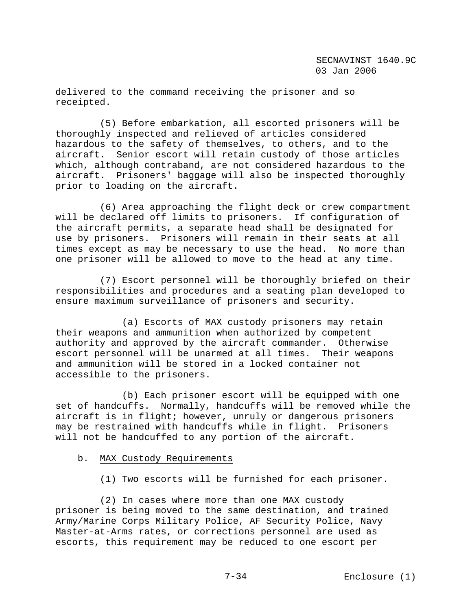delivered to the command receiving the prisoner and so receipted.

 (5) Before embarkation, all escorted prisoners will be thoroughly inspected and relieved of articles considered hazardous to the safety of themselves, to others, and to the aircraft. Senior escort will retain custody of those articles which, although contraband, are not considered hazardous to the aircraft. Prisoners' baggage will also be inspected thoroughly prior to loading on the aircraft.

 (6) Area approaching the flight deck or crew compartment will be declared off limits to prisoners. If configuration of the aircraft permits, a separate head shall be designated for use by prisoners. Prisoners will remain in their seats at all times except as may be necessary to use the head. No more than one prisoner will be allowed to move to the head at any time.

 (7) Escort personnel will be thoroughly briefed on their responsibilities and procedures and a seating plan developed to ensure maximum surveillance of prisoners and security.

 (a) Escorts of MAX custody prisoners may retain their weapons and ammunition when authorized by competent authority and approved by the aircraft commander. Otherwise escort personnel will be unarmed at all times. Their weapons and ammunition will be stored in a locked container not accessible to the prisoners.

 (b) Each prisoner escort will be equipped with one set of handcuffs. Normally, handcuffs will be removed while the aircraft is in flight; however, unruly or dangerous prisoners may be restrained with handcuffs while in flight. Prisoners will not be handcuffed to any portion of the aircraft.

#### b. MAX Custody Requirements

(1) Two escorts will be furnished for each prisoner.

 (2) In cases where more than one MAX custody prisoner is being moved to the same destination, and trained Army/Marine Corps Military Police, AF Security Police, Navy Master-at-Arms rates, or corrections personnel are used as escorts, this requirement may be reduced to one escort per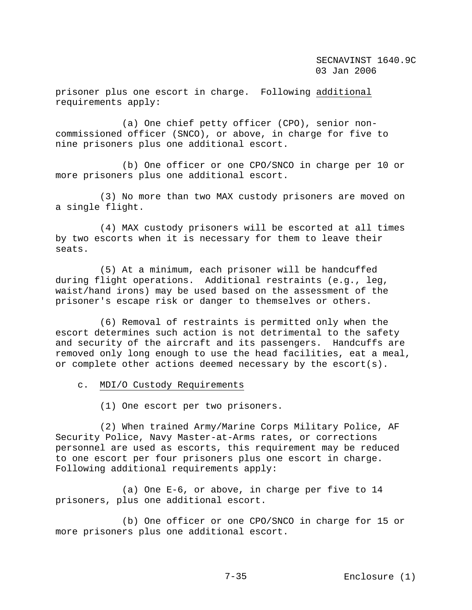prisoner plus one escort in charge. Following additional requirements apply:

 (a) One chief petty officer (CPO), senior noncommissioned officer (SNCO), or above, in charge for five to nine prisoners plus one additional escort.

 (b) One officer or one CPO/SNCO in charge per 10 or more prisoners plus one additional escort.

 (3) No more than two MAX custody prisoners are moved on a single flight.

 (4) MAX custody prisoners will be escorted at all times by two escorts when it is necessary for them to leave their seats.

 (5) At a minimum, each prisoner will be handcuffed during flight operations. Additional restraints (e.g., leg, waist/hand irons) may be used based on the assessment of the prisoner's escape risk or danger to themselves or others.

 (6) Removal of restraints is permitted only when the escort determines such action is not detrimental to the safety and security of the aircraft and its passengers. Handcuffs are removed only long enough to use the head facilities, eat a meal, or complete other actions deemed necessary by the escort(s).

c. MDI/O Custody Requirements

(1) One escort per two prisoners.

 (2) When trained Army/Marine Corps Military Police, AF Security Police, Navy Master-at-Arms rates, or corrections personnel are used as escorts, this requirement may be reduced to one escort per four prisoners plus one escort in charge. Following additional requirements apply:

 (a) One E-6, or above, in charge per five to 14 prisoners, plus one additional escort.

 (b) One officer or one CPO/SNCO in charge for 15 or more prisoners plus one additional escort.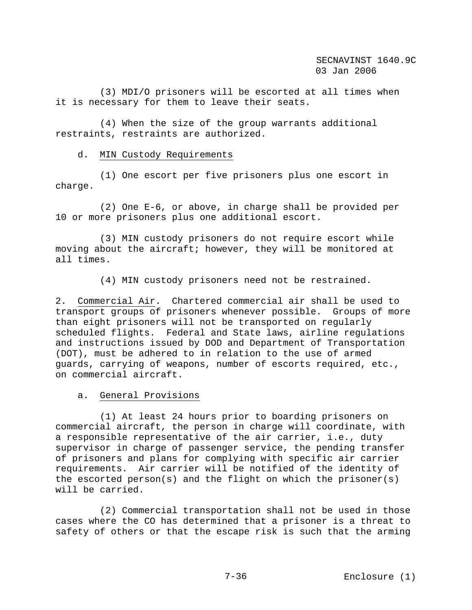(3) MDI/O prisoners will be escorted at all times when it is necessary for them to leave their seats.

 (4) When the size of the group warrants additional restraints, restraints are authorized.

### d. MIN Custody Requirements

 (1) One escort per five prisoners plus one escort in charge.

 (2) One E-6, or above, in charge shall be provided per 10 or more prisoners plus one additional escort.

 (3) MIN custody prisoners do not require escort while moving about the aircraft; however, they will be monitored at all times.

(4) MIN custody prisoners need not be restrained.

2. Commercial Air. Chartered commercial air shall be used to transport groups of prisoners whenever possible. Groups of more than eight prisoners will not be transported on regularly scheduled flights. Federal and State laws, airline regulations and instructions issued by DOD and Department of Transportation (DOT), must be adhered to in relation to the use of armed guards, carrying of weapons, number of escorts required, etc., on commercial aircraft.

a. General Provisions

 (1) At least 24 hours prior to boarding prisoners on commercial aircraft, the person in charge will coordinate, with a responsible representative of the air carrier, i.e., duty supervisor in charge of passenger service, the pending transfer of prisoners and plans for complying with specific air carrier requirements. Air carrier will be notified of the identity of the escorted person(s) and the flight on which the prisoner(s) will be carried.

 (2) Commercial transportation shall not be used in those cases where the CO has determined that a prisoner is a threat to safety of others or that the escape risk is such that the arming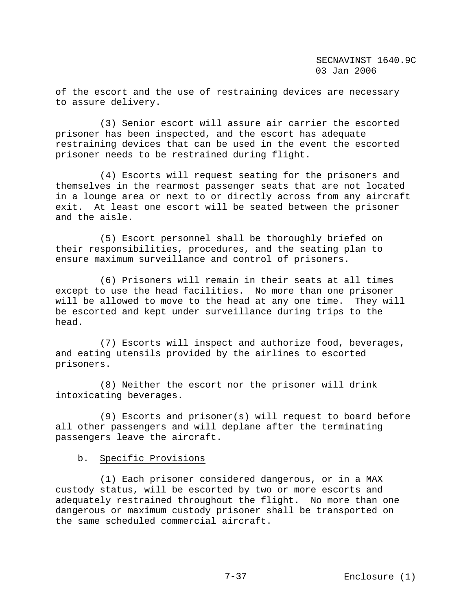of the escort and the use of restraining devices are necessary to assure delivery.

 (3) Senior escort will assure air carrier the escorted prisoner has been inspected, and the escort has adequate restraining devices that can be used in the event the escorted prisoner needs to be restrained during flight.

 (4) Escorts will request seating for the prisoners and themselves in the rearmost passenger seats that are not located in a lounge area or next to or directly across from any aircraft exit. At least one escort will be seated between the prisoner and the aisle.

 (5) Escort personnel shall be thoroughly briefed on their responsibilities, procedures, and the seating plan to ensure maximum surveillance and control of prisoners.

 (6) Prisoners will remain in their seats at all times except to use the head facilities. No more than one prisoner will be allowed to move to the head at any one time. They will be escorted and kept under surveillance during trips to the head.

 (7) Escorts will inspect and authorize food, beverages, and eating utensils provided by the airlines to escorted prisoners.

 (8) Neither the escort nor the prisoner will drink intoxicating beverages.

 (9) Escorts and prisoner(s) will request to board before all other passengers and will deplane after the terminating passengers leave the aircraft.

### b. Specific Provisions

 (1) Each prisoner considered dangerous, or in a MAX custody status, will be escorted by two or more escorts and adequately restrained throughout the flight. No more than one dangerous or maximum custody prisoner shall be transported on the same scheduled commercial aircraft.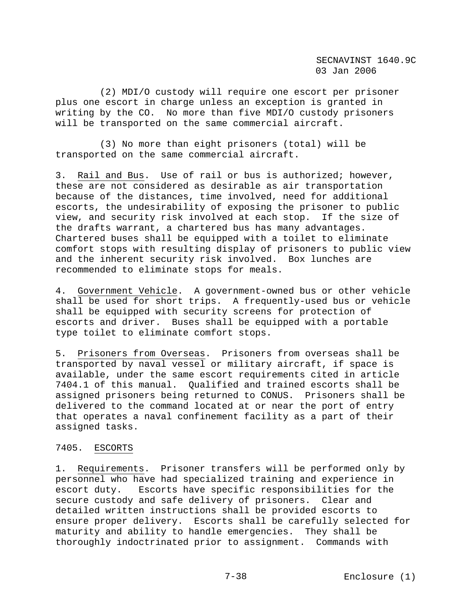(2) MDI/O custody will require one escort per prisoner plus one escort in charge unless an exception is granted in writing by the CO. No more than five MDI/O custody prisoners will be transported on the same commercial aircraft.

 (3) No more than eight prisoners (total) will be transported on the same commercial aircraft.

3. Rail and Bus. Use of rail or bus is authorized; however, these are not considered as desirable as air transportation because of the distances, time involved, need for additional escorts, the undesirability of exposing the prisoner to public view, and security risk involved at each stop. If the size of the drafts warrant, a chartered bus has many advantages. Chartered buses shall be equipped with a toilet to eliminate comfort stops with resulting display of prisoners to public view and the inherent security risk involved. Box lunches are recommended to eliminate stops for meals.

4. Government Vehicle. A government-owned bus or other vehicle shall be used for short trips. A frequently-used bus or vehicle shall be equipped with security screens for protection of escorts and driver. Buses shall be equipped with a portable type toilet to eliminate comfort stops.

5. Prisoners from Overseas. Prisoners from overseas shall be transported by naval vessel or military aircraft, if space is available, under the same escort requirements cited in article 7404.1 of this manual. Qualified and trained escorts shall be assigned prisoners being returned to CONUS. Prisoners shall be delivered to the command located at or near the port of entry that operates a naval confinement facility as a part of their assigned tasks.

## 7405. ESCORTS

1. Requirements. Prisoner transfers will be performed only by personnel who have had specialized training and experience in escort duty. Escorts have specific responsibilities for the secure custody and safe delivery of prisoners. Clear and detailed written instructions shall be provided escorts to ensure proper delivery. Escorts shall be carefully selected for maturity and ability to handle emergencies. They shall be thoroughly indoctrinated prior to assignment. Commands with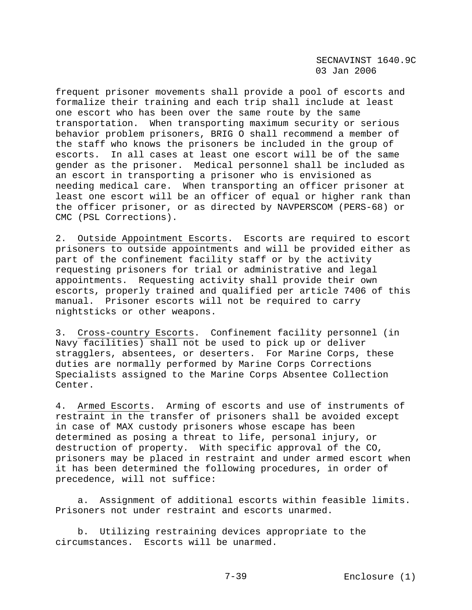frequent prisoner movements shall provide a pool of escorts and formalize their training and each trip shall include at least one escort who has been over the same route by the same transportation. When transporting maximum security or serious behavior problem prisoners, BRIG O shall recommend a member of the staff who knows the prisoners be included in the group of escorts. In all cases at least one escort will be of the same gender as the prisoner. Medical personnel shall be included as an escort in transporting a prisoner who is envisioned as needing medical care. When transporting an officer prisoner at least one escort will be an officer of equal or higher rank than the officer prisoner, or as directed by NAVPERSCOM (PERS-68) or CMC (PSL Corrections).

2. Outside Appointment Escorts. Escorts are required to escort prisoners to outside appointments and will be provided either as part of the confinement facility staff or by the activity requesting prisoners for trial or administrative and legal appointments. Requesting activity shall provide their own escorts, properly trained and qualified per article 7406 of this manual. Prisoner escorts will not be required to carry nightsticks or other weapons.

3. Cross-country Escorts. Confinement facility personnel (in Navy facilities) shall not be used to pick up or deliver stragglers, absentees, or deserters. For Marine Corps, these duties are normally performed by Marine Corps Corrections Specialists assigned to the Marine Corps Absentee Collection Center.

4. Armed Escorts. Arming of escorts and use of instruments of restraint in the transfer of prisoners shall be avoided except in case of MAX custody prisoners whose escape has been determined as posing a threat to life, personal injury, or destruction of property. With specific approval of the CO, prisoners may be placed in restraint and under armed escort when it has been determined the following procedures, in order of precedence, will not suffice:

 a. Assignment of additional escorts within feasible limits. Prisoners not under restraint and escorts unarmed.

 b. Utilizing restraining devices appropriate to the circumstances. Escorts will be unarmed.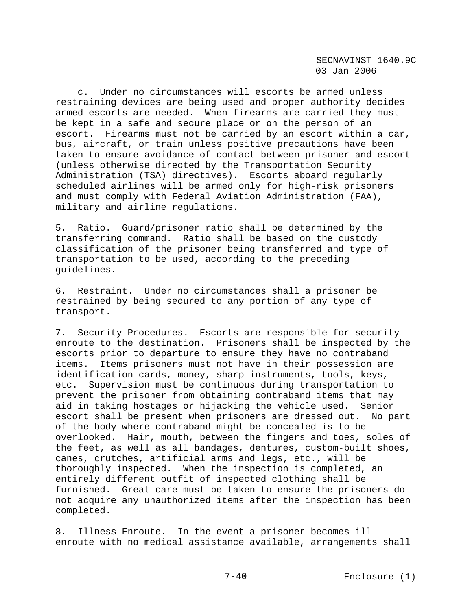c. Under no circumstances will escorts be armed unless restraining devices are being used and proper authority decides armed escorts are needed. When firearms are carried they must be kept in a safe and secure place or on the person of an escort. Firearms must not be carried by an escort within a car, bus, aircraft, or train unless positive precautions have been taken to ensure avoidance of contact between prisoner and escort (unless otherwise directed by the Transportation Security Administration (TSA) directives). Escorts aboard regularly scheduled airlines will be armed only for high-risk prisoners and must comply with Federal Aviation Administration (FAA), military and airline regulations.

5. Ratio. Guard/prisoner ratio shall be determined by the transferring command. Ratio shall be based on the custody classification of the prisoner being transferred and type of transportation to be used, according to the preceding guidelines.

6. Restraint. Under no circumstances shall a prisoner be restrained by being secured to any portion of any type of transport.

7. Security Procedures. Escorts are responsible for security enroute to the destination. Prisoners shall be inspected by the escorts prior to departure to ensure they have no contraband items. Items prisoners must not have in their possession are identification cards, money, sharp instruments, tools, keys, etc. Supervision must be continuous during transportation to prevent the prisoner from obtaining contraband items that may aid in taking hostages or hijacking the vehicle used. Senior escort shall be present when prisoners are dressed out. No part of the body where contraband might be concealed is to be overlooked. Hair, mouth, between the fingers and toes, soles of the feet, as well as all bandages, dentures, custom-built shoes, canes, crutches, artificial arms and legs, etc., will be thoroughly inspected. When the inspection is completed, an entirely different outfit of inspected clothing shall be furnished. Great care must be taken to ensure the prisoners do not acquire any unauthorized items after the inspection has been completed.

8. Illness Enroute. In the event a prisoner becomes ill enroute with no medical assistance available, arrangements shall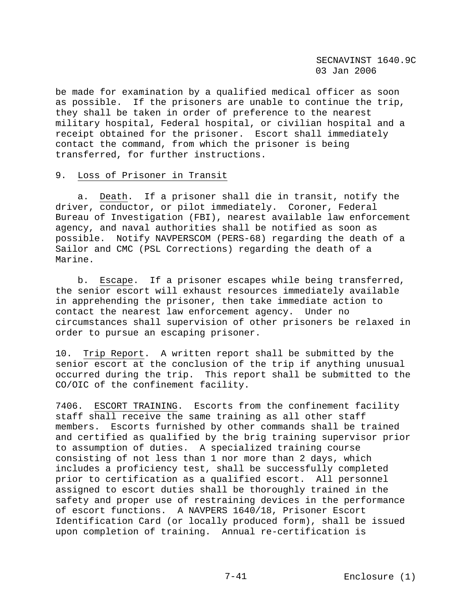be made for examination by a qualified medical officer as soon as possible. If the prisoners are unable to continue the trip, they shall be taken in order of preference to the nearest military hospital, Federal hospital, or civilian hospital and a receipt obtained for the prisoner. Escort shall immediately contact the command, from which the prisoner is being transferred, for further instructions.

# 9. Loss of Prisoner in Transit

 a. Death. If a prisoner shall die in transit, notify the driver, conductor, or pilot immediately. Coroner, Federal Bureau of Investigation (FBI), nearest available law enforcement agency, and naval authorities shall be notified as soon as possible. Notify NAVPERSCOM (PERS-68) regarding the death of a Sailor and CMC (PSL Corrections) regarding the death of a Marine.

 b. Escape. If a prisoner escapes while being transferred, the senior escort will exhaust resources immediately available in apprehending the prisoner, then take immediate action to contact the nearest law enforcement agency. Under no circumstances shall supervision of other prisoners be relaxed in order to pursue an escaping prisoner.

10. Trip Report. A written report shall be submitted by the senior escort at the conclusion of the trip if anything unusual occurred during the trip. This report shall be submitted to the CO/OIC of the confinement facility.

7406. ESCORT TRAINING. Escorts from the confinement facility staff shall receive the same training as all other staff members. Escorts furnished by other commands shall be trained and certified as qualified by the brig training supervisor prior to assumption of duties. A specialized training course consisting of not less than 1 nor more than 2 days, which includes a proficiency test, shall be successfully completed prior to certification as a qualified escort. All personnel assigned to escort duties shall be thoroughly trained in the safety and proper use of restraining devices in the performance of escort functions. A NAVPERS 1640/18, Prisoner Escort Identification Card (or locally produced form), shall be issued upon completion of training. Annual re-certification is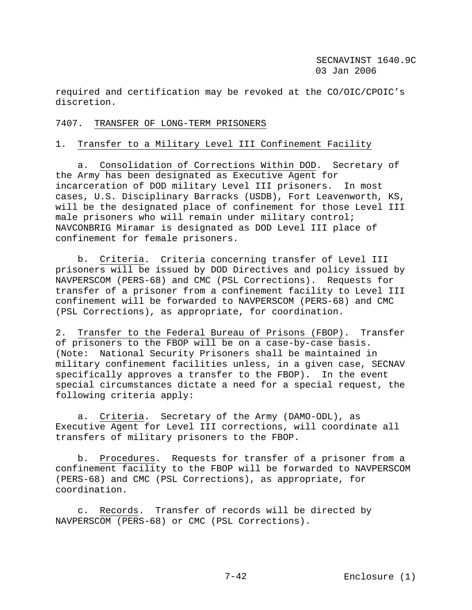required and certification may be revoked at the CO/OIC/CPOIC's discretion.

# 7407. TRANSFER OF LONG-TERM PRISONERS

# 1. Transfer to a Military Level III Confinement Facility

 a. Consolidation of Corrections Within DOD. Secretary of the Army has been designated as Executive Agent for incarceration of DOD military Level III prisoners. In most cases, U.S. Disciplinary Barracks (USDB), Fort Leavenworth, KS, will be the designated place of confinement for those Level III male prisoners who will remain under military control; NAVCONBRIG Miramar is designated as DOD Level III place of confinement for female prisoners.

 b. Criteria. Criteria concerning transfer of Level III prisoners will be issued by DOD Directives and policy issued by NAVPERSCOM (PERS-68) and CMC (PSL Corrections). Requests for transfer of a prisoner from a confinement facility to Level III confinement will be forwarded to NAVPERSCOM (PERS-68) and CMC (PSL Corrections), as appropriate, for coordination.

2. Transfer to the Federal Bureau of Prisons (FBOP). Transfer of prisoners to the FBOP will be on a case-by-case basis. (Note: National Security Prisoners shall be maintained in military confinement facilities unless, in a given case, SECNAV specifically approves a transfer to the FBOP). In the event special circumstances dictate a need for a special request, the following criteria apply:

 a. Criteria. Secretary of the Army (DAMO-ODL), as Executive Agent for Level III corrections, will coordinate all transfers of military prisoners to the FBOP.

 b. Procedures. Requests for transfer of a prisoner from a confinement facility to the FBOP will be forwarded to NAVPERSCOM (PERS-68) and CMC (PSL Corrections), as appropriate, for coordination.

 c. Records. Transfer of records will be directed by NAVPERSCOM (PERS-68) or CMC (PSL Corrections).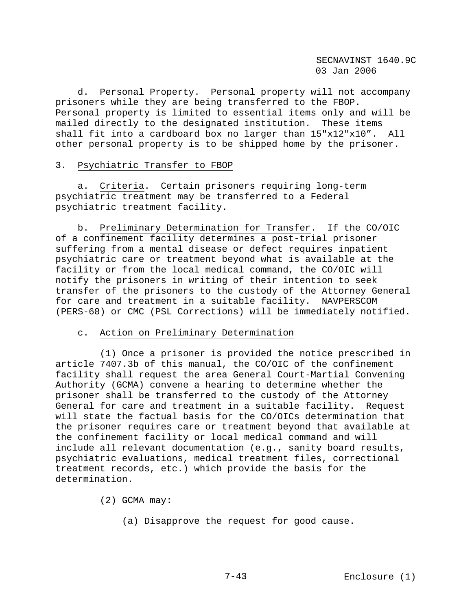d. Personal Property. Personal property will not accompany prisoners while they are being transferred to the FBOP. Personal property is limited to essential items only and will be mailed directly to the designated institution. These items shall fit into a cardboard box no larger than 15"x12"x10". All other personal property is to be shipped home by the prisoner.

#### 3. Psychiatric Transfer to FBOP

 a. Criteria. Certain prisoners requiring long-term psychiatric treatment may be transferred to a Federal psychiatric treatment facility.

 b. Preliminary Determination for Transfer. If the CO/OIC of a confinement facility determines a post-trial prisoner suffering from a mental disease or defect requires inpatient psychiatric care or treatment beyond what is available at the facility or from the local medical command, the CO/OIC will notify the prisoners in writing of their intention to seek transfer of the prisoners to the custody of the Attorney General for care and treatment in a suitable facility. NAVPERSCOM (PERS-68) or CMC (PSL Corrections) will be immediately notified.

## c. Action on Preliminary Determination

 (1) Once a prisoner is provided the notice prescribed in article 7407.3b of this manual, the CO/OIC of the confinement facility shall request the area General Court-Martial Convening Authority (GCMA) convene a hearing to determine whether the prisoner shall be transferred to the custody of the Attorney General for care and treatment in a suitable facility. Request will state the factual basis for the CO/OICs determination that the prisoner requires care or treatment beyond that available at the confinement facility or local medical command and will include all relevant documentation (e.g., sanity board results, psychiatric evaluations, medical treatment files, correctional treatment records, etc.) which provide the basis for the determination.

(2) GCMA may:

(a) Disapprove the request for good cause.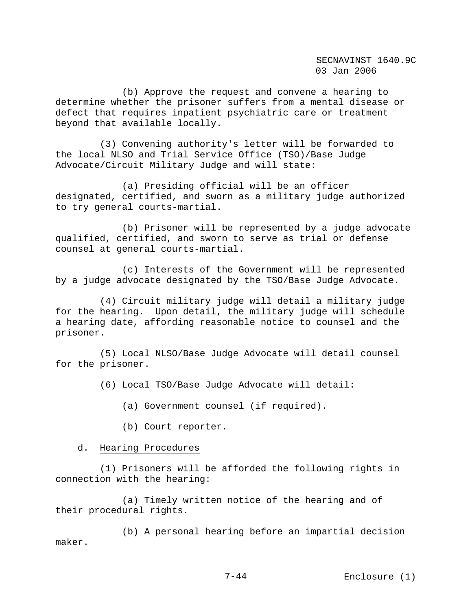(b) Approve the request and convene a hearing to determine whether the prisoner suffers from a mental disease or defect that requires inpatient psychiatric care or treatment beyond that available locally.

 (3) Convening authority's letter will be forwarded to the local NLSO and Trial Service Office (TSO)/Base Judge Advocate/Circuit Military Judge and will state:

 (a) Presiding official will be an officer designated, certified, and sworn as a military judge authorized to try general courts-martial.

 (b) Prisoner will be represented by a judge advocate qualified, certified, and sworn to serve as trial or defense counsel at general courts-martial.

 (c) Interests of the Government will be represented by a judge advocate designated by the TSO/Base Judge Advocate.

 (4) Circuit military judge will detail a military judge for the hearing. Upon detail, the military judge will schedule a hearing date, affording reasonable notice to counsel and the prisoner.

 (5) Local NLSO/Base Judge Advocate will detail counsel for the prisoner.

(6) Local TSO/Base Judge Advocate will detail:

(a) Government counsel (if required).

(b) Court reporter.

### d. Hearing Procedures

 (1) Prisoners will be afforded the following rights in connection with the hearing:

 (a) Timely written notice of the hearing and of their procedural rights.

 (b) A personal hearing before an impartial decision maker.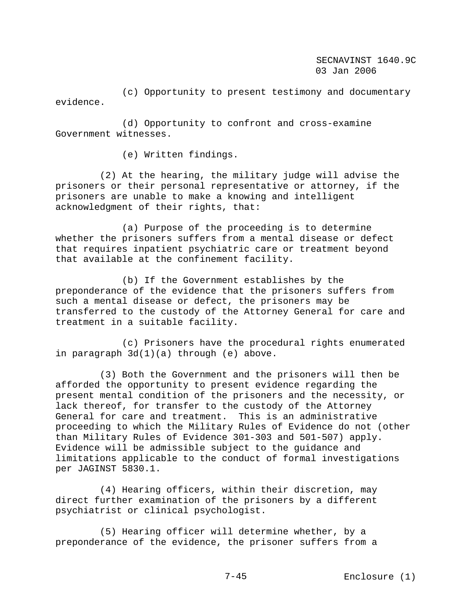(c) Opportunity to present testimony and documentary evidence.

 (d) Opportunity to confront and cross-examine Government witnesses.

(e) Written findings.

 (2) At the hearing, the military judge will advise the prisoners or their personal representative or attorney, if the prisoners are unable to make a knowing and intelligent acknowledgment of their rights, that:

 (a) Purpose of the proceeding is to determine whether the prisoners suffers from a mental disease or defect that requires inpatient psychiatric care or treatment beyond that available at the confinement facility.

 (b) If the Government establishes by the preponderance of the evidence that the prisoners suffers from such a mental disease or defect, the prisoners may be transferred to the custody of the Attorney General for care and treatment in a suitable facility.

 (c) Prisoners have the procedural rights enumerated in paragraph 3d(1)(a) through (e) above.

 (3) Both the Government and the prisoners will then be afforded the opportunity to present evidence regarding the present mental condition of the prisoners and the necessity, or lack thereof, for transfer to the custody of the Attorney General for care and treatment. This is an administrative proceeding to which the Military Rules of Evidence do not (other than Military Rules of Evidence 301-303 and 501-507) apply. Evidence will be admissible subject to the guidance and limitations applicable to the conduct of formal investigations per JAGINST 5830.1.

 (4) Hearing officers, within their discretion, may direct further examination of the prisoners by a different psychiatrist or clinical psychologist.

 (5) Hearing officer will determine whether, by a preponderance of the evidence, the prisoner suffers from a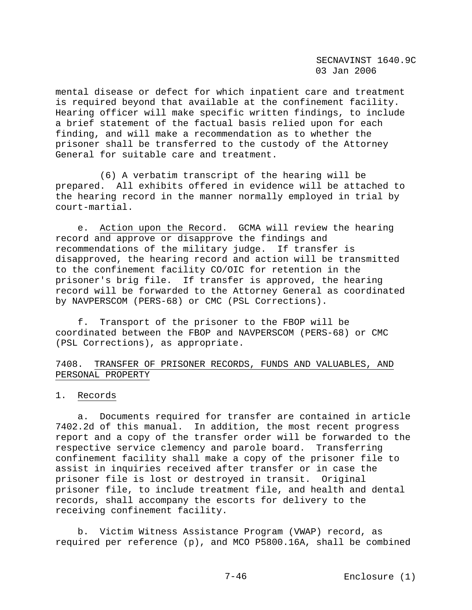mental disease or defect for which inpatient care and treatment is required beyond that available at the confinement facility. Hearing officer will make specific written findings, to include a brief statement of the factual basis relied upon for each finding, and will make a recommendation as to whether the prisoner shall be transferred to the custody of the Attorney General for suitable care and treatment.

 (6) A verbatim transcript of the hearing will be prepared. All exhibits offered in evidence will be attached to the hearing record in the manner normally employed in trial by court-martial.

 e. Action upon the Record. GCMA will review the hearing record and approve or disapprove the findings and recommendations of the military judge. If transfer is disapproved, the hearing record and action will be transmitted to the confinement facility CO/OIC for retention in the prisoner's brig file. If transfer is approved, the hearing record will be forwarded to the Attorney General as coordinated by NAVPERSCOM (PERS-68) or CMC (PSL Corrections).

 f. Transport of the prisoner to the FBOP will be coordinated between the FBOP and NAVPERSCOM (PERS-68) or CMC (PSL Corrections), as appropriate.

# 7408. TRANSFER OF PRISONER RECORDS, FUNDS AND VALUABLES, AND PERSONAL PROPERTY

#### 1. Records

 a. Documents required for transfer are contained in article 7402.2d of this manual. In addition, the most recent progress report and a copy of the transfer order will be forwarded to the respective service clemency and parole board. Transferring confinement facility shall make a copy of the prisoner file to assist in inquiries received after transfer or in case the prisoner file is lost or destroyed in transit. Original prisoner file, to include treatment file, and health and dental records, shall accompany the escorts for delivery to the receiving confinement facility.

 b. Victim Witness Assistance Program (VWAP) record, as required per reference (p), and MCO P5800.16A, shall be combined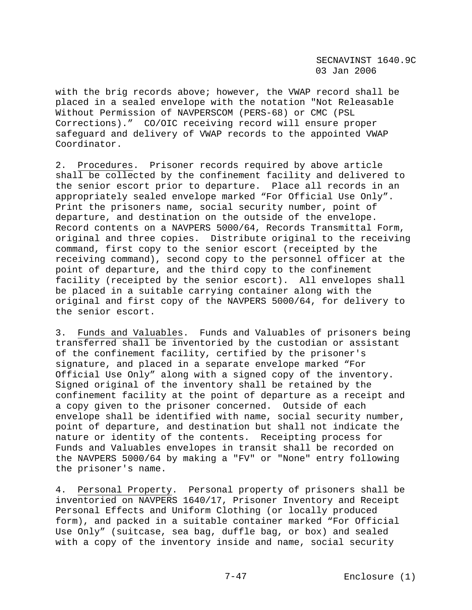with the brig records above; however, the VWAP record shall be placed in a sealed envelope with the notation "Not Releasable Without Permission of NAVPERSCOM (PERS-68) or CMC (PSL Corrections)." CO/OIC receiving record will ensure proper safeguard and delivery of VWAP records to the appointed VWAP Coordinator.

2. Procedures. Prisoner records required by above article shall be collected by the confinement facility and delivered to the senior escort prior to departure. Place all records in an appropriately sealed envelope marked "For Official Use Only". Print the prisoners name, social security number, point of departure, and destination on the outside of the envelope. Record contents on a NAVPERS 5000/64, Records Transmittal Form, original and three copies. Distribute original to the receiving command, first copy to the senior escort (receipted by the receiving command), second copy to the personnel officer at the point of departure, and the third copy to the confinement facility (receipted by the senior escort). All envelopes shall be placed in a suitable carrying container along with the original and first copy of the NAVPERS 5000/64, for delivery to the senior escort.

3. Funds and Valuables. Funds and Valuables of prisoners being transferred shall be inventoried by the custodian or assistant of the confinement facility, certified by the prisoner's signature, and placed in a separate envelope marked "For Official Use Only" along with a signed copy of the inventory. Signed original of the inventory shall be retained by the confinement facility at the point of departure as a receipt and a copy given to the prisoner concerned. Outside of each envelope shall be identified with name, social security number, point of departure, and destination but shall not indicate the nature or identity of the contents. Receipting process for Funds and Valuables envelopes in transit shall be recorded on the NAVPERS 5000/64 by making a "FV" or "None" entry following the prisoner's name.

4. Personal Property. Personal property of prisoners shall be inventoried on NAVPERS 1640/17, Prisoner Inventory and Receipt Personal Effects and Uniform Clothing (or locally produced form), and packed in a suitable container marked "For Official Use Only" (suitcase, sea bag, duffle bag, or box) and sealed with a copy of the inventory inside and name, social security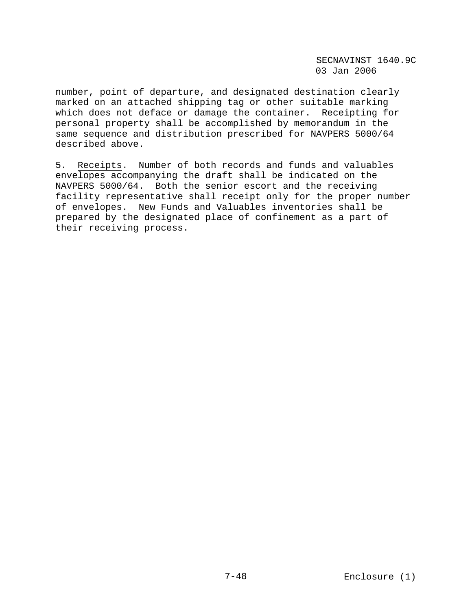number, point of departure, and designated destination clearly marked on an attached shipping tag or other suitable marking which does not deface or damage the container. Receipting for personal property shall be accomplished by memorandum in the same sequence and distribution prescribed for NAVPERS 5000/64 described above.

5. Receipts. Number of both records and funds and valuables envelopes accompanying the draft shall be indicated on the NAVPERS 5000/64. Both the senior escort and the receiving facility representative shall receipt only for the proper number of envelopes. New Funds and Valuables inventories shall be prepared by the designated place of confinement as a part of their receiving process.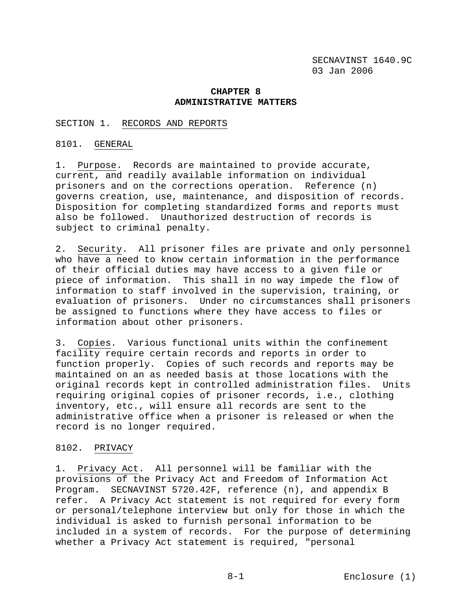### **CHAPTER 8 ADMINISTRATIVE MATTERS**

#### SECTION 1. RECORDS AND REPORTS

#### 8101. GENERAL

1. Purpose. Records are maintained to provide accurate, current, and readily available information on individual prisoners and on the corrections operation. Reference (n) governs creation, use, maintenance, and disposition of records. Disposition for completing standardized forms and reports must also be followed. Unauthorized destruction of records is subject to criminal penalty.

2. Security. All prisoner files are private and only personnel who have a need to know certain information in the performance of their official duties may have access to a given file or piece of information. This shall in no way impede the flow of information to staff involved in the supervision, training, or evaluation of prisoners. Under no circumstances shall prisoners be assigned to functions where they have access to files or information about other prisoners.

3. Copies. Various functional units within the confinement facility require certain records and reports in order to function properly. Copies of such records and reports may be maintained on an as needed basis at those locations with the original records kept in controlled administration files. Units requiring original copies of prisoner records, i.e., clothing inventory, etc., will ensure all records are sent to the administrative office when a prisoner is released or when the record is no longer required.

## 8102. PRIVACY

1. Privacy Act. All personnel will be familiar with the provisions of the Privacy Act and Freedom of Information Act Program. SECNAVINST 5720.42F, reference (n), and appendix B refer. A Privacy Act statement is not required for every form or personal/telephone interview but only for those in which the individual is asked to furnish personal information to be included in a system of records. For the purpose of determining whether a Privacy Act statement is required, "personal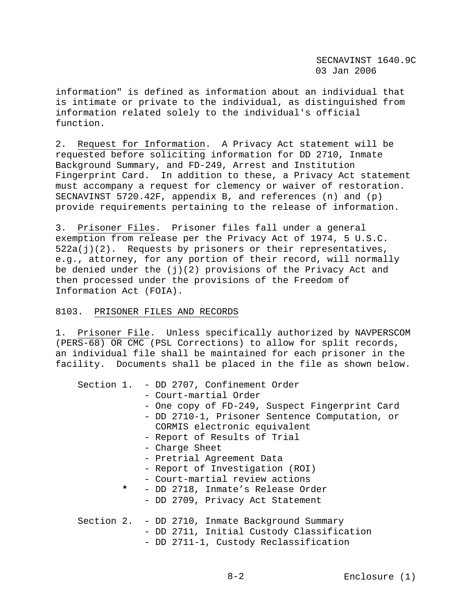information" is defined as information about an individual that is intimate or private to the individual, as distinguished from information related solely to the individual's official function.

2. Request for Information. A Privacy Act statement will be requested before soliciting information for DD 2710, Inmate Background Summary, and FD-249, Arrest and Institution Fingerprint Card. In addition to these, a Privacy Act statement must accompany a request for clemency or waiver of restoration. SECNAVINST 5720.42F, appendix B, and references (n) and (p) provide requirements pertaining to the release of information.

3. Prisoner Files. Prisoner files fall under a general exemption from release per the Privacy Act of 1974, 5 U.S.C.  $522a(j)(2)$ . Requests by prisoners or their representatives, e.g., attorney, for any portion of their record, will normally be denied under the  $(j)(2)$  provisions of the Privacy Act and then processed under the provisions of the Freedom of Information Act (FOIA).

### 8103. PRISONER FILES AND RECORDS

1. Prisoner File. Unless specifically authorized by NAVPERSCOM (PERS-68) OR CMC (PSL Corrections) to allow for split records, an individual file shall be maintained for each prisoner in the facility. Documents shall be placed in the file as shown below.

|         | Section 1. - DD 2707, Confinement Order         |
|---------|-------------------------------------------------|
|         | - Court-martial Order                           |
|         | - One copy of FD-249, Suspect Fingerprint Card  |
|         | - DD 2710-1, Prisoner Sentence Computation, or  |
|         | CORMIS electronic equivalent                    |
|         | - Report of Results of Trial                    |
|         | - Charge Sheet                                  |
|         | - Pretrial Agreement Data                       |
|         | - Report of Investigation (ROI)                 |
|         | - Court-martial review actions                  |
| $\star$ | - DD 2718, Inmate's Release Order               |
|         | - DD 2709, Privacy Act Statement                |
|         |                                                 |
|         | Section 2. - DD 2710, Inmate Background Summary |
|         | - DD 2711, Initial Custody Classification       |
|         | - DD 2711-1, Custody Reclassification           |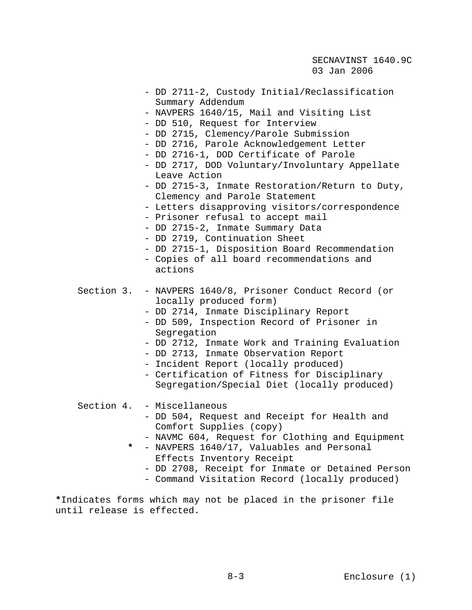- DD 2711-2, Custody Initial/Reclassification Summary Addendum
- NAVPERS 1640/15, Mail and Visiting List
- DD 510, Request for Interview
- DD 2715, Clemency/Parole Submission
- DD 2716, Parole Acknowledgement Letter
- DD 2716-1, DOD Certificate of Parole
- DD 2717, DOD Voluntary/Involuntary Appellate Leave Action
- DD 2715-3, Inmate Restoration/Return to Duty, Clemency and Parole Statement
- Letters disapproving visitors/correspondence
- Prisoner refusal to accept mail
- DD 2715-2, Inmate Summary Data
- DD 2719, Continuation Sheet
- DD 2715-1, Disposition Board Recommendation
- Copies of all board recommendations and actions
- Section 3. NAVPERS 1640/8, Prisoner Conduct Record (or locally produced form)
	- DD 2714, Inmate Disciplinary Report
	- DD 509, Inspection Record of Prisoner in Segregation
	- DD 2712, Inmate Work and Training Evaluation
	- DD 2713, Inmate Observation Report
	- Incident Report (locally produced)
	- Certification of Fitness for Disciplinary Segregation/Special Diet (locally produced)

# Section 4. - Miscellaneous

- DD 504, Request and Receipt for Health and Comfort Supplies (copy)
- NAVMC 604, Request for Clothing and Equipment
- **\*** NAVPERS 1640/17, Valuables and Personal Effects Inventory Receipt
	- DD 2708, Receipt for Inmate or Detained Person
	- Command Visitation Record (locally produced)

**\***Indicates forms which may not be placed in the prisoner file until release is effected.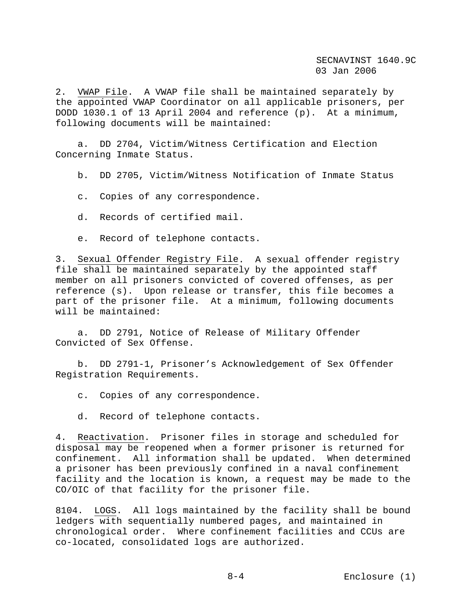2. VWAP File. A VWAP file shall be maintained separately by the appointed VWAP Coordinator on all applicable prisoners, per DODD 1030.1 of 13 April 2004 and reference (p). At a minimum, following documents will be maintained:

 a. DD 2704, Victim/Witness Certification and Election Concerning Inmate Status.

b. DD 2705, Victim/Witness Notification of Inmate Status

c. Copies of any correspondence.

d. Records of certified mail.

e. Record of telephone contacts.

3. Sexual Offender Registry File. A sexual offender registry file shall be maintained separately by the appointed staff member on all prisoners convicted of covered offenses, as per reference (s). Upon release or transfer, this file becomes a part of the prisoner file. At a minimum, following documents will be maintained:

 a. DD 2791, Notice of Release of Military Offender Convicted of Sex Offense.

 b. DD 2791-1, Prisoner's Acknowledgement of Sex Offender Registration Requirements.

c. Copies of any correspondence.

d. Record of telephone contacts.

4. Reactivation. Prisoner files in storage and scheduled for disposal may be reopened when a former prisoner is returned for confinement. All information shall be updated. When determined a prisoner has been previously confined in a naval confinement facility and the location is known, a request may be made to the CO/OIC of that facility for the prisoner file.

8104. LOGS. All logs maintained by the facility shall be bound ledgers with sequentially numbered pages, and maintained in chronological order. Where confinement facilities and CCUs are co-located, consolidated logs are authorized.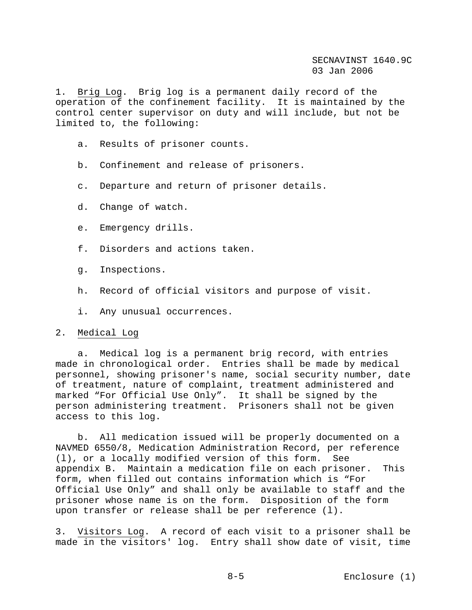1. Brig Log. Brig log is a permanent daily record of the operation of the confinement facility. It is maintained by the control center supervisor on duty and will include, but not be limited to, the following:

- a. Results of prisoner counts.
- b. Confinement and release of prisoners.
- c. Departure and return of prisoner details.
- d. Change of watch.
- e. Emergency drills.
- f. Disorders and actions taken.
- g. Inspections.
- h. Record of official visitors and purpose of visit.
- i. Any unusual occurrences.

### 2. Medical Log

 a. Medical log is a permanent brig record, with entries made in chronological order. Entries shall be made by medical personnel, showing prisoner's name, social security number, date of treatment, nature of complaint, treatment administered and marked "For Official Use Only". It shall be signed by the person administering treatment. Prisoners shall not be given access to this log.

 b. All medication issued will be properly documented on a NAVMED 6550/8, Medication Administration Record, per reference (l), or a locally modified version of this form. See appendix B. Maintain a medication file on each prisoner. This form, when filled out contains information which is "For Official Use Only" and shall only be available to staff and the prisoner whose name is on the form. Disposition of the form upon transfer or release shall be per reference (l).

3. Visitors Log. A record of each visit to a prisoner shall be made in the visitors' log. Entry shall show date of visit, time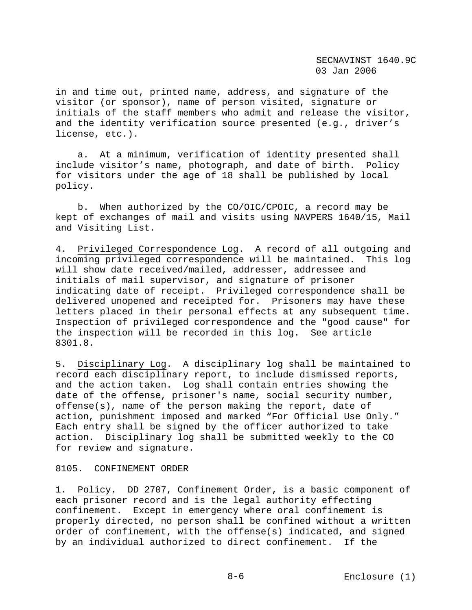in and time out, printed name, address, and signature of the visitor (or sponsor), name of person visited, signature or initials of the staff members who admit and release the visitor, and the identity verification source presented (e.g., driver's license, etc.).

 a. At a minimum, verification of identity presented shall include visitor's name, photograph, and date of birth. Policy for visitors under the age of 18 shall be published by local policy.

 b. When authorized by the CO/OIC/CPOIC, a record may be kept of exchanges of mail and visits using NAVPERS 1640/15, Mail and Visiting List.

4. Privileged Correspondence Log. A record of all outgoing and incoming privileged correspondence will be maintained. This log will show date received/mailed, addresser, addressee and initials of mail supervisor, and signature of prisoner indicating date of receipt. Privileged correspondence shall be delivered unopened and receipted for. Prisoners may have these letters placed in their personal effects at any subsequent time. Inspection of privileged correspondence and the "good cause" for the inspection will be recorded in this log. See article 8301.8.

5. Disciplinary Log. A disciplinary log shall be maintained to record each disciplinary report, to include dismissed reports, and the action taken. Log shall contain entries showing the date of the offense, prisoner's name, social security number, offense(s), name of the person making the report, date of action, punishment imposed and marked "For Official Use Only." Each entry shall be signed by the officer authorized to take action. Disciplinary log shall be submitted weekly to the CO for review and signature.

### 8105. CONFINEMENT ORDER

1. Policy. DD 2707, Confinement Order, is a basic component of each prisoner record and is the legal authority effecting confinement. Except in emergency where oral confinement is properly directed, no person shall be confined without a written order of confinement, with the offense(s) indicated, and signed by an individual authorized to direct confinement. If the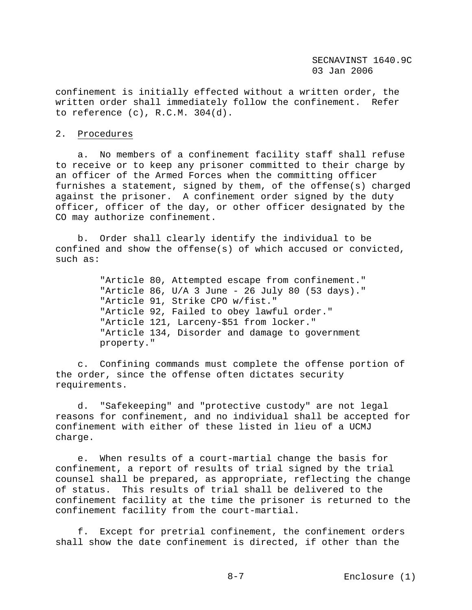confinement is initially effected without a written order, the written order shall immediately follow the confinement. Refer to reference (c), R.C.M. 304(d).

### 2. Procedures

 a. No members of a confinement facility staff shall refuse to receive or to keep any prisoner committed to their charge by an officer of the Armed Forces when the committing officer furnishes a statement, signed by them, of the offense(s) charged against the prisoner. A confinement order signed by the duty officer, officer of the day, or other officer designated by the CO may authorize confinement.

 b. Order shall clearly identify the individual to be confined and show the offense(s) of which accused or convicted, such as:

> "Article 80, Attempted escape from confinement." "Article 86, U/A 3 June - 26 July 80 (53 days)." "Article 91, Strike CPO w/fist." "Article 92, Failed to obey lawful order." "Article 121, Larceny-\$51 from locker." "Article 134, Disorder and damage to government property."

 c. Confining commands must complete the offense portion of the order, since the offense often dictates security requirements.

 d. "Safekeeping" and "protective custody" are not legal reasons for confinement, and no individual shall be accepted for confinement with either of these listed in lieu of a UCMJ charge.

 e. When results of a court-martial change the basis for confinement, a report of results of trial signed by the trial counsel shall be prepared, as appropriate, reflecting the change of status. This results of trial shall be delivered to the confinement facility at the time the prisoner is returned to the confinement facility from the court-martial.

 f. Except for pretrial confinement, the confinement orders shall show the date confinement is directed, if other than the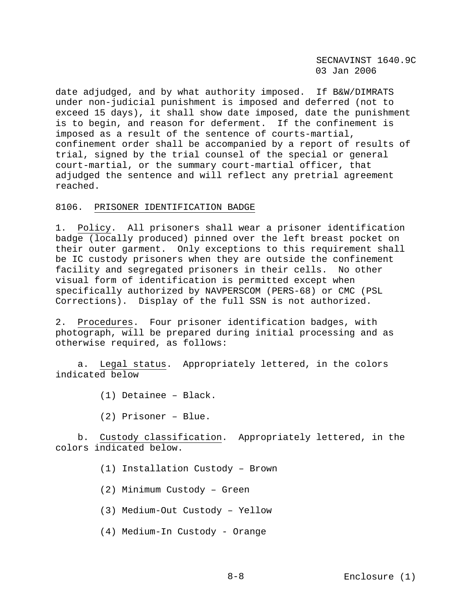date adjudged, and by what authority imposed. If B&W/DIMRATS under non-judicial punishment is imposed and deferred (not to exceed 15 days), it shall show date imposed, date the punishment is to begin, and reason for deferment. If the confinement is imposed as a result of the sentence of courts-martial, confinement order shall be accompanied by a report of results of trial, signed by the trial counsel of the special or general court-martial, or the summary court-martial officer, that adjudged the sentence and will reflect any pretrial agreement reached.

# 8106. PRISONER IDENTIFICATION BADGE

1. Policy. All prisoners shall wear a prisoner identification badge (locally produced) pinned over the left breast pocket on their outer garment. Only exceptions to this requirement shall be IC custody prisoners when they are outside the confinement facility and segregated prisoners in their cells. No other visual form of identification is permitted except when specifically authorized by NAVPERSCOM (PERS-68) or CMC (PSL Corrections). Display of the full SSN is not authorized.

2. Procedures. Four prisoner identification badges, with photograph, will be prepared during initial processing and as otherwise required, as follows:

 a. Legal status. Appropriately lettered, in the colors indicated below

- (1) Detainee Black.
- (2) Prisoner Blue.

 b. Custody classification. Appropriately lettered, in the colors indicated below.

- (1) Installation Custody Brown
- (2) Minimum Custody Green
- (3) Medium-Out Custody Yellow
- (4) Medium-In Custody Orange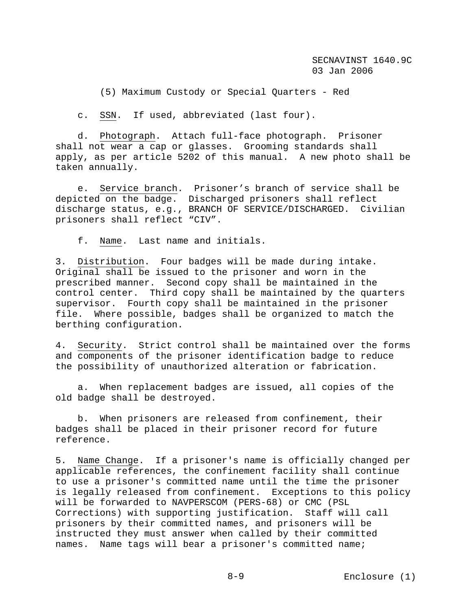(5) Maximum Custody or Special Quarters - Red

c. SSN. If used, abbreviated (last four).

 d. Photograph. Attach full-face photograph. Prisoner shall not wear a cap or glasses. Grooming standards shall apply, as per article 5202 of this manual. A new photo shall be taken annually.

 e. Service branch. Prisoner's branch of service shall be depicted on the badge. Discharged prisoners shall reflect discharge status, e.g., BRANCH OF SERVICE/DISCHARGED. Civilian prisoners shall reflect "CIV".

f. Name. Last name and initials.

3. Distribution. Four badges will be made during intake. Original shall be issued to the prisoner and worn in the prescribed manner. Second copy shall be maintained in the control center. Third copy shall be maintained by the quarters supervisor. Fourth copy shall be maintained in the prisoner file. Where possible, badges shall be organized to match the berthing configuration.

4. Security. Strict control shall be maintained over the forms and components of the prisoner identification badge to reduce the possibility of unauthorized alteration or fabrication.

 a. When replacement badges are issued, all copies of the old badge shall be destroyed.

 b. When prisoners are released from confinement, their badges shall be placed in their prisoner record for future reference.

5. Name Change. If a prisoner's name is officially changed per applicable references, the confinement facility shall continue to use a prisoner's committed name until the time the prisoner is legally released from confinement. Exceptions to this policy will be forwarded to NAVPERSCOM (PERS-68) or CMC (PSL Corrections) with supporting justification. Staff will call prisoners by their committed names, and prisoners will be instructed they must answer when called by their committed names. Name tags will bear a prisoner's committed name;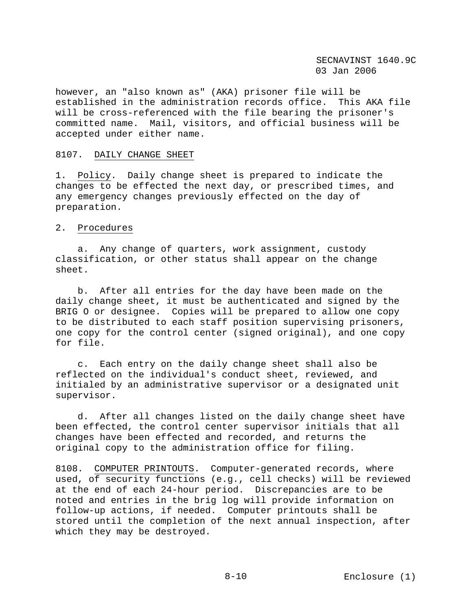however, an "also known as" (AKA) prisoner file will be established in the administration records office. This AKA file will be cross-referenced with the file bearing the prisoner's committed name. Mail, visitors, and official business will be accepted under either name.

### 8107. DAILY CHANGE SHEET

1. Policy. Daily change sheet is prepared to indicate the changes to be effected the next day, or prescribed times, and any emergency changes previously effected on the day of preparation.

### 2. Procedures

 a. Any change of quarters, work assignment, custody classification, or other status shall appear on the change sheet.

 b. After all entries for the day have been made on the daily change sheet, it must be authenticated and signed by the BRIG O or designee. Copies will be prepared to allow one copy to be distributed to each staff position supervising prisoners, one copy for the control center (signed original), and one copy for file.

 c. Each entry on the daily change sheet shall also be reflected on the individual's conduct sheet, reviewed, and initialed by an administrative supervisor or a designated unit supervisor.

 d. After all changes listed on the daily change sheet have been effected, the control center supervisor initials that all changes have been effected and recorded, and returns the original copy to the administration office for filing.

8108. COMPUTER PRINTOUTS. Computer-generated records, where used, of security functions (e.g., cell checks) will be reviewed at the end of each 24-hour period. Discrepancies are to be noted and entries in the brig log will provide information on follow-up actions, if needed. Computer printouts shall be stored until the completion of the next annual inspection, after which they may be destroyed.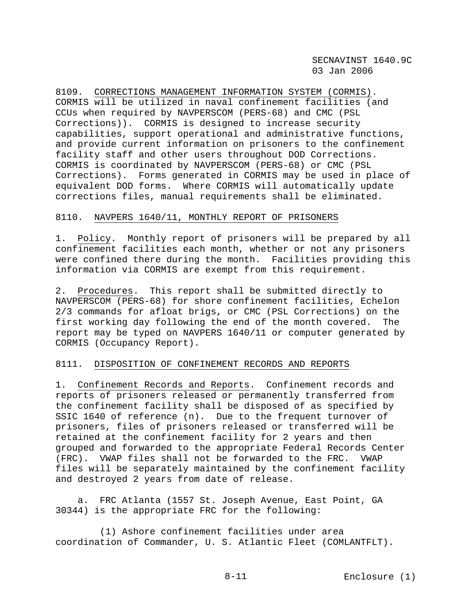8109. CORRECTIONS MANAGEMENT INFORMATION SYSTEM (CORMIS). CORMIS will be utilized in naval confinement facilities (and CCUs when required by NAVPERSCOM (PERS-68) and CMC (PSL Corrections)). CORMIS is designed to increase security capabilities, support operational and administrative functions, and provide current information on prisoners to the confinement facility staff and other users throughout DOD Corrections. CORMIS is coordinated by NAVPERSCOM (PERS-68) or CMC (PSL Corrections). Forms generated in CORMIS may be used in place of equivalent DOD forms. Where CORMIS will automatically update corrections files, manual requirements shall be eliminated.

#### 8110. NAVPERS 1640/11, MONTHLY REPORT OF PRISONERS

1. Policy. Monthly report of prisoners will be prepared by all confinement facilities each month, whether or not any prisoners were confined there during the month. Facilities providing this information via CORMIS are exempt from this requirement.

2. Procedures. This report shall be submitted directly to NAVPERSCOM (PERS-68) for shore confinement facilities, Echelon 2/3 commands for afloat brigs, or CMC (PSL Corrections) on the first working day following the end of the month covered. The report may be typed on NAVPERS 1640/11 or computer generated by CORMIS (Occupancy Report).

### 8111. DISPOSITION OF CONFINEMENT RECORDS AND REPORTS

1. Confinement Records and Reports. Confinement records and reports of prisoners released or permanently transferred from the confinement facility shall be disposed of as specified by SSIC 1640 of reference (n). Due to the frequent turnover of prisoners, files of prisoners released or transferred will be retained at the confinement facility for 2 years and then grouped and forwarded to the appropriate Federal Records Center (FRC). VWAP files shall not be forwarded to the FRC. VWAP files will be separately maintained by the confinement facility and destroyed 2 years from date of release.

 a. FRC Atlanta (1557 St. Joseph Avenue, East Point, GA 30344) is the appropriate FRC for the following:

 (1) Ashore confinement facilities under area coordination of Commander, U. S. Atlantic Fleet (COMLANTFLT).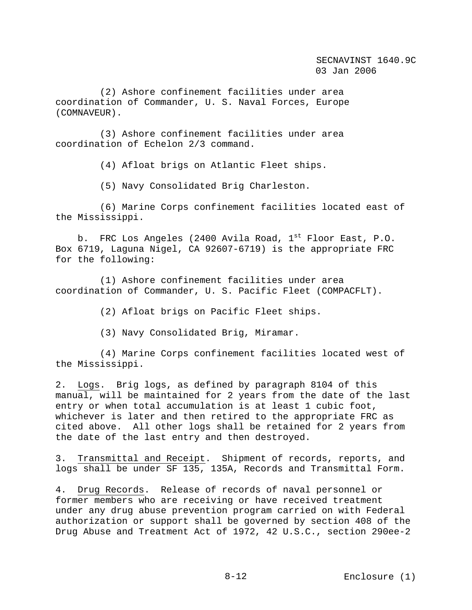(2) Ashore confinement facilities under area coordination of Commander, U. S. Naval Forces, Europe (COMNAVEUR).

 (3) Ashore confinement facilities under area coordination of Echelon 2/3 command.

(4) Afloat brigs on Atlantic Fleet ships.

(5) Navy Consolidated Brig Charleston.

 (6) Marine Corps confinement facilities located east of the Mississippi.

b. FRC Los Angeles (2400 Avila Road,  $1<sup>st</sup>$  Floor East, P.O. Box 6719, Laguna Nigel, CA 92607-6719) is the appropriate FRC for the following:

 (1) Ashore confinement facilities under area coordination of Commander, U. S. Pacific Fleet (COMPACFLT).

(2) Afloat brigs on Pacific Fleet ships.

(3) Navy Consolidated Brig, Miramar.

 (4) Marine Corps confinement facilities located west of the Mississippi.

2. Logs. Brig logs, as defined by paragraph 8104 of this manual, will be maintained for 2 years from the date of the last entry or when total accumulation is at least 1 cubic foot, whichever is later and then retired to the appropriate FRC as cited above. All other logs shall be retained for 2 years from the date of the last entry and then destroyed.

3. Transmittal and Receipt. Shipment of records, reports, and logs shall be under SF 135, 135A, Records and Transmittal Form.

4. Drug Records. Release of records of naval personnel or former members who are receiving or have received treatment under any drug abuse prevention program carried on with Federal authorization or support shall be governed by section 408 of the Drug Abuse and Treatment Act of 1972, 42 U.S.C., section 290ee-2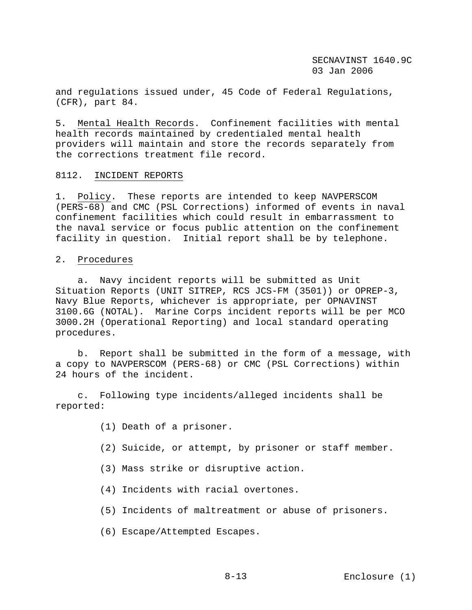and regulations issued under, 45 Code of Federal Regulations, (CFR), part 84.

5. Mental Health Records. Confinement facilities with mental health records maintained by credentialed mental health providers will maintain and store the records separately from the corrections treatment file record.

#### 8112. INCIDENT REPORTS

1. Policy. These reports are intended to keep NAVPERSCOM (PERS-68) and CMC (PSL Corrections) informed of events in naval confinement facilities which could result in embarrassment to the naval service or focus public attention on the confinement facility in question. Initial report shall be by telephone.

### 2. Procedures

 a. Navy incident reports will be submitted as Unit Situation Reports (UNIT SITREP, RCS JCS-FM (3501)) or OPREP-3, Navy Blue Reports, whichever is appropriate, per OPNAVINST 3100.6G (NOTAL). Marine Corps incident reports will be per MCO 3000.2H (Operational Reporting) and local standard operating procedures.

 b. Report shall be submitted in the form of a message, with a copy to NAVPERSCOM (PERS-68) or CMC (PSL Corrections) within 24 hours of the incident.

 c. Following type incidents/alleged incidents shall be reported:

- (1) Death of a prisoner.
- (2) Suicide, or attempt, by prisoner or staff member.
- (3) Mass strike or disruptive action.
- (4) Incidents with racial overtones.
- (5) Incidents of maltreatment or abuse of prisoners.
- (6) Escape/Attempted Escapes.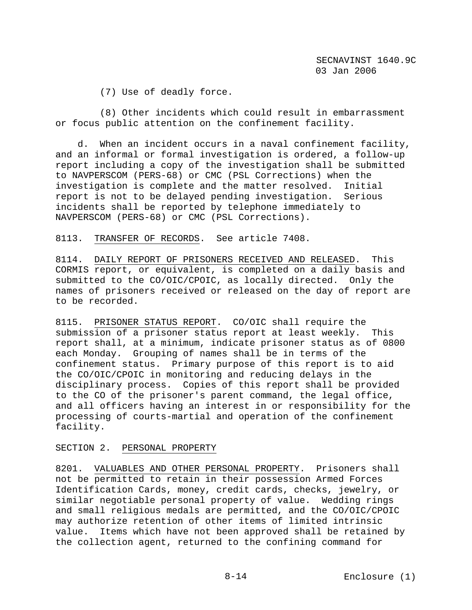(7) Use of deadly force.

 (8) Other incidents which could result in embarrassment or focus public attention on the confinement facility.

 d. When an incident occurs in a naval confinement facility, and an informal or formal investigation is ordered, a follow-up report including a copy of the investigation shall be submitted to NAVPERSCOM (PERS-68) or CMC (PSL Corrections) when the investigation is complete and the matter resolved. Initial report is not to be delayed pending investigation. Serious incidents shall be reported by telephone immediately to NAVPERSCOM (PERS-68) or CMC (PSL Corrections).

8113. TRANSFER OF RECORDS. See article 7408.

8114. DAILY REPORT OF PRISONERS RECEIVED AND RELEASED. This CORMIS report, or equivalent, is completed on a daily basis and submitted to the CO/OIC/CPOIC, as locally directed. Only the names of prisoners received or released on the day of report are to be recorded.

8115. PRISONER STATUS REPORT. CO/OIC shall require the submission of a prisoner status report at least weekly. This report shall, at a minimum, indicate prisoner status as of 0800 each Monday. Grouping of names shall be in terms of the confinement status. Primary purpose of this report is to aid the CO/OIC/CPOIC in monitoring and reducing delays in the disciplinary process. Copies of this report shall be provided to the CO of the prisoner's parent command, the legal office, and all officers having an interest in or responsibility for the processing of courts-martial and operation of the confinement facility.

SECTION 2. PERSONAL PROPERTY

8201. VALUABLES AND OTHER PERSONAL PROPERTY. Prisoners shall not be permitted to retain in their possession Armed Forces Identification Cards, money, credit cards, checks, jewelry, or similar negotiable personal property of value. Wedding rings and small religious medals are permitted, and the CO/OIC/CPOIC may authorize retention of other items of limited intrinsic value. Items which have not been approved shall be retained by the collection agent, returned to the confining command for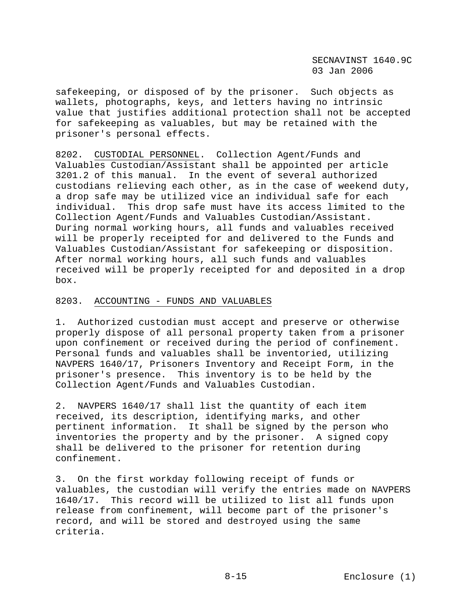safekeeping, or disposed of by the prisoner. Such objects as wallets, photographs, keys, and letters having no intrinsic value that justifies additional protection shall not be accepted for safekeeping as valuables, but may be retained with the prisoner's personal effects.

8202. CUSTODIAL PERSONNEL. Collection Agent/Funds and Valuables Custodian/Assistant shall be appointed per article 3201.2 of this manual. In the event of several authorized custodians relieving each other, as in the case of weekend duty, a drop safe may be utilized vice an individual safe for each individual. This drop safe must have its access limited to the Collection Agent/Funds and Valuables Custodian/Assistant. During normal working hours, all funds and valuables received will be properly receipted for and delivered to the Funds and Valuables Custodian/Assistant for safekeeping or disposition. After normal working hours, all such funds and valuables received will be properly receipted for and deposited in a drop box.

## 8203. ACCOUNTING - FUNDS AND VALUABLES

1. Authorized custodian must accept and preserve or otherwise properly dispose of all personal property taken from a prisoner upon confinement or received during the period of confinement. Personal funds and valuables shall be inventoried, utilizing NAVPERS 1640/17, Prisoners Inventory and Receipt Form, in the prisoner's presence. This inventory is to be held by the Collection Agent/Funds and Valuables Custodian.

2. NAVPERS 1640/17 shall list the quantity of each item received, its description, identifying marks, and other pertinent information. It shall be signed by the person who inventories the property and by the prisoner. A signed copy shall be delivered to the prisoner for retention during confinement.

3. On the first workday following receipt of funds or valuables, the custodian will verify the entries made on NAVPERS 1640/17. This record will be utilized to list all funds upon release from confinement, will become part of the prisoner's record, and will be stored and destroyed using the same criteria.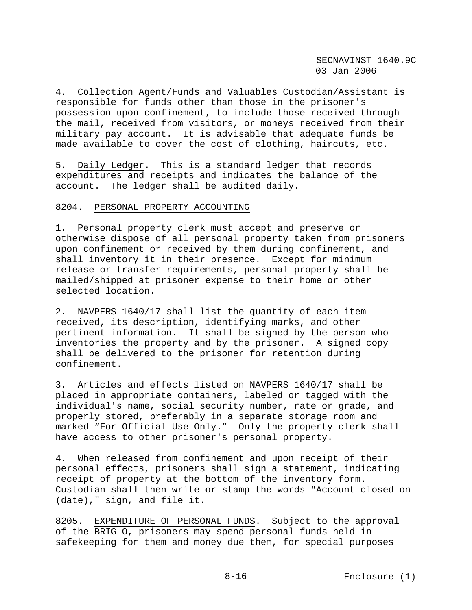4. Collection Agent/Funds and Valuables Custodian/Assistant is responsible for funds other than those in the prisoner's possession upon confinement, to include those received through the mail, received from visitors, or moneys received from their military pay account. It is advisable that adequate funds be made available to cover the cost of clothing, haircuts, etc.

5. Daily Ledger. This is a standard ledger that records expenditures and receipts and indicates the balance of the account. The ledger shall be audited daily.

#### 8204. PERSONAL PROPERTY ACCOUNTING

1. Personal property clerk must accept and preserve or otherwise dispose of all personal property taken from prisoners upon confinement or received by them during confinement, and shall inventory it in their presence. Except for minimum release or transfer requirements, personal property shall be mailed/shipped at prisoner expense to their home or other selected location.

2. NAVPERS 1640/17 shall list the quantity of each item received, its description, identifying marks, and other pertinent information. It shall be signed by the person who inventories the property and by the prisoner. A signed copy shall be delivered to the prisoner for retention during confinement.

3. Articles and effects listed on NAVPERS 1640/17 shall be placed in appropriate containers, labeled or tagged with the individual's name, social security number, rate or grade, and properly stored, preferably in a separate storage room and marked "For Official Use Only." Only the property clerk shall have access to other prisoner's personal property.

4. When released from confinement and upon receipt of their personal effects, prisoners shall sign a statement, indicating receipt of property at the bottom of the inventory form. Custodian shall then write or stamp the words "Account closed on (date)," sign, and file it.

8205. EXPENDITURE OF PERSONAL FUNDS. Subject to the approval of the BRIG O, prisoners may spend personal funds held in safekeeping for them and money due them, for special purposes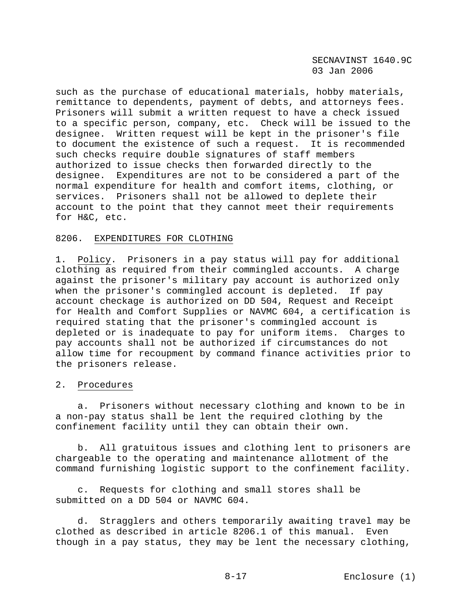such as the purchase of educational materials, hobby materials, remittance to dependents, payment of debts, and attorneys fees. Prisoners will submit a written request to have a check issued to a specific person, company, etc. Check will be issued to the designee. Written request will be kept in the prisoner's file to document the existence of such a request. It is recommended such checks require double signatures of staff members authorized to issue checks then forwarded directly to the designee. Expenditures are not to be considered a part of the normal expenditure for health and comfort items, clothing, or services. Prisoners shall not be allowed to deplete their account to the point that they cannot meet their requirements for H&C, etc.

#### 8206. EXPENDITURES FOR CLOTHING

1. Policy. Prisoners in a pay status will pay for additional clothing as required from their commingled accounts. A charge against the prisoner's military pay account is authorized only when the prisoner's commingled account is depleted. If pay account checkage is authorized on DD 504, Request and Receipt for Health and Comfort Supplies or NAVMC 604, a certification is required stating that the prisoner's commingled account is depleted or is inadequate to pay for uniform items. Charges to pay accounts shall not be authorized if circumstances do not allow time for recoupment by command finance activities prior to the prisoners release.

# 2. Procedures

 a. Prisoners without necessary clothing and known to be in a non-pay status shall be lent the required clothing by the confinement facility until they can obtain their own.

 b. All gratuitous issues and clothing lent to prisoners are chargeable to the operating and maintenance allotment of the command furnishing logistic support to the confinement facility.

 c. Requests for clothing and small stores shall be submitted on a DD 504 or NAVMC 604.

 d. Stragglers and others temporarily awaiting travel may be clothed as described in article 8206.1 of this manual. Even though in a pay status, they may be lent the necessary clothing,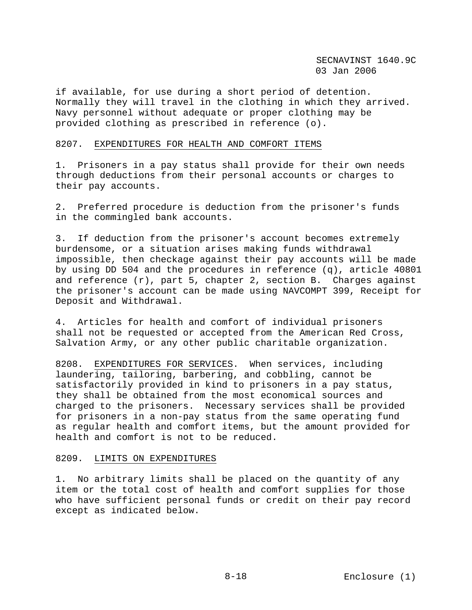if available, for use during a short period of detention. Normally they will travel in the clothing in which they arrived. Navy personnel without adequate or proper clothing may be provided clothing as prescribed in reference (o).

### 8207. EXPENDITURES FOR HEALTH AND COMFORT ITEMS

1. Prisoners in a pay status shall provide for their own needs through deductions from their personal accounts or charges to their pay accounts.

2. Preferred procedure is deduction from the prisoner's funds in the commingled bank accounts.

3. If deduction from the prisoner's account becomes extremely burdensome, or a situation arises making funds withdrawal impossible, then checkage against their pay accounts will be made by using DD 504 and the procedures in reference (q), article 40801 and reference (r), part 5, chapter 2, section B. Charges against the prisoner's account can be made using NAVCOMPT 399, Receipt for Deposit and Withdrawal.

4. Articles for health and comfort of individual prisoners shall not be requested or accepted from the American Red Cross, Salvation Army, or any other public charitable organization.

8208. EXPENDITURES FOR SERVICES. When services, including laundering, tailoring, barbering, and cobbling, cannot be satisfactorily provided in kind to prisoners in a pay status, they shall be obtained from the most economical sources and charged to the prisoners. Necessary services shall be provided for prisoners in a non-pay status from the same operating fund as regular health and comfort items, but the amount provided for health and comfort is not to be reduced.

### 8209. LIMITS ON EXPENDITURES

1. No arbitrary limits shall be placed on the quantity of any item or the total cost of health and comfort supplies for those who have sufficient personal funds or credit on their pay record except as indicated below.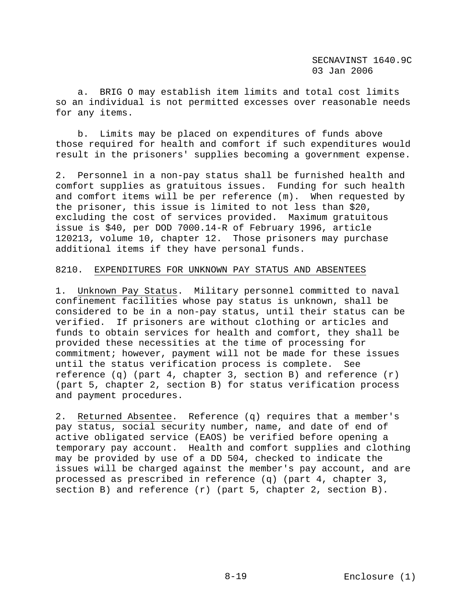a. BRIG O may establish item limits and total cost limits so an individual is not permitted excesses over reasonable needs for any items.

 b. Limits may be placed on expenditures of funds above those required for health and comfort if such expenditures would result in the prisoners' supplies becoming a government expense.

2. Personnel in a non-pay status shall be furnished health and comfort supplies as gratuitous issues. Funding for such health and comfort items will be per reference (m). When requested by the prisoner, this issue is limited to not less than \$20, excluding the cost of services provided. Maximum gratuitous issue is \$40, per DOD 7000.14-R of February 1996, article 120213, volume 10, chapter 12. Those prisoners may purchase additional items if they have personal funds.

### 8210. EXPENDITURES FOR UNKNOWN PAY STATUS AND ABSENTEES

1. Unknown Pay Status. Military personnel committed to naval confinement facilities whose pay status is unknown, shall be considered to be in a non-pay status, until their status can be verified. If prisoners are without clothing or articles and funds to obtain services for health and comfort, they shall be provided these necessities at the time of processing for commitment; however, payment will not be made for these issues until the status verification process is complete. See reference  $(q)$  (part 4, chapter 3, section B) and reference  $(r)$ (part 5, chapter 2, section B) for status verification process and payment procedures.

2. Returned Absentee. Reference (q) requires that a member's pay status, social security number, name, and date of end of active obligated service (EAOS) be verified before opening a temporary pay account. Health and comfort supplies and clothing may be provided by use of a DD 504, checked to indicate the issues will be charged against the member's pay account, and are processed as prescribed in reference (q) (part 4, chapter 3, section B) and reference (r) (part 5, chapter 2, section B).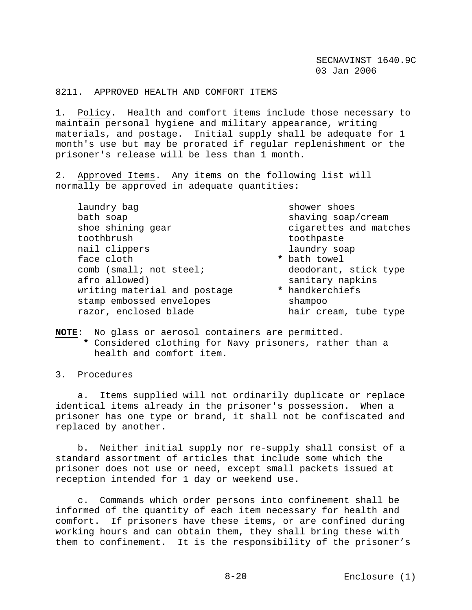## 8211. APPROVED HEALTH AND COMFORT ITEMS

1. Policy. Health and comfort items include those necessary to maintain personal hygiene and military appearance, writing materials, and postage. Initial supply shall be adequate for 1 month's use but may be prorated if regular replenishment or the prisoner's release will be less than 1 month.

2. Approved Items. Any items on the following list will normally be approved in adequate quantities:

laundry bag shower shoes bath soap shaving soap/cream shaving soap/cream shoe shining gear **cigarettes** and matches toothbrush toothpaste nail clippers and laundry soap face cloth **\*** bath towel comb (small; not steel; deodorant, stick type afro allowed) sanitary napkins<br>writing material and postage \* handkerchiefs writing material and postage stamp embossed envelopes shampoo razor, enclosed blade hair cream, tube type

- -

**NOTE**: No glass or aerosol containers are permitted.

- **\*** Considered clothing for Navy prisoners, rather than a health and comfort item.
- 3. Procedures

 a. Items supplied will not ordinarily duplicate or replace identical items already in the prisoner's possession. When a prisoner has one type or brand, it shall not be confiscated and replaced by another.

 b. Neither initial supply nor re-supply shall consist of a standard assortment of articles that include some which the prisoner does not use or need, except small packets issued at reception intended for 1 day or weekend use.

 c. Commands which order persons into confinement shall be informed of the quantity of each item necessary for health and comfort. If prisoners have these items, or are confined during working hours and can obtain them, they shall bring these with them to confinement. It is the responsibility of the prisoner's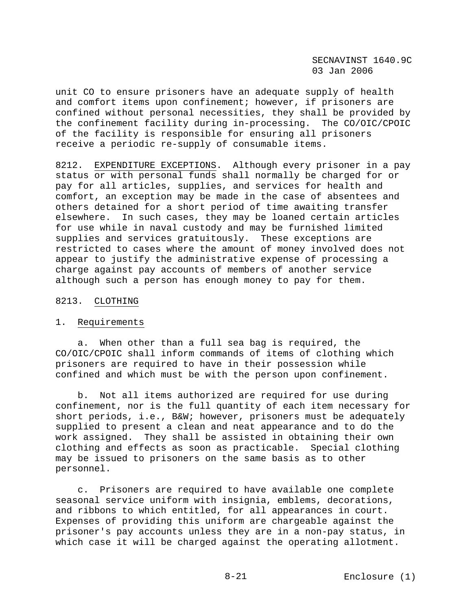unit CO to ensure prisoners have an adequate supply of health and comfort items upon confinement; however, if prisoners are confined without personal necessities, they shall be provided by the confinement facility during in-processing. The CO/OIC/CPOIC of the facility is responsible for ensuring all prisoners receive a periodic re-supply of consumable items.

8212. EXPENDITURE EXCEPTIONS. Although every prisoner in a pay status or with personal funds shall normally be charged for or pay for all articles, supplies, and services for health and comfort, an exception may be made in the case of absentees and others detained for a short period of time awaiting transfer elsewhere. In such cases, they may be loaned certain articles for use while in naval custody and may be furnished limited supplies and services gratuitously. These exceptions are restricted to cases where the amount of money involved does not appear to justify the administrative expense of processing a charge against pay accounts of members of another service although such a person has enough money to pay for them.

### 8213. CLOTHING

#### 1. Requirements

 a. When other than a full sea bag is required, the CO/OIC/CPOIC shall inform commands of items of clothing which prisoners are required to have in their possession while confined and which must be with the person upon confinement.

 b. Not all items authorized are required for use during confinement, nor is the full quantity of each item necessary for short periods, i.e., B&W; however, prisoners must be adequately supplied to present a clean and neat appearance and to do the work assigned. They shall be assisted in obtaining their own clothing and effects as soon as practicable. Special clothing may be issued to prisoners on the same basis as to other personnel.

 c. Prisoners are required to have available one complete seasonal service uniform with insignia, emblems, decorations, and ribbons to which entitled, for all appearances in court. Expenses of providing this uniform are chargeable against the prisoner's pay accounts unless they are in a non-pay status, in which case it will be charged against the operating allotment.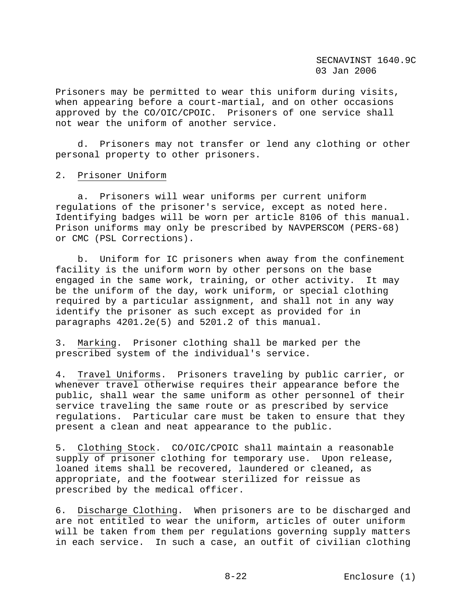Prisoners may be permitted to wear this uniform during visits, when appearing before a court-martial, and on other occasions approved by the CO/OIC/CPOIC. Prisoners of one service shall not wear the uniform of another service.

 d. Prisoners may not transfer or lend any clothing or other personal property to other prisoners.

#### 2. Prisoner Uniform

 a. Prisoners will wear uniforms per current uniform regulations of the prisoner's service, except as noted here. Identifying badges will be worn per article 8106 of this manual. Prison uniforms may only be prescribed by NAVPERSCOM (PERS-68) or CMC (PSL Corrections).

 b. Uniform for IC prisoners when away from the confinement facility is the uniform worn by other persons on the base engaged in the same work, training, or other activity. It may be the uniform of the day, work uniform, or special clothing required by a particular assignment, and shall not in any way identify the prisoner as such except as provided for in paragraphs 4201.2e(5) and 5201.2 of this manual.

3. Marking. Prisoner clothing shall be marked per the prescribed system of the individual's service.

4. Travel Uniforms. Prisoners traveling by public carrier, or whenever travel otherwise requires their appearance before the public, shall wear the same uniform as other personnel of their service traveling the same route or as prescribed by service regulations. Particular care must be taken to ensure that they present a clean and neat appearance to the public.

5. Clothing Stock. CO/OIC/CPOIC shall maintain a reasonable supply of prisoner clothing for temporary use. Upon release, loaned items shall be recovered, laundered or cleaned, as appropriate, and the footwear sterilized for reissue as prescribed by the medical officer.

6. Discharge Clothing. When prisoners are to be discharged and are not entitled to wear the uniform, articles of outer uniform will be taken from them per regulations governing supply matters in each service. In such a case, an outfit of civilian clothing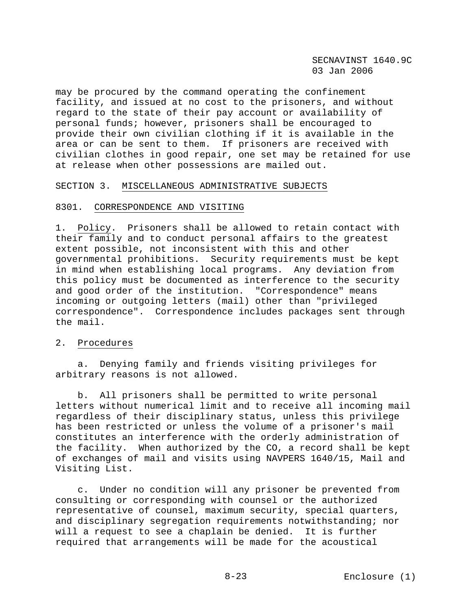may be procured by the command operating the confinement facility, and issued at no cost to the prisoners, and without regard to the state of their pay account or availability of personal funds; however, prisoners shall be encouraged to provide their own civilian clothing if it is available in the area or can be sent to them. If prisoners are received with civilian clothes in good repair, one set may be retained for use at release when other possessions are mailed out.

# SECTION 3. MISCELLANEOUS ADMINISTRATIVE SUBJECTS

### 8301. CORRESPONDENCE AND VISITING

1. Policy. Prisoners shall be allowed to retain contact with their family and to conduct personal affairs to the greatest extent possible, not inconsistent with this and other governmental prohibitions. Security requirements must be kept in mind when establishing local programs. Any deviation from this policy must be documented as interference to the security and good order of the institution. "Correspondence" means incoming or outgoing letters (mail) other than "privileged correspondence". Correspondence includes packages sent through the mail.

#### 2. Procedures

 a. Denying family and friends visiting privileges for arbitrary reasons is not allowed.

 b. All prisoners shall be permitted to write personal letters without numerical limit and to receive all incoming mail regardless of their disciplinary status, unless this privilege has been restricted or unless the volume of a prisoner's mail constitutes an interference with the orderly administration of the facility. When authorized by the CO, a record shall be kept of exchanges of mail and visits using NAVPERS 1640/15, Mail and Visiting List.

 c. Under no condition will any prisoner be prevented from consulting or corresponding with counsel or the authorized representative of counsel, maximum security, special quarters, and disciplinary segregation requirements notwithstanding; nor will a request to see a chaplain be denied. It is further required that arrangements will be made for the acoustical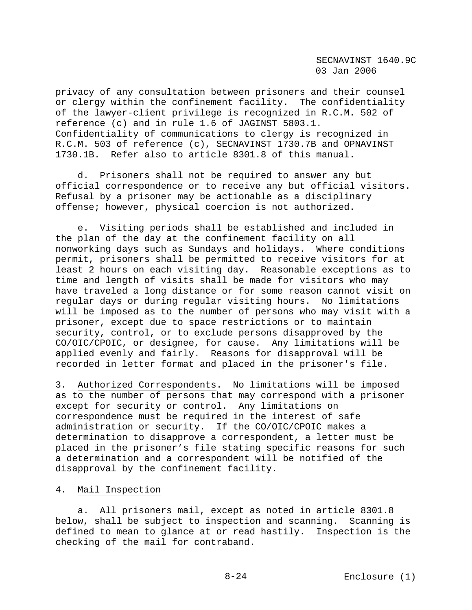privacy of any consultation between prisoners and their counsel or clergy within the confinement facility. The confidentiality of the lawyer-client privilege is recognized in R.C.M. 502 of reference (c) and in rule 1.6 of JAGINST 5803.1. Confidentiality of communications to clergy is recognized in R.C.M. 503 of reference (c), SECNAVINST 1730.7B and OPNAVINST 1730.1B. Refer also to article 8301.8 of this manual.

 d. Prisoners shall not be required to answer any but official correspondence or to receive any but official visitors. Refusal by a prisoner may be actionable as a disciplinary offense; however, physical coercion is not authorized.

 e. Visiting periods shall be established and included in the plan of the day at the confinement facility on all nonworking days such as Sundays and holidays. Where conditions permit, prisoners shall be permitted to receive visitors for at least 2 hours on each visiting day. Reasonable exceptions as to time and length of visits shall be made for visitors who may have traveled a long distance or for some reason cannot visit on regular days or during regular visiting hours. No limitations will be imposed as to the number of persons who may visit with a prisoner, except due to space restrictions or to maintain security, control, or to exclude persons disapproved by the CO/OIC/CPOIC, or designee, for cause. Any limitations will be applied evenly and fairly. Reasons for disapproval will be recorded in letter format and placed in the prisoner's file.

3. Authorized Correspondents. No limitations will be imposed as to the number of persons that may correspond with a prisoner except for security or control. Any limitations on correspondence must be required in the interest of safe administration or security. If the CO/OIC/CPOIC makes a determination to disapprove a correspondent, a letter must be placed in the prisoner's file stating specific reasons for such a determination and a correspondent will be notified of the disapproval by the confinement facility.

#### 4. Mail Inspection

 a. All prisoners mail, except as noted in article 8301.8 below, shall be subject to inspection and scanning. Scanning is defined to mean to glance at or read hastily. Inspection is the checking of the mail for contraband.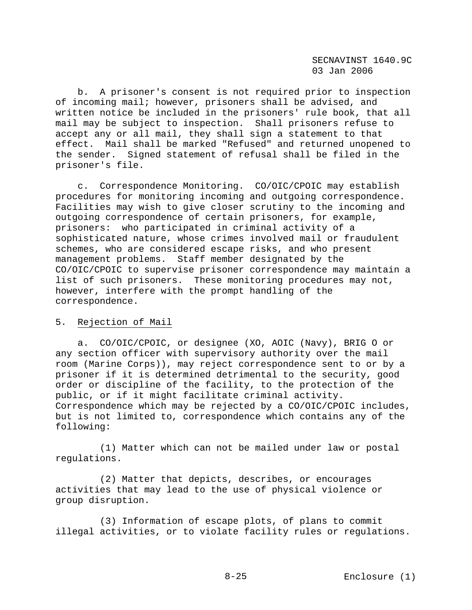b. A prisoner's consent is not required prior to inspection of incoming mail; however, prisoners shall be advised, and written notice be included in the prisoners' rule book, that all mail may be subject to inspection. Shall prisoners refuse to accept any or all mail, they shall sign a statement to that effect. Mail shall be marked "Refused" and returned unopened to the sender. Signed statement of refusal shall be filed in the prisoner's file.

 c. Correspondence Monitoring. CO/OIC/CPOIC may establish procedures for monitoring incoming and outgoing correspondence. Facilities may wish to give closer scrutiny to the incoming and outgoing correspondence of certain prisoners, for example, prisoners: who participated in criminal activity of a sophisticated nature, whose crimes involved mail or fraudulent schemes, who are considered escape risks, and who present management problems. Staff member designated by the CO/OIC/CPOIC to supervise prisoner correspondence may maintain a list of such prisoners. These monitoring procedures may not, however, interfere with the prompt handling of the correspondence.

#### 5. Rejection of Mail

 a. CO/OIC/CPOIC, or designee (XO, AOIC (Navy), BRIG O or any section officer with supervisory authority over the mail room (Marine Corps)), may reject correspondence sent to or by a prisoner if it is determined detrimental to the security, good order or discipline of the facility, to the protection of the public, or if it might facilitate criminal activity. Correspondence which may be rejected by a CO/OIC/CPOIC includes, but is not limited to, correspondence which contains any of the following:

 (1) Matter which can not be mailed under law or postal regulations.

 (2) Matter that depicts, describes, or encourages activities that may lead to the use of physical violence or group disruption.

 (3) Information of escape plots, of plans to commit illegal activities, or to violate facility rules or regulations.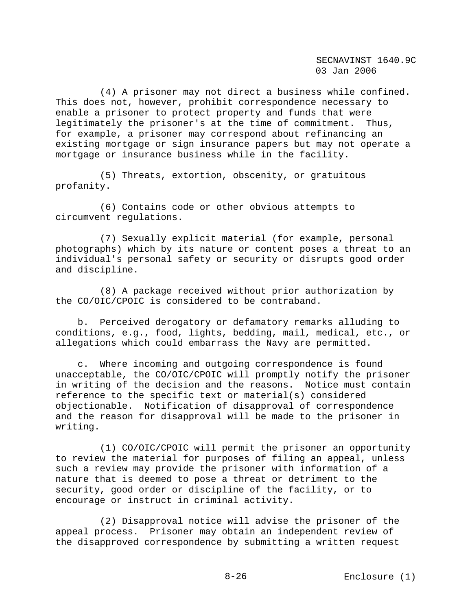(4) A prisoner may not direct a business while confined. This does not, however, prohibit correspondence necessary to enable a prisoner to protect property and funds that were legitimately the prisoner's at the time of commitment. Thus, for example, a prisoner may correspond about refinancing an existing mortgage or sign insurance papers but may not operate a mortgage or insurance business while in the facility.

 (5) Threats, extortion, obscenity, or gratuitous profanity.

 (6) Contains code or other obvious attempts to circumvent regulations.

 (7) Sexually explicit material (for example, personal photographs) which by its nature or content poses a threat to an individual's personal safety or security or disrupts good order and discipline.

 (8) A package received without prior authorization by the CO/OIC/CPOIC is considered to be contraband.

 b. Perceived derogatory or defamatory remarks alluding to conditions, e.g., food, lights, bedding, mail, medical, etc., or allegations which could embarrass the Navy are permitted.

 c. Where incoming and outgoing correspondence is found unacceptable, the CO/OIC/CPOIC will promptly notify the prisoner in writing of the decision and the reasons. Notice must contain reference to the specific text or material(s) considered objectionable. Notification of disapproval of correspondence and the reason for disapproval will be made to the prisoner in writing.

 (1) CO/OIC/CPOIC will permit the prisoner an opportunity to review the material for purposes of filing an appeal, unless such a review may provide the prisoner with information of a nature that is deemed to pose a threat or detriment to the security, good order or discipline of the facility, or to encourage or instruct in criminal activity.

 (2) Disapproval notice will advise the prisoner of the appeal process. Prisoner may obtain an independent review of the disapproved correspondence by submitting a written request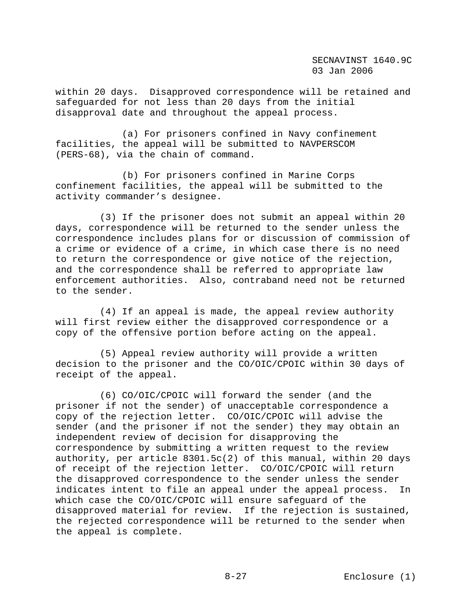within 20 days. Disapproved correspondence will be retained and safeguarded for not less than 20 days from the initial disapproval date and throughout the appeal process.

 (a) For prisoners confined in Navy confinement facilities, the appeal will be submitted to NAVPERSCOM (PERS-68), via the chain of command.

 (b) For prisoners confined in Marine Corps confinement facilities, the appeal will be submitted to the activity commander's designee.

 (3) If the prisoner does not submit an appeal within 20 days, correspondence will be returned to the sender unless the correspondence includes plans for or discussion of commission of a crime or evidence of a crime, in which case there is no need to return the correspondence or give notice of the rejection, and the correspondence shall be referred to appropriate law enforcement authorities. Also, contraband need not be returned to the sender.

 (4) If an appeal is made, the appeal review authority will first review either the disapproved correspondence or a copy of the offensive portion before acting on the appeal.

 (5) Appeal review authority will provide a written decision to the prisoner and the CO/OIC/CPOIC within 30 days of receipt of the appeal.

 (6) CO/OIC/CPOIC will forward the sender (and the prisoner if not the sender) of unacceptable correspondence a copy of the rejection letter. CO/OIC/CPOIC will advise the sender (and the prisoner if not the sender) they may obtain an independent review of decision for disapproving the correspondence by submitting a written request to the review authority, per article 8301.5c(2) of this manual, within 20 days of receipt of the rejection letter. CO/OIC/CPOIC will return the disapproved correspondence to the sender unless the sender indicates intent to file an appeal under the appeal process. In which case the CO/OIC/CPOIC will ensure safeguard of the disapproved material for review. If the rejection is sustained, the rejected correspondence will be returned to the sender when the appeal is complete.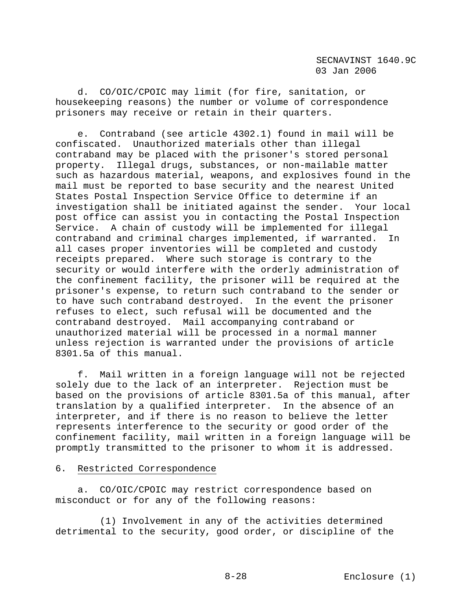d. CO/OIC/CPOIC may limit (for fire, sanitation, or housekeeping reasons) the number or volume of correspondence prisoners may receive or retain in their quarters.

 e. Contraband (see article 4302.1) found in mail will be confiscated. Unauthorized materials other than illegal contraband may be placed with the prisoner's stored personal property. Illegal drugs, substances, or non-mailable matter such as hazardous material, weapons, and explosives found in the mail must be reported to base security and the nearest United States Postal Inspection Service Office to determine if an investigation shall be initiated against the sender. Your local post office can assist you in contacting the Postal Inspection Service. A chain of custody will be implemented for illegal contraband and criminal charges implemented, if warranted. In all cases proper inventories will be completed and custody receipts prepared. Where such storage is contrary to the security or would interfere with the orderly administration of the confinement facility, the prisoner will be required at the prisoner's expense, to return such contraband to the sender or to have such contraband destroyed. In the event the prisoner refuses to elect, such refusal will be documented and the contraband destroyed. Mail accompanying contraband or unauthorized material will be processed in a normal manner unless rejection is warranted under the provisions of article 8301.5a of this manual.

 f. Mail written in a foreign language will not be rejected solely due to the lack of an interpreter. Rejection must be based on the provisions of article 8301.5a of this manual, after translation by a qualified interpreter. In the absence of an interpreter, and if there is no reason to believe the letter represents interference to the security or good order of the confinement facility, mail written in a foreign language will be promptly transmitted to the prisoner to whom it is addressed.

# 6. Restricted Correspondence

 a. CO/OIC/CPOIC may restrict correspondence based on misconduct or for any of the following reasons:

 (1) Involvement in any of the activities determined detrimental to the security, good order, or discipline of the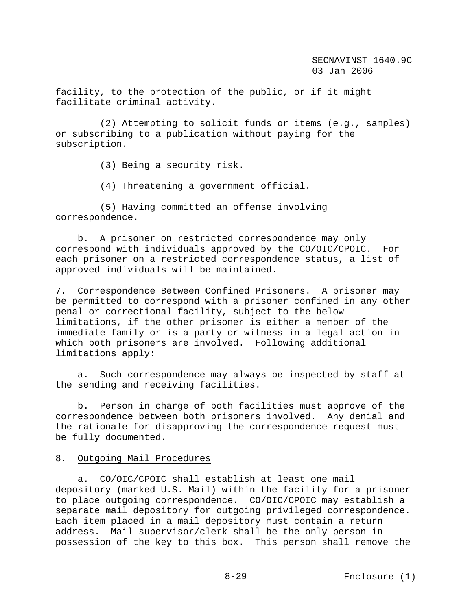facility, to the protection of the public, or if it might facilitate criminal activity.

 (2) Attempting to solicit funds or items (e.g., samples) or subscribing to a publication without paying for the subscription.

(3) Being a security risk.

(4) Threatening a government official.

 (5) Having committed an offense involving correspondence.

 b. A prisoner on restricted correspondence may only correspond with individuals approved by the CO/OIC/CPOIC. For each prisoner on a restricted correspondence status, a list of approved individuals will be maintained.

7. Correspondence Between Confined Prisoners. A prisoner may be permitted to correspond with a prisoner confined in any other penal or correctional facility, subject to the below limitations, if the other prisoner is either a member of the immediate family or is a party or witness in a legal action in which both prisoners are involved. Following additional limitations apply:

 a. Such correspondence may always be inspected by staff at the sending and receiving facilities.

 b. Person in charge of both facilities must approve of the correspondence between both prisoners involved. Any denial and the rationale for disapproving the correspondence request must be fully documented.

## 8. Outgoing Mail Procedures

 a. CO/OIC/CPOIC shall establish at least one mail depository (marked U.S. Mail) within the facility for a prisoner to place outgoing correspondence. CO/OIC/CPOIC may establish a separate mail depository for outgoing privileged correspondence. Each item placed in a mail depository must contain a return address. Mail supervisor/clerk shall be the only person in possession of the key to this box. This person shall remove the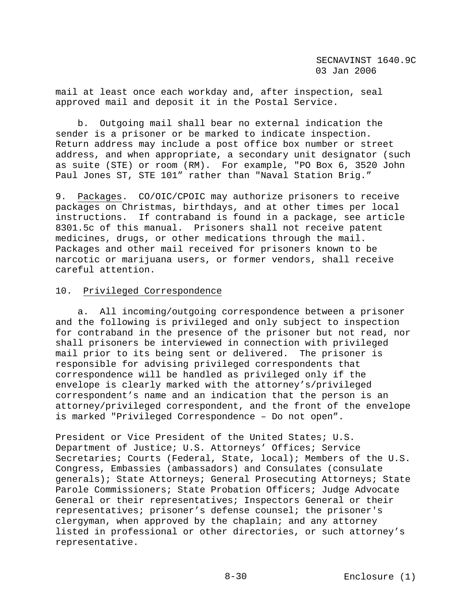mail at least once each workday and, after inspection, seal approved mail and deposit it in the Postal Service.

 b. Outgoing mail shall bear no external indication the sender is a prisoner or be marked to indicate inspection. Return address may include a post office box number or street address, and when appropriate, a secondary unit designator (such as suite (STE) or room (RM). For example, "PO Box 6, 3520 John Paul Jones ST, STE 101" rather than "Naval Station Brig."

9. Packages. CO/OIC/CPOIC may authorize prisoners to receive packages on Christmas, birthdays, and at other times per local instructions. If contraband is found in a package, see article 8301.5c of this manual. Prisoners shall not receive patent medicines, drugs, or other medications through the mail. Packages and other mail received for prisoners known to be narcotic or marijuana users, or former vendors, shall receive careful attention.

# 10. Privileged Correspondence

 a. All incoming/outgoing correspondence between a prisoner and the following is privileged and only subject to inspection for contraband in the presence of the prisoner but not read, nor shall prisoners be interviewed in connection with privileged mail prior to its being sent or delivered. The prisoner is responsible for advising privileged correspondents that correspondence will be handled as privileged only if the envelope is clearly marked with the attorney's/privileged correspondent's name and an indication that the person is an attorney/privileged correspondent, and the front of the envelope is marked "Privileged Correspondence – Do not open".

President or Vice President of the United States; U.S. Department of Justice; U.S. Attorneys' Offices; Service Secretaries; Courts (Federal, State, local); Members of the U.S. Congress, Embassies (ambassadors) and Consulates (consulate generals); State Attorneys; General Prosecuting Attorneys; State Parole Commissioners; State Probation Officers; Judge Advocate General or their representatives; Inspectors General or their representatives; prisoner's defense counsel; the prisoner's clergyman, when approved by the chaplain; and any attorney listed in professional or other directories, or such attorney's representative.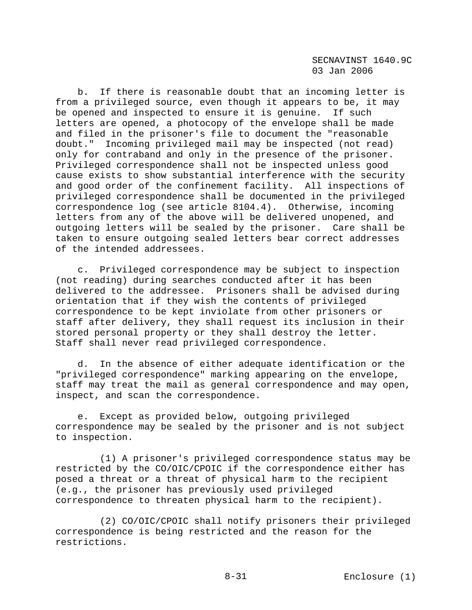b. If there is reasonable doubt that an incoming letter is from a privileged source, even though it appears to be, it may be opened and inspected to ensure it is genuine. If such letters are opened, a photocopy of the envelope shall be made and filed in the prisoner's file to document the "reasonable doubt." Incoming privileged mail may be inspected (not read) only for contraband and only in the presence of the prisoner. Privileged correspondence shall not be inspected unless good cause exists to show substantial interference with the security and good order of the confinement facility. All inspections of privileged correspondence shall be documented in the privileged correspondence log (see article 8104.4). Otherwise, incoming letters from any of the above will be delivered unopened, and outgoing letters will be sealed by the prisoner. Care shall be taken to ensure outgoing sealed letters bear correct addresses of the intended addressees.

 c. Privileged correspondence may be subject to inspection (not reading) during searches conducted after it has been delivered to the addressee. Prisoners shall be advised during orientation that if they wish the contents of privileged correspondence to be kept inviolate from other prisoners or staff after delivery, they shall request its inclusion in their stored personal property or they shall destroy the letter. Staff shall never read privileged correspondence.

 d. In the absence of either adequate identification or the "privileged correspondence" marking appearing on the envelope, staff may treat the mail as general correspondence and may open, inspect, and scan the correspondence.

 e. Except as provided below, outgoing privileged correspondence may be sealed by the prisoner and is not subject to inspection.

 (1) A prisoner's privileged correspondence status may be restricted by the CO/OIC/CPOIC if the correspondence either has posed a threat or a threat of physical harm to the recipient (e.g., the prisoner has previously used privileged correspondence to threaten physical harm to the recipient).

 (2) CO/OIC/CPOIC shall notify prisoners their privileged correspondence is being restricted and the reason for the restrictions.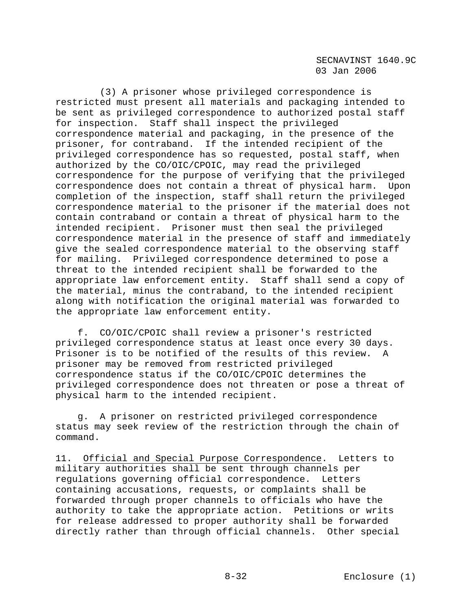(3) A prisoner whose privileged correspondence is restricted must present all materials and packaging intended to be sent as privileged correspondence to authorized postal staff for inspection. Staff shall inspect the privileged correspondence material and packaging, in the presence of the prisoner, for contraband. If the intended recipient of the privileged correspondence has so requested, postal staff, when authorized by the CO/OIC/CPOIC, may read the privileged correspondence for the purpose of verifying that the privileged correspondence does not contain a threat of physical harm. Upon completion of the inspection, staff shall return the privileged correspondence material to the prisoner if the material does not contain contraband or contain a threat of physical harm to the intended recipient. Prisoner must then seal the privileged correspondence material in the presence of staff and immediately give the sealed correspondence material to the observing staff for mailing. Privileged correspondence determined to pose a threat to the intended recipient shall be forwarded to the appropriate law enforcement entity. Staff shall send a copy of the material, minus the contraband, to the intended recipient along with notification the original material was forwarded to the appropriate law enforcement entity.

 f. CO/OIC/CPOIC shall review a prisoner's restricted privileged correspondence status at least once every 30 days. Prisoner is to be notified of the results of this review. A prisoner may be removed from restricted privileged correspondence status if the CO/OIC/CPOIC determines the privileged correspondence does not threaten or pose a threat of physical harm to the intended recipient.

 g. A prisoner on restricted privileged correspondence status may seek review of the restriction through the chain of command.

11. Official and Special Purpose Correspondence. Letters to military authorities shall be sent through channels per regulations governing official correspondence. Letters containing accusations, requests, or complaints shall be forwarded through proper channels to officials who have the authority to take the appropriate action. Petitions or writs for release addressed to proper authority shall be forwarded directly rather than through official channels. Other special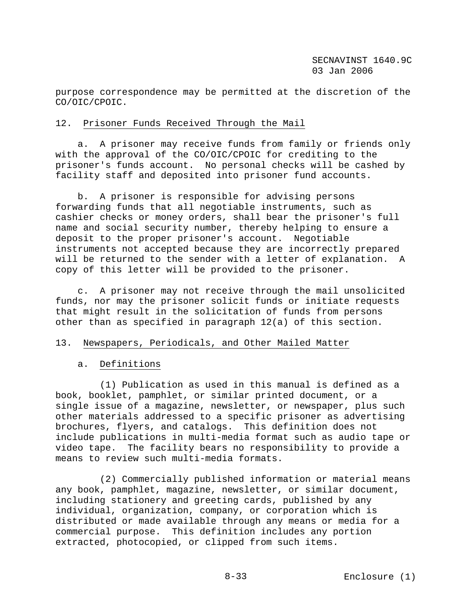purpose correspondence may be permitted at the discretion of the CO/OIC/CPOIC.

# 12. Prisoner Funds Received Through the Mail

 a. A prisoner may receive funds from family or friends only with the approval of the CO/OIC/CPOIC for crediting to the prisoner's funds account. No personal checks will be cashed by facility staff and deposited into prisoner fund accounts.

 b. A prisoner is responsible for advising persons forwarding funds that all negotiable instruments, such as cashier checks or money orders, shall bear the prisoner's full name and social security number, thereby helping to ensure a deposit to the proper prisoner's account. Negotiable instruments not accepted because they are incorrectly prepared will be returned to the sender with a letter of explanation. A copy of this letter will be provided to the prisoner.

 c. A prisoner may not receive through the mail unsolicited funds, nor may the prisoner solicit funds or initiate requests that might result in the solicitation of funds from persons other than as specified in paragraph 12(a) of this section.

### 13. Newspapers, Periodicals, and Other Mailed Matter

### a. Definitions

 (1) Publication as used in this manual is defined as a book, booklet, pamphlet, or similar printed document, or a single issue of a magazine, newsletter, or newspaper, plus such other materials addressed to a specific prisoner as advertising brochures, flyers, and catalogs. This definition does not include publications in multi-media format such as audio tape or video tape. The facility bears no responsibility to provide a means to review such multi-media formats.

 (2) Commercially published information or material means any book, pamphlet, magazine, newsletter, or similar document, including stationery and greeting cards, published by any individual, organization, company, or corporation which is distributed or made available through any means or media for a commercial purpose. This definition includes any portion extracted, photocopied, or clipped from such items.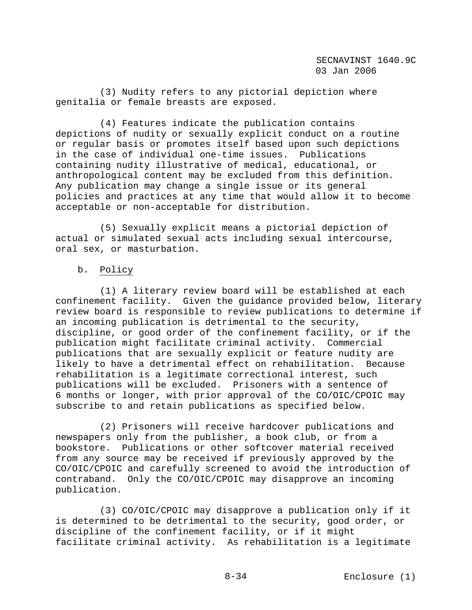(3) Nudity refers to any pictorial depiction where genitalia or female breasts are exposed.

 (4) Features indicate the publication contains depictions of nudity or sexually explicit conduct on a routine or regular basis or promotes itself based upon such depictions in the case of individual one-time issues. Publications containing nudity illustrative of medical, educational, or anthropological content may be excluded from this definition. Any publication may change a single issue or its general policies and practices at any time that would allow it to become acceptable or non-acceptable for distribution.

 (5) Sexually explicit means a pictorial depiction of actual or simulated sexual acts including sexual intercourse, oral sex, or masturbation.

# b. Policy

 (1) A literary review board will be established at each confinement facility. Given the guidance provided below, literary review board is responsible to review publications to determine if an incoming publication is detrimental to the security, discipline, or good order of the confinement facility, or if the publication might facilitate criminal activity. Commercial publications that are sexually explicit or feature nudity are likely to have a detrimental effect on rehabilitation. Because rehabilitation is a legitimate correctional interest, such publications will be excluded. Prisoners with a sentence of 6 months or longer, with prior approval of the CO/OIC/CPOIC may subscribe to and retain publications as specified below.

 (2) Prisoners will receive hardcover publications and newspapers only from the publisher, a book club, or from a bookstore. Publications or other softcover material received from any source may be received if previously approved by the CO/OIC/CPOIC and carefully screened to avoid the introduction of contraband. Only the CO/OIC/CPOIC may disapprove an incoming publication.

 (3) CO/OIC/CPOIC may disapprove a publication only if it is determined to be detrimental to the security, good order, or discipline of the confinement facility, or if it might facilitate criminal activity. As rehabilitation is a legitimate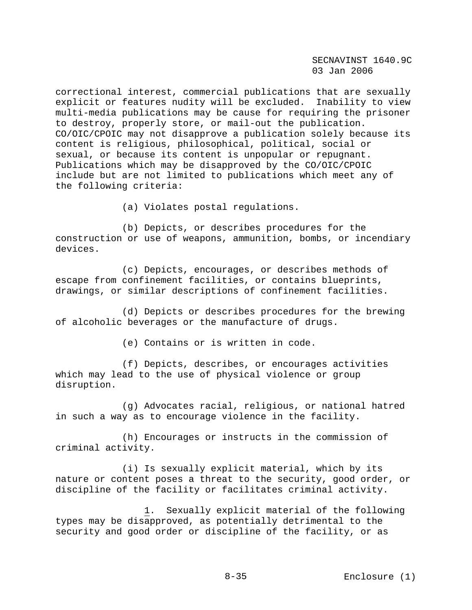correctional interest, commercial publications that are sexually explicit or features nudity will be excluded. Inability to view multi-media publications may be cause for requiring the prisoner to destroy, properly store, or mail-out the publication. CO/OIC/CPOIC may not disapprove a publication solely because its content is religious, philosophical, political, social or sexual, or because its content is unpopular or repugnant. Publications which may be disapproved by the CO/OIC/CPOIC include but are not limited to publications which meet any of the following criteria:

(a) Violates postal regulations.

 (b) Depicts, or describes procedures for the construction or use of weapons, ammunition, bombs, or incendiary devices.

 (c) Depicts, encourages, or describes methods of escape from confinement facilities, or contains blueprints, drawings, or similar descriptions of confinement facilities.

 (d) Depicts or describes procedures for the brewing of alcoholic beverages or the manufacture of drugs.

(e) Contains or is written in code.

 (f) Depicts, describes, or encourages activities which may lead to the use of physical violence or group disruption.

 (g) Advocates racial, religious, or national hatred in such a way as to encourage violence in the facility.

 (h) Encourages or instructs in the commission of criminal activity.

 (i) Is sexually explicit material, which by its nature or content poses a threat to the security, good order, or discipline of the facility or facilitates criminal activity.

 1. Sexually explicit material of the following types may be disapproved, as potentially detrimental to the security and good order or discipline of the facility, or as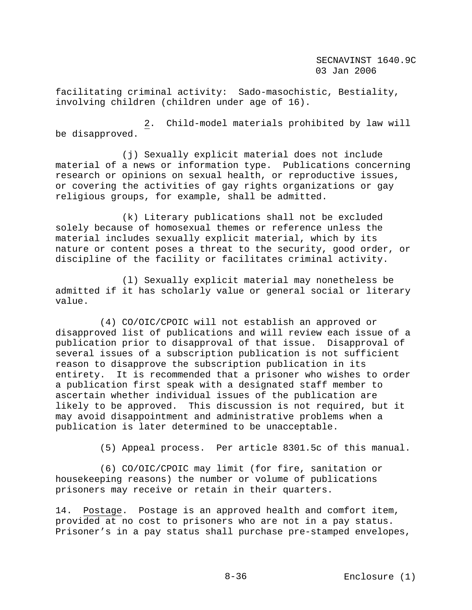facilitating criminal activity: Sado-masochistic, Bestiality, involving children (children under age of 16).

 2. Child-model materials prohibited by law will be disapproved.

 (j) Sexually explicit material does not include material of a news or information type. Publications concerning research or opinions on sexual health, or reproductive issues, or covering the activities of gay rights organizations or gay religious groups, for example, shall be admitted.

 (k) Literary publications shall not be excluded solely because of homosexual themes or reference unless the material includes sexually explicit material, which by its nature or content poses a threat to the security, good order, or discipline of the facility or facilitates criminal activity.

 (l) Sexually explicit material may nonetheless be admitted if it has scholarly value or general social or literary value.

 (4) CO/OIC/CPOIC will not establish an approved or disapproved list of publications and will review each issue of a publication prior to disapproval of that issue. Disapproval of several issues of a subscription publication is not sufficient reason to disapprove the subscription publication in its entirety. It is recommended that a prisoner who wishes to order a publication first speak with a designated staff member to ascertain whether individual issues of the publication are likely to be approved. This discussion is not required, but it may avoid disappointment and administrative problems when a publication is later determined to be unacceptable.

(5) Appeal process. Per article 8301.5c of this manual.

 (6) CO/OIC/CPOIC may limit (for fire, sanitation or housekeeping reasons) the number or volume of publications prisoners may receive or retain in their quarters.

14. Postage. Postage is an approved health and comfort item, provided at no cost to prisoners who are not in a pay status. Prisoner's in a pay status shall purchase pre-stamped envelopes,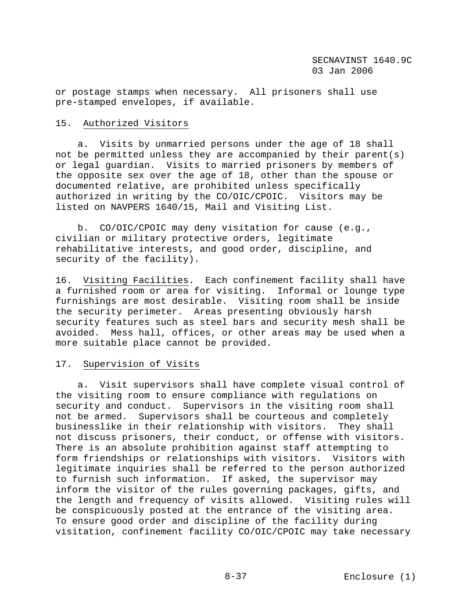or postage stamps when necessary. All prisoners shall use pre-stamped envelopes, if available.

# 15. Authorized Visitors

 a. Visits by unmarried persons under the age of 18 shall not be permitted unless they are accompanied by their parent(s) or legal guardian. Visits to married prisoners by members of the opposite sex over the age of 18, other than the spouse or documented relative, are prohibited unless specifically authorized in writing by the CO/OIC/CPOIC. Visitors may be listed on NAVPERS 1640/15, Mail and Visiting List.

 b. CO/OIC/CPOIC may deny visitation for cause (e.g., civilian or military protective orders, legitimate rehabilitative interests, and good order, discipline, and security of the facility).

16. Visiting Facilities. Each confinement facility shall have a furnished room or area for visiting. Informal or lounge type furnishings are most desirable. Visiting room shall be inside the security perimeter. Areas presenting obviously harsh security features such as steel bars and security mesh shall be avoided. Mess hall, offices, or other areas may be used when a more suitable place cannot be provided.

# 17. Supervision of Visits

 a. Visit supervisors shall have complete visual control of the visiting room to ensure compliance with regulations on security and conduct. Supervisors in the visiting room shall not be armed. Supervisors shall be courteous and completely businesslike in their relationship with visitors. They shall not discuss prisoners, their conduct, or offense with visitors. There is an absolute prohibition against staff attempting to form friendships or relationships with visitors. Visitors with legitimate inquiries shall be referred to the person authorized to furnish such information. If asked, the supervisor may inform the visitor of the rules governing packages, gifts, and the length and frequency of visits allowed. Visiting rules will be conspicuously posted at the entrance of the visiting area. To ensure good order and discipline of the facility during visitation, confinement facility CO/OIC/CPOIC may take necessary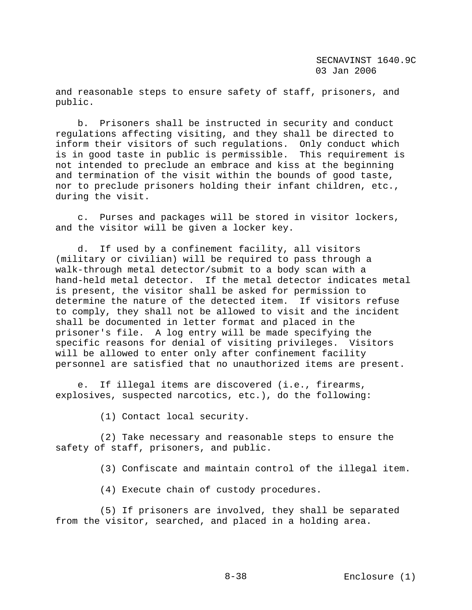and reasonable steps to ensure safety of staff, prisoners, and public.

 b. Prisoners shall be instructed in security and conduct regulations affecting visiting, and they shall be directed to inform their visitors of such regulations. Only conduct which is in good taste in public is permissible. This requirement is not intended to preclude an embrace and kiss at the beginning and termination of the visit within the bounds of good taste, nor to preclude prisoners holding their infant children, etc., during the visit.

 c. Purses and packages will be stored in visitor lockers, and the visitor will be given a locker key.

 d. If used by a confinement facility, all visitors (military or civilian) will be required to pass through a walk-through metal detector/submit to a body scan with a hand-held metal detector. If the metal detector indicates metal is present, the visitor shall be asked for permission to determine the nature of the detected item. If visitors refuse to comply, they shall not be allowed to visit and the incident shall be documented in letter format and placed in the prisoner's file. A log entry will be made specifying the specific reasons for denial of visiting privileges. Visitors will be allowed to enter only after confinement facility personnel are satisfied that no unauthorized items are present.

 e. If illegal items are discovered (i.e., firearms, explosives, suspected narcotics, etc.), do the following:

(1) Contact local security.

 (2) Take necessary and reasonable steps to ensure the safety of staff, prisoners, and public.

(3) Confiscate and maintain control of the illegal item.

(4) Execute chain of custody procedures.

 (5) If prisoners are involved, they shall be separated from the visitor, searched, and placed in a holding area.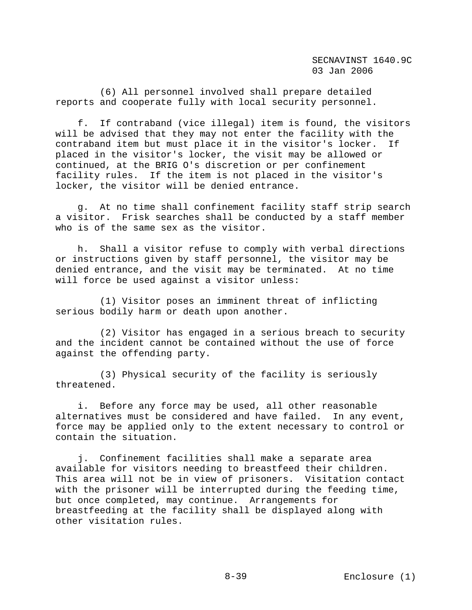(6) All personnel involved shall prepare detailed reports and cooperate fully with local security personnel.

 f. If contraband (vice illegal) item is found, the visitors will be advised that they may not enter the facility with the contraband item but must place it in the visitor's locker. If placed in the visitor's locker, the visit may be allowed or continued, at the BRIG O's discretion or per confinement facility rules. If the item is not placed in the visitor's locker, the visitor will be denied entrance.

 g. At no time shall confinement facility staff strip search a visitor. Frisk searches shall be conducted by a staff member who is of the same sex as the visitor.

 h. Shall a visitor refuse to comply with verbal directions or instructions given by staff personnel, the visitor may be denied entrance, and the visit may be terminated. At no time will force be used against a visitor unless:

 (1) Visitor poses an imminent threat of inflicting serious bodily harm or death upon another.

 (2) Visitor has engaged in a serious breach to security and the incident cannot be contained without the use of force against the offending party.

 (3) Physical security of the facility is seriously threatened.

 i. Before any force may be used, all other reasonable alternatives must be considered and have failed. In any event, force may be applied only to the extent necessary to control or contain the situation.

 j. Confinement facilities shall make a separate area available for visitors needing to breastfeed their children. This area will not be in view of prisoners. Visitation contact with the prisoner will be interrupted during the feeding time, but once completed, may continue. Arrangements for breastfeeding at the facility shall be displayed along with other visitation rules.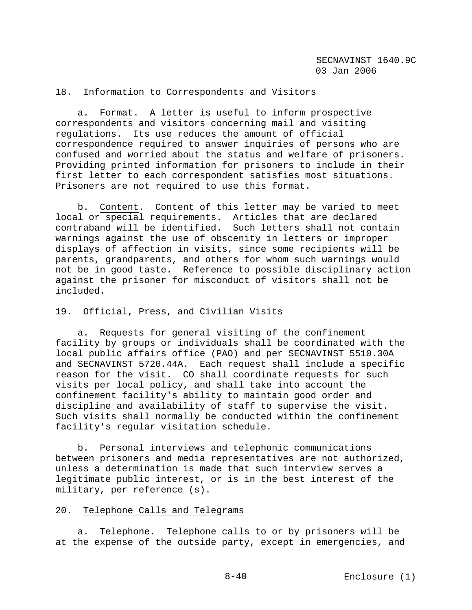# 18. Information to Correspondents and Visitors

 a. Format. A letter is useful to inform prospective correspondents and visitors concerning mail and visiting regulations. Its use reduces the amount of official correspondence required to answer inquiries of persons who are confused and worried about the status and welfare of prisoners. Providing printed information for prisoners to include in their first letter to each correspondent satisfies most situations. Prisoners are not required to use this format.

 b. Content. Content of this letter may be varied to meet local or special requirements. Articles that are declared contraband will be identified. Such letters shall not contain warnings against the use of obscenity in letters or improper displays of affection in visits, since some recipients will be parents, grandparents, and others for whom such warnings would not be in good taste. Reference to possible disciplinary action against the prisoner for misconduct of visitors shall not be included.

### 19. Official, Press, and Civilian Visits

 a. Requests for general visiting of the confinement facility by groups or individuals shall be coordinated with the local public affairs office (PAO) and per SECNAVINST 5510.30A and SECNAVINST 5720.44A. Each request shall include a specific reason for the visit. CO shall coordinate requests for such visits per local policy, and shall take into account the confinement facility's ability to maintain good order and discipline and availability of staff to supervise the visit. Such visits shall normally be conducted within the confinement facility's regular visitation schedule.

 b. Personal interviews and telephonic communications between prisoners and media representatives are not authorized, unless a determination is made that such interview serves a legitimate public interest, or is in the best interest of the military, per reference (s).

# 20. Telephone Calls and Telegrams

 a. Telephone. Telephone calls to or by prisoners will be at the expense of the outside party, except in emergencies, and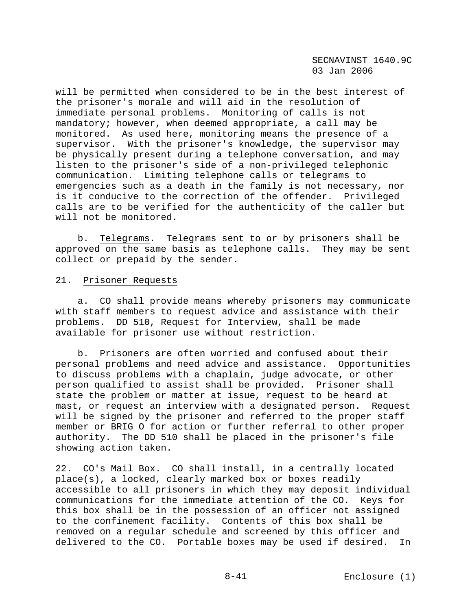will be permitted when considered to be in the best interest of the prisoner's morale and will aid in the resolution of immediate personal problems. Monitoring of calls is not mandatory; however, when deemed appropriate, a call may be monitored. As used here, monitoring means the presence of a supervisor. With the prisoner's knowledge, the supervisor may be physically present during a telephone conversation, and may listen to the prisoner's side of a non-privileged telephonic communication. Limiting telephone calls or telegrams to emergencies such as a death in the family is not necessary, nor is it conducive to the correction of the offender. Privileged calls are to be verified for the authenticity of the caller but will not be monitored.

 b. Telegrams. Telegrams sent to or by prisoners shall be approved on the same basis as telephone calls. They may be sent collect or prepaid by the sender.

#### 21. Prisoner Requests

 a. CO shall provide means whereby prisoners may communicate with staff members to request advice and assistance with their problems. DD 510, Request for Interview, shall be made available for prisoner use without restriction.

 b. Prisoners are often worried and confused about their personal problems and need advice and assistance. Opportunities to discuss problems with a chaplain, judge advocate, or other person qualified to assist shall be provided. Prisoner shall state the problem or matter at issue, request to be heard at mast, or request an interview with a designated person. Request will be signed by the prisoner and referred to the proper staff member or BRIG O for action or further referral to other proper authority. The DD 510 shall be placed in the prisoner's file showing action taken.

22. CO's Mail Box. CO shall install, in a centrally located place(s), a locked, clearly marked box or boxes readily accessible to all prisoners in which they may deposit individual communications for the immediate attention of the CO. Keys for this box shall be in the possession of an officer not assigned to the confinement facility. Contents of this box shall be removed on a regular schedule and screened by this officer and delivered to the CO. Portable boxes may be used if desired. In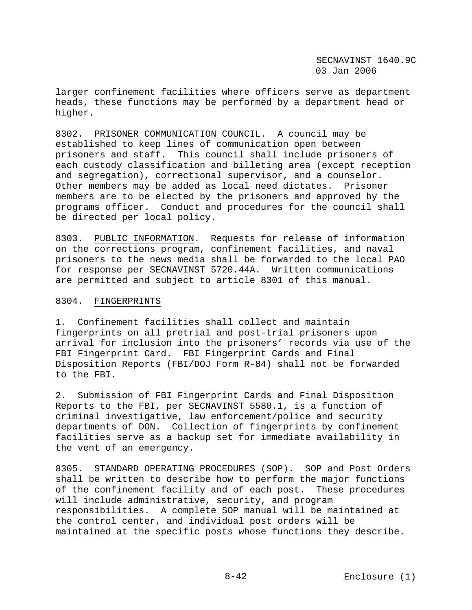larger confinement facilities where officers serve as department heads, these functions may be performed by a department head or higher.

8302. PRISONER COMMUNICATION COUNCIL. A council may be established to keep lines of communication open between prisoners and staff. This council shall include prisoners of each custody classification and billeting area (except reception and segregation), correctional supervisor, and a counselor. Other members may be added as local need dictates. Prisoner members are to be elected by the prisoners and approved by the programs officer. Conduct and procedures for the council shall be directed per local policy.

8303. PUBLIC INFORMATION. Requests for release of information on the corrections program, confinement facilities, and naval prisoners to the news media shall be forwarded to the local PAO for response per SECNAVINST 5720.44A. Written communications are permitted and subject to article 8301 of this manual.

#### 8304. FINGERPRINTS

1. Confinement facilities shall collect and maintain fingerprints on all pretrial and post-trial prisoners upon arrival for inclusion into the prisoners' records via use of the FBI Fingerprint Card. FBI Fingerprint Cards and Final Disposition Reports (FBI/DOJ Form R-84) shall not be forwarded to the FBI.

2. Submission of FBI Fingerprint Cards and Final Disposition Reports to the FBI, per SECNAVINST 5580.1, is a function of criminal investigative, law enforcement/police and security departments of DON. Collection of fingerprints by confinement facilities serve as a backup set for immediate availability in the vent of an emergency.

8305. STANDARD OPERATING PROCEDURES (SOP). SOP and Post Orders shall be written to describe how to perform the major functions of the confinement facility and of each post. These procedures will include administrative, security, and program responsibilities. A complete SOP manual will be maintained at the control center, and individual post orders will be maintained at the specific posts whose functions they describe.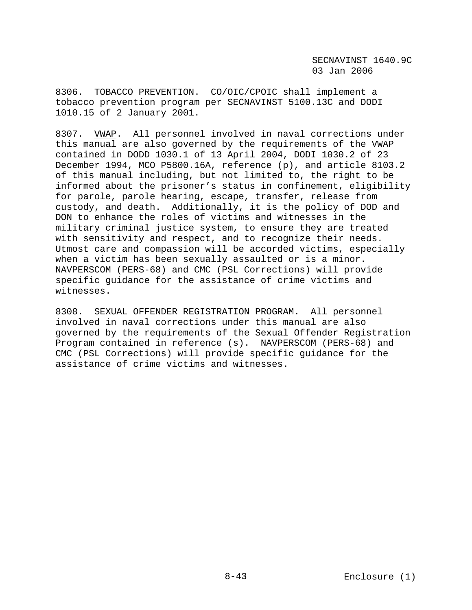8306. TOBACCO PREVENTION. CO/OIC/CPOIC shall implement a tobacco prevention program per SECNAVINST 5100.13C and DODI 1010.15 of 2 January 2001.

8307. VWAP. All personnel involved in naval corrections under this manual are also governed by the requirements of the VWAP contained in DODD 1030.1 of 13 April 2004, DODI 1030.2 of 23 December 1994, MCO P5800.16A, reference (p), and article 8103.2 of this manual including, but not limited to, the right to be informed about the prisoner's status in confinement, eligibility for parole, parole hearing, escape, transfer, release from custody, and death. Additionally, it is the policy of DOD and DON to enhance the roles of victims and witnesses in the military criminal justice system, to ensure they are treated with sensitivity and respect, and to recognize their needs. Utmost care and compassion will be accorded victims, especially when a victim has been sexually assaulted or is a minor. NAVPERSCOM (PERS-68) and CMC (PSL Corrections) will provide specific guidance for the assistance of crime victims and witnesses.

8308. SEXUAL OFFENDER REGISTRATION PROGRAM. All personnel involved in naval corrections under this manual are also governed by the requirements of the Sexual Offender Registration Program contained in reference (s). NAVPERSCOM (PERS-68) and CMC (PSL Corrections) will provide specific guidance for the assistance of crime victims and witnesses.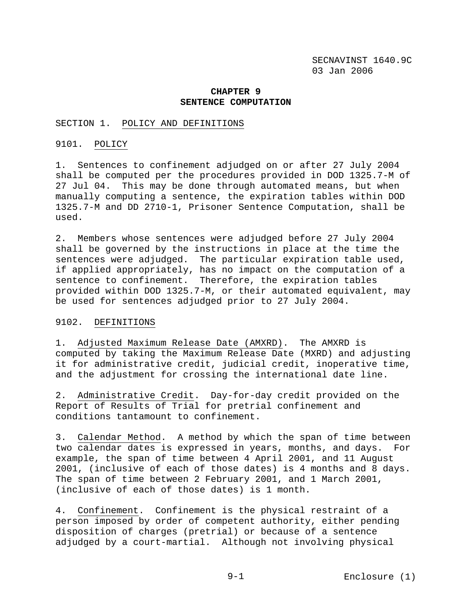### **CHAPTER 9 SENTENCE COMPUTATION**

#### SECTION 1. POLICY AND DEFINITIONS

#### 9101. POLICY

1. Sentences to confinement adjudged on or after 27 July 2004 shall be computed per the procedures provided in DOD 1325.7-M of 27 Jul 04. This may be done through automated means, but when manually computing a sentence, the expiration tables within DOD 1325.7-M and DD 2710-1, Prisoner Sentence Computation, shall be used.

2. Members whose sentences were adjudged before 27 July 2004 shall be governed by the instructions in place at the time the sentences were adjudged. The particular expiration table used, if applied appropriately, has no impact on the computation of a sentence to confinement. Therefore, the expiration tables provided within DOD 1325.7-M, or their automated equivalent, may be used for sentences adjudged prior to 27 July 2004.

#### 9102. DEFINITIONS

1. Adjusted Maximum Release Date (AMXRD). The AMXRD is computed by taking the Maximum Release Date (MXRD) and adjusting it for administrative credit, judicial credit, inoperative time, and the adjustment for crossing the international date line.

2. Administrative Credit. Day-for-day credit provided on the Report of Results of Trial for pretrial confinement and conditions tantamount to confinement.

3. Calendar Method. A method by which the span of time between two calendar dates is expressed in years, months, and days. For example, the span of time between 4 April 2001, and 11 August 2001, (inclusive of each of those dates) is 4 months and 8 days. The span of time between 2 February 2001, and 1 March 2001, (inclusive of each of those dates) is 1 month.

4. Confinement. Confinement is the physical restraint of a person imposed by order of competent authority, either pending disposition of charges (pretrial) or because of a sentence adjudged by a court-martial. Although not involving physical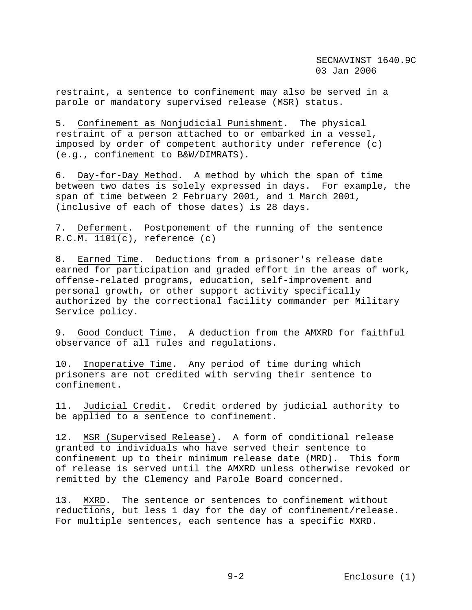restraint, a sentence to confinement may also be served in a parole or mandatory supervised release (MSR) status.

5. Confinement as Nonjudicial Punishment. The physical restraint of a person attached to or embarked in a vessel, imposed by order of competent authority under reference (c) (e.g., confinement to B&W/DIMRATS).

6. Day-for-Day Method. A method by which the span of time between two dates is solely expressed in days. For example, the span of time between 2 February 2001, and 1 March 2001, (inclusive of each of those dates) is 28 days.

7. Deferment. Postponement of the running of the sentence  $R.C.M. 1101(c)$ , reference  $(c)$ 

8. Earned Time. Deductions from a prisoner's release date earned for participation and graded effort in the areas of work, offense-related programs, education, self-improvement and personal growth, or other support activity specifically authorized by the correctional facility commander per Military Service policy.

9. Good Conduct Time. A deduction from the AMXRD for faithful observance of all rules and regulations.

10. Inoperative Time. Any period of time during which prisoners are not credited with serving their sentence to confinement.

11. Judicial Credit. Credit ordered by judicial authority to be applied to a sentence to confinement.

12. MSR (Supervised Release). A form of conditional release granted to individuals who have served their sentence to confinement up to their minimum release date (MRD). This form of release is served until the AMXRD unless otherwise revoked or remitted by the Clemency and Parole Board concerned.

13. MXRD. The sentence or sentences to confinement without reductions, but less 1 day for the day of confinement/release. For multiple sentences, each sentence has a specific MXRD.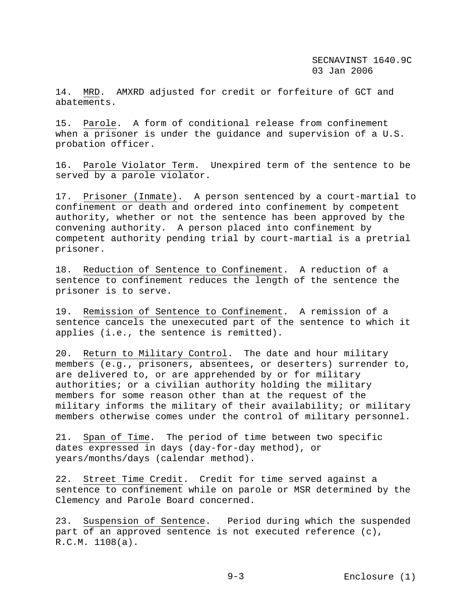14. MRD. AMXRD adjusted for credit or forfeiture of GCT and abatements.

15. Parole. A form of conditional release from confinement when a prisoner is under the guidance and supervision of a U.S. probation officer.

16. Parole Violator Term. Unexpired term of the sentence to be served by a parole violator.

17. Prisoner (Inmate). A person sentenced by a court-martial to confinement or death and ordered into confinement by competent authority, whether or not the sentence has been approved by the convening authority. A person placed into confinement by competent authority pending trial by court-martial is a pretrial prisoner.

18. Reduction of Sentence to Confinement. A reduction of a sentence to confinement reduces the length of the sentence the prisoner is to serve.

19. Remission of Sentence to Confinement. A remission of a sentence cancels the unexecuted part of the sentence to which it applies (i.e., the sentence is remitted).

20. Return to Military Control. The date and hour military members (e.g., prisoners, absentees, or deserters) surrender to, are delivered to, or are apprehended by or for military authorities; or a civilian authority holding the military members for some reason other than at the request of the military informs the military of their availability; or military members otherwise comes under the control of military personnel.

21. Span of Time. The period of time between two specific dates expressed in days (day-for-day method), or years/months/days (calendar method).

22. Street Time Credit. Credit for time served against a sentence to confinement while on parole or MSR determined by the Clemency and Parole Board concerned.

23. Suspension of Sentence. Period during which the suspended part of an approved sentence is not executed reference (c), R.C.M. 1108(a).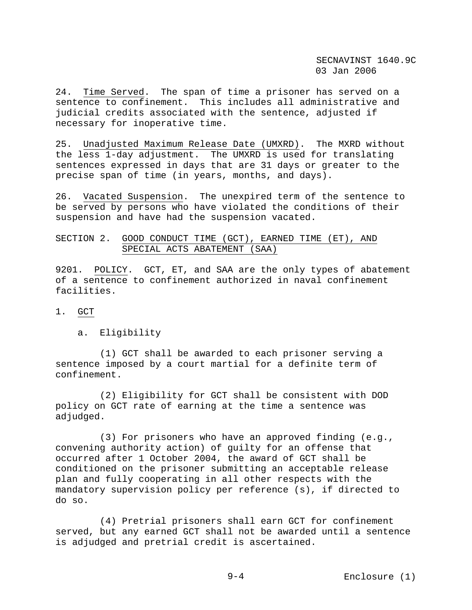24. Time Served. The span of time a prisoner has served on a sentence to confinement. This includes all administrative and judicial credits associated with the sentence, adjusted if necessary for inoperative time.

25. Unadjusted Maximum Release Date (UMXRD). The MXRD without the less 1-day adjustment. The UMXRD is used for translating sentences expressed in days that are 31 days or greater to the precise span of time (in years, months, and days).

26. Vacated Suspension. The unexpired term of the sentence to be served by persons who have violated the conditions of their suspension and have had the suspension vacated.

# SECTION 2. GOOD CONDUCT TIME (GCT), EARNED TIME (ET), AND SPECIAL ACTS ABATEMENT (SAA)

9201. POLICY. GCT, ET, and SAA are the only types of abatement of a sentence to confinement authorized in naval confinement facilities.

### 1. GCT

a. Eligibility

 (1) GCT shall be awarded to each prisoner serving a sentence imposed by a court martial for a definite term of confinement.

 (2) Eligibility for GCT shall be consistent with DOD policy on GCT rate of earning at the time a sentence was adjudged.

 (3) For prisoners who have an approved finding (e.g., convening authority action) of guilty for an offense that occurred after 1 October 2004, the award of GCT shall be conditioned on the prisoner submitting an acceptable release plan and fully cooperating in all other respects with the mandatory supervision policy per reference (s), if directed to do so.

 (4) Pretrial prisoners shall earn GCT for confinement served, but any earned GCT shall not be awarded until a sentence is adjudged and pretrial credit is ascertained.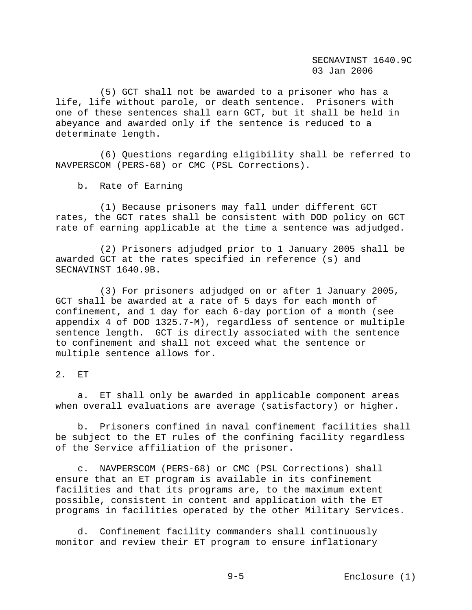(5) GCT shall not be awarded to a prisoner who has a life, life without parole, or death sentence. Prisoners with one of these sentences shall earn GCT, but it shall be held in abeyance and awarded only if the sentence is reduced to a determinate length.

 (6) Questions regarding eligibility shall be referred to NAVPERSCOM (PERS-68) or CMC (PSL Corrections).

b. Rate of Earning

 (1) Because prisoners may fall under different GCT rates, the GCT rates shall be consistent with DOD policy on GCT rate of earning applicable at the time a sentence was adjudged.

 (2) Prisoners adjudged prior to 1 January 2005 shall be awarded GCT at the rates specified in reference (s) and SECNAVINST 1640.9B.

 (3) For prisoners adjudged on or after 1 January 2005, GCT shall be awarded at a rate of 5 days for each month of confinement, and 1 day for each 6-day portion of a month (see appendix 4 of DOD 1325.7-M), regardless of sentence or multiple sentence length. GCT is directly associated with the sentence to confinement and shall not exceed what the sentence or multiple sentence allows for.

### 2. ET

 a. ET shall only be awarded in applicable component areas when overall evaluations are average (satisfactory) or higher.

 b. Prisoners confined in naval confinement facilities shall be subject to the ET rules of the confining facility regardless of the Service affiliation of the prisoner.

 c. NAVPERSCOM (PERS-68) or CMC (PSL Corrections) shall ensure that an ET program is available in its confinement facilities and that its programs are, to the maximum extent possible, consistent in content and application with the ET programs in facilities operated by the other Military Services.

 d. Confinement facility commanders shall continuously monitor and review their ET program to ensure inflationary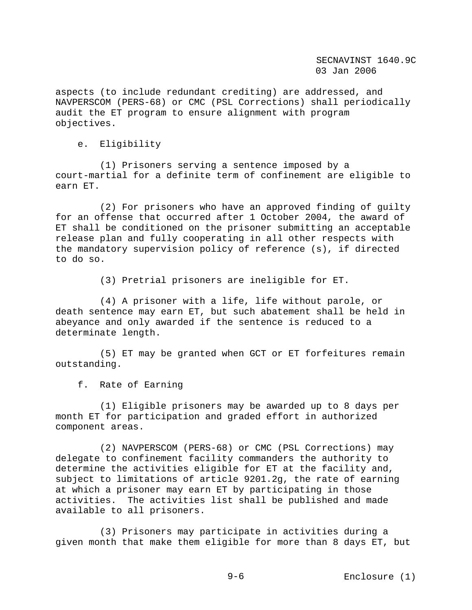aspects (to include redundant crediting) are addressed, and NAVPERSCOM (PERS-68) or CMC (PSL Corrections) shall periodically audit the ET program to ensure alignment with program objectives.

e. Eligibility

 (1) Prisoners serving a sentence imposed by a court-martial for a definite term of confinement are eligible to earn ET.

 (2) For prisoners who have an approved finding of guilty for an offense that occurred after 1 October 2004, the award of ET shall be conditioned on the prisoner submitting an acceptable release plan and fully cooperating in all other respects with the mandatory supervision policy of reference (s), if directed to do so.

(3) Pretrial prisoners are ineligible for ET.

 (4) A prisoner with a life, life without parole, or death sentence may earn ET, but such abatement shall be held in abeyance and only awarded if the sentence is reduced to a determinate length.

 (5) ET may be granted when GCT or ET forfeitures remain outstanding.

f. Rate of Earning

 (1) Eligible prisoners may be awarded up to 8 days per month ET for participation and graded effort in authorized component areas.

 (2) NAVPERSCOM (PERS-68) or CMC (PSL Corrections) may delegate to confinement facility commanders the authority to determine the activities eligible for ET at the facility and, subject to limitations of article 9201.2g, the rate of earning at which a prisoner may earn ET by participating in those activities. The activities list shall be published and made available to all prisoners.

 (3) Prisoners may participate in activities during a given month that make them eligible for more than 8 days ET, but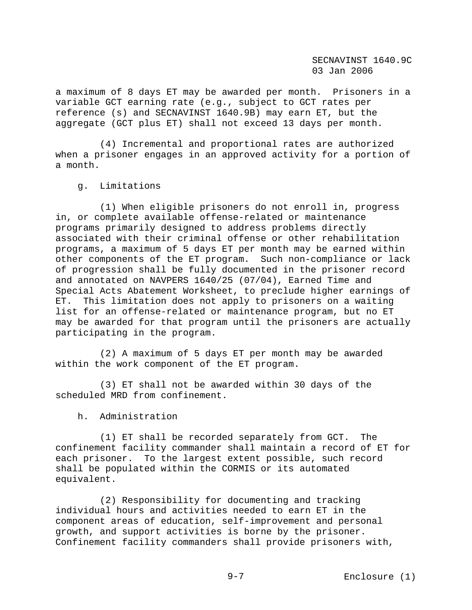a maximum of 8 days ET may be awarded per month. Prisoners in a variable GCT earning rate (e.g., subject to GCT rates per reference (s) and SECNAVINST 1640.9B) may earn ET, but the aggregate (GCT plus ET) shall not exceed 13 days per month.

 (4) Incremental and proportional rates are authorized when a prisoner engages in an approved activity for a portion of a month.

g. Limitations

 (1) When eligible prisoners do not enroll in, progress in, or complete available offense-related or maintenance programs primarily designed to address problems directly associated with their criminal offense or other rehabilitation programs, a maximum of 5 days ET per month may be earned within other components of the ET program. Such non-compliance or lack of progression shall be fully documented in the prisoner record and annotated on NAVPERS 1640/25 (07/04), Earned Time and Special Acts Abatement Worksheet, to preclude higher earnings of ET. This limitation does not apply to prisoners on a waiting list for an offense-related or maintenance program, but no ET may be awarded for that program until the prisoners are actually participating in the program.

 (2) A maximum of 5 days ET per month may be awarded within the work component of the ET program.

 (3) ET shall not be awarded within 30 days of the scheduled MRD from confinement.

h. Administration

 (1) ET shall be recorded separately from GCT. The confinement facility commander shall maintain a record of ET for each prisoner. To the largest extent possible, such record shall be populated within the CORMIS or its automated equivalent.

 (2) Responsibility for documenting and tracking individual hours and activities needed to earn ET in the component areas of education, self-improvement and personal growth, and support activities is borne by the prisoner. Confinement facility commanders shall provide prisoners with,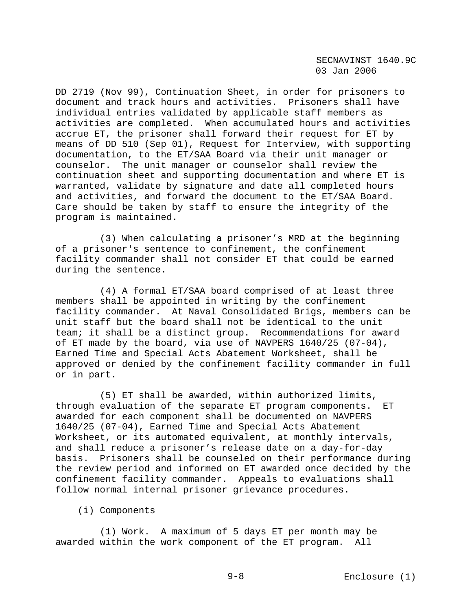DD 2719 (Nov 99), Continuation Sheet, in order for prisoners to document and track hours and activities. Prisoners shall have individual entries validated by applicable staff members as activities are completed. When accumulated hours and activities accrue ET, the prisoner shall forward their request for ET by means of DD 510 (Sep 01), Request for Interview, with supporting documentation, to the ET/SAA Board via their unit manager or counselor. The unit manager or counselor shall review the continuation sheet and supporting documentation and where ET is warranted, validate by signature and date all completed hours and activities, and forward the document to the ET/SAA Board. Care should be taken by staff to ensure the integrity of the program is maintained.

 (3) When calculating a prisoner's MRD at the beginning of a prisoner's sentence to confinement, the confinement facility commander shall not consider ET that could be earned during the sentence.

 (4) A formal ET/SAA board comprised of at least three members shall be appointed in writing by the confinement facility commander. At Naval Consolidated Brigs, members can be unit staff but the board shall not be identical to the unit team; it shall be a distinct group. Recommendations for award of ET made by the board, via use of NAVPERS 1640/25 (07-04), Earned Time and Special Acts Abatement Worksheet, shall be approved or denied by the confinement facility commander in full or in part.

 (5) ET shall be awarded, within authorized limits, through evaluation of the separate ET program components. ET awarded for each component shall be documented on NAVPERS 1640/25 (07-04), Earned Time and Special Acts Abatement Worksheet, or its automated equivalent, at monthly intervals, and shall reduce a prisoner's release date on a day-for-day basis. Prisoners shall be counseled on their performance during the review period and informed on ET awarded once decided by the confinement facility commander. Appeals to evaluations shall follow normal internal prisoner grievance procedures.

### (i) Components

 (1) Work. A maximum of 5 days ET per month may be awarded within the work component of the ET program. All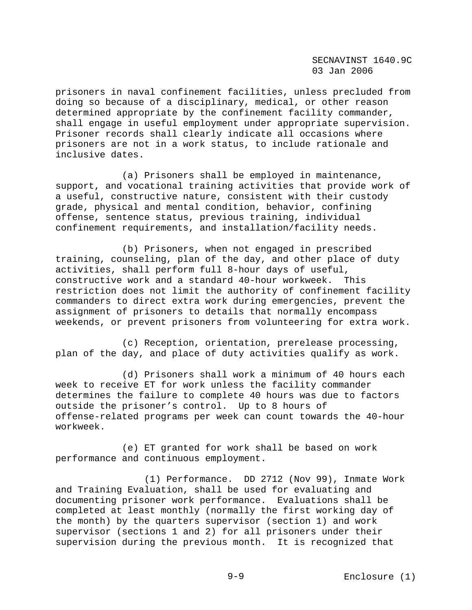prisoners in naval confinement facilities, unless precluded from doing so because of a disciplinary, medical, or other reason determined appropriate by the confinement facility commander, shall engage in useful employment under appropriate supervision. Prisoner records shall clearly indicate all occasions where prisoners are not in a work status, to include rationale and inclusive dates.

 (a) Prisoners shall be employed in maintenance, support, and vocational training activities that provide work of a useful, constructive nature, consistent with their custody grade, physical and mental condition, behavior, confining offense, sentence status, previous training, individual confinement requirements, and installation/facility needs.

 (b) Prisoners, when not engaged in prescribed training, counseling, plan of the day, and other place of duty activities, shall perform full 8-hour days of useful, constructive work and a standard 40-hour workweek. This restriction does not limit the authority of confinement facility commanders to direct extra work during emergencies, prevent the assignment of prisoners to details that normally encompass weekends, or prevent prisoners from volunteering for extra work.

 (c) Reception, orientation, prerelease processing, plan of the day, and place of duty activities qualify as work.

 (d) Prisoners shall work a minimum of 40 hours each week to receive ET for work unless the facility commander determines the failure to complete 40 hours was due to factors outside the prisoner's control. Up to 8 hours of offense-related programs per week can count towards the 40-hour workweek.

 (e) ET granted for work shall be based on work performance and continuous employment.

 (1) Performance. DD 2712 (Nov 99), Inmate Work and Training Evaluation, shall be used for evaluating and documenting prisoner work performance. Evaluations shall be completed at least monthly (normally the first working day of the month) by the quarters supervisor (section 1) and work supervisor (sections 1 and 2) for all prisoners under their supervision during the previous month. It is recognized that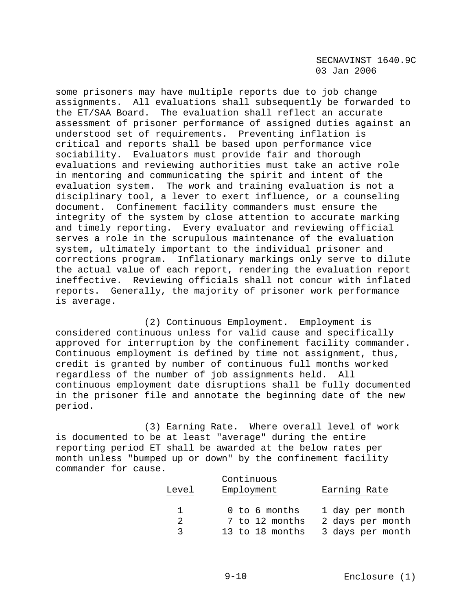some prisoners may have multiple reports due to job change assignments. All evaluations shall subsequently be forwarded to the ET/SAA Board. The evaluation shall reflect an accurate assessment of prisoner performance of assigned duties against an understood set of requirements. Preventing inflation is critical and reports shall be based upon performance vice sociability. Evaluators must provide fair and thorough evaluations and reviewing authorities must take an active role in mentoring and communicating the spirit and intent of the evaluation system. The work and training evaluation is not a disciplinary tool, a lever to exert influence, or a counseling document. Confinement facility commanders must ensure the integrity of the system by close attention to accurate marking and timely reporting. Every evaluator and reviewing official serves a role in the scrupulous maintenance of the evaluation system, ultimately important to the individual prisoner and corrections program. Inflationary markings only serve to dilute the actual value of each report, rendering the evaluation report ineffective. Reviewing officials shall not concur with inflated reports. Generally, the majority of prisoner work performance is average.

 (2) Continuous Employment. Employment is considered continuous unless for valid cause and specifically approved for interruption by the confinement facility commander. Continuous employment is defined by time not assignment, thus, credit is granted by number of continuous full months worked regardless of the number of job assignments held. All continuous employment date disruptions shall be fully documented in the prisoner file and annotate the beginning date of the new period.

 (3) Earning Rate. Where overall level of work is documented to be at least "average" during the entire reporting period ET shall be awarded at the below rates per month unless "bumped up or down" by the confinement facility commander for cause.

| Level    | Continuous<br>Employment | Earning Rate     |
|----------|--------------------------|------------------|
|          | 0 to 6 months            | 1 day per month  |
| 2        | 7 to 12 months           | 2 days per month |
| $\sim$ 3 | 13 to 18 months          | 3 days per month |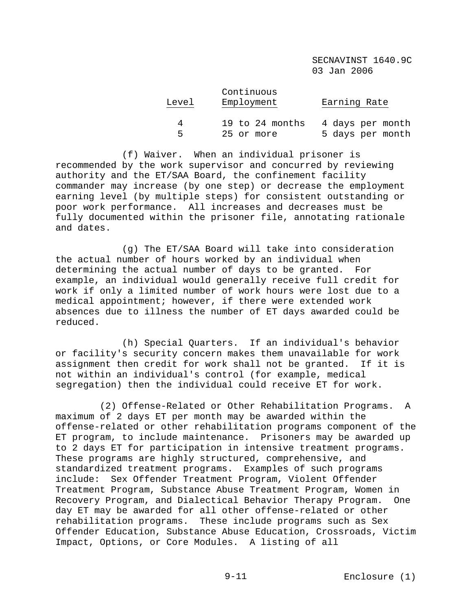| Level | Continuous<br>Employment | Earning Rate     |
|-------|--------------------------|------------------|
| 4     | 19 to 24 months          | 4 days per month |
| Б.    | 25 or more               | 5 days per month |

 (f) Waiver. When an individual prisoner is recommended by the work supervisor and concurred by reviewing authority and the ET/SAA Board, the confinement facility commander may increase (by one step) or decrease the employment earning level (by multiple steps) for consistent outstanding or poor work performance. All increases and decreases must be fully documented within the prisoner file, annotating rationale and dates.

 (g) The ET/SAA Board will take into consideration the actual number of hours worked by an individual when determining the actual number of days to be granted. For example, an individual would generally receive full credit for work if only a limited number of work hours were lost due to a medical appointment; however, if there were extended work absences due to illness the number of ET days awarded could be reduced.

 (h) Special Quarters. If an individual's behavior or facility's security concern makes them unavailable for work assignment then credit for work shall not be granted. If it is not within an individual's control (for example, medical segregation) then the individual could receive ET for work.

 (2) Offense-Related or Other Rehabilitation Programs. A maximum of 2 days ET per month may be awarded within the offense-related or other rehabilitation programs component of the ET program, to include maintenance. Prisoners may be awarded up to 2 days ET for participation in intensive treatment programs. These programs are highly structured, comprehensive, and standardized treatment programs. Examples of such programs include: Sex Offender Treatment Program, Violent Offender Treatment Program, Substance Abuse Treatment Program, Women in Recovery Program, and Dialectical Behavior Therapy Program. One day ET may be awarded for all other offense-related or other rehabilitation programs. These include programs such as Sex Offender Education, Substance Abuse Education, Crossroads, Victim Impact, Options, or Core Modules. A listing of all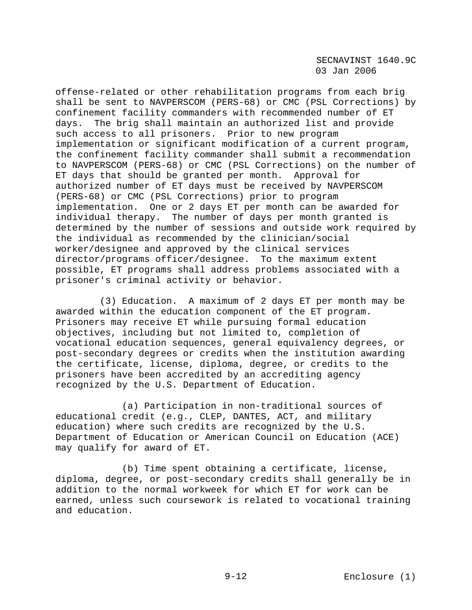offense-related or other rehabilitation programs from each brig shall be sent to NAVPERSCOM (PERS-68) or CMC (PSL Corrections) by confinement facility commanders with recommended number of ET days. The brig shall maintain an authorized list and provide such access to all prisoners. Prior to new program implementation or significant modification of a current program, the confinement facility commander shall submit a recommendation to NAVPERSCOM (PERS-68) or CMC (PSL Corrections) on the number of ET days that should be granted per month. Approval for authorized number of ET days must be received by NAVPERSCOM (PERS-68) or CMC (PSL Corrections) prior to program implementation. One or 2 days ET per month can be awarded for individual therapy. The number of days per month granted is determined by the number of sessions and outside work required by the individual as recommended by the clinician/social worker/designee and approved by the clinical services director/programs officer/designee. To the maximum extent possible, ET programs shall address problems associated with a prisoner's criminal activity or behavior.

 (3) Education. A maximum of 2 days ET per month may be awarded within the education component of the ET program. Prisoners may receive ET while pursuing formal education objectives, including but not limited to, completion of vocational education sequences, general equivalency degrees, or post-secondary degrees or credits when the institution awarding the certificate, license, diploma, degree, or credits to the prisoners have been accredited by an accrediting agency recognized by the U.S. Department of Education.

 (a) Participation in non-traditional sources of educational credit (e.g., CLEP, DANTES, ACT, and military education) where such credits are recognized by the U.S. Department of Education or American Council on Education (ACE) may qualify for award of ET.

 (b) Time spent obtaining a certificate, license, diploma, degree, or post-secondary credits shall generally be in addition to the normal workweek for which ET for work can be earned, unless such coursework is related to vocational training and education.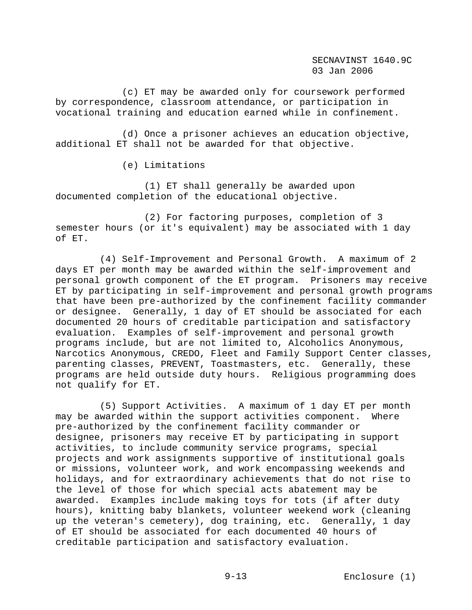(c) ET may be awarded only for coursework performed by correspondence, classroom attendance, or participation in vocational training and education earned while in confinement.

 (d) Once a prisoner achieves an education objective, additional ET shall not be awarded for that objective.

(e) Limitations

 (1) ET shall generally be awarded upon documented completion of the educational objective.

 (2) For factoring purposes, completion of 3 semester hours (or it's equivalent) may be associated with 1 day of ET.

 (4) Self-Improvement and Personal Growth. A maximum of 2 days ET per month may be awarded within the self-improvement and personal growth component of the ET program. Prisoners may receive ET by participating in self-improvement and personal growth programs that have been pre-authorized by the confinement facility commander or designee. Generally, 1 day of ET should be associated for each documented 20 hours of creditable participation and satisfactory evaluation. Examples of self-improvement and personal growth programs include, but are not limited to, Alcoholics Anonymous, Narcotics Anonymous, CREDO, Fleet and Family Support Center classes, parenting classes, PREVENT, Toastmasters, etc. Generally, these programs are held outside duty hours. Religious programming does not qualify for ET.

 (5) Support Activities. A maximum of 1 day ET per month may be awarded within the support activities component. Where pre-authorized by the confinement facility commander or designee, prisoners may receive ET by participating in support activities, to include community service programs, special projects and work assignments supportive of institutional goals or missions, volunteer work, and work encompassing weekends and holidays, and for extraordinary achievements that do not rise to the level of those for which special acts abatement may be awarded. Examples include making toys for tots (if after duty hours), knitting baby blankets, volunteer weekend work (cleaning up the veteran's cemetery), dog training, etc. Generally, 1 day of ET should be associated for each documented 40 hours of creditable participation and satisfactory evaluation.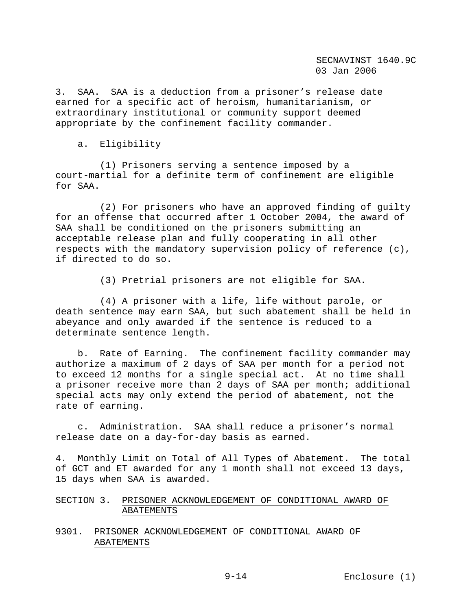3. SAA. SAA is a deduction from a prisoner's release date earned for a specific act of heroism, humanitarianism, or extraordinary institutional or community support deemed appropriate by the confinement facility commander.

# a. Eligibility

 (1) Prisoners serving a sentence imposed by a court-martial for a definite term of confinement are eligible for SAA.

 (2) For prisoners who have an approved finding of guilty for an offense that occurred after 1 October 2004, the award of SAA shall be conditioned on the prisoners submitting an acceptable release plan and fully cooperating in all other respects with the mandatory supervision policy of reference (c), if directed to do so.

(3) Pretrial prisoners are not eligible for SAA.

 (4) A prisoner with a life, life without parole, or death sentence may earn SAA, but such abatement shall be held in abeyance and only awarded if the sentence is reduced to a determinate sentence length.

 b. Rate of Earning. The confinement facility commander may authorize a maximum of 2 days of SAA per month for a period not to exceed 12 months for a single special act. At no time shall a prisoner receive more than 2 days of SAA per month; additional special acts may only extend the period of abatement, not the rate of earning.

 c. Administration. SAA shall reduce a prisoner's normal release date on a day-for-day basis as earned.

4. Monthly Limit on Total of All Types of Abatement. The total of GCT and ET awarded for any 1 month shall not exceed 13 days, 15 days when SAA is awarded.

SECTION 3. PRISONER ACKNOWLEDGEMENT OF CONDITIONAL AWARD OF ABATEMENTS

# 9301. PRISONER ACKNOWLEDGEMENT OF CONDITIONAL AWARD OF ABATEMENTS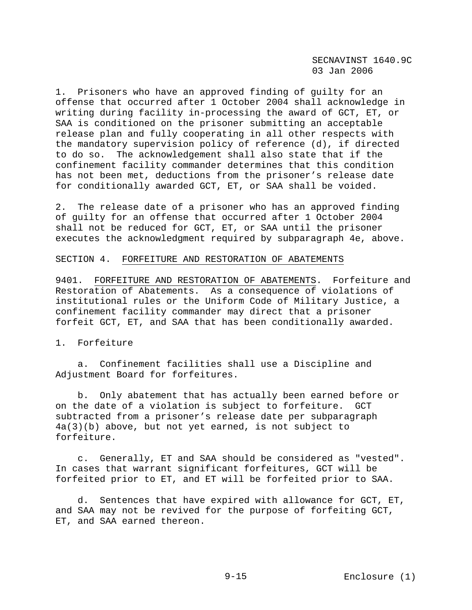1. Prisoners who have an approved finding of guilty for an offense that occurred after 1 October 2004 shall acknowledge in writing during facility in-processing the award of GCT, ET, or SAA is conditioned on the prisoner submitting an acceptable release plan and fully cooperating in all other respects with the mandatory supervision policy of reference (d), if directed to do so. The acknowledgement shall also state that if the confinement facility commander determines that this condition has not been met, deductions from the prisoner's release date for conditionally awarded GCT, ET, or SAA shall be voided.

2. The release date of a prisoner who has an approved finding of guilty for an offense that occurred after 1 October 2004 shall not be reduced for GCT, ET, or SAA until the prisoner executes the acknowledgment required by subparagraph 4e, above.

#### SECTION 4. FORFEITURE AND RESTORATION OF ABATEMENTS

9401. FORFEITURE AND RESTORATION OF ABATEMENTS. Forfeiture and Restoration of Abatements. As a consequence of violations of institutional rules or the Uniform Code of Military Justice, a confinement facility commander may direct that a prisoner forfeit GCT, ET, and SAA that has been conditionally awarded.

1. Forfeiture

 a. Confinement facilities shall use a Discipline and Adjustment Board for forfeitures.

 b. Only abatement that has actually been earned before or on the date of a violation is subject to forfeiture. GCT subtracted from a prisoner's release date per subparagraph 4a(3)(b) above, but not yet earned, is not subject to forfeiture.

 c. Generally, ET and SAA should be considered as "vested". In cases that warrant significant forfeitures, GCT will be forfeited prior to ET, and ET will be forfeited prior to SAA.

 d. Sentences that have expired with allowance for GCT, ET, and SAA may not be revived for the purpose of forfeiting GCT, ET, and SAA earned thereon.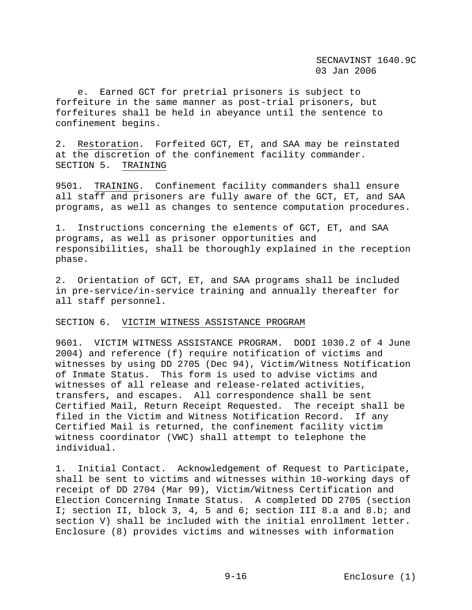e. Earned GCT for pretrial prisoners is subject to forfeiture in the same manner as post-trial prisoners, but forfeitures shall be held in abeyance until the sentence to confinement begins.

2. Restoration. Forfeited GCT, ET, and SAA may be reinstated at the discretion of the confinement facility commander. SECTION 5. TRAINING

9501. TRAINING. Confinement facility commanders shall ensure all staff and prisoners are fully aware of the GCT, ET, and SAA programs, as well as changes to sentence computation procedures.

1. Instructions concerning the elements of GCT, ET, and SAA programs, as well as prisoner opportunities and responsibilities, shall be thoroughly explained in the reception phase.

2. Orientation of GCT, ET, and SAA programs shall be included in pre-service/in-service training and annually thereafter for all staff personnel.

#### SECTION 6. VICTIM WITNESS ASSISTANCE PROGRAM

9601. VICTIM WITNESS ASSISTANCE PROGRAM. DODI 1030.2 of 4 June 2004) and reference (f) require notification of victims and witnesses by using DD 2705 (Dec 94), Victim/Witness Notification of Inmate Status. This form is used to advise victims and witnesses of all release and release-related activities, transfers, and escapes. All correspondence shall be sent Certified Mail, Return Receipt Requested. The receipt shall be filed in the Victim and Witness Notification Record. If any Certified Mail is returned, the confinement facility victim witness coordinator (VWC) shall attempt to telephone the individual.

1. Initial Contact. Acknowledgement of Request to Participate, shall be sent to victims and witnesses within 10-working days of receipt of DD 2704 (Mar 99), Victim/Witness Certification and Election Concerning Inmate Status. A completed DD 2705 (section I; section II, block 3, 4, 5 and 6; section III 8.a and 8.b; and section V) shall be included with the initial enrollment letter. Enclosure (8) provides victims and witnesses with information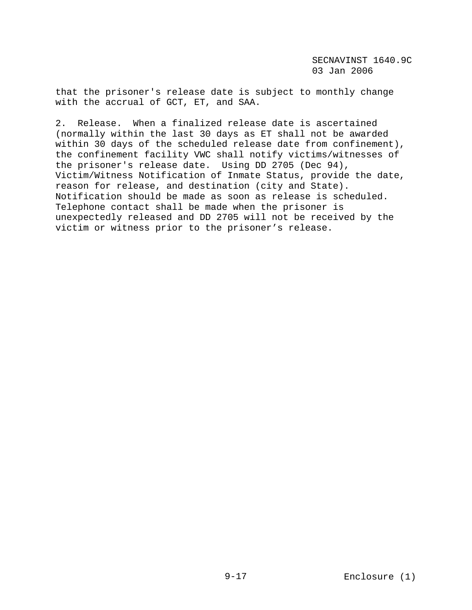that the prisoner's release date is subject to monthly change with the accrual of GCT, ET, and SAA.

2. Release. When a finalized release date is ascertained (normally within the last 30 days as ET shall not be awarded within 30 days of the scheduled release date from confinement), the confinement facility VWC shall notify victims/witnesses of the prisoner's release date. Using DD 2705 (Dec 94), Victim/Witness Notification of Inmate Status, provide the date, reason for release, and destination (city and State). Notification should be made as soon as release is scheduled. Telephone contact shall be made when the prisoner is unexpectedly released and DD 2705 will not be received by the victim or witness prior to the prisoner's release.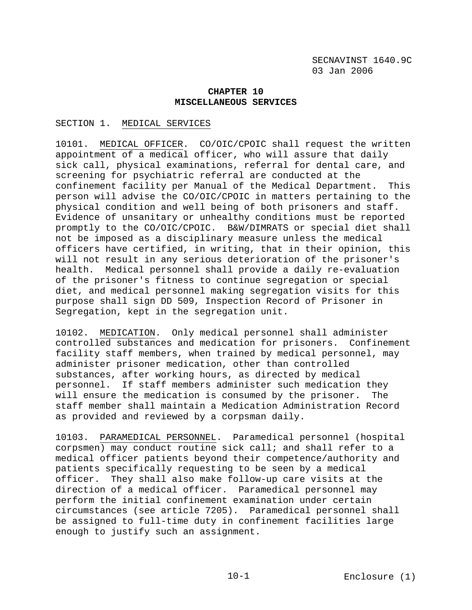## **CHAPTER 10 MISCELLANEOUS SERVICES**

## SECTION 1. MEDICAL SERVICES

10101. MEDICAL OFFICER. CO/OIC/CPOIC shall request the written appointment of a medical officer, who will assure that daily sick call, physical examinations, referral for dental care, and screening for psychiatric referral are conducted at the confinement facility per Manual of the Medical Department. This person will advise the CO/OIC/CPOIC in matters pertaining to the physical condition and well being of both prisoners and staff. Evidence of unsanitary or unhealthy conditions must be reported promptly to the CO/OIC/CPOIC. B&W/DIMRATS or special diet shall not be imposed as a disciplinary measure unless the medical officers have certified, in writing, that in their opinion, this will not result in any serious deterioration of the prisoner's health. Medical personnel shall provide a daily re-evaluation of the prisoner's fitness to continue segregation or special diet, and medical personnel making segregation visits for this purpose shall sign DD 509, Inspection Record of Prisoner in Segregation, kept in the segregation unit.

10102. MEDICATION. Only medical personnel shall administer controlled substances and medication for prisoners. Confinement facility staff members, when trained by medical personnel, may administer prisoner medication, other than controlled substances, after working hours, as directed by medical personnel. If staff members administer such medication they will ensure the medication is consumed by the prisoner. The staff member shall maintain a Medication Administration Record as provided and reviewed by a corpsman daily.

10103. PARAMEDICAL PERSONNEL. Paramedical personnel (hospital corpsmen) may conduct routine sick call; and shall refer to a medical officer patients beyond their competence/authority and patients specifically requesting to be seen by a medical officer. They shall also make follow-up care visits at the direction of a medical officer. Paramedical personnel may perform the initial confinement examination under certain circumstances (see article 7205). Paramedical personnel shall be assigned to full-time duty in confinement facilities large enough to justify such an assignment.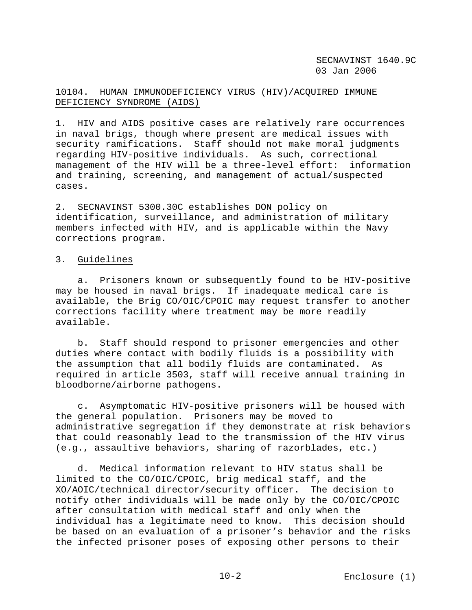# 10104. HUMAN IMMUNODEFICIENCY VIRUS (HIV)/ACQUIRED IMMUNE DEFICIENCY SYNDROME (AIDS)

1. HIV and AIDS positive cases are relatively rare occurrences in naval brigs, though where present are medical issues with security ramifications. Staff should not make moral judgments regarding HIV-positive individuals. As such, correctional management of the HIV will be a three-level effort: information and training, screening, and management of actual/suspected cases.

2. SECNAVINST 5300.30C establishes DON policy on identification, surveillance, and administration of military members infected with HIV, and is applicable within the Navy corrections program.

# 3. Guidelines

 a. Prisoners known or subsequently found to be HIV-positive may be housed in naval brigs. If inadequate medical care is available, the Brig CO/OIC/CPOIC may request transfer to another corrections facility where treatment may be more readily available.

 b. Staff should respond to prisoner emergencies and other duties where contact with bodily fluids is a possibility with the assumption that all bodily fluids are contaminated. As required in article 3503, staff will receive annual training in bloodborne/airborne pathogens.

 c. Asymptomatic HIV-positive prisoners will be housed with the general population. Prisoners may be moved to administrative segregation if they demonstrate at risk behaviors that could reasonably lead to the transmission of the HIV virus (e.g., assaultive behaviors, sharing of razorblades, etc.)

 d. Medical information relevant to HIV status shall be limited to the CO/OIC/CPOIC, brig medical staff, and the XO/AOIC/technical director/security officer. The decision to notify other individuals will be made only by the CO/OIC/CPOIC after consultation with medical staff and only when the individual has a legitimate need to know. This decision should be based on an evaluation of a prisoner's behavior and the risks the infected prisoner poses of exposing other persons to their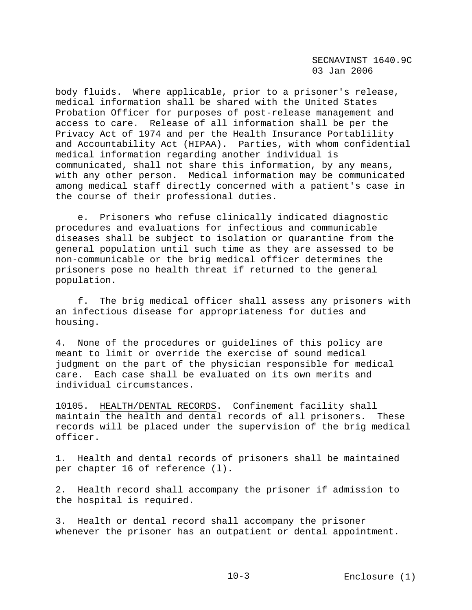body fluids. Where applicable, prior to a prisoner's release, medical information shall be shared with the United States Probation Officer for purposes of post-release management and access to care. Release of all information shall be per the Privacy Act of 1974 and per the Health Insurance Portablility and Accountability Act (HIPAA). Parties, with whom confidential medical information regarding another individual is communicated, shall not share this information, by any means, with any other person. Medical information may be communicated among medical staff directly concerned with a patient's case in the course of their professional duties.

 e. Prisoners who refuse clinically indicated diagnostic procedures and evaluations for infectious and communicable diseases shall be subject to isolation or quarantine from the general population until such time as they are assessed to be non-communicable or the brig medical officer determines the prisoners pose no health threat if returned to the general population.

 f. The brig medical officer shall assess any prisoners with an infectious disease for appropriateness for duties and housing.

4. None of the procedures or guidelines of this policy are meant to limit or override the exercise of sound medical judgment on the part of the physician responsible for medical care. Each case shall be evaluated on its own merits and individual circumstances.

10105. HEALTH/DENTAL RECORDS. Confinement facility shall maintain the health and dental records of all prisoners. These records will be placed under the supervision of the brig medical officer.

1. Health and dental records of prisoners shall be maintained per chapter 16 of reference (l).

2. Health record shall accompany the prisoner if admission to the hospital is required.

3. Health or dental record shall accompany the prisoner whenever the prisoner has an outpatient or dental appointment.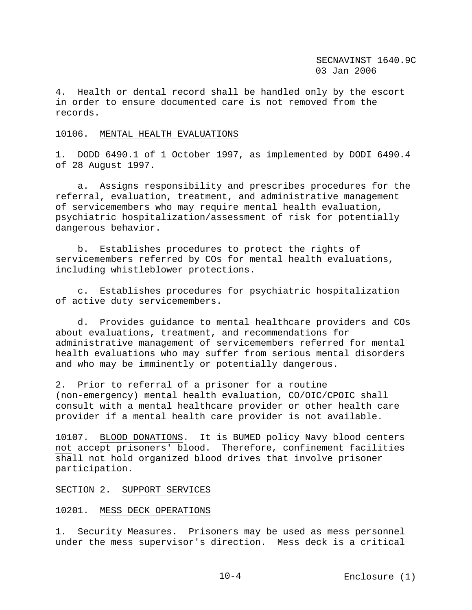4. Health or dental record shall be handled only by the escort in order to ensure documented care is not removed from the records.

### 10106. MENTAL HEALTH EVALUATIONS

1. DODD 6490.1 of 1 October 1997, as implemented by DODI 6490.4 of 28 August 1997.

 a. Assigns responsibility and prescribes procedures for the referral, evaluation, treatment, and administrative management of servicemembers who may require mental health evaluation, psychiatric hospitalization/assessment of risk for potentially dangerous behavior.

 b. Establishes procedures to protect the rights of servicemembers referred by COs for mental health evaluations, including whistleblower protections.

 c. Establishes procedures for psychiatric hospitalization of active duty servicemembers.

 d. Provides guidance to mental healthcare providers and COs about evaluations, treatment, and recommendations for administrative management of servicemembers referred for mental health evaluations who may suffer from serious mental disorders and who may be imminently or potentially dangerous.

2. Prior to referral of a prisoner for a routine (non-emergency) mental health evaluation, CO/OIC/CPOIC shall consult with a mental healthcare provider or other health care provider if a mental health care provider is not available.

10107. BLOOD DONATIONS. It is BUMED policy Navy blood centers not accept prisoners' blood. Therefore, confinement facilities shall not hold organized blood drives that involve prisoner participation.

#### SECTION 2. SUPPORT SERVICES

## 10201. MESS DECK OPERATIONS

1. Security Measures. Prisoners may be used as mess personnel under the mess supervisor's direction. Mess deck is a critical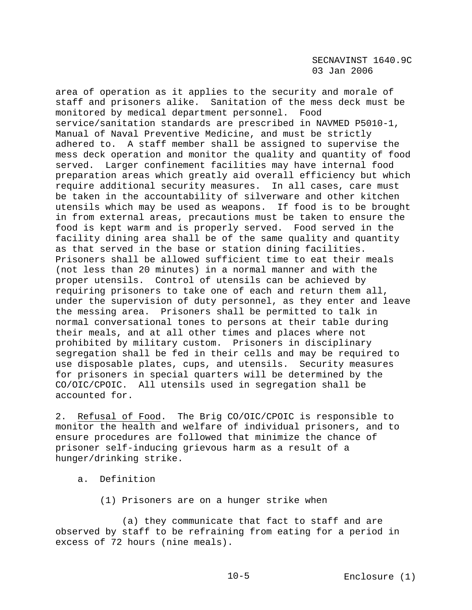area of operation as it applies to the security and morale of staff and prisoners alike. Sanitation of the mess deck must be monitored by medical department personnel. Food service/sanitation standards are prescribed in NAVMED P5010-1, Manual of Naval Preventive Medicine, and must be strictly adhered to. A staff member shall be assigned to supervise the mess deck operation and monitor the quality and quantity of food served. Larger confinement facilities may have internal food preparation areas which greatly aid overall efficiency but which require additional security measures. In all cases, care must be taken in the accountability of silverware and other kitchen utensils which may be used as weapons. If food is to be brought in from external areas, precautions must be taken to ensure the food is kept warm and is properly served. Food served in the facility dining area shall be of the same quality and quantity as that served in the base or station dining facilities. Prisoners shall be allowed sufficient time to eat their meals (not less than 20 minutes) in a normal manner and with the proper utensils. Control of utensils can be achieved by requiring prisoners to take one of each and return them all, under the supervision of duty personnel, as they enter and leave the messing area. Prisoners shall be permitted to talk in normal conversational tones to persons at their table during their meals, and at all other times and places where not prohibited by military custom. Prisoners in disciplinary segregation shall be fed in their cells and may be required to use disposable plates, cups, and utensils. Security measures for prisoners in special quarters will be determined by the CO/OIC/CPOIC. All utensils used in segregation shall be accounted for.

2. Refusal of Food. The Brig CO/OIC/CPOIC is responsible to monitor the health and welfare of individual prisoners, and to ensure procedures are followed that minimize the chance of prisoner self-inducing grievous harm as a result of a hunger/drinking strike.

- a. Definition
	- (1) Prisoners are on a hunger strike when

 (a) they communicate that fact to staff and are observed by staff to be refraining from eating for a period in excess of 72 hours (nine meals).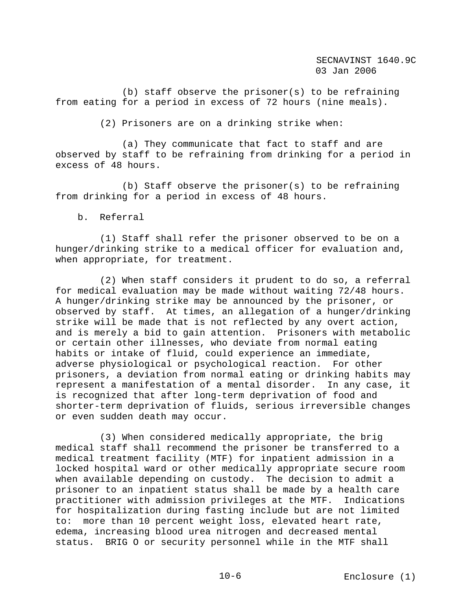(b) staff observe the prisoner(s) to be refraining from eating for a period in excess of 72 hours (nine meals).

(2) Prisoners are on a drinking strike when:

 (a) They communicate that fact to staff and are observed by staff to be refraining from drinking for a period in excess of 48 hours.

 (b) Staff observe the prisoner(s) to be refraining from drinking for a period in excess of 48 hours.

b. Referral

 (1) Staff shall refer the prisoner observed to be on a hunger/drinking strike to a medical officer for evaluation and, when appropriate, for treatment.

 (2) When staff considers it prudent to do so, a referral for medical evaluation may be made without waiting 72/48 hours. A hunger/drinking strike may be announced by the prisoner, or observed by staff. At times, an allegation of a hunger/drinking strike will be made that is not reflected by any overt action, and is merely a bid to gain attention. Prisoners with metabolic or certain other illnesses, who deviate from normal eating habits or intake of fluid, could experience an immediate, adverse physiological or psychological reaction. For other prisoners, a deviation from normal eating or drinking habits may represent a manifestation of a mental disorder. In any case, it is recognized that after long-term deprivation of food and shorter-term deprivation of fluids, serious irreversible changes or even sudden death may occur.

 (3) When considered medically appropriate, the brig medical staff shall recommend the prisoner be transferred to a medical treatment facility (MTF) for inpatient admission in a locked hospital ward or other medically appropriate secure room when available depending on custody. The decision to admit a prisoner to an inpatient status shall be made by a health care practitioner with admission privileges at the MTF. Indications for hospitalization during fasting include but are not limited to: more than 10 percent weight loss, elevated heart rate, edema, increasing blood urea nitrogen and decreased mental status. BRIG O or security personnel while in the MTF shall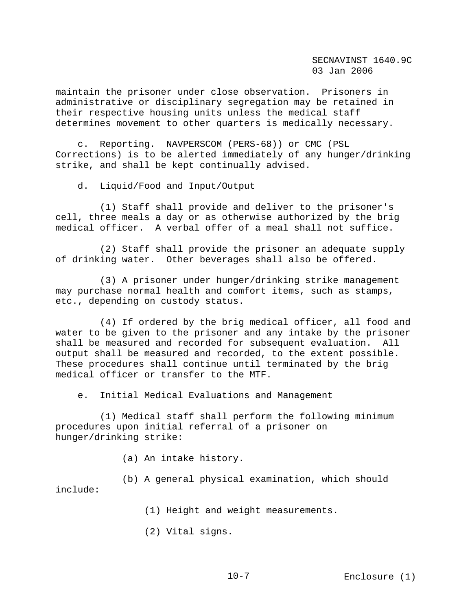maintain the prisoner under close observation. Prisoners in administrative or disciplinary segregation may be retained in their respective housing units unless the medical staff determines movement to other quarters is medically necessary.

 c. Reporting. NAVPERSCOM (PERS-68)) or CMC (PSL Corrections) is to be alerted immediately of any hunger/drinking strike, and shall be kept continually advised.

d. Liquid/Food and Input/Output

 (1) Staff shall provide and deliver to the prisoner's cell, three meals a day or as otherwise authorized by the brig medical officer. A verbal offer of a meal shall not suffice.

 (2) Staff shall provide the prisoner an adequate supply of drinking water. Other beverages shall also be offered.

 (3) A prisoner under hunger/drinking strike management may purchase normal health and comfort items, such as stamps, etc., depending on custody status.

 (4) If ordered by the brig medical officer, all food and water to be given to the prisoner and any intake by the prisoner shall be measured and recorded for subsequent evaluation. All output shall be measured and recorded, to the extent possible. These procedures shall continue until terminated by the brig medical officer or transfer to the MTF.

e. Initial Medical Evaluations and Management

 (1) Medical staff shall perform the following minimum procedures upon initial referral of a prisoner on hunger/drinking strike:

(a) An intake history.

 (b) A general physical examination, which should include:

(1) Height and weight measurements.

(2) Vital signs.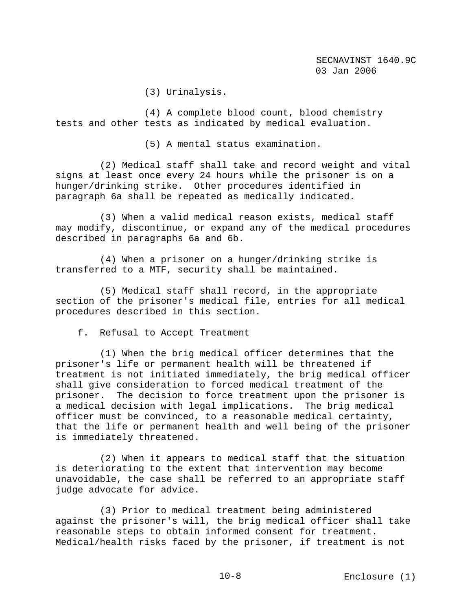(3) Urinalysis.

 (4) A complete blood count, blood chemistry tests and other tests as indicated by medical evaluation.

(5) A mental status examination.

 (2) Medical staff shall take and record weight and vital signs at least once every 24 hours while the prisoner is on a hunger/drinking strike. Other procedures identified in paragraph 6a shall be repeated as medically indicated.

 (3) When a valid medical reason exists, medical staff may modify, discontinue, or expand any of the medical procedures described in paragraphs 6a and 6b.

 (4) When a prisoner on a hunger/drinking strike is transferred to a MTF, security shall be maintained.

 (5) Medical staff shall record, in the appropriate section of the prisoner's medical file, entries for all medical procedures described in this section.

f. Refusal to Accept Treatment

 (1) When the brig medical officer determines that the prisoner's life or permanent health will be threatened if treatment is not initiated immediately, the brig medical officer shall give consideration to forced medical treatment of the prisoner. The decision to force treatment upon the prisoner is a medical decision with legal implications. The brig medical officer must be convinced, to a reasonable medical certainty, that the life or permanent health and well being of the prisoner is immediately threatened.

 (2) When it appears to medical staff that the situation is deteriorating to the extent that intervention may become unavoidable, the case shall be referred to an appropriate staff judge advocate for advice.

 (3) Prior to medical treatment being administered against the prisoner's will, the brig medical officer shall take reasonable steps to obtain informed consent for treatment. Medical/health risks faced by the prisoner, if treatment is not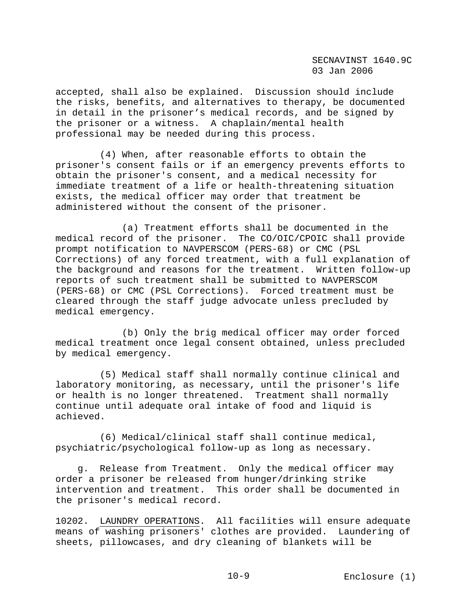accepted, shall also be explained. Discussion should include the risks, benefits, and alternatives to therapy, be documented in detail in the prisoner's medical records, and be signed by the prisoner or a witness. A chaplain/mental health professional may be needed during this process.

 (4) When, after reasonable efforts to obtain the prisoner's consent fails or if an emergency prevents efforts to obtain the prisoner's consent, and a medical necessity for immediate treatment of a life or health-threatening situation exists, the medical officer may order that treatment be administered without the consent of the prisoner.

 (a) Treatment efforts shall be documented in the medical record of the prisoner. The CO/OIC/CPOIC shall provide prompt notification to NAVPERSCOM (PERS-68) or CMC (PSL Corrections) of any forced treatment, with a full explanation of the background and reasons for the treatment. Written follow-up reports of such treatment shall be submitted to NAVPERSCOM (PERS-68) or CMC (PSL Corrections). Forced treatment must be cleared through the staff judge advocate unless precluded by medical emergency.

 (b) Only the brig medical officer may order forced medical treatment once legal consent obtained, unless precluded by medical emergency.

 (5) Medical staff shall normally continue clinical and laboratory monitoring, as necessary, until the prisoner's life or health is no longer threatened. Treatment shall normally continue until adequate oral intake of food and liquid is achieved.

 (6) Medical/clinical staff shall continue medical, psychiatric/psychological follow-up as long as necessary.

 g. Release from Treatment. Only the medical officer may order a prisoner be released from hunger/drinking strike intervention and treatment. This order shall be documented in the prisoner's medical record.

10202. LAUNDRY OPERATIONS. All facilities will ensure adequate means of washing prisoners' clothes are provided. Laundering of sheets, pillowcases, and dry cleaning of blankets will be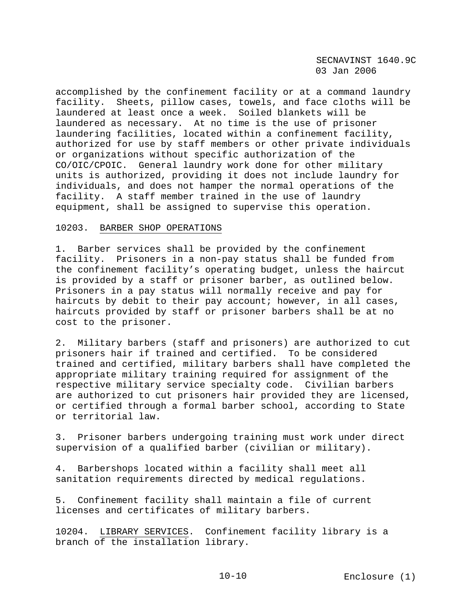accomplished by the confinement facility or at a command laundry facility. Sheets, pillow cases, towels, and face cloths will be laundered at least once a week. Soiled blankets will be laundered as necessary. At no time is the use of prisoner laundering facilities, located within a confinement facility, authorized for use by staff members or other private individuals or organizations without specific authorization of the CO/OIC/CPOIC. General laundry work done for other military units is authorized, providing it does not include laundry for individuals, and does not hamper the normal operations of the facility. A staff member trained in the use of laundry equipment, shall be assigned to supervise this operation.

## 10203. BARBER SHOP OPERATIONS

1. Barber services shall be provided by the confinement facility. Prisoners in a non-pay status shall be funded from the confinement facility's operating budget, unless the haircut is provided by a staff or prisoner barber, as outlined below. Prisoners in a pay status will normally receive and pay for haircuts by debit to their pay account; however, in all cases, haircuts provided by staff or prisoner barbers shall be at no cost to the prisoner.

2. Military barbers (staff and prisoners) are authorized to cut prisoners hair if trained and certified. To be considered trained and certified, military barbers shall have completed the appropriate military training required for assignment of the respective military service specialty code. Civilian barbers are authorized to cut prisoners hair provided they are licensed, or certified through a formal barber school, according to State or territorial law.

3. Prisoner barbers undergoing training must work under direct supervision of a qualified barber (civilian or military).

4. Barbershops located within a facility shall meet all sanitation requirements directed by medical regulations.

5. Confinement facility shall maintain a file of current licenses and certificates of military barbers.

10204. LIBRARY SERVICES. Confinement facility library is a branch of the installation library.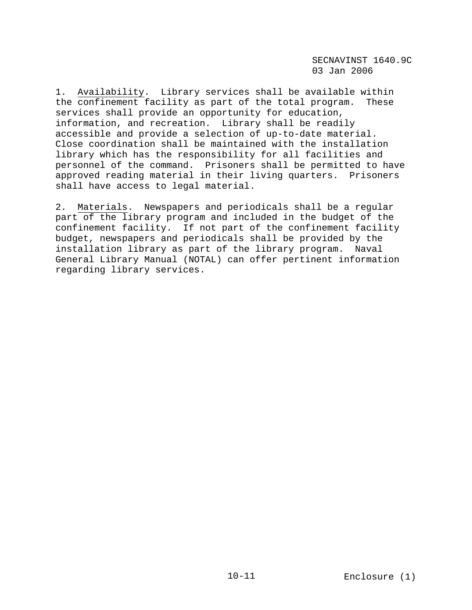1. Availability. Library services shall be available within the confinement facility as part of the total program. These services shall provide an opportunity for education, information, and recreation. Library shall be readily accessible and provide a selection of up-to-date material. Close coordination shall be maintained with the installation library which has the responsibility for all facilities and personnel of the command. Prisoners shall be permitted to have approved reading material in their living quarters. Prisoners shall have access to legal material.

2. Materials. Newspapers and periodicals shall be a regular part of the library program and included in the budget of the confinement facility. If not part of the confinement facility budget, newspapers and periodicals shall be provided by the installation library as part of the library program. Naval General Library Manual (NOTAL) can offer pertinent information regarding library services.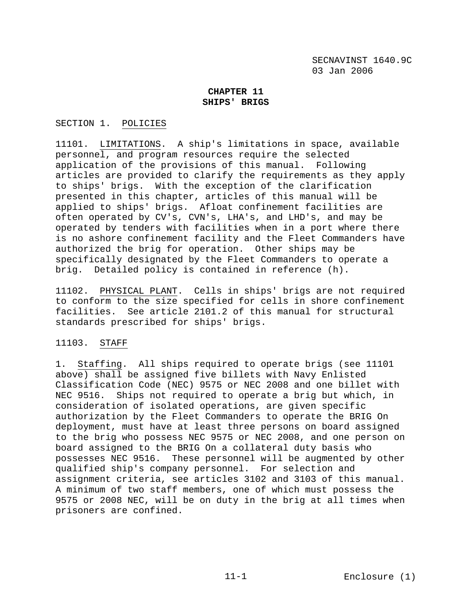# **CHAPTER 11 SHIPS' BRIGS**

# SECTION 1. POLICIES

11101. LIMITATIONS. A ship's limitations in space, available personnel, and program resources require the selected application of the provisions of this manual. Following articles are provided to clarify the requirements as they apply to ships' brigs. With the exception of the clarification presented in this chapter, articles of this manual will be applied to ships' brigs. Afloat confinement facilities are often operated by CV's, CVN's, LHA's, and LHD's, and may be operated by tenders with facilities when in a port where there is no ashore confinement facility and the Fleet Commanders have authorized the brig for operation. Other ships may be specifically designated by the Fleet Commanders to operate a brig. Detailed policy is contained in reference (h).

11102. PHYSICAL PLANT. Cells in ships' brigs are not required to conform to the size specified for cells in shore confinement facilities. See article 2101.2 of this manual for structural standards prescribed for ships' brigs.

# 11103. STAFF

1. Staffing. All ships required to operate brigs (see 11101 above) shall be assigned five billets with Navy Enlisted Classification Code (NEC) 9575 or NEC 2008 and one billet with NEC 9516. Ships not required to operate a brig but which, in consideration of isolated operations, are given specific authorization by the Fleet Commanders to operate the BRIG On deployment, must have at least three persons on board assigned to the brig who possess NEC 9575 or NEC 2008, and one person on board assigned to the BRIG On a collateral duty basis who possesses NEC 9516. These personnel will be augmented by other qualified ship's company personnel. For selection and assignment criteria, see articles 3102 and 3103 of this manual. A minimum of two staff members, one of which must possess the 9575 or 2008 NEC, will be on duty in the brig at all times when prisoners are confined.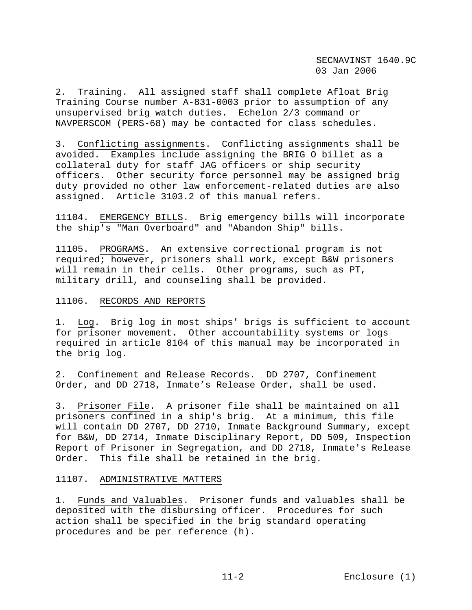2. Training. All assigned staff shall complete Afloat Brig Training Course number A-831-0003 prior to assumption of any unsupervised brig watch duties. Echelon 2/3 command or NAVPERSCOM (PERS-68) may be contacted for class schedules.

3. Conflicting assignments. Conflicting assignments shall be avoided. Examples include assigning the BRIG O billet as a collateral duty for staff JAG officers or ship security officers. Other security force personnel may be assigned brig duty provided no other law enforcement-related duties are also assigned. Article 3103.2 of this manual refers.

11104. EMERGENCY BILLS. Brig emergency bills will incorporate the ship's "Man Overboard" and "Abandon Ship" bills.

11105. PROGRAMS. An extensive correctional program is not required; however, prisoners shall work, except B&W prisoners will remain in their cells. Other programs, such as PT, military drill, and counseling shall be provided.

### 11106. RECORDS AND REPORTS

1. Log. Brig log in most ships' brigs is sufficient to account for prisoner movement. Other accountability systems or logs required in article 8104 of this manual may be incorporated in the brig log.

2. Confinement and Release Records. DD 2707, Confinement Order, and DD 2718, Inmate's Release Order, shall be used.

3. Prisoner File. A prisoner file shall be maintained on all prisoners confined in a ship's brig. At a minimum, this file will contain DD 2707, DD 2710, Inmate Background Summary, except for B&W, DD 2714, Inmate Disciplinary Report, DD 509, Inspection Report of Prisoner in Segregation, and DD 2718, Inmate's Release Order. This file shall be retained in the brig.

### 11107. ADMINISTRATIVE MATTERS

1. Funds and Valuables. Prisoner funds and valuables shall be deposited with the disbursing officer. Procedures for such action shall be specified in the brig standard operating procedures and be per reference (h).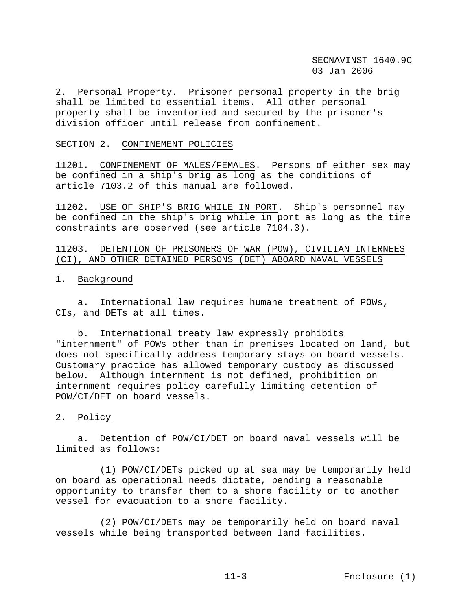2. Personal Property. Prisoner personal property in the brig shall be limited to essential items. All other personal property shall be inventoried and secured by the prisoner's division officer until release from confinement.

#### SECTION 2. CONFINEMENT POLICIES

11201. CONFINEMENT OF MALES/FEMALES. Persons of either sex may be confined in a ship's brig as long as the conditions of article 7103.2 of this manual are followed.

11202. USE OF SHIP'S BRIG WHILE IN PORT. Ship's personnel may be confined in the ship's brig while in port as long as the time constraints are observed (see article 7104.3).

11203. DETENTION OF PRISONERS OF WAR (POW), CIVILIAN INTERNEES (CI), AND OTHER DETAINED PERSONS (DET) ABOARD NAVAL VESSELS

### 1. Background

 a. International law requires humane treatment of POWs, CIs, and DETs at all times.

 b. International treaty law expressly prohibits "internment" of POWs other than in premises located on land, but does not specifically address temporary stays on board vessels. Customary practice has allowed temporary custody as discussed below. Although internment is not defined, prohibition on internment requires policy carefully limiting detention of POW/CI/DET on board vessels.

# 2. Policy

 a. Detention of POW/CI/DET on board naval vessels will be limited as follows:

 (1) POW/CI/DETs picked up at sea may be temporarily held on board as operational needs dictate, pending a reasonable opportunity to transfer them to a shore facility or to another vessel for evacuation to a shore facility.

 (2) POW/CI/DETs may be temporarily held on board naval vessels while being transported between land facilities.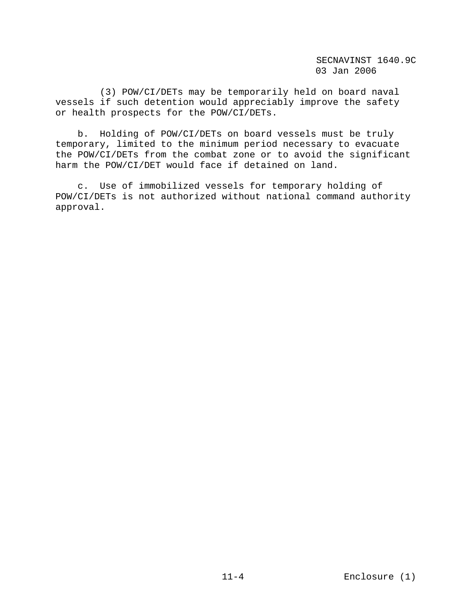(3) POW/CI/DETs may be temporarily held on board naval vessels if such detention would appreciably improve the safety or health prospects for the POW/CI/DETs.

 b. Holding of POW/CI/DETs on board vessels must be truly temporary, limited to the minimum period necessary to evacuate the POW/CI/DETs from the combat zone or to avoid the significant harm the POW/CI/DET would face if detained on land.

 c. Use of immobilized vessels for temporary holding of POW/CI/DETs is not authorized without national command authority approval.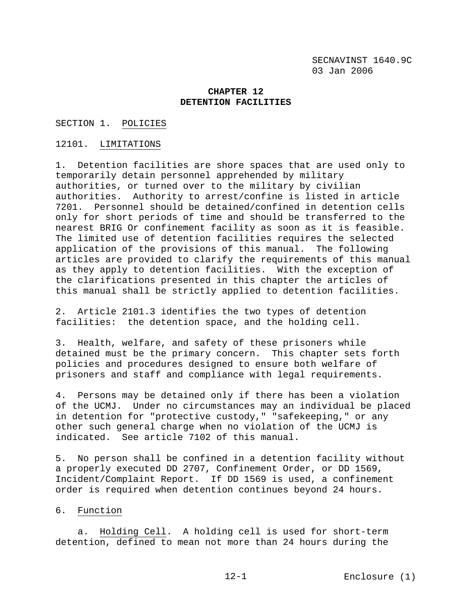## **CHAPTER 12 DETENTION FACILITIES**

SECTION 1. POLICIES

### 12101. LIMITATIONS

1. Detention facilities are shore spaces that are used only to temporarily detain personnel apprehended by military authorities, or turned over to the military by civilian authorities. Authority to arrest/confine is listed in article 7201. Personnel should be detained/confined in detention cells only for short periods of time and should be transferred to the nearest BRIG Or confinement facility as soon as it is feasible. The limited use of detention facilities requires the selected application of the provisions of this manual. The following articles are provided to clarify the requirements of this manual as they apply to detention facilities. With the exception of the clarifications presented in this chapter the articles of this manual shall be strictly applied to detention facilities.

2. Article 2101.3 identifies the two types of detention facilities: the detention space, and the holding cell.

3. Health, welfare, and safety of these prisoners while detained must be the primary concern. This chapter sets forth policies and procedures designed to ensure both welfare of prisoners and staff and compliance with legal requirements.

4. Persons may be detained only if there has been a violation of the UCMJ. Under no circumstances may an individual be placed in detention for "protective custody," "safekeeping," or any other such general charge when no violation of the UCMJ is indicated. See article 7102 of this manual.

5. No person shall be confined in a detention facility without a properly executed DD 2707, Confinement Order, or DD 1569, Incident/Complaint Report. If DD 1569 is used, a confinement order is required when detention continues beyond 24 hours.

### 6. Function

 a. Holding Cell. A holding cell is used for short-term detention, defined to mean not more than 24 hours during the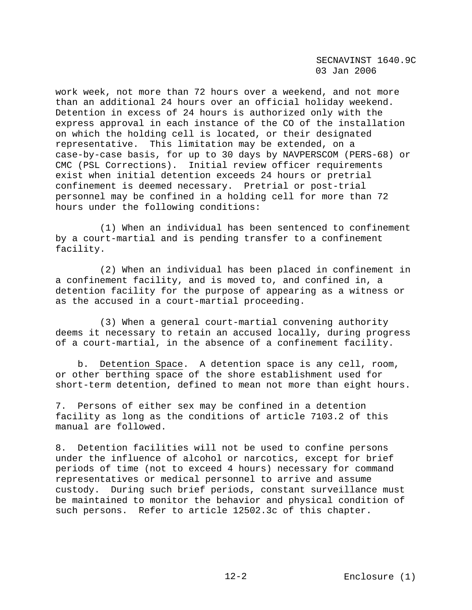work week, not more than 72 hours over a weekend, and not more than an additional 24 hours over an official holiday weekend. Detention in excess of 24 hours is authorized only with the express approval in each instance of the CO of the installation on which the holding cell is located, or their designated representative. This limitation may be extended, on a case-by-case basis, for up to 30 days by NAVPERSCOM (PERS-68) or CMC (PSL Corrections). Initial review officer requirements exist when initial detention exceeds 24 hours or pretrial confinement is deemed necessary. Pretrial or post-trial personnel may be confined in a holding cell for more than 72 hours under the following conditions:

 (1) When an individual has been sentenced to confinement by a court-martial and is pending transfer to a confinement facility.

 (2) When an individual has been placed in confinement in a confinement facility, and is moved to, and confined in, a detention facility for the purpose of appearing as a witness or as the accused in a court-martial proceeding.

 (3) When a general court-martial convening authority deems it necessary to retain an accused locally, during progress of a court-martial, in the absence of a confinement facility.

 b. Detention Space. A detention space is any cell, room, or other berthing space of the shore establishment used for short-term detention, defined to mean not more than eight hours.

7. Persons of either sex may be confined in a detention facility as long as the conditions of article 7103.2 of this manual are followed.

8. Detention facilities will not be used to confine persons under the influence of alcohol or narcotics, except for brief periods of time (not to exceed 4 hours) necessary for command representatives or medical personnel to arrive and assume custody. During such brief periods, constant surveillance must be maintained to monitor the behavior and physical condition of such persons. Refer to article 12502.3c of this chapter.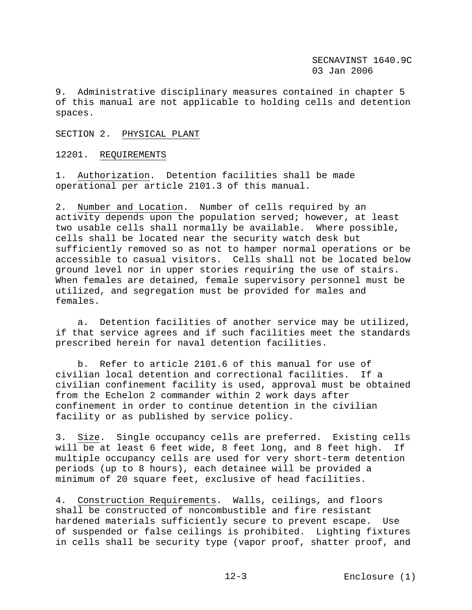9. Administrative disciplinary measures contained in chapter 5 of this manual are not applicable to holding cells and detention spaces.

#### SECTION 2. PHYSICAL PLANT

12201. REQUIREMENTS

1. Authorization. Detention facilities shall be made operational per article 2101.3 of this manual.

2. Number and Location. Number of cells required by an activity depends upon the population served; however, at least two usable cells shall normally be available. Where possible, cells shall be located near the security watch desk but sufficiently removed so as not to hamper normal operations or be accessible to casual visitors. Cells shall not be located below ground level nor in upper stories requiring the use of stairs. When females are detained, female supervisory personnel must be utilized, and segregation must be provided for males and females.

 a. Detention facilities of another service may be utilized, if that service agrees and if such facilities meet the standards prescribed herein for naval detention facilities.

 b. Refer to article 2101.6 of this manual for use of civilian local detention and correctional facilities. If a civilian confinement facility is used, approval must be obtained from the Echelon 2 commander within 2 work days after confinement in order to continue detention in the civilian facility or as published by service policy.

3. Size. Single occupancy cells are preferred. Existing cells will be at least 6 feet wide, 8 feet long, and 8 feet high. If multiple occupancy cells are used for very short-term detention periods (up to 8 hours), each detainee will be provided a minimum of 20 square feet, exclusive of head facilities.

4. Construction Requirements. Walls, ceilings, and floors shall be constructed of noncombustible and fire resistant hardened materials sufficiently secure to prevent escape. Use of suspended or false ceilings is prohibited. Lighting fixtures in cells shall be security type (vapor proof, shatter proof, and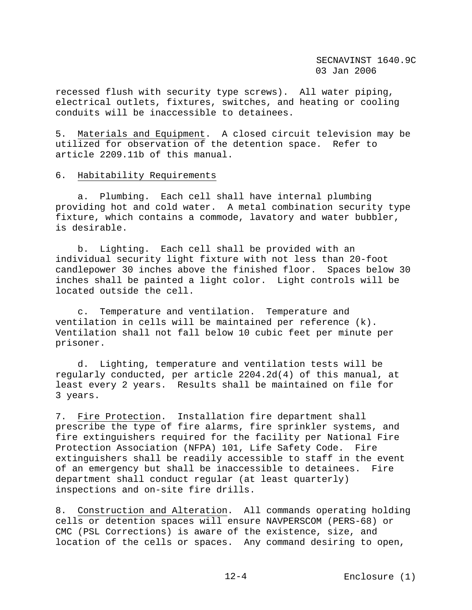recessed flush with security type screws). All water piping, electrical outlets, fixtures, switches, and heating or cooling conduits will be inaccessible to detainees.

5. Materials and Equipment. A closed circuit television may be utilized for observation of the detention space. Refer to article 2209.11b of this manual.

### 6. Habitability Requirements

 a. Plumbing. Each cell shall have internal plumbing providing hot and cold water. A metal combination security type fixture, which contains a commode, lavatory and water bubbler, is desirable.

 b. Lighting. Each cell shall be provided with an individual security light fixture with not less than 20-foot candlepower 30 inches above the finished floor. Spaces below 30 inches shall be painted a light color. Light controls will be located outside the cell.

 c. Temperature and ventilation. Temperature and ventilation in cells will be maintained per reference (k). Ventilation shall not fall below 10 cubic feet per minute per prisoner.

 d. Lighting, temperature and ventilation tests will be regularly conducted, per article 2204.2d(4) of this manual, at least every 2 years. Results shall be maintained on file for 3 years.

7. Fire Protection. Installation fire department shall prescribe the type of fire alarms, fire sprinkler systems, and fire extinguishers required for the facility per National Fire Protection Association (NFPA) 101, Life Safety Code. Fire extinguishers shall be readily accessible to staff in the event of an emergency but shall be inaccessible to detainees. Fire department shall conduct regular (at least quarterly) inspections and on-site fire drills.

8. Construction and Alteration. All commands operating holding cells or detention spaces will ensure NAVPERSCOM (PERS-68) or CMC (PSL Corrections) is aware of the existence, size, and location of the cells or spaces. Any command desiring to open,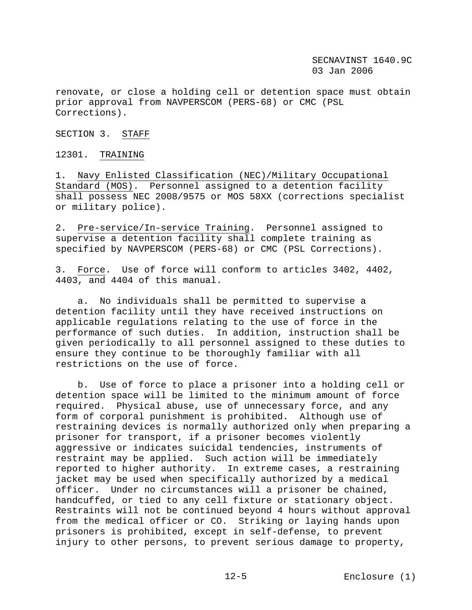renovate, or close a holding cell or detention space must obtain prior approval from NAVPERSCOM (PERS-68) or CMC (PSL Corrections).

SECTION 3. STAFF

12301. TRAINING

1. Navy Enlisted Classification (NEC)/Military Occupational Standard (MOS). Personnel assigned to a detention facility shall possess NEC 2008/9575 or MOS 58XX (corrections specialist or military police).

2. Pre-service/In-service Training. Personnel assigned to supervise a detention facility shall complete training as specified by NAVPERSCOM (PERS-68) or CMC (PSL Corrections).

3. Force. Use of force will conform to articles 3402, 4402, 4403, and 4404 of this manual.

 a. No individuals shall be permitted to supervise a detention facility until they have received instructions on applicable regulations relating to the use of force in the performance of such duties. In addition, instruction shall be given periodically to all personnel assigned to these duties to ensure they continue to be thoroughly familiar with all restrictions on the use of force.

 b. Use of force to place a prisoner into a holding cell or detention space will be limited to the minimum amount of force required. Physical abuse, use of unnecessary force, and any form of corporal punishment is prohibited. Although use of restraining devices is normally authorized only when preparing a prisoner for transport, if a prisoner becomes violently aggressive or indicates suicidal tendencies, instruments of restraint may be applied. Such action will be immediately reported to higher authority. In extreme cases, a restraining jacket may be used when specifically authorized by a medical officer. Under no circumstances will a prisoner be chained, handcuffed, or tied to any cell fixture or stationary object. Restraints will not be continued beyond 4 hours without approval from the medical officer or CO. Striking or laying hands upon prisoners is prohibited, except in self-defense, to prevent injury to other persons, to prevent serious damage to property,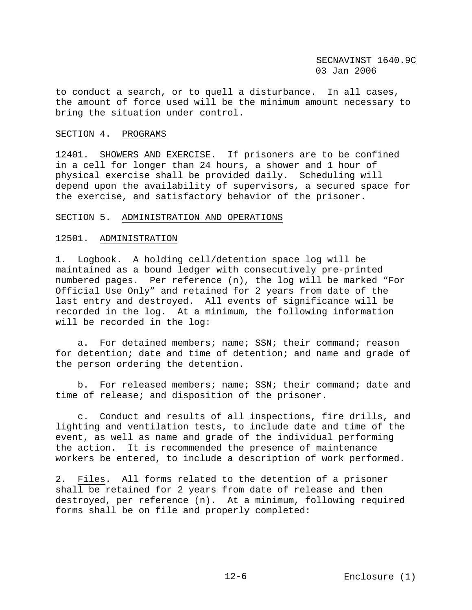to conduct a search, or to quell a disturbance. In all cases, the amount of force used will be the minimum amount necessary to bring the situation under control.

## SECTION 4. PROGRAMS

12401. SHOWERS AND EXERCISE. If prisoners are to be confined in a cell for longer than 24 hours, a shower and 1 hour of physical exercise shall be provided daily. Scheduling will depend upon the availability of supervisors, a secured space for the exercise, and satisfactory behavior of the prisoner.

### SECTION 5. ADMINISTRATION AND OPERATIONS

### 12501. ADMINISTRATION

1. Logbook. A holding cell/detention space log will be maintained as a bound ledger with consecutively pre-printed numbered pages. Per reference (n), the log will be marked "For Official Use Only" and retained for 2 years from date of the last entry and destroyed. All events of significance will be recorded in the log. At a minimum, the following information will be recorded in the log:

 a. For detained members; name; SSN; their command; reason for detention; date and time of detention; and name and grade of the person ordering the detention.

 b. For released members; name; SSN; their command; date and time of release; and disposition of the prisoner.

 c. Conduct and results of all inspections, fire drills, and lighting and ventilation tests, to include date and time of the event, as well as name and grade of the individual performing the action. It is recommended the presence of maintenance workers be entered, to include a description of work performed.

2. Files. All forms related to the detention of a prisoner shall be retained for 2 years from date of release and then destroyed, per reference (n). At a minimum, following required forms shall be on file and properly completed: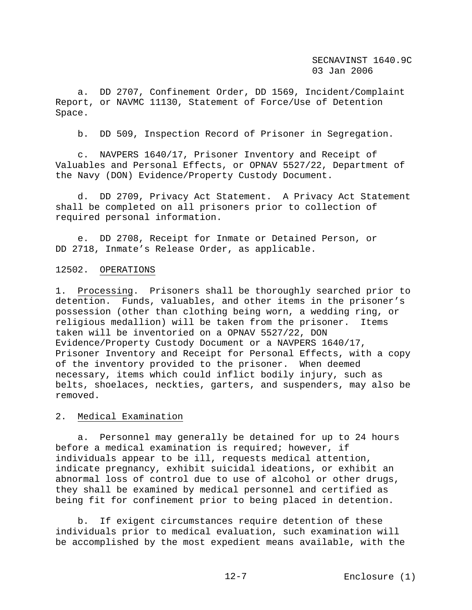a. DD 2707, Confinement Order, DD 1569, Incident/Complaint Report, or NAVMC 11130, Statement of Force/Use of Detention Space.

b. DD 509, Inspection Record of Prisoner in Segregation.

 c. NAVPERS 1640/17, Prisoner Inventory and Receipt of Valuables and Personal Effects, or OPNAV 5527/22, Department of the Navy (DON) Evidence/Property Custody Document.

 d. DD 2709, Privacy Act Statement. A Privacy Act Statement shall be completed on all prisoners prior to collection of required personal information.

 e. DD 2708, Receipt for Inmate or Detained Person, or DD 2718, Inmate's Release Order, as applicable.

### 12502. OPERATIONS

1. Processing. Prisoners shall be thoroughly searched prior to detention. Funds, valuables, and other items in the prisoner's possession (other than clothing being worn, a wedding ring, or religious medallion) will be taken from the prisoner. Items taken will be inventoried on a OPNAV 5527/22, DON Evidence/Property Custody Document or a NAVPERS 1640/17, Prisoner Inventory and Receipt for Personal Effects, with a copy of the inventory provided to the prisoner. When deemed necessary, items which could inflict bodily injury, such as belts, shoelaces, neckties, garters, and suspenders, may also be removed.

### 2. Medical Examination

 a. Personnel may generally be detained for up to 24 hours before a medical examination is required; however, if individuals appear to be ill, requests medical attention, indicate pregnancy, exhibit suicidal ideations, or exhibit an abnormal loss of control due to use of alcohol or other drugs, they shall be examined by medical personnel and certified as being fit for confinement prior to being placed in detention.

 b. If exigent circumstances require detention of these individuals prior to medical evaluation, such examination will be accomplished by the most expedient means available, with the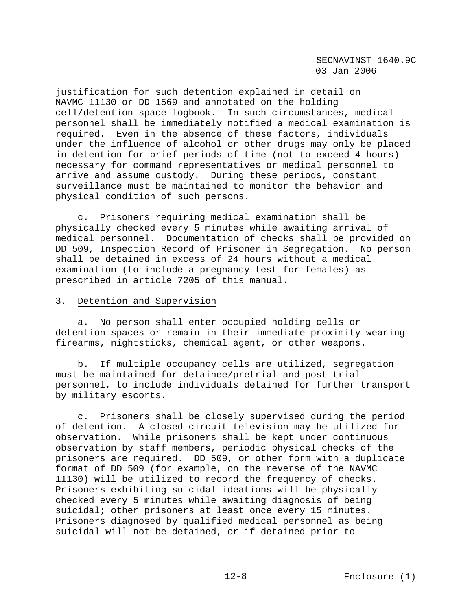justification for such detention explained in detail on NAVMC 11130 or DD 1569 and annotated on the holding cell/detention space logbook. In such circumstances, medical personnel shall be immediately notified a medical examination is required. Even in the absence of these factors, individuals under the influence of alcohol or other drugs may only be placed in detention for brief periods of time (not to exceed 4 hours) necessary for command representatives or medical personnel to arrive and assume custody. During these periods, constant surveillance must be maintained to monitor the behavior and physical condition of such persons.

 c. Prisoners requiring medical examination shall be physically checked every 5 minutes while awaiting arrival of medical personnel. Documentation of checks shall be provided on DD 509, Inspection Record of Prisoner in Segregation. No person shall be detained in excess of 24 hours without a medical examination (to include a pregnancy test for females) as prescribed in article 7205 of this manual.

## 3. Detention and Supervision

 a. No person shall enter occupied holding cells or detention spaces or remain in their immediate proximity wearing firearms, nightsticks, chemical agent, or other weapons.

 b. If multiple occupancy cells are utilized, segregation must be maintained for detainee/pretrial and post-trial personnel, to include individuals detained for further transport by military escorts.

 c. Prisoners shall be closely supervised during the period of detention. A closed circuit television may be utilized for observation. While prisoners shall be kept under continuous observation by staff members, periodic physical checks of the prisoners are required. DD 509, or other form with a duplicate format of DD 509 (for example, on the reverse of the NAVMC 11130) will be utilized to record the frequency of checks. Prisoners exhibiting suicidal ideations will be physically checked every 5 minutes while awaiting diagnosis of being suicidal; other prisoners at least once every 15 minutes. Prisoners diagnosed by qualified medical personnel as being suicidal will not be detained, or if detained prior to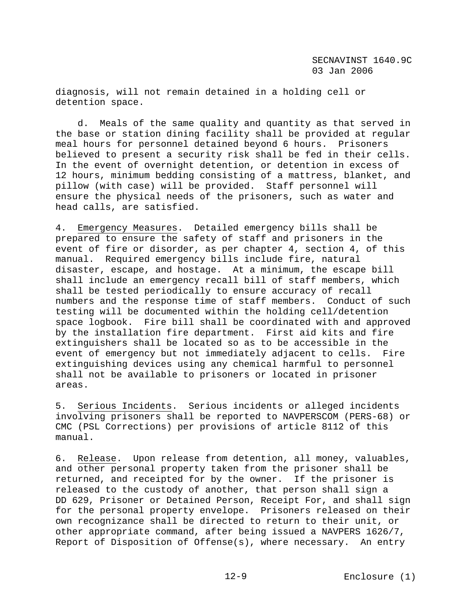diagnosis, will not remain detained in a holding cell or detention space.

 d. Meals of the same quality and quantity as that served in the base or station dining facility shall be provided at regular meal hours for personnel detained beyond 6 hours. Prisoners believed to present a security risk shall be fed in their cells. In the event of overnight detention, or detention in excess of 12 hours, minimum bedding consisting of a mattress, blanket, and pillow (with case) will be provided. Staff personnel will ensure the physical needs of the prisoners, such as water and head calls, are satisfied.

4. Emergency Measures. Detailed emergency bills shall be prepared to ensure the safety of staff and prisoners in the event of fire or disorder, as per chapter 4, section 4, of this manual. Required emergency bills include fire, natural disaster, escape, and hostage. At a minimum, the escape bill shall include an emergency recall bill of staff members, which shall be tested periodically to ensure accuracy of recall numbers and the response time of staff members. Conduct of such testing will be documented within the holding cell/detention space logbook. Fire bill shall be coordinated with and approved by the installation fire department. First aid kits and fire extinguishers shall be located so as to be accessible in the event of emergency but not immediately adjacent to cells. Fire extinguishing devices using any chemical harmful to personnel shall not be available to prisoners or located in prisoner areas.

5. Serious Incidents. Serious incidents or alleged incidents involving prisoners shall be reported to NAVPERSCOM (PERS-68) or CMC (PSL Corrections) per provisions of article 8112 of this manual.

6. Release. Upon release from detention, all money, valuables, and other personal property taken from the prisoner shall be returned, and receipted for by the owner. If the prisoner is released to the custody of another, that person shall sign a DD 629, Prisoner or Detained Person, Receipt For, and shall sign for the personal property envelope. Prisoners released on their own recognizance shall be directed to return to their unit, or other appropriate command, after being issued a NAVPERS 1626/7, Report of Disposition of Offense(s), where necessary. An entry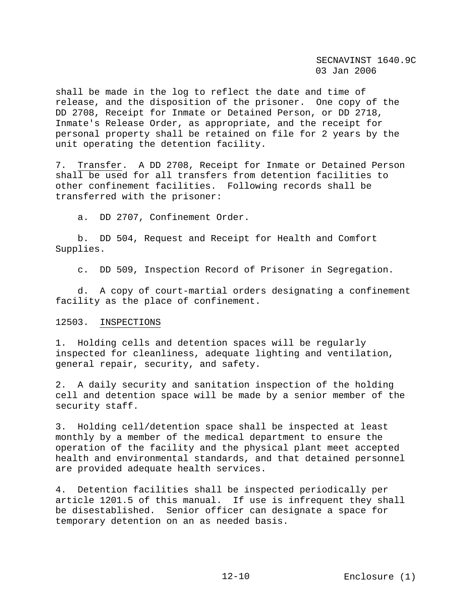shall be made in the log to reflect the date and time of release, and the disposition of the prisoner. One copy of the DD 2708, Receipt for Inmate or Detained Person, or DD 2718, Inmate's Release Order, as appropriate, and the receipt for personal property shall be retained on file for 2 years by the unit operating the detention facility.

7. Transfer. A DD 2708, Receipt for Inmate or Detained Person shall be used for all transfers from detention facilities to other confinement facilities. Following records shall be transferred with the prisoner:

a. DD 2707, Confinement Order.

 b. DD 504, Request and Receipt for Health and Comfort Supplies.

c. DD 509, Inspection Record of Prisoner in Segregation.

 d. A copy of court-martial orders designating a confinement facility as the place of confinement.

#### 12503. INSPECTIONS

1. Holding cells and detention spaces will be regularly inspected for cleanliness, adequate lighting and ventilation, general repair, security, and safety.

2. A daily security and sanitation inspection of the holding cell and detention space will be made by a senior member of the security staff.

3. Holding cell/detention space shall be inspected at least monthly by a member of the medical department to ensure the operation of the facility and the physical plant meet accepted health and environmental standards, and that detained personnel are provided adequate health services.

4. Detention facilities shall be inspected periodically per article 1201.5 of this manual. If use is infrequent they shall be disestablished. Senior officer can designate a space for temporary detention on an as needed basis.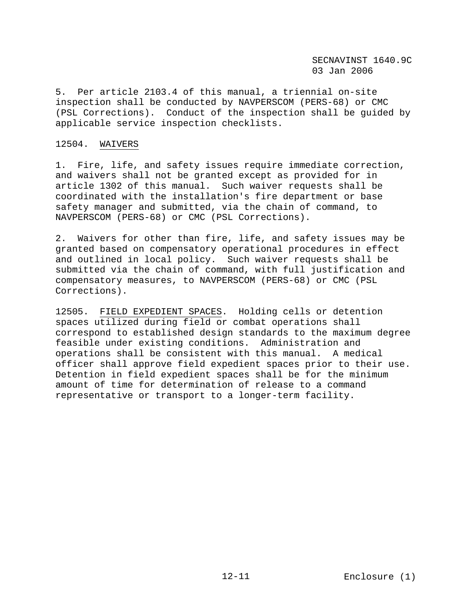5. Per article 2103.4 of this manual, a triennial on-site inspection shall be conducted by NAVPERSCOM (PERS-68) or CMC (PSL Corrections). Conduct of the inspection shall be guided by applicable service inspection checklists.

## 12504. WAIVERS

1. Fire, life, and safety issues require immediate correction, and waivers shall not be granted except as provided for in article 1302 of this manual. Such waiver requests shall be coordinated with the installation's fire department or base safety manager and submitted, via the chain of command, to NAVPERSCOM (PERS-68) or CMC (PSL Corrections).

2. Waivers for other than fire, life, and safety issues may be granted based on compensatory operational procedures in effect and outlined in local policy. Such waiver requests shall be submitted via the chain of command, with full justification and compensatory measures, to NAVPERSCOM (PERS-68) or CMC (PSL Corrections).

12505. FIELD EXPEDIENT SPACES. Holding cells or detention spaces utilized during field or combat operations shall correspond to established design standards to the maximum degree feasible under existing conditions. Administration and operations shall be consistent with this manual. A medical officer shall approve field expedient spaces prior to their use. Detention in field expedient spaces shall be for the minimum amount of time for determination of release to a command representative or transport to a longer-term facility.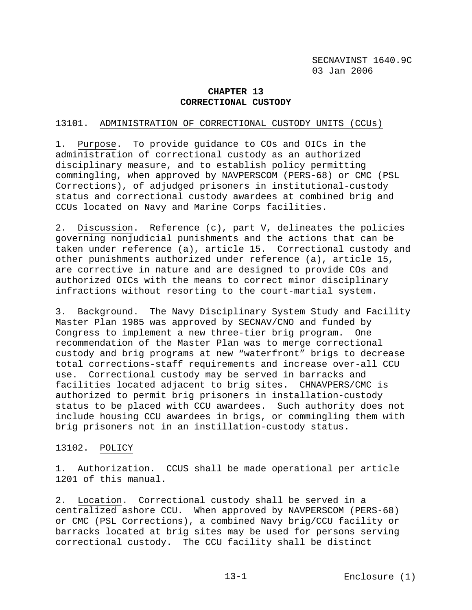# **CHAPTER 13 CORRECTIONAL CUSTODY**

## 13101. ADMINISTRATION OF CORRECTIONAL CUSTODY UNITS (CCUs)

1. Purpose. To provide guidance to COs and OICs in the administration of correctional custody as an authorized disciplinary measure, and to establish policy permitting commingling, when approved by NAVPERSCOM (PERS-68) or CMC (PSL Corrections), of adjudged prisoners in institutional-custody status and correctional custody awardees at combined brig and CCUs located on Navy and Marine Corps facilities.

2. Discussion. Reference (c), part V, delineates the policies governing nonjudicial punishments and the actions that can be taken under reference (a), article 15. Correctional custody and other punishments authorized under reference (a), article 15, are corrective in nature and are designed to provide COs and authorized OICs with the means to correct minor disciplinary infractions without resorting to the court-martial system.

3. Background. The Navy Disciplinary System Study and Facility Master Plan 1985 was approved by SECNAV/CNO and funded by Congress to implement a new three-tier brig program. One recommendation of the Master Plan was to merge correctional custody and brig programs at new "waterfront" brigs to decrease total corrections-staff requirements and increase over-all CCU use. Correctional custody may be served in barracks and facilities located adjacent to brig sites. CHNAVPERS/CMC is authorized to permit brig prisoners in installation-custody status to be placed with CCU awardees. Such authority does not include housing CCU awardees in brigs, or commingling them with brig prisoners not in an instillation-custody status.

#### 13102. POLICY

1. Authorization. CCUS shall be made operational per article 1201 of this manual.

2. Location. Correctional custody shall be served in a centralized ashore CCU. When approved by NAVPERSCOM (PERS-68) or CMC (PSL Corrections), a combined Navy brig/CCU facility or barracks located at brig sites may be used for persons serving correctional custody. The CCU facility shall be distinct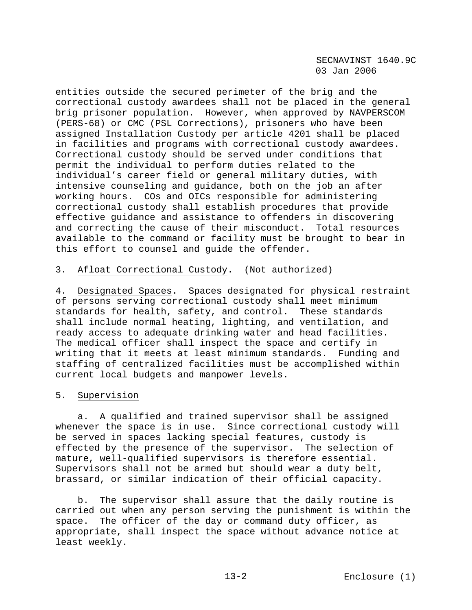entities outside the secured perimeter of the brig and the correctional custody awardees shall not be placed in the general brig prisoner population. However, when approved by NAVPERSCOM (PERS-68) or CMC (PSL Corrections), prisoners who have been assigned Installation Custody per article 4201 shall be placed in facilities and programs with correctional custody awardees. Correctional custody should be served under conditions that permit the individual to perform duties related to the individual's career field or general military duties, with intensive counseling and guidance, both on the job an after working hours. COs and OICs responsible for administering correctional custody shall establish procedures that provide effective guidance and assistance to offenders in discovering and correcting the cause of their misconduct. Total resources available to the command or facility must be brought to bear in this effort to counsel and guide the offender.

### 3. Afloat Correctional Custody. (Not authorized)

4. Designated Spaces. Spaces designated for physical restraint of persons serving correctional custody shall meet minimum standards for health, safety, and control. These standards shall include normal heating, lighting, and ventilation, and ready access to adequate drinking water and head facilities. The medical officer shall inspect the space and certify in writing that it meets at least minimum standards. Funding and staffing of centralized facilities must be accomplished within current local budgets and manpower levels.

## 5. Supervision

 a. A qualified and trained supervisor shall be assigned whenever the space is in use. Since correctional custody will be served in spaces lacking special features, custody is effected by the presence of the supervisor. The selection of mature, well-qualified supervisors is therefore essential. Supervisors shall not be armed but should wear a duty belt, brassard, or similar indication of their official capacity.

 b. The supervisor shall assure that the daily routine is carried out when any person serving the punishment is within the space. The officer of the day or command duty officer, as appropriate, shall inspect the space without advance notice at least weekly.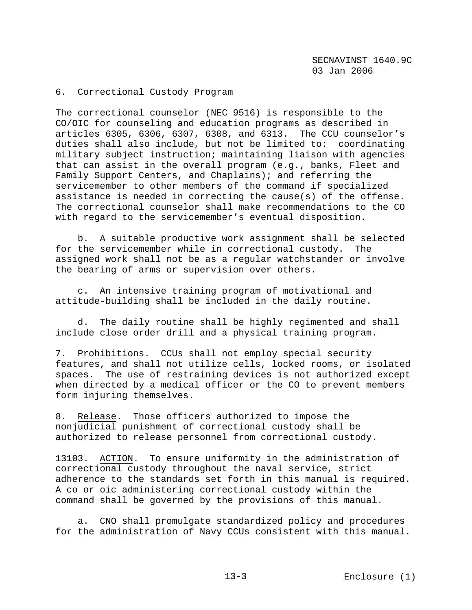# 6. Correctional Custody Program

The correctional counselor (NEC 9516) is responsible to the CO/OIC for counseling and education programs as described in articles 6305, 6306, 6307, 6308, and 6313. The CCU counselor's duties shall also include, but not be limited to: coordinating military subject instruction; maintaining liaison with agencies that can assist in the overall program (e.g., banks, Fleet and Family Support Centers, and Chaplains); and referring the servicemember to other members of the command if specialized assistance is needed in correcting the cause(s) of the offense. The correctional counselor shall make recommendations to the CO with regard to the servicemember's eventual disposition.

 b. A suitable productive work assignment shall be selected for the servicemember while in correctional custody. The assigned work shall not be as a regular watchstander or involve the bearing of arms or supervision over others.

 c. An intensive training program of motivational and attitude-building shall be included in the daily routine.

 d. The daily routine shall be highly regimented and shall include close order drill and a physical training program.

7. Prohibitions. CCUs shall not employ special security features, and shall not utilize cells, locked rooms, or isolated spaces. The use of restraining devices is not authorized except when directed by a medical officer or the CO to prevent members form injuring themselves.

8. Release. Those officers authorized to impose the nonjudicial punishment of correctional custody shall be authorized to release personnel from correctional custody.

13103. ACTION. To ensure uniformity in the administration of correctional custody throughout the naval service, strict adherence to the standards set forth in this manual is required. A co or oic administering correctional custody within the command shall be governed by the provisions of this manual.

 a. CNO shall promulgate standardized policy and procedures for the administration of Navy CCUs consistent with this manual.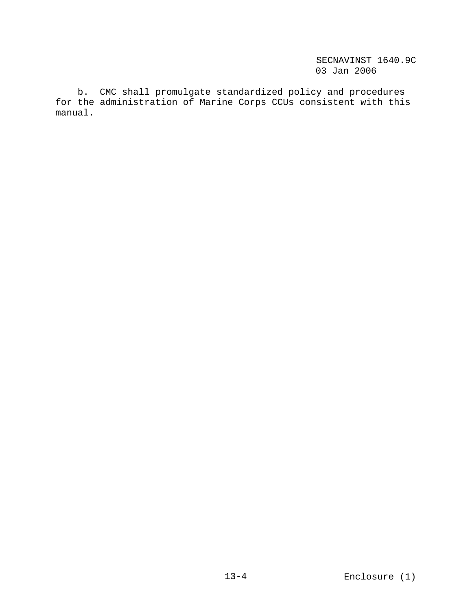b. CMC shall promulgate standardized policy and procedures for the administration of Marine Corps CCUs consistent with this manual.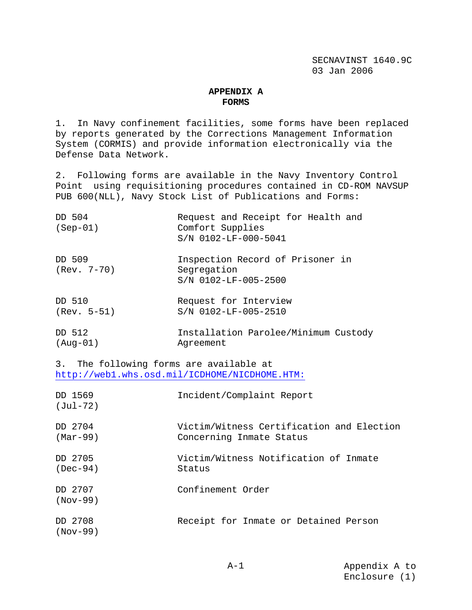#### **APPENDIX A FORMS**

1. In Navy confinement facilities, some forms have been replaced by reports generated by the Corrections Management Information System (CORMIS) and provide information electronically via the Defense Data Network.

2. Following forms are available in the Navy Inventory Control Point using requisitioning procedures contained in CD-ROM NAVSUP PUB 600(NLL), Navy Stock List of Publications and Forms:

| DD 504<br>$(Sep-01)$    | Request and Receipt for Health and<br>Comfort Supplies<br>S/N 0102-LF-000-5041 |
|-------------------------|--------------------------------------------------------------------------------|
| DD 509<br>$(Rev. 7-70)$ | Inspection Record of Prisoner in<br>Segregation<br>S/N 0102-LF-005-2500        |
| DD 510                  | Request for Interview                                                          |
| $(Rev. 5-51)$           | S/N 0102-LF-005-2510                                                           |
| DD 512                  | Installation Parolee/Minimum Custody                                           |
| (Aug-01)                | Agreement                                                                      |

3. The following forms are available at http://web1.whs.osd.mil/ICDHOME/NICDHOME.HTM:

| DD 1569<br>$(Jul-72)$ | Incident/Complaint Report                                             |
|-----------------------|-----------------------------------------------------------------------|
| DD 2704<br>$(Mar-99)$ | Victim/Witness Certification and Election<br>Concerning Inmate Status |
| 2705 ממ<br>$(Dec-94)$ | Victim/Witness Notification of Inmate<br>Status                       |
| DD 2707<br>$(Nov-99)$ | Confinement Order                                                     |
| 2708 ממ<br>(Nov-99)   | Receipt for Inmate or Detained Person                                 |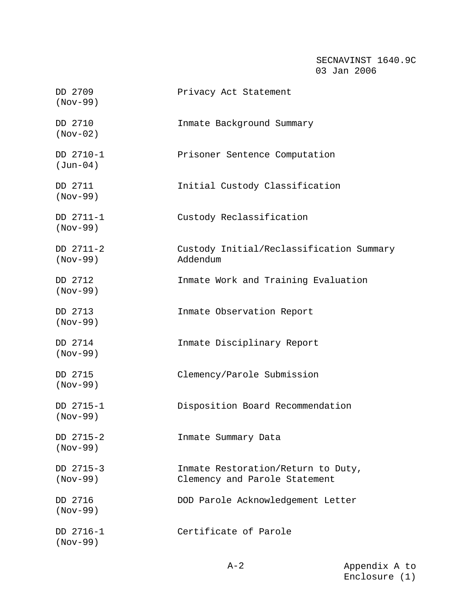| DD 2709<br>$(Nov-99)$   | Privacy Act Statement                                               |
|-------------------------|---------------------------------------------------------------------|
| DD 2710<br>$(Nov-02)$   | Inmate Background Summary                                           |
| DD 2710-1<br>$(Jun-04)$ | Prisoner Sentence Computation                                       |
| DD 2711<br>$(Nov-99)$   | Initial Custody Classification                                      |
| DD 2711-1<br>$(Nov-99)$ | Custody Reclassification                                            |
| DD 2711-2<br>$(Nov-99)$ | Custody Initial/Reclassification Summary<br>Addendum                |
| DD 2712<br>$(Nov-99)$   | Inmate Work and Training Evaluation                                 |
| DD 2713<br>$(Nov-99)$   | Inmate Observation Report                                           |
| DD 2714<br>$(Nov-99)$   | Inmate Disciplinary Report                                          |
| DD 2715<br>$(Nov-99)$   | Clemency/Parole Submission                                          |
| DD 2715-1<br>$(Nov-99)$ | Disposition Board Recommendation                                    |
| DD 2715-2<br>$(Nov-99)$ | Inmate Summary Data                                                 |
| DD 2715-3<br>$(Nov-99)$ | Inmate Restoration/Return to Duty,<br>Clemency and Parole Statement |
| DD 2716<br>$(Nov-99)$   | DOD Parole Acknowledgement Letter                                   |
| DD 2716-1<br>$(Nov-99)$ | Certificate of Parole                                               |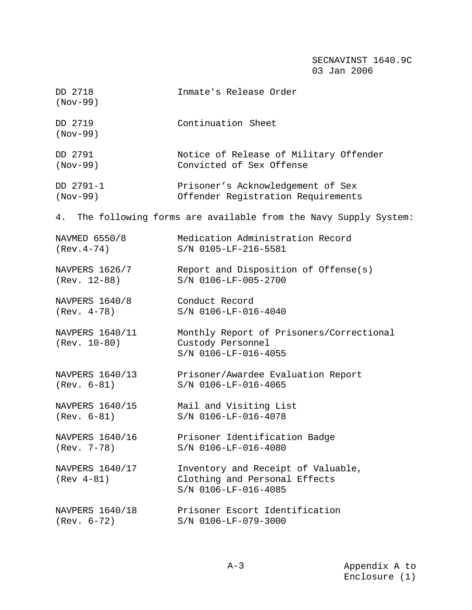| DD 2718<br>$(Nov-99)$             | Inmate's Release Order                                                                      |
|-----------------------------------|---------------------------------------------------------------------------------------------|
| DD 2719<br>$(Nov-99)$             | Continuation Sheet                                                                          |
| DD 2791                           | Notice of Release of Military Offender                                                      |
| $(Nov-99)$                        | Convicted of Sex Offense                                                                    |
| DD 2791-1                         | Prisoner's Acknowledgement of Sex                                                           |
| $(Nov-99)$                        | Offender Registration Requirements                                                          |
| 4.                                | The following forms are available from the Navy Supply System:                              |
| NAVMED 6550/8                     | Medication Administration Record                                                            |
| $(Rev. 4-74)$                     | S/N 0105-LF-216-5581                                                                        |
| NAVPERS 1626/7                    | Report and Disposition of Offense(s)                                                        |
| (Rev. 12-88)                      | S/N 0106-LF-005-2700                                                                        |
| NAVPERS 1640/8                    | Conduct Record                                                                              |
| $(Rev. 4-78)$                     | S/N 0106-LF-016-4040                                                                        |
| NAVPERS 1640/11<br>$(Rev. 10-80)$ | Monthly Report of Prisoners/Correctional<br>Custody Personnel<br>S/N 0106-LF-016-4055       |
| NAVPERS 1640/13                   | Prisoner/Awardee Evaluation Report                                                          |
| $(Rev. 6-81)$                     | S/N 0106-LF-016-4065                                                                        |
| NAVPERS 1640/15                   | Mail and Visiting List                                                                      |
| $(Rev. 6-81)$                     | S/N 0106-LF-016-4078                                                                        |
| NAVPERS 1640/16                   | Prisoner Identification Badge                                                               |
| $(Rev. 7-78)$                     | S/N 0106-LF-016-4080                                                                        |
| NAVPERS 1640/17<br>$(Rev 4-81)$   | Inventory and Receipt of Valuable,<br>Clothing and Personal Effects<br>S/N 0106-LF-016-4085 |
| NAVPERS 1640/18                   | Prisoner Escort Identification                                                              |
| $(Rev. 6-72)$                     | S/N 0106-LF-079-3000                                                                        |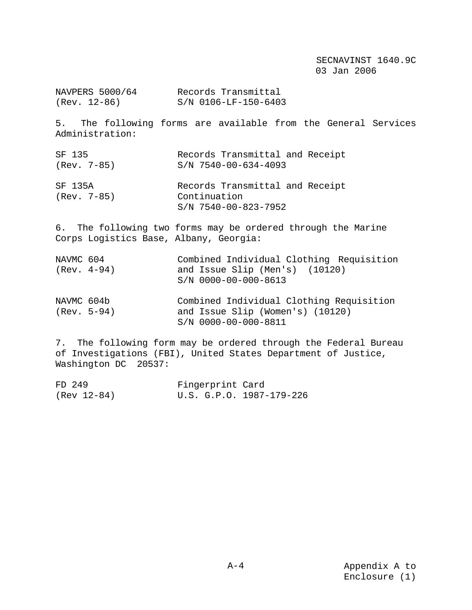NAVPERS 5000/64 Records Transmittal<br>(Rev. 12-86) S/N 0106-LF-150-640 S/N 0106-LF-150-6403

5. The following forms are available from the General Services Administration:

| SF 135                   | Records Transmittal and Receipt                                           |
|--------------------------|---------------------------------------------------------------------------|
| $(Rev. 7-85)$            | $S/N$ 7540-00-634-4093                                                    |
| SF 135A<br>$(Rev. 7-85)$ | Records Transmittal and Receipt<br>Continuation<br>$S/N$ 7540-00-823-7952 |

6. The following two forms may be ordered through the Marine Corps Logistics Base, Albany, Georgia:

NAVMC 604 Combined Individual Clothing Requisition (Rev. 4-94) and Issue Slip (Men's) (10120) S/N 0000-00-000-8613

NAVMC 604b Combined Individual Clothing Requisition (Rev. 5-94) and Issue Slip (Women's) (10120) S/N 0000-00-000-8811

7. The following form may be ordered through the Federal Bureau of Investigations (FBI), United States Department of Justice, Washington DC 20537:

| FD 249      | Fingerprint Card |                          |
|-------------|------------------|--------------------------|
| (Rev 12-84) |                  | U.S. G.P.O. 1987-179-226 |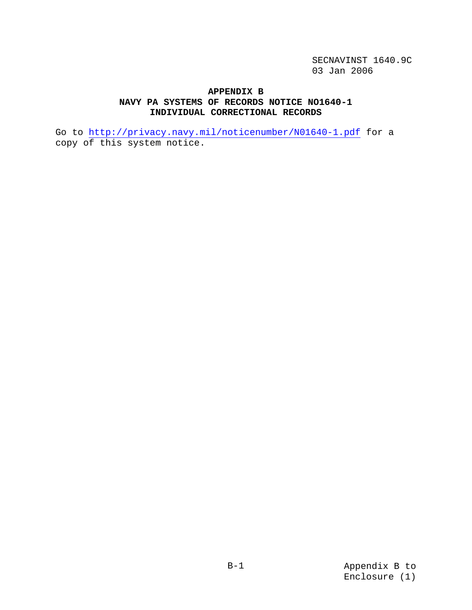### **APPENDIX B NAVY PA SYSTEMS OF RECORDS NOTICE NO1640-1 INDIVIDUAL CORRECTIONAL RECORDS**

Go to http://privacy.navy.mil/noticenumber/N01640-1.pdf for a copy of this system notice.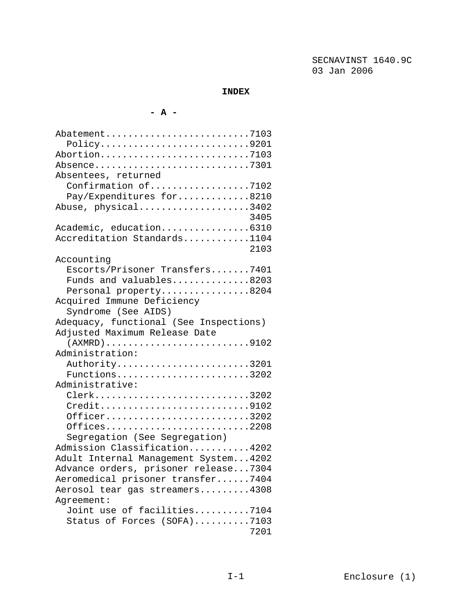#### **INDEX**

### **- A -**

| Abatement7103                                                                               |
|---------------------------------------------------------------------------------------------|
| Policy9201                                                                                  |
| Abortion7103                                                                                |
| Absence7301                                                                                 |
| Absentees, returned                                                                         |
| Confirmation of7102                                                                         |
| Pay/Expenditures for8210                                                                    |
| Abuse, physical3402                                                                         |
| 3405                                                                                        |
| Academic, education6310                                                                     |
| Accreditation Standards1104                                                                 |
| 2103                                                                                        |
| Accounting                                                                                  |
| Escorts/Prisoner Transfers7401                                                              |
| Funds and valuables8203                                                                     |
| Personal property8204                                                                       |
| Acquired Immune Deficiency                                                                  |
| Syndrome (See AIDS)                                                                         |
| Adequacy, functional (See Inspections)                                                      |
| Adjusted Maximum Release Date                                                               |
| $(XXMRD) \ldots \ldots \ldots \ldots \ldots \ldots \ldots \ldots \ldots \ldots \ldots 9102$ |
| Administration:                                                                             |
| Authority3201                                                                               |
| Functions3202                                                                               |
| Administrative:                                                                             |
| Clerk3202                                                                                   |
| Credit9102                                                                                  |
| Officer3202                                                                                 |
| Offices2208                                                                                 |
| Segregation (See Segregation)                                                               |
| Admission Classification4202                                                                |
| Adult Internal Management System4202                                                        |
| Advance orders, prisoner release7304                                                        |
| Aeromedical prisoner transfer7404                                                           |
| Aerosol tear gas streamers4308                                                              |
| Agreement:                                                                                  |
| Joint use of facilities7104                                                                 |
| Status of Forces (SOFA)7103                                                                 |
| 7201                                                                                        |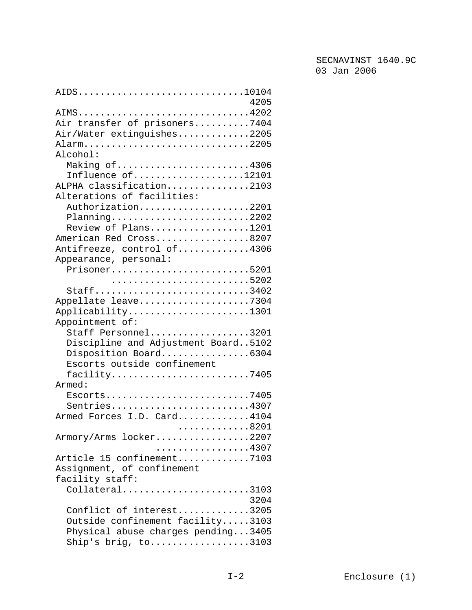| AIDS10104<br>4205                                                       |
|-------------------------------------------------------------------------|
|                                                                         |
| AIMS4202                                                                |
| Air transfer of prisoners7404                                           |
| Air/Water extinguishes2205                                              |
| Alarm2205                                                               |
| Alcohol:                                                                |
| Making of4306                                                           |
| Influence of12101                                                       |
| ALPHA classification2103                                                |
| Alterations of facilities:                                              |
| Authorization2201                                                       |
| Planning2202                                                            |
| Review of Plans1201                                                     |
| American Red Cross8207                                                  |
| Antifreeze, control of4306                                              |
| Appearance, personal:                                                   |
| Prisoner5201                                                            |
|                                                                         |
| Staff3402                                                               |
| Appellate leave7304                                                     |
| Applicability1301                                                       |
| Appointment of:                                                         |
| Staff Personnel3201                                                     |
| Discipline and Adjustment Board5102                                     |
| Disposition Board6304                                                   |
| Escorts outside confinement                                             |
|                                                                         |
| facility7405<br>Armed:                                                  |
|                                                                         |
| $Esports$ 7405                                                          |
| Sentries4307                                                            |
| Armed Forces I.D. Card4104                                              |
| . 8201                                                                  |
| Armory/Arms locker2207                                                  |
| . 4307                                                                  |
| Article 15 confinement7103                                              |
| Assignment, of confinement                                              |
| facility staff:                                                         |
| $Collateral$ 3103                                                       |
| 3204                                                                    |
| Conflict of interest3205                                                |
| Outside confinement facility3103                                        |
| Physical abuse charges pending3405                                      |
| Ship's brig, $\text{to} \ldots \ldots \ldots \ldots \ldots \ldots$ 3103 |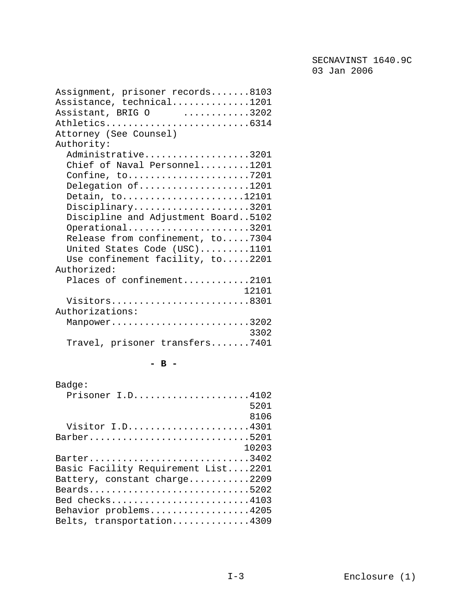| Assignment, prisoner records8103    |
|-------------------------------------|
| Assistance, technical1201           |
| Assistant, BRIG 0 3202              |
| Athletics6314                       |
| Attorney (See Counsel)              |
| Authority:                          |
| Administrative3201                  |
| Chief of Naval Personnel1201        |
|                                     |
| Delegation of1201                   |
| Detain, to12101                     |
|                                     |
| Disciplinary3201                    |
| Discipline and Adjustment Board5102 |
| Operational3201                     |
| Release from confinement, to7304    |
| United States Code (USC)1101        |
| Use confinement facility, to2201    |
| Authorized:                         |
| Places of confinement2101           |
| 12101                               |
| Visitors8301                        |
| Authorizations:                     |
| Manpower3202                        |
| 3302                                |
| Travel, prisoner transfers7401      |
|                                     |

### **- B -**

| Badge:                              |
|-------------------------------------|
| Prisoner I.D4102                    |
| 5201                                |
| 8106                                |
| Visitor I.D4301                     |
| Barber5201                          |
| 10203                               |
| Barter3402                          |
| Basic Facility Requirement List2201 |
| Battery, constant charge2209        |
| Beards5202                          |
| Bed checks4103                      |
| Behavior problems4205               |
| Belts, transportation4309           |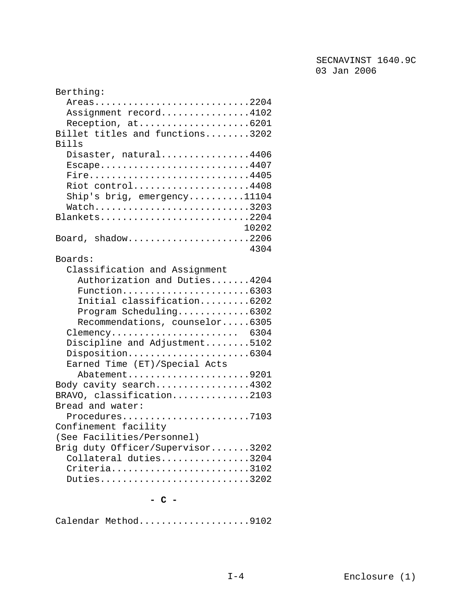| Berthing:                        |
|----------------------------------|
| Areas2204                        |
| Assignment record4102            |
| Reception, at6201                |
| Billet titles and functions3202  |
| Bills                            |
| Disaster, natural4406            |
| Escape4407                       |
| Fire4405                         |
| Riot control4408                 |
| Ship's brig, $emergency$ 11104   |
| Watch3203                        |
| Blankets2204                     |
| 10202                            |
| Board, shadow2206                |
| 4304                             |
| Boards:                          |
| Classification and Assignment    |
| Authorization and Duties4204     |
|                                  |
| Initial classification6202       |
| Program Scheduling6302           |
| Recommendations, counselor6305   |
| Clemency 6304                    |
| Discipline and Adjustment5102    |
| Disposition6304                  |
| Earned Time (ET)/Special Acts    |
| Abatement9201                    |
| Body cavity search4302           |
| BRAVO, classification2103        |
| Bread and water:                 |
| Procedures7103                   |
| Confinement facility             |
| (See Facilities/Personnel)       |
| Brig duty Officer/Supervisor3202 |
| Collateral duties3204            |
| Criteria3102                     |
| Duties3202                       |
|                                  |

**- C -** 

Calendar Method....................9102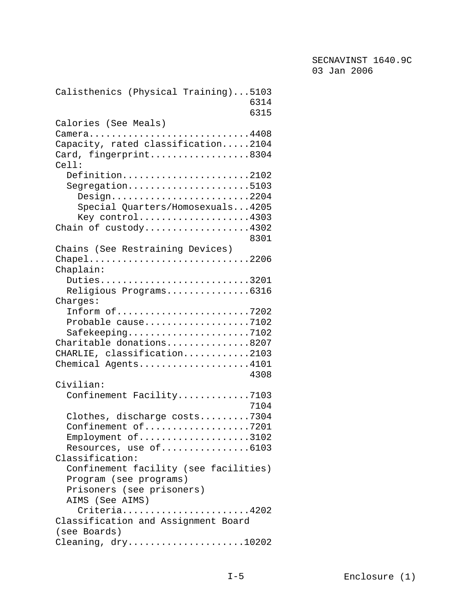| Calisthenics (Physical Training)5103<br>6314<br>6315                                                                                                                                          |
|-----------------------------------------------------------------------------------------------------------------------------------------------------------------------------------------------|
| Calories (See Meals)<br>Camera4408<br>Capacity, rated classification2104<br>Card, fingerprint8304<br>Cell:                                                                                    |
| Definition2102<br>Segregation5103<br>$Design \ldots \ldots \ldots \ldots \ldots \ldots \ldots 2204$<br>Special Quarters/Homosexuals4205<br>Key control4303<br>Chain of $custody$ 4302<br>8301 |
| Chains (See Restraining Devices)<br>Chapel2206<br>Chaplain:                                                                                                                                   |
| Duties3201<br>Religious Programs6316<br>Charges:                                                                                                                                              |
| Inform of7202<br>Probable cause7102<br>Safekeeping7102<br>Charitable donations8207<br>CHARLIE, classification2103<br>Chemical Agents4101<br>4308                                              |
| Civilian:<br>Confinement Facility7103                                                                                                                                                         |
| 7104<br>Clothes, discharge costs7304<br>Confinement of7201<br>Employment of3102<br>Resources, use of6103<br>Classification:                                                                   |
| Confinement facility (see facilities)<br>Program (see programs)<br>Prisoners (see prisoners)<br>AIMS (See AIMS)                                                                               |
| Criteria4202<br>Classification and Assignment Board                                                                                                                                           |
| (see Boards)<br>Cleaning, $dry$ 10202                                                                                                                                                         |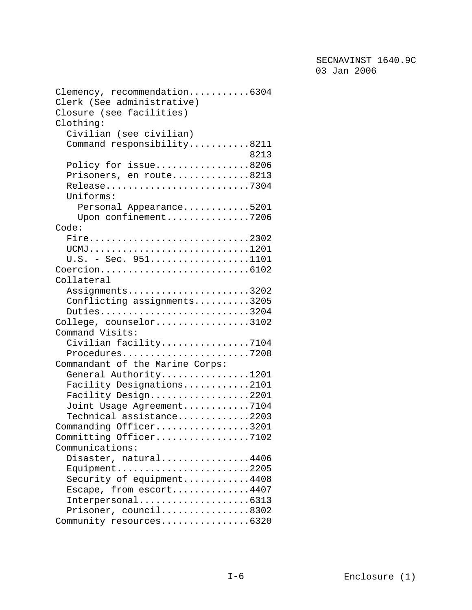| Clemency, recommendation6304    |
|---------------------------------|
| Clerk (See administrative)      |
| Closure (see facilities)        |
| Clothing:                       |
| Civilian (see civilian)         |
| Command responsibility8211      |
| 8213                            |
| Policy for issue8206            |
| Prisoners, en route8213         |
| Release7304                     |
| Uniforms:                       |
| Personal Appearance5201         |
| Upon confinement7206            |
|                                 |
| Code:                           |
| Fire2302                        |
| UCMJ1201                        |
| $U.S. - Sec. 951. 1101$         |
|                                 |
| Collateral                      |
| Assignments3202                 |
| Conflicting assignments3205     |
| Duties3204                      |
| College, counselor3102          |
| Command Visits:                 |
| Civilian facility7104           |
| Procedures7208                  |
| Commandant of the Marine Corps: |
| General Authority1201           |
| Facility Designations2101       |
| Facility Design2201             |
| Joint Usage Agreement7104       |
| Technical assistance2203        |
| Commanding Officer3201          |
| Committing Officer7102          |
| Communications:                 |
| Disaster, natural4406           |
| Equipment2205                   |
| Security of equipment4408       |
| Escape, from escort4407         |
| Interpersonal6313               |
| Prisoner, council8302           |
| Community resources6320         |
|                                 |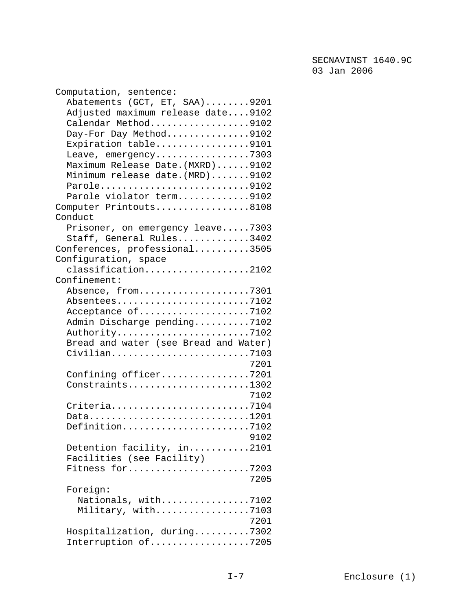| Computation, sentence:                |
|---------------------------------------|
| Abatements (GCT, ET, SAA)9201         |
| Adjusted maximum release date9102     |
| Calendar Method9102                   |
| Day-For Day Method9102                |
| Expiration table9101                  |
| Leave, emergency7303                  |
| Maximum Release Date. (MXRD)9102      |
| Minimum release date. (MRD)9102       |
| Parole9102                            |
| Parole violator term9102              |
| Computer Printouts8108                |
| Conduct                               |
| Prisoner, on emergency leave7303      |
|                                       |
| Staff, General Rules3402              |
| Conferences, professional3505         |
| Configuration, space                  |
| classification2102                    |
| Confinement:                          |
| Absence, from7301                     |
| Absentees7102                         |
| Acceptance of7102                     |
| Admin Discharge pending7102           |
| Authority7102                         |
| Bread and water (see Bread and Water) |
| Civilian7103                          |
| 7201                                  |
| Confining officer7201                 |
| Constraints1302                       |
| 7102                                  |
| Criteria7104                          |
| Data1201                              |
| Definition7102                        |
| 9102                                  |
| Detention facility, in2101            |
| Facilities (see Facility)             |
| Fitness for7203                       |
| 7205                                  |
| Foreign:                              |
| Nationals, with7102                   |
| Military, with7103                    |
| 7201                                  |
| Hospitalization, during7302           |
| Interruption of7205                   |
|                                       |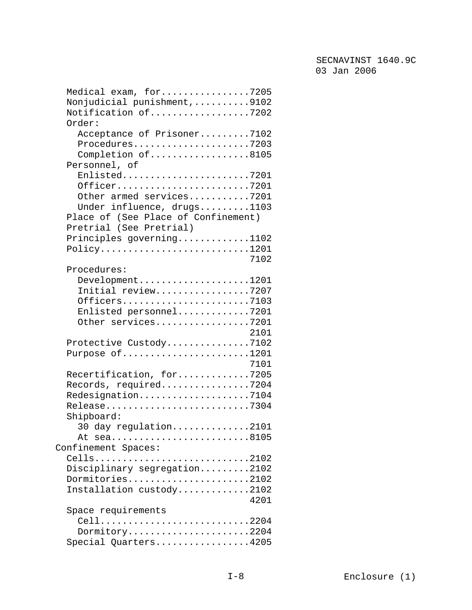| Medical exam, for7205<br>Nonjudicial punishment,9102                                                                                                    |
|---------------------------------------------------------------------------------------------------------------------------------------------------------|
| Notification of7202<br>Order:                                                                                                                           |
| Acceptance of Prisoner7102<br>Procedures7203<br>Completion of8105<br>Personnel, of                                                                      |
| Enlisted7201<br>Officer7201<br>Other armed services7201<br>Under influence, drugs1103<br>Place of (See Place of Confinement)<br>Pretrial (See Pretrial) |
| Principles governing1102<br>$Policy \ldots \ldots \ldots \ldots \ldots \ldots \ldots \ldots 1201$<br>7102                                               |
| Procedures:<br>Development1201<br>Initial review7207<br>Officers7103<br>Enlisted personnel7201<br>Other services7201<br>2101                            |
| Protective Custody7102<br>Purpose of1201<br>7101                                                                                                        |
| Recertification, for7205<br>Records, required7204<br>Redesignation7104<br>Release7304<br>Shipboard:                                                     |
| $30$ day regulation2101<br>At sea8105                                                                                                                   |
| Confinement Spaces:<br>Cells<br>. 2102<br>Disciplinary segregation2102<br>Dormitories2102<br>Installation custody2102<br>4201                           |
| Space requirements<br>Cell2204<br>Dormitory2204<br>Special Quarters4205                                                                                 |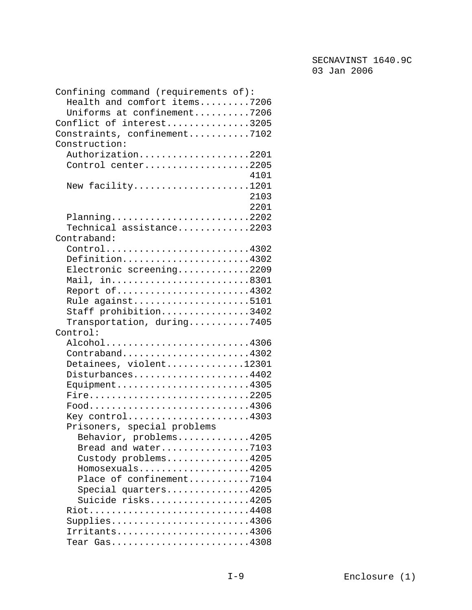| Confining command (requirements of):                                               |
|------------------------------------------------------------------------------------|
| Health and comfort items7206                                                       |
| Uniforms at confinement7206                                                        |
| Conflict of interest3205                                                           |
|                                                                                    |
| Constraints, confinement7102                                                       |
| Construction:                                                                      |
| Authorization2201                                                                  |
| Control center2205                                                                 |
| 4101                                                                               |
| New facility1201                                                                   |
| 2103                                                                               |
| 2201                                                                               |
| Planning2202                                                                       |
| ${\tt Technical\; assistance.}\dots\dots\dots2203$                                 |
| Contraband:                                                                        |
|                                                                                    |
| Control4302                                                                        |
| Definition4302                                                                     |
| Electronic screening2209                                                           |
| Mail, in8301                                                                       |
| Report of4302                                                                      |
| Rule against5101                                                                   |
| Staff prohibition3402                                                              |
| Transportation, during7405                                                         |
| Control:                                                                           |
| Alcohol4306                                                                        |
| Contraband4302                                                                     |
|                                                                                    |
| Detainees, violent12301                                                            |
| Disturbances4402                                                                   |
| $Equipment$ 4305                                                                   |
| Fire2205                                                                           |
| $Food. \ldots \ldots \ldots \ldots \ldots \ldots \ldots \ldots \ldots \ldots 4306$ |
| Key control4303                                                                    |
| Prisoners, special problems                                                        |
| Behavior, problems4205                                                             |
| Bread and water7103                                                                |
| Custody problems4205                                                               |
| Homosexuals4205                                                                    |
| Place of confinement7104                                                           |
|                                                                                    |
| Special quarters4205                                                               |
| Suicide risks4205                                                                  |
| Riot4408                                                                           |
| Supplies4306                                                                       |
| Irritants4306                                                                      |
| Tear $Gas$ 4308                                                                    |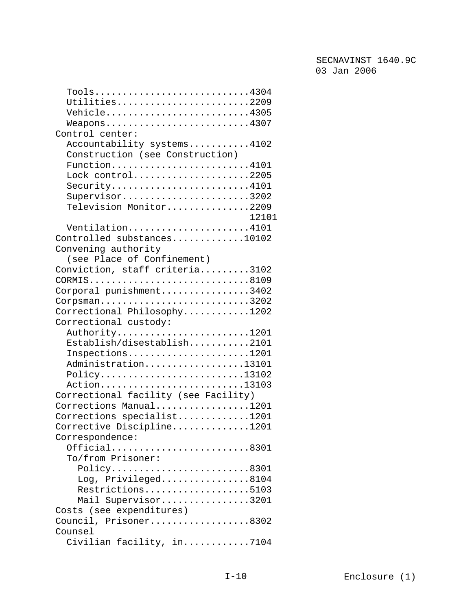| Tools4304                            |
|--------------------------------------|
| Utilities2209                        |
| Vehicle4305                          |
| $Weapons$ 4307                       |
| Control center:                      |
| Accountability systems4102           |
| Construction (see Construction)      |
| Function4101                         |
| Lock control2205                     |
| Security4101                         |
| Supervisor3202                       |
| Television Monitor2209               |
| 12101                                |
| Ventilation4101                      |
| Controlled substances10102           |
| Convening authority                  |
| (see Place of Confinement)           |
| Conviction, staff criteria3102       |
| CORMIS8109                           |
| Corporal punishment3402              |
| $Corpsman$ 3202                      |
| Correctional Philosophy1202          |
| Correctional custody:                |
| Authority1201                        |
| Establish/disestablish2101           |
| $Inspections$ 1201                   |
| Administration13101                  |
| Policy13102                          |
| Action13103                          |
| Correctional facility (see Facility) |
| Corrections Manual1201               |
| Corrections specialist1201           |
| Corrective Discipline1201            |
| Correspondence:                      |
| Official8301                         |
| To/from Prisoner:                    |
| Policy8301                           |
| Log, Privileged8104                  |
| Restrictions5103                     |
| Mail Supervisor3201                  |
| Costs (see expenditures)             |
| Council, Prisoner8302                |
| Counsel                              |
| Civilian facility, in7104            |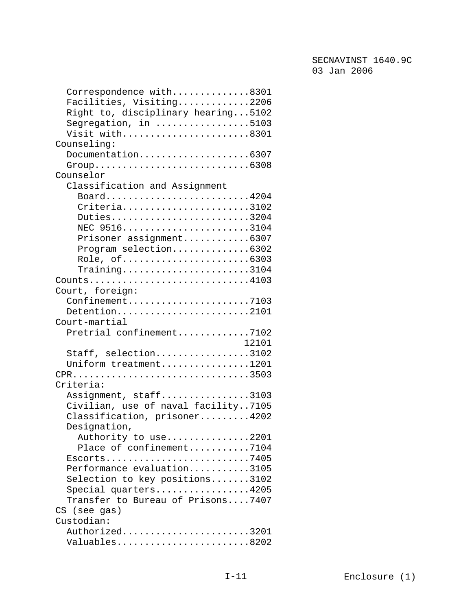| Correspondence with8301                                                 |
|-------------------------------------------------------------------------|
| Facilities, Visiting2206                                                |
| Right to, disciplinary hearing5102                                      |
| Segregation, in 5103                                                    |
| Visit with8301                                                          |
| Counseling:                                                             |
| Documentation6307                                                       |
|                                                                         |
| Counselor                                                               |
| Classification and Assignment                                           |
| Board4204                                                               |
| Criteria3102                                                            |
| Duties3204                                                              |
| NEC 95163104                                                            |
| Prisoner assignment6307                                                 |
| Program selection6302                                                   |
| Role, of6303                                                            |
| $Training \ldots \ldots \ldots \ldots \ldots \ldots \ldots \ldots 3104$ |
| $Counts$ 4103                                                           |
| Court, foreign:                                                         |
| $Configuration$ ement7103                                               |
| Detention2101                                                           |
| Court-martial                                                           |
|                                                                         |
| Pretrial confinement7102                                                |
| 12101                                                                   |
| Staff, selection3102                                                    |
| Uniform treatment1201                                                   |
| CPR3503                                                                 |
| Criteria:                                                               |
| Assignment, staff3103                                                   |
| Civilian, use of naval facility7105                                     |
| Classification, prisoner4202                                            |
| Designation,                                                            |
| Authority to use2201                                                    |
| Place of confinement7104                                                |
|                                                                         |
| Performance evaluation3105                                              |
| Selection to key positions3102                                          |
| Special quarters4205                                                    |
| Transfer to Bureau of Prisons7407                                       |
| CS (see gas)                                                            |
| Custodian:                                                              |
| Authorized3201                                                          |
| Valuables8202                                                           |
|                                                                         |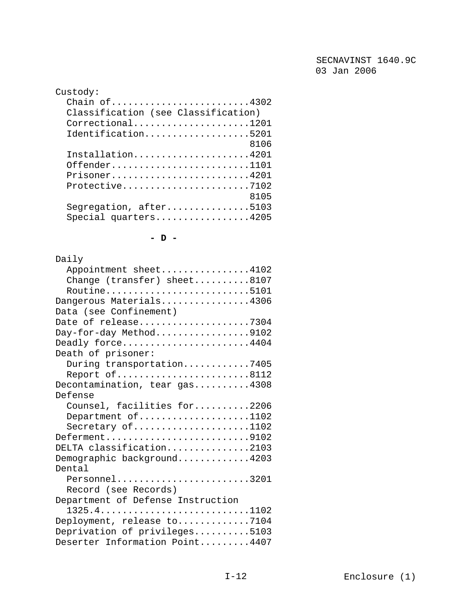| Custody:                                       |
|------------------------------------------------|
| Chain of4302                                   |
| Classification (see Classification)            |
| Correctional1201                               |
| Identification5201                             |
| 8106                                           |
| Installation4201                               |
| Offender1101                                   |
| Prisoner4201                                   |
| Protective7102                                 |
| 8105                                           |
| Segregation, after5103<br>Special quarters4205 |
|                                                |

**- D -** 

| Daily                             |
|-----------------------------------|
| Appointment sheet4102             |
| Change (transfer) sheet8107       |
| Routine5101                       |
| Dangerous Materials4306           |
| Data (see Confinement)            |
| Date of release7304               |
| Day-for-day Method9102            |
| Deadly force4404                  |
| Death of prisoner:                |
| During transportation7405         |
| Report of8112                     |
| Decontamination, tear gas4308     |
| Defense                           |
| Counsel, facilities for2206       |
| Department of1102                 |
| Secretary of1102                  |
| Deferment9102                     |
| DELTA classification2103          |
| Demographic background4203        |
| Dental                            |
| Personnel3201                     |
| Record (see Records)              |
| Department of Defense Instruction |
| 1325.41102                        |
| Deployment, release to7104        |
| Deprivation of privileges5103     |
| Deserter Information Point4407    |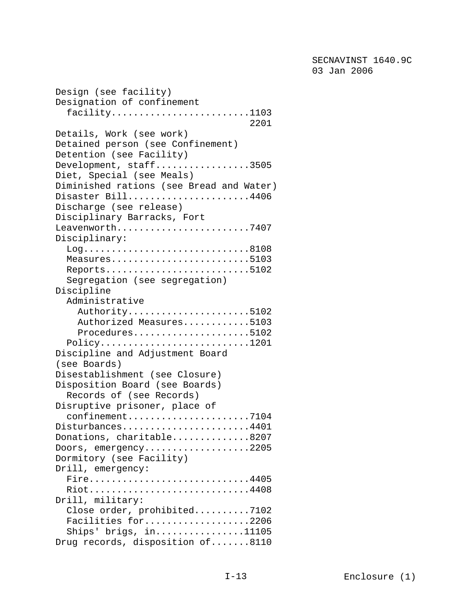Design (see facility) Designation of confinement facility.........................1103 2201 Details, Work (see work) Detained person (see Confinement) Detention (see Facility) Development, staff.................3505 Diet, Special (see Meals) Diminished rations (see Bread and Water) Disaster Bill......................4406 Discharge (see release) Disciplinary Barracks, Fort Leavenworth..........................7407 Disciplinary: Log..............................8108 Measures...........................5103 Reports............................5102 Segregation (see segregation) Discipline Administrative Authority......................5102 Authorized Measures............5103 Procedures.....................5102 Policy...........................1201 Discipline and Adjustment Board (see Boards) Disestablishment (see Closure) Disposition Board (see Boards) Records of (see Records) Disruptive prisoner, place of confinement......................7104 Disturbances......................4401 Donations, charitable..............8207 Doors, emergency...................2205 Dormitory (see Facility) Drill, emergency: Fire............................4405 Riot.............................4408 Drill, military: Close order, prohibited..........7102 Facilities for...................2206 Ships' brigs, in................11105 Drug records, disposition of.......8110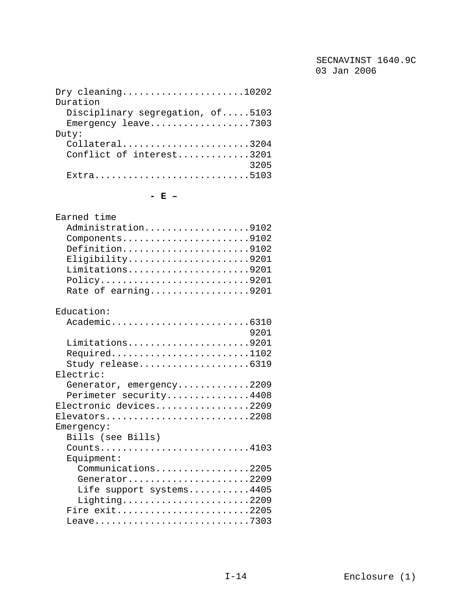| Dry cleaning10202                |
|----------------------------------|
| Duration                         |
| Disciplinary segregation, of5103 |
| Emergency leave7303              |
| Duty:                            |
| $Collateral$ 3204                |
| Conflict of interest3201         |
| 3205                             |
| Extra5103                        |

#### **- E –**

| Earned time                                                                         |
|-------------------------------------------------------------------------------------|
| Administration9102                                                                  |
| Components9102                                                                      |
| Definition9102                                                                      |
| Eligibility9201                                                                     |
| Limitations9201                                                                     |
| $Policy \ldots \ldots \ldots \ldots \ldots \ldots \ldots \ldots \ldots \ldots 9201$ |
| Rate of earning9201                                                                 |
|                                                                                     |
| Education:                                                                          |
| Academic6310                                                                        |
| 9201                                                                                |
| Limitations9201                                                                     |
| Required1102                                                                        |
| Study release6319                                                                   |
| Electric:                                                                           |
| Generator, emergency2209                                                            |
|                                                                                     |
| Perimeter security4408                                                              |
| Electronic devices2209                                                              |
| Elevators2208                                                                       |
| Emergency:                                                                          |
| Bills (see Bills)                                                                   |
| Counts4103                                                                          |
| Equipment:                                                                          |
| Communications2205                                                                  |
| Generator2209                                                                       |
| Life support systems4405                                                            |
| Lighting2209                                                                        |
| Fire exit2205                                                                       |
| Leave7303                                                                           |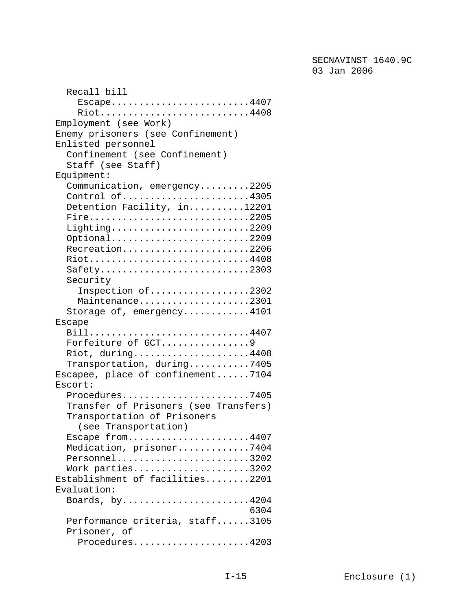| Recall bill                                                           |
|-----------------------------------------------------------------------|
| $Escape$ 4407                                                         |
| Riot4408                                                              |
| Employment (see Work)                                                 |
| Enemy prisoners (see Confinement)                                     |
| Enlisted personnel                                                    |
| Confinement (see Confinement)                                         |
| Staff (see Staff)                                                     |
| Equipment:                                                            |
| Communication, emergency2205                                          |
| Control of4305                                                        |
| Detention Facility, in12201                                           |
| Fire2205                                                              |
| Lighting2209                                                          |
| Optional2209                                                          |
| Recreation2206                                                        |
| Riot4408                                                              |
| Safety2303                                                            |
| Security                                                              |
| Inspection of2302                                                     |
| Maintenance2301                                                       |
| Storage of, emergency4101                                             |
| <b>Escape</b>                                                         |
| Bill4407                                                              |
| Forfeiture of GCT9                                                    |
| Riot, during4408                                                      |
| Transportation, during7405                                            |
| Escapee, place of confinement7104                                     |
| Escort:                                                               |
| Procedures7405                                                        |
| Transfer of Prisoners (see Transfers)                                 |
|                                                                       |
| Transportation of Prisoners                                           |
| (see Transportation)                                                  |
| Escape from4407                                                       |
| Medication, prisoner7404                                              |
| Personnel3202                                                         |
| Work parties3202                                                      |
| Establishment of facilities2201                                       |
| Evaluation:                                                           |
| Boards, by4204                                                        |
| 6304                                                                  |
| Performance criteria, staff3105                                       |
| Prisoner, of                                                          |
| $Proceedures \ldots \ldots \ldots \ldots \ldots \ldots \ldots \ldots$ |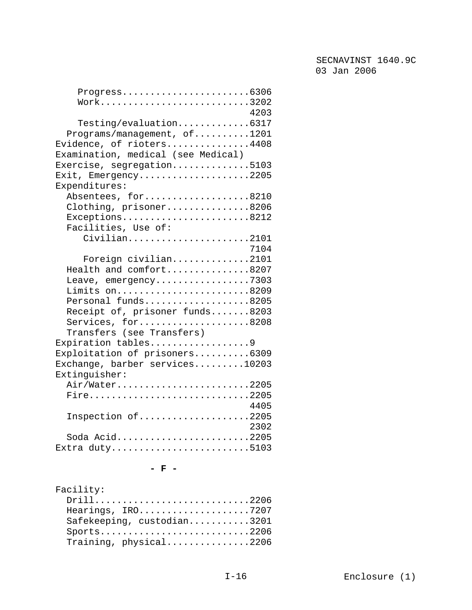| $Programes. 6306$                  |
|------------------------------------|
| $Work$ 3202                        |
| 4203                               |
| Testing/evaluation6317             |
| Programs/management, of1201        |
| Evidence, of rioters4408           |
| Examination, medical (see Medical) |
| Exercise, segregation5103          |
| Exit, Emergency2205                |
| Expenditures:                      |
| Absentees, for8210                 |
| Clothing, prisoner8206             |
| Exceptions8212                     |
| Facilities, Use of:                |
| Civilian2101                       |
| 7104                               |
| Foreign civilian2101               |
| Health and comfort8207             |
| Leave, emergency7303               |
| Limits on8209                      |
| Personal funds8205                 |
| Receipt of, prisoner funds8203     |
| Services, for8208                  |
| Transfers (see Transfers)          |
| Expiration tables9                 |
| Exploitation of prisoners6309      |
| Exchange, barber services10203     |
| Extinquisher:                      |
| Air/Water2205                      |
| Fire2205                           |
| 4405                               |
| Inspection of2205                  |
| 2302                               |
| Soda Acid2205                      |
| Extra duty5103                     |

**- F -** 

| Facilit |  |
|---------|--|
|---------|--|

| $Drill$ 2206               |
|----------------------------|
| Hearings, IRO7207          |
| Safekeeping, custodian3201 |
| $Sports$ 2206              |
| Training, physical2206     |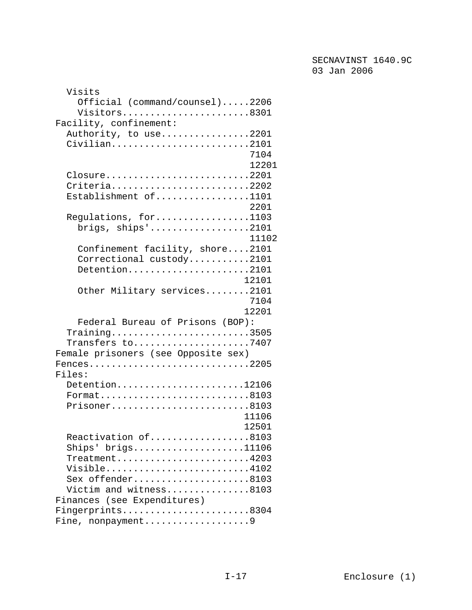| Visits                                                                                     |
|--------------------------------------------------------------------------------------------|
| Official (command/counsel)2206                                                             |
| Visitors8301                                                                               |
| Facility, confinement:                                                                     |
| Authority, to use2201                                                                      |
| Civilian2101                                                                               |
| 7104                                                                                       |
| 12201                                                                                      |
|                                                                                            |
| Closure2201                                                                                |
| Criteria2202                                                                               |
| Establishment of1101                                                                       |
| 2201                                                                                       |
| Regulations, for1103                                                                       |
| brigs, $\text{ships}'$ 2101                                                                |
| 11102                                                                                      |
| Confinement facility, shore2101                                                            |
| Correctional custody2101                                                                   |
| Detention2101                                                                              |
| 12101                                                                                      |
| Other Military services2101                                                                |
| 7104                                                                                       |
| 12201                                                                                      |
|                                                                                            |
| Federal Bureau of Prisons (BOP):                                                           |
| Training3505                                                                               |
| Transfers to7407                                                                           |
| Female prisoners (see Opposite sex)                                                        |
| $Fences \ldots \ldots \ldots \ldots \ldots \ldots \ldots \ldots \ldots \ldots \ldots 2205$ |
| Files:                                                                                     |
| Detention12106                                                                             |
|                                                                                            |
| Prisoner8103                                                                               |
| 11106                                                                                      |
| 12501                                                                                      |
| Reactivation of8103                                                                        |
| $\text{Ships}$ ' brigs11106                                                                |
| Treatment4203                                                                              |
| Visible4102                                                                                |
| Sex offender8103                                                                           |
| Victim and witness8103                                                                     |
|                                                                                            |
|                                                                                            |
| Finances (see Expenditures)                                                                |
| Fingerprints8304<br>Fine, nonpayment9                                                      |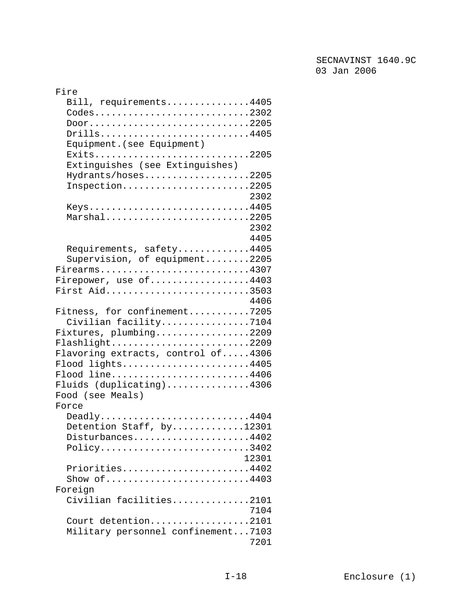| Fire                                                                  |
|-----------------------------------------------------------------------|
| Bill, requirements4405                                                |
| Codes2302                                                             |
| Door2205                                                              |
| Drills4405                                                            |
| Equipment. (see Equipment)                                            |
| $Exists$ 2205                                                         |
|                                                                       |
| Extinguishes (see Extinguishes)                                       |
| Hydrants/hoses2205                                                    |
| Inspection2205                                                        |
| 2302                                                                  |
| Keys4405                                                              |
| Marshal2205                                                           |
| 2302                                                                  |
| 4405                                                                  |
| Requirements, safety4405                                              |
| Supervision, of equipment2205                                         |
| Firearms4307                                                          |
| Firepower, use of4403                                                 |
| First Aid3503                                                         |
| 4406                                                                  |
| Fitness, for confinement7205                                          |
| Civilian facility7104                                                 |
| Fixtures, plumbing2209                                                |
| Flashlight2209                                                        |
| Flavoring extracts, control of4306                                    |
| Flood lights4405                                                      |
|                                                                       |
| Flood line4406                                                        |
| Fluids (duplicating)4306                                              |
| Food (see Meals)                                                      |
| Force                                                                 |
| Deadly4404                                                            |
| Detention Staff, by12301                                              |
| Disturbances4402                                                      |
| $Policy \ldots \ldots \ldots \ldots \ldots \ldots \ldots \ldots 3402$ |
| 12301                                                                 |
| Priorities4402                                                        |
| Show of 4403                                                          |
| Foreign                                                               |
| Civilian facilities2101                                               |
| 7104                                                                  |
| Court detention2101                                                   |
| Military personnel confinement7103                                    |
| 7201                                                                  |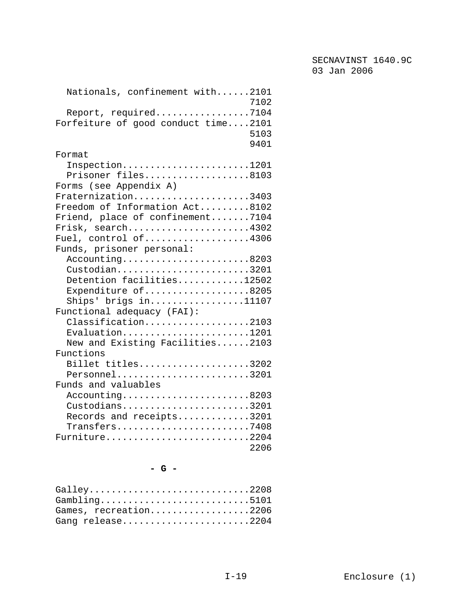| Nationals, confinement with2101<br>7102                                            |
|------------------------------------------------------------------------------------|
| Report, required7104                                                               |
| Forfeiture of good conduct time2101                                                |
| 5103                                                                               |
| 9401                                                                               |
| Format                                                                             |
| $Inspection \ldots \ldots \ldots \ldots \ldots \ldots \ldots \ldots 1201$          |
| Prisoner files8103                                                                 |
| Forms (see Appendix A)                                                             |
| Fraternization3403                                                                 |
| Freedom of Information Act8102                                                     |
| Friend, place of confinement7104                                                   |
| Frisk, search4302                                                                  |
| Fuel, control of4306                                                               |
| Funds, prisoner personal:                                                          |
| Accounting8203                                                                     |
| Custodian3201                                                                      |
| Detention facilities12502                                                          |
| Expenditure of8205                                                                 |
| Ships' brigs in11107                                                               |
| Functional adequacy (FAI):                                                         |
| Classification2103                                                                 |
| $Evaluation$ 1201                                                                  |
| New and Existing Facilities2103                                                    |
| Functions                                                                          |
| Billet titles3202                                                                  |
| Personnel3201                                                                      |
| Funds and valuables                                                                |
| Accounting8203                                                                     |
| Custodians3201                                                                     |
| Records and receipts3201                                                           |
| $\mathtt{Transfers.}\ldots\ldots\ldots\ldots\ldots\ldots\ldots\ldots\mathtt{7408}$ |
| Furniture2204                                                                      |
| 2206                                                                               |

### **- G -**

| Galley2208            |
|-----------------------|
| Gambling5101          |
| Games, recreation2206 |
| Gang release2204      |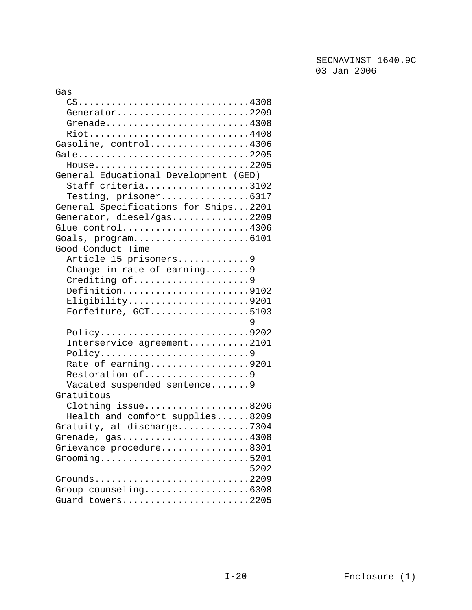| Gas                                                                                    |
|----------------------------------------------------------------------------------------|
| $CS \ldots \ldots \ldots \ldots \ldots \ldots \ldots \ldots \ldots \ldots \ldots 4308$ |
| Generator2209                                                                          |
| Grenade4308                                                                            |
| Riot4408                                                                               |
| Gasoline, control4306                                                                  |
| Gate2205                                                                               |
| $House$ 2205                                                                           |
| General Educational Development (GED)                                                  |
| Staff criteria3102                                                                     |
| Testing, prisoner6317                                                                  |
| General Specifications for Ships2201                                                   |
| Generator, diesel/gas2209                                                              |
| Glue control4306                                                                       |
|                                                                                        |
| Good Conduct Time                                                                      |
| Article 15 prisoners9                                                                  |
| Change in rate of earning 9                                                            |
| Crediting of9                                                                          |
| Definition9102                                                                         |
| Eligibility9201                                                                        |
| Forfeiture, GCT5103                                                                    |
| 9                                                                                      |
| Policy9202                                                                             |
| Interservice agreement2101                                                             |
| Policy9                                                                                |
| Rate of earning9201                                                                    |
| Restoration of9                                                                        |
| Vacated suspended sentence9                                                            |
| Gratuitous                                                                             |
| Clothing issue8206                                                                     |
| Health and comfort supplies8209                                                        |
| Gratuity, at discharge7304                                                             |
| Grenade, gas4308                                                                       |
| Grievance procedure8301                                                                |
| $Group.$ 5201                                                                          |
| 5202                                                                                   |
| Grounds2209                                                                            |
| Group counseling6308                                                                   |
|                                                                                        |
| Guard towers2205                                                                       |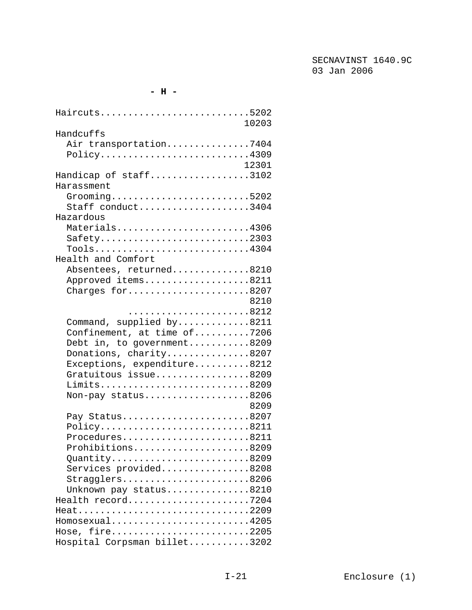#### **- H -**

| Haircuts5202<br>10203                                                              |
|------------------------------------------------------------------------------------|
| Handcuffs                                                                          |
| Air transportation7404                                                             |
| $Policy \ldots \ldots \ldots \ldots \ldots \ldots \ldots \ldots \ldots \cdot 4309$ |
| 12301                                                                              |
| Handicap of staff3102                                                              |
| Harassment                                                                         |
| Grooming5202                                                                       |
| Staff conduct3404                                                                  |
| Hazardous                                                                          |
| Materials4306                                                                      |
| $Safety$ 2303                                                                      |
| $Tools \ldots \ldots \ldots \ldots \ldots \ldots \ldots \ldots \ldots 4304$        |
| Health and Comfort                                                                 |
| Absentees, returned8210                                                            |
| Approved items8211                                                                 |
| Charges for8207                                                                    |
| 8210                                                                               |
|                                                                                    |
| Command, supplied by8211                                                           |
|                                                                                    |
| Confinement, at time of7206                                                        |
| Debt in, to government8209                                                         |
| Donations, charity8207                                                             |
| Exceptions, expenditure8212                                                        |
| Gratuitous issue8209                                                               |
| Limits8209                                                                         |
| Non-pay status8206                                                                 |
| 8209                                                                               |
| Pay Status8207                                                                     |
| Policy8211                                                                         |
| Procedures8211                                                                     |
| Prohibitions8209                                                                   |
| Quantity8209                                                                       |
| Services provided8208                                                              |
| Stragglers8206                                                                     |
| Unknown pay status8210                                                             |
| Health record7204                                                                  |
| Heat2209                                                                           |
| Homosexual4205                                                                     |
| Hose, fire2205                                                                     |
| Hospital Corpsman billet3202                                                       |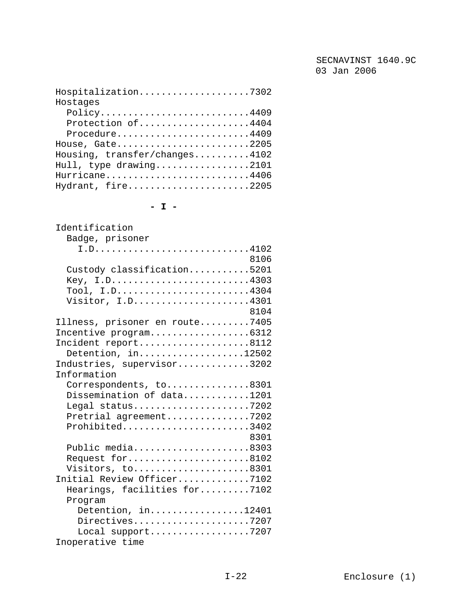| Hospitalization7302                                                          |
|------------------------------------------------------------------------------|
| Hostages                                                                     |
| $Policy \ldots \ldots \ldots \ldots \ldots \ldots \ldots \ldots \ldots 4409$ |
| Protection of4404                                                            |
| Procedure4409                                                                |
| House, Gate2205                                                              |
| Housing, transfer/changes4102                                                |
| Hull, type drawing2101                                                       |
| Hurricane4406                                                                |
| Hydrant, fire2205                                                            |

**- I -** 

| Identification                                                            |
|---------------------------------------------------------------------------|
| Badge, prisoner                                                           |
|                                                                           |
| 8106                                                                      |
| Custody classification5201                                                |
| Key, I.D4303                                                              |
| $Tool, I.D. \ldots \ldots \ldots \ldots \ldots \ldots \ldots \ldots 4304$ |
| Visitor, I.D4301                                                          |
| 8104                                                                      |
|                                                                           |
| Illness, prisoner en route7405                                            |
| Incentive program6312                                                     |
| Incident report8112                                                       |
| Detention, in12502                                                        |
| Industries, supervisor3202                                                |
| Information                                                               |
| Correspondents, to8301                                                    |
| Dissemination of data1201                                                 |
| Legal status7202                                                          |
| Pretrial agreement7202                                                    |
| Prohibited3402                                                            |
| 8301                                                                      |
| Public media8303                                                          |
| Request for8102                                                           |
| Visitors, to8301                                                          |
| Initial Review Officer7102                                                |
| Hearings, facilities for7102                                              |
|                                                                           |
| Program                                                                   |
| Detention, in12401                                                        |
| Directives7207                                                            |
| Local support7207                                                         |
| Inoperative time                                                          |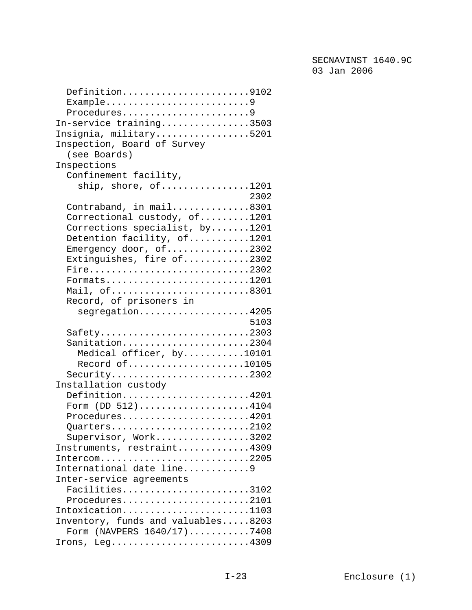| Definition9102                                         |
|--------------------------------------------------------|
| Example9                                               |
| Procedures9                                            |
| In-service training3503                                |
| Insignia, military5201                                 |
| Inspection, Board of Survey                            |
| (see Boards)                                           |
| Inspections                                            |
| Confinement facility,                                  |
| ship, shore, of1201                                    |
| 2302                                                   |
| Contraband, in mail8301                                |
| Correctional custody, of1201                           |
| Corrections specialist, by1201                         |
| Detention facility, of1201                             |
| Emergency door, of2302                                 |
| Extinguishes, fire of2302                              |
| Fire2302                                               |
| Formats1201                                            |
| Mail, of8301                                           |
|                                                        |
| Record, of prisoners in                                |
| segregation4205<br>5103                                |
|                                                        |
| $Safety$ 2303                                          |
| Sanitation2304                                         |
| Medical officer, by10101                               |
| Record of10105                                         |
| Security2302                                           |
| Installation custody                                   |
| Definition4201                                         |
| Form (DD 512)4104                                      |
| Procedures4201                                         |
| $Quarters. 2102$                                       |
| Supervisor, Work3202                                   |
| Instruments, restraint4309                             |
| Intercom2205                                           |
| International date line9                               |
| Inter-service agreements                               |
| Facilities3102                                         |
| Procedures2101                                         |
| Intoxication1103                                       |
| Inventory, funds and valuables8203                     |
| Form (NAVPERS 1640/17)7408                             |
| Irons, $Leg.\dots.\dots.\dots.\dots.\dots.\dots.\4309$ |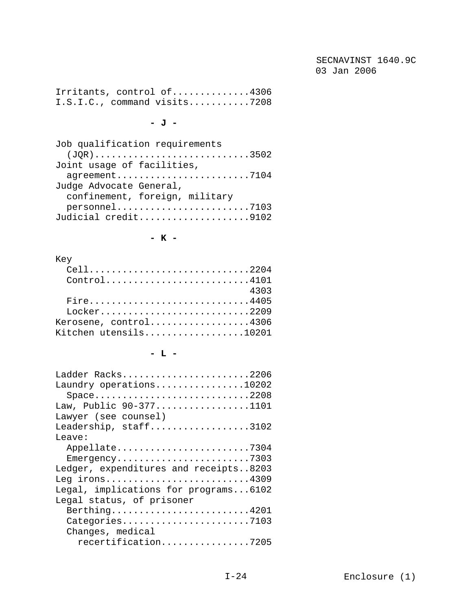Irritants, control of..............4306 I.S.I.C., command visits...........7208

**- J -** 

| Job qualification requirements |
|--------------------------------|
| $JQR)$ 3502                    |
| Joint usage of facilities,     |
| agreement7104                  |
| Judge Advocate General,        |
| confinement, foreign, military |
|                                |
| Judicial credit9102            |
|                                |

**- K -** 

#### Key

| Cell2204              |
|-----------------------|
| $Control$ 4101        |
| 4303                  |
| Fire4405              |
| Locker2209            |
| Kerosene, control4306 |
| Kitchen utensils10201 |

### **- L -**

| Ladder Racks2206                      |
|---------------------------------------|
| Laundry operations10202               |
| $Space$ 2208                          |
| Law, Public 90-3771101                |
| Lawyer (see counsel)                  |
| Leadership, staff3102                 |
| Leave:                                |
| Appellate7304                         |
| Emergency7303                         |
| Ledger, expenditures and receipts8203 |
| Leg irons4309                         |
| Legal, implications for programs6102  |
| Legal status, of prisoner             |
| Berthing4201                          |
| Categories7103                        |
| Changes, medical                      |
| recertification7205                   |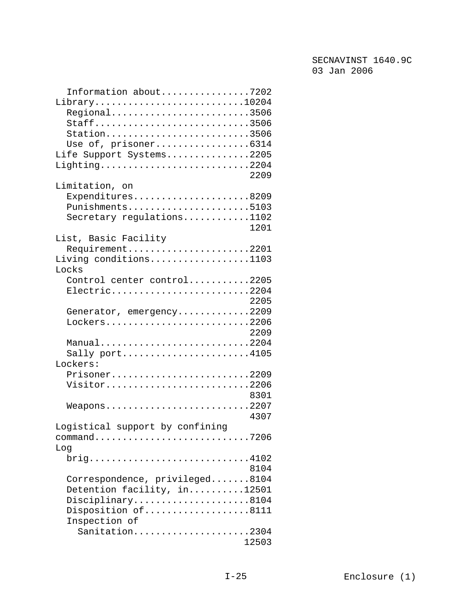| Information about7202                                                       |
|-----------------------------------------------------------------------------|
| $Library.$ 10204                                                            |
| Regional3506                                                                |
| Staff3506                                                                   |
| Station3506                                                                 |
| Use of, prisoner6314                                                        |
| Life Support Systems2205                                                    |
| Lighting2204                                                                |
| 2209                                                                        |
| Limitation, on                                                              |
| Expenditures8209                                                            |
| Punishments5103                                                             |
| Secretary regulations1102                                                   |
| 1201                                                                        |
| List, Basic Facility                                                        |
| Requirement2201                                                             |
| Living conditions1103                                                       |
| Locks                                                                       |
| Control center control2205                                                  |
| Electric2204                                                                |
| 2205                                                                        |
| Generator, emergency2209                                                    |
| Lockers2206                                                                 |
| 2209                                                                        |
| Manual2204                                                                  |
| Sally port4105                                                              |
| Lockers:                                                                    |
|                                                                             |
| Prisoner2209                                                                |
| Visitor2206                                                                 |
| 8301                                                                        |
| $Weapons$ 2207                                                              |
| 4307                                                                        |
| Logistical support by confining                                             |
| command7206                                                                 |
| Log                                                                         |
| $brig. \ldots \ldots \ldots \ldots \ldots \ldots \ldots \ldots \ldots 4102$ |
| 8104                                                                        |
| Correspondence, privileged8104                                              |
| Detention facility, in12501                                                 |
| Disciplinary8104                                                            |
| Disposition of8111                                                          |
| Inspection of                                                               |
| Sanitation2304                                                              |
| 12503                                                                       |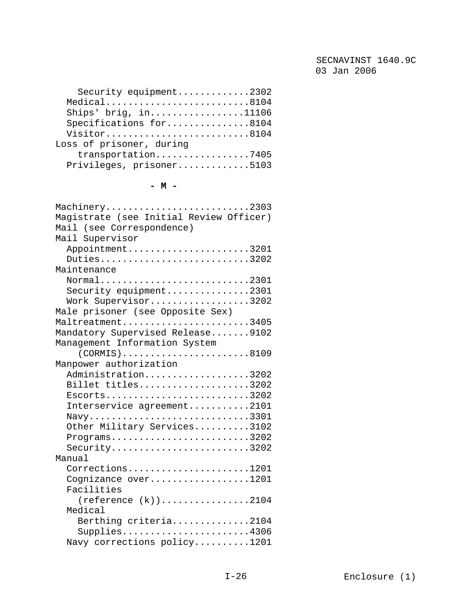| Security equipment2302   |  |
|--------------------------|--|
| $Medical$ 8104           |  |
| Ships' brig, $in$ 11106  |  |
| Specifications for8104   |  |
| Visitor8104              |  |
| Loss of prisoner, during |  |
| transportation7405       |  |
| Privileges, prisoner5103 |  |
|                          |  |

### **- M -**

| Machinery2303                                                            |
|--------------------------------------------------------------------------|
| Magistrate (see Initial Review Officer)                                  |
| Mail (see Correspondence)                                                |
| Mail Supervisor                                                          |
| Appointment3201                                                          |
| Duties3202                                                               |
| Maintenance                                                              |
|                                                                          |
| Security equipment2301                                                   |
| Work Supervisor3202                                                      |
| Male prisoner (see Opposite Sex)                                         |
| Maltreatment3405                                                         |
| Mandatory Supervised Release9102                                         |
| Management Information System                                            |
| $(CORMIS)$ 8109                                                          |
| Manpower authorization                                                   |
| Administration3202                                                       |
| Billet titles3202                                                        |
| $Escorts$ 3202                                                           |
| Interservice agreement2101                                               |
| $\texttt{Navy} \dots\dots\dots\dots\dots\dots\dots\dots\dots \dots 3301$ |
| Other Military Services3102                                              |
| $Programs.$ 3202                                                         |
| $Security$ 3202                                                          |
| Manual                                                                   |
| Corrections1201                                                          |
| Cognizance over1201                                                      |
| Facilities                                                               |
| $(reference (k))$ 2104                                                   |
| Medical                                                                  |
| Berthing criteria2104                                                    |
| Supplies4306                                                             |
| Navy corrections policy1201                                              |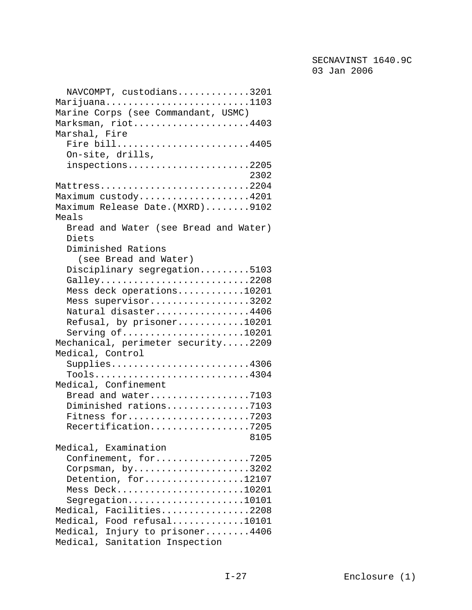| NAVCOMPT, custodians3201<br>Marijuana1103                            |
|----------------------------------------------------------------------|
| Marine Corps (see Commandant, USMC)                                  |
| Marksman, riot4403                                                   |
| Marshal, Fire                                                        |
| Fire bill4405                                                        |
| On-site, drills,                                                     |
| inspections2205<br>2302                                              |
| Mattress2204                                                         |
| Maximum custody4201                                                  |
| Maximum Release Date. (MXRD)9102                                     |
| Meals                                                                |
| Bread and Water (see Bread and Water)                                |
| Diets                                                                |
| Diminished Rations                                                   |
| (see Bread and Water)                                                |
| Disciplinary segregation5103                                         |
| Galley2208                                                           |
| Mess deck operations10201                                            |
| Mess supervisor3202                                                  |
| Natural disaster4406                                                 |
| Refusal, by prisoner10201                                            |
| Serving of10201<br>Mechanical, perimeter security2209                |
| Medical, Control                                                     |
| Supplies4306                                                         |
| Tools4304                                                            |
| Medical, Confinement                                                 |
| Bread and water7103                                                  |
| Diminished rations7103                                               |
| Fitness for7203                                                      |
| Recertification7205                                                  |
| 8105                                                                 |
| Medical, Examination                                                 |
| Confinement, for7205                                                 |
| Corpsman, $by \ldots \ldots \ldots \ldots \ldots \ldots \ldots 3202$ |
| Detention, for12107                                                  |
| Mess Deck10201<br>Segregation10101                                   |
| Medical, Facilities2208                                              |
| Medical, Food refusal10101                                           |
| Medical, Injury to prisoner4406                                      |
| Medical, Sanitation Inspection                                       |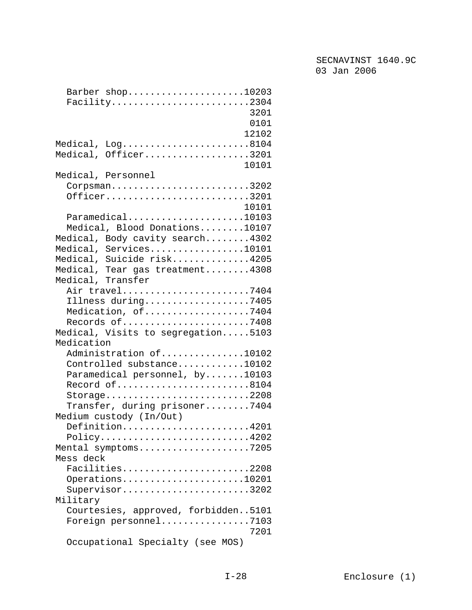| Barber shop10203                    |
|-------------------------------------|
| Facility2304                        |
| 3201                                |
| 0101                                |
| 12102                               |
| Medical, Log8104                    |
| Medical, Officer3201                |
| 10101                               |
| Medical, Personnel                  |
| $Corpsman$ 3202                     |
| Officer3201                         |
| 10101                               |
| $Paramedical$ 10103                 |
| Medical, Blood Donations10107       |
| Medical, Body cavity search4302     |
| Medical, Services10101              |
| Medical, Suicide risk4205           |
| Medical, Tear gas treatment4308     |
| Medical, Transfer                   |
|                                     |
| Air travel7404                      |
| Illness during7405                  |
| Medication, of7404                  |
| Records of7408                      |
| Medical, Visits to segregation5103  |
| Medication                          |
| Administration of10102              |
| Controlled substance10102           |
| Paramedical personnel, by10103      |
| Record of8104                       |
| Storage2208                         |
| Transfer, during prisoner7404       |
| Medium custody (In/Out)             |
| Definition4201                      |
| Policy4202                          |
| Mental symptoms7205                 |
| Mess deck                           |
| Facilities2208                      |
| Operations10201                     |
| Supervisor3202                      |
| Military                            |
| Courtesies, approved, forbidden5101 |
| Foreign personnel7103               |
| 7201                                |
| Occupational Specialty (see MOS)    |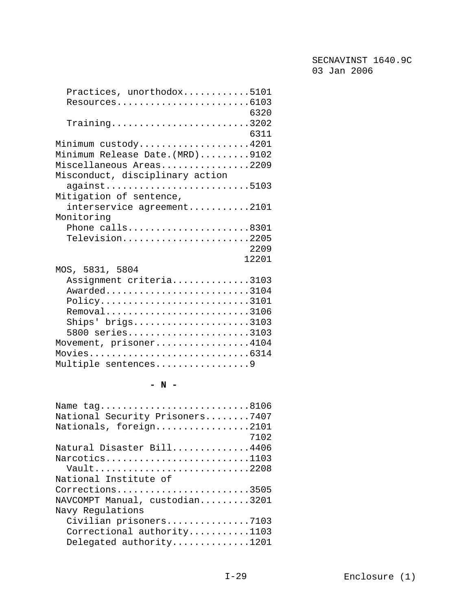| Practices, unorthodox5101                                               |
|-------------------------------------------------------------------------|
| Resources6103                                                           |
| 6320                                                                    |
| $Training \ldots \ldots \ldots \ldots \ldots \ldots \ldots \ldots 3202$ |
| 6311                                                                    |
| Minimum custody4201                                                     |
| Minimum Release Date. (MRD)9102                                         |
| Miscellaneous Areas2209                                                 |
| Misconduct, disciplinary action                                         |
| against5103                                                             |
| Mitigation of sentence,                                                 |
| interservice agreement2101                                              |
| Monitoring                                                              |
|                                                                         |
| Phone calls8301                                                         |
| Television2205                                                          |
| 2209                                                                    |
| 12201                                                                   |
| MOS, 5831, 5804                                                         |
| Assignment criteria3103                                                 |
| Awarded3104                                                             |
| Policy3101                                                              |
| Removal3106                                                             |
| $\text{Ships}$ brigs3103                                                |
| 5800 series3103                                                         |
| Movement, prisoner4104                                                  |
| Movies6314                                                              |
| Multiple sentences9                                                     |

## **- N -**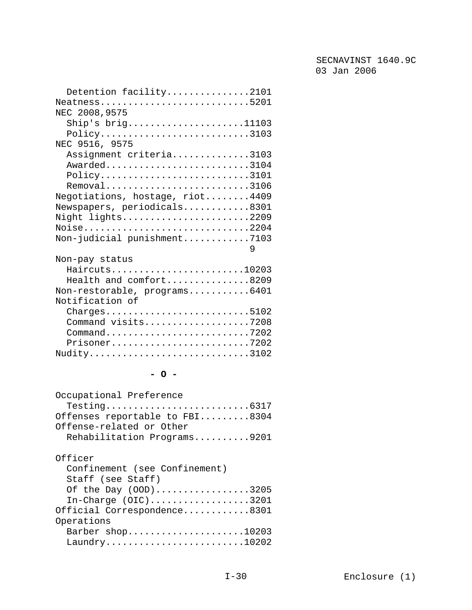| Detention facility2101                                                               |
|--------------------------------------------------------------------------------------|
| $Neatness$ 5201                                                                      |
| NEC 2008, 9575                                                                       |
| Ship's $brig \ldots \ldots \ldots \ldots \ldots 11103$                               |
| Policy3103                                                                           |
| NEC 9516, 9575                                                                       |
|                                                                                      |
| Assignment criteria3103                                                              |
| Awarded3104                                                                          |
| $Policy \ldots \ldots \ldots \ldots \ldots \ldots \ldots \ldots \ldots 3101$         |
| Removal3106                                                                          |
| Negotiations, hostage, riot4409                                                      |
| Newspapers, periodicals8301                                                          |
| Night lights2209                                                                     |
| Noise2204                                                                            |
| Non-judicial punishment7103                                                          |
| 9                                                                                    |
| Non-pay status                                                                       |
| Haircuts10203                                                                        |
|                                                                                      |
| Health and comfort8209                                                               |
| Non-restorable, programs6401                                                         |
| Notification of                                                                      |
| Charges5102                                                                          |
| Command visits7208                                                                   |
| $Command \ldots \ldots \ldots \ldots \ldots \ldots \ldots \ldots \ldots \ldots 7202$ |
| Prisoner7202                                                                         |
| Nudity3102                                                                           |
|                                                                                      |

# **- O -**

| Occupational Preference        |
|--------------------------------|
|                                |
| Offenses reportable to FBI8304 |
| Offense-related or Other       |
| Rehabilitation Programs9201    |

# Officer

| Confinement (see Confinement) |
|-------------------------------|
| Staff (see Staff)             |
| Of the Day (OOD)3205          |
| In-Charge $(OIC)$ 3201        |
| Official Correspondence8301   |
| Operations                    |
| Barber $shop$ 10203           |
|                               |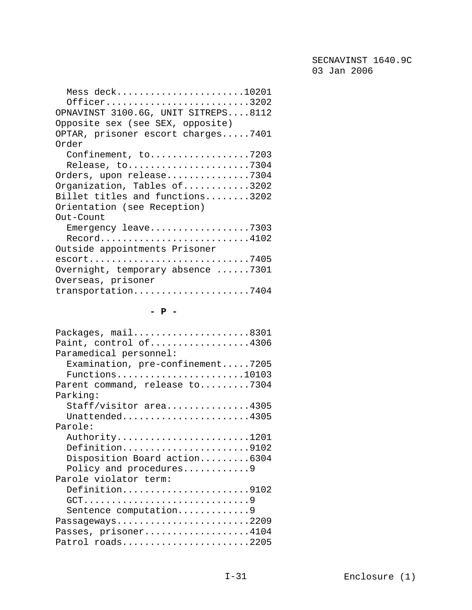| Mess deck10201                                                                 |
|--------------------------------------------------------------------------------|
| Officer3202                                                                    |
| OPNAVINST 3100.6G, UNIT SITREPS8112                                            |
| Opposite sex (see SEX, opposite)                                               |
| OPTAR, prisoner escort charges7401                                             |
| Order                                                                          |
| Confinement, to7203                                                            |
| Release, to7304                                                                |
| Orders, upon release7304                                                       |
| Organization, Tables of3202                                                    |
| Billet titles and functions3202                                                |
| Orientation (see Reception)                                                    |
| Out-Count                                                                      |
| Emergency leave7303                                                            |
| $\texttt{Record} \dots \dots \dots \dots \dots \dots \dots \dots \dots \ 4102$ |
| Outside appointments Prisoner                                                  |
|                                                                                |
| Overnight, temporary absence $\ldots \ldots$ .7301                             |
| Overseas, prisoner                                                             |
| transportation7404                                                             |

## **- P -**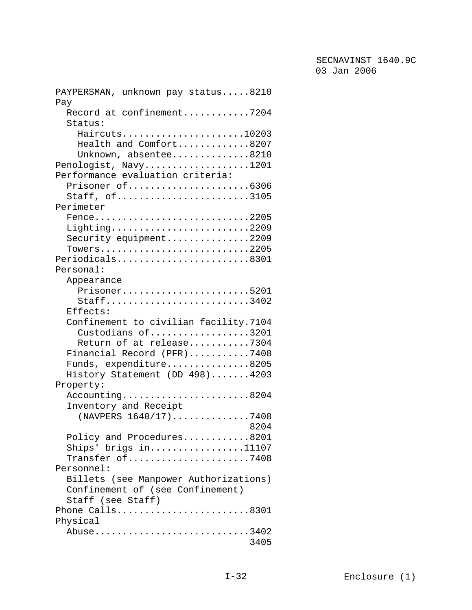| PAYPERSMAN, unknown pay status8210    |
|---------------------------------------|
| Pay                                   |
| Record at confinement7204             |
| Status:                               |
| Haircuts10203                         |
| Health and Comfort8207                |
| Unknown, absentee8210                 |
| Penologist, Navy1201                  |
| Performance evaluation criteria:      |
| Prisoner of6306                       |
| Staff, of3105                         |
| Perimeter                             |
| Fence2205                             |
| Lighting2209                          |
| Security equipment2209                |
| Towers2205                            |
| Periodicals8301                       |
| Personal:                             |
| Appearance                            |
| Prisoner5201                          |
| Staff3402                             |
| Effects:                              |
| Confinement to civilian facility.7104 |
| Custodians of3201                     |
| Return of at release7304              |
| Financial Record (PFR)7408            |
| Funds, expenditure8205                |
| History Statement (DD 498)4203        |
| Property:                             |
| Accounting8204                        |
| Inventory and Receipt                 |
| (NAVPERS 1640/17)7408                 |
| 8204                                  |
| Policy and Procedures8201             |
| Ships' brigs $in$ 11107               |
| Transfer of7408                       |
| Personnel:                            |
|                                       |
| Billets (see Manpower Authorizations) |
| Confinement of (see Confinement)      |
| Staff (see Staff)                     |
| Phone Calls8301                       |
| Physical                              |
| Abuse3402                             |
| 3405                                  |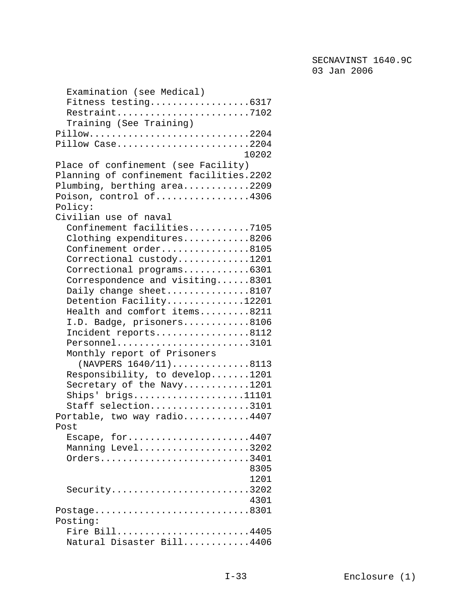| Examination (see Medical)               |
|-----------------------------------------|
| Fitness testing6317                     |
| Restraint7102                           |
| Training (See Training)                 |
| Pillow2204                              |
| Pillow Case2204                         |
| 10202                                   |
| Place of confinement (see Facility)     |
|                                         |
| Planning of confinement facilities.2202 |
| Plumbing, berthing area2209             |
| Poison, control of4306                  |
| Policy:                                 |
| Civilian use of naval                   |
| Confinement facilities7105              |
| Clothing expenditures8206               |
| Confinement order8105                   |
| Correctional custody1201                |
| Correctional programs6301               |
| Correspondence and visiting8301         |
| Daily change sheet8107                  |
| Detention Facility12201                 |
| Health and comfort items8211            |
| I.D. Badge, prisoners8106               |
| Incident reports8112                    |
| Personnel3101                           |
| Monthly report of Prisoners             |
| (NAVPERS 1640/11)8113                   |
| Responsibility, to develop1201          |
|                                         |
| Secretary of the Navy1201               |
| $\text{Ships}$ ' brigs11101             |
| Staff selection3101                     |
| Portable, two way radio4407             |
| Post                                    |
| Escape, for4407                         |
| Manning Level3202                       |
| Orders3401                              |
| 8305                                    |
| 1201                                    |
| Security3202                            |
| 4301                                    |
| Postage8301                             |
| Posting:                                |
| Fire Bill4405                           |
| Natural Disaster Bill4406               |
|                                         |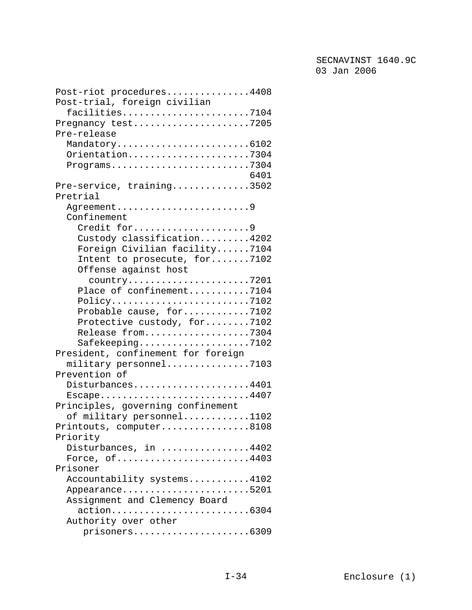| Post-riot procedures4408                                                         |
|----------------------------------------------------------------------------------|
| Post-trial, foreign civilian                                                     |
| $facilities \ldots \ldots \ldots \ldots \ldots \ldots \ldots \ldots \ldots 7104$ |
| Pregnancy test7205                                                               |
| Pre-release                                                                      |
| Mandatory6102                                                                    |
| Orientation7304                                                                  |
|                                                                                  |
| 6401                                                                             |
| Pre-service, training3502                                                        |
| Pretrial                                                                         |
| Agreement9                                                                       |
| Confinement                                                                      |
| Credit for9                                                                      |
| Custody classification4202                                                       |
| Foreign Civilian facility7104                                                    |
| Intent to prosecute, for7102                                                     |
| Offense against host                                                             |
| country7201                                                                      |
| Place of confinement7104                                                         |
| $Policy \ldots \ldots \ldots \ldots \ldots \ldots \ldots \ldots \ldots 7102$     |
| Probable cause, for7102                                                          |
| Protective custody, for7102                                                      |
|                                                                                  |
| Release from7304                                                                 |
| $Safekeeping \ldots \ldots \ldots \ldots \ldots \ldots \ldots 7102$              |
| President, confinement for foreign                                               |
| military personnel7103                                                           |
| Prevention of                                                                    |
| Disturbances4401                                                                 |
| Escape4407                                                                       |
| Principles, governing confinement                                                |
| of military personnel1102                                                        |
| Printouts, computer8108                                                          |
| Priority                                                                         |
| Disturbances, in 4402                                                            |
| Force, $of$ 4403                                                                 |
| Prisoner                                                                         |
| Accountability systems4102                                                       |
| Appearance5201                                                                   |
| Assignment and Clemency Board                                                    |
| action6304                                                                       |
| Authority over other                                                             |
| prisoners6309                                                                    |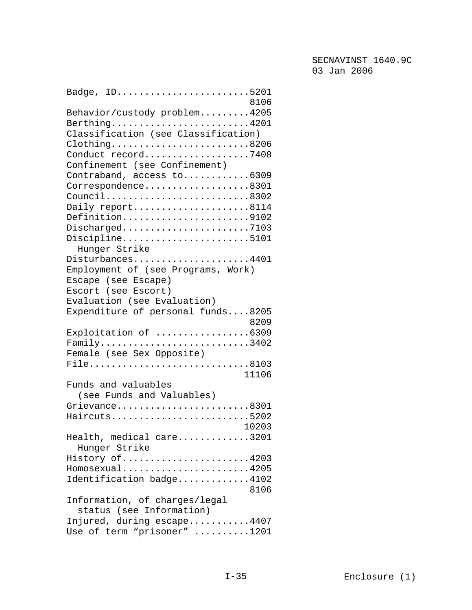| Badge, ID5201                                |  |
|----------------------------------------------|--|
| 8106                                         |  |
| Behavior/custody problem4205<br>Berthing4201 |  |
| Classification (see Classification)          |  |
| Clothing8206                                 |  |
| Conduct record7408                           |  |
| Confinement (see Confinement)                |  |
| Contraband, access to6309                    |  |
| Correspondence8301                           |  |
| Council8302                                  |  |
| Daily report8114                             |  |
| Definition9102                               |  |
| Discharged7103                               |  |
| Discipline5101                               |  |
| Hunger Strike                                |  |
| Disturbances4401                             |  |
| Employment of (see Programs, Work)           |  |
| Escape (see Escape)                          |  |
| Escort (see Escort)                          |  |
| Evaluation (see Evaluation)                  |  |
| Expenditure of personal funds8205            |  |
| 8209                                         |  |
| Exploitation of 6309<br>Family3402           |  |
| Female (see Sex Opposite)                    |  |
| File8103                                     |  |
| 11106                                        |  |
| Funds and valuables                          |  |
| (see Funds and Valuables)                    |  |
| Grievance8301                                |  |
| Haircuts5202                                 |  |
| 10203                                        |  |
| Health, medical care3201                     |  |
| Hunger Strike                                |  |
| History of4203                               |  |
| $Homosexual$ 4205                            |  |
| Identification badge4102                     |  |
| 8106                                         |  |
| Information, of charges/legal                |  |
| status (see Information)                     |  |
| Injured, during escape4407                   |  |
| Use of term "prisoner" 1201                  |  |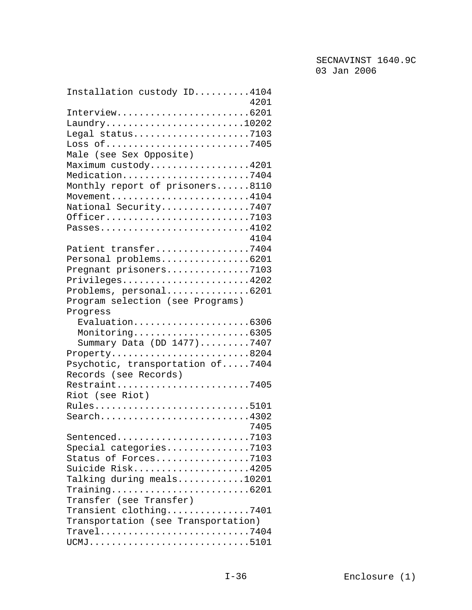| Installation custody ID4104                                                    |  |
|--------------------------------------------------------------------------------|--|
| 4201                                                                           |  |
| Interview6201                                                                  |  |
| $\text{Laundry} \dots \dots \dots \dots \dots \dots \dots \dots \dots 10202$   |  |
| Legal status7103                                                               |  |
| Loss of7405                                                                    |  |
| Male (see Sex Opposite)                                                        |  |
| Maximum custody4201                                                            |  |
| Medication7404                                                                 |  |
| Monthly report of prisoners8110                                                |  |
| Movement4104                                                                   |  |
| National Security7407                                                          |  |
| Officer7103                                                                    |  |
| Passes4102                                                                     |  |
| 4104                                                                           |  |
| Patient transfer7404                                                           |  |
| Personal problems6201                                                          |  |
| Pregnant prisoners7103                                                         |  |
| Privileges4202                                                                 |  |
| Problems, personal6201                                                         |  |
| Program selection (see Programs)                                               |  |
| Progress                                                                       |  |
| Evaluation6306                                                                 |  |
| Monitoring6305                                                                 |  |
| Summary Data (DD 1477)7407                                                     |  |
| $Property. 8204$                                                               |  |
| Psychotic, transportation of7404                                               |  |
| Records (see Records)                                                          |  |
| Restraint7405                                                                  |  |
| Riot (see Riot)                                                                |  |
| Rules5101                                                                      |  |
| Search4302                                                                     |  |
| 7405                                                                           |  |
| Sentenced7103                                                                  |  |
| Special categories7103                                                         |  |
| Status of Forces7103                                                           |  |
| Suicide Risk4205                                                               |  |
| Talking during meals10201                                                      |  |
| $Training \ldots \ldots \ldots \ldots \ldots \ldots \ldots \ldots \ldots 6201$ |  |
| Transfer (see Transfer)                                                        |  |
| Transient clothing7401                                                         |  |
| Transportation (see Transportation)                                            |  |
|                                                                                |  |
| UCMJ5101                                                                       |  |
|                                                                                |  |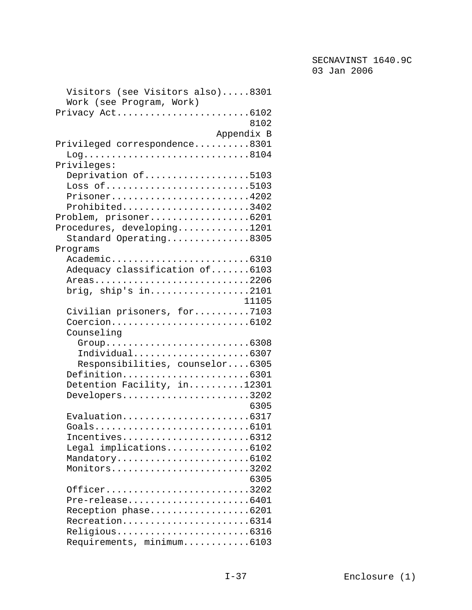| Visitors (see Visitors also)8301 |
|----------------------------------|
| Work (see Program, Work)         |
| Privacy Act6102                  |
| 8102                             |
| Appendix B                       |
| Privileged correspondence8301    |
| $Log.$ 8104                      |
| Privileges:                      |
| Deprivation of5103               |
| Loss of5103                      |
| Prisoner4202                     |
| Prohibited3402                   |
| Problem, prisoner6201            |
| Procedures, developing1201       |
| Standard Operating8305           |
| Programs                         |
| Academic6310                     |
| Adequacy classification of6103   |
|                                  |
| Areas2206                        |
| brig, ship's $in$ 2101           |
| 11105                            |
| Civilian prisoners, for7103      |
| Coercion6102                     |
| Counseling                       |
| Group6308                        |
| Individual6307                   |
| Responsibilities, counselor6305  |
| Definition6301                   |
| Detention Facility, in12301      |
| Developers3202                   |
| 6305                             |
| Evaluation6317                   |
| Goals6101                        |
| Incentives6312                   |
| Legal implications6102           |
| Mandatory6102                    |
| Monitors3202                     |
| 6305                             |
| Officer3202                      |
| Pre-release6401                  |
| Reception phase6201              |
| Recreation6314                   |
| Religious6316                    |
| Requirements, minimum6103        |
|                                  |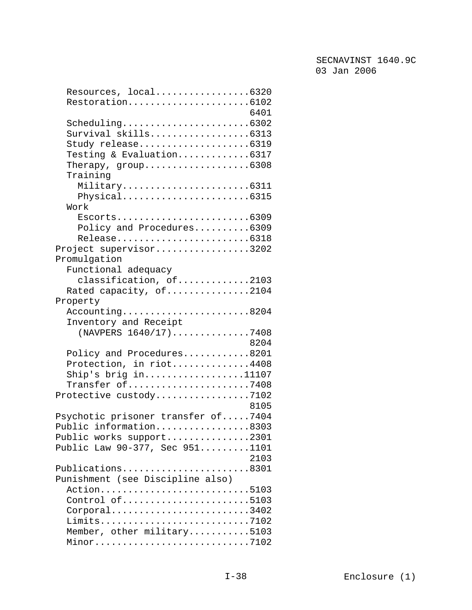| Resources, local6320               |
|------------------------------------|
| Restoration6102                    |
| 6401                               |
| Scheduling6302                     |
| Survival skills6313                |
| Study release6319                  |
| Testing & Evaluation6317           |
| Therapy, $group$ 6308              |
| Training                           |
| Military6311                       |
| Physical6315                       |
| Work                               |
| $Escorts$ 6309                     |
| Policy and Procedures6309          |
| Release6318                        |
| Project supervisor3202             |
| Promulgation                       |
| Functional adequacy                |
| classification, of2103             |
| Rated capacity, of2104             |
| Property                           |
| Accounting8204                     |
| Inventory and Receipt              |
| (NAVPERS 1640/17)7408              |
| 8204                               |
| Policy and Procedures8201          |
| Protection, in riot4408            |
| Ship's brig $in$ 11107             |
| Transfer of7408                    |
| Protective custody7102             |
| 8105                               |
| Psychotic prisoner transfer of7404 |
| Public information8303             |
| Public works support2301           |
| Public Law 90-377, Sec 9511101     |
| 2103                               |
| Publications8301                   |
| Punishment (see Discipline also)   |
| Action5103                         |
| Control of5103                     |
| Corporal3402                       |
| Limits7102                         |
| Member, other military5103         |
| Minor7102                          |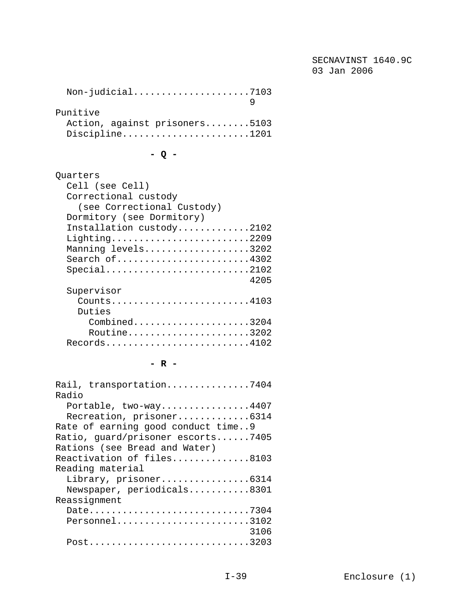SECNAVINST 1640.9C 03 Jan 2006

| Punitive                      |  |
|-------------------------------|--|
| Action, against prisoners5103 |  |
| Discipline1201                |  |
|                               |  |

**- Q -** 

| Quarters                   |
|----------------------------|
| Cell (see Cell)            |
| Correctional custody       |
| (see Correctional Custody) |
| Dormitory (see Dormitory)  |
| Installation custody2102   |
| $Lighthing.$ 2209          |
| Manning levels3202         |
| Search of4302              |
|                            |
| 4205                       |
| Supervisor                 |
| $Counts$ 4103              |
| Duties                     |
| $Combined$ 3204            |
| Routine3202                |
| Records4102                |

**- R -** 

| Rail, transportation7404           |
|------------------------------------|
| Radio                              |
| Portable, $two-way$ 4407           |
| Recreation, prisoner6314           |
| Rate of earning good conduct time9 |
| Ratio, guard/prisoner escorts7405  |
| Rations (see Bread and Water)      |
| Reactivation of files8103          |
| Reading material                   |
| Library, prisoner6314              |
| Newspaper, periodicals8301         |
| Reassignment                       |
| Date7304                           |
| Personnel3102                      |
| 3106                               |
| Post3203                           |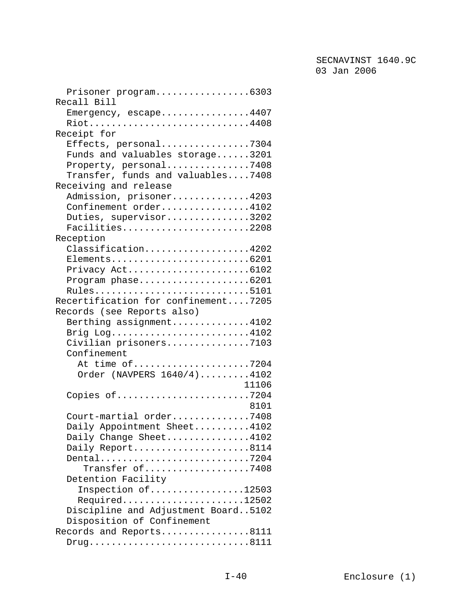| Prisoner program6303                |
|-------------------------------------|
| Recall Bill                         |
| Emergency, $\epsilon$ scape4407     |
| Riot4408                            |
| Receipt for                         |
| Effects, personal7304               |
| Funds and valuables storage3201     |
| Property, personal7408              |
| Transfer, funds and valuables7408   |
| Receiving and release               |
| Admission, prisoner4203             |
| Confinement order4102               |
| Duties, supervisor3202              |
| Facilities2208                      |
| Reception                           |
| Classification4202                  |
| Elements6201                        |
|                                     |
| Program $phase$ 6201                |
| Rules5101                           |
| Recertification for confinement7205 |
| Records (see Reports also)          |
| Berthing assignment4102             |
| Brig Log4102                        |
| Civilian prisoners7103              |
| Confinement                         |
| At time of7204                      |
| Order (NAVPERS 1640/4)4102          |
| 11106                               |
| Copies of7204                       |
| 8101                                |
|                                     |
| Court-martial order7408             |
| Daily Appointment Sheet4102         |
| Daily Change Sheet4102              |
| Daily Report8114                    |
| Dental7204                          |
| Transfer of7408                     |
| Detention Facility                  |
| Inspection of12503                  |
| $Required$ 12502                    |
| Discipline and Adjustment Board5102 |
| Disposition of Confinement          |
| Records and Reports8111             |
|                                     |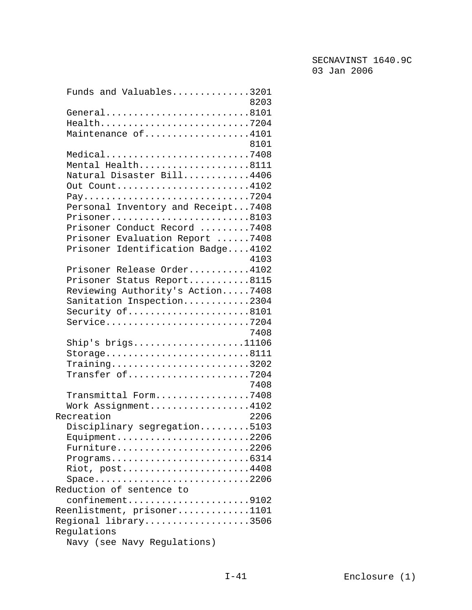| Funds and Valuables3201                                                 |  |
|-------------------------------------------------------------------------|--|
| 8203                                                                    |  |
| General8101                                                             |  |
| Health7204                                                              |  |
| Maintenance of4101                                                      |  |
| 8101                                                                    |  |
| Medical7408                                                             |  |
| Mental Health8111                                                       |  |
| Natural Disaster Bill4406                                               |  |
| Out Count4102                                                           |  |
| Pay7204                                                                 |  |
| Personal Inventory and Receipt7408                                      |  |
| Prisoner8103                                                            |  |
| Prisoner Conduct Record 7408                                            |  |
| Prisoner Evaluation Report 7408                                         |  |
| Prisoner Identification Badge4102                                       |  |
| 4103                                                                    |  |
| Prisoner Release Order4102                                              |  |
| Prisoner Status Report8115                                              |  |
| Reviewing Authority's Action7408                                        |  |
| Sanitation Inspection2304                                               |  |
| Security of8101                                                         |  |
| Service7204                                                             |  |
| 7408                                                                    |  |
| Ship's $brigs.$ 11106                                                   |  |
| Storage8111                                                             |  |
| $Training \ldots \ldots \ldots \ldots \ldots \ldots \ldots \ldots 3202$ |  |
| Transfer of7204                                                         |  |
| 7408                                                                    |  |
| Transmittal Form7408                                                    |  |
| Work Assignment4102                                                     |  |
| 2206<br>Recreation                                                      |  |
| Disciplinary segregation5103                                            |  |
| $Equipment$ 2206                                                        |  |
| Furniture2206                                                           |  |
| $Programs.\dots.\dots.\dots.\dots.\dots.\dots.6314$                     |  |
| Riot, post4408                                                          |  |
| $Space$ 2206                                                            |  |
| Reduction of sentence to                                                |  |
| confinement9102                                                         |  |
| Reenlistment, prisoner1101                                              |  |
| Regional library3506                                                    |  |
| Regulations                                                             |  |
| Navy (see Navy Regulations)                                             |  |
|                                                                         |  |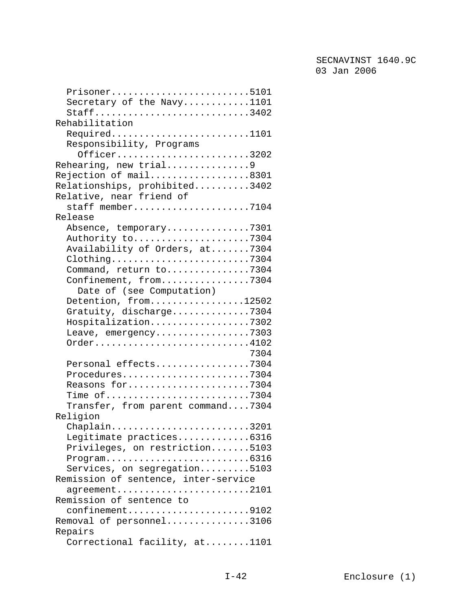| Prisoner5101                         |
|--------------------------------------|
| Secretary of the Navy1101            |
| Staff3402                            |
| Rehabilitation                       |
| Required1101                         |
| Responsibility, Programs             |
| Officer3202                          |
| Rehearing, new trial9                |
| Rejection of mail8301                |
| Relationships, prohibited3402        |
| Relative, near friend of             |
| staff member7104                     |
| Release                              |
| Absence, temporary7301               |
| Authority to7304                     |
| Availability of Orders, at7304       |
| Clothing7304                         |
| Command, return to7304               |
| Confinement, from7304                |
| Date of (see Computation)            |
| Detention, from12502                 |
| Gratuity, discharge7304              |
| Hospitalization7302                  |
| Leave, emergency7303                 |
| Order4102                            |
| 7304                                 |
| Personal effects7304                 |
| Procedures7304                       |
| Reasons for7304                      |
| Time of7304                          |
| Transfer, from parent command7304    |
| Religion                             |
| Chaplain3201                         |
| Legitimate practices6316             |
| Privileges, on restriction5103       |
|                                      |
| Services, on segregation5103         |
| Remission of sentence, inter-service |
| $ag$ reement2101                     |
| Remission of sentence to             |
| confinement9102                      |
| Removal of personnel3106             |
| Repairs                              |
| Correctional facility, at1101        |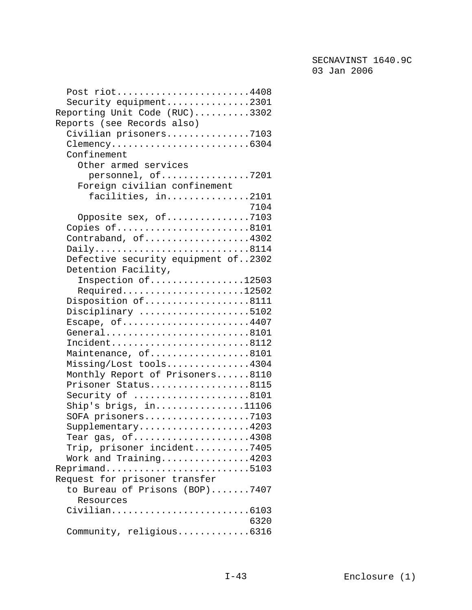| Post riot4408                                |
|----------------------------------------------|
| Security equipment2301                       |
| Reporting Unit Code (RUC)3302                |
| Reports (see Records also)                   |
| Civilian prisoners7103                       |
|                                              |
| Confinement                                  |
| Other armed services                         |
| personnel, of7201                            |
| Foreign civilian confinement                 |
|                                              |
| facilities, in2101                           |
| 7104                                         |
| Opposite sex, of7103                         |
| Copies of8101                                |
| Contraband, of4302                           |
| Daily8114                                    |
| Defective security equipment of2302          |
| Detention Facility,                          |
| Inspection of12503                           |
| Required12502                                |
| Disposition of8111                           |
| Disciplinary 5102                            |
| Escape, of4407                               |
| General8101                                  |
| Incident8112                                 |
| Maintenance, of8101                          |
| Missing/Lost tools4304                       |
| Monthly Report of Prisoners8110              |
| Prisoner Status8115                          |
| Security of 8101                             |
| Ship's brigs, $in$ 11106                     |
| SOFA prisoners7103                           |
|                                              |
| $Supplementary.$ 4203<br>Tear gas, $of$ 4308 |
|                                              |
| Trip, prisoner incident7405                  |
| Work and Training4203                        |
| Reprimand5103                                |
| Request for prisoner transfer                |
| to Bureau of Prisons (BOP)7407               |
| Resources                                    |
| Civilian6103                                 |
| 6320                                         |
| Community, religious6316                     |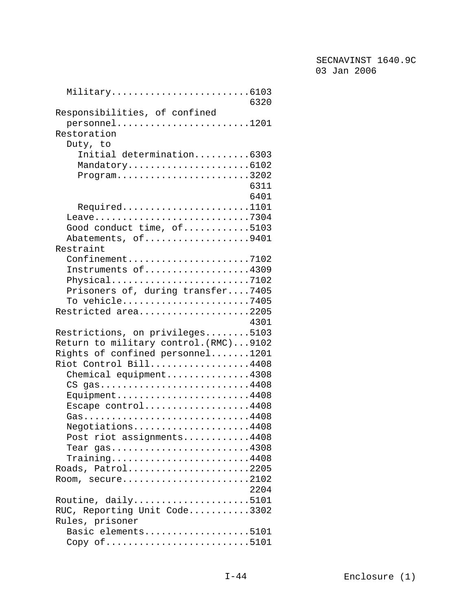| Military6103<br>6320                                                       |
|----------------------------------------------------------------------------|
| Responsibilities, of confined                                              |
| personnel1201                                                              |
| Restoration                                                                |
| Duty, to                                                                   |
| Initial determination6303                                                  |
| Mandatory6102                                                              |
| $Program \dots \dots \dots \dots \dots \dots \dots \dots \dots \dots 3202$ |
| 6311                                                                       |
| 6401                                                                       |
| Required1101                                                               |
| Leave7304                                                                  |
| Good conduct time, of5103                                                  |
| Abatements, of9401<br>Restraint                                            |
| $Configuration$ ement7102                                                  |
| Instruments of4309                                                         |
| Physical7102                                                               |
| Prisoners of, during transfer7405                                          |
| To vehicle7405                                                             |
| Restricted area2205                                                        |
| 4301                                                                       |
| Restrictions, on privileges5103                                            |
| Return to military control. (RMC)9102                                      |
| Rights of confined personnel1201                                           |
| Riot Control Bill4408                                                      |
| Chemical equipment4308                                                     |
| CS gas4408                                                                 |
| Equipment4408                                                              |
| Escape control4408                                                         |
| Gas4408                                                                    |
| Negotiations4408                                                           |
| Post riot assignments4408                                                  |
| Tear $gas$ 4308                                                            |
| Training4408                                                               |
| Roads, Patrol2205                                                          |
| Room, secure2102                                                           |
| 2204                                                                       |
| Routine, daily5101                                                         |
| RUC, Reporting Unit Code3302                                               |
| Rules, prisoner                                                            |
| Basic elements5101                                                         |
| Copy of $\dots\dots\dots\dots\dots\dots\dots\dots\dots\dots5101$           |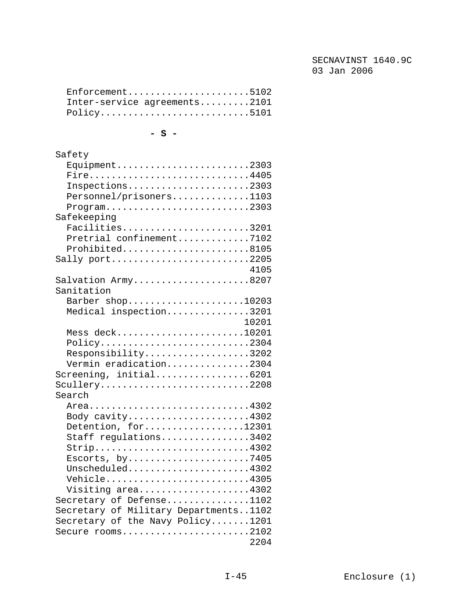| $Enforcement \ldots \ldots \ldots \ldots \ldots \ldots \ldots \ldots 5102$ |  |
|----------------------------------------------------------------------------|--|
| Inter-service agreements2101                                               |  |
| $Policy \ldots \ldots \ldots \ldots \ldots \ldots \ldots \ldots 5101$      |  |

**- S -** 

| Safety                                                                            |
|-----------------------------------------------------------------------------------|
| Equipment2303                                                                     |
| Fire4405                                                                          |
| Inspections2303                                                                   |
| Personnel/prisoners1103                                                           |
|                                                                                   |
| Safekeeping                                                                       |
| Facilities3201                                                                    |
| Pretrial confinement7102                                                          |
| Prohibited8105                                                                    |
| Sally port2205                                                                    |
| 4105                                                                              |
| Salvation Army8207                                                                |
| Sanitation                                                                        |
|                                                                                   |
| Barber shop10203                                                                  |
| Medical inspection3201                                                            |
| 10201                                                                             |
| Mess deck10201                                                                    |
| $Policy \ldots \ldots \ldots \ldots \ldots \ldots \ldots \ldots 2304$             |
| Responsibility3202                                                                |
| Vermin eradication2304                                                            |
| Screening, initial6201                                                            |
| Scullery2208                                                                      |
| Search                                                                            |
| Area4302                                                                          |
| Body cavity4302                                                                   |
| Detention, for12301                                                               |
| Staff regulations3402                                                             |
| Strip4302                                                                         |
| Escorts, $by \ldots \ldots \ldots \ldots \ldots \ldots \ldots \ldots \ldots$ 7405 |
| Unscheduled4302                                                                   |
| Vehicle4305                                                                       |
| Visiting area4302                                                                 |
| Secretary of Defense1102                                                          |
| Secretary of Military Departments1102                                             |
| Secretary of the Navy Policy1201                                                  |
| Secure rooms2102                                                                  |
| 2204                                                                              |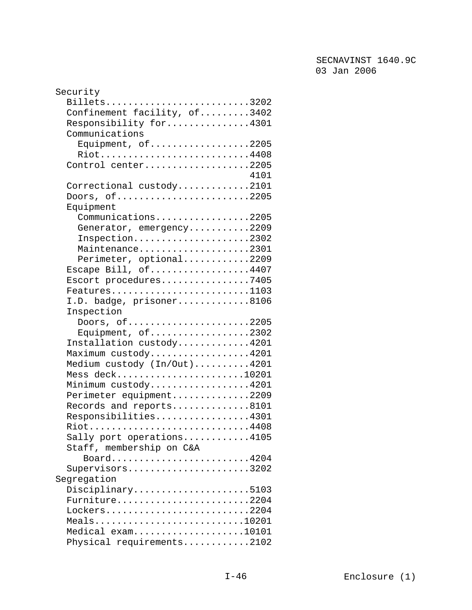| Security                     |  |
|------------------------------|--|
| Billets3202                  |  |
| Confinement facility, of3402 |  |
| Responsibility for4301       |  |
| Communications               |  |
| Equipment, $of$ 2205         |  |
| Riot4408                     |  |
| Control center2205           |  |
| 4101                         |  |
| Correctional custody2101     |  |
| Doors, $of$ 2205             |  |
| Equipment                    |  |
| Communications2205           |  |
| Generator, emergency2209     |  |
| Inspection2302               |  |
|                              |  |
| Maintenance2301              |  |
| Perimeter, optional2209      |  |
| Escape Bill, of4407          |  |
| Escort procedures7405        |  |
| $Features$ 1103              |  |
| I.D. badge, prisoner8106     |  |
| Inspection                   |  |
| Doors, of2205                |  |
| Equipment, of2302            |  |
| Installation custody4201     |  |
| Maximum custody4201          |  |
| Medium custody (In/Out)4201  |  |
| Mess deck10201               |  |
| Minimum custody4201          |  |
| Perimeter equipment2209      |  |
| Records and reports8101      |  |
| Responsibilities4301         |  |
| Riot4408                     |  |
| Sally port operations4105    |  |
|                              |  |
| Staff, membership on C&A     |  |
| Board4204                    |  |
| Supervisors3202              |  |
| Segregation                  |  |
| Disciplinary5103             |  |
| Furniture2204                |  |
| Lockers2204                  |  |
| Meals10201                   |  |
| Medical exam10101            |  |
| Physical requirements2102    |  |
|                              |  |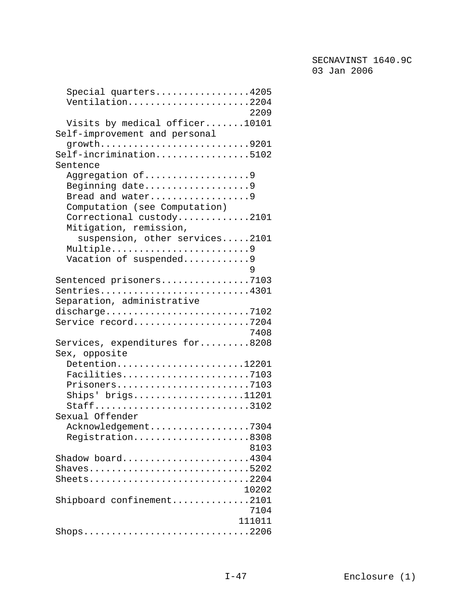| Special quarters4205<br>Ventilation2204<br>2209                                             |
|---------------------------------------------------------------------------------------------|
| Visits by medical officer10101<br>Self-improvement and personal                             |
| growth9201<br>Self-incrimination5102<br>Sentence                                            |
| Aggregation of9<br>Beginning date9<br>Bread and water9<br>Computation (see Computation)     |
| Correctional custody2101<br>Mitigation, remission,                                          |
| suspension, other services2101<br>Multiple9<br>Vacation of suspended9<br>9                  |
| Sentenced prisoners7103<br>Sentries4301<br>Separation, administrative                       |
| discharge7102<br>Service record7204<br>7408                                                 |
| Services, expenditures for8208<br>Sex, opposite                                             |
| Detention12201<br>Facilities7103<br>Prisoners7103<br>Ships' brigs11201<br>Staff3102         |
| Sexual Offender<br>Acknowledgement7304<br>Registration8308<br>8103                          |
| Shadow board4304<br>Shaves5202<br>Sheets2204<br>10202                                       |
| Shipboard confinement2101<br>7104<br>111011                                                 |
| $\text{Shops}\ldots\ldots\ldots\ldots\ldots\ldots\ldots\ldots\ldots\ldots\ldots\text{2206}$ |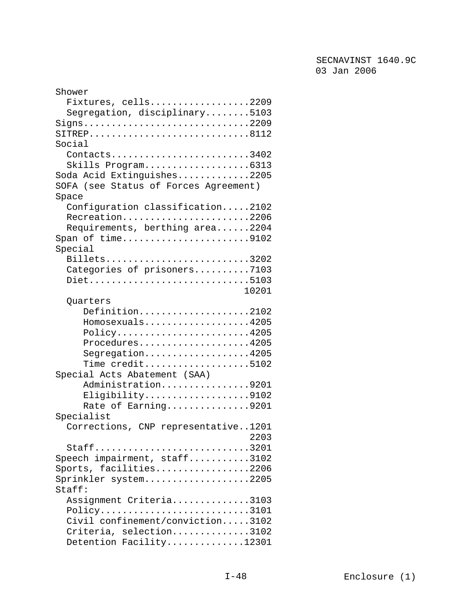| Shower                                                                |
|-----------------------------------------------------------------------|
| Fixtures, cells2209                                                   |
| Segregation, disciplinary5103                                         |
| $Signs$ 2209                                                          |
| $\texttt{SITER}$ P8112                                                |
| Social                                                                |
| Contacts3402                                                          |
| Skills Program6313                                                    |
| Soda Acid Extinguishes2205                                            |
| SOFA (see Status of Forces Agreement)                                 |
| Space                                                                 |
| Configuration classification2102                                      |
| Recreation2206                                                        |
|                                                                       |
| Requirements, berthing area2204                                       |
| Span of time9102                                                      |
| Special                                                               |
| Billets3202                                                           |
| Categories of prisoners7103                                           |
| Diet5103                                                              |
| 10201                                                                 |
| Quarters                                                              |
| Definition2102                                                        |
| Homosexuals4205                                                       |
| $Policy \ldots \ldots \ldots \ldots \ldots \ldots \ldots \ldots 4205$ |
| Procedures4205                                                        |
| $Segregation. 4205$                                                   |
| Time $\text{credit} \dots \dots \dots \dots \dots \dots 5102$         |
| Special Acts Abatement (SAA)                                          |
| Administration9201                                                    |
| Eligibility9102                                                       |
| Rate of Earning9201                                                   |
| Specialist                                                            |
| Corrections, CNP representative1201                                   |
| 2203                                                                  |
| Staff3201                                                             |
| Speech impairment, staff3102                                          |
| Sports, facilities2206                                                |
| Sprinkler system2205                                                  |
| Staff:                                                                |
| Assignment Criteria3103                                               |
| $Policy \ldots \ldots \ldots \ldots \ldots \ldots \ldots \ldots 3101$ |
| Civil confinement/conviction3102                                      |
|                                                                       |
| Criteria, selection3102                                               |
| Detention Facility12301                                               |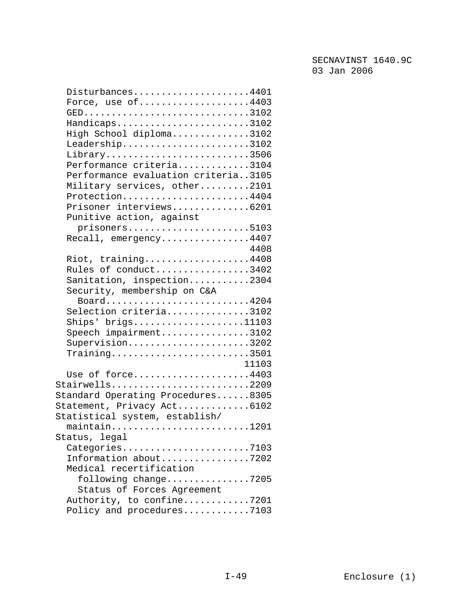| Disturbances4401<br>Force, use of4403<br>Handicaps3102<br>High School diploma3102<br>Leadership3102<br>Library3506<br>Performance criteria3104<br>Performance evaluation criteria3105<br>Military services, other2101<br>Protection4404<br>Prisoner interviews6201 |  |
|--------------------------------------------------------------------------------------------------------------------------------------------------------------------------------------------------------------------------------------------------------------------|--|
| Punitive action, against                                                                                                                                                                                                                                           |  |
| prisoners5103                                                                                                                                                                                                                                                      |  |
| Recall, emergency4407                                                                                                                                                                                                                                              |  |
| 4408                                                                                                                                                                                                                                                               |  |
| Riot, training4408                                                                                                                                                                                                                                                 |  |
| Rules of conduct3402                                                                                                                                                                                                                                               |  |
| Sanitation, inspection2304                                                                                                                                                                                                                                         |  |
| Security, membership on C&A                                                                                                                                                                                                                                        |  |
| Board4204                                                                                                                                                                                                                                                          |  |
| Selection criteria3102                                                                                                                                                                                                                                             |  |
| $\text{Ships}$ brigs11103                                                                                                                                                                                                                                          |  |
| Speech impairment3102                                                                                                                                                                                                                                              |  |
|                                                                                                                                                                                                                                                                    |  |
| Supervision3202                                                                                                                                                                                                                                                    |  |
| $Training \ldots \ldots \ldots \ldots \ldots \ldots \ldots \ldots \ldots 3501$                                                                                                                                                                                     |  |
| 11103                                                                                                                                                                                                                                                              |  |
| Use of force4403                                                                                                                                                                                                                                                   |  |
| Stairwells2209                                                                                                                                                                                                                                                     |  |
| Standard Operating Procedures8305                                                                                                                                                                                                                                  |  |
| Statement, Privacy Act6102                                                                                                                                                                                                                                         |  |
| Statistical system, establish/                                                                                                                                                                                                                                     |  |
| maintain1201                                                                                                                                                                                                                                                       |  |
| Status, legal                                                                                                                                                                                                                                                      |  |
| Categories7103                                                                                                                                                                                                                                                     |  |
| Information about7202                                                                                                                                                                                                                                              |  |
| Medical recertification                                                                                                                                                                                                                                            |  |
| following change7205                                                                                                                                                                                                                                               |  |
| Status of Forces Agreement                                                                                                                                                                                                                                         |  |
| Authority, to confine7201                                                                                                                                                                                                                                          |  |
| Policy and procedures7103                                                                                                                                                                                                                                          |  |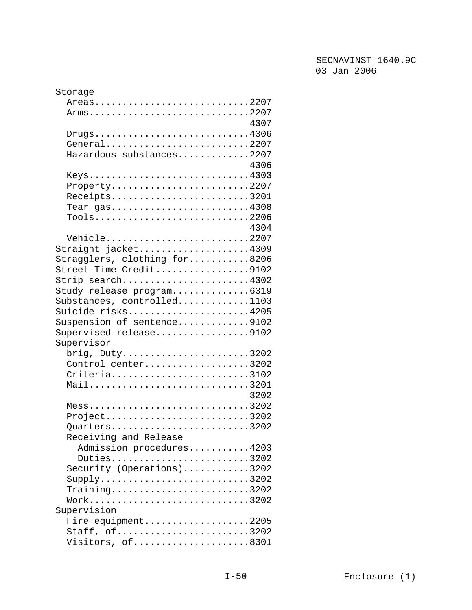| Storage                                                                            |
|------------------------------------------------------------------------------------|
| Areas2207                                                                          |
| Arms2207                                                                           |
| 4307                                                                               |
| $Drugs \ldots \ldots \ldots \ldots \ldots \ldots \ldots \ldots \ldots 4306$        |
| General2207                                                                        |
| Hazardous substances2207                                                           |
| 4306                                                                               |
| Keys4303                                                                           |
| Property2207                                                                       |
| Receipts3201                                                                       |
| Tear $gas$ 4308                                                                    |
| $Tools \ldots \ldots \ldots \ldots \ldots \ldots \ldots \ldots \ldots \ldots 2206$ |
| 4304                                                                               |
|                                                                                    |
| Vehicle2207                                                                        |
| Straight jacket4309                                                                |
| Stragglers, clothing for8206                                                       |
| Street Time Credit9102                                                             |
| Strip search4302                                                                   |
| Study release program6319                                                          |
| Substances, controlled1103                                                         |
| Suicide risks4205                                                                  |
| Suspension of sentence9102                                                         |
| Supervised release9102                                                             |
| Supervisor                                                                         |
| $brig.$ Duty3202                                                                   |
| Control center3202                                                                 |
| Criteria3102                                                                       |
| Mail3201                                                                           |
| 3202                                                                               |
| $Mess$ 3202                                                                        |
| $Project \ldots \ldots \ldots \ldots \ldots \ldots \ldots \ldots \ldots 3202$      |
| Quarters3202                                                                       |
| Receiving and Release                                                              |
| Admission procedures4203                                                           |
| Duties3202                                                                         |
| Security (Operations)3202                                                          |
|                                                                                    |
|                                                                                    |
| $Training \ldots \ldots \ldots \ldots \ldots \ldots \ldots \ldots \ldots 3202$     |
| Work3202                                                                           |
| Supervision                                                                        |
| Fire equipment2205                                                                 |
| Staff, of3202                                                                      |
| Visitors, of8301                                                                   |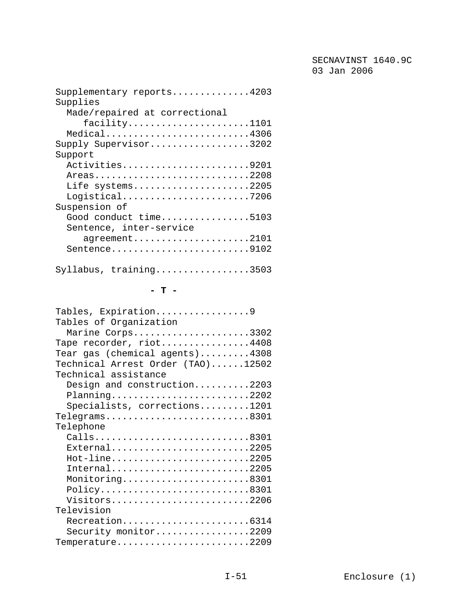| Supplementary reports4203     |
|-------------------------------|
| Supplies                      |
| Made/repaired at correctional |
| facility1101                  |
| $Medical$ 4306                |
| Supply Supervisor3202         |
| Support                       |
| Activities9201                |
| Areas2208                     |
| Life systems2205              |
|                               |
| Suspension of                 |
| Good conduct time5103         |
| Sentence, inter-service       |
| agreement2101                 |
| Sentence9102                  |
|                               |
| $Syllabus$ , training3503     |

#### **- T -**

| Tables, Expiration9                                                                             |
|-------------------------------------------------------------------------------------------------|
| Tables of Organization                                                                          |
| Marine Corps3302                                                                                |
| Tape recorder, riot4408                                                                         |
| Tear gas (chemical agents)4308                                                                  |
| Technical Arrest Order (TAO)12502                                                               |
| Technical assistance                                                                            |
| Design and construction2203                                                                     |
| Planning2202                                                                                    |
| Specialists, corrections1201                                                                    |
| $Telegrams \ldots \ldots \ldots \ldots \ldots \ldots \ldots \ldots \ldots \ldots \ldots \ldots$ |
| Telephone                                                                                       |
| Calls8301                                                                                       |
| $External$ 2205                                                                                 |
| Hot-line2205                                                                                    |
| $International$ 2205                                                                            |
| Monitoring8301                                                                                  |
| Policy8301                                                                                      |
| Visitors2206                                                                                    |
| Television                                                                                      |
| Recreation6314                                                                                  |
| Security monitor2209                                                                            |
| Temperature2209                                                                                 |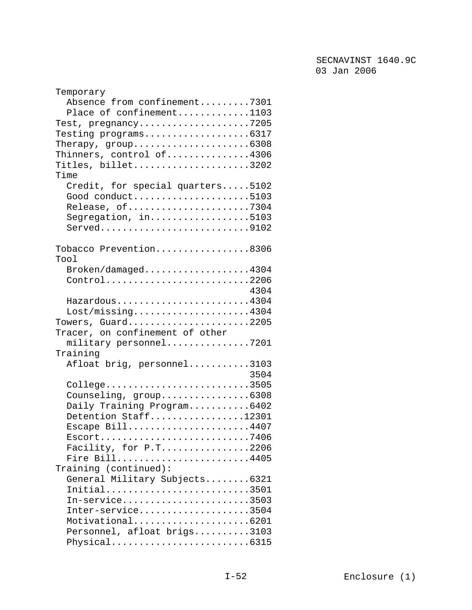| Temporary                                                                |
|--------------------------------------------------------------------------|
| Absence from confinement7301                                             |
| Place of confinement1103                                                 |
| Test, pregnancy7205                                                      |
|                                                                          |
| Therapy, $group$ 6308                                                    |
|                                                                          |
| Thinners, control of4306                                                 |
| Titles, billet3202                                                       |
| Time                                                                     |
| Credit, for special quarters5102                                         |
| Good conduct5103                                                         |
| Release, of7304                                                          |
| Segregation, in5103                                                      |
|                                                                          |
|                                                                          |
| Tobacco Prevention8306                                                   |
| Tool                                                                     |
| Broken/damaged4304                                                       |
|                                                                          |
| Control2206                                                              |
| 4304                                                                     |
| Hazardous4304                                                            |
| $\texttt{lost/missing.} \dots \dots \dots \dots \dots \dots \dots \4304$ |
| Towers, Guard2205                                                        |
| Tracer, on confinement of other                                          |
| military personnel7201                                                   |
| Training                                                                 |
| Afloat brig, personnel3103                                               |
| 3504                                                                     |
| College3505                                                              |
| Counseling, group6308                                                    |
| Daily Training Program6402                                               |
| Detention Staff12301                                                     |
| Escape Bill4407                                                          |
| $Escort$ 7406                                                            |
|                                                                          |
| Facility, for $P.T$ 2206                                                 |
| Fire Bill4405                                                            |
| Training (continued):                                                    |
| General Military Subjects6321                                            |
| Initial3501                                                              |
| $In-service.\dots\dots\dots\3503$                                        |
| Inter-service3504                                                        |
| Motivational6201                                                         |
| Personnel, afloat brigs3103                                              |
| Physical6315                                                             |
|                                                                          |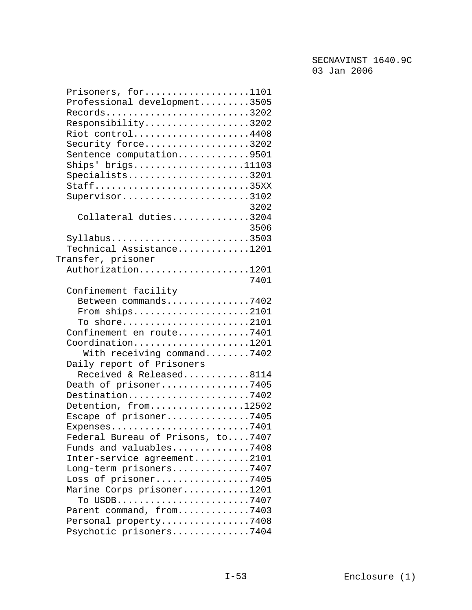| Prisoners, for1101                                                       |  |
|--------------------------------------------------------------------------|--|
| Professional development3505                                             |  |
| Records3202                                                              |  |
| Responsibility3202                                                       |  |
| Riot control4408                                                         |  |
| Security force3202                                                       |  |
| Sentence computation9501                                                 |  |
| $\text{Ships}$ brigs11103                                                |  |
| Specialists3201                                                          |  |
| Staff35XX                                                                |  |
| Supervisor3102                                                           |  |
| 3202                                                                     |  |
| Collateral duties3204                                                    |  |
| 3506                                                                     |  |
| $Syllabus$ 3503                                                          |  |
| Technical Assistance1201                                                 |  |
| Transfer, prisoner                                                       |  |
| Authorization1201                                                        |  |
|                                                                          |  |
| 7401                                                                     |  |
| Confinement facility                                                     |  |
| Between commands7402                                                     |  |
| From $\text{ships} \dots \dots \dots \dots \dots \dots \dots \dots 2101$ |  |
| To shore2101                                                             |  |
| Confinement en route7401                                                 |  |
| Coordination1201                                                         |  |
| With receiving command7402                                               |  |
| Daily report of Prisoners                                                |  |
| Received & Released8114                                                  |  |
| Death of prisoner7405                                                    |  |
| Destination7402                                                          |  |
| Detention, from12502                                                     |  |
| Escape of prisoner7405                                                   |  |
| Expenses7401                                                             |  |
| Federal Bureau of Prisons, to7407                                        |  |
| Funds and valuables7408                                                  |  |
| Inter-service agreement2101                                              |  |
| Long-term prisoners7407                                                  |  |
| Loss of prisoner7405                                                     |  |
| Marine Corps prisoner1201                                                |  |
| To USDB7407                                                              |  |
| Parent command, from7403                                                 |  |
| Personal property7408                                                    |  |
| Psychotic prisoners7404                                                  |  |
|                                                                          |  |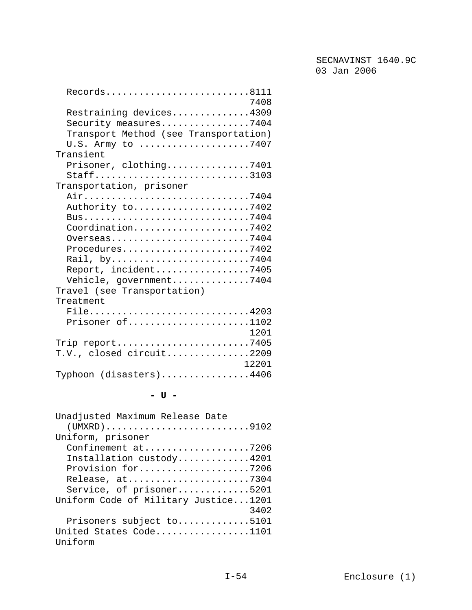| $\texttt{Records} \dots \dots \dots \dots \dots \dots \dots \dots \dots \dots \dots \dots \dots \dots \dots \dots$ |
|--------------------------------------------------------------------------------------------------------------------|
| 7408                                                                                                               |
| Restraining devices4309                                                                                            |
| Security measures7404                                                                                              |
| Transport Method (see Transportation)                                                                              |
|                                                                                                                    |
| U.S. Army to 7407                                                                                                  |
| Transient                                                                                                          |
| Prisoner, clothing7401                                                                                             |
| Staff3103                                                                                                          |
| Transportation, prisoner                                                                                           |
|                                                                                                                    |
| Authority to7402                                                                                                   |
|                                                                                                                    |
| Coordination7402                                                                                                   |
| Overseas7404                                                                                                       |
| Procedures7402                                                                                                     |
| Rail, by7404                                                                                                       |
| Report, incident7405                                                                                               |
| Vehicle, government7404                                                                                            |
|                                                                                                                    |
| Travel (see Transportation)                                                                                        |
| Treatment                                                                                                          |
| File4203                                                                                                           |
| Prisoner of1102                                                                                                    |
| 1201                                                                                                               |
| Trip report7405                                                                                                    |
| T.V., closed circuit2209                                                                                           |
| 12201                                                                                                              |
| Typhoon (disasters)4406                                                                                            |
|                                                                                                                    |

# **- U -**

| Unadjusted Maximum Release Date                                               |
|-------------------------------------------------------------------------------|
| $(UMXRD) \ldots \ldots \ldots \ldots \ldots \ldots \ldots \ldots \ldots 9102$ |
| Uniform, prisoner                                                             |
| Confinement at7206                                                            |
| Installation custody4201                                                      |
| Provision for7206                                                             |
| Release, at7304                                                               |
| Service, of prisoner5201                                                      |
| Uniform Code of Military Justice1201                                          |
| 3402                                                                          |
| Prisoners subject to5101                                                      |
| United States Code1101                                                        |
| Uniform                                                                       |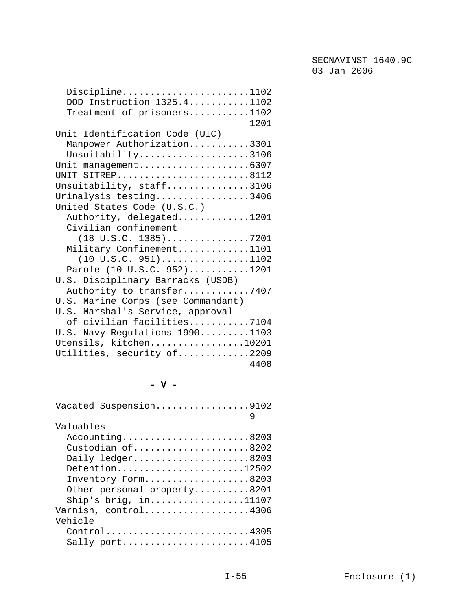| Discipline1102                                                |
|---------------------------------------------------------------|
| DOD Instruction 1325.41102                                    |
| Treatment of prisoners1102                                    |
| 1201                                                          |
| Unit Identification Code (UIC)                                |
| Manpower Authorization3301                                    |
| Unsuitability3106                                             |
| Unit management6307                                           |
| UNIT SITREP8112                                               |
| Unsuitability, staff3106                                      |
| Urinalysis testing3406                                        |
| United States Code (U.S.C.)                                   |
| Authority, delegated1201                                      |
| Civilian confinement                                          |
|                                                               |
| Military Confinement1101                                      |
| $(10 \text{ U.S.C. } 951) \dots \dots \dots \dots \dots 1102$ |
| Parole (10 U.S.C. 952)1201                                    |
| U.S. Disciplinary Barracks (USDB)                             |
| Authority to transfer7407                                     |
| U.S. Marine Corps (see Commandant)                            |
| U.S. Marshal's Service, approval                              |
|                                                               |
| of civilian facilities7104                                    |
| U.S. Navy Regulations 19901103                                |
| Utensils, kitchen10201                                        |
| Utilities, security of2209                                    |
| 4408                                                          |

**- V -** 

| Vacated Suspension9102      |   |
|-----------------------------|---|
|                             | 9 |
| Valuables                   |   |
| $Accounting$ 8203           |   |
| Custodian of8202            |   |
| Daily ledger8203            |   |
| Detention12502              |   |
| Inventory Form8203          |   |
| Other personal property8201 |   |
| Ship's brig, $in$ 11107     |   |
| Varnish, control4306        |   |
| Vehicle                     |   |
| Control4305                 |   |
| Sally $port$ 4105           |   |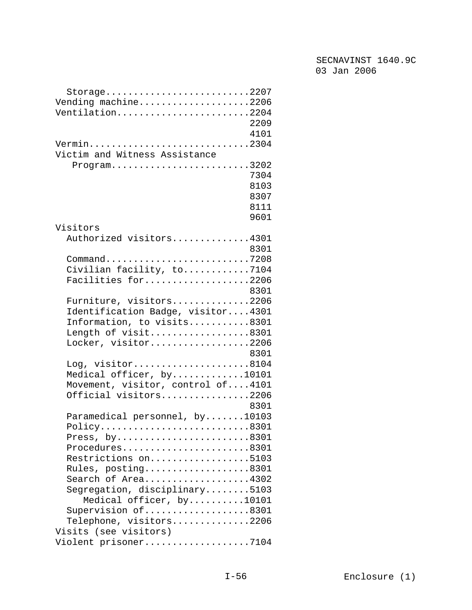| $Storage \ldots \ldots \ldots \ldots \ldots \ldots \ldots \ldots \ldots 2207$ |
|-------------------------------------------------------------------------------|
| Vending machine2206                                                           |
| Ventilation2204                                                               |
| 2209                                                                          |
| 4101                                                                          |
| Vermin2304                                                                    |
| Victim and Witness Assistance                                                 |
| $Program. \ldots \ldots \ldots \ldots \ldots \ldots \ldots \ldots 3202$       |
| 7304                                                                          |
| 8103                                                                          |
| 8307                                                                          |
| 8111                                                                          |
| 9601                                                                          |
| Visitors                                                                      |
| Authorized visitors4301                                                       |
| 8301                                                                          |
|                                                                               |
| Command7208                                                                   |
| Civilian facility, to7104                                                     |
| Facilities for2206                                                            |
| 8301                                                                          |
| Furniture, visitors2206                                                       |
| Identification Badge, visitor4301                                             |
| Information, to visits8301                                                    |
| Length of visit8301                                                           |
| Locker, visitor2206                                                           |
| 8301                                                                          |
| Log, visitor8104                                                              |
| Medical officer, by10101                                                      |
| Movement, visitor, control of4101                                             |
| Official visitors2206                                                         |
| 8301                                                                          |
| Paramedical personnel, by10103                                                |
| Policy8301                                                                    |
| Press, $by$ 8301                                                              |
| Procedures8301                                                                |
| Restrictions on5103                                                           |
| Rules, posting8301                                                            |
| Search of Area4302                                                            |
| Segregation, disciplinary5103                                                 |
| Medical officer, by10101                                                      |
| Supervision of8301                                                            |
| Telephone, visitors2206                                                       |
| Visits (see visitors)                                                         |
| Violent prisoner7104                                                          |
|                                                                               |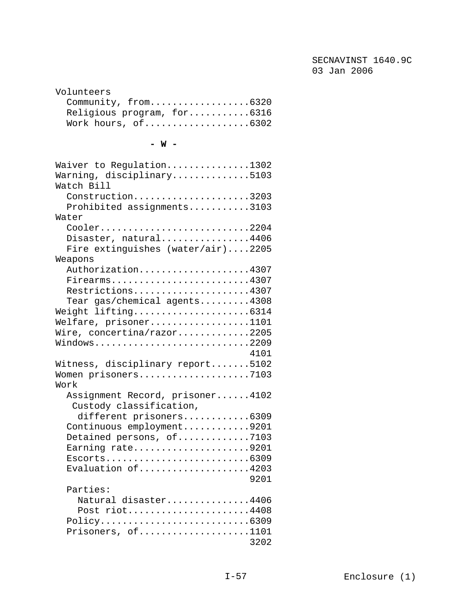| Volunteers                 |
|----------------------------|
| Community, from6320        |
| Religious program, for6316 |
|                            |

#### **- W -**

| Waiver to Regulation1302          |
|-----------------------------------|
| Warning, disciplinary5103         |
| Watch Bill                        |
| Construction3203                  |
| Prohibited assignments3103        |
| Water                             |
| Cooler2204                        |
| Disaster, natural4406             |
| Fire extinguishes (water/air)2205 |
| Weapons                           |
| Authorization4307                 |
| Firearms4307                      |
| Restrictions4307                  |
| Tear gas/chemical agents4308      |
| Weight lifting6314                |
| Welfare, prisoner1101             |
| Wire, concertina/razor2205        |
| Windows2209                       |
| 4101                              |
| Witness, disciplinary report5102  |
| Women prisoners7103               |
| Work                              |
| Assignment Record, prisoner4102   |
| Custody classification,           |
| different prisoners6309           |
| Continuous employment9201         |
| Detained persons, of7103          |
| Earning rate9201                  |
|                                   |
| Evaluation of4203                 |
| 9201                              |
| Parties:                          |
| Natural disaster4406              |
| Post riot4408                     |
| Policy6309                        |
| Prisoners, of1101                 |
| 3202                              |